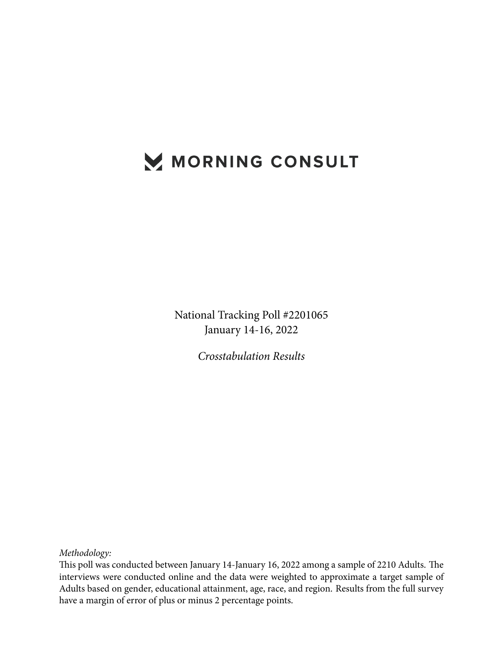# MORNING CONSULT

National Tracking Poll #2201065 January 14-16, 2022

*Crosstabulation Results*

*Methodology:*

This poll was conducted between January 14-January 16, 2022 among a sample of 2210 Adults. The interviews were conducted online and the data were weighted to approximate a target sample of Adults based on gender, educational attainment, age, race, and region. Results from the full survey have a margin of error of plus or minus 2 percentage points.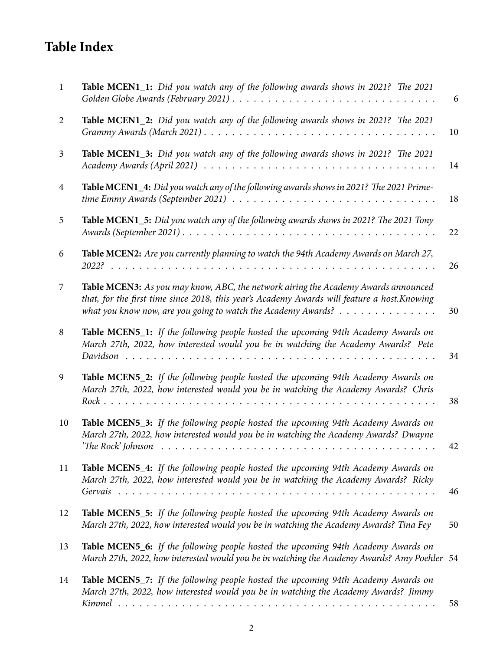# **Table Index**

| $\mathbf{1}$   | Table MCEN1_1: Did you watch any of the following awards shows in 2021? The 2021                                                                                                                                                                                                    | 6  |
|----------------|-------------------------------------------------------------------------------------------------------------------------------------------------------------------------------------------------------------------------------------------------------------------------------------|----|
| $\overline{2}$ | Table MCEN1_2: Did you watch any of the following awards shows in 2021? The 2021<br>Grammy Awards (March 2021) $\ldots \ldots \ldots \ldots \ldots \ldots \ldots \ldots \ldots \ldots \ldots \ldots$                                                                                | 10 |
| 3              | Table MCEN1_3: Did you watch any of the following awards shows in 2021? The 2021                                                                                                                                                                                                    | 14 |
| $\overline{4}$ | Table MCEN1_4: Did you watch any of the following awards shows in 2021? The 2021 Prime-<br>time Emmy Awards (September 2021) $\ldots \ldots \ldots \ldots \ldots \ldots \ldots \ldots \ldots \ldots \ldots$                                                                         | 18 |
| 5              | Table MCEN1_5: Did you watch any of the following awards shows in 2021? The 2021 Tony                                                                                                                                                                                               | 22 |
| 6              | Table MCEN2: Are you currently planning to watch the 94th Academy Awards on March 27,                                                                                                                                                                                               | 26 |
| 7              | Table MCEN3: As you may know, ABC, the network airing the Academy Awards announced<br>that, for the first time since 2018, this year's Academy Awards will feature a host. Knowing<br>what you know now, are you going to watch the Academy Awards? $\dots \dots \dots \dots \dots$ | 30 |
| 8              | Table MCEN5_1: If the following people hosted the upcoming 94th Academy Awards on<br>March 27th, 2022, how interested would you be in watching the Academy Awards? Pete                                                                                                             | 34 |
| 9              | Table MCEN5_2: If the following people hosted the upcoming 94th Academy Awards on<br>March 27th, 2022, how interested would you be in watching the Academy Awards? Chris                                                                                                            | 38 |
| 10             | Table MCEN5_3: If the following people hosted the upcoming 94th Academy Awards on<br>March 27th, 2022, how interested would you be in watching the Academy Awards? Dwayne                                                                                                           | 42 |
| 11             | Table MCEN5_4: If the following people hosted the upcoming 94th Academy Awards on<br>March 27th, 2022, how interested would you be in watching the Academy Awards? Ricky                                                                                                            | 46 |
| 12             | Table MCEN5_5: If the following people hosted the upcoming 94th Academy Awards on<br>March 27th, 2022, how interested would you be in watching the Academy Awards? Tina Fey                                                                                                         | 50 |
| 13             | Table MCEN5_6: If the following people hosted the upcoming 94th Academy Awards on<br>March 27th, 2022, how interested would you be in watching the Academy Awards? Amy Poehler 54                                                                                                   |    |
| 14             | Table MCEN5_7: If the following people hosted the upcoming 94th Academy Awards on<br>March 27th, 2022, how interested would you be in watching the Academy Awards? Jimmy                                                                                                            | 58 |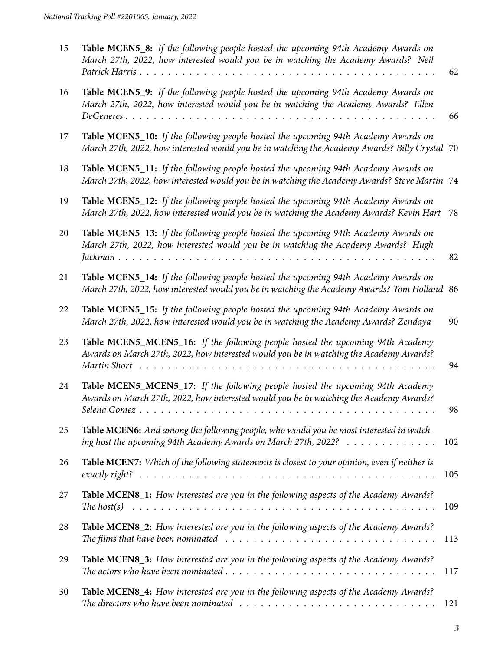| 15 | Table MCEN5_8: If the following people hosted the upcoming 94th Academy Awards on<br>March 27th, 2022, how interested would you be in watching the Academy Awards? Neil<br>Patrick Harris<br>.                                                                        | 62  |
|----|-----------------------------------------------------------------------------------------------------------------------------------------------------------------------------------------------------------------------------------------------------------------------|-----|
| 16 | Table MCEN5_9: If the following people hosted the upcoming 94th Academy Awards on<br>March 27th, 2022, how interested would you be in watching the Academy Awards? Ellen<br>$DeGeneres \ldots \ldots$<br>.<br>$\cdot$ $\cdot$ $\cdot$ $\cdot$ $\cdot$ $\cdot$ $\cdot$ | 66  |
| 17 | Table MCEN5_10: If the following people hosted the upcoming 94th Academy Awards on<br>March 27th, 2022, how interested would you be in watching the Academy Awards? Billy Crystal 70                                                                                  |     |
| 18 | Table MCEN5_11: If the following people hosted the upcoming 94th Academy Awards on<br>March 27th, 2022, how interested would you be in watching the Academy Awards? Steve Martin 74                                                                                   |     |
| 19 | Table MCEN5_12: If the following people hosted the upcoming 94th Academy Awards on<br>March 27th, 2022, how interested would you be in watching the Academy Awards? Kevin Hart                                                                                        | 78  |
| 20 | Table MCEN5_13: If the following people hosted the upcoming 94th Academy Awards on<br>March 27th, 2022, how interested would you be in watching the Academy Awards? Hugh                                                                                              | 82  |
| 21 | Table MCEN5_14: If the following people hosted the upcoming 94th Academy Awards on<br>March 27th, 2022, how interested would you be in watching the Academy Awards? Tom Holland 86                                                                                    |     |
| 22 | Table MCEN5_15: If the following people hosted the upcoming 94th Academy Awards on<br>March 27th, 2022, how interested would you be in watching the Academy Awards? Zendaya                                                                                           | 90  |
| 23 | Table MCEN5_MCEN5_16: If the following people hosted the upcoming 94th Academy<br>Awards on March 27th, 2022, how interested would you be in watching the Academy Awards?<br>Martin Short                                                                             | 94  |
| 24 | Table MCEN5_MCEN5_17: If the following people hosted the upcoming 94th Academy<br>Awards on March 27th, 2022, how interested would you be in watching the Academy Awards?<br>Selena Gomez                                                                             | 98  |
| 25 | Table MCEN6: And among the following people, who would you be most interested in watch-<br>ing host the upcoming 94th Academy Awards on March 27th, 2022?                                                                                                             | 102 |
| 26 | Table MCEN7: Which of the following statements is closest to your opinion, even if neither is                                                                                                                                                                         | 105 |
| 27 | Table MCEN8_1: How interested are you in the following aspects of the Academy Awards?                                                                                                                                                                                 | 109 |
| 28 | Table MCEN8_2: How interested are you in the following aspects of the Academy Awards?<br>The films that have been nominated $\ldots \ldots \ldots \ldots \ldots \ldots \ldots \ldots \ldots \ldots \ldots$                                                            | 113 |
| 29 | Table MCEN8_3: How interested are you in the following aspects of the Academy Awards?<br>The actors who have been nominated $\ldots \ldots \ldots \ldots \ldots \ldots \ldots \ldots \ldots \ldots \ldots$                                                            | 117 |
| 30 | Table MCEN8_4: How interested are you in the following aspects of the Academy Awards?<br>The directors who have been nominated $\ldots \ldots \ldots \ldots \ldots \ldots \ldots \ldots \ldots \ldots \ldots$                                                         | 121 |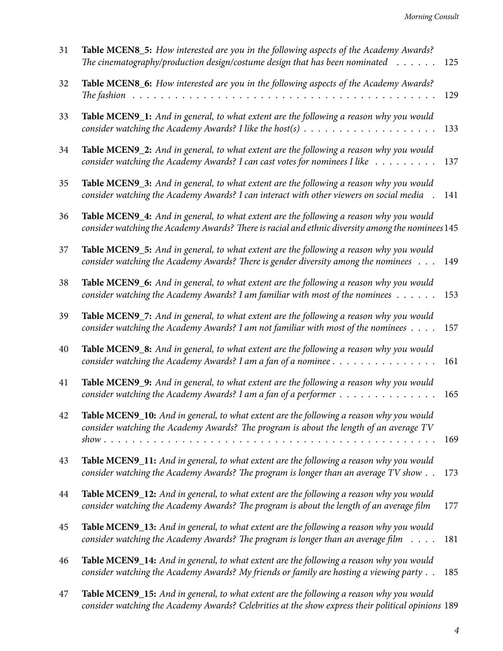| 31 | Table MCEN8_5: How interested are you in the following aspects of the Academy Awards?<br>The cinematography/production design/costume design that has been nominated $\dots \dots$                                                                                              | 125 |
|----|---------------------------------------------------------------------------------------------------------------------------------------------------------------------------------------------------------------------------------------------------------------------------------|-----|
| 32 | Table MCEN8_6: How interested are you in the following aspects of the Academy Awards?<br>The fashion                                                                                                                                                                            | 129 |
| 33 | Table MCEN9_1: And in general, to what extent are the following a reason why you would<br>consider watching the Academy Awards? I like the host(s) $\ldots \ldots \ldots \ldots \ldots \ldots$                                                                                  | 133 |
| 34 | Table MCEN9_2: And in general, to what extent are the following a reason why you would<br>consider watching the Academy Awards? I can cast votes for nominees I like                                                                                                            | 137 |
| 35 | Table MCEN9_3: And in general, to what extent are the following a reason why you would<br>consider watching the Academy Awards? I can interact with other viewers on social media                                                                                               | 141 |
| 36 | Table MCEN9_4: And in general, to what extent are the following a reason why you would<br>consider watching the Academy Awards? There is racial and ethnic diversity among the nominees 145                                                                                     |     |
| 37 | Table MCEN9_5: And in general, to what extent are the following a reason why you would<br>consider watching the Academy Awards? There is gender diversity among the nominees                                                                                                    | 149 |
| 38 | Table MCEN9_6: And in general, to what extent are the following a reason why you would<br>consider watching the Academy Awards? I am familiar with most of the nominees $\dots \dots$                                                                                           | 153 |
| 39 | Table MCEN9_7: And in general, to what extent are the following a reason why you would<br>consider watching the Academy Awards? I am not familiar with most of the nominees                                                                                                     | 157 |
| 40 | Table MCEN9_8: And in general, to what extent are the following a reason why you would<br>consider watching the Academy Awards? I am a fan of a nominee $\dots \dots \dots \dots \dots$                                                                                         | 161 |
| 41 | Table MCEN9_9: And in general, to what extent are the following a reason why you would<br>consider watching the Academy Awards? I am a fan of a performer $\dots \dots \dots \dots \dots$                                                                                       | 165 |
| 42 | Table MCEN9_10: And in general, to what extent are the following a reason why you would<br>consider watching the Academy Awards? The program is about the length of an average TV<br>$show \dots \dots \dots \dots \dots \dots \dots \dots \dots \dots \dots \dots \dots \dots$ | 169 |
| 43 | Table MCEN9_11: And in general, to what extent are the following a reason why you would<br>consider watching the Academy Awards? The program is longer than an average TV show                                                                                                  | 173 |
| 44 | Table MCEN9_12: And in general, to what extent are the following a reason why you would<br>consider watching the Academy Awards? The program is about the length of an average film                                                                                             | 177 |
| 45 | Table MCEN9_13: And in general, to what extent are the following a reason why you would<br>consider watching the Academy Awards? The program is longer than an average film $\dots$ .                                                                                           | 181 |
| 46 | Table MCEN9_14: And in general, to what extent are the following a reason why you would<br>consider watching the Academy Awards? My friends or family are hosting a viewing party                                                                                               | 185 |
|    | <b>MCEMO</b> $15.$ And in equal to what entert an the following $\epsilon$                                                                                                                                                                                                      |     |

47 **Table MCEN9\_15:** *[And in general, to what extent are the following a reason why you would](#page-188-0) [consider watching the Academy Awards? Celebrities at the show express their political opinions](#page-188-0)* 189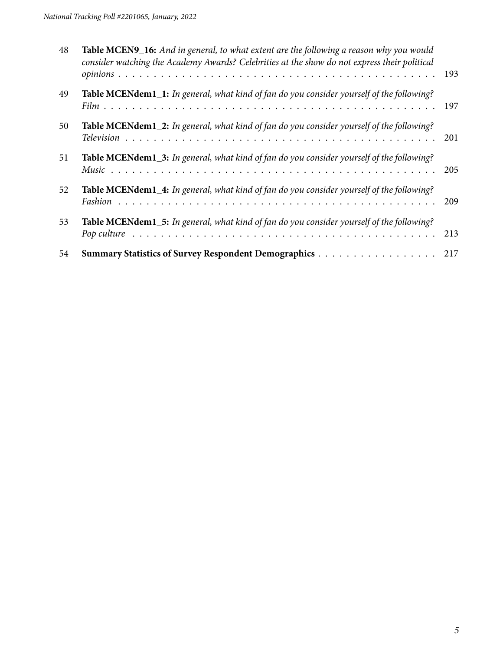| 48 | Table MCEN9_16: And in general, to what extent are the following a reason why you would<br>consider watching the Academy Awards? Celebrities at the show do not express their political | 193 |
|----|-----------------------------------------------------------------------------------------------------------------------------------------------------------------------------------------|-----|
| 49 | Table MCENdem1_1: In general, what kind of fan do you consider yourself of the following?                                                                                               | 197 |
| 50 | Table MCENdem1_2: In general, what kind of fan do you consider yourself of the following?                                                                                               | 201 |
| 51 | Table MCENdem1_3: In general, what kind of fan do you consider yourself of the following?                                                                                               | 205 |
| 52 | Table MCENdem1_4: In general, what kind of fan do you consider yourself of the following?                                                                                               | 209 |
| 53 | Table MCENdem1_5: In general, what kind of fan do you consider yourself of the following?                                                                                               | 213 |
| 54 |                                                                                                                                                                                         | 217 |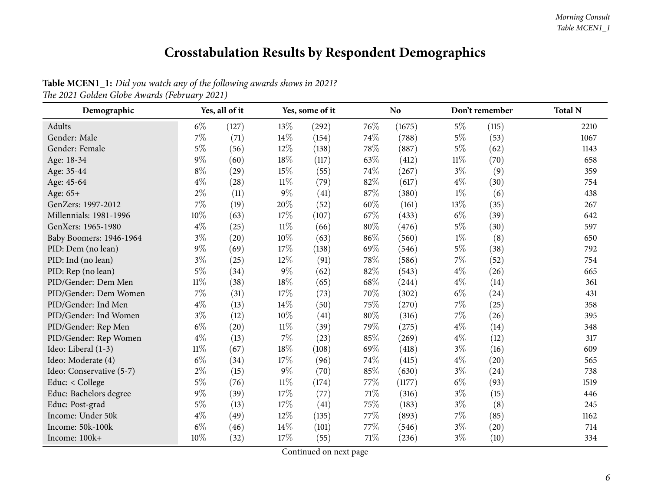# **Crosstabulation Results by Respondent Demographics**

<span id="page-5-0"></span>

| Demographic              |        | Yes, all of it |        | Yes, some of it |      | N <sub>o</sub> |        | Don't remember | <b>Total N</b> |
|--------------------------|--------|----------------|--------|-----------------|------|----------------|--------|----------------|----------------|
| Adults                   | $6\%$  | (127)          | 13%    | (292)           | 76\% | (1675)         | 5%     | (115)          | 2210           |
| Gender: Male             | 7%     | (71)           | 14%    | (154)           | 74%  | (788)          | $5\%$  | (53)           | 1067           |
| Gender: Female           | $5\%$  | (56)           | 12%    | (138)           | 78%  | (887)          | $5\%$  | (62)           | 1143           |
| Age: 18-34               | $9\%$  | (60)           | 18%    | (117)           | 63%  | (412)          | $11\%$ | (70)           | 658            |
| Age: 35-44               | $8\%$  | (29)           | 15%    | (55)            | 74%  | (267)          | $3\%$  | (9)            | 359            |
| Age: 45-64               | $4\%$  | (28)           | $11\%$ | (79)            | 82%  | (617)          | $4\%$  | (30)           | 754            |
| Age: 65+                 | $2\%$  | (11)           | $9\%$  | (41)            | 87%  | (380)          | $1\%$  | (6)            | 438            |
| GenZers: 1997-2012       | $7\%$  | (19)           | 20%    | (52)            | 60%  | (161)          | 13%    | (35)           | 267            |
| Millennials: 1981-1996   | 10%    | (63)           | 17%    | (107)           | 67%  | (433)          | $6\%$  | (39)           | 642            |
| GenXers: 1965-1980       | $4\%$  | (25)           | 11%    | (66)            | 80%  | (476)          | $5\%$  | (30)           | 597            |
| Baby Boomers: 1946-1964  | $3\%$  | (20)           | 10%    | (63)            | 86%  | (560)          | $1\%$  | (8)            | 650            |
| PID: Dem (no lean)       | $9\%$  | (69)           | 17%    | (138)           | 69%  | (546)          | $5\%$  | (38)           | 792            |
| PID: Ind (no lean)       | $3\%$  | (25)           | 12%    | (91)            | 78%  | (586)          | 7%     | (52)           | 754            |
| PID: Rep (no lean)       | $5\%$  | (34)           | 9%     | (62)            | 82%  | (543)          | $4\%$  | (26)           | 665            |
| PID/Gender: Dem Men      | $11\%$ | (38)           | 18%    | (65)            | 68%  | (244)          | $4\%$  | (14)           | 361            |
| PID/Gender: Dem Women    | 7%     | (31)           | 17%    | (73)            | 70%  | (302)          | $6\%$  | (24)           | 431            |
| PID/Gender: Ind Men      | $4\%$  | (13)           | 14%    | (50)            | 75%  | (270)          | 7%     | (25)           | 358            |
| PID/Gender: Ind Women    | $3\%$  | (12)           | 10%    | (41)            | 80%  | (316)          | 7%     | (26)           | 395            |
| PID/Gender: Rep Men      | $6\%$  | (20)           | $11\%$ | (39)            | 79%  | (275)          | $4\%$  | (14)           | 348            |
| PID/Gender: Rep Women    | $4\%$  | (13)           | 7%     | (23)            | 85%  | (269)          | $4\%$  | (12)           | 317            |
| Ideo: Liberal (1-3)      | $11\%$ | (67)           | 18%    | (108)           | 69%  | (418)          | $3\%$  | (16)           | 609            |
| Ideo: Moderate (4)       | $6\%$  | (34)           | 17%    | (96)            | 74%  | (415)          | $4\%$  | (20)           | 565            |
| Ideo: Conservative (5-7) | $2\%$  | (15)           | $9\%$  | (70)            | 85%  | (630)          | $3\%$  | (24)           | 738            |
| Educ: < College          | $5\%$  | (76)           | $11\%$ | (174)           | 77%  | (1177)         | $6\%$  | (93)           | 1519           |
| Educ: Bachelors degree   | $9\%$  | (39)           | 17%    | (77)            | 71%  | (316)          | $3\%$  | (15)           | 446            |
| Educ: Post-grad          | $5\%$  | (13)           | 17%    | (41)            | 75%  | (183)          | $3\%$  | (8)            | 245            |
| Income: Under 50k        | $4\%$  | (49)           | 12%    | (135)           | 77%  | (893)          | 7%     | (85)           | 1162           |
| Income: 50k-100k         | $6\%$  | (46)           | 14%    | (101)           | 77%  | (546)          | $3\%$  | (20)           | 714            |
| Income: 100k+            | 10%    | (32)           | 17%    | (55)            | 71%  | (236)          | $3\%$  | (10)           | 334            |

Table MCEN1\_1: Did you watch any of the following awards shows in 2021? *The <sup>2021</sup> Golden Globe Awards (February 2021)*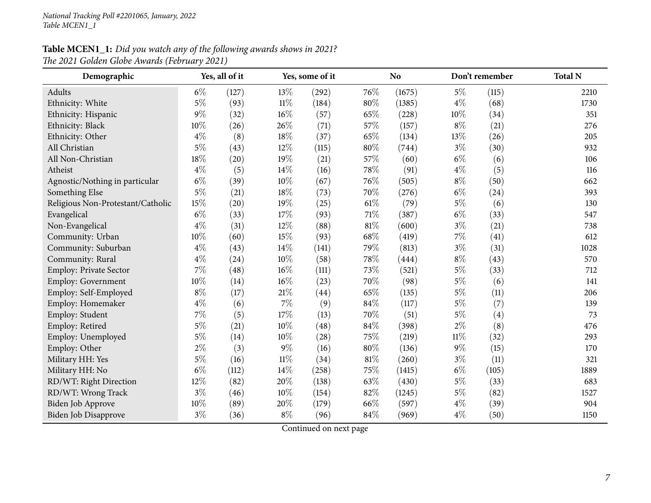# Table MCEN1\_1: Did you watch any of the following awards shows in 2021? *The <sup>2021</sup> Golden Globe Awards (February 2021)*

| Demographic                       |       | Yes, all of it |        | Yes, some of it |      | <b>No</b> |        | Don't remember | <b>Total N</b> |
|-----------------------------------|-------|----------------|--------|-----------------|------|-----------|--------|----------------|----------------|
| Adults                            | $6\%$ | (127)          | 13%    | (292)           | 76\% | (1675)    | $5\%$  | (115)          | 2210           |
| Ethnicity: White                  | $5\%$ | (93)           | 11%    | (184)           | 80%  | (1385)    | $4\%$  | (68)           | 1730           |
| Ethnicity: Hispanic               | $9\%$ | (32)           | 16%    | (57)            | 65%  | (228)     | 10%    | (34)           | 351            |
| Ethnicity: Black                  | 10%   | (26)           | 26%    | (71)            | 57%  | (157)     | $8\%$  | (21)           | 276            |
| Ethnicity: Other                  | $4\%$ | (8)            | 18%    | (37)            | 65%  | (134)     | 13%    | (26)           | 205            |
| All Christian                     | $5\%$ | (43)           | 12%    | (115)           | 80%  | (744)     | $3\%$  | (30)           | 932            |
| All Non-Christian                 | 18%   | (20)           | 19%    | (21)            | 57%  | (60)      | $6\%$  | (6)            | 106            |
| Atheist                           | $4\%$ | (5)            | 14%    | (16)            | 78%  | (91)      | $4\%$  | (5)            | 116            |
| Agnostic/Nothing in particular    | $6\%$ | (39)           | 10%    | (67)            | 76%  | (505)     | $8\%$  | (50)           | 662            |
| Something Else                    | 5%    | (21)           | 18%    | (73)            | 70%  | (276)     | $6\%$  | (24)           | 393            |
| Religious Non-Protestant/Catholic | 15%   | (20)           | 19%    | (25)            | 61%  | (79)      | $5\%$  | (6)            | 130            |
| Evangelical                       | $6\%$ | (33)           | 17%    | (93)            | 71%  | (387)     | $6\%$  | (33)           | 547            |
| Non-Evangelical                   | $4\%$ | (31)           | 12%    | (88)            | 81%  | (600)     | $3\%$  | (21)           | 738            |
| Community: Urban                  | 10%   | (60)           | 15%    | (93)            | 68%  | (419)     | $7\%$  | (41)           | 612            |
| Community: Suburban               | $4\%$ | (43)           | 14%    | (141)           | 79%  | (813)     | $3\%$  | (31)           | 1028           |
| Community: Rural                  | $4\%$ | (24)           | 10%    | (58)            | 78%  | (444)     | $8\%$  | (43)           | 570            |
| Employ: Private Sector            | 7%    | (48)           | 16%    | (111)           | 73%  | (521)     | $5\%$  | (33)           | 712            |
| <b>Employ: Government</b>         | 10%   | (14)           | 16%    | (23)            | 70%  | (98)      | $5\%$  | (6)            | 141            |
| Employ: Self-Employed             | $8\%$ | (17)           | 21%    | (44)            | 65%  | (135)     | $5\%$  | (11)           | 206            |
| Employ: Homemaker                 | $4\%$ | (6)            | 7%     | (9)             | 84%  | (117)     | $5\%$  | (7)            | 139            |
| Employ: Student                   | 7%    | (5)            | 17%    | (13)            | 70%  | (51)      | $5\%$  | (4)            | 73             |
| Employ: Retired                   | $5\%$ | (21)           | 10%    | (48)            | 84%  | (398)     | $2\%$  | (8)            | 476            |
| Employ: Unemployed                | $5\%$ | (14)           | 10%    | (28)            | 75%  | (219)     | $11\%$ | (32)           | 293            |
| Employ: Other                     | $2\%$ | (3)            | 9%     | (16)            | 80%  | (136)     | $9\%$  | (15)           | 170            |
| Military HH: Yes                  | $5\%$ | (16)           | $11\%$ | (34)            | 81%  | (260)     | $3\%$  | (11)           | 321            |
| Military HH: No                   | $6\%$ | (112)          | 14%    | (258)           | 75%  | (1415)    | $6\%$  | (105)          | 1889           |
| RD/WT: Right Direction            | 12%   | (82)           | 20%    | (138)           | 63%  | (430)     | $5\%$  | (33)           | 683            |
| RD/WT: Wrong Track                | $3\%$ | (46)           | 10%    | (154)           | 82%  | (1245)    | $5\%$  | (82)           | 1527           |
| Biden Job Approve                 | 10%   | (89)           | 20%    | (179)           | 66%  | (597)     | $4\%$  | (39)           | 904            |
| <b>Biden Job Disapprove</b>       | $3\%$ | (36)           | $8\%$  | (96)            | 84%  | (969)     | $4\%$  | (50)           | 1150           |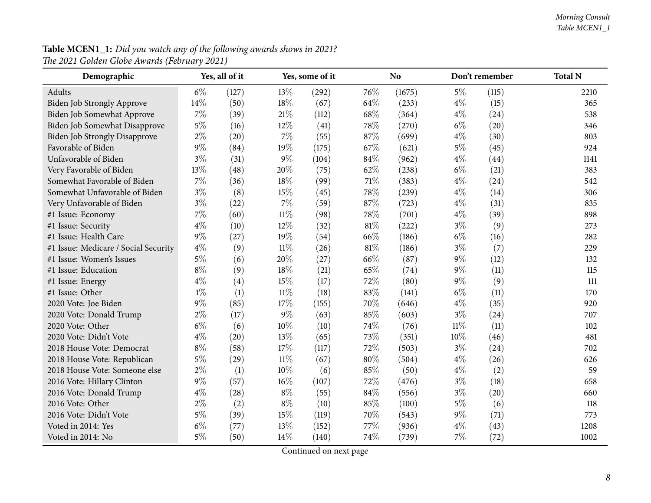#### **Table MCEN1\_1:** Did you watch any of the following awards shows in 2021? *The <sup>2021</sup> Golden Globe Awards (February 2021)*

| Demographic                          |       | Yes, all of it |        | Yes, some of it |     | N <sub>o</sub> |        | Don't remember | <b>Total N</b> |
|--------------------------------------|-------|----------------|--------|-----------------|-----|----------------|--------|----------------|----------------|
| Adults                               | $6\%$ | (127)          | 13\%   | (292)           | 76% | (1675)         | $5\%$  | (115)          | 2210           |
| <b>Biden Job Strongly Approve</b>    | 14%   | (50)           | 18%    | (67)            | 64% | (233)          | $4\%$  | (15)           | 365            |
| Biden Job Somewhat Approve           | 7%    | (39)           | 21\%   | (112)           | 68% | (364)          | $4\%$  | (24)           | 538            |
| Biden Job Somewhat Disapprove        | $5\%$ | (16)           | 12%    | (41)            | 78% | (270)          | $6\%$  | (20)           | 346            |
| Biden Job Strongly Disapprove        | $2\%$ | (20)           | 7%     | (55)            | 87% | (699)          | $4\%$  | (30)           | 803            |
| Favorable of Biden                   | $9\%$ | (84)           | 19%    | (175)           | 67% | (621)          | $5\%$  | (45)           | 924            |
| Unfavorable of Biden                 | $3\%$ | (31)           | $9\%$  | (104)           | 84% | (962)          | $4\%$  | (44)           | 1141           |
| Very Favorable of Biden              | 13%   | (48)           | 20%    | (75)            | 62% | (238)          | $6\%$  | (21)           | 383            |
| Somewhat Favorable of Biden          | $7\%$ | (36)           | 18%    | (99)            | 71% | (383)          | $4\%$  | (24)           | 542            |
| Somewhat Unfavorable of Biden        | $3\%$ | (8)            | 15%    | (45)            | 78% | (239)          | $4\%$  | (14)           | 306            |
| Very Unfavorable of Biden            | $3\%$ | (22)           | 7%     | (59)            | 87% | (723)          | $4\%$  | (31)           | 835            |
| #1 Issue: Economy                    | $7\%$ | (60)           | $11\%$ | (98)            | 78% | (701)          | $4\%$  | (39)           | 898            |
| #1 Issue: Security                   | $4\%$ | (10)           | 12%    | (32)            | 81% | (222)          | $3\%$  | (9)            | 273            |
| #1 Issue: Health Care                | 9%    | (27)           | 19%    | (54)            | 66% | (186)          | $6\%$  | (16)           | 282            |
| #1 Issue: Medicare / Social Security | $4\%$ | (9)            | $11\%$ | (26)            | 81% | (186)          | $3\%$  | (7)            | 229            |
| #1 Issue: Women's Issues             | $5\%$ | (6)            | 20%    | (27)            | 66% | (87)           | $9\%$  | (12)           | 132            |
| #1 Issue: Education                  | $8\%$ | (9)            | 18%    | (21)            | 65% | (74)           | $9\%$  | (11)           | 115            |
| #1 Issue: Energy                     | $4\%$ | (4)            | 15%    | (17)            | 72% | (80)           | $9\%$  | (9)            | 111            |
| #1 Issue: Other                      | $1\%$ | (1)            | $11\%$ | (18)            | 83% | (141)          | $6\%$  | (11)           | 170            |
| 2020 Vote: Joe Biden                 | $9\%$ | (85)           | 17%    | (155)           | 70% | (646)          | $4\%$  | (35)           | 920            |
| 2020 Vote: Donald Trump              | $2\%$ | (17)           | 9%     | (63)            | 85% | (603)          | $3\%$  | (24)           | 707            |
| 2020 Vote: Other                     | $6\%$ | (6)            | 10%    | (10)            | 74% | (76)           | $11\%$ | (11)           | 102            |
| 2020 Vote: Didn't Vote               | $4\%$ | (20)           | 13%    | (65)            | 73% | (351)          | 10%    | (46)           | 481            |
| 2018 House Vote: Democrat            | $8\%$ | (58)           | 17%    | (117)           | 72% | (503)          | $3\%$  | (24)           | 702            |
| 2018 House Vote: Republican          | $5\%$ | (29)           | $11\%$ | (67)            | 80% | (504)          | $4\%$  | (26)           | 626            |
| 2018 House Vote: Someone else        | $2\%$ | (1)            | 10%    | (6)             | 85% | (50)           | $4\%$  | (2)            | 59             |
| 2016 Vote: Hillary Clinton           | $9\%$ | (57)           | 16%    | (107)           | 72% | (476)          | $3\%$  | (18)           | 658            |
| 2016 Vote: Donald Trump              | $4\%$ | (28)           | $8\%$  | (55)            | 84% | (556)          | $3\%$  | (20)           | 660            |
| 2016 Vote: Other                     | $2\%$ | (2)            | $8\%$  | (10)            | 85% | (100)          | $5\%$  | (6)            | 118            |
| 2016 Vote: Didn't Vote               | $5\%$ | (39)           | 15%    | (119)           | 70% | (543)          | $9\%$  | (71)           | 773            |
| Voted in 2014: Yes                   | $6\%$ | (77)           | 13%    | (152)           | 77% | (936)          | $4\%$  | (43)           | 1208           |
| Voted in 2014: No                    | $5\%$ | (50)           | 14%    | (140)           | 74% | (739)          | 7%     | (72)           | 1002           |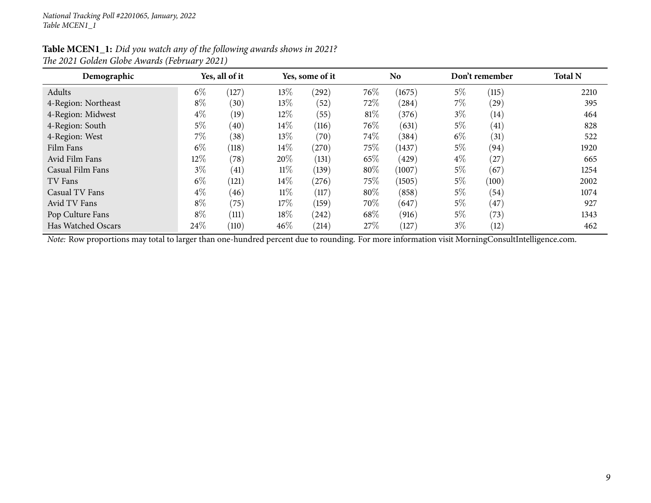#### Table MCEN1\_1: Did you watch any of the following awards shows in 2021? *The <sup>2021</sup> Golden Globe Awards (February 2021)*

| Demographic         | Yes, all of it |       |        | Yes, some of it |        | N <sub>o</sub> |       | Don't remember | <b>Total N</b> |  |
|---------------------|----------------|-------|--------|-----------------|--------|----------------|-------|----------------|----------------|--|
| Adults              | $6\%$          | 127   | 13\%   | (292)           | 76\%   | (1675)         | $5\%$ | (115)          | 2210           |  |
| 4-Region: Northeast | $8\%$          | (30)  | 13\%   | (52)            | 72%    | (284)          | $7\%$ | (29)           | 395            |  |
| 4-Region: Midwest   | $4\%$          | (19)  | 12\%   | (55)            | $81\%$ | (376)          | $3\%$ | (14)           | 464            |  |
| 4-Region: South     | $5\%$          | (40)  | $14\%$ | (116)           | 76\%   | (631)          | $5\%$ | (41)           | 828            |  |
| 4-Region: West      | $7\%$          | (38)  | 13\%   | (70)            | 74\%   | (384)          | $6\%$ | (31)           | 522            |  |
| Film Fans           | $6\%$          | (118) | $14\%$ | (270)           | $75\%$ | (1437)         | $5\%$ | (94)           | 1920           |  |
| Avid Film Fans      | 12\%           | (78)  | 20%    | (131)           | 65\%   | (429)          | $4\%$ | (27)           | 665            |  |
| Casual Film Fans    | $3\%$          | (41)  | $11\%$ | (139)           | 80%    | (1007)         | $5\%$ | (67)           | 1254           |  |
| TV Fans             | $6\%$          | (121) | $14\%$ | (276)           | $75\%$ | (1505)         | $5\%$ | (100)          | 2002           |  |
| Casual TV Fans      | $4\%$          | (46)  | $11\%$ | (117)           | 80%    | (858)          | $5\%$ | (54)           | 1074           |  |
| Avid TV Fans        | $8\%$          | (75)  | 17\%   | (159)           | 70\%   | (647)          | $5\%$ | (47)           | 927            |  |
| Pop Culture Fans    | $8\%$          | (111) | 18%    | (242)           | 68\%   | (916)          | $5\%$ | (73)           | 1343           |  |
| Has Watched Oscars  | 24\%           | (110) | 46%    | (214)           | 27%    | (127)          | $3\%$ | (12)           | 462            |  |

*Note:* Row proportions may total to larger than one-hundred percen<sup>t</sup> due to rounding. For more information visit [MorningConsultIntelligence.com](https://morningconsultintelligence.com).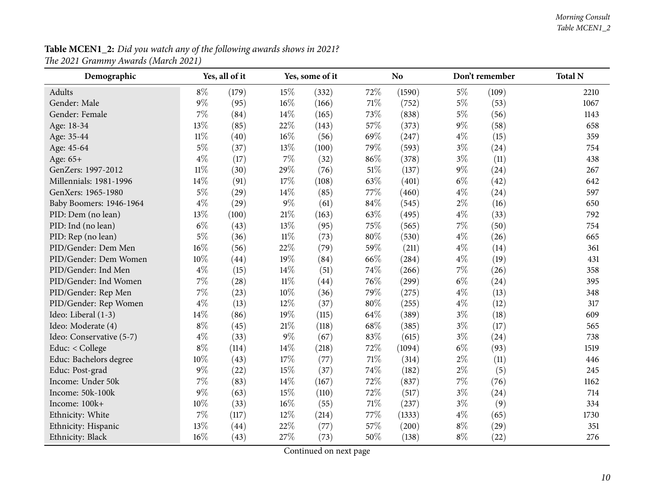**Table MCEN1\_2:** Did you watch any of the following awards shows in 2021? *The <sup>2021</sup> Grammy Awards (March 2021)*

<span id="page-9-0"></span>

| Demographic              |        | Yes, all of it |        | Yes, some of it |        | No     |       | Don't remember | <b>Total N</b> |
|--------------------------|--------|----------------|--------|-----------------|--------|--------|-------|----------------|----------------|
| Adults                   | $8\%$  | (179)          | 15%    | (332)           | 72%    | (1590) | $5\%$ | (109)          | 2210           |
| Gender: Male             | $9\%$  | (95)           | 16%    | (166)           | 71\%   | (752)  | $5\%$ | (53)           | 1067           |
| Gender: Female           | 7%     | (84)           | 14%    | (165)           | 73%    | (838)  | $5\%$ | (56)           | 1143           |
| Age: 18-34               | 13%    | (85)           | 22%    | (143)           | 57%    | (373)  | 9%    | (58)           | 658            |
| Age: 35-44               | $11\%$ | (40)           | 16%    | (56)            | 69%    | (247)  | $4\%$ | (15)           | 359            |
| Age: 45-64               | $5\%$  | (37)           | 13%    | (100)           | 79%    | (593)  | $3\%$ | (24)           | 754            |
| Age: 65+                 | $4\%$  | (17)           | $7\%$  | (32)            | 86%    | (378)  | $3\%$ | (11)           | 438            |
| GenZers: 1997-2012       | $11\%$ | (30)           | 29%    | (76)            | 51%    | (137)  | $9\%$ | (24)           | 267            |
| Millennials: 1981-1996   | $14\%$ | (91)           | 17%    | (108)           | 63%    | (401)  | $6\%$ | (42)           | 642            |
| GenXers: 1965-1980       | $5\%$  | (29)           | 14%    | (85)            | 77%    | (460)  | $4\%$ | (24)           | 597            |
| Baby Boomers: 1946-1964  | $4\%$  | (29)           | $9\%$  | (61)            | 84%    | (545)  | $2\%$ | (16)           | 650            |
| PID: Dem (no lean)       | 13%    | (100)          | 21%    | (163)           | 63%    | (495)  | $4\%$ | (33)           | 792            |
| PID: Ind (no lean)       | $6\%$  | (43)           | 13%    | (95)            | 75%    | (565)  | 7%    | (50)           | 754            |
| PID: Rep (no lean)       | $5\%$  | (36)           | $11\%$ | (73)            | $80\%$ | (530)  | $4\%$ | (26)           | 665            |
| PID/Gender: Dem Men      | 16%    | (56)           | 22%    | (79)            | 59%    | (211)  | $4\%$ | (14)           | 361            |
| PID/Gender: Dem Women    | 10%    | (44)           | 19%    | (84)            | 66%    | (284)  | $4\%$ | (19)           | 431            |
| PID/Gender: Ind Men      | $4\%$  | (15)           | 14%    | (51)            | 74%    | (266)  | 7%    | (26)           | 358            |
| PID/Gender: Ind Women    | 7%     | (28)           | $11\%$ | (44)            | 76%    | (299)  | $6\%$ | (24)           | 395            |
| PID/Gender: Rep Men      | $7\%$  | (23)           | 10%    | (36)            | 79%    | (275)  | $4\%$ | (13)           | 348            |
| PID/Gender: Rep Women    | $4\%$  | (13)           | 12%    | (37)            | 80%    | (255)  | $4\%$ | (12)           | 317            |
| Ideo: Liberal (1-3)      | 14\%   | (86)           | 19%    | (115)           | 64%    | (389)  | $3\%$ | (18)           | 609            |
| Ideo: Moderate (4)       | $8\%$  | (45)           | 21%    | (118)           | 68%    | (385)  | $3\%$ | (17)           | 565            |
| Ideo: Conservative (5-7) | $4\%$  | (33)           | $9\%$  | (67)            | 83%    | (615)  | $3\%$ | (24)           | 738            |
| Educ: < College          | $8\%$  | (114)          | 14%    | (218)           | 72%    | (1094) | $6\%$ | (93)           | 1519           |
| Educ: Bachelors degree   | $10\%$ | (43)           | 17%    | (77)            | 71%    | (314)  | $2\%$ | (11)           | 446            |
| Educ: Post-grad          | $9\%$  | (22)           | 15%    | (37)            | 74%    | (182)  | $2\%$ | (5)            | 245            |
| Income: Under 50k        | $7\%$  | (83)           | 14%    | (167)           | 72%    | (837)  | 7%    | (76)           | 1162           |
| Income: 50k-100k         | $9\%$  | (63)           | 15%    | (110)           | 72%    | (517)  | $3\%$ | (24)           | 714            |
| Income: 100k+            | 10%    | (33)           | 16%    | (55)            | 71%    | (237)  | $3\%$ | (9)            | 334            |
| Ethnicity: White         | 7%     | (117)          | 12%    | (214)           | 77%    | (1333) | $4\%$ | (65)           | 1730           |
| Ethnicity: Hispanic      | 13%    | (44)           | 22%    | (77)            | 57%    | (200)  | $8\%$ | (29)           | 351            |
| Ethnicity: Black         | 16%    | (43)           | 27%    | (73)            | 50%    | (138)  | $8\%$ | (22)           | 276            |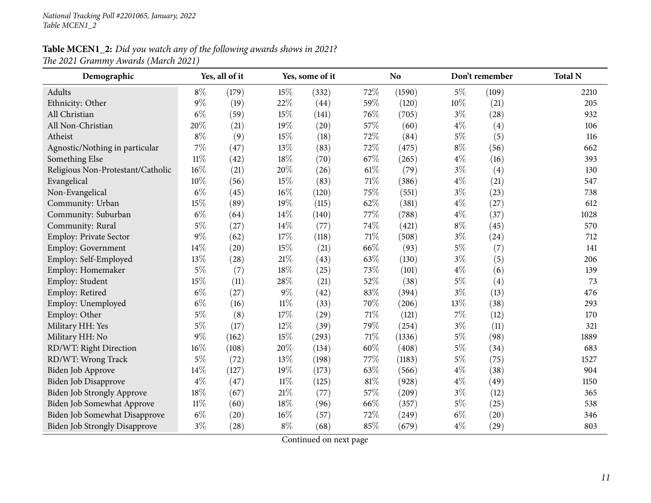| Demographic                          |        | Yes, all of it |        | Yes, some of it |     | N <sub>o</sub><br>Don't remember |       | <b>Total N</b> |      |
|--------------------------------------|--------|----------------|--------|-----------------|-----|----------------------------------|-------|----------------|------|
| Adults                               | $8\%$  | (179)          | 15%    | (332)           | 72% | (1590)                           | $5\%$ | (109)          | 2210 |
| Ethnicity: Other                     | $9\%$  | (19)           | 22%    | (44)            | 59% | (120)                            | 10%   | (21)           | 205  |
| All Christian                        | $6\%$  | (59)           | 15%    | (141)           | 76% | (705)                            | $3\%$ | (28)           | 932  |
| All Non-Christian                    | 20%    | (21)           | 19%    | (20)            | 57% | (60)                             | $4\%$ | (4)            | 106  |
| Atheist                              | $8\%$  | (9)            | 15%    | (18)            | 72% | (84)                             | $5\%$ | (5)            | 116  |
| Agnostic/Nothing in particular       | 7%     | (47)           | 13%    | (83)            | 72% | (475)                            | $8\%$ | (56)           | 662  |
| Something Else                       | $11\%$ | (42)           | 18%    | (70)            | 67% | (265)                            | $4\%$ | (16)           | 393  |
| Religious Non-Protestant/Catholic    | 16%    | (21)           | 20%    | (26)            | 61% | (79)                             | $3\%$ | (4)            | 130  |
| Evangelical                          | 10%    | (56)           | 15%    | (83)            | 71% | (386)                            | $4\%$ | (21)           | 547  |
| Non-Evangelical                      | $6\%$  | (45)           | 16%    | (120)           | 75% | (551)                            | $3\%$ | (23)           | 738  |
| Community: Urban                     | 15%    | (89)           | 19%    | (115)           | 62% | (381)                            | $4\%$ | (27)           | 612  |
| Community: Suburban                  | $6\%$  | (64)           | 14%    | (140)           | 77% | (788)                            | $4\%$ | (37)           | 1028 |
| Community: Rural                     | $5\%$  | (27)           | 14%    | (77)            | 74% | (421)                            | $8\%$ | (45)           | 570  |
| Employ: Private Sector               | $9\%$  | (62)           | 17%    | (118)           | 71% | (508)                            | $3\%$ | (24)           | 712  |
| Employ: Government                   | 14%    | (20)           | 15%    | (21)            | 66% | (93)                             | $5\%$ | (7)            | 141  |
| Employ: Self-Employed                | 13%    | (28)           | 21%    | (43)            | 63% | (130)                            | $3\%$ | (5)            | 206  |
| Employ: Homemaker                    | $5\%$  | (7)            | 18%    | (25)            | 73% | (101)                            | $4\%$ | (6)            | 139  |
| Employ: Student                      | 15%    | (11)           | 28%    | (21)            | 52% | (38)                             | $5\%$ | (4)            | 73   |
| Employ: Retired                      | $6\%$  | (27)           | 9%     | (42)            | 83% | (394)                            | $3\%$ | (13)           | 476  |
| Employ: Unemployed                   | $6\%$  | (16)           | $11\%$ | (33)            | 70% | (206)                            | 13%   | (38)           | 293  |
| Employ: Other                        | $5\%$  | (8)            | 17%    | (29)            | 71% | (121)                            | 7%    | (12)           | 170  |
| Military HH: Yes                     | $5\%$  | (17)           | 12%    | (39)            | 79% | (254)                            | $3\%$ | (11)           | 321  |
| Military HH: No                      | $9\%$  | (162)          | 15%    | (293)           | 71% | (1336)                           | $5\%$ | (98)           | 1889 |
| RD/WT: Right Direction               | 16%    | (108)          | 20%    | (134)           | 60% | (408)                            | $5\%$ | (34)           | 683  |
| RD/WT: Wrong Track                   | $5\%$  | (72)           | 13%    | (198)           | 77% | (1183)                           | $5\%$ | (75)           | 1527 |
| Biden Job Approve                    | 14%    | (127)          | 19%    | (173)           | 63% | (566)                            | $4\%$ | (38)           | 904  |
| <b>Biden Job Disapprove</b>          | $4\%$  | (47)           | $11\%$ | (125)           | 81% | (928)                            | $4\%$ | (49)           | 1150 |
| Biden Job Strongly Approve           | 18%    | (67)           | 21%    | (77)            | 57% | (209)                            | $3\%$ | (12)           | 365  |
| Biden Job Somewhat Approve           | $11\%$ | (60)           | 18%    | (96)            | 66% | (357)                            | $5\%$ | (25)           | 538  |
| Biden Job Somewhat Disapprove        | $6\%$  | (20)           | 16%    | (57)            | 72% | (249)                            | $6\%$ | (20)           | 346  |
| <b>Biden Job Strongly Disapprove</b> | $3\%$  | (28)           | $8\%$  | (68)            | 85% | (679)                            | $4\%$ | (29)           | 803  |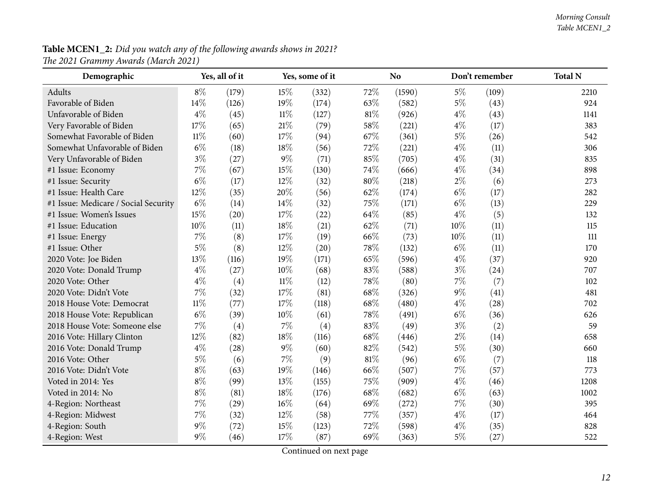| Demographic                          |        | Yes, all of it |        | Yes, some of it |      | <b>No</b> |       | Don't remember | <b>Total N</b> |
|--------------------------------------|--------|----------------|--------|-----------------|------|-----------|-------|----------------|----------------|
| Adults                               | $8\%$  | (179)          | 15%    | (332)           | 72%  | (1590)    | $5\%$ | (109)          | 2210           |
| Favorable of Biden                   | 14%    | (126)          | 19%    | (174)           | 63%  | (582)     | $5\%$ | (43)           | 924            |
| Unfavorable of Biden                 | $4\%$  | (45)           | $11\%$ | (127)           | 81%  | (926)     | $4\%$ | (43)           | 1141           |
| Very Favorable of Biden              | 17%    | (65)           | 21%    | (79)            | 58%  | (221)     | $4\%$ | (17)           | 383            |
| Somewhat Favorable of Biden          | $11\%$ | (60)           | 17%    | (94)            | 67\% | (361)     | $5\%$ | (26)           | 542            |
| Somewhat Unfavorable of Biden        | $6\%$  | (18)           | 18%    | (56)            | 72%  | (221)     | $4\%$ | (11)           | 306            |
| Very Unfavorable of Biden            | $3\%$  | (27)           | 9%     | (71)            | 85%  | (705)     | $4\%$ | (31)           | 835            |
| #1 Issue: Economy                    | 7%     | (67)           | 15%    | (130)           | 74%  | (666)     | $4\%$ | (34)           | 898            |
| #1 Issue: Security                   | $6\%$  | (17)           | 12%    | (32)            | 80%  | (218)     | $2\%$ | (6)            | 273            |
| #1 Issue: Health Care                | 12%    | (35)           | 20%    | (56)            | 62%  | (174)     | $6\%$ | (17)           | 282            |
| #1 Issue: Medicare / Social Security | $6\%$  | (14)           | 14%    | (32)            | 75%  | (171)     | $6\%$ | (13)           | 229            |
| #1 Issue: Women's Issues             | 15%    | (20)           | 17%    | (22)            | 64\% | (85)      | $4\%$ | (5)            | 132            |
| #1 Issue: Education                  | 10%    | (11)           | 18%    | (21)            | 62%  | (71)      | 10%   | (11)           | 115            |
| #1 Issue: Energy                     | 7%     | (8)            | 17%    | (19)            | 66%  | (73)      | 10%   | (11)           | 111            |
| #1 Issue: Other                      | $5\%$  | (8)            | 12%    | (20)            | 78%  | (132)     | $6\%$ | (11)           | 170            |
| 2020 Vote: Joe Biden                 | 13%    | (116)          | 19%    | (171)           | 65%  | (596)     | $4\%$ | (37)           | 920            |
| 2020 Vote: Donald Trump              | $4\%$  | (27)           | 10%    | (68)            | 83%  | (588)     | $3\%$ | (24)           | 707            |
| 2020 Vote: Other                     | $4\%$  | (4)            | $11\%$ | (12)            | 78%  | (80)      | $7\%$ | (7)            | 102            |
| 2020 Vote: Didn't Vote               | 7%     | (32)           | 17%    | (81)            | 68%  | (326)     | 9%    | (41)           | 481            |
| 2018 House Vote: Democrat            | $11\%$ | (77)           | 17%    | (118)           | 68%  | (480)     | $4\%$ | (28)           | 702            |
| 2018 House Vote: Republican          | $6\%$  | (39)           | 10%    | (61)            | 78%  | (491)     | $6\%$ | (36)           | 626            |
| 2018 House Vote: Someone else        | 7%     | (4)            | 7%     | (4)             | 83%  | (49)      | $3\%$ | (2)            | 59             |
| 2016 Vote: Hillary Clinton           | 12%    | (82)           | 18%    | (116)           | 68\% | (446)     | $2\%$ | (14)           | 658            |
| 2016 Vote: Donald Trump              | $4\%$  | (28)           | 9%     | (60)            | 82%  | (542)     | 5%    | (30)           | 660            |
| 2016 Vote: Other                     | $5\%$  | (6)            | 7%     | (9)             | 81%  | (96)      | $6\%$ | (7)            | 118            |
| 2016 Vote: Didn't Vote               | $8\%$  | (63)           | 19%    | (146)           | 66%  | (507)     | 7%    | (57)           | 773            |
| Voted in 2014: Yes                   | $8\%$  | (99)           | 13%    | (155)           | 75%  | (909)     | $4\%$ | (46)           | 1208           |
| Voted in 2014: No                    | $8\%$  | (81)           | 18%    | (176)           | 68%  | (682)     | $6\%$ | (63)           | 1002           |
| 4-Region: Northeast                  | 7%     | (29)           | 16%    | (64)            | 69%  | (272)     | 7%    | (30)           | 395            |
| 4-Region: Midwest                    | 7%     | (32)           | 12%    | (58)            | 77%  | (357)     | $4\%$ | (17)           | 464            |
| 4-Region: South                      | $9\%$  | (72)           | 15%    | (123)           | 72%  | (598)     | $4\%$ | (35)           | 828            |
| 4-Region: West                       | $9\%$  | (46)           | 17%    | (87)            | 69%  | (363)     | $5\%$ | (27)           | 522            |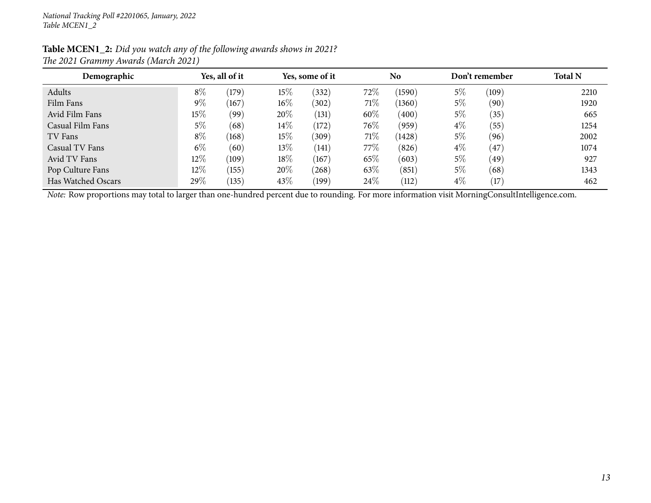| Demographic        |        | Yes, all of it |        | Yes, some of it |         | <b>No</b> |       | Don't remember    | <b>Total N</b> |
|--------------------|--------|----------------|--------|-----------------|---------|-----------|-------|-------------------|----------------|
| Adults             | $8\%$  | (179)          | 15%    | $^{'}332)$      | $72\%$  | (1590)    | 5%    | (109)             | 2210           |
| Film Fans          | 9%     | (167)          | $16\%$ | (302)           | 71%     | (1360)    | 5%    | (90`              | 1920           |
| Avid Film Fans     | 15%    | (99)           | 20%    | (131)           | 60%     | (400)     | 5%    | (35)              | 665            |
| Casual Film Fans   | $5\%$  | (68)           | $14\%$ | (172)           | $76\%$  | (959)     | $4\%$ | (55)              | 1254           |
| TV Fans            | $8\%$  | (168)          | 15%    | (309)           | 71\%    | (1428)    | 5%    | (96)              | 2002           |
| Casual TV Fans     | $6\%$  | (60)           | $13\%$ | (141)           | 77 $\%$ | (826)     | $4\%$ | 47                | 1074           |
| Avid TV Fans       | $12\%$ | (109)          | 18%    | (167)           | $65\%$  | (603)     | 5%    | $49^\circ$        | 927            |
| Pop Culture Fans   | $12\%$ | (155)          | 20%    | $^{'}268)$      | 63\%    | (851)     | 5%    | (68)              | 1343           |
| Has Watched Oscars | 29\%   | (135)          | 43%    | (199)           | $24\%$  | (112)     | $4\%$ | $\left(17\right)$ | 462            |

*Note:* Row proportions may total to larger than one-hundred percen<sup>t</sup> due to rounding. For more information visit [MorningConsultIntelligence.com](https://morningconsultintelligence.com).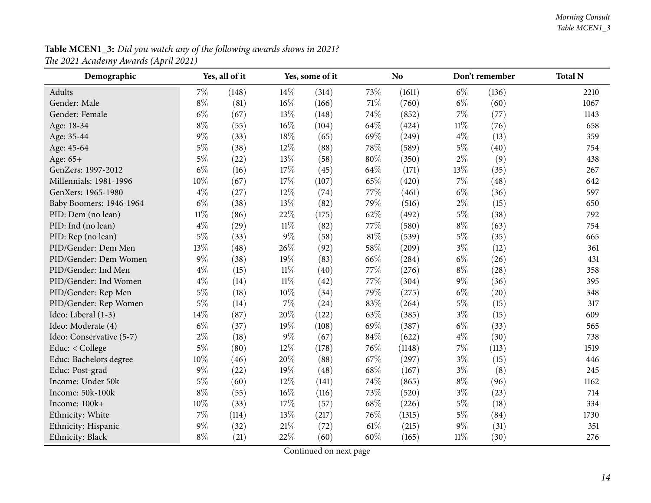<span id="page-13-0"></span>

| Demographic              |        | Yes, all of it |        | Yes, some of it |        | <b>No</b> |        | Don't remember | <b>Total N</b> |
|--------------------------|--------|----------------|--------|-----------------|--------|-----------|--------|----------------|----------------|
| Adults                   | $7\%$  | (148)          | 14\%   | (314)           | 73%    | (1611)    | $6\%$  | (136)          | 2210           |
| Gender: Male             | $8\%$  | (81)           | 16%    | (166)           | 71\%   | (760)     | $6\%$  | (60)           | 1067           |
| Gender: Female           | $6\%$  | (67)           | 13%    | (148)           | 74%    | (852)     | 7%     | (77)           | 1143           |
| Age: 18-34               | $8\%$  | (55)           | 16%    | (104)           | 64%    | (424)     | $11\%$ | (76)           | 658            |
| Age: 35-44               | $9\%$  | (33)           | 18%    | (65)            | 69%    | (249)     | $4\%$  | (13)           | 359            |
| Age: 45-64               | $5\%$  | (38)           | 12%    | (88)            | 78%    | (589)     | $5\%$  | (40)           | 754            |
| Age: 65+                 | $5\%$  | (22)           | 13%    | (58)            | $80\%$ | (350)     | $2\%$  | (9)            | 438            |
| GenZers: 1997-2012       | $6\%$  | (16)           | 17%    | (45)            | 64\%   | (171)     | 13%    | (35)           | 267            |
| Millennials: 1981-1996   | 10%    | (67)           | 17%    | (107)           | 65%    | (420)     | 7%     | (48)           | 642            |
| GenXers: 1965-1980       | $4\%$  | (27)           | 12%    | (74)            | 77%    | (461)     | $6\%$  | (36)           | 597            |
| Baby Boomers: 1946-1964  | $6\%$  | (38)           | 13%    | (82)            | 79%    | (516)     | $2\%$  | (15)           | 650            |
| PID: Dem (no lean)       | $11\%$ | (86)           | 22%    | (175)           | 62%    | (492)     | $5\%$  | (38)           | 792            |
| PID: Ind (no lean)       | $4\%$  | (29)           | $11\%$ | (82)            | 77%    | (580)     | $8\%$  | (63)           | 754            |
| PID: Rep (no lean)       | $5\%$  | (33)           | $9\%$  | (58)            | $81\%$ | (539)     | $5\%$  | (35)           | 665            |
| PID/Gender: Dem Men      | 13%    | (48)           | 26%    | (92)            | 58%    | (209)     | $3\%$  | (12)           | 361            |
| PID/Gender: Dem Women    | $9\%$  | (38)           | 19%    | (83)            | 66%    | (284)     | $6\%$  | (26)           | 431            |
| PID/Gender: Ind Men      | $4\%$  | (15)           | $11\%$ | (40)            | 77%    | (276)     | $8\%$  | (28)           | 358            |
| PID/Gender: Ind Women    | $4\%$  | (14)           | $11\%$ | (42)            | 77%    | (304)     | $9\%$  | (36)           | 395            |
| PID/Gender: Rep Men      | $5\%$  | (18)           | 10%    | (34)            | 79%    | (275)     | $6\%$  | (20)           | 348            |
| PID/Gender: Rep Women    | $5\%$  | (14)           | 7%     | (24)            | 83%    | (264)     | $5\%$  | (15)           | 317            |
| Ideo: Liberal (1-3)      | 14\%   | (87)           | 20%    | (122)           | 63%    | (385)     | $3\%$  | (15)           | 609            |
| Ideo: Moderate (4)       | $6\%$  | (37)           | 19%    | (108)           | 69%    | (387)     | $6\%$  | (33)           | 565            |
| Ideo: Conservative (5-7) | $2\%$  | (18)           | 9%     | (67)            | 84%    | (622)     | $4\%$  | (30)           | 738            |
| Educ: < College          | $5\%$  | (80)           | 12%    | (178)           | 76%    | (1148)    | 7%     | (113)          | 1519           |
| Educ: Bachelors degree   | $10\%$ | (46)           | 20%    | (88)            | 67%    | (297)     | $3\%$  | (15)           | 446            |
| Educ: Post-grad          | $9\%$  | (22)           | 19%    | (48)            | 68%    | (167)     | $3\%$  | (8)            | 245            |
| Income: Under 50k        | $5\%$  | (60)           | 12%    | (141)           | 74%    | (865)     | $8\%$  | (96)           | 1162           |
| Income: 50k-100k         | $8\%$  | (55)           | 16%    | (116)           | 73%    | (520)     | $3\%$  | (23)           | 714            |
| Income: 100k+            | $10\%$ | (33)           | 17%    | (57)            | 68%    | (226)     | $5\%$  | (18)           | 334            |
| Ethnicity: White         | 7%     | (114)          | 13%    | (217)           | 76%    | (1315)    | $5\%$  | (84)           | 1730           |
| Ethnicity: Hispanic      | $9\%$  | (32)           | 21%    | (72)            | 61\%   | (215)     | $9\%$  | (31)           | 351            |
| Ethnicity: Black         | $8\%$  | (21)           | 22%    | (60)            | 60%    | (165)     | $11\%$ | (30)           | 276            |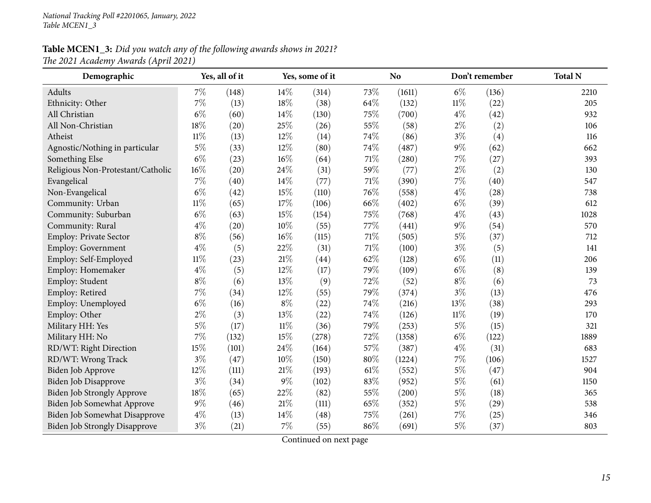| Demographic                          |        | Yes, all of it |        | Yes, some of it |      | N <sub>o</sub> |        | Don't remember | <b>Total N</b> |
|--------------------------------------|--------|----------------|--------|-----------------|------|----------------|--------|----------------|----------------|
| Adults                               | 7%     | (148)          | 14%    | (314)           | 73%  | (1611)         | $6\%$  | (136)          | 2210           |
| Ethnicity: Other                     | 7%     | (13)           | 18%    | (38)            | 64\% | (132)          | $11\%$ | (22)           | 205            |
| All Christian                        | $6\%$  | (60)           | 14%    | (130)           | 75%  | (700)          | $4\%$  | (42)           | 932            |
| All Non-Christian                    | 18%    | (20)           | 25%    | (26)            | 55%  | (58)           | $2\%$  | (2)            | 106            |
| Atheist                              | $11\%$ | (13)           | 12%    | (14)            | 74%  | (86)           | $3\%$  | (4)            | 116            |
| Agnostic/Nothing in particular       | $5\%$  | (33)           | 12%    | (80)            | 74%  | (487)          | $9\%$  | (62)           | 662            |
| Something Else                       | $6\%$  | (23)           | 16%    | (64)            | 71%  | (280)          | 7%     | (27)           | 393            |
| Religious Non-Protestant/Catholic    | 16%    | (20)           | 24%    | (31)            | 59%  | (77)           | $2\%$  | (2)            | 130            |
| Evangelical                          | 7%     | (40)           | 14%    | (77)            | 71%  | (390)          | $7\%$  | (40)           | 547            |
| Non-Evangelical                      | $6\%$  | (42)           | 15%    | (110)           | 76%  | (558)          | $4\%$  | (28)           | 738            |
| Community: Urban                     | $11\%$ | (65)           | 17%    | (106)           | 66%  | (402)          | $6\%$  | (39)           | 612            |
| Community: Suburban                  | $6\%$  | (63)           | 15%    | (154)           | 75%  | (768)          | $4\%$  | (43)           | 1028           |
| Community: Rural                     | $4\%$  | (20)           | 10%    | (55)            | 77%  | (441)          | $9\%$  | (54)           | 570            |
| Employ: Private Sector               | $8\%$  | (56)           | 16%    | (115)           | 71%  | (505)          | $5\%$  | (37)           | 712            |
| Employ: Government                   | $4\%$  | (5)            | 22%    | (31)            | 71%  | (100)          | $3\%$  | (5)            | 141            |
| Employ: Self-Employed                | $11\%$ | (23)           | 21%    | (44)            | 62%  | (128)          | $6\%$  | (11)           | 206            |
| Employ: Homemaker                    | $4\%$  | (5)            | 12%    | (17)            | 79%  | (109)          | $6\%$  | (8)            | 139            |
| Employ: Student                      | $8\%$  | (6)            | 13%    | (9)             | 72%  | (52)           | $8\%$  | (6)            | 73             |
| Employ: Retired                      | 7%     | (34)           | 12%    | (55)            | 79%  | (374)          | $3\%$  | (13)           | 476            |
| Employ: Unemployed                   | $6\%$  | (16)           | $8\%$  | (22)            | 74%  | (216)          | 13%    | (38)           | 293            |
| Employ: Other                        | $2\%$  | (3)            | 13%    | (22)            | 74%  | (126)          | $11\%$ | (19)           | 170            |
| Military HH: Yes                     | $5\%$  | (17)           | $11\%$ | (36)            | 79%  | (253)          | $5\%$  | (15)           | 321            |
| Military HH: No                      | 7%     | (132)          | 15%    | (278)           | 72%  | (1358)         | $6\%$  | (122)          | 1889           |
| RD/WT: Right Direction               | 15%    | (101)          | 24%    | (164)           | 57%  | (387)          | $4\%$  | (31)           | 683            |
| RD/WT: Wrong Track                   | $3\%$  | (47)           | 10%    | (150)           | 80%  | (1224)         | $7\%$  | (106)          | 1527           |
| Biden Job Approve                    | 12%    | (111)          | 21%    | (193)           | 61%  | (552)          | $5\%$  | (47)           | 904            |
| <b>Biden Job Disapprove</b>          | $3\%$  | (34)           | $9\%$  | (102)           | 83%  | (952)          | $5\%$  | (61)           | 1150           |
| Biden Job Strongly Approve           | 18%    | (65)           | 22%    | (82)            | 55%  | (200)          | $5\%$  | (18)           | 365            |
| Biden Job Somewhat Approve           | $9\%$  | (46)           | 21%    | (111)           | 65%  | (352)          | $5\%$  | (29)           | 538            |
| Biden Job Somewhat Disapprove        | $4\%$  | (13)           | 14%    | (48)            | 75%  | (261)          | 7%     | (25)           | 346            |
| <b>Biden Job Strongly Disapprove</b> | $3\%$  | (21)           | 7%     | (55)            | 86%  | (691)          | $5\%$  | (37)           | 803            |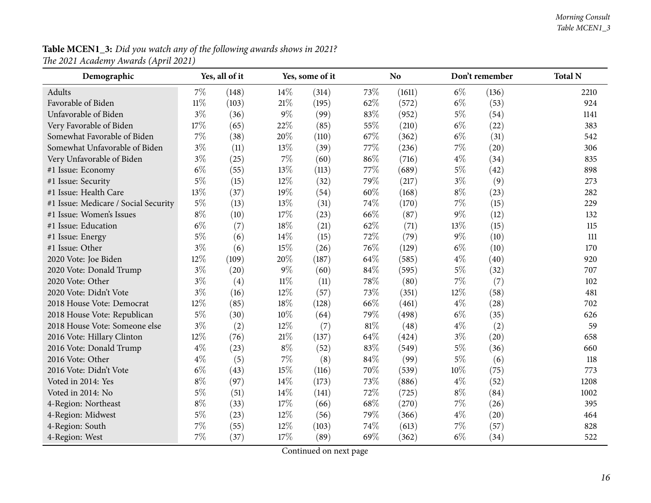| Demographic                          |        | Yes, all of it |        | Yes, some of it |      | <b>No</b> |       | Don't remember | <b>Total N</b> |
|--------------------------------------|--------|----------------|--------|-----------------|------|-----------|-------|----------------|----------------|
| Adults                               | 7%     | (148)          | 14%    | (314)           | 73%  | (1611)    | $6\%$ | (136)          | 2210           |
| Favorable of Biden                   | $11\%$ | (103)          | $21\%$ | (195)           | 62%  | (572)     | $6\%$ | (53)           | 924            |
| Unfavorable of Biden                 | $3\%$  | (36)           | $9\%$  | (99)            | 83%  | (952)     | $5\%$ | (54)           | 1141           |
| Very Favorable of Biden              | 17%    | (65)           | 22%    | (85)            | 55%  | (210)     | $6\%$ | (22)           | 383            |
| Somewhat Favorable of Biden          | $7\%$  | (38)           | 20%    | (110)           | 67%  | (362)     | $6\%$ | (31)           | 542            |
| Somewhat Unfavorable of Biden        | $3\%$  | (11)           | 13%    | (39)            | 77%  | (236)     | 7%    | (20)           | 306            |
| Very Unfavorable of Biden            | $3\%$  | (25)           | $7\%$  | (60)            | 86%  | (716)     | $4\%$ | (34)           | 835            |
| #1 Issue: Economy                    | $6\%$  | (55)           | 13%    | (113)           | 77%  | (689)     | $5\%$ | (42)           | 898            |
| #1 Issue: Security                   | $5\%$  | (15)           | 12%    | (32)            | 79%  | (217)     | $3\%$ | (9)            | 273            |
| #1 Issue: Health Care                | 13%    | (37)           | 19%    | (54)            | 60%  | (168)     | $8\%$ | (23)           | 282            |
| #1 Issue: Medicare / Social Security | $5\%$  | (13)           | 13%    | (31)            | 74%  | (170)     | 7%    | (15)           | 229            |
| #1 Issue: Women's Issues             | $8\%$  | (10)           | 17%    | (23)            | 66%  | (87)      | 9%    | (12)           | 132            |
| #1 Issue: Education                  | $6\%$  | (7)            | 18%    | (21)            | 62%  | (71)      | 13%   | (15)           | 115            |
| #1 Issue: Energy                     | $5\%$  | (6)            | 14%    | (15)            | 72%  | (79)      | $9\%$ | (10)           | 111            |
| #1 Issue: Other                      | $3\%$  | (6)            | 15%    | (26)            | 76%  | (129)     | $6\%$ | (10)           | 170            |
| 2020 Vote: Joe Biden                 | 12%    | (109)          | 20%    | (187)           | 64\% | (585)     | $4\%$ | (40)           | 920            |
| 2020 Vote: Donald Trump              | $3\%$  | (20)           | $9\%$  | (60)            | 84%  | (595)     | $5\%$ | (32)           | 707            |
| 2020 Vote: Other                     | $3\%$  | (4)            | $11\%$ | (11)            | 78%  | (80)      | 7%    | (7)            | 102            |
| 2020 Vote: Didn't Vote               | $3\%$  | (16)           | 12%    | (57)            | 73%  | (351)     | 12%   | (58)           | 481            |
| 2018 House Vote: Democrat            | 12%    | (85)           | 18%    | (128)           | 66%  | (461)     | $4\%$ | (28)           | 702            |
| 2018 House Vote: Republican          | $5\%$  | (30)           | 10%    | (64)            | 79%  | (498)     | $6\%$ | (35)           | 626            |
| 2018 House Vote: Someone else        | $3\%$  | (2)            | 12%    | (7)             | 81%  | (48)      | $4\%$ | (2)            | 59             |
| 2016 Vote: Hillary Clinton           | 12%    | (76)           | 21\%   | (137)           | 64%  | (424)     | $3\%$ | (20)           | 658            |
| 2016 Vote: Donald Trump              | $4\%$  | (23)           | $8\%$  | (52)            | 83%  | (549)     | $5\%$ | (36)           | 660            |
| 2016 Vote: Other                     | $4\%$  | (5)            | $7\%$  | (8)             | 84%  | (99)      | $5\%$ | (6)            | 118            |
| 2016 Vote: Didn't Vote               | $6\%$  | (43)           | 15%    | (116)           | 70%  | (539)     | 10%   | (75)           | 773            |
| Voted in 2014: Yes                   | $8\%$  | (97)           | 14%    | (173)           | 73%  | (886)     | $4\%$ | (52)           | 1208           |
| Voted in 2014: No                    | $5\%$  | (51)           | 14%    | (141)           | 72%  | (725)     | $8\%$ | (84)           | 1002           |
| 4-Region: Northeast                  | $8\%$  | (33)           | 17%    | (66)            | 68%  | (270)     | 7%    | (26)           | 395            |
| 4-Region: Midwest                    | $5\%$  | (23)           | 12%    | (56)            | 79%  | (366)     | $4\%$ | (20)           | 464            |
| 4-Region: South                      | $7\%$  | (55)           | 12%    | (103)           | 74%  | (613)     | 7%    | (57)           | 828            |
| 4-Region: West                       | $7\%$  | (37)           | 17%    | (89)            | 69%  | (362)     | $6\%$ | (34)           | 522            |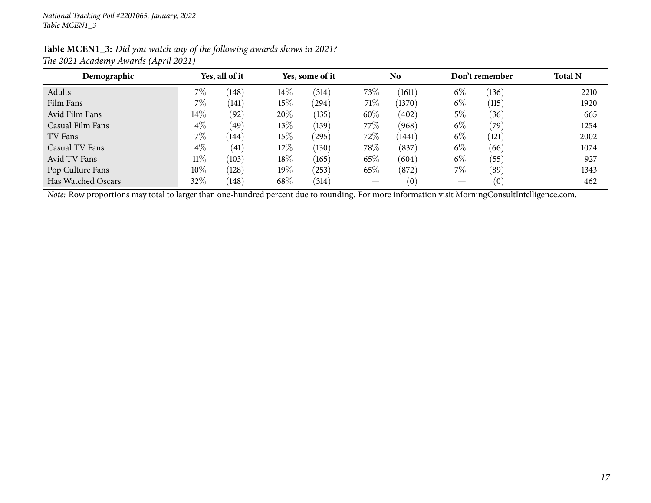| Demographic                                                                                                                                    |        | Yes, all of it | Yes, some of it |       | <b>No</b> |        | Don't remember |       | <b>Total N</b> |
|------------------------------------------------------------------------------------------------------------------------------------------------|--------|----------------|-----------------|-------|-----------|--------|----------------|-------|----------------|
| Adults                                                                                                                                         | $7\%$  | (148)          | $14\%$          | (314) | 73\%      | (1611) | $6\%$          | (136) | 2210           |
| Film Fans                                                                                                                                      | $7\%$  | (141)          | 15%             | (294) | 71%       | (1370) | $6\%$          | (115) | 1920           |
| Avid Film Fans                                                                                                                                 | $14\%$ | (92)           | 20%             | (135) | $60\%$    | (402)  | $5\%$          | (36)  | 665            |
| Casual Film Fans                                                                                                                               | $4\%$  | (49)           | 13\%            | (159) | 77\%      | (968)  | $6\%$          | (79`  | 1254           |
| TV Fans                                                                                                                                        | 7%     | (144)          | 15%             | (295) | 72%       | (1441) | $6\%$          | (121) | 2002           |
| Casual TV Fans                                                                                                                                 | $4\%$  | (41)           | 12\%            | (130) | 78\%      | (837)  | $6\%$          | (66)  | 1074           |
| Avid TV Fans                                                                                                                                   | $11\%$ | (103)          | 18%             | (165) | 65\%      | (604)  | $6\%$          | (55)  | 927            |
| Pop Culture Fans                                                                                                                               | $10\%$ | (128)          | 19%             | (253) | 65%       | (872)  | 7%             | (89`  | 1343           |
| Has Watched Oscars                                                                                                                             | 32%    | (148)          | 68\%            | (314) |           | (0)    |                | (0)   | 462            |
| Note: Row proportions may total to larger than one-hundred percent due to rounding. For more information visit MorningConsultIntelligence.com. |        |                |                 |       |           |        |                |       |                |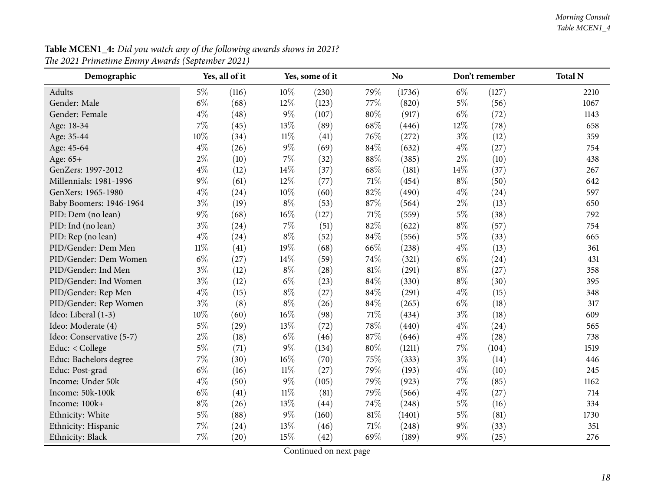#### *Morning Consult Table MCEN1\_4*

<span id="page-17-0"></span>

| Demographic              | Yes, all of it |       |        | Yes, some of it |     | <b>No</b> |       | Don't remember | <b>Total N</b> |
|--------------------------|----------------|-------|--------|-----------------|-----|-----------|-------|----------------|----------------|
| <b>Adults</b>            | $5\%$          | (116) | 10%    | (230)           | 79% | (1736)    | $6\%$ | (127)          | 2210           |
| Gender: Male             | $6\%$          | (68)  | 12%    | (123)           | 77% | (820)     | $5\%$ | (56)           | 1067           |
| Gender: Female           | $4\%$          | (48)  | $9\%$  | (107)           | 80% | (917)     | $6\%$ | (72)           | 1143           |
| Age: 18-34               | $7\%$          | (45)  | 13%    | (89)            | 68% | (446)     | 12%   | (78)           | 658            |
| Age: 35-44               | 10%            | (34)  | $11\%$ | (41)            | 76% | (272)     | $3\%$ | (12)           | 359            |
| Age: 45-64               | $4\%$          | (26)  | $9\%$  | (69)            | 84% | (632)     | $4\%$ | (27)           | 754            |
| Age: 65+                 | $2\%$          | (10)  | $7\%$  | (32)            | 88% | (385)     | $2\%$ | (10)           | 438            |
| GenZers: 1997-2012       | $4\%$          | (12)  | 14%    | (37)            | 68% | (181)     | 14%   | (37)           | 267            |
| Millennials: 1981-1996   | $9\%$          | (61)  | 12%    | (77)            | 71% | (454)     | $8\%$ | (50)           | 642            |
| GenXers: 1965-1980       | $4\%$          | (24)  | 10%    | (60)            | 82% | (490)     | $4\%$ | (24)           | 597            |
| Baby Boomers: 1946-1964  | $3\%$          | (19)  | $8\%$  | (53)            | 87% | (564)     | $2\%$ | (13)           | 650            |
| PID: Dem (no lean)       | $9\%$          | (68)  | $16\%$ | (127)           | 71% | (559)     | $5\%$ | (38)           | 792            |
| PID: Ind (no lean)       | $3\%$          | (24)  | 7%     | (51)            | 82% | (622)     | $8\%$ | (57)           | 754            |
| PID: Rep (no lean)       | $4\%$          | (24)  | $8\%$  | (52)            | 84% | (556)     | $5\%$ | (33)           | 665            |
| PID/Gender: Dem Men      | $11\%$         | (41)  | 19%    | (68)            | 66% | (238)     | $4\%$ | (13)           | 361            |
| PID/Gender: Dem Women    | $6\%$          | (27)  | 14%    | (59)            | 74% | (321)     | $6\%$ | (24)           | 431            |
| PID/Gender: Ind Men      | $3\%$          | (12)  | $8\%$  | (28)            | 81% | (291)     | $8\%$ | (27)           | 358            |
| PID/Gender: Ind Women    | $3\%$          | (12)  | $6\%$  | (23)            | 84% | (330)     | $8\%$ | (30)           | 395            |
| PID/Gender: Rep Men      | $4\%$          | (15)  | $8\%$  | (27)            | 84% | (291)     | $4\%$ | (15)           | 348            |
| PID/Gender: Rep Women    | $3\%$          | (8)   | $8\%$  | (26)            | 84% | (265)     | $6\%$ | (18)           | 317            |
| Ideo: Liberal (1-3)      | $10\%$         | (60)  | $16\%$ | (98)            | 71% | (434)     | $3\%$ | (18)           | 609            |
| Ideo: Moderate (4)       | $5\%$          | (29)  | 13%    | (72)            | 78% | (440)     | $4\%$ | (24)           | 565            |
| Ideo: Conservative (5-7) | $2\%$          | (18)  | $6\%$  | (46)            | 87% | (646)     | $4\%$ | (28)           | 738            |
| Educ: < College          | $5\%$          | (71)  | $9\%$  | (134)           | 80% | (1211)    | 7%    | (104)          | 1519           |
| Educ: Bachelors degree   | $7\%$          | (30)  | $16\%$ | (70)            | 75% | (333)     | $3\%$ | (14)           | 446            |
| Educ: Post-grad          | $6\%$          | (16)  | $11\%$ | (27)            | 79% | (193)     | $4\%$ | (10)           | 245            |
| Income: Under 50k        | $4\%$          | (50)  | $9\%$  | (105)           | 79% | (923)     | 7%    | (85)           | 1162           |
| Income: 50k-100k         | $6\%$          | (41)  | $11\%$ | (81)            | 79% | (566)     | $4\%$ | (27)           | 714            |
| Income: 100k+            | $8\%$          | (26)  | 13%    | (44)            | 74% | (248)     | $5\%$ | (16)           | 334            |
| Ethnicity: White         | $5\%$          | (88)  | $9\%$  | (160)           | 81% | (1401)    | $5\%$ | (81)           | 1730           |
| Ethnicity: Hispanic      | $7\%$          | (24)  | 13%    | (46)            | 71% | (248)     | $9\%$ | (33)           | 351            |
| Ethnicity: Black         | 7%             | (20)  | 15%    | (42)            | 69% | (189)     | $9\%$ | (25)           | 276            |

**Table MCEN1\_4:** Did you watch any of the following awards shows in 2021? *The <sup>2021</sup> Primetime Emmy Awards (September 2021)*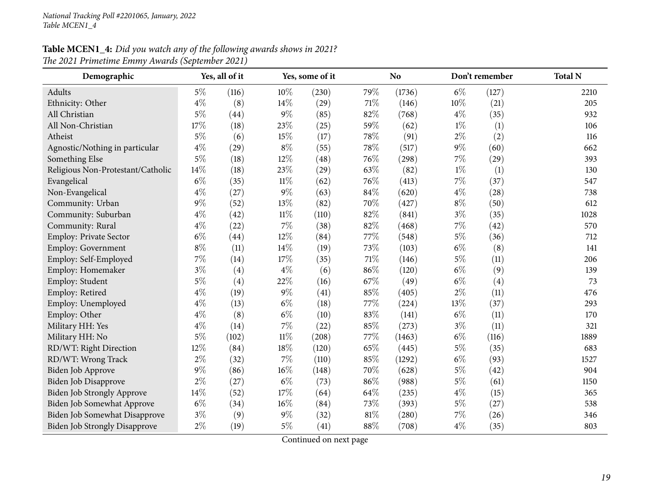# **Table MCEN1\_4:** Did you watch any of the following awards shows in 2021? *The <sup>2021</sup> Primetime Emmy Awards (September 2021)*

| Demographic                          |       | Yes, all of it |        | Yes, some of it |     | <b>No</b> |       | Don't remember | <b>Total N</b> |
|--------------------------------------|-------|----------------|--------|-----------------|-----|-----------|-------|----------------|----------------|
| Adults                               | $5\%$ | (116)          | 10%    | (230)           | 79% | (1736)    | $6\%$ | (127)          | 2210           |
| Ethnicity: Other                     | $4\%$ | (8)            | 14%    | (29)            | 71% | (146)     | 10%   | (21)           | 205            |
| All Christian                        | $5\%$ | (44)           | 9%     | (85)            | 82% | (768)     | $4\%$ | (35)           | 932            |
| All Non-Christian                    | 17%   | (18)           | 23%    | (25)            | 59% | (62)      | $1\%$ | (1)            | 106            |
| Atheist                              | $5\%$ | (6)            | 15%    | (17)            | 78% | (91)      | $2\%$ | (2)            | 116            |
| Agnostic/Nothing in particular       | $4\%$ | (29)           | $8\%$  | (55)            | 78% | (517)     | 9%    | (60)           | 662            |
| Something Else                       | $5\%$ | (18)           | 12%    | (48)            | 76% | (298)     | 7%    | (29)           | 393            |
| Religious Non-Protestant/Catholic    | 14%   | (18)           | 23%    | (29)            | 63% | (82)      | $1\%$ | (1)            | 130            |
| Evangelical                          | $6\%$ | (35)           | $11\%$ | (62)            | 76% | (413)     | 7%    | (37)           | 547            |
| Non-Evangelical                      | $4\%$ | (27)           | 9%     | (63)            | 84% | (620)     | $4\%$ | (28)           | 738            |
| Community: Urban                     | $9\%$ | (52)           | 13%    | (82)            | 70% | (427)     | $8\%$ | (50)           | 612            |
| Community: Suburban                  | $4\%$ | (42)           | $11\%$ | (110)           | 82% | (841)     | $3\%$ | (35)           | 1028           |
| Community: Rural                     | $4\%$ | (22)           | 7%     | (38)            | 82% | (468)     | 7%    | (42)           | 570            |
| Employ: Private Sector               | $6\%$ | (44)           | 12%    | (84)            | 77% | (548)     | $5\%$ | (36)           | 712            |
| Employ: Government                   | $8\%$ | (11)           | 14%    | (19)            | 73% | (103)     | $6\%$ | (8)            | 141            |
| Employ: Self-Employed                | $7\%$ | (14)           | 17%    | (35)            | 71% | (146)     | $5\%$ | (11)           | 206            |
| Employ: Homemaker                    | $3\%$ | (4)            | $4\%$  | (6)             | 86% | (120)     | $6\%$ | (9)            | 139            |
| Employ: Student                      | $5\%$ | (4)            | 22%    | (16)            | 67% | (49)      | $6\%$ | (4)            | 73             |
| Employ: Retired                      | $4\%$ | (19)           | 9%     | (41)            | 85% | (405)     | $2\%$ | (11)           | 476            |
| Employ: Unemployed                   | $4\%$ | (13)           | $6\%$  | (18)            | 77% | (224)     | 13%   | (37)           | 293            |
| Employ: Other                        | $4\%$ | (8)            | $6\%$  | (10)            | 83% | (141)     | $6\%$ | (11)           | 170            |
| Military HH: Yes                     | $4\%$ | (14)           | 7%     | (22)            | 85% | (273)     | $3\%$ | (11)           | 321            |
| Military HH: No                      | $5\%$ | (102)          | $11\%$ | (208)           | 77% | (1463)    | $6\%$ | (116)          | 1889           |
| RD/WT: Right Direction               | 12%   | (84)           | 18%    | (120)           | 65% | (445)     | $5\%$ | (35)           | 683            |
| RD/WT: Wrong Track                   | $2\%$ | (32)           | $7\%$  | (110)           | 85% | (1292)    | $6\%$ | (93)           | 1527           |
| Biden Job Approve                    | $9\%$ | (86)           | 16%    | (148)           | 70% | (628)     | $5\%$ | (42)           | 904            |
| Biden Job Disapprove                 | $2\%$ | (27)           | $6\%$  | (73)            | 86% | (988)     | $5\%$ | (61)           | 1150           |
| Biden Job Strongly Approve           | 14%   | (52)           | 17%    | (64)            | 64% | (235)     | $4\%$ | (15)           | 365            |
| Biden Job Somewhat Approve           | $6\%$ | (34)           | 16%    | (84)            | 73% | (393)     | $5\%$ | (27)           | 538            |
| Biden Job Somewhat Disapprove        | $3\%$ | (9)            | 9%     | (32)            | 81% | (280)     | 7%    | (26)           | 346            |
| <b>Biden Job Strongly Disapprove</b> | $2\%$ | (19)           | $5\%$  | (41)            | 88% | (708)     | $4\%$ | (35)           | 803            |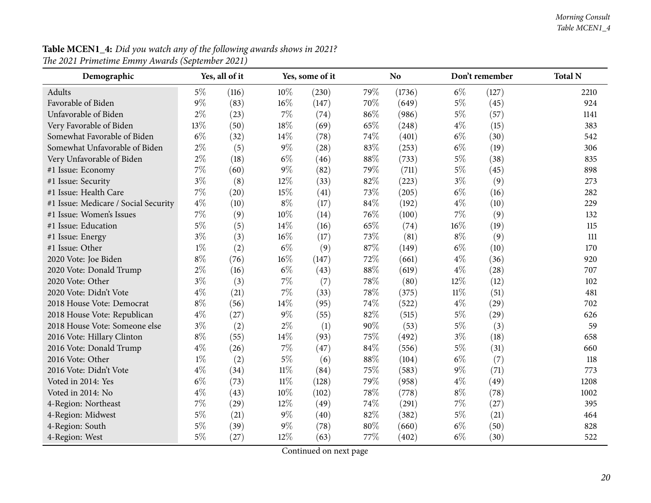#### *Morning Consult Table MCEN1\_4*

| Demographic                          | Yes, all of it<br>Yes, some of it |       |        | N <sub>o</sub> |        | Don't remember | <b>Total N</b> |       |      |
|--------------------------------------|-----------------------------------|-------|--------|----------------|--------|----------------|----------------|-------|------|
| Adults                               | $5\%$                             | (116) | 10%    | (230)          | 79%    | (1736)         | $6\%$          | (127) | 2210 |
| Favorable of Biden                   | $9\%$                             | (83)  | 16%    | (147)          | 70%    | (649)          | $5\%$          | (45)  | 924  |
| Unfavorable of Biden                 | $2\%$                             | (23)  | $7\%$  | (74)           | 86%    | (986)          | $5\%$          | (57)  | 1141 |
| Very Favorable of Biden              | 13%                               | (50)  | 18%    | (69)           | 65%    | (248)          | $4\%$          | (15)  | 383  |
| Somewhat Favorable of Biden          | $6\%$                             | (32)  | 14%    | (78)           | 74%    | (401)          | $6\%$          | (30)  | 542  |
| Somewhat Unfavorable of Biden        | $2\%$                             | (5)   | $9\%$  | (28)           | 83%    | (253)          | $6\%$          | (19)  | 306  |
| Very Unfavorable of Biden            | $2\%$                             | (18)  | $6\%$  | (46)           | 88%    | (733)          | $5\%$          | (38)  | 835  |
| #1 Issue: Economy                    | 7%                                | (60)  | $9\%$  | (82)           | 79%    | (711)          | $5\%$          | (45)  | 898  |
| #1 Issue: Security                   | $3\%$                             | (8)   | 12%    | (33)           | 82%    | (223)          | $3\%$          | (9)   | 273  |
| #1 Issue: Health Care                | $7\%$                             | (20)  | 15%    | (41)           | 73%    | (205)          | $6\%$          | (16)  | 282  |
| #1 Issue: Medicare / Social Security | $4\%$                             | (10)  | $8\%$  | (17)           | 84%    | (192)          | $4\%$          | (10)  | 229  |
| #1 Issue: Women's Issues             | 7%                                | (9)   | 10%    | (14)           | 76%    | (100)          | $7\%$          | (9)   | 132  |
| #1 Issue: Education                  | $5\%$                             | (5)   | 14%    | (16)           | 65%    | (74)           | 16%            | (19)  | 115  |
| #1 Issue: Energy                     | $3\%$                             | (3)   | 16%    | (17)           | 73%    | (81)           | $8\%$          | (9)   | 111  |
| #1 Issue: Other                      | $1\%$                             | (2)   | $6\%$  | (9)            | 87%    | (149)          | $6\%$          | (10)  | 170  |
| 2020 Vote: Joe Biden                 | $8\%$                             | (76)  | $16\%$ | (147)          | 72%    | (661)          | $4\%$          | (36)  | 920  |
| 2020 Vote: Donald Trump              | $2\%$                             | (16)  | $6\%$  | (43)           | 88%    | (619)          | $4\%$          | (28)  | 707  |
| 2020 Vote: Other                     | $3\%$                             | (3)   | $7\%$  | (7)            | 78%    | (80)           | 12%            | (12)  | 102  |
| 2020 Vote: Didn't Vote               | $4\%$                             | (21)  | $7\%$  | (33)           | 78%    | (375)          | $11\%$         | (51)  | 481  |
| 2018 House Vote: Democrat            | $8\%$                             | (56)  | 14%    | (95)           | 74%    | (522)          | $4\%$          | (29)  | 702  |
| 2018 House Vote: Republican          | $4\%$                             | (27)  | $9\%$  | (55)           | 82%    | (515)          | $5\%$          | (29)  | 626  |
| 2018 House Vote: Someone else        | $3\%$                             | (2)   | $2\%$  | (1)            | 90%    | (53)           | $5\%$          | (3)   | 59   |
| 2016 Vote: Hillary Clinton           | $8\%$                             | (55)  | 14%    | (93)           | 75%    | (492)          | $3\%$          | (18)  | 658  |
| 2016 Vote: Donald Trump              | $4\%$                             | (26)  | $7\%$  | (47)           | 84%    | (556)          | $5\%$          | (31)  | 660  |
| 2016 Vote: Other                     | $1\%$                             | (2)   | $5\%$  | (6)            | 88%    | (104)          | $6\%$          | (7)   | 118  |
| 2016 Vote: Didn't Vote               | $4\%$                             | (34)  | $11\%$ | (84)           | 75%    | (583)          | $9\%$          | (71)  | 773  |
| Voted in 2014: Yes                   | $6\%$                             | (73)  | $11\%$ | (128)          | 79%    | (958)          | $4\%$          | (49)  | 1208 |
| Voted in 2014: No                    | $4\%$                             | (43)  | 10%    | (102)          | 78%    | (778)          | $8\%$          | (78)  | 1002 |
| 4-Region: Northeast                  | 7%                                | (29)  | 12%    | (49)           | 74%    | (291)          | $7\%$          | (27)  | 395  |
| 4-Region: Midwest                    | 5%                                | (21)  | $9\%$  | (40)           | 82%    | (382)          | $5\%$          | (21)  | 464  |
| 4-Region: South                      | 5%                                | (39)  | $9\%$  | (78)           | $80\%$ | (660)          | $6\%$          | (50)  | 828  |
| 4-Region: West                       | 5%                                | (27)  | 12%    | (63)           | 77%    | (402)          | $6\%$          | (30)  | 522  |

**Table MCEN1\_4:** Did you watch any of the following awards shows in 2021? *The <sup>2021</sup> Primetime Emmy Awards (September 2021)*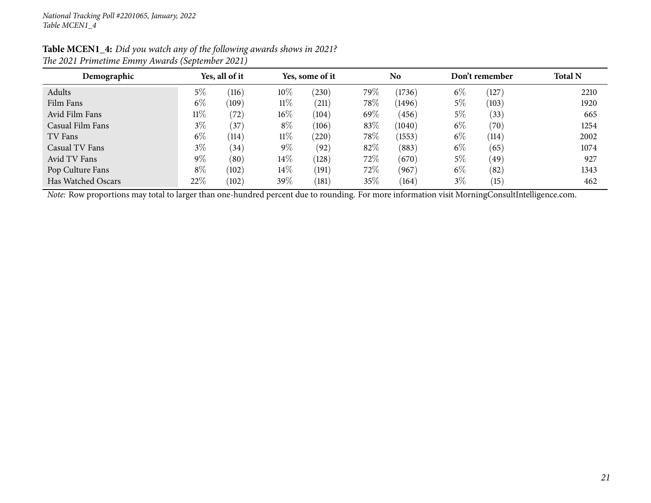| Table MCEN1_4: Did you watch any of the following awards shows in 2021? |
|-------------------------------------------------------------------------|
| The 2021 Primetime Emmy Awards (September 2021)                         |

| Demographic        |        | Yes, all of it |        | Yes, some of it |        | N <sub>o</sub> |       | Don't remember | <b>Total N</b> |
|--------------------|--------|----------------|--------|-----------------|--------|----------------|-------|----------------|----------------|
| Adults             | $5\%$  | (116)          | 10%    | $^{(230)}$      | 79%    | (1736)         | $6\%$ | $^{\prime}127$ | 2210           |
| Film Fans          | $6\%$  | (109)          | $11\%$ | (211)           | 78\%   | (1496)         | $5\%$ | (103)          | 1920           |
| Avid Film Fans     | $11\%$ | (72)           | $16\%$ | (104)           | $69\%$ | (456)          | 5%    | (33)           | 665            |
| Casual Film Fans   | $3\%$  | 37             | $8\%$  | (106)           | 83%    | (1040)         | $6\%$ | (70)           | 1254           |
| TV Fans            | $6\%$  | (114)          | $11\%$ | (220)           | 78\%   | (1553)         | $6\%$ | (114)          | 2002           |
| Casual TV Fans     | $3\%$  | (34)           | $9\%$  | (92)            | 82%    | (883)          | $6\%$ | (65)           | 1074           |
| Avid TV Fans       | $9\%$  | (80)           | $14\%$ | (128)           | 72\%   | (670)          | 5%    | $49^\circ$     | 927            |
| Pop Culture Fans   | $8\%$  | (102)          | $14\%$ | (191)           | 72\%   | (967)          | $6\%$ | (82)           | 1343           |
| Has Watched Oscars | 22%    | (102)          | 39%    | (181)           | $35\%$ | (164)          | $3\%$ | (15)           | 462            |

*Note:* Row proportions may total to larger than one-hundred percen<sup>t</sup> due to rounding. For more information visit [MorningConsultIntelligence.com](https://morningconsultintelligence.com).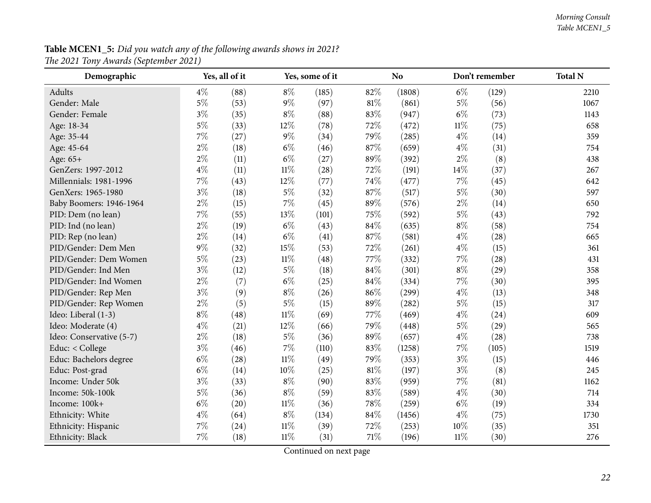<span id="page-21-0"></span>

| Demographic              |       | Yes, all of it |        | Yes, some of it |        | No     |        | Don't remember | <b>Total N</b> |
|--------------------------|-------|----------------|--------|-----------------|--------|--------|--------|----------------|----------------|
| Adults                   | $4\%$ | (88)           | $8\%$  | (185)           | 82%    | (1808) | $6\%$  | (129)          | 2210           |
| Gender: Male             | $5\%$ | (53)           | $9\%$  | (97)            | 81\%   | (861)  | $5\%$  | (56)           | 1067           |
| Gender: Female           | $3\%$ | (35)           | $8\%$  | (88)            | 83%    | (947)  | $6\%$  | (73)           | 1143           |
| Age: 18-34               | $5\%$ | (33)           | 12%    | (78)            | 72%    | (472)  | $11\%$ | (75)           | 658            |
| Age: 35-44               | $7\%$ | (27)           | $9\%$  | (34)            | 79%    | (285)  | $4\%$  | (14)           | 359            |
| Age: 45-64               | $2\%$ | (18)           | $6\%$  | (46)            | $87\%$ | (659)  | $4\%$  | (31)           | 754            |
| Age: 65+                 | 2%    | (11)           | $6\%$  | (27)            | 89%    | (392)  | $2\%$  | (8)            | 438            |
| GenZers: 1997-2012       | $4\%$ | (11)           | $11\%$ | (28)            | 72%    | (191)  | 14%    | (37)           | 267            |
| Millennials: 1981-1996   | $7\%$ | (43)           | $12\%$ | (77)            | 74%    | (477)  | $7\%$  | (45)           | 642            |
| GenXers: 1965-1980       | $3\%$ | (18)           | $5\%$  | (32)            | 87%    | (517)  | $5\%$  | (30)           | 597            |
| Baby Boomers: 1946-1964  | 2%    | (15)           | 7%     | (45)            | 89%    | (576)  | $2\%$  | (14)           | 650            |
| PID: Dem (no lean)       | $7\%$ | (55)           | 13%    | (101)           | 75\%   | (592)  | $5\%$  | (43)           | 792            |
| PID: Ind (no lean)       | $2\%$ | (19)           | $6\%$  | (43)            | 84\%   | (635)  | $8\%$  | (58)           | 754            |
| PID: Rep (no lean)       | $2\%$ | (14)           | $6\%$  | (41)            | 87%    | (581)  | $4\%$  | (28)           | 665            |
| PID/Gender: Dem Men      | $9\%$ | (32)           | 15%    | (53)            | 72%    | (261)  | $4\%$  | (15)           | 361            |
| PID/Gender: Dem Women    | $5\%$ | (23)           | $11\%$ | (48)            | 77%    | (332)  | $7\%$  | (28)           | 431            |
| PID/Gender: Ind Men      | $3\%$ | (12)           | $5\%$  | (18)            | 84%    | (301)  | $8\%$  | (29)           | 358            |
| PID/Gender: Ind Women    | $2\%$ | (7)            | $6\%$  | (25)            | 84\%   | (334)  | $7\%$  | (30)           | 395            |
| PID/Gender: Rep Men      | $3\%$ | (9)            | $8\%$  | (26)            | 86%    | (299)  | $4\%$  | (13)           | 348            |
| PID/Gender: Rep Women    | $2\%$ | (5)            | $5\%$  | (15)            | 89%    | (282)  | $5\%$  | (15)           | 317            |
| Ideo: Liberal (1-3)      | $8\%$ | (48)           | $11\%$ | (69)            | 77%    | (469)  | $4\%$  | (24)           | 609            |
| Ideo: Moderate (4)       | $4\%$ | (21)           | 12%    | (66)            | 79%    | (448)  | $5\%$  | (29)           | 565            |
| Ideo: Conservative (5-7) | $2\%$ | (18)           | $5\%$  | (36)            | 89%    | (657)  | $4\%$  | (28)           | 738            |
| Educ: < College          | $3\%$ | (46)           | $7\%$  | (110)           | 83%    | (1258) | $7\%$  | (105)          | 1519           |
| Educ: Bachelors degree   | $6\%$ | (28)           | $11\%$ | (49)            | 79%    | (353)  | $3\%$  | (15)           | 446            |
| Educ: Post-grad          | $6\%$ | (14)           | 10%    | (25)            | 81%    | (197)  | $3\%$  | (8)            | 245            |
| Income: Under 50k        | $3\%$ | (33)           | $8\%$  | (90)            | 83%    | (959)  | $7\%$  | (81)           | 1162           |
| Income: 50k-100k         | $5\%$ | (36)           | $8\%$  | (59)            | 83%    | (589)  | $4\%$  | (30)           | 714            |
| Income: 100k+            | $6\%$ | (20)           | $11\%$ | (36)            | 78%    | (259)  | $6\%$  | (19)           | 334            |
| Ethnicity: White         | $4\%$ | (64)           | $8\%$  | (134)           | $84\%$ | (1456) | $4\%$  | (75)           | 1730           |
| Ethnicity: Hispanic      | $7\%$ | (24)           | $11\%$ | (39)            | 72%    | (253)  | 10%    | (35)           | 351            |
| Ethnicity: Black         | 7%    | (18)           | $11\%$ | (31)            | 71%    | (196)  | $11\%$ | (30)           | 276            |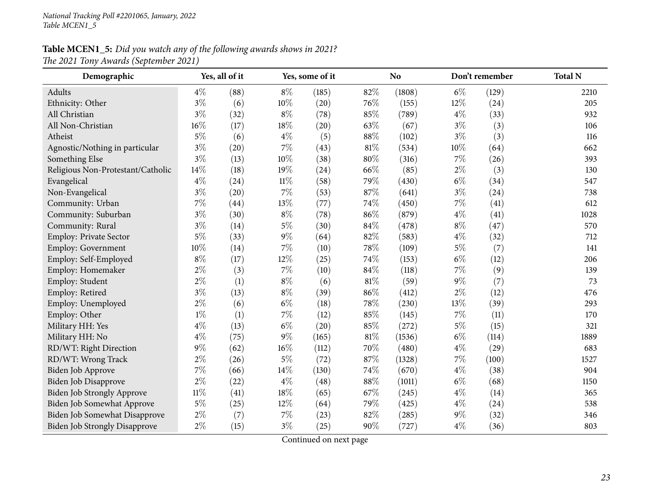| Demographic                          |        | Yes, all of it |        | Yes, some of it |        | N <sub>o</sub> |       | Don't remember | <b>Total N</b> |
|--------------------------------------|--------|----------------|--------|-----------------|--------|----------------|-------|----------------|----------------|
| Adults                               | $4\%$  | (88)           | $8\%$  | (185)           | 82%    | (1808)         | $6\%$ | (129)          | 2210           |
| Ethnicity: Other                     | $3\%$  | (6)            | 10%    | (20)            | 76%    | (155)          | 12%   | (24)           | 205            |
| All Christian                        | $3\%$  | (32)           | $8\%$  | (78)            | 85%    | (789)          | $4\%$ | (33)           | 932            |
| All Non-Christian                    | 16%    | (17)           | 18%    | (20)            | 63%    | (67)           | $3\%$ | (3)            | 106            |
| Atheist                              | $5\%$  | (6)            | $4\%$  | (5)             | 88%    | (102)          | $3\%$ | (3)            | 116            |
| Agnostic/Nothing in particular       | $3\%$  | (20)           | 7%     | (43)            | 81%    | (534)          | 10%   | (64)           | 662            |
| Something Else                       | $3\%$  | (13)           | 10%    | (38)            | $80\%$ | (316)          | 7%    | (26)           | 393            |
| Religious Non-Protestant/Catholic    | 14%    | (18)           | 19%    | (24)            | 66%    | (85)           | $2\%$ | (3)            | 130            |
| Evangelical                          | $4\%$  | (24)           | $11\%$ | (58)            | 79%    | (430)          | $6\%$ | (34)           | 547            |
| Non-Evangelical                      | $3\%$  | (20)           | 7%     | (53)            | 87%    | (641)          | $3\%$ | (24)           | 738            |
| Community: Urban                     | 7%     | (44)           | 13%    | (77)            | 74%    | (450)          | 7%    | (41)           | 612            |
| Community: Suburban                  | $3\%$  | (30)           | $8\%$  | (78)            | 86%    | (879)          | $4\%$ | (41)           | 1028           |
| Community: Rural                     | $3\%$  | (14)           | $5\%$  | (30)            | 84%    | (478)          | $8\%$ | (47)           | 570            |
| Employ: Private Sector               | $5\%$  | (33)           | $9\%$  | (64)            | 82%    | (583)          | $4\%$ | (32)           | 712            |
| Employ: Government                   | 10%    | (14)           | 7%     | (10)            | 78%    | (109)          | $5\%$ | (7)            | 141            |
| Employ: Self-Employed                | $8\%$  | (17)           | 12%    | (25)            | 74%    | (153)          | $6\%$ | (12)           | 206            |
| Employ: Homemaker                    | $2\%$  | (3)            | $7\%$  | (10)            | 84%    | (118)          | $7\%$ | (9)            | 139            |
| Employ: Student                      | $2\%$  | (1)            | $8\%$  | (6)             | 81%    | (59)           | $9\%$ | (7)            | 73             |
| Employ: Retired                      | $3\%$  | (13)           | $8\%$  | (39)            | 86%    | (412)          | $2\%$ | (12)           | 476            |
| Employ: Unemployed                   | $2\%$  | (6)            | $6\%$  | (18)            | 78%    | (230)          | 13%   | (39)           | 293            |
| Employ: Other                        | $1\%$  | (1)            | 7%     | (12)            | 85%    | (145)          | $7\%$ | (11)           | 170            |
| Military HH: Yes                     | $4\%$  | (13)           | $6\%$  | (20)            | 85%    | (272)          | $5\%$ | (15)           | 321            |
| Military HH: No                      | $4\%$  | (75)           | 9%     | (165)           | 81%    | (1536)         | $6\%$ | (114)          | 1889           |
| RD/WT: Right Direction               | $9\%$  | (62)           | 16%    | (112)           | 70%    | (480)          | $4\%$ | (29)           | 683            |
| RD/WT: Wrong Track                   | $2\%$  | (26)           | $5\%$  | (72)            | 87%    | (1328)         | $7\%$ | (100)          | 1527           |
| Biden Job Approve                    | 7%     | (66)           | 14%    | (130)           | 74%    | (670)          | $4\%$ | (38)           | 904            |
| <b>Biden Job Disapprove</b>          | $2\%$  | (22)           | $4\%$  | (48)            | 88%    | (1011)         | $6\%$ | (68)           | 1150           |
| Biden Job Strongly Approve           | $11\%$ | (41)           | 18%    | (65)            | 67%    | (245)          | $4\%$ | (14)           | 365            |
| Biden Job Somewhat Approve           | $5\%$  | (25)           | 12%    | (64)            | 79%    | (425)          | $4\%$ | (24)           | 538            |
| Biden Job Somewhat Disapprove        | $2\%$  | (7)            | 7%     | (23)            | 82%    | (285)          | $9\%$ | (32)           | 346            |
| <b>Biden Job Strongly Disapprove</b> | $2\%$  | (15)           | $3\%$  | (25)            | 90%    | (727)          | $4\%$ | (36)           | 803            |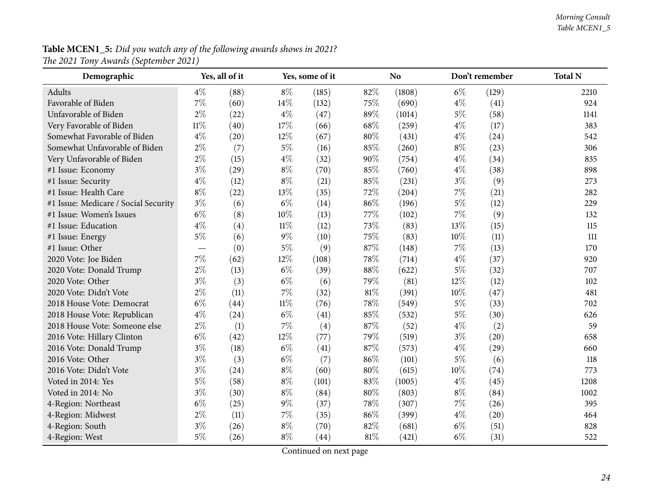| Demographic                          |        | Yes, all of it |        | Yes, some of it |        | <b>No</b> |       | Don't remember | <b>Total N</b> |
|--------------------------------------|--------|----------------|--------|-----------------|--------|-----------|-------|----------------|----------------|
| Adults                               | $4\%$  | (88)           | $8\%$  | (185)           | 82%    | (1808)    | $6\%$ | (129)          | 2210           |
| Favorable of Biden                   | 7%     | (60)           | 14%    | (132)           | 75%    | (690)     | $4\%$ | (41)           | 924            |
| Unfavorable of Biden                 | $2\%$  | (22)           | $4\%$  | (47)            | 89%    | (1014)    | $5\%$ | (58)           | 1141           |
| Very Favorable of Biden              | $11\%$ | (40)           | 17%    | (66)            | 68\%   | (259)     | $4\%$ | (17)           | 383            |
| Somewhat Favorable of Biden          | $4\%$  | (20)           | 12%    | (67)            | 80%    | (431)     | $4\%$ | (24)           | 542            |
| Somewhat Unfavorable of Biden        | $2\%$  | (7)            | $5\%$  | (16)            | 85%    | (260)     | $8\%$ | (23)           | 306            |
| Very Unfavorable of Biden            | $2\%$  | (15)           | $4\%$  | (32)            | 90%    | (754)     | $4\%$ | (34)           | 835            |
| #1 Issue: Economy                    | $3\%$  | (29)           | $8\%$  | (70)            | 85%    | (760)     | $4\%$ | (38)           | 898            |
| #1 Issue: Security                   | $4\%$  | (12)           | $8\%$  | (21)            | 85%    | (231)     | $3\%$ | (9)            | 273            |
| #1 Issue: Health Care                | $8\%$  | (22)           | 13%    | (35)            | 72%    | (204)     | 7%    | (21)           | 282            |
| #1 Issue: Medicare / Social Security | $3\%$  | (6)            | $6\%$  | (14)            | 86%    | (196)     | $5\%$ | (12)           | 229            |
| #1 Issue: Women's Issues             | $6\%$  | (8)            | 10%    | (13)            | 77%    | (102)     | 7%    | (9)            | 132            |
| #1 Issue: Education                  | $4\%$  | (4)            | $11\%$ | (12)            | 73%    | (83)      | 13%   | (15)           | 115            |
| #1 Issue: Energy                     | $5\%$  | (6)            | $9\%$  | (10)            | 75%    | (83)      | 10%   | (11)           | 111            |
| #1 Issue: Other                      |        | (0)            | $5\%$  | (9)             | 87%    | (148)     | 7%    | (13)           | 170            |
| 2020 Vote: Joe Biden                 | $7\%$  | (62)           | 12%    | (108)           | 78%    | (714)     | $4\%$ | (37)           | 920            |
| 2020 Vote: Donald Trump              | $2\%$  | (13)           | $6\%$  | (39)            | 88%    | (622)     | $5\%$ | (32)           | 707            |
| 2020 Vote: Other                     | $3\%$  | (3)            | $6\%$  | (6)             | 79%    | (81)      | 12%   | (12)           | 102            |
| 2020 Vote: Didn't Vote               | $2\%$  | (11)           | 7%     | (32)            | 81%    | (391)     | 10%   | (47)           | 481            |
| 2018 House Vote: Democrat            | $6\%$  | (44)           | $11\%$ | (76)            | 78%    | (549)     | $5\%$ | (33)           | 702            |
| 2018 House Vote: Republican          | $4\%$  | (24)           | $6\%$  | (41)            | 85%    | (532)     | $5\%$ | (30)           | 626            |
| 2018 House Vote: Someone else        | $2\%$  | (1)            | 7%     | (4)             | 87%    | (52)      | $4\%$ | (2)            | 59             |
| 2016 Vote: Hillary Clinton           | $6\%$  | (42)           | 12%    | (77)            | 79%    | (519)     | $3\%$ | (20)           | 658            |
| 2016 Vote: Donald Trump              | $3\%$  | (18)           | $6\%$  | (41)            | 87%    | (573)     | $4\%$ | (29)           | 660            |
| 2016 Vote: Other                     | $3\%$  | (3)            | $6\%$  | (7)             | 86%    | (101)     | $5\%$ | (6)            | 118            |
| 2016 Vote: Didn't Vote               | $3\%$  | (24)           | $8\%$  | (60)            | $80\%$ | (615)     | 10%   | (74)           | 773            |
| Voted in 2014: Yes                   | $5\%$  | (58)           | $8\%$  | (101)           | 83%    | (1005)    | $4\%$ | (45)           | 1208           |
| Voted in 2014: No                    | $3\%$  | (30)           | $8\%$  | (84)            | 80%    | (803)     | $8\%$ | (84)           | 1002           |
| 4-Region: Northeast                  | $6\%$  | (25)           | $9\%$  | (37)            | 78%    | (307)     | 7%    | (26)           | 395            |
| 4-Region: Midwest                    | $2\%$  | (11)           | $7\%$  | (35)            | 86%    | (399)     | $4\%$ | (20)           | 464            |
| 4-Region: South                      | $3\%$  | (26)           | $8\%$  | (70)            | 82%    | (681)     | $6\%$ | (51)           | 828            |
| 4-Region: West                       | $5\%$  | (26)           | $8\%$  | (44)            | 81%    | (421)     | $6\%$ | (31)           | 522            |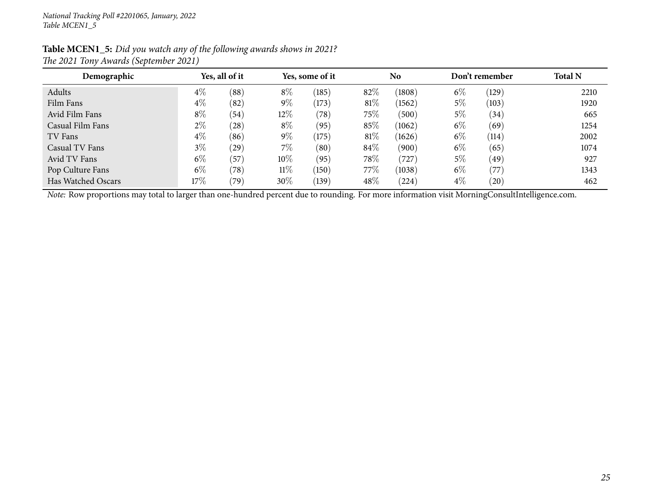| Table MCEN1_5: Did you watch any of the following awards shows in 2021? |  |
|-------------------------------------------------------------------------|--|
| The 2021 Tony Awards (September 2021)                                   |  |

| Demographic        |        | Yes, all of it |        | Yes, some of it |         | N <sub>o</sub> |       | Don't remember | <b>Total N</b> |
|--------------------|--------|----------------|--------|-----------------|---------|----------------|-------|----------------|----------------|
| Adults             | $4\%$  | (88)           | $8\%$  | (185)           | 82%     | (1808)         | $6\%$ | (129)          | 2210           |
| Film Fans          | $4\%$  | (82)           | $9\%$  | (173)           | 81\%    | (1562)         | 5%    | (103)          | 1920           |
| Avid Film Fans     | $8\%$  | (54)           | 12\%   | $^{\prime}78)$  | $75\%$  | (500)          | $5\%$ | (34)           | 665            |
| Casual Film Fans   | $2\%$  | (28)           | $8\%$  | (95)            | $85\%$  | (1062)         | $6\%$ | (69)           | 1254           |
| TV Fans            | $4\%$  | (86)           | $9\%$  | (175)           | 81\%    | (1626)         | $6\%$ | (114)          | 2002           |
| Casual TV Fans     | $3\%$  | (29)           | $7\%$  | (80)            | 84\%    | (900)          | $6\%$ | (65)           | 1074           |
| Avid TV Fans       | $6\%$  | (57)           | $10\%$ | (95)            | $78\%$  | 727            | $5\%$ | (49)           | 927            |
| Pop Culture Fans   | $6\%$  | (78)           | $11\%$ | (150)           | 77 $\%$ | (1038)         | $6\%$ | (77)           | 1343           |
| Has Watched Oscars | $17\%$ | (79)           | 30%    | (139)           | 48%     | (224)          | $4\%$ | (20)           | 462            |

*Note:* Row proportions may total to larger than one-hundred percen<sup>t</sup> due to rounding. For more information visit [MorningConsultIntelligence.com](https://morningconsultintelligence.com).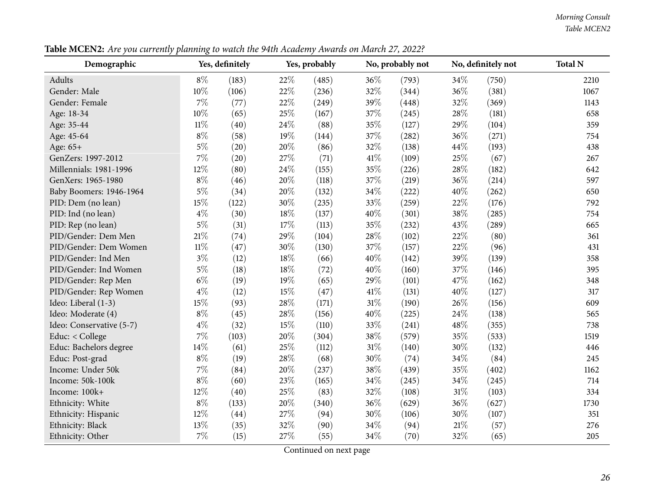#### *Morning Consult Table MCEN2*

Table MCEN2: Are you currently planning to watch the 94th Academy Awards on March 27, 2022?

<span id="page-25-0"></span>

| Demographic              |        | Yes, definitely |        | Yes, probably |        | No, probably not |        | No, definitely not | <b>Total N</b> |
|--------------------------|--------|-----------------|--------|---------------|--------|------------------|--------|--------------------|----------------|
| Adults                   | $8\%$  | (183)           | 22%    | (485)         | 36%    | (793)            | 34\%   | (750)              | 2210           |
| Gender: Male             | 10%    | (106)           | 22%    | (236)         | 32%    | (344)            | 36%    | (381)              | 1067           |
| Gender: Female           | 7%     | (77)            | 22%    | (249)         | 39%    | (448)            | 32%    | (369)              | 1143           |
| Age: 18-34               | 10%    | (65)            | 25%    | (167)         | 37%    | (245)            | 28\%   | (181)              | 658            |
| Age: 35-44               | $11\%$ | (40)            | 24%    | (88)          | 35%    | (127)            | 29%    | (104)              | 359            |
| Age: 45-64               | $8\%$  | (58)            | 19%    | (144)         | 37%    | (282)            | 36%    | (271)              | 754            |
| Age: 65+                 | $5\%$  | (20)            | 20%    | (86)          | 32%    | (138)            | 44\%   | (193)              | 438            |
| GenZers: 1997-2012       | 7%     | (20)            | 27%    | (71)          | 41\%   | (109)            | 25%    | (67)               | 267            |
| Millennials: 1981-1996   | 12%    | (80)            | 24%    | (155)         | 35%    | (226)            | 28%    | (182)              | 642            |
| GenXers: 1965-1980       | $8\%$  | (46)            | 20%    | (118)         | 37%    | (219)            | 36%    | (214)              | 597            |
| Baby Boomers: 1946-1964  | $5\%$  | (34)            | 20%    | (132)         | 34%    | (222)            | 40%    | (262)              | 650            |
| PID: Dem (no lean)       | 15%    | (122)           | 30%    | (235)         | 33%    | (259)            | $22\%$ | (176)              | 792            |
| PID: Ind (no lean)       | $4\%$  | (30)            | $18\%$ | (137)         | 40%    | (301)            | $38\%$ | (285)              | 754            |
| PID: Rep (no lean)       | $5\%$  | (31)            | $17\%$ | (113)         | 35%    | (232)            | 43%    | (289)              | 665            |
| PID/Gender: Dem Men      | 21%    | (74)            | 29%    | (104)         | 28\%   | (102)            | 22%    | (80)               | 361            |
| PID/Gender: Dem Women    | $11\%$ | (47)            | 30%    | (130)         | 37%    | (157)            | 22%    | (96)               | 431            |
| PID/Gender: Ind Men      | $3\%$  | (12)            | 18%    | (66)          | 40%    | (142)            | 39%    | (139)              | 358            |
| PID/Gender: Ind Women    | $5\%$  | (18)            | 18%    | (72)          | 40%    | (160)            | 37%    | (146)              | 395            |
| PID/Gender: Rep Men      | $6\%$  | (19)            | 19%    | (65)          | 29%    | (101)            | 47%    | (162)              | 348            |
| PID/Gender: Rep Women    | $4\%$  | (12)            | 15%    | (47)          | 41\%   | (131)            | 40%    | (127)              | 317            |
| Ideo: Liberal (1-3)      | 15%    | (93)            | 28%    | (171)         | $31\%$ | (190)            | 26%    | (156)              | 609            |
| Ideo: Moderate (4)       | $8\%$  | (45)            | 28%    | (156)         | 40%    | (225)            | 24\%   | (138)              | 565            |
| Ideo: Conservative (5-7) | $4\%$  | (32)            | 15%    | (110)         | 33%    | (241)            | 48%    | (355)              | 738            |
| Educ: < College          | $7\%$  | (103)           | 20%    | (304)         | 38%    | (579)            | 35%    | (533)              | 1519           |
| Educ: Bachelors degree   | 14%    | (61)            | 25%    | (112)         | 31%    | (140)            | 30%    | (132)              | 446            |
| Educ: Post-grad          | $8\%$  | (19)            | 28%    | (68)          | 30%    | (74)             | 34%    | (84)               | 245            |
| Income: Under 50k        | $7\%$  | (84)            | 20%    | (237)         | 38\%   | (439)            | 35%    | (402)              | 1162           |
| Income: 50k-100k         | $8\%$  | (60)            | 23%    | (165)         | 34%    | (245)            | 34%    | (245)              | 714            |
| Income: 100k+            | 12%    | (40)            | 25%    | (83)          | 32%    | (108)            | $31\%$ | (103)              | 334            |
| Ethnicity: White         | $8\%$  | (133)           | 20%    | (340)         | 36%    | (629)            | 36%    | (627)              | 1730           |
| Ethnicity: Hispanic      | 12%    | (44)            | 27%    | (94)          | 30%    | (106)            | 30%    | (107)              | 351            |
| Ethnicity: Black         | 13%    | (35)            | 32%    | (90)          | 34\%   | (94)             | 21%    | (57)               | 276            |
| Ethnicity: Other         | 7%     | (15)            | $27\%$ | (55)          | $34\%$ | (70)             | 32%    | (65)               | 205            |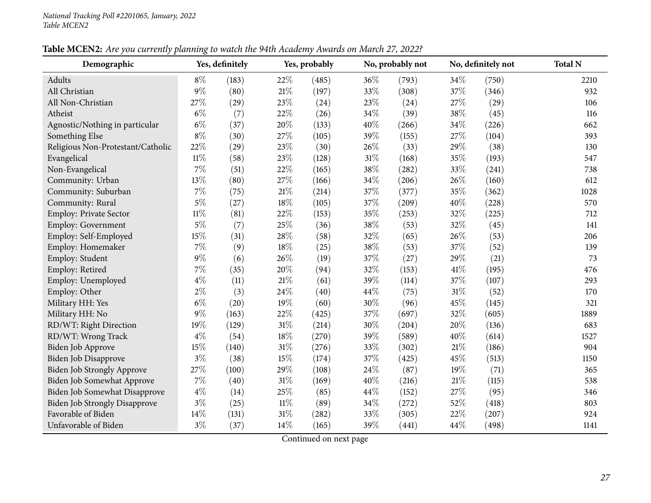| Table MCEN2: Are you currently planning to watch the 94th Academy Awards on March 27, 2022? |  |
|---------------------------------------------------------------------------------------------|--|
|---------------------------------------------------------------------------------------------|--|

| Demographic                          |        | Yes, definitely |        | Yes, probably |     | No, probably not |        | No, definitely not | <b>Total N</b> |
|--------------------------------------|--------|-----------------|--------|---------------|-----|------------------|--------|--------------------|----------------|
| Adults                               | $8\%$  | (183)           | 22%    | (485)         | 36% | (793)            | 34%    | (750)              | 2210           |
| All Christian                        | 9%     | (80)            | 21%    | (197)         | 33% | (308)            | 37%    | (346)              | 932            |
| All Non-Christian                    | 27%    | (29)            | 23%    | (24)          | 23% | (24)             | 27%    | (29)               | 106            |
| Atheist                              | $6\%$  | (7)             | 22%    | (26)          | 34% | (39)             | 38%    | (45)               | 116            |
| Agnostic/Nothing in particular       | $6\%$  | (37)            | 20%    | (133)         | 40% | (266)            | 34%    | (226)              | 662            |
| Something Else                       | $8\%$  | (30)            | 27%    | (105)         | 39% | (155)            | 27%    | (104)              | 393            |
| Religious Non-Protestant/Catholic    | 22%    | (29)            | 23%    | (30)          | 26% | (33)             | 29%    | (38)               | 130            |
| Evangelical                          | $11\%$ | (58)            | 23%    | (128)         | 31% | (168)            | 35%    | (193)              | 547            |
| Non-Evangelical                      | 7%     | (51)            | 22%    | (165)         | 38% | (282)            | 33%    | (241)              | 738            |
| Community: Urban                     | 13%    | (80)            | 27%    | (166)         | 34% | (206)            | 26%    | (160)              | 612            |
| Community: Suburban                  | 7%     | (75)            | $21\%$ | (214)         | 37% | (377)            | 35%    | (362)              | 1028           |
| Community: Rural                     | $5\%$  | (27)            | 18%    | (105)         | 37% | (209)            | 40%    | (228)              | 570            |
| Employ: Private Sector               | $11\%$ | (81)            | 22%    | (153)         | 35% | (253)            | 32%    | (225)              | 712            |
| Employ: Government                   | $5\%$  | (7)             | 25%    | (36)          | 38% | (53)             | 32%    | (45)               | 141            |
| Employ: Self-Employed                | 15%    | (31)            | 28%    | (58)          | 32% | (65)             | 26%    | (53)               | 206            |
| Employ: Homemaker                    | 7%     | (9)             | 18%    | (25)          | 38% | (53)             | 37%    | (52)               | 139            |
| Employ: Student                      | 9%     | (6)             | 26%    | (19)          | 37% | (27)             | 29%    | (21)               | 73             |
| Employ: Retired                      | 7%     | (35)            | 20%    | (94)          | 32% | (153)            | 41%    | (195)              | 476            |
| Employ: Unemployed                   | $4\%$  | (11)            | 21%    | (61)          | 39% | (114)            | 37%    | (107)              | 293            |
| Employ: Other                        | $2\%$  | (3)             | 24%    | (40)          | 44% | (75)             | 31%    | (52)               | 170            |
| Military HH: Yes                     | $6\%$  | (20)            | 19%    | (60)          | 30% | (96)             | 45%    | (145)              | 321            |
| Military HH: No                      | 9%     | (163)           | 22%    | (425)         | 37% | (697)            | 32%    | (605)              | 1889           |
| RD/WT: Right Direction               | 19%    | (129)           | 31%    | (214)         | 30% | (204)            | 20%    | (136)              | 683            |
| RD/WT: Wrong Track                   | $4\%$  | (54)            | 18%    | (270)         | 39% | (589)            | 40%    | (614)              | 1527           |
| <b>Biden Job Approve</b>             | 15%    | (140)           | 31%    | (276)         | 33% | (302)            | 21%    | (186)              | 904            |
| <b>Biden Job Disapprove</b>          | $3\%$  | (38)            | 15%    | (174)         | 37% | (425)            | 45%    | (513)              | 1150           |
| Biden Job Strongly Approve           | 27%    | (100)           | 29%    | (108)         | 24% | (87)             | 19%    | (71)               | 365            |
| <b>Biden Job Somewhat Approve</b>    | 7%     | (40)            | 31%    | (169)         | 40% | (216)            | $21\%$ | (115)              | 538            |
| <b>Biden Job Somewhat Disapprove</b> | $4\%$  | (14)            | 25%    | (85)          | 44% | (152)            | 27%    | (95)               | 346            |
| <b>Biden Job Strongly Disapprove</b> | $3\%$  | (25)            | $11\%$ | (89)          | 34% | (272)            | 52%    | (418)              | 803            |
| Favorable of Biden                   | 14%    | (131)           | 31%    | (282)         | 33% | (305)            | 22%    | (207)              | 924            |
| Unfavorable of Biden                 | $3\%$  | (37)            | 14%    | (165)         | 39% | (441)            | 44%    | (498)              | 1141           |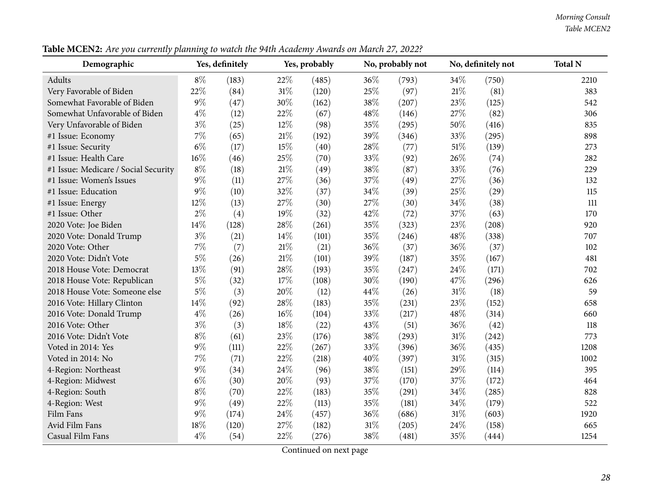#### *Morning Consult Table MCEN2*

Table MCEN2: Are you currently planning to watch the 94th Academy Awards on March 27, 2022?

| Demographic                          |       | Yes, definitely |     | Yes, probably |     | No, probably not |        | No, definitely not | <b>Total N</b> |
|--------------------------------------|-------|-----------------|-----|---------------|-----|------------------|--------|--------------------|----------------|
| Adults                               | $8\%$ | (183)           | 22% | (485)         | 36% | (793)            | 34%    | (750)              | 2210           |
| Very Favorable of Biden              | 22%   | (84)            | 31% | (120)         | 25% | (97)             | $21\%$ | (81)               | 383            |
| Somewhat Favorable of Biden          | $9\%$ | (47)            | 30% | (162)         | 38% | (207)            | 23%    | (125)              | 542            |
| Somewhat Unfavorable of Biden        | $4\%$ | (12)            | 22% | (67)          | 48% | (146)            | 27%    | (82)               | 306            |
| Very Unfavorable of Biden            | $3\%$ | (25)            | 12% | (98)          | 35% | (295)            | 50%    | (416)              | 835            |
| #1 Issue: Economy                    | $7\%$ | (65)            | 21% | (192)         | 39% | (346)            | 33%    | (295)              | 898            |
| #1 Issue: Security                   | $6\%$ | (17)            | 15% | (40)          | 28% | (77)             | 51%    | (139)              | 273            |
| #1 Issue: Health Care                | 16%   | (46)            | 25% | (70)          | 33% | (92)             | 26%    | (74)               | 282            |
| #1 Issue: Medicare / Social Security | $8\%$ | (18)            | 21% | (49)          | 38% | (87)             | 33%    | (76)               | 229            |
| #1 Issue: Women's Issues             | $9\%$ | (11)            | 27% | (36)          | 37% | (49)             | 27%    | (36)               | 132            |
| #1 Issue: Education                  | $9\%$ | (10)            | 32% | (37)          | 34% | (39)             | 25%    | (29)               | 115            |
| #1 Issue: Energy                     | 12%   | (13)            | 27% | (30)          | 27% | (30)             | 34%    | (38)               | 111            |
| #1 Issue: Other                      | $2\%$ | (4)             | 19% | (32)          | 42% | (72)             | 37%    | (63)               | 170            |
| 2020 Vote: Joe Biden                 | 14%   | (128)           | 28% | (261)         | 35% | (323)            | 23%    | (208)              | 920            |
| 2020 Vote: Donald Trump              | $3\%$ | (21)            | 14% | (101)         | 35% | (246)            | 48%    | (338)              | 707            |
| 2020 Vote: Other                     | $7\%$ | (7)             | 21% | (21)          | 36% | (37)             | 36%    | (37)               | 102            |
| 2020 Vote: Didn't Vote               | $5\%$ | (26)            | 21% | (101)         | 39% | (187)            | 35%    | (167)              | 481            |
| 2018 House Vote: Democrat            | 13%   | (91)            | 28% | (193)         | 35% | (247)            | 24\%   | (171)              | 702            |
| 2018 House Vote: Republican          | $5\%$ | (32)            | 17% | (108)         | 30% | (190)            | 47%    | (296)              | 626            |
| 2018 House Vote: Someone else        | $5\%$ | (3)             | 20% | (12)          | 44% | (26)             | 31%    | (18)               | 59             |
| 2016 Vote: Hillary Clinton           | 14\%  | (92)            | 28% | (183)         | 35% | (231)            | 23%    | (152)              | 658            |
| 2016 Vote: Donald Trump              | $4\%$ | (26)            | 16% | (104)         | 33% | (217)            | 48%    | (314)              | 660            |
| 2016 Vote: Other                     | $3\%$ | (3)             | 18% | (22)          | 43% | (51)             | 36%    | (42)               | 118            |
| 2016 Vote: Didn't Vote               | $8\%$ | (61)            | 23% | (176)         | 38% | (293)            | 31%    | (242)              | 773            |
| Voted in 2014: Yes                   | $9\%$ | (111)           | 22% | (267)         | 33% | (396)            | 36%    | (435)              | 1208           |
| Voted in 2014: No                    | 7%    | (71)            | 22% | (218)         | 40% | (397)            | 31%    | (315)              | 1002           |
| 4-Region: Northeast                  | $9\%$ | (34)            | 24% | (96)          | 38% | (151)            | 29%    | (114)              | 395            |
| 4-Region: Midwest                    | $6\%$ | (30)            | 20% | (93)          | 37% | (170)            | 37%    | (172)              | 464            |
| 4-Region: South                      | $8\%$ | (70)            | 22% | (183)         | 35% | (291)            | 34%    | (285)              | 828            |
| 4-Region: West                       | 9%    | (49)            | 22% | (113)         | 35% | (181)            | 34%    | (179)              | 522            |
| Film Fans                            | $9\%$ | (174)           | 24% | (457)         | 36% | (686)            | $31\%$ | (603)              | 1920           |
| Avid Film Fans                       | 18%   | (120)           | 27% | (182)         | 31% | (205)            | 24\%   | (158)              | 665            |
| Casual Film Fans                     | $4\%$ | (54)            | 22% | (276)         | 38% | (481)            | 35%    | (444)              | 1254           |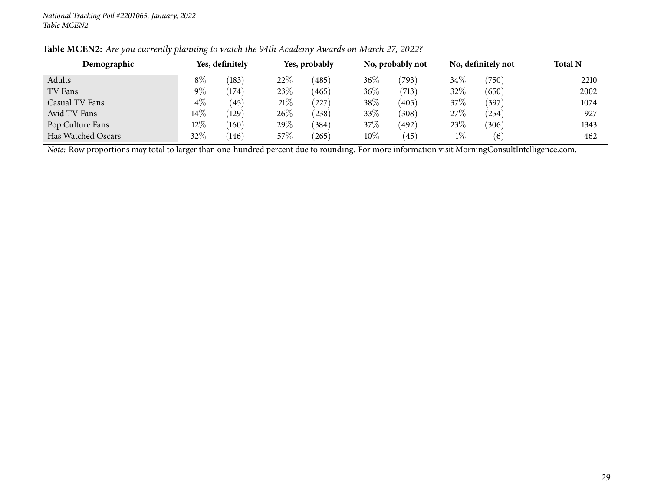| Demographic        |        | Yes, definitely |      | Yes, probably |        | No, probably not |       | No, definitely not | <b>Total N</b> |
|--------------------|--------|-----------------|------|---------------|--------|------------------|-------|--------------------|----------------|
| Adults             | $8\%$  | (183)           | 22%  | (485)         | $36\%$ | (793)            | 34%   | (750)              | 2210           |
| TV Fans            | $9\%$  | (174)           | 23\% | (465)         | $36\%$ | (713)            | 32%   | (650)              | 2002           |
| Casual TV Fans     | $4\%$  | (45)            | 21%  | (227)         | $38\%$ | (405)            | 37%   | (397)              | 1074           |
| Avid TV Fans       | $14\%$ | (129)           | 26%  | (238)         | 33%    | (308)            | 27\%  | (254)              | 927            |
| Pop Culture Fans   | $12\%$ | (160)           | 29%  | (384)         | $37\%$ | (492)            | 23\%  | (306)              | 1343           |
| Has Watched Oscars | 32%    | (146)           | 57%  | (265)         | $10\%$ | (45)             | $1\%$ | (6)                | 462            |

Table MCEN2: Are you currently planning to watch the 94th Academy Awards on March 27, 2022?

*Note:* Row proportions may total to larger than one-hundred percen<sup>t</sup> due to rounding. For more information visit [MorningConsultIntelligence.com](https://morningconsultintelligence.com).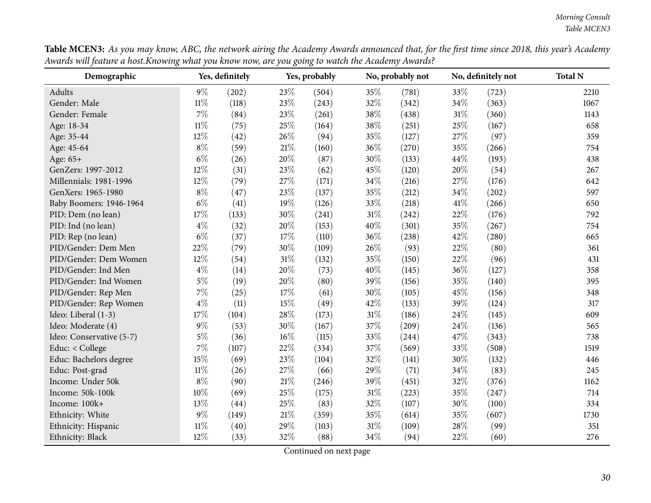| Table MCEN3: As you may know, ABC, the network airing the Academy Awards announced that, for the first time since 2018, this year's Academy |
|---------------------------------------------------------------------------------------------------------------------------------------------|
| Awards will feature a host.Knowing what you know now, are you going to watch the Academy Awards?                                            |

<span id="page-29-0"></span>

| Demographic              |        | Yes, definitely |     | Yes, probably |        | No, probably not |        | No, definitely not | <b>Total N</b> |
|--------------------------|--------|-----------------|-----|---------------|--------|------------------|--------|--------------------|----------------|
| Adults                   | $9\%$  | (202)           | 23% | (504)         | 35%    | (781)            | 33\%   | (723)              | 2210           |
| Gender: Male             | $11\%$ | (118)           | 23% | (243)         | 32%    | (342)            | 34%    | (363)              | 1067           |
| Gender: Female           | 7%     | (84)            | 23% | (261)         | 38%    | (438)            | $31\%$ | (360)              | 1143           |
| Age: 18-34               | $11\%$ | (75)            | 25% | (164)         | 38%    | (251)            | 25%    | (167)              | 658            |
| Age: 35-44               | 12%    | (42)            | 26% | (94)          | 35%    | (127)            | 27%    | (97)               | 359            |
| Age: 45-64               | $8\%$  | (59)            | 21% | (160)         | 36%    | (270)            | 35%    | (266)              | 754            |
| Age: 65+                 | $6\%$  | (26)            | 20% | (87)          | 30%    | (133)            | 44\%   | (193)              | 438            |
| GenZers: 1997-2012       | 12%    | (31)            | 23% | (62)          | 45%    | (120)            | 20%    | (54)               | 267            |
| Millennials: 1981-1996   | 12%    | (79)            | 27% | (171)         | 34%    | (216)            | 27\%   | (176)              | 642            |
| GenXers: 1965-1980       | $8\%$  | (47)            | 23% | (137)         | 35%    | (212)            | 34%    | (202)              | 597            |
| Baby Boomers: 1946-1964  | $6\%$  | (41)            | 19% | (126)         | 33%    | (218)            | 41\%   | (266)              | 650            |
| PID: Dem (no lean)       | 17%    | (133)           | 30% | (241)         | $31\%$ | (242)            | 22%    | (176)              | 792            |
| PID: Ind (no lean)       | $4\%$  | (32)            | 20% | (153)         | 40%    | (301)            | 35%    | (267)              | 754            |
| PID: Rep (no lean)       | $6\%$  | (37)            | 17% | (110)         | 36%    | (238)            | 42%    | (280)              | 665            |
| PID/Gender: Dem Men      | 22%    | (79)            | 30% | (109)         | 26%    | (93)             | 22%    | (80)               | 361            |
| PID/Gender: Dem Women    | 12%    | (54)            | 31% | (132)         | 35%    | (150)            | 22%    | (96)               | 431            |
| PID/Gender: Ind Men      | $4\%$  | (14)            | 20% | (73)          | 40%    | (145)            | 36%    | (127)              | 358            |
| PID/Gender: Ind Women    | $5\%$  | (19)            | 20% | (80)          | 39%    | (156)            | 35%    | (140)              | 395            |
| PID/Gender: Rep Men      | 7%     | (25)            | 17% | (61)          | 30%    | (105)            | 45%    | (156)              | 348            |
| PID/Gender: Rep Women    | $4\%$  | (11)            | 15% | (49)          | 42%    | (133)            | 39%    | (124)              | 317            |
| Ideo: Liberal (1-3)      | 17%    | (104)           | 28% | (173)         | $31\%$ | (186)            | 24\%   | (145)              | 609            |
| Ideo: Moderate (4)       | $9\%$  | (53)            | 30% | (167)         | 37%    | (209)            | 24\%   | (136)              | 565            |
| Ideo: Conservative (5-7) | $5\%$  | (36)            | 16% | (115)         | 33%    | (244)            | 47%    | (343)              | 738            |
| Educ: < College          | $7\%$  | (107)           | 22% | (334)         | 37%    | (569)            | 33%    | (508)              | 1519           |
| Educ: Bachelors degree   | 15%    | (69)            | 23% | (104)         | 32%    | (141)            | 30%    | (132)              | 446            |
| Educ: Post-grad          | $11\%$ | (26)            | 27% | (66)          | 29%    | (71)             | 34%    | (83)               | 245            |
| Income: Under 50k        | $8\%$  | (90)            | 21% | (246)         | 39%    | (451)            | 32%    | (376)              | 1162           |
| Income: 50k-100k         | 10%    | (69)            | 25% | (175)         | $31\%$ | (223)            | 35%    | (247)              | 714            |
| Income: 100k+            | 13%    | (44)            | 25% | (83)          | 32%    | (107)            | 30%    | (100)              | 334            |
| Ethnicity: White         | $9\%$  | (149)           | 21% | (359)         | 35%    | (614)            | 35%    | (607)              | 1730           |
| Ethnicity: Hispanic      | $11\%$ | (40)            | 29% | (103)         | $31\%$ | (109)            | 28%    | (99)               | 351            |
| Ethnicity: Black         | 12%    | (33)            | 32% | (88)          | 34%    | (94)             | 22%    | (60)               | 276            |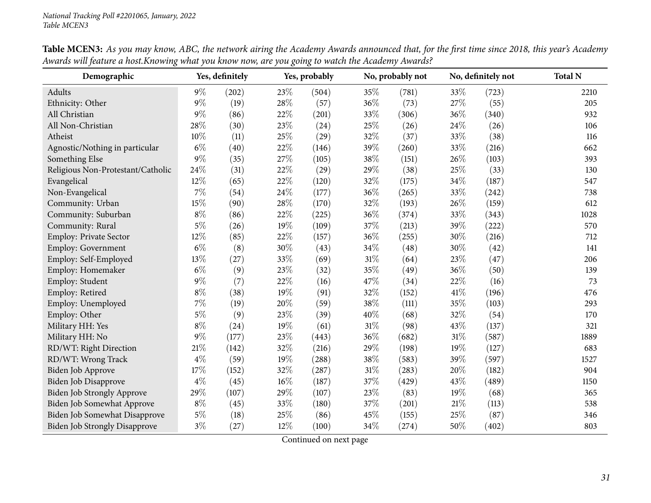| Demographic                          |        | Yes, definitely |     | Yes, probably |     | No, probably not |        | No, definitely not | <b>Total N</b> |
|--------------------------------------|--------|-----------------|-----|---------------|-----|------------------|--------|--------------------|----------------|
| Adults                               | $9\%$  | (202)           | 23% | (504)         | 35% | (781)            | 33%    | (723)              | 2210           |
| Ethnicity: Other                     | $9\%$  | (19)            | 28% | (57)          | 36% | (73)             | 27%    | (55)               | 205            |
| All Christian                        | $9\%$  | (86)            | 22% | (201)         | 33% | (306)            | 36%    | (340)              | 932            |
| All Non-Christian                    | 28\%   | (30)            | 23% | (24)          | 25% | (26)             | 24\%   | (26)               | 106            |
| Atheist                              | $10\%$ | (11)            | 25% | (29)          | 32% | (37)             | 33%    | (38)               | 116            |
| Agnostic/Nothing in particular       | $6\%$  | (40)            | 22% | (146)         | 39% | (260)            | 33%    | (216)              | 662            |
| Something Else                       | $9\%$  | (35)            | 27% | (105)         | 38% | (151)            | 26%    | (103)              | 393            |
| Religious Non-Protestant/Catholic    | 24\%   | (31)            | 22% | (29)          | 29% | (38)             | 25%    | (33)               | 130            |
| Evangelical                          | 12%    | (65)            | 22% | (120)         | 32% | (175)            | 34%    | (187)              | 547            |
| Non-Evangelical                      | $7\%$  | (54)            | 24% | (177)         | 36% | (265)            | 33%    | (242)              | 738            |
| Community: Urban                     | 15%    | (90)            | 28% | (170)         | 32% | (193)            | 26%    | (159)              | 612            |
| Community: Suburban                  | $8\%$  | (86)            | 22% | (225)         | 36% | (374)            | 33%    | (343)              | 1028           |
| Community: Rural                     | $5\%$  | (26)            | 19% | (109)         | 37% | (213)            | 39%    | (222)              | 570            |
| Employ: Private Sector               | 12%    | (85)            | 22% | (157)         | 36% | (255)            | 30%    | (216)              | 712            |
| <b>Employ: Government</b>            | $6\%$  | (8)             | 30% | (43)          | 34% | (48)             | 30%    | (42)               | 141            |
| Employ: Self-Employed                | 13%    | (27)            | 33% | (69)          | 31% | (64)             | 23%    | (47)               | 206            |
| Employ: Homemaker                    | $6\%$  | (9)             | 23% | (32)          | 35% | (49)             | 36%    | (50)               | 139            |
| Employ: Student                      | $9\%$  | (7)             | 22% | (16)          | 47% | (34)             | 22%    | (16)               | 73             |
| Employ: Retired                      | $8\%$  | (38)            | 19% | (91)          | 32% | (152)            | 41\%   | (196)              | 476            |
| Employ: Unemployed                   | $7\%$  | (19)            | 20% | (59)          | 38% | (111)            | 35%    | (103)              | 293            |
| Employ: Other                        | $5\%$  | (9)             | 23% | (39)          | 40% | (68)             | 32%    | (54)               | 170            |
| Military HH: Yes                     | $8\%$  | (24)            | 19% | (61)          | 31% | (98)             | 43%    | (137)              | 321            |
| Military HH: No                      | $9\%$  | (177)           | 23% | (443)         | 36% | (682)            | $31\%$ | (587)              | 1889           |
| RD/WT: Right Direction               | 21%    | (142)           | 32% | (216)         | 29% | (198)            | 19%    | (127)              | 683            |
| RD/WT: Wrong Track                   | $4\%$  | (59)            | 19% | (288)         | 38% | (583)            | 39%    | (597)              | 1527           |
| Biden Job Approve                    | 17%    | (152)           | 32% | (287)         | 31% | (283)            | 20%    | (182)              | 904            |
| <b>Biden Job Disapprove</b>          | $4\%$  | (45)            | 16% | (187)         | 37% | (429)            | 43%    | (489)              | 1150           |
| <b>Biden Job Strongly Approve</b>    | 29%    | (107)           | 29% | (107)         | 23% | (83)             | 19%    | (68)               | 365            |
| Biden Job Somewhat Approve           | $8\%$  | (45)            | 33% | (180)         | 37% | (201)            | $21\%$ | (113)              | 538            |
| Biden Job Somewhat Disapprove        | $5\%$  | (18)            | 25% | (86)          | 45% | (155)            | 25%    | (87)               | 346            |
| <b>Biden Job Strongly Disapprove</b> | $3\%$  | (27)            | 12% | (100)         | 34% | (274)            | 50%    | (402)              | 803            |

Table MCEN3: As you may know, ABC, the network airing the Academy Awards announced that, for the first time since 2018, this year's Academy Awards will feature a host. Knowing what you know now, are you going to watch the Academy Awards?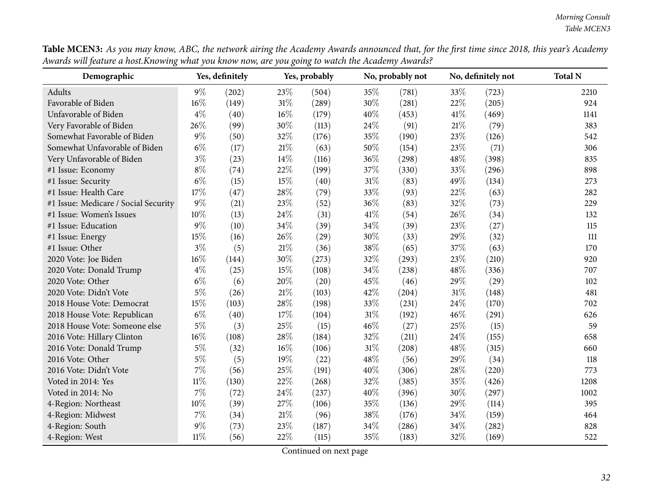| Demographic                          |        | Yes, definitely |        | Yes, probably |        | No, probably not |        | No, definitely not | <b>Total N</b> |
|--------------------------------------|--------|-----------------|--------|---------------|--------|------------------|--------|--------------------|----------------|
| Adults                               | $9\%$  | (202)           | 23%    | (504)         | 35%    | (781)            | 33%    | (723)              | 2210           |
| Favorable of Biden                   | 16%    | (149)           | $31\%$ | (289)         | 30%    | (281)            | 22%    | (205)              | 924            |
| Unfavorable of Biden                 | $4\%$  | (40)            | 16%    | (179)         | 40%    | (453)            | 41\%   | (469)              | 1141           |
| Very Favorable of Biden              | 26%    | (99)            | 30%    | (113)         | 24\%   | (91)             | $21\%$ | (79)               | 383            |
| Somewhat Favorable of Biden          | $9\%$  | (50)            | 32%    | (176)         | 35%    | (190)            | 23%    | (126)              | 542            |
| Somewhat Unfavorable of Biden        | $6\%$  | (17)            | $21\%$ | (63)          | 50%    | (154)            | 23%    | (71)               | 306            |
| Very Unfavorable of Biden            | $3\%$  | (23)            | 14%    | (116)         | 36%    | (298)            | 48%    | (398)              | 835            |
| #1 Issue: Economy                    | $8\%$  | (74)            | 22%    | (199)         | 37%    | (330)            | 33%    | (296)              | 898            |
| #1 Issue: Security                   | $6\%$  | (15)            | 15%    | (40)          | $31\%$ | (83)             | 49%    | (134)              | 273            |
| #1 Issue: Health Care                | 17%    | (47)            | 28%    | (79)          | 33%    | (93)             | 22%    | (63)               | 282            |
| #1 Issue: Medicare / Social Security | $9\%$  | (21)            | 23%    | (52)          | 36%    | (83)             | 32%    | (73)               | 229            |
| #1 Issue: Women's Issues             | 10%    | (13)            | 24%    | (31)          | 41\%   | (54)             | 26%    | (34)               | 132            |
| #1 Issue: Education                  | $9\%$  | (10)            | 34%    | (39)          | 34%    | (39)             | 23%    | (27)               | 115            |
| #1 Issue: Energy                     | 15%    | (16)            | 26%    | (29)          | 30%    | (33)             | 29%    | (32)               | 111            |
| #1 Issue: Other                      | $3\%$  | (5)             | $21\%$ | (36)          | 38%    | (65)             | 37%    | (63)               | 170            |
| 2020 Vote: Joe Biden                 | $16\%$ | (144)           | 30%    | (273)         | 32%    | (293)            | 23%    | (210)              | 920            |
| 2020 Vote: Donald Trump              | $4\%$  | (25)            | 15%    | (108)         | 34%    | (238)            | 48%    | (336)              | 707            |
| 2020 Vote: Other                     | $6\%$  | (6)             | 20%    | (20)          | 45%    | (46)             | 29%    | (29)               | 102            |
| 2020 Vote: Didn't Vote               | $5\%$  | (26)            | $21\%$ | (103)         | 42\%   | (204)            | 31%    | (148)              | 481            |
| 2018 House Vote: Democrat            | 15%    | (103)           | 28%    | (198)         | 33%    | (231)            | 24%    | (170)              | 702            |
| 2018 House Vote: Republican          | $6\%$  | (40)            | 17%    | (104)         | 31%    | (192)            | 46%    | (291)              | 626            |
| 2018 House Vote: Someone else        | $5\%$  | (3)             | 25%    | (15)          | 46%    | (27)             | 25%    | (15)               | 59             |
| 2016 Vote: Hillary Clinton           | 16%    | (108)           | 28%    | (184)         | 32%    | (211)            | 24%    | (155)              | 658            |
| 2016 Vote: Donald Trump              | $5\%$  | (32)            | 16%    | (106)         | $31\%$ | (208)            | 48%    | (315)              | 660            |
| 2016 Vote: Other                     | $5\%$  | (5)             | 19%    | (22)          | 48%    | (56)             | 29%    | (34)               | 118            |
| 2016 Vote: Didn't Vote               | $7\%$  | (56)            | 25%    | (191)         | 40%    | (306)            | 28%    | (220)              | 773            |
| Voted in 2014: Yes                   | $11\%$ | (130)           | 22%    | (268)         | 32%    | (385)            | 35%    | (426)              | 1208           |
| Voted in 2014: No                    | 7%     | (72)            | 24%    | (237)         | 40%    | (396)            | 30%    | (297)              | 1002           |
| 4-Region: Northeast                  | 10%    | (39)            | 27%    | (106)         | 35%    | (136)            | 29%    | (114)              | 395            |
| 4-Region: Midwest                    | $7\%$  | (34)            | $21\%$ | (96)          | 38%    | (176)            | 34%    | (159)              | 464            |
| 4-Region: South                      | 9%     | (73)            | 23%    | (187)         | 34%    | (286)            | 34%    | (282)              | 828            |
| 4-Region: West                       | $11\%$ | (56)            | 22%    | (115)         | 35%    | (183)            | 32%    | (169)              | 522            |

Table MCEN3: As you may know, ABC, the network airing the Academy Awards announced that, for the first time since 2018, this year's Academy Awards will feature a host. Knowing what you know now, are you going to watch the Academy Awards?  $\overline{\phantom{0}}$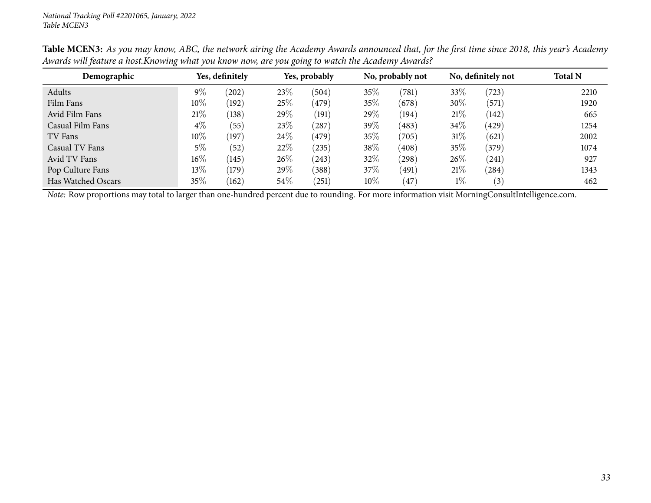| Demographic                                                                                                                                           | Yes, definitely |                 |        | Yes, probably |        | No, probably not |       | No, definitely not | <b>Total N</b> |
|-------------------------------------------------------------------------------------------------------------------------------------------------------|-----------------|-----------------|--------|---------------|--------|------------------|-------|--------------------|----------------|
| Adults                                                                                                                                                | 9%              | $^{'}202)$      | 23%    | (504)         | 35%    | (781)            | 33%   | (723)              | 2210           |
| Film Fans                                                                                                                                             | $10\%$          | (192)           | 25%    | (479)         | 35%    | (678)            | 30%   | (571)              | 1920           |
| Avid Film Fans                                                                                                                                        | 21%             | (138)           | 29%    | (191)         | 29\%   | (194)            | 21%   | (142)              | 665            |
| Casual Film Fans                                                                                                                                      | $4\%$           | (55)            | 23%    | (287)         | 39\%   | (483)            | 34%   | (429)              | 1254           |
| TV Fans                                                                                                                                               | $10\%$          | $^{\prime}197)$ | 24\%   | (479)         | 35%    | (705)            | 31\%  | (621)              | 2002           |
| Casual TV Fans                                                                                                                                        | 5%              | (52)            | 22%    | (235)         | 38\%   | (408)            | 35%   | (379)              | 1074           |
| Avid TV Fans                                                                                                                                          | $16\%$          | (145)           | $26\%$ | (243)         | 32%    | (298)            | 26\%  | (241)              | 927            |
| Pop Culture Fans                                                                                                                                      | 13\%            | (179)           | 29%    | (388)         | 37\%   | (491)            | 21%   | (284)              | 1343           |
| Has Watched Oscars                                                                                                                                    | $35\%$          | (162)           | 54%    | (251)         | $10\%$ | 47               | $1\%$ | (3)                | 462            |
| <i>Note:</i> Row proportions may total to larger than one-hundred percent due to rounding. For more information visit MorningConsultIntelligence.com. |                 |                 |        |               |        |                  |       |                    |                |

Table MCEN3: As you may know, ABC, the network airing the Academy Awards announced that, for the first time since 2018, this year's Academy Awards will feature a host. Knowing what you know now, are you going to watch the Academy Awards?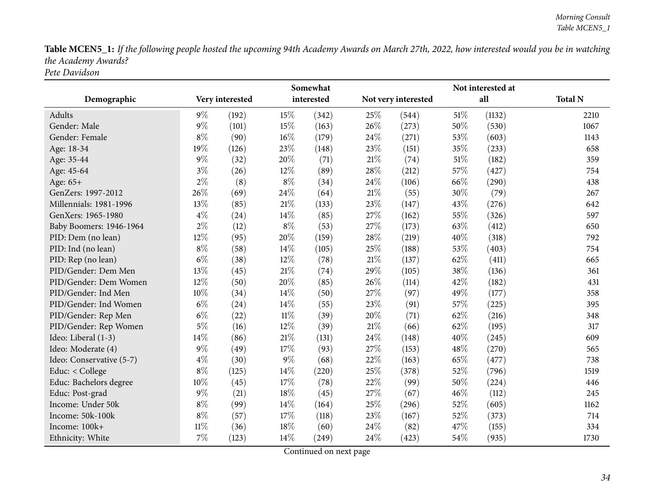Table MCEN5\_1: If the following people hosted the upcoming 94th Academy Awards on March 27th, 2022, how interested would you be in watching *the Academy Awards? Pete Davidson*

<span id="page-33-0"></span>

|                          | Somewhat        |       |            | Not interested at |                     |       |        |        |                |
|--------------------------|-----------------|-------|------------|-------------------|---------------------|-------|--------|--------|----------------|
| Demographic              | Very interested |       | interested |                   | Not very interested |       | all    |        | <b>Total N</b> |
| <b>Adults</b>            | $9\%$           | (192) | 15%        | (342)             | 25%                 | (544) | $51\%$ | (1132) | 2210           |
| Gender: Male             | $9\%$           | (101) | 15%        | (163)             | 26%                 | (273) | 50%    | (530)  | 1067           |
| Gender: Female           | $8\%$           | (90)  | 16%        | (179)             | 24%                 | (271) | 53%    | (603)  | 1143           |
| Age: 18-34               | 19%             | (126) | 23%        | (148)             | 23%                 | (151) | 35%    | (233)  | 658            |
| Age: 35-44               | $9\%$           | (32)  | 20%        | (71)              | $21\%$              | (74)  | $51\%$ | (182)  | 359            |
| Age: 45-64               | $3\%$           | (26)  | 12%        | (89)              | 28%                 | (212) | 57%    | (427)  | 754            |
| Age: 65+                 | $2\%$           | (8)   | $8\%$      | (34)              | 24%                 | (106) | 66%    | (290)  | 438            |
| GenZers: 1997-2012       | 26%             | (69)  | 24%        | (64)              | 21%                 | (55)  | 30%    | (79)   | 267            |
| Millennials: 1981-1996   | 13%             | (85)  | 21%        | (133)             | 23%                 | (147) | 43%    | (276)  | 642            |
| GenXers: 1965-1980       | $4\%$           | (24)  | 14%        | (85)              | 27%                 | (162) | 55%    | (326)  | 597            |
| Baby Boomers: 1946-1964  | $2\%$           | (12)  | $8\%$      | (53)              | 27%                 | (173) | 63%    | (412)  | 650            |
| PID: Dem (no lean)       | 12%             | (95)  | 20%        | (159)             | 28%                 | (219) | 40%    | (318)  | 792            |
| PID: Ind (no lean)       | $8\%$           | (58)  | 14%        | (105)             | 25%                 | (188) | 53%    | (403)  | 754            |
| PID: Rep (no lean)       | $6\%$           | (38)  | 12%        | (78)              | 21%                 | (137) | 62%    | (411)  | 665            |
| PID/Gender: Dem Men      | 13%             | (45)  | 21%        | (74)              | 29%                 | (105) | 38%    | (136)  | 361            |
| PID/Gender: Dem Women    | 12%             | (50)  | 20%        | (85)              | 26%                 | (114) | 42%    | (182)  | 431            |
| PID/Gender: Ind Men      | 10%             | (34)  | 14%        | (50)              | 27%                 | (97)  | 49%    | (177)  | 358            |
| PID/Gender: Ind Women    | $6\%$           | (24)  | 14\%       | (55)              | 23%                 | (91)  | 57%    | (225)  | 395            |
| PID/Gender: Rep Men      | $6\%$           | (22)  | $11\%$     | (39)              | 20%                 | (71)  | 62%    | (216)  | 348            |
| PID/Gender: Rep Women    | $5\%$           | (16)  | 12%        | (39)              | $21\%$              | (66)  | 62%    | (195)  | 317            |
| Ideo: Liberal (1-3)      | 14%             | (86)  | 21%        | (131)             | 24%                 | (148) | 40%    | (245)  | 609            |
| Ideo: Moderate (4)       | $9\%$           | (49)  | 17%        | (93)              | 27%                 | (153) | 48%    | (270)  | 565            |
| Ideo: Conservative (5-7) | $4\%$           | (30)  | $9\%$      | (68)              | 22%                 | (163) | 65%    | (477)  | 738            |
| Educ: < College          | $8\%$           | (125) | 14%        | (220)             | 25%                 | (378) | 52%    | (796)  | 1519           |
| Educ: Bachelors degree   | 10%             | (45)  | 17%        | (78)              | 22%                 | (99)  | 50%    | (224)  | 446            |
| Educ: Post-grad          | $9\%$           | (21)  | 18%        | (45)              | 27%                 | (67)  | 46%    | (112)  | 245            |
| Income: Under 50k        | $8\%$           | (99)  | 14%        | (164)             | 25%                 | (296) | 52%    | (605)  | 1162           |
| Income: 50k-100k         | $8\%$           | (57)  | 17%        | (118)             | 23%                 | (167) | 52%    | (373)  | 714            |
| Income: 100k+            | $11\%$          | (36)  | 18%        | (60)              | 24%                 | (82)  | 47%    | (155)  | 334            |
| Ethnicity: White         | 7%              | (123) | 14%        | (249)             | 24%                 | (423) | 54%    | (935)  | 1730           |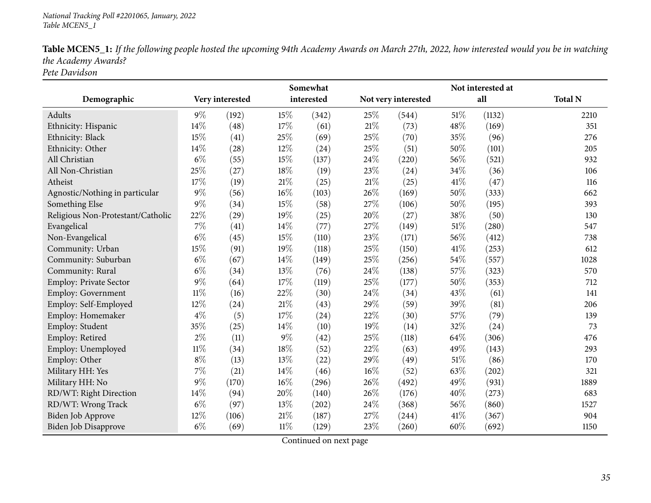| Table MCEN5_1: If the following people hosted the upcoming 94th Academy Awards on March 27th, 2022, how interested would you be in watching |
|---------------------------------------------------------------------------------------------------------------------------------------------|
| the Academy Awards?                                                                                                                         |
| Pete Davidson                                                                                                                               |

**Demographic Very interestedSomewhat interested Not very interested Not interested at all Total <sup>N</sup>**Adultss  $9\%$  (192)  $15\%$   $(342)$   $25\%$   $(544)$   $51\%$   $(1132)$  2210 351 Ethnicity: Hispanic 14% (48) 17% (61) 21% (73) 48% (169) 351 Ethnicity: Blackk 15% (41)  $25\%$  (69)  $25\%$  (70)  $35\%$  (96) 276 Ethnicity: Other 14% (28) 12% (24) 25% (51) 50% (101) 205 All Christian**n** 6% (55)  $15\%$  (137)  $24\%$  (220)  $56\%$  (521) 932 All Non-Christiann 25% (27)  $18\%$  (19)  $23\%$  (24)  $34\%$  (36)  $106$ Atheistt 17% (19)  $21\%$   $(25)$   $21\%$   $(25)$   $41\%$   $(47)$   $116$ 662 Agnostic/Nothing in particular  $9\%$  (56)  $16\%$  (103)  $26\%$  (169)  $50\%$  (333) 662<br>Something Else  $9\%$  (34)  $15\%$  (58)  $27\%$  (106)  $50\%$  (195) 393 Something Else  $9\%$   $(34)$   $15\%$   $(58)$   $27\%$   $(106)$   $50\%$   $(195)$   $393$ Religious Non-Protestant/Catholic 22% (29) 19% (25) 20% (27) 38% (50) 130<br>Evangelical 7% (41) 14% (77) 27% (149) 51% (280) 547 547 Evangelical  $(14\%)$   $14\%$   $(77)$   $27\%$   $(149)$   $51\%$   $(280)$  547 738 Non-Evangelical  $6\%$  (45)  $15\%$  (110)  $23\%$  (171)  $56\%$  (412) 738 612 Community: Urbann 15% (91) 19% (118) 25% (150) 41% (253) 612 Community: Suburbann 6% (67)  $14\%$  (149)  $25\%$  (256)  $54\%$  (557) 1028 Community: Rural 6% (34)  $13\%$  (76)  $24\%$  (138)  $57\%$  (323) 570 712 Employ: Private Sector 9% (64) 17% (119) 25% (177) 50% (353)<br>
Employ: Government 11% (16) 22% (30) 24% (34) 43% (61) Employ: Government 11% (16)  $22\%$  (30)  $24\%$  (34)  $43\%$  (61) 141 Employ: Self-Employedd  $12\%$   $(24)$   $21\%$   $(43)$   $29\%$   $(59)$   $39\%$   $(81)$   $206$ Employ: Homemaker 4%<br>Employ: Student 35%  $\frac{\%}{\%}$  (5) 17\% (24) 22\% (30) 57\% (79) 139 Employ: Student  $35\%$   $(25)$   $14\%$   $(10)$   $19\%$   $(14)$   $32\%$   $(24)$   $73$ Employ: Retiredd  $2\%$  (11)  $9\%$  (42)  $25\%$  (118)  $64\%$  (306) 476 Employ: Unemployedd  $11\%$  (34)  $18\%$  (52)  $22\%$  (63)  $49\%$  (143) 293 Employ: Other  $8\%$  (13)  $13\%$  (22)  $29\%$  (49)  $51\%$  (86) 170 321 Military HH: Yes 21 7<sup>%</sup> (21)  $14\%$  (46)  $16\%$  (52)  $63\%$  (202) 63% (202) Military HH: No0 **9%** (170) 16% (296) 26% (492) 49% (931) 1889 RD/WT: Right Directionn 14% (94)  $20\%$  (140)  $26\%$  (176)  $40\%$  (273) 683 RD/WT: Wrong Trackk 6% (97)  $13\%$  (202)  $24\%$  (368)  $56\%$  (860) 1527 Biden Job Approve 21% (106) 21% (187) 27% (244) 41% (367) 904 1150 Biden Job Disapprove  $6\%$   $(69)$   $11\%$   $(129)$   $23\%$   $(260)$   $60\%$   $(692)$   $1150$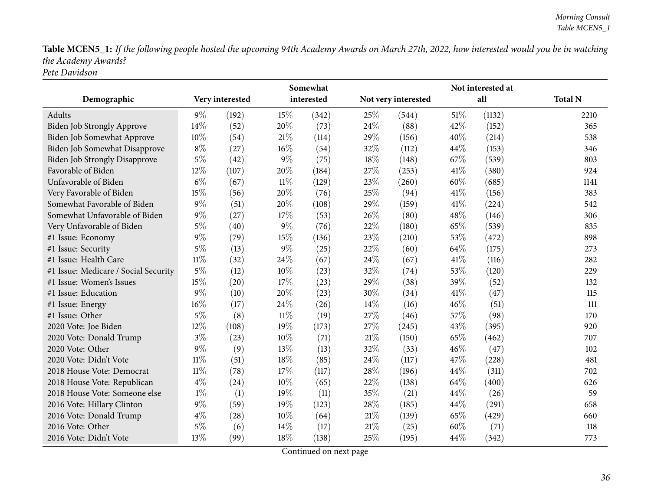Table MCEN5\_1: If the following people hosted the upcoming 94th Academy Awards on March 27th, 2022, how interested would you be in watching *the Academy Awards? Pete Davidson*

|                                      | Somewhat        |       |        | Not interested at |        |                     |      |        |                |
|--------------------------------------|-----------------|-------|--------|-------------------|--------|---------------------|------|--------|----------------|
| Demographic                          | Very interested |       |        | interested        |        | Not very interested |      | all    | <b>Total N</b> |
| Adults                               | $9\%$           | (192) | 15%    | (342)             | 25%    | (544)               | 51%  | (1132) | 2210           |
| <b>Biden Job Strongly Approve</b>    | 14%             | (52)  | 20%    | (73)              | 24\%   | (88)                | 42%  | (152)  | 365            |
| Biden Job Somewhat Approve           | 10%             | (54)  | $21\%$ | (114)             | 29%    | (156)               | 40%  | (214)  | 538            |
| Biden Job Somewhat Disapprove        | $8\%$           | (27)  | 16%    | (54)              | 32%    | (112)               | 44%  | (153)  | 346            |
| <b>Biden Job Strongly Disapprove</b> | $5\%$           | (42)  | $9\%$  | (75)              | 18%    | (148)               | 67%  | (539)  | 803            |
| Favorable of Biden                   | 12%             | (107) | 20%    | (184)             | 27\%   | (253)               | 41\% | (380)  | 924            |
| Unfavorable of Biden                 | $6\%$           | (67)  | $11\%$ | (129)             | 23%    | (260)               | 60%  | (685)  | 1141           |
| Very Favorable of Biden              | 15%             | (56)  | 20%    | (76)              | 25%    | (94)                | 41\% | (156)  | 383            |
| Somewhat Favorable of Biden          | $9\%$           | (51)  | 20%    | (108)             | 29%    | (159)               | 41%  | (224)  | 542            |
| Somewhat Unfavorable of Biden        | $9\%$           | (27)  | 17%    | (53)              | 26\%   | (80)                | 48%  | (146)  | 306            |
| Very Unfavorable of Biden            | $5\%$           | (40)  | $9\%$  | (76)              | 22%    | (180)               | 65%  | (539)  | 835            |
| #1 Issue: Economy                    | $9\%$           | (79)  | 15%    | (136)             | 23%    | (210)               | 53%  | (472)  | 898            |
| #1 Issue: Security                   | $5\%$           | (13)  | 9%     | (25)              | 22%    | (60)                | 64%  | (175)  | 273            |
| #1 Issue: Health Care                | $11\%$          | (32)  | 24%    | (67)              | 24%    | (67)                | 41\% | (116)  | 282            |
| #1 Issue: Medicare / Social Security | $5\%$           | (12)  | 10%    | (23)              | 32%    | (74)                | 53%  | (120)  | 229            |
| #1 Issue: Women's Issues             | 15%             | (20)  | 17%    | (23)              | 29%    | (38)                | 39%  | (52)   | 132            |
| #1 Issue: Education                  | $9\%$           | (10)  | 20%    | (23)              | 30%    | (34)                | 41%  | (47)   | 115            |
| #1 Issue: Energy                     | $16\%$          | (17)  | 24%    | (26)              | $14\%$ | (16)                | 46%  | (51)   | 111            |
| #1 Issue: Other                      | $5\%$           | (8)   | $11\%$ | (19)              | 27%    | (46)                | 57%  | (98)   | 170            |
| 2020 Vote: Joe Biden                 | 12%             | (108) | 19%    | (173)             | 27\%   | (245)               | 43%  | (395)  | 920            |
| 2020 Vote: Donald Trump              | $3\%$           | (23)  | 10%    | (71)              | $21\%$ | (150)               | 65%  | (462)  | 707            |
| 2020 Vote: Other                     | $9\%$           | (9)   | 13%    | (13)              | 32%    | (33)                | 46%  | (47)   | 102            |
| 2020 Vote: Didn't Vote               | $11\%$          | (51)  | 18%    | (85)              | 24\%   | (117)               | 47%  | (228)  | 481            |
| 2018 House Vote: Democrat            | $11\%$          | (78)  | 17%    | (117)             | 28%    | (196)               | 44\% | (311)  | 702            |
| 2018 House Vote: Republican          | $4\%$           | (24)  | 10%    | (65)              | 22%    | (138)               | 64%  | (400)  | 626            |
| 2018 House Vote: Someone else        | $1\%$           | (1)   | 19%    | (11)              | 35%    | (21)                | 44%  | (26)   | 59             |
| 2016 Vote: Hillary Clinton           | $9\%$           | (59)  | 19%    | (123)             | 28%    | (185)               | 44%  | (291)  | 658            |
| 2016 Vote: Donald Trump              | $4\%$           | (28)  | 10%    | (64)              | $21\%$ | (139)               | 65%  | (429)  | 660            |
| 2016 Vote: Other                     | $5\%$           | (6)   | 14%    | (17)              | $21\%$ | (25)                | 60%  | (71)   | 118            |
| 2016 Vote: Didn't Vote               | 13%             | (99)  | 18%    | (138)             | 25%    | (195)               | 44%  | (342)  | 773            |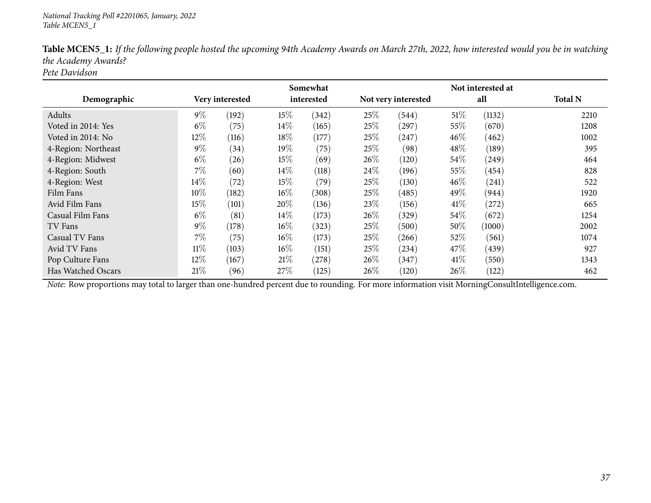|                     |        |                 |        | Somewhat   |        |                     |        | Not interested at |                |
|---------------------|--------|-----------------|--------|------------|--------|---------------------|--------|-------------------|----------------|
| Demographic         |        | Very interested |        | interested |        | Not very interested |        | all               | <b>Total N</b> |
| Adults              | $9\%$  | (192)           | 15%    | (342)      | 25%    | (544)               | $51\%$ | (1132)            | 2210           |
| Voted in 2014: Yes  | $6\%$  | (75)            | $14\%$ | (165)      | 25%    | (297)               | 55\%   | (670)             | 1208           |
| Voted in 2014: No   | 12%    | (116)           | 18%    | (177)      | 25%    | (247)               | $46\%$ | (462)             | 1002           |
| 4-Region: Northeast | $9\%$  | (34)            | 19%    | (75)       | 25\%   | (98)                | 48\%   | (189)             | 395            |
| 4-Region: Midwest   | $6\%$  | (26)            | 15%    | (69)       | $26\%$ | (120)               | 54%    | (249)             | 464            |
| 4-Region: South     | 7%     | (60)            | 14\%   | (118)      | 24\%   | (196)               | 55\%   | (454)             | 828            |
| 4-Region: West      | 14\%   | (72)            | 15%    | (79`       | 25%    | (130)               | 46%    | (241)             | 522            |
| Film Fans           | 10%    | (182)           | $16\%$ | (308)      | 25%    | (485)               | 49\%   | (944)             | 1920           |
| Avid Film Fans      | 15%    | (101)           | 20%    | (136)      | 23\%   | (156)               | 41\%   | (272)             | 665            |
| Casual Film Fans    | $6\%$  | (81)            | 14\%   | (173)      | $26\%$ | (329)               | 54%    | (672)             | 1254           |
| TV Fans             | $9\%$  | (178)           | $16\%$ | (323)      | 25%    | (500)               | 50%    | (1000)            | 2002           |
| Casual TV Fans      | 7%     | (75)            | $16\%$ | (173)      | 25%    | (266)               | 52%    | (561)             | 1074           |
| Avid TV Fans        | $11\%$ | (103)           | $16\%$ | (151)      | 25%    | (234)               | 47\%   | (439)             | 927            |
| Pop Culture Fans    | 12%    | (167)           | 21%    | (278)      | $26\%$ | (347)               | 41\%   | (550)             | 1343           |
| Has Watched Oscars  | 21%    | (96)            | 27%    | (125)      | 26%    | (120)               | 26%    | (122)             | 462            |

Table MCEN5\_1: If the following people hosted the upcoming 94th Academy Awards on March 27th, 2022, how interested would you be in watching *the Academy Awards?*

*Pete Davidson*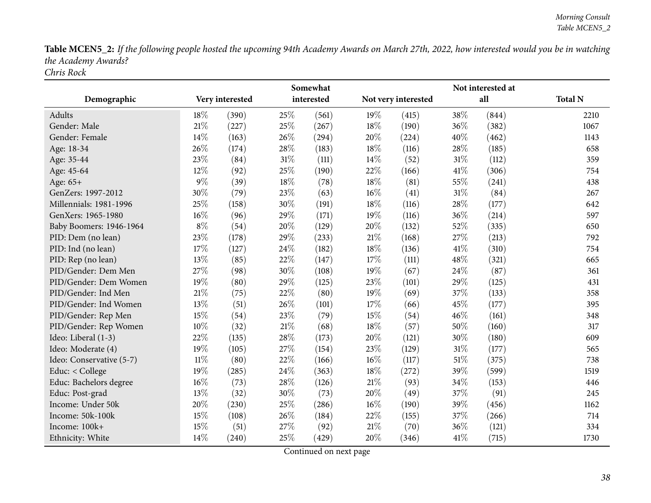Table MCEN5\_2: If the following people hosted the upcoming 94th Academy Awards on March 27th, 2022, how interested would you be in watching *the Academy Awards? Chris Rock*

|                          |        |                 |        | Somewhat   | Not interested at |                     |        |       |                |  |  |
|--------------------------|--------|-----------------|--------|------------|-------------------|---------------------|--------|-------|----------------|--|--|
| Demographic              |        | Very interested |        | interested |                   | Not very interested |        | all   | <b>Total N</b> |  |  |
| Adults                   | 18%    | (390)           | 25%    | (561)      | 19%               | (415)               | 38%    | (844) | 2210           |  |  |
| Gender: Male             | 21%    | (227)           | 25%    | (267)      | 18%               | (190)               | 36%    | (382) | 1067           |  |  |
| Gender: Female           | 14%    | (163)           | 26%    | (294)      | 20%               | (224)               | 40%    | (462) | 1143           |  |  |
| Age: 18-34               | 26%    | (174)           | 28%    | (183)      | 18%               | (116)               | 28\%   | (185) | 658            |  |  |
| Age: 35-44               | 23%    | (84)            | $31\%$ | (111)      | 14%               | (52)                | $31\%$ | (112) | 359            |  |  |
| Age: 45-64               | 12%    | (92)            | 25%    | (190)      | 22%               | (166)               | 41\%   | (306) | 754            |  |  |
| Age: 65+                 | 9%     | (39)            | 18%    | (78)       | 18%               | (81)                | 55%    | (241) | 438            |  |  |
| GenZers: 1997-2012       | 30%    | (79)            | 23%    | (63)       | 16%               | (41)                | 31%    | (84)  | 267            |  |  |
| Millennials: 1981-1996   | $25\%$ | (158)           | 30%    | (191)      | 18%               | (116)               | $28\%$ | (177) | 642            |  |  |
| GenXers: 1965-1980       | 16%    | (96)            | 29%    | (171)      | 19%               | (116)               | 36%    | (214) | 597            |  |  |
| Baby Boomers: 1946-1964  | $8\%$  | (54)            | 20%    | (129)      | 20%               | (132)               | 52%    | (335) | 650            |  |  |
| PID: Dem (no lean)       | 23%    | (178)           | 29%    | (233)      | 21%               | (168)               | 27%    | (213) | 792            |  |  |
| PID: Ind (no lean)       | 17%    | (127)           | 24%    | (182)      | 18%               | (136)               | 41\%   | (310) | 754            |  |  |
| PID: Rep (no lean)       | 13%    | (85)            | 22%    | (147)      | 17%               | (111)               | 48%    | (321) | 665            |  |  |
| PID/Gender: Dem Men      | 27%    | (98)            | 30%    | (108)      | 19%               | (67)                | 24%    | (87)  | 361            |  |  |
| PID/Gender: Dem Women    | 19%    | (80)            | 29%    | (125)      | 23%               | (101)               | 29%    | (125) | 431            |  |  |
| PID/Gender: Ind Men      | 21%    | (75)            | 22%    | (80)       | 19%               | (69)                | 37%    | (133) | 358            |  |  |
| PID/Gender: Ind Women    | 13%    | (51)            | 26%    | (101)      | 17%               | (66)                | 45%    | (177) | 395            |  |  |
| PID/Gender: Rep Men      | 15%    | (54)            | 23%    | (79)       | 15%               | (54)                | 46%    | (161) | 348            |  |  |
| PID/Gender: Rep Women    | 10%    | (32)            | 21%    | (68)       | 18%               | (57)                | 50%    | (160) | 317            |  |  |
| Ideo: Liberal (1-3)      | 22%    | (135)           | 28%    | (173)      | 20%               | (121)               | 30%    | (180) | 609            |  |  |
| Ideo: Moderate (4)       | 19%    | (105)           | 27%    | (154)      | 23%               | (129)               | $31\%$ | (177) | 565            |  |  |
| Ideo: Conservative (5-7) | $11\%$ | (80)            | 22%    | (166)      | 16%               | (117)               | $51\%$ | (375) | 738            |  |  |
| Educ: < College          | 19%    | (285)           | 24%    | (363)      | 18%               | (272)               | 39%    | (599) | 1519           |  |  |
| Educ: Bachelors degree   | $16\%$ | (73)            | 28%    | (126)      | $21\%$            | (93)                | 34%    | (153) | 446            |  |  |
| Educ: Post-grad          | 13%    | (32)            | 30%    | (73)       | 20%               | (49)                | 37%    | (91)  | 245            |  |  |
| Income: Under 50k        | 20%    | (230)           | 25%    | (286)      | 16%               | (190)               | 39%    | (456) | 1162           |  |  |
| Income: 50k-100k         | 15%    | (108)           | 26%    | (184)      | 22%               | (155)               | 37%    | (266) | 714            |  |  |
| Income: 100k+            | 15%    | (51)            | 27%    | (92)       | $21\%$            | (70)                | 36%    | (121) | 334            |  |  |
| Ethnicity: White         | 14%    | (240)           | 25%    | (429)      | 20%               | (346)               | 41\%   | (715) | 1730           |  |  |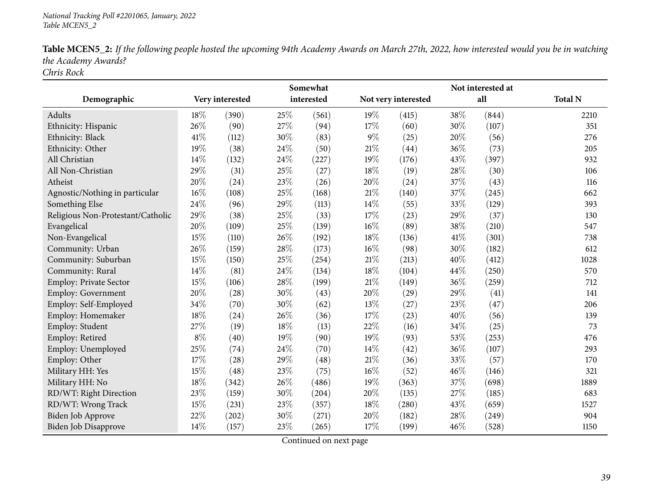| Table MCEN5_2: If the following people hosted the upcoming 94th Academy Awards on March 27th, 2022, how interested would you be in watching |
|---------------------------------------------------------------------------------------------------------------------------------------------|
| the Academy Awards?                                                                                                                         |
| Chris Rock                                                                                                                                  |

|                                   |       |                 |      | Somewhat   |        |                     |      |       |                |
|-----------------------------------|-------|-----------------|------|------------|--------|---------------------|------|-------|----------------|
| Demographic                       |       | Very interested |      | interested |        | Not very interested |      | all   | <b>Total N</b> |
| Adults                            | 18%   | (390)           | 25%  | (561)      | 19%    | (415)               | 38%  | (844) | 2210           |
| Ethnicity: Hispanic               | 26\%  | (90)            | 27%  | (94)       | 17%    | (60)                | 30%  | (107) | 351            |
| Ethnicity: Black                  | 41\%  | (112)           | 30%  | (83)       | $9\%$  | (25)                | 20%  | (56)  | 276            |
| Ethnicity: Other                  | 19%   | (38)            | 24\% | (50)       | $21\%$ | (44)                | 36%  | (73)  | 205            |
| All Christian                     | 14%   | (132)           | 24\% | (227)      | 19%    | (176)               | 43%  | (397) | 932            |
| All Non-Christian                 | 29%   | (31)            | 25%  | (27)       | 18%    | (19)                | 28%  | (30)  | 106            |
| Atheist                           | 20%   | (24)            | 23%  | (26)       | 20%    | (24)                | 37%  | (43)  | 116            |
| Agnostic/Nothing in particular    | 16%   | (108)           | 25%  | (168)      | $21\%$ | (140)               | 37%  | (245) | 662            |
| Something Else                    | 24%   | (96)            | 29%  | (113)      | 14\%   | (55)                | 33%  | (129) | 393            |
| Religious Non-Protestant/Catholic | 29%   | (38)            | 25%  | (33)       | 17%    | (23)                | 29%  | (37)  | 130            |
| Evangelical                       | 20%   | (109)           | 25%  | (139)      | 16%    | (89)                | 38%  | (210) | 547            |
| Non-Evangelical                   | 15%   | (110)           | 26%  | (192)      | 18%    | (136)               | 41\% | (301) | 738            |
| Community: Urban                  | 26%   | (159)           | 28%  | (173)      | 16%    | (98)                | 30%  | (182) | 612            |
| Community: Suburban               | 15%   | (150)           | 25%  | (254)      | 21%    | (213)               | 40%  | (412) | 1028           |
| Community: Rural                  | 14%   | (81)            | 24\% | (134)      | 18%    | (104)               | 44%  | (250) | 570            |
| Employ: Private Sector            | 15%   | (106)           | 28%  | (199)      | $21\%$ | (149)               | 36%  | (259) | 712            |
| Employ: Government                | 20%   | (28)            | 30%  | (43)       | 20%    | (29)                | 29%  | (41)  | 141            |
| Employ: Self-Employed             | 34%   | (70)            | 30%  | (62)       | 13%    | (27)                | 23%  | (47)  | 206            |
| Employ: Homemaker                 | 18%   | (24)            | 26%  | (36)       | 17%    | (23)                | 40%  | (56)  | 139            |
| Employ: Student                   | 27%   | (19)            | 18%  | (13)       | 22%    | (16)                | 34%  | (25)  | 73             |
| Employ: Retired                   | $8\%$ | (40)            | 19%  | (90)       | 19%    | (93)                | 53%  | (253) | 476            |
| Employ: Unemployed                | 25%   | (74)            | 24%  | (70)       | 14%    | (42)                | 36%  | (107) | 293            |
| Employ: Other                     | 17%   | (28)            | 29%  | (48)       | 21%    | (36)                | 33%  | (57)  | 170            |
| Military HH: Yes                  | 15%   | (48)            | 23%  | (75)       | 16%    | (52)                | 46%  | (146) | 321            |
| Military HH: No                   | 18%   | (342)           | 26%  | (486)      | 19%    | (363)               | 37%  | (698) | 1889           |
| RD/WT: Right Direction            | 23%   | (159)           | 30%  | (204)      | 20%    | (135)               | 27%  | (185) | 683            |
| RD/WT: Wrong Track                | 15%   | (231)           | 23%  | (357)      | 18%    | (280)               | 43%  | (659) | 1527           |
| Biden Job Approve                 | 22%   | (202)           | 30%  | (271)      | 20%    | (182)               | 28%  | (249) | 904            |
| Biden Job Disapprove              | 14%   | (157)           | 23%  | (265)      | 17%    | (199)               | 46%  | (528) | 1150           |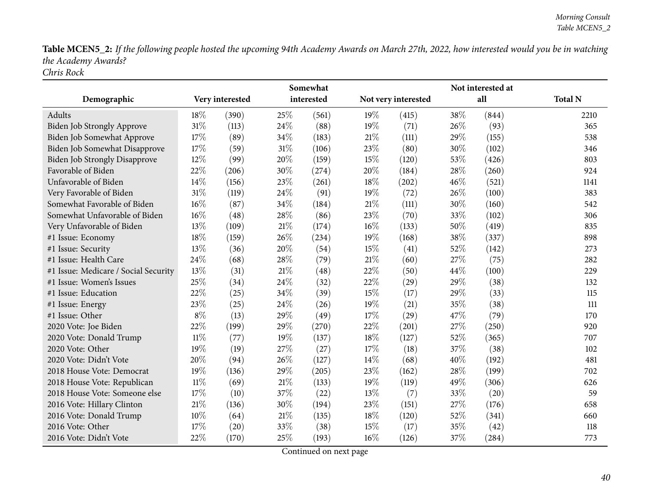Table MCEN5\_2: If the following people hosted the upcoming 94th Academy Awards on March 27th, 2022, how interested would you be in watching *the Academy Awards? Chris Rock*

|                                      | Somewhat |                 |        |            |        |                     |     | Not interested at |                |
|--------------------------------------|----------|-----------------|--------|------------|--------|---------------------|-----|-------------------|----------------|
| Demographic                          |          | Very interested |        | interested |        | Not very interested |     | all               | <b>Total N</b> |
| Adults                               | 18%      | (390)           | 25%    | (561)      | 19%    | (415)               | 38% | (844)             | 2210           |
| <b>Biden Job Strongly Approve</b>    | 31%      | (113)           | 24\%   | (88)       | 19%    | (71)                | 26% | (93)              | 365            |
| Biden Job Somewhat Approve           | 17%      | (89)            | 34%    | (183)      | $21\%$ | (111)               | 29% | (155)             | 538            |
| Biden Job Somewhat Disapprove        | 17%      | (59)            | $31\%$ | (106)      | 23%    | (80)                | 30% | (102)             | 346            |
| <b>Biden Job Strongly Disapprove</b> | 12%      | (99)            | 20%    | (159)      | 15%    | (120)               | 53% | (426)             | 803            |
| Favorable of Biden                   | 22%      | (206)           | 30%    | (274)      | 20%    | (184)               | 28% | (260)             | 924            |
| Unfavorable of Biden                 | 14%      | (156)           | 23%    | (261)      | 18%    | (202)               | 46% | (521)             | 1141           |
| Very Favorable of Biden              | 31%      | (119)           | 24%    | (91)       | 19%    | (72)                | 26% | (100)             | 383            |
| Somewhat Favorable of Biden          | 16%      | (87)            | 34%    | (184)      | 21%    | (111)               | 30% | (160)             | 542            |
| Somewhat Unfavorable of Biden        | 16%      | (48)            | 28%    | (86)       | 23%    | (70)                | 33% | (102)             | 306            |
| Very Unfavorable of Biden            | 13%      | (109)           | $21\%$ | (174)      | $16\%$ | (133)               | 50% | (419)             | 835            |
| #1 Issue: Economy                    | 18%      | (159)           | 26%    | (234)      | 19%    | (168)               | 38% | (337)             | 898            |
| #1 Issue: Security                   | 13%      | (36)            | 20%    | (54)       | 15%    | (41)                | 52% | (142)             | 273            |
| #1 Issue: Health Care                | 24%      | (68)            | 28%    | (79)       | 21\%   | (60)                | 27% | (75)              | 282            |
| #1 Issue: Medicare / Social Security | 13%      | (31)            | 21%    | (48)       | 22%    | (50)                | 44% | (100)             | 229            |
| #1 Issue: Women's Issues             | 25%      | (34)            | 24%    | (32)       | 22%    | (29)                | 29% | (38)              | 132            |
| #1 Issue: Education                  | 22%      | (25)            | 34%    | (39)       | 15%    | (17)                | 29% | (33)              | 115            |
| #1 Issue: Energy                     | 23%      | (25)            | 24%    | (26)       | 19%    | (21)                | 35% | (38)              | 111            |
| #1 Issue: Other                      | $8\%$    | (13)            | 29%    | (49)       | 17%    | (29)                | 47% | (79)              | 170            |
| 2020 Vote: Joe Biden                 | 22%      | (199)           | 29%    | (270)      | 22%    | (201)               | 27% | (250)             | 920            |
| 2020 Vote: Donald Trump              | $11\%$   | (77)            | 19%    | (137)      | 18%    | (127)               | 52% | (365)             | 707            |
| 2020 Vote: Other                     | 19%      | (19)            | 27%    | (27)       | 17\%   | (18)                | 37% | (38)              | 102            |
| 2020 Vote: Didn't Vote               | 20%      | (94)            | 26%    | (127)      | 14%    | (68)                | 40% | (192)             | 481            |
| 2018 House Vote: Democrat            | 19%      | (136)           | 29%    | (205)      | 23%    | (162)               | 28% | (199)             | 702            |
| 2018 House Vote: Republican          | $11\%$   | (69)            | 21%    | (133)      | 19%    | (119)               | 49% | (306)             | 626            |
| 2018 House Vote: Someone else        | 17%      | (10)            | 37%    | (22)       | 13%    | (7)                 | 33% | (20)              | 59             |
| 2016 Vote: Hillary Clinton           | 21%      | (136)           | 30%    | (194)      | 23%    | (151)               | 27% | (176)             | 658            |
| 2016 Vote: Donald Trump              | 10%      | (64)            | 21%    | (135)      | 18%    | (120)               | 52% | (341)             | 660            |
| 2016 Vote: Other                     | 17%      | (20)            | 33%    | (38)       | 15%    | (17)                | 35% | (42)              | 118            |
| 2016 Vote: Didn't Vote               | 22%      | (170)           | 25%    | (193)      | 16%    | (126)               | 37% | (284)             | 773            |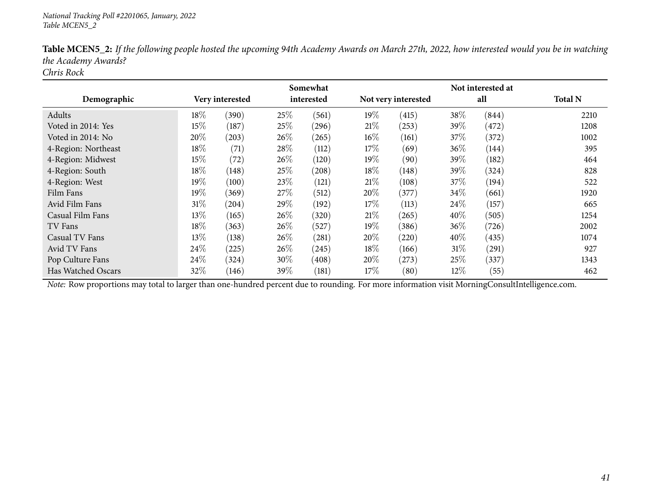|                     |        |                 |      | Somewhat   |        |                     |        | Not interested at |                |
|---------------------|--------|-----------------|------|------------|--------|---------------------|--------|-------------------|----------------|
| Demographic         |        | Very interested |      | interested |        | Not very interested |        | all               | <b>Total N</b> |
| Adults              | $18\%$ | (390)           | 25%  | (561)      | 19%    | (415)               | 38%    | (844)             | 2210           |
| Voted in 2014: Yes  | 15%    | (187)           | 25%  | (296)      | 21%    | (253)               | 39\%   | (472)             | 1208           |
| Voted in 2014: No   | 20%    | (203)           | 26%  | (265)      | $16\%$ | (161)               | 37%    | (372)             | 1002           |
| 4-Region: Northeast | 18%    | (71)            | 28%  | (112)      | 17%    | (69)                | 36%    | (144)             | 395            |
| 4-Region: Midwest   | 15%    | (72)            | 26\% | (120)      | $19\%$ | (90)                | 39\%   | (182)             | 464            |
| 4-Region: South     | 18%    | (148)           | 25%  | (208)      | 18%    | (148)               | 39\%   | (324)             | 828            |
| 4-Region: West      | $19\%$ | (100)           | 23%  | (121)      | 21\%   | (108)               | 37%    | (194)             | 522            |
| Film Fans           | 19%    | (369)           | 27\% | (512)      | 20%    | (377)               | 34\%   | (661)             | 1920           |
| Avid Film Fans      | $31\%$ | (204)           | 29\% | (192)      | $17\%$ | (113)               | 24%    | (157)             | 665            |
| Casual Film Fans    | 13\%   | (165)           | 26%  | (320)      | 21\%   | (265)               | 40%    | (505)             | 1254           |
| TV Fans             | 18%    | (363)           | 26\% | (527)      | $19\%$ | (386)               | 36%    | (726)             | 2002           |
| Casual TV Fans      | 13%    | (138)           | 26%  | (281)      | 20%    | (220)               | 40%    | (435)             | 1074           |
| Avid TV Fans        | 24\%   | (225)           | 26%  | (245)      | 18%    | (166)               | 31%    | (291)             | 927            |
| Pop Culture Fans    | 24\%   | (324)           | 30%  | (408)      | $20\%$ | (273)               | 25%    | (337)             | 1343           |
| Has Watched Oscars  | 32%    | (146)           | 39\% | (181)      | 17%    | (80)                | $12\%$ | (55)              | 462            |

Table MCEN5\_2: If the following people hosted the upcoming 94th Academy Awards on March 27th, 2022, how interested would you be in watching *the Academy Awards?*

*Chris Rock*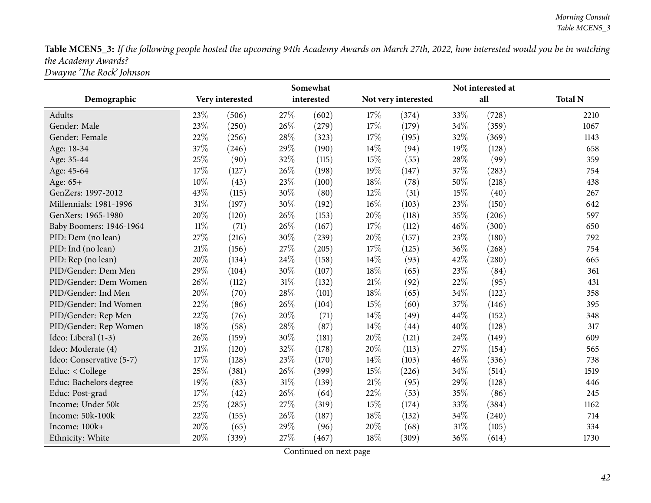Table MCEN5\_3: If the following people hosted the upcoming 94th Academy Awards on March 27th, 2022, how interested would you be in watching *the Academy Awards? Dwayne 'The Rock' Johnson*

|                          |        |                 |        | Somewhat   | Not interested at |                     |      |       |                |  |  |
|--------------------------|--------|-----------------|--------|------------|-------------------|---------------------|------|-------|----------------|--|--|
| Demographic              |        | Very interested |        | interested |                   | Not very interested |      | all   | <b>Total N</b> |  |  |
| Adults                   | 23%    | (506)           | 27%    | (602)      | 17%               | (374)               | 33%  | (728) | 2210           |  |  |
| Gender: Male             | 23%    | (250)           | 26\%   | (279)      | 17%               | (179)               | 34\% | (359) | 1067           |  |  |
| Gender: Female           | 22%    | (256)           | 28%    | (323)      | 17%               | (195)               | 32%  | (369) | 1143           |  |  |
| Age: 18-34               | 37%    | (246)           | 29%    | (190)      | 14%               | (94)                | 19%  | (128) | 658            |  |  |
| Age: 35-44               | 25%    | (90)            | 32%    | (115)      | 15%               | (55)                | 28%  | (99)  | 359            |  |  |
| Age: 45-64               | 17%    | (127)           | 26%    | (198)      | 19%               | (147)               | 37%  | (283) | 754            |  |  |
| Age: 65+                 | 10%    | (43)            | 23%    | (100)      | 18%               | (78)                | 50%  | (218) | 438            |  |  |
| GenZers: 1997-2012       | 43%    | (115)           | 30%    | (80)       | 12%               | (31)                | 15%  | (40)  | 267            |  |  |
| Millennials: 1981-1996   | 31%    | (197)           | 30%    | (192)      | $16\%$            | (103)               | 23%  | (150) | 642            |  |  |
| GenXers: 1965-1980       | 20%    | (120)           | 26%    | (153)      | 20%               | (118)               | 35%  | (206) | 597            |  |  |
| Baby Boomers: 1946-1964  | $11\%$ | (71)            | 26%    | (167)      | 17%               | (112)               | 46%  | (300) | 650            |  |  |
| PID: Dem (no lean)       | 27%    | (216)           | 30%    | (239)      | 20%               | (157)               | 23%  | (180) | 792            |  |  |
| PID: Ind (no lean)       | 21%    | (156)           | 27%    | (205)      | 17%               | (125)               | 36%  | (268) | 754            |  |  |
| PID: Rep (no lean)       | 20%    | (134)           | 24%    | (158)      | 14\%              | (93)                | 42%  | (280) | 665            |  |  |
| PID/Gender: Dem Men      | 29%    | (104)           | 30%    | (107)      | 18%               | (65)                | 23%  | (84)  | 361            |  |  |
| PID/Gender: Dem Women    | 26%    | (112)           | $31\%$ | (132)      | 21\%              | (92)                | 22%  | (95)  | 431            |  |  |
| PID/Gender: Ind Men      | 20%    | (70)            | 28%    | (101)      | 18%               | (65)                | 34%  | (122) | 358            |  |  |
| PID/Gender: Ind Women    | 22%    | (86)            | 26%    | (104)      | 15%               | (60)                | 37%  | (146) | 395            |  |  |
| PID/Gender: Rep Men      | 22%    | (76)            | 20%    | (71)       | 14\%              | (49)                | 44%  | (152) | 348            |  |  |
| PID/Gender: Rep Women    | 18%    | (58)            | 28%    | (87)       | 14%               | (44)                | 40%  | (128) | 317            |  |  |
| Ideo: Liberal (1-3)      | 26%    | (159)           | 30%    | (181)      | 20%               | (121)               | 24%  | (149) | 609            |  |  |
| Ideo: Moderate (4)       | 21%    | (120)           | 32%    | (178)      | 20%               | (113)               | 27%  | (154) | 565            |  |  |
| Ideo: Conservative (5-7) | 17%    | (128)           | 23%    | (170)      | 14\%              | (103)               | 46%  | (336) | 738            |  |  |
| Educ: < College          | 25%    | (381)           | 26%    | (399)      | 15%               | (226)               | 34%  | (514) | 1519           |  |  |
| Educ: Bachelors degree   | 19%    | (83)            | $31\%$ | (139)      | $21\%$            | (95)                | 29%  | (128) | 446            |  |  |
| Educ: Post-grad          | 17%    | (42)            | 26%    | (64)       | 22%               | (53)                | 35%  | (86)  | 245            |  |  |
| Income: Under 50k        | 25%    | (285)           | 27%    | (319)      | 15%               | (174)               | 33%  | (384) | 1162           |  |  |
| Income: 50k-100k         | 22%    | (155)           | 26%    | (187)      | 18%               | (132)               | 34%  | (240) | 714            |  |  |
| Income: 100k+            | 20%    | (65)            | 29%    | (96)       | 20%               | (68)                | 31%  | (105) | 334            |  |  |
| Ethnicity: White         | 20%    | (339)           | 27%    | (467)      | 18%               | (309)               | 36%  | (614) | 1730           |  |  |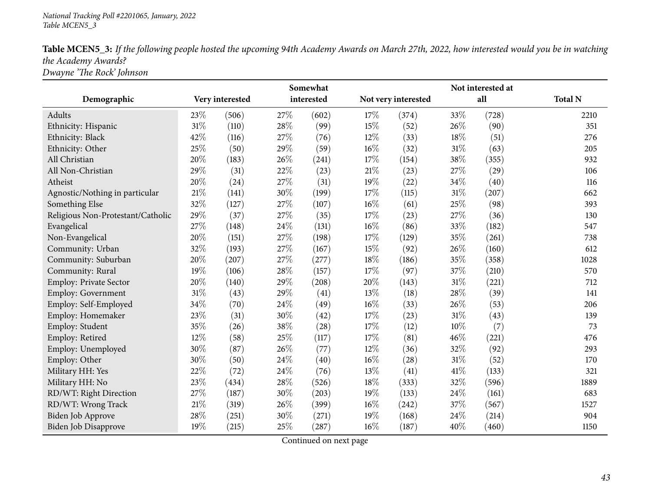## *National Tracking Poll #2201065, January, <sup>2022</sup> Table MCEN5\_3*

| Table MCEN5_3: If the following people hosted the upcoming 94th Academy Awards on March 27th, 2022, how interested would you be in watching |
|---------------------------------------------------------------------------------------------------------------------------------------------|
| the Academy Awards?                                                                                                                         |
| Dwayne 'The Rock' Johnson                                                                                                                   |

|                                   |      |                 |     | Somewhat   |        |                     |        | Not interested at |                |
|-----------------------------------|------|-----------------|-----|------------|--------|---------------------|--------|-------------------|----------------|
| Demographic                       |      | Very interested |     | interested |        | Not very interested |        | all               | <b>Total N</b> |
| Adults                            | 23\% | (506)           | 27% | (602)      | 17%    | (374)               | 33%    | (728)             | 2210           |
| Ethnicity: Hispanic               | 31%  | (110)           | 28% | (99)       | 15%    | (52)                | 26%    | (90)              | 351            |
| Ethnicity: Black                  | 42%  | (116)           | 27% | (76)       | 12%    | (33)                | 18%    | (51)              | 276            |
| Ethnicity: Other                  | 25%  | (50)            | 29% | (59)       | $16\%$ | (32)                | $31\%$ | (63)              | 205            |
| All Christian                     | 20%  | (183)           | 26% | (241)      | 17%    | (154)               | 38%    | (355)             | 932            |
| All Non-Christian                 | 29%  | (31)            | 22% | (23)       | $21\%$ | (23)                | 27%    | (29)              | 106            |
| Atheist                           | 20%  | (24)            | 27% | (31)       | 19%    | (22)                | 34%    | (40)              | 116            |
| Agnostic/Nothing in particular    | 21%  | (141)           | 30% | (199)      | 17\%   | (115)               | 31\%   | (207)             | 662            |
| Something Else                    | 32%  | (127)           | 27% | (107)      | $16\%$ | (61)                | 25%    | (98)              | 393            |
| Religious Non-Protestant/Catholic | 29%  | (37)            | 27% | (35)       | 17%    | (23)                | 27%    | (36)              | 130            |
| Evangelical                       | 27%  | (148)           | 24% | (131)      | $16\%$ | (86)                | 33%    | (182)             | 547            |
| Non-Evangelical                   | 20%  | (151)           | 27% | (198)      | 17%    | (129)               | 35%    | (261)             | 738            |
| Community: Urban                  | 32%  | (193)           | 27% | (167)      | 15%    | (92)                | 26%    | (160)             | 612            |
| Community: Suburban               | 20%  | (207)           | 27% | (277)      | 18%    | (186)               | 35%    | (358)             | 1028           |
| Community: Rural                  | 19%  | (106)           | 28% | (157)      | 17%    | (97)                | 37%    | (210)             | 570            |
| <b>Employ: Private Sector</b>     | 20%  | (140)           | 29% | (208)      | 20%    | (143)               | 31%    | (221)             | 712            |
| Employ: Government                | 31%  | (43)            | 29% | (41)       | 13%    | (18)                | 28%    | (39)              | 141            |
| Employ: Self-Employed             | 34%  | (70)            | 24% | (49)       | 16%    | (33)                | 26%    | (53)              | 206            |
| Employ: Homemaker                 | 23%  | (31)            | 30% | (42)       | 17%    | (23)                | 31\%   | (43)              | 139            |
| Employ: Student                   | 35%  | (26)            | 38% | (28)       | 17%    | (12)                | 10%    | (7)               | 73             |
| Employ: Retired                   | 12%  | (58)            | 25% | (117)      | 17%    | (81)                | 46%    | (221)             | 476            |
| Employ: Unemployed                | 30%  | (87)            | 26% | (77)       | 12%    | (36)                | 32%    | (92)              | 293            |
| Employ: Other                     | 30%  | (50)            | 24% | (40)       | 16%    | (28)                | 31%    | (52)              | 170            |
| Military HH: Yes                  | 22%  | (72)            | 24% | (76)       | 13\%   | (41)                | 41\%   | (133)             | 321            |
| Military HH: No                   | 23%  | (434)           | 28% | (526)      | 18%    | (333)               | 32%    | (596)             | 1889           |
| RD/WT: Right Direction            | 27%  | (187)           | 30% | (203)      | 19%    | (133)               | 24\%   | (161)             | 683            |
| RD/WT: Wrong Track                | 21%  | (319)           | 26% | (399)      | $16\%$ | (242)               | 37%    | (567)             | 1527           |
| Biden Job Approve                 | 28%  | (251)           | 30% | (271)      | 19%    | (168)               | 24\%   | (214)             | 904            |
| <b>Biden Job Disapprove</b>       | 19%  | (215)           | 25% | (287)      | 16%    | (187)               | 40%    | (460)             | 1150           |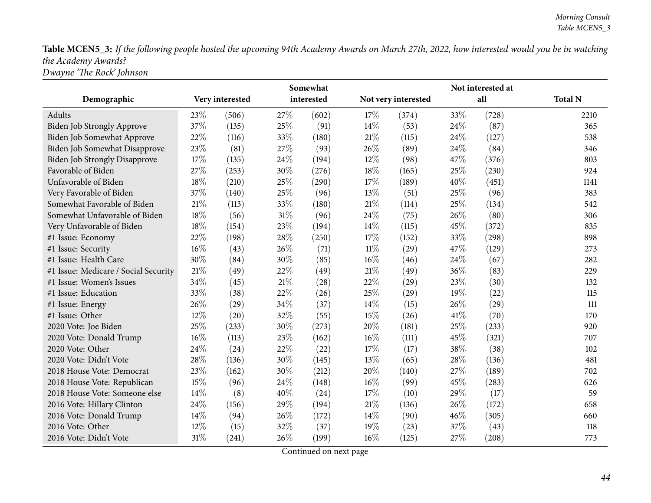Table MCEN5\_3: If the following people hosted the upcoming 94th Academy Awards on March 27th, 2022, how interested would you be in watching *the Academy Awards? Dwayne 'The Rock' Johnson*

|                                      |        |                    |        | Somewhat   |        |                     |      | Not interested at |                |
|--------------------------------------|--------|--------------------|--------|------------|--------|---------------------|------|-------------------|----------------|
| Demographic                          |        | Very interested    |        | interested |        | Not very interested |      | all               | <b>Total N</b> |
| Adults                               | 23%    | (506)              | 27%    | (602)      | 17%    | (374)               | 33%  | (728)             | 2210           |
| Biden Job Strongly Approve           | 37%    | (135)              | 25%    | (91)       | 14%    | (53)                | 24%  | (87)              | 365            |
| Biden Job Somewhat Approve           | 22%    | (116)              | 33%    | (180)      | 21%    | (115)               | 24\% | (127)             | 538            |
| Biden Job Somewhat Disapprove        | 23%    | (81)               | 27%    | (93)       | 26%    | (89)                | 24%  | (84)              | 346            |
| <b>Biden Job Strongly Disapprove</b> | 17%    | (135)              | 24%    | (194)      | $12\%$ | (98)                | 47%  | (376)             | 803            |
| Favorable of Biden                   | 27%    | (253)              | 30%    | (276)      | 18%    | (165)               | 25%  | (230)             | 924            |
| Unfavorable of Biden                 | 18%    | (210)              | 25%    | (290)      | 17%    | (189)               | 40%  | (451)             | 1141           |
| Very Favorable of Biden              | 37%    | (140)              | 25%    | (96)       | 13%    | (51)                | 25%  | (96)              | 383            |
| Somewhat Favorable of Biden          | 21\%   | (113)              | 33%    | (180)      | 21%    | (114)               | 25%  | (134)             | 542            |
| Somewhat Unfavorable of Biden        | 18%    | (56)               | $31\%$ | (96)       | 24\%   | (75)                | 26\% | (80)              | 306            |
| Very Unfavorable of Biden            | 18%    | (154)              | 23%    | (194)      | 14%    | (115)               | 45%  | (372)             | 835            |
| #1 Issue: Economy                    | 22%    | (198)              | 28%    | (250)      | 17%    | (152)               | 33%  | (298)             | 898            |
| #1 Issue: Security                   | 16%    | (43)               | 26%    | (71)       | $11\%$ | (29)                | 47%  | (129)             | 273            |
| #1 Issue: Health Care                | 30%    | (84)               | 30%    | (85)       | $16\%$ | (46)                | 24%  | (67)              | 282            |
| #1 Issue: Medicare / Social Security | 21%    | (49)               | 22%    | (49)       | $21\%$ | (49)                | 36%  | (83)              | 229            |
| #1 Issue: Women's Issues             | 34%    | (45)               | 21%    | (28)       | 22%    | (29)                | 23%  | (30)              | 132            |
| #1 Issue: Education                  | 33%    | (38)               | 22%    | (26)       | 25%    | (29)                | 19%  | (22)              | 115            |
| #1 Issue: Energy                     | 26\%   | (29)               | 34%    | (37)       | 14%    | (15)                | 26%  | (29)              | 111            |
| #1 Issue: Other                      | 12%    | $\left( 20\right)$ | 32%    | (55)       | 15%    | (26)                | 41%  | (70)              | 170            |
| 2020 Vote: Joe Biden                 | 25%    | (233)              | 30%    | (273)      | 20%    | (181)               | 25%  | (233)             | 920            |
| 2020 Vote: Donald Trump              | $16\%$ | (113)              | 23%    | (162)      | 16%    | (111)               | 45%  | (321)             | 707            |
| 2020 Vote: Other                     | 24%    | (24)               | 22%    | (22)       | 17%    | (17)                | 38%  | (38)              | 102            |
| 2020 Vote: Didn't Vote               | 28\%   | (136)              | 30%    | (145)      | 13%    | (65)                | 28%  | (136)             | 481            |
| 2018 House Vote: Democrat            | 23%    | (162)              | 30%    | (212)      | 20%    | (140)               | 27%  | (189)             | 702            |
| 2018 House Vote: Republican          | 15%    | (96)               | 24%    | (148)      | 16%    | (99)                | 45%  | (283)             | 626            |
| 2018 House Vote: Someone else        | 14\%   | (8)                | 40%    | (24)       | 17%    | (10)                | 29%  | (17)              | 59             |
| 2016 Vote: Hillary Clinton           | 24\%   | (156)              | 29%    | (194)      | 21%    | (136)               | 26%  | (172)             | 658            |
| 2016 Vote: Donald Trump              | 14\%   | (94)               | 26%    | (172)      | 14%    | (90)                | 46%  | (305)             | 660            |
| 2016 Vote: Other                     | 12%    | (15)               | 32%    | (37)       | 19%    | (23)                | 37%  | (43)              | 118            |
| 2016 Vote: Didn't Vote               | $31\%$ | (241)              | 26%    | (199)      | 16%    | (125)               | 27%  | (208)             | 773            |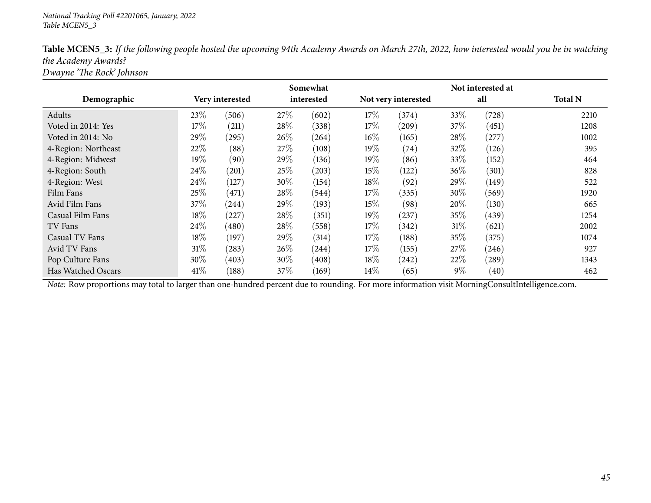| Table MCEN5_3: If the following people hosted the upcoming 94th Academy Awards on March 27th, 2022, how interested would you be in watching |
|---------------------------------------------------------------------------------------------------------------------------------------------|
| the Academy Awards?                                                                                                                         |
| Dwayne 'The Rock' Johnson                                                                                                                   |

|                     |                 |       |            | Somewhat           |                     |       |        |       |                |
|---------------------|-----------------|-------|------------|--------------------|---------------------|-------|--------|-------|----------------|
| Demographic         | Very interested |       | interested |                    | Not very interested |       | all    |       | <b>Total N</b> |
| Adults              | 23%             | (506) | 27%        | (602)              | $17\%$              | (374) | 33%    | (728) | 2210           |
| Voted in 2014: Yes  | 17%             | (211) | 28\%       | (338)              | 17\%                | (209) | 37\%   | (451) | 1208           |
| Voted in 2014: No   | 29%             | (295) | 26\%       | $^{(264)}$         | $16\%$              | (165) | 28\%   | (277) | 1002           |
| 4-Region: Northeast | 22%             | (88)  | 27%        | (108)              | 19%                 | (74)  | 32%    | (126) | 395            |
| 4-Region: Midwest   | $19\%$          | (90)  | 29\%       | (136)              | $19\%$              | (86)  | 33%    | (152) | 464            |
| 4-Region: South     | $24\%$          | (201) | 25\%       | (203)              | $15\%$              | (122) | 36%    | (301) | 828            |
| 4-Region: West      | 24\%            | (127) | 30\%       | (154)              | $18\%$              | (92)  | 29%    | (149) | 522            |
| Film Fans           | 25%             | (471) | 28\%       | (544)              | $17\%$              | (335) | $30\%$ | (569) | 1920           |
| Avid Film Fans      | 37\%            | (244) | 29\%       | (193)              | 15%                 | (98)  | 20%    | (130) | 665            |
| Casual Film Fans    | $18\%$          | (227) | 28\%       | (351)              | $19\%$              | (237) | 35%    | (439) | 1254           |
| TV Fans             | $24\%$          | (480) | 28\%       | (558)              | $17\%$              | (342) | 31%    | (621) | 2002           |
| Casual TV Fans      | $18\%$          | (197) | 29%        | (314)              | $17\%$              | (188) | 35%    | (375) | 1074           |
| Avid TV Fans        | 31%             | (283) | 26\%       | (244)              | $17\%$              | (155) | 27\%   | (246) | 927            |
| Pop Culture Fans    | 30%             | (403) | 30\%       | $\left(408\right)$ | 18\%                | (242) | 22\%   | (289) | 1343           |
| Has Watched Oscars  | 41%             | (188) | 37\%       | (169)              | $14\%$              | (65)  | $9\%$  | (40)  | 462            |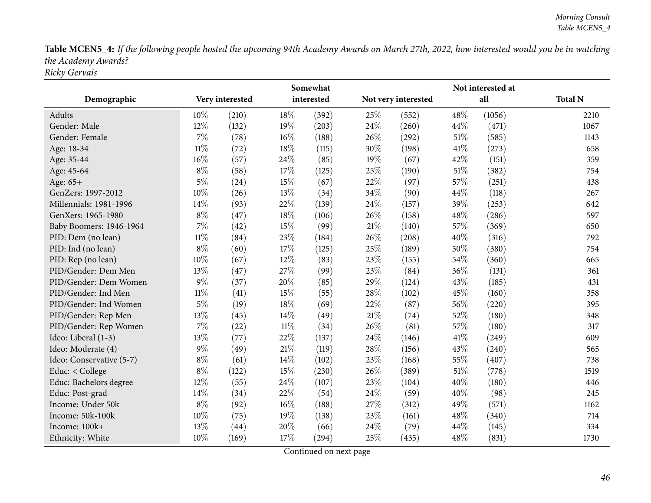Table MCEN5\_4: If the following people hosted the upcoming 94th Academy Awards on March 27th, 2022, how interested would you be in watching *the Academy Awards? Ricky Gervais*

|                          |        |                 |        | Somewhat   |        |                     |        | Not interested at |                |
|--------------------------|--------|-----------------|--------|------------|--------|---------------------|--------|-------------------|----------------|
| Demographic              |        | Very interested |        | interested |        | Not very interested |        | all               | <b>Total N</b> |
| Adults                   | 10%    | (210)           | 18%    | (392)      | 25%    | (552)               | 48%    | (1056)            | 2210           |
| Gender: Male             | $12\%$ | (132)           | 19%    | (203)      | 24\%   | (260)               | 44%    | (471)             | 1067           |
| Gender: Female           | 7%     | (78)            | 16%    | (188)      | 26%    | (292)               | $51\%$ | (585)             | 1143           |
| Age: 18-34               | $11\%$ | (72)            | 18%    | (115)      | 30%    | (198)               | 41\%   | (273)             | 658            |
| Age: 35-44               | $16\%$ | (57)            | 24%    | (85)       | 19%    | (67)                | 42%    | (151)             | 359            |
| Age: 45-64               | $8\%$  | (58)            | 17%    | (125)      | 25%    | (190)               | $51\%$ | (382)             | 754            |
| Age: 65+                 | $5\%$  | (24)            | 15%    | (67)       | 22%    | (97)                | 57%    | (251)             | 438            |
| GenZers: 1997-2012       | 10%    | (26)            | 13%    | (34)       | 34%    | (90)                | 44%    | (118)             | 267            |
| Millennials: 1981-1996   | 14%    | (93)            | 22%    | (139)      | 24%    | (157)               | 39%    | (253)             | 642            |
| GenXers: 1965-1980       | $8\%$  | (47)            | 18%    | (106)      | 26%    | (158)               | 48%    | (286)             | 597            |
| Baby Boomers: 1946-1964  | 7%     | (42)            | 15%    | (99)       | $21\%$ | (140)               | 57%    | (369)             | 650            |
| PID: Dem (no lean)       | $11\%$ | (84)            | 23%    | (184)      | 26%    | (208)               | 40%    | (316)             | 792            |
| PID: Ind (no lean)       | $8\%$  | (60)            | 17%    | (125)      | 25%    | (189)               | 50%    | (380)             | 754            |
| PID: Rep (no lean)       | 10%    | (67)            | 12%    | (83)       | 23%    | (155)               | 54%    | (360)             | 665            |
| PID/Gender: Dem Men      | 13%    | (47)            | 27%    | (99)       | 23%    | (84)                | 36%    | (131)             | 361            |
| PID/Gender: Dem Women    | 9%     | (37)            | 20%    | (85)       | 29%    | (124)               | 43%    | (185)             | 431            |
| PID/Gender: Ind Men      | $11\%$ | (41)            | 15%    | (55)       | 28%    | (102)               | 45%    | (160)             | 358            |
| PID/Gender: Ind Women    | $5\%$  | (19)            | 18%    | (69)       | 22%    | (87)                | 56%    | (220)             | 395            |
| PID/Gender: Rep Men      | 13%    | (45)            | 14%    | (49)       | $21\%$ | (74)                | 52%    | (180)             | 348            |
| PID/Gender: Rep Women    | 7%     | (22)            | $11\%$ | (34)       | 26%    | (81)                | 57%    | (180)             | 317            |
| Ideo: Liberal (1-3)      | 13%    | (77)            | 22%    | (137)      | 24%    | (146)               | 41\%   | (249)             | 609            |
| Ideo: Moderate (4)       | $9\%$  | (49)            | 21%    | (119)      | 28%    | (156)               | 43%    | (240)             | 565            |
| Ideo: Conservative (5-7) | $8\%$  | (61)            | 14%    | (102)      | 23%    | (168)               | 55%    | (407)             | 738            |
| Educ: < College          | $8\%$  | (122)           | 15%    | (230)      | 26%    | (389)               | $51\%$ | (778)             | 1519           |
| Educ: Bachelors degree   | 12%    | (55)            | 24%    | (107)      | 23%    | (104)               | 40%    | (180)             | 446            |
| Educ: Post-grad          | 14%    | (34)            | 22%    | (54)       | 24%    | (59)                | 40%    | (98)              | 245            |
| Income: Under 50k        | $8\%$  | (92)            | 16%    | (188)      | 27%    | (312)               | 49%    | (571)             | 1162           |
| Income: 50k-100k         | 10%    | (75)            | 19%    | (138)      | 23%    | (161)               | 48%    | (340)             | 714            |
| Income: 100k+            | 13%    | (44)            | 20%    | (66)       | 24%    | (79)                | 44%    | (145)             | 334            |
| Ethnicity: White         | 10%    | (169)           | 17%    | (294)      | 25%    | (435)               | 48%    | (831)             | 1730           |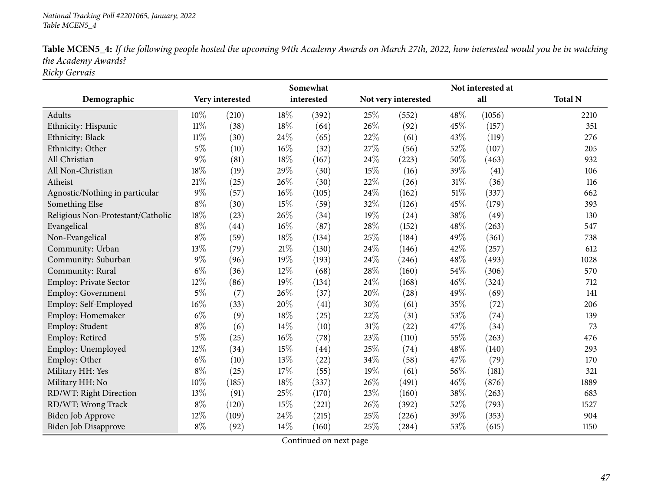| Table MCEN5_4: If the following people hosted the upcoming 94th Academy Awards on March 27th, 2022, how interested would you be in watching |
|---------------------------------------------------------------------------------------------------------------------------------------------|
| the Academy Awards?                                                                                                                         |
| Ricky Gervais                                                                                                                               |

|                                   |        |                 |        | Somewhat   |      |                     |        | Not interested at |                |
|-----------------------------------|--------|-----------------|--------|------------|------|---------------------|--------|-------------------|----------------|
| Demographic                       |        | Very interested |        | interested |      | Not very interested |        | all               | <b>Total N</b> |
| Adults                            | 10%    | (210)           | 18%    | (392)      | 25\% | (552)               | 48%    | (1056)            | 2210           |
| Ethnicity: Hispanic               | $11\%$ | (38)            | 18%    | (64)       | 26%  | (92)                | 45%    | (157)             | 351            |
| Ethnicity: Black                  | 11%    | (30)            | 24%    | (65)       | 22%  | (61)                | 43%    | (119)             | 276            |
| Ethnicity: Other                  | $5\%$  | (10)            | 16%    | (32)       | 27%  | (56)                | 52%    | (107)             | 205            |
| All Christian                     | $9\%$  | (81)            | 18%    | (167)      | 24%  | (223)               | 50%    | (463)             | 932            |
| All Non-Christian                 | 18%    | (19)            | 29%    | (30)       | 15%  | (16)                | 39%    | (41)              | 106            |
| Atheist                           | 21%    | (25)            | 26%    | (30)       | 22%  | (26)                | $31\%$ | (36)              | 116            |
| Agnostic/Nothing in particular    | $9\%$  | (57)            | $16\%$ | (105)      | 24%  | (162)               | 51%    | (337)             | 662            |
| Something Else                    | $8\%$  | (30)            | 15%    | (59)       | 32%  | (126)               | 45%    | (179)             | 393            |
| Religious Non-Protestant/Catholic | 18%    | (23)            | 26%    | (34)       | 19%  | (24)                | 38%    | (49)              | 130            |
| Evangelical                       | $8\%$  | (44)            | 16%    | (87)       | 28%  | (152)               | 48%    | (263)             | 547            |
| Non-Evangelical                   | $8\%$  | (59)            | 18%    | (134)      | 25%  | (184)               | 49%    | (361)             | 738            |
| Community: Urban                  | 13%    | (79)            | 21%    | (130)      | 24%  | (146)               | 42%    | (257)             | 612            |
| Community: Suburban               | $9\%$  | (96)            | 19%    | (193)      | 24%  | (246)               | 48%    | (493)             | 1028           |
| Community: Rural                  | $6\%$  | (36)            | 12%    | (68)       | 28\% | (160)               | 54%    | (306)             | 570            |
| Employ: Private Sector            | 12%    | (86)            | 19%    | (134)      | 24%  | (168)               | 46%    | (324)             | 712            |
| Employ: Government                | $5\%$  | (7)             | 26%    | (37)       | 20%  | (28)                | 49%    | (69)              | 141            |
| Employ: Self-Employed             | 16%    | (33)            | 20%    | (41)       | 30%  | (61)                | 35%    | (72)              | 206            |
| Employ: Homemaker                 | $6\%$  | (9)             | 18%    | (25)       | 22%  | (31)                | 53%    | (74)              | 139            |
| Employ: Student                   | $8\%$  | (6)             | 14%    | (10)       | 31%  | (22)                | 47%    | (34)              | 73             |
| Employ: Retired                   | $5\%$  | (25)            | 16%    | (78)       | 23%  | (110)               | 55%    | (263)             | 476            |
| Employ: Unemployed                | 12%    | (34)            | 15%    | (44)       | 25%  | (74)                | 48%    | (140)             | 293            |
| Employ: Other                     | $6\%$  | (10)            | 13%    | (22)       | 34\% | (58)                | 47%    | (79)              | 170            |
| Military HH: Yes                  | $8\%$  | (25)            | 17%    | (55)       | 19%  | (61)                | 56%    | (181)             | 321            |
| Military HH: No                   | $10\%$ | (185)           | 18%    | (337)      | 26\% | (491)               | 46%    | (876)             | 1889           |
| RD/WT: Right Direction            | 13%    | (91)            | 25%    | (170)      | 23%  | (160)               | 38%    | (263)             | 683            |
| RD/WT: Wrong Track                | $8\%$  | (120)           | 15%    | (221)      | 26%  | (392)               | 52%    | (793)             | 1527           |
| Biden Job Approve                 | 12%    | (109)           | 24%    | (215)      | 25%  | (226)               | 39%    | (353)             | 904            |
| Biden Job Disapprove              | $8\%$  | (92)            | 14%    | (160)      | 25%  | (284)               | 53%    | (615)             | 1150           |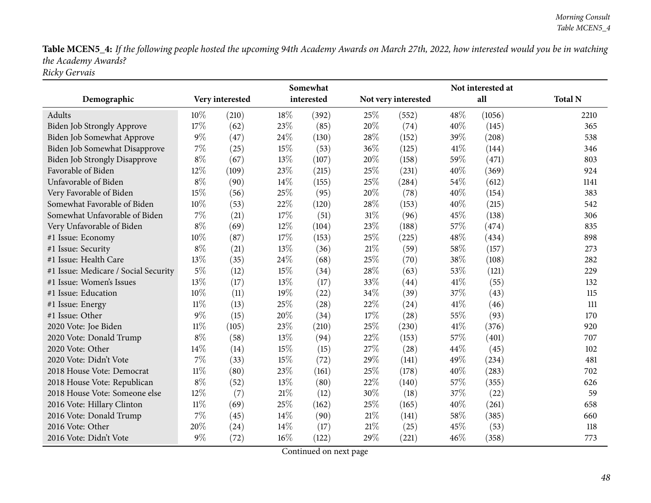Table MCEN5\_4: If the following people hosted the upcoming 94th Academy Awards on March 27th, 2022, how interested would you be in watching *the Academy Awards? Ricky Gervais*

|                                      |        |                 |        | Somewhat   |        |                     |      | Not interested at |                |
|--------------------------------------|--------|-----------------|--------|------------|--------|---------------------|------|-------------------|----------------|
| Demographic                          |        | Very interested |        | interested |        | Not very interested |      | all               | <b>Total N</b> |
| Adults                               | 10%    | (210)           | 18%    | (392)      | 25\%   | (552)               | 48%  | (1056)            | 2210           |
| <b>Biden Job Strongly Approve</b>    | 17%    | (62)            | 23%    | (85)       | 20%    | (74)                | 40%  | (145)             | 365            |
| Biden Job Somewhat Approve           | $9\%$  | (47)            | 24\%   | (130)      | 28\%   | (152)               | 39%  | (208)             | 538            |
| Biden Job Somewhat Disapprove        | 7%     | (25)            | 15%    | (53)       | 36%    | (125)               | 41\% | (144)             | 346            |
| <b>Biden Job Strongly Disapprove</b> | $8\%$  | (67)            | 13%    | (107)      | 20%    | (158)               | 59%  | (471)             | 803            |
| Favorable of Biden                   | 12%    | (109)           | 23%    | (215)      | 25\%   | (231)               | 40%  | (369)             | 924            |
| Unfavorable of Biden                 | $8\%$  | (90)            | 14%    | (155)      | 25%    | (284)               | 54%  | (612)             | 1141           |
| Very Favorable of Biden              | 15%    | (56)            | 25%    | (95)       | 20%    | (78)                | 40%  | (154)             | 383            |
| Somewhat Favorable of Biden          | 10%    | (53)            | 22%    | (120)      | 28\%   | (153)               | 40%  | (215)             | 542            |
| Somewhat Unfavorable of Biden        | $7\%$  | (21)            | 17%    | (51)       | 31%    | (96)                | 45\% | (138)             | 306            |
| Very Unfavorable of Biden            | $8\%$  | (69)            | 12%    | (104)      | 23%    | (188)               | 57%  | (474)             | 835            |
| #1 Issue: Economy                    | 10%    | (87)            | 17%    | (153)      | 25%    | (225)               | 48%  | (434)             | 898            |
| #1 Issue: Security                   | $8\%$  | (21)            | 13%    | (36)       | $21\%$ | (59)                | 58%  | (157)             | 273            |
| #1 Issue: Health Care                | 13%    | (35)            | 24%    | (68)       | 25%    | (70)                | 38%  | (108)             | 282            |
| #1 Issue: Medicare / Social Security | $5\%$  | (12)            | 15%    | (34)       | 28%    | (63)                | 53%  | (121)             | 229            |
| #1 Issue: Women's Issues             | 13%    | (17)            | 13%    | (17)       | 33%    | (44)                | 41\% | (55)              | 132            |
| #1 Issue: Education                  | 10%    | (11)            | 19%    | (22)       | 34%    | (39)                | 37%  | (43)              | 115            |
| #1 Issue: Energy                     | 11%    | (13)            | 25%    | (28)       | 22%    | (24)                | 41\% | (46)              | 111            |
| #1 Issue: Other                      | $9\%$  | (15)            | 20%    | (34)       | 17%    | (28)                | 55%  | (93)              | 170            |
| 2020 Vote: Joe Biden                 | 11%    | (105)           | 23%    | (210)      | 25%    | (230)               | 41\% | (376)             | 920            |
| 2020 Vote: Donald Trump              | $8\%$  | (58)            | 13%    | (94)       | 22%    | (153)               | 57%  | (401)             | 707            |
| 2020 Vote: Other                     | 14%    | (14)            | 15%    | (15)       | 27\%   | (28)                | 44%  | (45)              | 102            |
| 2020 Vote: Didn't Vote               | 7%     | (33)            | 15%    | (72)       | 29%    | (141)               | 49%  | (234)             | 481            |
| 2018 House Vote: Democrat            | $11\%$ | (80)            | 23%    | (161)      | 25%    | (178)               | 40%  | (283)             | 702            |
| 2018 House Vote: Republican          | $8\%$  | (52)            | 13%    | (80)       | 22%    | (140)               | 57%  | (355)             | 626            |
| 2018 House Vote: Someone else        | 12%    | (7)             | $21\%$ | (12)       | 30%    | (18)                | 37%  | (22)              | 59             |
| 2016 Vote: Hillary Clinton           | $11\%$ | (69)            | 25%    | (162)      | 25%    | (165)               | 40%  | (261)             | 658            |
| 2016 Vote: Donald Trump              | $7\%$  | (45)            | 14%    | (90)       | $21\%$ | (141)               | 58%  | (385)             | 660            |
| 2016 Vote: Other                     | 20%    | (24)            | 14%    | (17)       | 21%    | (25)                | 45%  | (53)              | 118            |
| 2016 Vote: Didn't Vote               | $9\%$  | (72)            | 16%    | (122)      | 29%    | (221)               | 46%  | (358)             | 773            |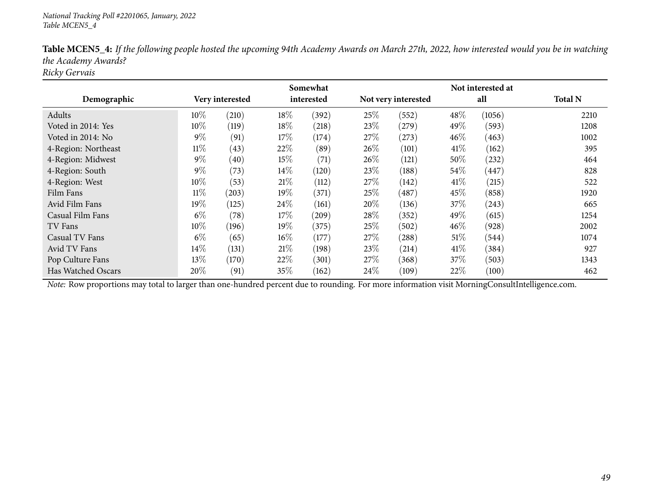|                     |        |                 |        | Somewhat   |                     |                     |        | Not interested at |                |
|---------------------|--------|-----------------|--------|------------|---------------------|---------------------|--------|-------------------|----------------|
| Demographic         |        | Very interested |        | interested | Not very interested |                     | all    |                   | <b>Total N</b> |
| Adults              | $10\%$ | (210)           | 18%    | (392)      | 25%                 | (552)               | 48\%   | (1056)            | 2210           |
| Voted in 2014: Yes  | $10\%$ | (119)           | 18%    | (218)      | 23\%                | (279)               | 49\%   | (593)             | 1208           |
| Voted in 2014: No   | $9\%$  | (91)            | 17%    | (174)      | 27%                 | (273)               | 46%    | (463)             | 1002           |
| 4-Region: Northeast | $11\%$ | (43)            | 22%    | (89)       | $26\%$              | (101)               | 41\%   | (162)             | 395            |
| 4-Region: Midwest   | $9\%$  | (40)            | 15%    | (71)       | $26\%$              | (121)               | 50%    | (232)             | 464            |
| 4-Region: South     | $9\%$  | (73)            | 14\%   | (120)      | 23\%                | (188)               | 54%    | (447)             | 828            |
| 4-Region: West      | 10%    | (53)            | 21\%   | (112)      | 27%                 | (142)               | 41%    | (215)             | 522            |
| Film Fans           | $11\%$ | (203)           | 19%    | (371)      | 25%                 | $\left( 487\right)$ | 45\%   | (858)             | 1920           |
| Avid Film Fans      | 19%    | (125)           | 24\%   | (161)      | 20%                 | (136)               | 37%    | (243)             | 665            |
| Casual Film Fans    | $6\%$  | (78)            | 17%    | (209)      | 28%                 | (352)               | 49\%   | (615)             | 1254           |
| TV Fans             | $10\%$ | (196)           | 19%    | (375)      | 25%                 | (502)               | 46%    | (928)             | 2002           |
| Casual TV Fans      | $6\%$  | (65)            | $16\%$ | (177)      | 27%                 | (288)               | $51\%$ | (544)             | 1074           |
| Avid TV Fans        | 14\%   | (131)           | 21\%   | (198)      | 23%                 | (214)               | 41\%   | (384)             | 927            |
| Pop Culture Fans    | 13%    | (170)           | 22\%   | (301)      | 27%                 | (368)               | 37%    | (503)             | 1343           |
| Has Watched Oscars  | 20%    | (91)            | 35\%   | (162)      | 24%                 | (109)               | 22\%   | (100)             | 462            |

Table MCEN5\_4: If the following people hosted the upcoming 94th Academy Awards on March 27th, 2022, how interested would you be in watching *the Academy Awards?*

*Ricky Gervais*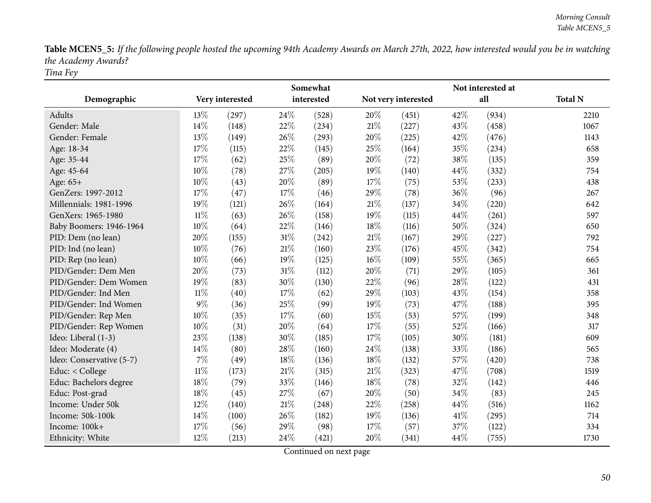Table MCEN5\_5: If the following people hosted the upcoming 94th Academy Awards on March 27th, 2022, how interested would you be in watching *the Academy Awards? Tina Fey*

|                          |        |                 |        | Somewhat   |        |                     |        | Not interested at |                |
|--------------------------|--------|-----------------|--------|------------|--------|---------------------|--------|-------------------|----------------|
| Demographic              |        | Very interested |        | interested |        | Not very interested |        | all               | <b>Total N</b> |
| Adults                   | 13%    | (297)           | 24%    | (528)      | 20%    | (451)               | 42%    | (934)             | 2210           |
| Gender: Male             | 14\%   | (148)           | 22%    | (234)      | 21%    | (227)               | 43%    | (458)             | 1067           |
| Gender: Female           | 13%    | (149)           | 26%    | (293)      | 20%    | (225)               | 42%    | (476)             | 1143           |
| Age: 18-34               | 17%    | (115)           | 22%    | (145)      | $25\%$ | (164)               | 35%    | (234)             | 658            |
| Age: 35-44               | 17%    | (62)            | 25%    | (89)       | 20%    | (72)                | 38%    | (135)             | 359            |
| Age: 45-64               | 10%    | (78)            | 27%    | (205)      | 19%    | (140)               | 44%    | (332)             | 754            |
| Age: 65+                 | 10%    | (43)            | 20%    | (89)       | 17%    | (75)                | $53\%$ | (233)             | 438            |
| GenZers: 1997-2012       | 17%    | (47)            | 17%    | (46)       | 29%    | (78)                | 36%    | (96)              | 267            |
| Millennials: 1981-1996   | 19%    | (121)           | 26%    | (164)      | 21%    | (137)               | 34%    | (220)             | 642            |
| GenXers: 1965-1980       | $11\%$ | (63)            | 26%    | (158)      | 19%    | (115)               | 44%    | (261)             | 597            |
| Baby Boomers: 1946-1964  | 10%    | (64)            | 22%    | (146)      | 18%    | (116)               | 50%    | (324)             | 650            |
| PID: Dem (no lean)       | 20%    | (155)           | 31%    | (242)      | $21\%$ | (167)               | 29%    | (227)             | 792            |
| PID: Ind (no lean)       | 10%    | (76)            | 21%    | (160)      | 23%    | (176)               | 45%    | (342)             | 754            |
| PID: Rep (no lean)       | 10%    | (66)            | 19%    | (125)      | 16%    | (109)               | 55%    | (365)             | 665            |
| PID/Gender: Dem Men      | 20%    | (73)            | $31\%$ | (112)      | 20%    | (71)                | 29%    | (105)             | 361            |
| PID/Gender: Dem Women    | 19%    | (83)            | 30%    | (130)      | 22%    | (96)                | 28%    | (122)             | 431            |
| PID/Gender: Ind Men      | $11\%$ | (40)            | 17%    | (62)       | 29%    | (103)               | 43%    | (154)             | 358            |
| PID/Gender: Ind Women    | 9%     | (36)            | 25%    | (99)       | 19%    | (73)                | 47%    | (188)             | 395            |
| PID/Gender: Rep Men      | 10%    | (35)            | 17%    | (60)       | 15%    | (53)                | 57%    | (199)             | 348            |
| PID/Gender: Rep Women    | 10%    | (31)            | 20%    | (64)       | 17%    | (55)                | 52%    | (166)             | 317            |
| Ideo: Liberal (1-3)      | 23%    | (138)           | 30%    | (185)      | 17%    | (105)               | 30%    | (181)             | 609            |
| Ideo: Moderate (4)       | 14%    | (80)            | 28%    | (160)      | 24%    | (138)               | 33%    | (186)             | 565            |
| Ideo: Conservative (5-7) | 7%     | (49)            | 18%    | (136)      | 18%    | (132)               | 57%    | (420)             | 738            |
| Educ: < College          | $11\%$ | (173)           | 21\%   | (315)      | 21%    | (323)               | 47%    | (708)             | 1519           |
| Educ: Bachelors degree   | 18%    | (79)            | 33%    | (146)      | 18%    | (78)                | 32%    | (142)             | 446            |
| Educ: Post-grad          | 18%    | (45)            | 27%    | (67)       | 20%    | (50)                | 34%    | (83)              | 245            |
| Income: Under 50k        | 12%    | (140)           | 21%    | (248)      | 22%    | (258)               | 44%    | (516)             | 1162           |
| Income: 50k-100k         | 14%    | (100)           | 26%    | (182)      | 19%    | (136)               | 41\%   | (295)             | 714            |
| Income: 100k+            | 17%    | (56)            | 29%    | (98)       | 17%    | (57)                | 37%    | (122)             | 334            |
| Ethnicity: White         | 12%    | (213)           | 24%    | (421)      | 20%    | (341)               | 44%    | (755)             | 1730           |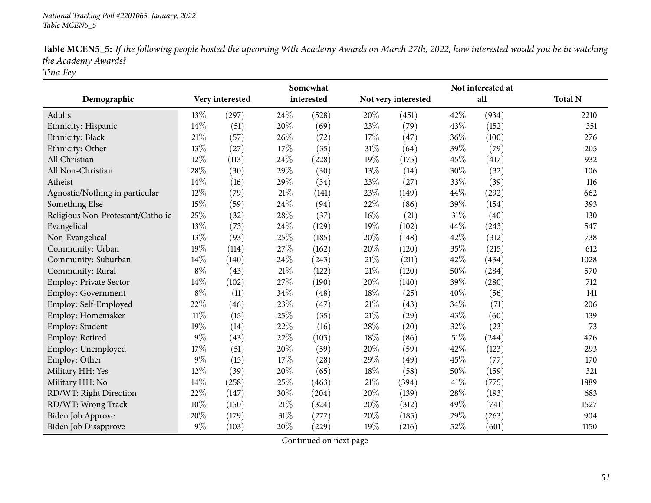| Table MCEN5_5: If the following people hosted the upcoming 94th Academy Awards on March 27th, 2022, how interested would you be in watching |  |
|---------------------------------------------------------------------------------------------------------------------------------------------|--|
| the Academy Awards?                                                                                                                         |  |
|                                                                                                                                             |  |

*Tina Fey*

|                                   |        |                 |        | Somewhat   |        |                     |        | Not interested at |                |
|-----------------------------------|--------|-----------------|--------|------------|--------|---------------------|--------|-------------------|----------------|
| Demographic                       |        | Very interested |        | interested |        | Not very interested |        | all               | <b>Total N</b> |
| Adults                            | 13%    | (297)           | 24\%   | (528)      | 20%    | (451)               | 42%    | (934)             | 2210           |
| Ethnicity: Hispanic               | 14%    | (51)            | 20%    | (69)       | 23%    | (79)                | 43%    | (152)             | 351            |
| Ethnicity: Black                  | $21\%$ | (57)            | 26%    | (72)       | 17%    | (47)                | 36%    | (100)             | 276            |
| Ethnicity: Other                  | 13%    | (27)            | 17%    | (35)       | $31\%$ | (64)                | 39%    | (79)              | 205            |
| All Christian                     | 12%    | (113)           | 24%    | (228)      | 19%    | (175)               | 45%    | (417)             | 932            |
| All Non-Christian                 | 28%    | (30)            | 29%    | (30)       | 13%    | (14)                | 30%    | (32)              | 106            |
| Atheist                           | 14%    | (16)            | 29%    | (34)       | 23\%   | (27)                | 33%    | (39)              | 116            |
| Agnostic/Nothing in particular    | 12%    | (79)            | 21%    | (141)      | 23%    | (149)               | 44%    | (292)             | 662            |
| Something Else                    | 15%    | (59)            | 24%    | (94)       | 22%    | (86)                | 39%    | (154)             | 393            |
| Religious Non-Protestant/Catholic | 25%    | (32)            | 28%    | (37)       | $16\%$ | (21)                | 31%    | (40)              | 130            |
| Evangelical                       | 13%    | (73)            | 24%    | (129)      | 19%    | (102)               | 44%    | (243)             | 547            |
| Non-Evangelical                   | 13%    | (93)            | 25%    | (185)      | 20%    | (148)               | 42%    | (312)             | 738            |
| Community: Urban                  | 19%    | (114)           | 27%    | (162)      | 20%    | (120)               | 35%    | (215)             | 612            |
| Community: Suburban               | 14%    | (140)           | 24%    | (243)      | 21%    | (211)               | 42%    | (434)             | 1028           |
| Community: Rural                  | $8\%$  | (43)            | $21\%$ | (122)      | $21\%$ | (120)               | 50%    | (284)             | 570            |
| Employ: Private Sector            | 14\%   | (102)           | 27%    | (190)      | 20%    | (140)               | 39%    | (280)             | 712            |
| <b>Employ: Government</b>         | $8\%$  | (11)            | 34%    | (48)       | 18%    | (25)                | 40%    | (56)              | 141            |
| Employ: Self-Employed             | 22%    | (46)            | 23%    | (47)       | 21%    | (43)                | 34%    | (71)              | 206            |
| Employ: Homemaker                 | $11\%$ | (15)            | 25%    | (35)       | 21%    | (29)                | 43%    | (60)              | 139            |
| Employ: Student                   | 19%    | (14)            | 22%    | (16)       | 28%    | (20)                | 32%    | (23)              | 73             |
| Employ: Retired                   | $9\%$  | (43)            | 22%    | (103)      | 18%    | (86)                | $51\%$ | (244)             | 476            |
| Employ: Unemployed                | 17%    | (51)            | 20%    | (59)       | 20%    | (59)                | 42%    | (123)             | 293            |
| Employ: Other                     | $9\%$  | (15)            | 17%    | (28)       | 29%    | (49)                | 45%    | (77)              | 170            |
| Military HH: Yes                  | 12%    | (39)            | 20%    | (65)       | 18%    | (58)                | 50%    | (159)             | 321            |
| Military HH: No                   | 14%    | (258)           | 25%    | (463)      | 21\%   | (394)               | 41\%   | (775)             | 1889           |
| RD/WT: Right Direction            | 22%    | (147)           | 30%    | (204)      | 20%    | (139)               | 28%    | (193)             | 683            |
| RD/WT: Wrong Track                | 10%    | (150)           | $21\%$ | (324)      | 20%    | (312)               | 49%    | (741)             | 1527           |
| Biden Job Approve                 | 20%    | (179)           | 31%    | (277)      | 20%    | (185)               | 29%    | (263)             | 904            |
| Biden Job Disapprove              | $9\%$  | (103)           | 20%    | (229)      | 19%    | (216)               | 52%    | (601)             | 1150           |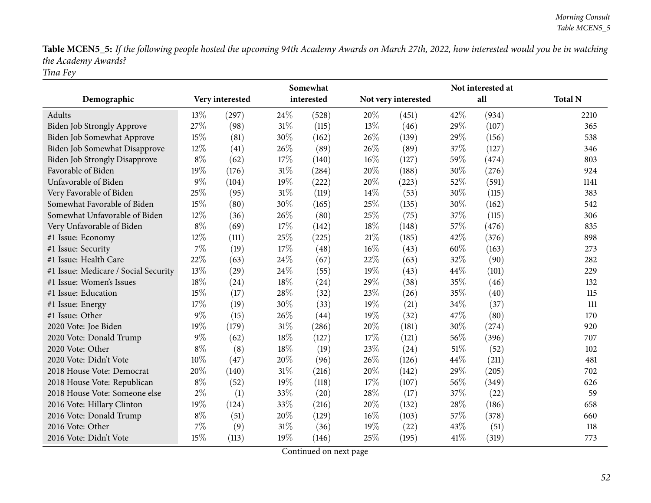Table MCEN5\_5: If the following people hosted the upcoming 94th Academy Awards on March 27th, 2022, how interested would you be in watching *the Academy Awards? Tina Fey*

|                                      |       |                 |        | Somewhat   |        |                     |      | Not interested at |                |
|--------------------------------------|-------|-----------------|--------|------------|--------|---------------------|------|-------------------|----------------|
| Demographic                          |       | Very interested |        | interested |        | Not very interested |      | all               | <b>Total N</b> |
| Adults                               | 13%   | (297)           | 24%    | (528)      | 20%    | (451)               | 42\% | (934)             | 2210           |
| <b>Biden Job Strongly Approve</b>    | 27%   | (98)            | 31%    | (115)      | 13%    | (46)                | 29%  | (107)             | 365            |
| Biden Job Somewhat Approve           | 15%   | (81)            | 30%    | (162)      | 26%    | (139)               | 29%  | (156)             | 538            |
| Biden Job Somewhat Disapprove        | 12%   | (41)            | 26%    | (89)       | 26%    | (89)                | 37%  | (127)             | 346            |
| <b>Biden Job Strongly Disapprove</b> | $8\%$ | (62)            | 17%    | (140)      | $16\%$ | (127)               | 59%  | (474)             | 803            |
| Favorable of Biden                   | 19%   | (176)           | 31%    | (284)      | 20%    | (188)               | 30%  | (276)             | 924            |
| Unfavorable of Biden                 | $9\%$ | (104)           | 19%    | (222)      | 20%    | (223)               | 52%  | (591)             | 1141           |
| Very Favorable of Biden              | 25%   | (95)            | $31\%$ | (119)      | 14\%   | (53)                | 30%  | (115)             | 383            |
| Somewhat Favorable of Biden          | 15%   | (80)            | 30%    | (165)      | 25%    | (135)               | 30%  | (162)             | 542            |
| Somewhat Unfavorable of Biden        | 12%   | (36)            | 26%    | (80)       | 25%    | (75)                | 37%  | (115)             | 306            |
| Very Unfavorable of Biden            | $8\%$ | (69)            | 17%    | (142)      | 18%    | (148)               | 57%  | (476)             | 835            |
| #1 Issue: Economy                    | 12%   | (111)           | 25%    | (225)      | $21\%$ | (185)               | 42%  | (376)             | 898            |
| #1 Issue: Security                   | 7%    | (19)            | 17%    | (48)       | $16\%$ | (43)                | 60%  | (163)             | 273            |
| #1 Issue: Health Care                | 22%   | (63)            | 24%    | (67)       | 22%    | (63)                | 32%  | (90)              | 282            |
| #1 Issue: Medicare / Social Security | 13%   | (29)            | 24%    | (55)       | 19%    | (43)                | 44%  | (101)             | 229            |
| #1 Issue: Women's Issues             | 18%   | (24)            | 18%    | (24)       | 29%    | (38)                | 35%  | (46)              | 132            |
| #1 Issue: Education                  | 15%   | (17)            | 28%    | (32)       | 23%    | (26)                | 35%  | (40)              | 115            |
| #1 Issue: Energy                     | 17%   | (19)            | 30%    | (33)       | 19%    | (21)                | 34%  | (37)              | 111            |
| #1 Issue: Other                      | $9\%$ | (15)            | 26%    | (44)       | 19%    | (32)                | 47%  | (80)              | 170            |
| 2020 Vote: Joe Biden                 | 19%   | (179)           | 31%    | (286)      | 20%    | (181)               | 30%  | (274)             | 920            |
| 2020 Vote: Donald Trump              | $9\%$ | (62)            | 18%    | (127)      | 17%    | (121)               | 56%  | (396)             | 707            |
| 2020 Vote: Other                     | $8\%$ | (8)             | 18%    | (19)       | 23\%   | (24)                | 51\% | (52)              | 102            |
| 2020 Vote: Didn't Vote               | 10%   | (47)            | 20%    | (96)       | 26%    | (126)               | 44%  | (211)             | 481            |
| 2018 House Vote: Democrat            | 20%   | (140)           | 31%    | (216)      | 20%    | (142)               | 29%  | (205)             | 702            |
| 2018 House Vote: Republican          | $8\%$ | (52)            | 19%    | (118)      | 17%    | (107)               | 56%  | (349)             | 626            |
| 2018 House Vote: Someone else        | $2\%$ | (1)             | 33%    | (20)       | 28%    | (17)                | 37%  | (22)              | 59             |
| 2016 Vote: Hillary Clinton           | 19%   | (124)           | 33%    | (216)      | 20%    | (132)               | 28%  | (186)             | 658            |
| 2016 Vote: Donald Trump              | $8\%$ | (51)            | 20%    | (129)      | $16\%$ | (103)               | 57%  | (378)             | 660            |
| 2016 Vote: Other                     | 7%    | (9)             | 31%    | (36)       | 19%    | (22)                | 43%  | (51)              | 118            |
| 2016 Vote: Didn't Vote               | 15%   | (113)           | 19%    | (146)      | 25%    | (195)               | 41\% | (319)             | 773            |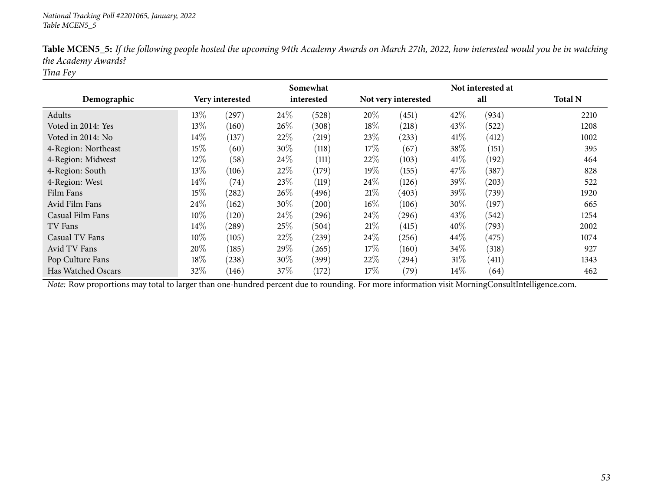|                     |        |                 |      | Somewhat   |                     |       |        | Not interested at |                |
|---------------------|--------|-----------------|------|------------|---------------------|-------|--------|-------------------|----------------|
| Demographic         |        | Very interested |      | interested | Not very interested |       |        | all               | <b>Total N</b> |
| Adults              | 13\%   | (297)           | 24\% | (528)      | 20%                 | (451) | 42%    | (934)             | 2210           |
| Voted in 2014: Yes  | 13%    | (160)           | 26%  | (308)      | 18\%                | (218) | 43\%   | (522)             | 1208           |
| Voted in 2014: No   | 14\%   | (137)           | 22%  | (219)      | 23%                 | (233) | 41\%   | (412)             | 1002           |
| 4-Region: Northeast | 15%    | (60)            | 30%  | (118)      | 17%                 | (67)  | 38%    | (151)             | 395            |
| 4-Region: Midwest   | 12%    | (58)            | 24\% | (111)      | 22%                 | (103) | 41%    | (192)             | 464            |
| 4-Region: South     | 13%    | (106)           | 22%  | (179)      | 19%                 | (155) | 47\%   | (387)             | 828            |
| 4-Region: West      | $14\%$ | (74)            | 23%  | (119)      | 24\%                | (126) | 39\%   | (203)             | 522            |
| Film Fans           | 15%    | (282)           | 26%  | (496)      | 21\%                | (403) | 39\%   | (739)             | 1920           |
| Avid Film Fans      | 24\%   | (162)           | 30%  | (200)      | $16\%$              | (106) | $30\%$ | (197)             | 665            |
| Casual Film Fans    | $10\%$ | (120)           | 24\% | (296)      | 24%                 | (296) | 43\%   | (542)             | 1254           |
| TV Fans             | 14\%   | (289)           | 25%  | (504)      | 21%                 | (415) | 40%    | (793)             | 2002           |
| Casual TV Fans      | 10%    | (105)           | 22%  | (239)      | $24\%$              | (256) | 44%    | (475)             | 1074           |
| Avid TV Fans        | 20%    | (185)           | 29%  | (265)      | 17%                 | (160) | 34\%   | (318)             | 927            |
| Pop Culture Fans    | 18%    | (238)           | 30%  | (399)      | 22\%                | (294) | 31%    | (411)             | 1343           |
| Has Watched Oscars  | 32%    | (146)           | 37%  | (172)      | 17%                 | (79)  | 14%    | (64)              | 462            |

Table MCEN5\_5: If the following people hosted the upcoming 94th Academy Awards on March 27th, 2022, how interested would you be in watching *the Academy Awards?*

*Tina Fey*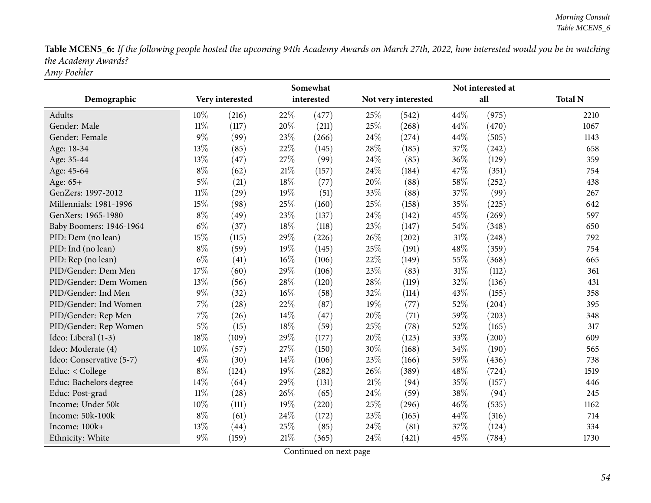Table MCEN5\_6: If the following people hosted the upcoming 94th Academy Awards on March 27th, 2022, how interested would you be in watching *the Academy Awards? Amy Poehler*

|                          |        |                 |        | Somewhat   |        |                     |      | Not interested at |                |
|--------------------------|--------|-----------------|--------|------------|--------|---------------------|------|-------------------|----------------|
| Demographic              |        | Very interested |        | interested |        | Not very interested |      | all               | <b>Total N</b> |
| Adults                   | 10%    | (216)           | 22%    | (477)      | 25\%   | (542)               | 44%  | (975)             | 2210           |
| Gender: Male             | $11\%$ | (117)           | 20%    | (211)      | 25\%   | (268)               | 44\% | (470)             | 1067           |
| Gender: Female           | $9\%$  | (99)            | 23%    | (266)      | 24\%   | (274)               | 44%  | (505)             | 1143           |
| Age: 18-34               | 13%    | (85)            | 22%    | (145)      | 28\%   | (185)               | 37%  | (242)             | 658            |
| Age: 35-44               | 13%    | (47)            | 27%    | (99)       | 24\%   | (85)                | 36%  | (129)             | 359            |
| Age: 45-64               | $8\%$  | (62)            | 21%    | (157)      | 24\%   | (184)               | 47\% | (351)             | 754            |
| Age: 65+                 | $5\%$  | (21)            | $18\%$ | (77)       | 20%    | (88)                | 58%  | (252)             | 438            |
| GenZers: 1997-2012       | $11\%$ | (29)            | 19%    | (51)       | 33%    | (88)                | 37%  | (99)              | 267            |
| Millennials: 1981-1996   | 15%    | (98)            | 25%    | (160)      | 25%    | (158)               | 35%  | (225)             | 642            |
| GenXers: 1965-1980       | $8\%$  | (49)            | 23%    | (137)      | 24\%   | (142)               | 45%  | (269)             | 597            |
| Baby Boomers: 1946-1964  | $6\%$  | (37)            | 18%    | (118)      | 23%    | (147)               | 54%  | (348)             | 650            |
| PID: Dem (no lean)       | 15%    | (115)           | 29%    | (226)      | 26%    | (202)               | 31%  | (248)             | 792            |
| PID: Ind (no lean)       | $8\%$  | (59)            | 19%    | (145)      | 25%    | (191)               | 48%  | (359)             | 754            |
| PID: Rep (no lean)       | $6\%$  | (41)            | 16%    | (106)      | 22%    | (149)               | 55%  | (368)             | 665            |
| PID/Gender: Dem Men      | 17%    | (60)            | 29%    | (106)      | 23%    | (83)                | 31%  | (112)             | 361            |
| PID/Gender: Dem Women    | 13%    | (56)            | 28%    | (120)      | 28\%   | (119)               | 32%  | (136)             | 431            |
| PID/Gender: Ind Men      | $9\%$  | (32)            | $16\%$ | (58)       | 32%    | (114)               | 43%  | (155)             | 358            |
| PID/Gender: Ind Women    | 7%     | (28)            | 22%    | (87)       | 19%    | (77)                | 52%  | (204)             | 395            |
| PID/Gender: Rep Men      | $7\%$  | (26)            | 14%    | (47)       | 20%    | (71)                | 59%  | (203)             | 348            |
| PID/Gender: Rep Women    | $5\%$  | (15)            | 18%    | (59)       | 25%    | (78)                | 52%  | (165)             | 317            |
| Ideo: Liberal (1-3)      | 18%    | (109)           | 29%    | (177)      | 20%    | (123)               | 33%  | (200)             | 609            |
| Ideo: Moderate (4)       | 10%    | (57)            | 27%    | (150)      | 30%    | (168)               | 34%  | (190)             | 565            |
| Ideo: Conservative (5-7) | $4\%$  | (30)            | 14%    | (106)      | 23%    | (166)               | 59%  | (436)             | 738            |
| Educ: < College          | $8\%$  | (124)           | 19%    | (282)      | 26%    | (389)               | 48%  | (724)             | 1519           |
| Educ: Bachelors degree   | 14%    | (64)            | 29%    | (131)      | $21\%$ | (94)                | 35%  | (157)             | 446            |
| Educ: Post-grad          | $11\%$ | (28)            | 26%    | (65)       | 24\%   | (59)                | 38%  | (94)              | 245            |
| Income: Under 50k        | 10%    | (111)           | 19%    | (220)      | 25%    | (296)               | 46%  | (535)             | 1162           |
| Income: 50k-100k         | $8\%$  | (61)            | 24%    | (172)      | 23%    | (165)               | 44\% | (316)             | 714            |
| Income: 100k+            | 13%    | (44)            | 25%    | (85)       | 24\%   | (81)                | 37%  | (124)             | 334            |
| Ethnicity: White         | $9\%$  | (159)           | $21\%$ | (365)      | 24\%   | (421)               | 45%  | (784)             | 1730           |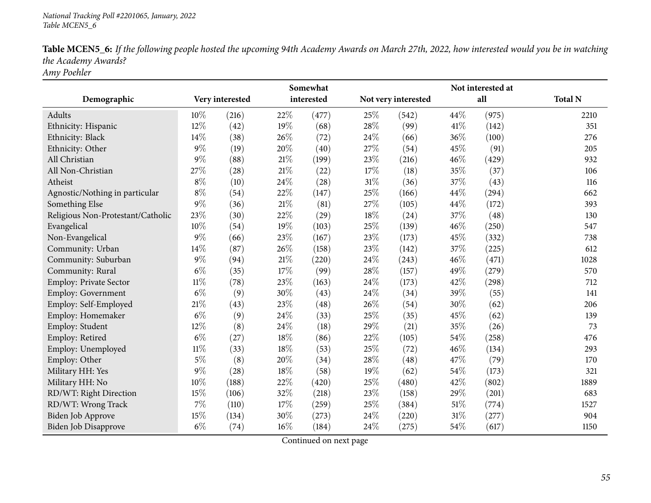| Table MCEN5_6: If the following people hosted the upcoming 94th Academy Awards on March 27th, 2022, how interested would you be in watching |
|---------------------------------------------------------------------------------------------------------------------------------------------|
| the Academy Awards?                                                                                                                         |
| $\sqrt{1}$                                                                                                                                  |

*Amy Poehler*

|                                   |        | Somewhat        |        |            |        |                     |        | Not interested at |                |
|-----------------------------------|--------|-----------------|--------|------------|--------|---------------------|--------|-------------------|----------------|
| Demographic                       |        | Very interested |        | interested |        | Not very interested |        | all               | <b>Total N</b> |
| Adults                            | 10%    | (216)           | 22%    | (477)      | 25%    | (542)               | 44\%   | (975)             | 2210           |
| Ethnicity: Hispanic               | 12%    | (42)            | 19%    | (68)       | 28\%   | (99)                | 41\%   | (142)             | 351            |
| Ethnicity: Black                  | 14%    | (38)            | 26%    | (72)       | 24\%   | (66)                | 36%    | (100)             | 276            |
| Ethnicity: Other                  | $9\%$  | (19)            | 20%    | (40)       | 27%    | (54)                | 45%    | (91)              | 205            |
| All Christian                     | $9\%$  | (88)            | $21\%$ | (199)      | 23%    | (216)               | 46%    | (429)             | 932            |
| All Non-Christian                 | 27%    | (28)            | $21\%$ | (22)       | 17%    | (18)                | 35%    | (37)              | 106            |
| Atheist                           | $8\%$  | (10)            | 24%    | (28)       | $31\%$ | (36)                | 37%    | (43)              | 116            |
| Agnostic/Nothing in particular    | $8\%$  | (54)            | 22%    | (147)      | 25%    | (166)               | 44%    | (294)             | 662            |
| Something Else                    | $9\%$  | (36)            | $21\%$ | (81)       | 27%    | (105)               | 44%    | (172)             | 393            |
| Religious Non-Protestant/Catholic | 23%    | (30)            | $22\%$ | (29)       | 18%    | (24)                | 37%    | (48)              | 130            |
| Evangelical                       | 10%    | (54)            | 19%    | (103)      | 25%    | (139)               | 46%    | (250)             | 547            |
| Non-Evangelical                   | $9\%$  | (66)            | 23%    | (167)      | 23%    | (173)               | 45%    | (332)             | 738            |
| Community: Urban                  | 14%    | (87)            | 26%    | (158)      | 23%    | (142)               | 37%    | (225)             | 612            |
| Community: Suburban               | $9\%$  | (94)            | $21\%$ | (220)      | 24%    | (243)               | 46%    | (471)             | 1028           |
| Community: Rural                  | $6\%$  | (35)            | 17%    | (99)       | 28\%   | (157)               | 49%    | (279)             | 570            |
| Employ: Private Sector            | $11\%$ | (78)            | 23%    | (163)      | 24\%   | (173)               | 42%    | (298)             | 712            |
| Employ: Government                | $6\%$  | (9)             | 30%    | (43)       | 24%    | (34)                | 39%    | (55)              | 141            |
| Employ: Self-Employed             | 21\%   | (43)            | 23%    | (48)       | 26\%   | (54)                | 30%    | (62)              | 206            |
| Employ: Homemaker                 | $6\%$  | (9)             | 24%    | (33)       | 25%    | (35)                | 45%    | (62)              | 139            |
| Employ: Student                   | 12%    | (8)             | 24\%   | (18)       | 29%    | (21)                | 35%    | (26)              | 73             |
| Employ: Retired                   | $6\%$  | (27)            | 18%    | (86)       | 22%    | (105)               | 54%    | (258)             | 476            |
| Employ: Unemployed                | $11\%$ | (33)            | 18%    | (53)       | 25%    | (72)                | 46%    | (134)             | 293            |
| Employ: Other                     | $5\%$  | (8)             | 20%    | (34)       | 28%    | (48)                | 47%    | (79)              | 170            |
| Military HH: Yes                  | $9\%$  | (28)            | 18%    | (58)       | 19%    | (62)                | 54%    | (173)             | 321            |
| Military HH: No                   | 10%    | (188)           | $22\%$ | (420)      | 25%    | (480)               | 42%    | (802)             | 1889           |
| RD/WT: Right Direction            | 15%    | (106)           | $32\%$ | (218)      | 23%    | (158)               | 29%    | (201)             | 683            |
| RD/WT: Wrong Track                | 7%     | (110)           | 17%    | (259)      | 25%    | (384)               | $51\%$ | (774)             | 1527           |
| <b>Biden Job Approve</b>          | 15%    | (134)           | 30%    | (273)      | 24%    | (220)               | $31\%$ | (277)             | 904            |
| Biden Job Disapprove              | $6\%$  | (74)            | 16%    | (184)      | 24%    | (275)               | 54%    | (617)             | 1150           |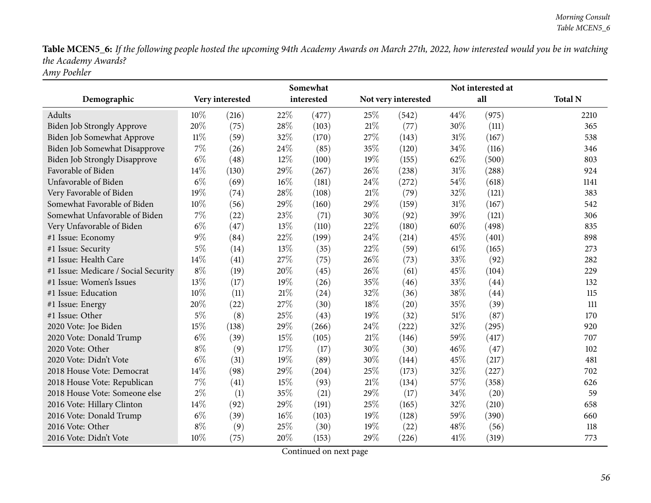Table MCEN5\_6: If the following people hosted the upcoming 94th Academy Awards on March 27th, 2022, how interested would you be in watching *the Academy Awards? Amy Poehler*

|                                      |        |                 | Somewhat |            |        |                     | Not interested at |       |                |  |  |
|--------------------------------------|--------|-----------------|----------|------------|--------|---------------------|-------------------|-------|----------------|--|--|
| Demographic                          |        | Very interested |          | interested |        | Not very interested |                   | all   | <b>Total N</b> |  |  |
| Adults                               | 10%    | (216)           | 22%      | (477)      | 25%    | (542)               | 44%               | (975) | 2210           |  |  |
| <b>Biden Job Strongly Approve</b>    | 20%    | (75)            | 28%      | (103)      | 21%    | (77)                | 30%               | (111) | 365            |  |  |
| Biden Job Somewhat Approve           | $11\%$ | (59)            | 32%      | (170)      | 27%    | (143)               | $31\%$            | (167) | 538            |  |  |
| Biden Job Somewhat Disapprove        | 7%     | (26)            | 24\%     | (85)       | 35%    | (120)               | 34%               | (116) | 346            |  |  |
| <b>Biden Job Strongly Disapprove</b> | $6\%$  | (48)            | 12%      | (100)      | 19%    | (155)               | 62%               | (500) | 803            |  |  |
| Favorable of Biden                   | 14\%   | (130)           | 29%      | (267)      | 26\%   | (238)               | 31%               | (288) | 924            |  |  |
| Unfavorable of Biden                 | $6\%$  | (69)            | 16%      | (181)      | 24\%   | (272)               | 54%               | (618) | 1141           |  |  |
| Very Favorable of Biden              | 19%    | (74)            | 28%      | (108)      | 21%    | (79)                | 32%               | (121) | 383            |  |  |
| Somewhat Favorable of Biden          | 10%    | (56)            | 29%      | (160)      | 29%    | (159)               | 31%               | (167) | 542            |  |  |
| Somewhat Unfavorable of Biden        | $7\%$  | (22)            | 23%      | (71)       | 30%    | (92)                | 39%               | (121) | 306            |  |  |
| Very Unfavorable of Biden            | $6\%$  | (47)            | 13%      | (110)      | 22%    | (180)               | 60%               | (498) | 835            |  |  |
| #1 Issue: Economy                    | $9\%$  | (84)            | 22%      | (199)      | 24%    | (214)               | 45%               | (401) | 898            |  |  |
| #1 Issue: Security                   | $5\%$  | (14)            | 13%      | (35)       | 22%    | (59)                | 61\%              | (165) | 273            |  |  |
| #1 Issue: Health Care                | 14%    | (41)            | 27%      | (75)       | 26%    | (73)                | 33%               | (92)  | 282            |  |  |
| #1 Issue: Medicare / Social Security | $8\%$  | (19)            | 20%      | (45)       | 26%    | (61)                | 45%               | (104) | 229            |  |  |
| #1 Issue: Women's Issues             | 13%    | (17)            | 19%      | (26)       | 35%    | (46)                | 33%               | (44)  | 132            |  |  |
| #1 Issue: Education                  | 10%    | (11)            | $21\%$   | (24)       | 32%    | (36)                | 38%               | (44)  | 115            |  |  |
| #1 Issue: Energy                     | 20%    | (22)            | 27%      | (30)       | 18%    | (20)                | 35%               | (39)  | 111            |  |  |
| #1 Issue: Other                      | $5\%$  | (8)             | 25%      | (43)       | 19%    | (32)                | $51\%$            | (87)  | 170            |  |  |
| 2020 Vote: Joe Biden                 | 15%    | (138)           | 29%      | (266)      | 24\%   | (222)               | 32%               | (295) | 920            |  |  |
| 2020 Vote: Donald Trump              | $6\%$  | (39)            | 15%      | (105)      | $21\%$ | (146)               | 59%               | (417) | 707            |  |  |
| 2020 Vote: Other                     | $8\%$  | (9)             | 17%      | (17)       | 30%    | (30)                | 46%               | (47)  | 102            |  |  |
| 2020 Vote: Didn't Vote               | $6\%$  | (31)            | 19%      | (89)       | 30%    | (144)               | 45%               | (217) | 481            |  |  |
| 2018 House Vote: Democrat            | 14%    | (98)            | 29%      | (204)      | 25%    | (173)               | 32%               | (227) | 702            |  |  |
| 2018 House Vote: Republican          | $7\%$  | (41)            | 15%      | (93)       | $21\%$ | (134)               | 57%               | (358) | 626            |  |  |
| 2018 House Vote: Someone else        | $2\%$  | (1)             | 35%      | (21)       | 29%    | (17)                | 34%               | (20)  | 59             |  |  |
| 2016 Vote: Hillary Clinton           | 14%    | (92)            | 29%      | (191)      | 25%    | (165)               | 32%               | (210) | 658            |  |  |
| 2016 Vote: Donald Trump              | $6\%$  | (39)            | 16%      | (103)      | 19%    | (128)               | 59%               | (390) | 660            |  |  |
| 2016 Vote: Other                     | $8\%$  | (9)             | 25%      | (30)       | 19%    | (22)                | 48%               | (56)  | 118            |  |  |
| 2016 Vote: Didn't Vote               | 10%    | (75)            | 20%      | (153)      | 29%    | (226)               | 41%               | (319) | 773            |  |  |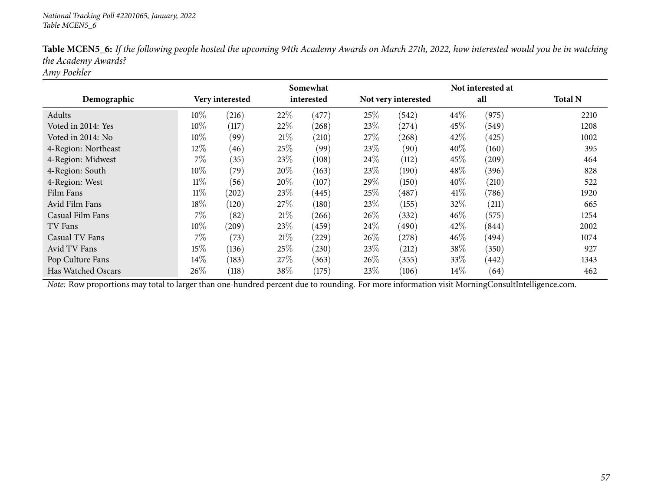|                     |        |                 |      | Somewhat   |        |                     |      | Not interested at |                |
|---------------------|--------|-----------------|------|------------|--------|---------------------|------|-------------------|----------------|
| Demographic         |        | Very interested |      | interested |        | Not very interested |      | all               | <b>Total N</b> |
| Adults              | $10\%$ | (216)           | 22%  | (477)      | 25%    | (542)               | 44%  | (975)             | 2210           |
| Voted in 2014: Yes  | $10\%$ | (117)           | 22%  | (268)      | 23%    | (274)               | 45\% | (549)             | 1208           |
| Voted in 2014: No   | 10%    | (99)            | 21\% | (210)      | 27%    | (268)               | 42\% | (425)             | 1002           |
| 4-Region: Northeast | 12%    | (46)            | 25%  | (99)       | 23\%   | (90)                | 40%  | (160)             | 395            |
| 4-Region: Midwest   | $7\%$  | (35)            | 23%  | (108)      | $24\%$ | (112)               | 45\% | (209)             | 464            |
| 4-Region: South     | 10%    | (79)            | 20%  | (163)      | 23%    | (190)               | 48%  | (396)             | 828            |
| 4-Region: West      | $11\%$ | (56)            | 20%  | (107)      | 29%    | (150)               | 40%  | (210)             | 522            |
| Film Fans           | $11\%$ | (202)           | 23%  | (445)      | 25%    | (487)               | 41\% | (786)             | 1920           |
| Avid Film Fans      | 18%    | (120)           | 27\% | (180)      | 23\%   | (155)               | 32%  | (211)             | 665            |
| Casual Film Fans    | $7\%$  | (82)            | 21\% | (266)      | $26\%$ | (332)               | 46%  | (575)             | 1254           |
| TV Fans             | $10\%$ | $^{'}209)$      | 23\% | (459)      | 24%    | (490)               | 42%  | (844)             | 2002           |
| Casual TV Fans      | 7%     | (73)            | 21%  | (229)      | $26\%$ | (278)               | 46%  | (494)             | 1074           |
| Avid TV Fans        | 15%    | (136)           | 25%  | (230)      | 23\%   | (212)               | 38%  | (350)             | 927            |
| Pop Culture Fans    | 14\%   | (183)           | 27\% | (363)      | $26\%$ | (355)               | 33\% | (442)             | 1343           |
| Has Watched Oscars  | 26%    | (118)           | 38%  | (175)      | 23\%   | (106)               | 14%  | (64)              | 462            |

Table MCEN5\_6: If the following people hosted the upcoming 94th Academy Awards on March 27th, 2022, how interested would you be in watching *the Academy Awards?*

*Amy Poehler*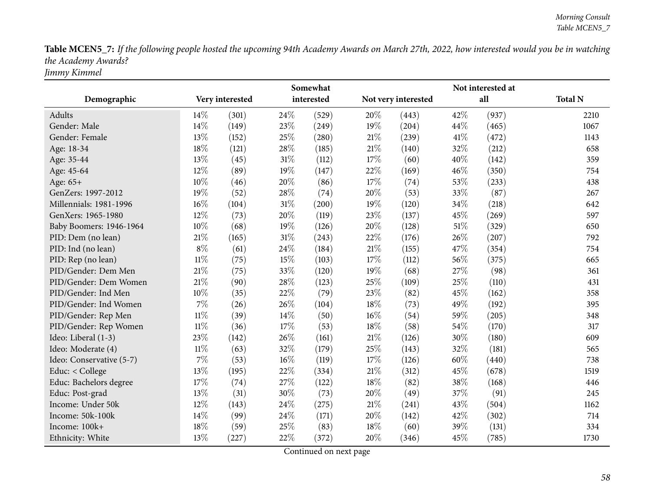Table MCEN5\_7: If the following people hosted the upcoming 94th Academy Awards on March 27th, 2022, how interested would you be in watching *the Academy Awards? Jimmy Kimmel*

|                          | Somewhat |                 |        |            |        |                     |        |       |                |
|--------------------------|----------|-----------------|--------|------------|--------|---------------------|--------|-------|----------------|
| Demographic              |          | Very interested |        | interested |        | Not very interested |        | all   | <b>Total N</b> |
| Adults                   | 14%      | (301)           | 24\%   | (529)      | 20%    | (443)               | 42%    | (937) | 2210           |
| Gender: Male             | 14%      | (149)           | 23%    | (249)      | $19\%$ | (204)               | 44\%   | (465) | 1067           |
| Gender: Female           | 13%      | (152)           | 25%    | (280)      | 21%    | (239)               | 41\%   | (472) | 1143           |
| Age: 18-34               | 18%      | (121)           | 28%    | (185)      | 21\%   | (140)               | 32%    | (212) | 658            |
| Age: 35-44               | 13%      | (45)            | $31\%$ | (112)      | 17%    | (60)                | 40%    | (142) | 359            |
| Age: 45-64               | 12%      | (89)            | 19%    | (147)      | 22%    | (169)               | 46%    | (350) | 754            |
| Age: 65+                 | 10%      | (46)            | 20%    | (86)       | 17%    | (74)                | 53%    | (233) | 438            |
| GenZers: 1997-2012       | 19%      | (52)            | 28%    | (74)       | 20%    | (53)                | 33%    | (87)  | 267            |
| Millennials: 1981-1996   | 16%      | (104)           | $31\%$ | (200)      | 19%    | (120)               | 34%    | (218) | 642            |
| GenXers: 1965-1980       | 12%      | (73)            | 20%    | (119)      | 23%    | (137)               | 45%    | (269) | 597            |
| Baby Boomers: 1946-1964  | 10%      | (68)            | 19%    | (126)      | 20%    | (128)               | $51\%$ | (329) | 650            |
| PID: Dem (no lean)       | 21%      | (165)           | $31\%$ | (243)      | 22%    | (176)               | 26%    | (207) | 792            |
| PID: Ind (no lean)       | $8\%$    | (61)            | 24%    | (184)      | 21%    | (155)               | 47\%   | (354) | 754            |
| PID: Rep (no lean)       | $11\%$   | (75)            | 15%    | (103)      | 17%    | (112)               | 56%    | (375) | 665            |
| PID/Gender: Dem Men      | 21%      | (75)            | 33%    | (120)      | $19\%$ | (68)                | 27%    | (98)  | 361            |
| PID/Gender: Dem Women    | 21%      | (90)            | 28%    | (123)      | 25%    | (109)               | 25%    | (110) | 431            |
| PID/Gender: Ind Men      | 10%      | (35)            | 22%    | (79)       | 23%    | (82)                | 45%    | (162) | 358            |
| PID/Gender: Ind Women    | 7%       | (26)            | 26%    | (104)      | 18%    | (73)                | 49%    | (192) | 395            |
| PID/Gender: Rep Men      | $11\%$   | (39)            | 14%    | (50)       | $16\%$ | (54)                | 59%    | (205) | 348            |
| PID/Gender: Rep Women    | $11\%$   | (36)            | 17%    | (53)       | 18%    | (58)                | 54%    | (170) | 317            |
| Ideo: Liberal (1-3)      | 23%      | (142)           | 26%    | (161)      | 21%    | (126)               | 30%    | (180) | 609            |
| Ideo: Moderate (4)       | $11\%$   | (63)            | 32%    | (179)      | 25%    | (143)               | 32%    | (181) | 565            |
| Ideo: Conservative (5-7) | 7%       | (53)            | $16\%$ | (119)      | 17%    | (126)               | 60%    | (440) | 738            |
| Educ: < College          | 13%      | (195)           | 22%    | (334)      | 21%    | (312)               | 45%    | (678) | 1519           |
| Educ: Bachelors degree   | 17%      | (74)            | 27%    | (122)      | 18%    | (82)                | 38%    | (168) | 446            |
| Educ: Post-grad          | 13%      | (31)            | 30%    | (73)       | 20%    | (49)                | 37%    | (91)  | 245            |
| Income: Under 50k        | 12%      | (143)           | 24%    | (275)      | 21%    | (241)               | 43%    | (504) | 1162           |
| Income: 50k-100k         | 14%      | (99)            | 24%    | (171)      | 20%    | (142)               | 42%    | (302) | 714            |
| Income: 100k+            | 18%      | (59)            | 25%    | (83)       | 18%    | (60)                | 39%    | (131) | 334            |
| Ethnicity: White         | 13%      | (227)           | 22%    | (372)      | 20%    | (346)               | 45%    | (785) | 1730           |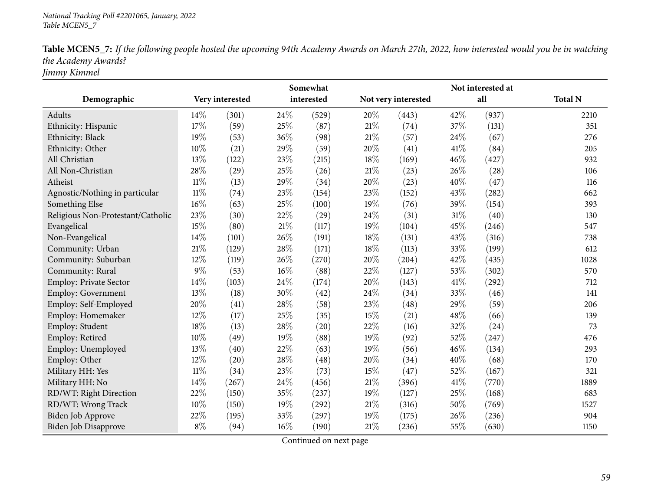| Table MCEN5_7: If the following people hosted the upcoming 94th Academy Awards on March 27th, 2022, how interested would you be in watching |
|---------------------------------------------------------------------------------------------------------------------------------------------|
| the Academy Awards?                                                                                                                         |
| Jimmy Kimmel                                                                                                                                |

**Demographic Very interestedSomewhat interested Not very interested Not interested at all Total <sup>N</sup>**Adults**s**  $14\%$  (301)  $(529)$  20%  $(443)$  42%  $(937)$  2210 351 Ethnicity: Hispanic 17% (59) 25% (87) 21% (74) 37% (131) 351 Ethnicity: Blackk 19% (53)  $36\%$  (98)  $21\%$  (57)  $24\%$  (67) 276 Ethnicity: Other 10% (21)  $29\%$  (59)  $20\%$  (41)  $41\%$  (84) 205 All Christian13% (122) 23% (215) 18% (169) 46% (427) 932 All Non-Christiann 28% (29) 25% (26) 21% (23) 26% (28) 106 Atheistt  $11\%$  (13)  $(34)$   $20\%$   $(23)$   $40\%$   $(47)$   $116$ 662 Agnostic/Nothing in particular  $11\%$  (74)  $23\%$  (154)  $23\%$  (152)  $43\%$  (282) 662<br>Something Else  $16\%$  (63)  $25\%$  (100)  $19\%$  (76)  $39\%$  (154) 393 Something Else 16% (63)  $25\%$  (100)  $19\%$  (76)  $39\%$  (154) 393 Religious Non-Protestant/Catholic 23% (30) 22% (29) 24% (31) 31% (40) 130<br>Evangelical 15% (80) 21% (117) 19% (104) 45% (246) 547 547 Evangelical  $)$  21% (117) 19% (104) 45% (246) 547 738 Non-Evangelical  $14\%$  (101)  $(191)$   $18\%$   $(131)$   $43\%$   $(316)$   $738$ 612 Community: Urbann 21% (129) 28% (171) 18% (113) 33% (199) 612 Community: Suburbann 12% (119)  $26\%$  (270)  $20\%$  (204)  $42\%$  (435) 1028 Community: Rural  $9\%$   $(53)$   $16\%$   $(88)$   $22\%$   $(127)$   $53\%$   $(302)$  570 712 Employ: Private Sector 14% (103) 24% (174) 20% (143) 41% (292)<br>Employ: Government 13% (18) 30% (42) 24% (34) 33% (46) Employ: Government 13% (18)  $30\%$  (42)  $24\%$  (34)  $33\%$  (46) 141 Employ: Self-Employedd  $20\%$  (41)  $28\%$  (58)  $23\%$  (48)  $29\%$  (59) 206 Employ: Homemaker 12% (17) 25% (35) 15% (21) 48% (66) 139 73 Employ: Student 18% (13)  $28\%$  (20)  $22\%$  (16)  $32\%$  (24) 73 Employ: Retiredd  $10\%$  (49)  $19\%$  (88)  $19\%$  (92)  $52\%$  (247)  $476$ Employ: Unemployedd  $13\%$  (40)  $22\%$  (63)  $19\%$  (56)  $46\%$  (134) 293 Employ: Other 12% (20) 28% (48) 20% (34) 40% (68) 170 321 Military HH: Yes 11<sup>%</sup> (34) 23% (73) 15% (47) 52% (167) 52% (167) Military HH: No0 14% (267)  $24\%$  (456)  $21\%$  (396)  $41\%$  (770) 1889 RD/WT: Right Directionn 22% (150) 35% (237) 19% (127) 25% (168) 683 RD/WT: Wrong Trackk 10% (150) 19% (292) 21% (316) 50% (769) 1527 Biden Job Approve 22% (195) 33% (297) 19% (175) 26% (236) 904 1150 Biden Job Disapprove  $8\%$   $(94)$   $16\%$   $(190)$   $21\%$   $(236)$   $55\%$   $(630)$  1150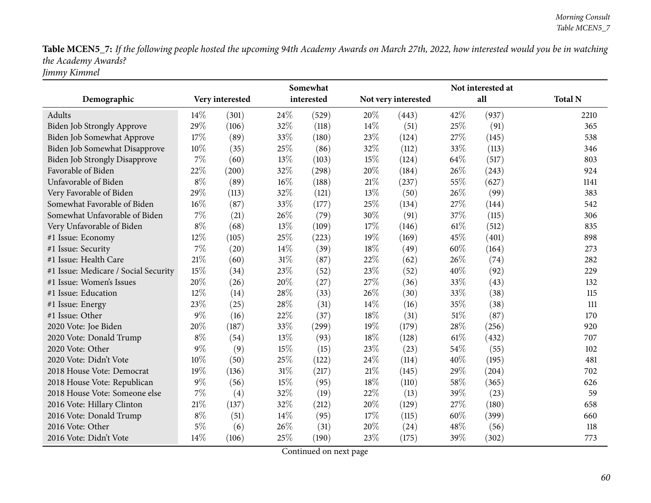Table MCEN5\_7: If the following people hosted the upcoming 94th Academy Awards on March 27th, 2022, how interested would you be in watching *the Academy Awards? Jimmy Kimmel*

**Demographic Very interestedSomewhat interested Not very interested Not interested at all Total <sup>N</sup>**Adults**s**  $14\%$  (301)  $(529)$  20%  $(443)$  42%  $(937)$  2210 365 Biden Job Strongly Approve 29% (106) 32% (118) 14% (51) 25% (91) 365<br>Biden Job Somewhat Approve 17% (89) 33% (180) 23% (124) 27% (145) 538 Biden Job Somewhat Approve  $17\%$  (89)  $33\%$  (180)  $23\%$  (124)  $27\%$  (145) 538<br>Biden Job Somewhat Disapprove  $10\%$  (35)  $25\%$  (86)  $32\%$  (112)  $33\%$  (113) 346 Biden Job Somewhat Disapprove  $10\%$  (35)  $25\%$  (86)  $32\%$  (112) 33% (113) 33% (113) 33% (113) 33% 803 Biden Job Strongly Disapprove 7% (60) 13% (103) 15% (124) 64% (517) 803<br>
Favorable of Biden 22% (200) 32% (298) 20% (184) 26% (243) 924 Favorable of Bidenn 22% (200)  $32\%$  (298)  $20\%$  (184)  $26\%$  (243) 924 Unfavorable of Bidenn 8% (89)  $16\%$  (188)  $21\%$  (237)  $55\%$  (627) 1141 Very Favorable of Bidenn 29% (113)  $32\%$  (121)  $13\%$  (50)  $26\%$  (99) 383 Somewhat Favorable of Biden $\ln$  16% (87) 33% (177) 25% (134) 27% (144) 542 Somewhat Unfavorable of Bidenn 7% (21)  $26\%$  (79)  $30\%$  (91)  $37\%$  (115)  $306$ Very Unfavorable of Bidenn 8% (68) 13% (109) 17% (146) 61% (512) 835 #1 Issue: Economy <sup>12</sup>% (105) <sup>25</sup>% (223) <sup>19</sup>% (169) <sup>45</sup>% (401) <sup>898</sup> #1 Issue: Security <sup>7</sup>% (20) <sup>14</sup>% (39) <sup>18</sup>% (49) <sup>60</sup>% (164) <sup>273</sup> #1 Issue: Health Care  $21\%$  (60)  $31\%$  (87)  $22\%$  (62)  $26\%$  (74) 282 41 Issue: Medicare / Social Security 15% (34) 23% (52) 23% (52) 40% (92) 229<br>
41 Issue: Women's Issues 20% (26) 20% (27) 27% (36) 33% (43) 132 132 #1 Issue: Women's Issues 20% (26) 20% (27) 27% (36) 33% (43) 132 #1 Issue: Educationn 12% (14) 28% (33) 26% (30) 33% (38) 115 #1 Issue: Energy <sup>23</sup>% (25) <sup>28</sup>% (31) <sup>14</sup>% (16) <sup>35</sup>% (38) <sup>111</sup> #1 Issue: Other  $9\%$  (16)  $22\%$  (37)  $18\%$  (31)  $51\%$  (87) 170 920 <sup>2020</sup> Vote: Joe Bidenn 20% (187)  $33\%$  (299)  $19\%$  (179)  $28\%$  (256) 920 <sup>2020</sup> Vote: Donald Trump $p$  8% (54) 13% (93) 18% (128) 61% (432) 707 2020 Vote: Other 9%<br>2020 Vote: Didn't Vote 10%  $\frac{\%}{\%}$  (9) 15\% (15) 23\% (23) 54\% (55) 102<br>  $\frac{\%}{\%}$  (50) 25\% (132) 24\% (114) 49\% (105) 102 <sup>2020</sup> Vote: Didn't Vote <sup>10</sup>% (50) <sup>25</sup>% (122) <sup>24</sup>% (114) <sup>40</sup>% (195) <sup>481</sup> 2018 House Vote: Democrat 19% (136) 31% (217) 21% (145) 29% (204) 702<br>2018 House Vote: Republican 9% (56) 15% (95) 18% (110) 58% (365) 626 <sup>2018</sup> House Vote: Republicann 9% (56) 15% (95) 18% (110) 58% (365) 626 2018 House Vote: Someone else  $7\%$  (4)  $32\%$  (19)  $22\%$  (13)  $39\%$  (23) 59<br>2016 Vote: Hillary Clinton  $21\%$  (137)  $32\%$  (212)  $20\%$  (129)  $27\%$  (180) 658 658 <sup>2016</sup> Vote: Hillary Clintonn 21% (137) 32% (212) 20% (129) 27% (180) 658 <sup>2016</sup> Vote: Donald Trump $p$  8% (51)  $14\%$  (95)  $17\%$  (115) 60% (399) 660 2016 Vote: Other 5% (6)  $26\%$  (31)  $20\%$  (24)  $48\%$  (56) 118 <sup>2016</sup> Vote: Didn't Vote <sup>14</sup>% (106) <sup>25</sup>% (190) <sup>23</sup>% (175) <sup>39</sup>% (302) <sup>773</sup>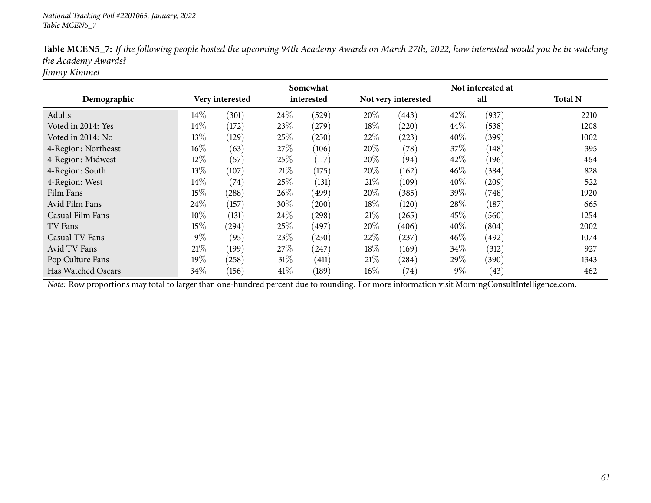|                     |       |                 |        | Somewhat   |        |                     | Not interested at |       |                |
|---------------------|-------|-----------------|--------|------------|--------|---------------------|-------------------|-------|----------------|
| Demographic         |       | Very interested |        | interested |        | Not very interested |                   | all   | <b>Total N</b> |
| Adults              | 14%   | (301)           | 24%    | (529)      | 20%    | (443)               | 42%               | (937) | 2210           |
| Voted in 2014: Yes  | 14\%  | (172)           | 23%    | (279)      | 18%    | (220)               | $44\%$            | (538) | 1208           |
| Voted in 2014: No   | 13%   | (129)           | 25%    | (250)      | 22\%   | (223)               | $40\%$            | (399) | 1002           |
| 4-Region: Northeast | 16%   | (63)            | 27%    | (106)      | 20%    | (78)                | 37\%              | (148) | 395            |
| 4-Region: Midwest   | 12%   | (57)            | 25%    | (117)      | $20\%$ | (94)                | 42%               | (196) | 464            |
| 4-Region: South     | 13%   | (107)           | 21\%   | (175)      | 20%    | (162)               | 46%               | (384) | 828            |
| 4-Region: West      | 14%   | (74)            | 25%    | (131)      | 21\%   | (109)               | 40%               | (209) | 522            |
| Film Fans           | 15%   | (288)           | 26%    | (499)      | 20%    | (385)               | 39\%              | (748) | 1920           |
| Avid Film Fans      | 24\%  | (157)           | 30%    | (200)      | 18\%   | (120)               | 28\%              | (187) | 665            |
| Casual Film Fans    | 10%   | (131)           | 24\%   | (298)      | 21\%   | (265)               | 45%               | (560) | 1254           |
| TV Fans             | 15%   | (294)           | 25%    | (497)      | 20%    | (406)               | 40%               | (804) | 2002           |
| Casual TV Fans      | $9\%$ | (95)            | 23%    | (250)      | 22%    | (237)               | $46\%$            | (492) | 1074           |
| Avid TV Fans        | 21\%  | (199)           | 27\%   | (247)      | $18\%$ | (169)               | 34\%              | (312) | 927            |
| Pop Culture Fans    | 19%   | (258)           | $31\%$ | (411)      | 21%    | (284)               | 29%               | (390) | 1343           |
| Has Watched Oscars  | 34\%  | (156)           | 41\%   | (189)      | $16\%$ | (74)                | $9\%$             | (43)  | 462            |

Table MCEN5\_7: If the following people hosted the upcoming 94th Academy Awards on March 27th, 2022, how interested would you be in watching *the Academy Awards?*

*Jimmy Kimmel*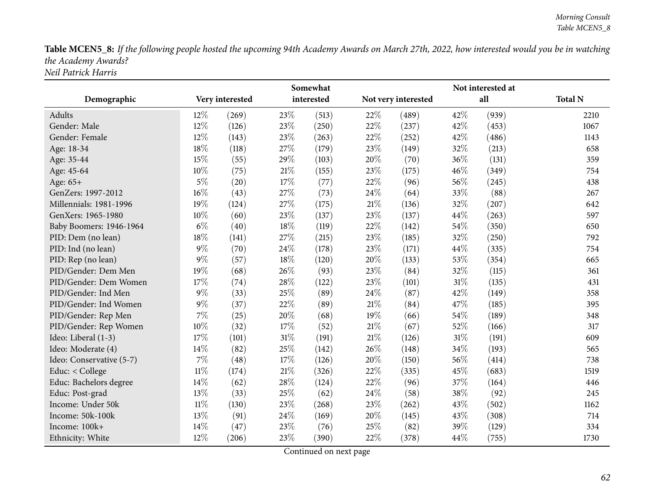Table MCEN5\_8: If the following people hosted the upcoming 94th Academy Awards on March 27th, 2022, how interested would you be in watching *the Academy Awards? Neil Patrick Harris*

|                          | Somewhat |                 |     | Not interested at |        |                     |        |       |                |  |
|--------------------------|----------|-----------------|-----|-------------------|--------|---------------------|--------|-------|----------------|--|
| Demographic              |          | Very interested |     | interested        |        | Not very interested |        | all   | <b>Total N</b> |  |
| Adults                   | 12%      | (269)           | 23% | (513)             | 22%    | (489)               | 42%    | (939) | 2210           |  |
| Gender: Male             | 12%      | (126)           | 23% | (250)             | 22%    | (237)               | 42\%   | (453) | 1067           |  |
| Gender: Female           | 12%      | (143)           | 23% | (263)             | 22%    | (252)               | 42%    | (486) | 1143           |  |
| Age: 18-34               | 18%      | (118)           | 27% | (179)             | 23%    | (149)               | 32%    | (213) | 658            |  |
| Age: 35-44               | 15%      | (55)            | 29% | (103)             | 20%    | (70)                | 36%    | (131) | 359            |  |
| Age: 45-64               | 10%      | (75)            | 21% | (155)             | 23%    | (175)               | 46%    | (349) | 754            |  |
| Age: 65+                 | $5\%$    | (20)            | 17% | (77)              | 22%    | (96)                | 56%    | (245) | 438            |  |
| GenZers: 1997-2012       | 16%      | (43)            | 27% | (73)              | 24\%   | (64)                | 33\%   | (88)  | 267            |  |
| Millennials: 1981-1996   | 19%      | (124)           | 27% | (175)             | $21\%$ | (136)               | 32%    | (207) | 642            |  |
| GenXers: 1965-1980       | 10%      | (60)            | 23% | (137)             | 23%    | (137)               | 44%    | (263) | 597            |  |
| Baby Boomers: 1946-1964  | $6\%$    | (40)            | 18% | (119)             | 22%    | (142)               | 54%    | (350) | 650            |  |
| PID: Dem (no lean)       | 18%      | (141)           | 27% | (215)             | 23%    | (185)               | 32%    | (250) | 792            |  |
| PID: Ind (no lean)       | $9\%$    | (70)            | 24% | (178)             | 23%    | (171)               | 44%    | (335) | 754            |  |
| PID: Rep (no lean)       | $9\%$    | (57)            | 18% | (120)             | 20%    | (133)               | 53%    | (354) | 665            |  |
| PID/Gender: Dem Men      | 19%      | (68)            | 26% | (93)              | 23%    | (84)                | 32%    | (115) | 361            |  |
| PID/Gender: Dem Women    | 17%      | (74)            | 28% | (122)             | 23%    | (101)               | $31\%$ | (135) | 431            |  |
| PID/Gender: Ind Men      | $9\%$    | (33)            | 25% | (89)              | 24%    | (87)                | 42%    | (149) | 358            |  |
| PID/Gender: Ind Women    | $9\%$    | (37)            | 22% | (89)              | $21\%$ | (84)                | 47%    | (185) | 395            |  |
| PID/Gender: Rep Men      | 7%       | (25)            | 20% | (68)              | 19%    | (66)                | 54\%   | (189) | 348            |  |
| PID/Gender: Rep Women    | 10%      | (32)            | 17% | (52)              | $21\%$ | (67)                | 52%    | (166) | 317            |  |
| Ideo: Liberal (1-3)      | 17%      | (101)           | 31% | (191)             | $21\%$ | (126)               | $31\%$ | (191) | 609            |  |
| Ideo: Moderate (4)       | 14%      | (82)            | 25% | (142)             | 26%    | (148)               | 34%    | (193) | 565            |  |
| Ideo: Conservative (5-7) | $7\%$    | (48)            | 17% | (126)             | 20%    | (150)               | 56%    | (414) | 738            |  |
| Educ: < College          | $11\%$   | (174)           | 21% | (326)             | 22%    | (335)               | 45%    | (683) | 1519           |  |
| Educ: Bachelors degree   | 14%      | (62)            | 28% | (124)             | 22%    | (96)                | 37%    | (164) | 446            |  |
| Educ: Post-grad          | 13%      | (33)            | 25% | (62)              | 24%    | (58)                | 38%    | (92)  | 245            |  |
| Income: Under 50k        | $11\%$   | (130)           | 23% | (268)             | 23%    | (262)               | 43%    | (502) | 1162           |  |
| Income: 50k-100k         | 13%      | (91)            | 24% | (169)             | 20%    | (145)               | 43%    | (308) | 714            |  |
| Income: 100k+            | 14%      | (47)            | 23% | (76)              | 25%    | (82)                | 39%    | (129) | 334            |  |
| Ethnicity: White         | 12%      | (206)           | 23% | (390)             | 22%    | (378)               | 44%    | (755) | 1730           |  |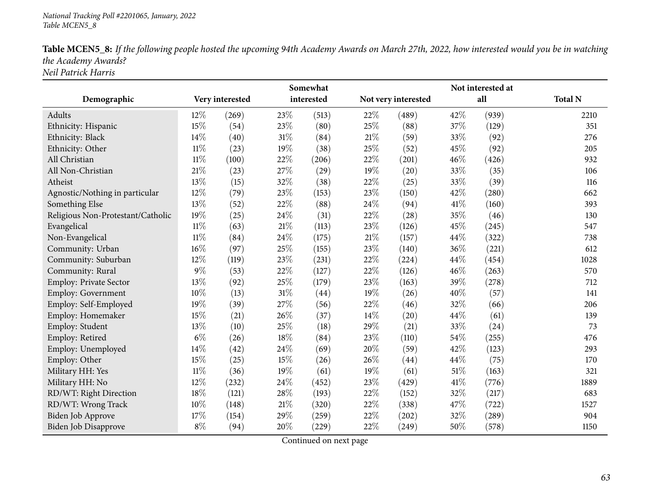| Table MCEN5_8: If the following people hosted the upcoming 94th Academy Awards on March 27th, 2022, how interested would you be in watching |
|---------------------------------------------------------------------------------------------------------------------------------------------|
| the Academy Awards?                                                                                                                         |
| Neil Patrick Harris                                                                                                                         |

|                                   |        | Somewhat        |        |            |        | Not interested at   |      |                     |                |  |  |
|-----------------------------------|--------|-----------------|--------|------------|--------|---------------------|------|---------------------|----------------|--|--|
| Demographic                       |        | Very interested |        | interested |        | Not very interested |      | all                 | <b>Total N</b> |  |  |
| <b>Adults</b>                     | 12%    | (269)           | 23%    | (513)      | 22%    | (489)               | 42%  | (939)               | 2210           |  |  |
| Ethnicity: Hispanic               | 15%    | (54)            | 23%    | (80)       | 25%    | (88)                | 37%  | (129)               | 351            |  |  |
| Ethnicity: Black                  | 14%    | (40)            | $31\%$ | (84)       | 21\%   | (59)                | 33%  | (92)                | 276            |  |  |
| Ethnicity: Other                  | $11\%$ | (23)            | 19%    | (38)       | 25%    | (52)                | 45%  | (92)                | 205            |  |  |
| All Christian                     | $11\%$ | (100)           | 22%    | (206)      | 22%    | (201)               | 46%  | (426)               | 932            |  |  |
| All Non-Christian                 | 21%    | (23)            | 27%    | (29)       | 19%    | (20)                | 33%  | (35)                | 106            |  |  |
| Atheist                           | 13%    | (15)            | 32%    | (38)       | 22%    | (25)                | 33%  | (39)                | 116            |  |  |
| Agnostic/Nothing in particular    | 12%    | (79)            | 23%    | (153)      | 23%    | (150)               | 42%  | (280)               | 662            |  |  |
| Something Else                    | 13%    | (52)            | 22%    | (88)       | 24%    | (94)                | 41%  | (160)               | 393            |  |  |
| Religious Non-Protestant/Catholic | 19%    | (25)            | 24%    | (31)       | 22%    | (28)                | 35%  | (46)                | 130            |  |  |
| Evangelical                       | $11\%$ | (63)            | $21\%$ | (113)      | 23%    | (126)               | 45%  | (245)               | 547            |  |  |
| Non-Evangelical                   | $11\%$ | (84)            | 24%    | (175)      | $21\%$ | (157)               | 44%  | (322)               | 738            |  |  |
| Community: Urban                  | 16%    | (97)            | 25%    | (155)      | 23%    | (140)               | 36%  | (221)               | 612            |  |  |
| Community: Suburban               | 12%    | (119)           | 23%    | (231)      | 22%    | (224)               | 44\% | (454)               | 1028           |  |  |
| Community: Rural                  | 9%     | (53)            | 22%    | (127)      | 22%    | (126)               | 46%  | (263)               | 570            |  |  |
| <b>Employ: Private Sector</b>     | 13%    | (92)            | 25%    | (179)      | 23\%   | (163)               | 39%  | (278)               | 712            |  |  |
| <b>Employ: Government</b>         | 10%    | (13)            | $31\%$ | (44)       | 19%    | (26)                | 40%  | (57)                | 141            |  |  |
| Employ: Self-Employed             | 19%    | (39)            | 27%    | (56)       | 22%    | (46)                | 32%  | (66)                | 206            |  |  |
| Employ: Homemaker                 | 15%    | (21)            | 26%    | (37)       | 14\%   | (20)                | 44%  | (61)                | 139            |  |  |
| Employ: Student                   | 13%    | (10)            | 25%    | (18)       | 29%    | (21)                | 33%  | (24)                | 73             |  |  |
| Employ: Retired                   | $6\%$  | (26)            | 18%    | (84)       | 23%    | (110)               | 54%  | (255)               | 476            |  |  |
| Employ: Unemployed                | 14%    | (42)            | 24%    | (69)       | 20%    | (59)                | 42%  | (123)               | 293            |  |  |
| Employ: Other                     | 15%    | (25)            | 15%    | (26)       | 26%    | (44)                | 44%  | (75)                | 170            |  |  |
| Military HH: Yes                  | $11\%$ | (36)            | 19%    | (61)       | 19%    | (61)                | 51\% | (163)               | 321            |  |  |
| Military HH: No                   | 12%    | (232)           | 24%    | (452)      | 23%    | (429)               | 41\% | (776)               | 1889           |  |  |
| RD/WT: Right Direction            | 18%    | (121)           | 28%    | (193)      | 22%    | (152)               | 32%  | (217)               | 683            |  |  |
| RD/WT: Wrong Track                | 10%    | (148)           | $21\%$ | (320)      | 22%    | (338)               | 47%  | (722)               | 1527           |  |  |
| <b>Biden Job Approve</b>          | 17%    | (154)           | 29%    | (259)      | 22%    | (202)               | 32%  | $\left( 289\right)$ | 904            |  |  |
| <b>Biden Job Disapprove</b>       | $8\%$  | (94)            | 20%    | (229)      | 22%    | (249)               | 50%  | (578)               | 1150           |  |  |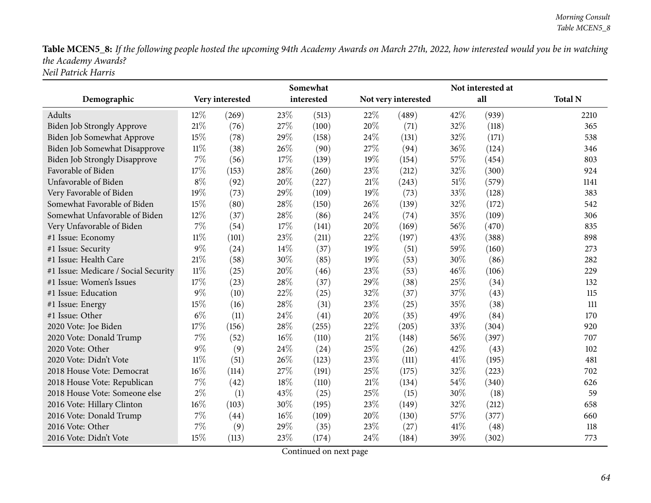Table MCEN5\_8: If the following people hosted the upcoming 94th Academy Awards on March 27th, 2022, how interested would you be in watching *the Academy Awards? Neil Patrick Harris*

|                                      |        |                 | Somewhat |            |        |                     |      | Not interested at |                |
|--------------------------------------|--------|-----------------|----------|------------|--------|---------------------|------|-------------------|----------------|
| Demographic                          |        | Very interested |          | interested |        | Not very interested |      | all               | <b>Total N</b> |
| Adults                               | 12%    | (269)           | 23%      | (513)      | $22\%$ | (489)               | 42%  | (939)             | 2210           |
| Biden Job Strongly Approve           | 21%    | (76)            | 27%      | (100)      | 20%    | (71)                | 32%  | (118)             | 365            |
| Biden Job Somewhat Approve           | 15%    | (78)            | 29%      | (158)      | 24\%   | (131)               | 32%  | (171)             | 538            |
| Biden Job Somewhat Disapprove        | $11\%$ | (38)            | 26%      | (90)       | 27%    | (94)                | 36%  | (124)             | 346            |
| <b>Biden Job Strongly Disapprove</b> | 7%     | (56)            | 17%      | (139)      | $19\%$ | (154)               | 57%  | (454)             | 803            |
| Favorable of Biden                   | 17%    | (153)           | 28%      | (260)      | 23%    | (212)               | 32%  | (300)             | 924            |
| Unfavorable of Biden                 | $8\%$  | (92)            | 20%      | (227)      | 21%    | (243)               | 51%  | (579)             | 1141           |
| Very Favorable of Biden              | 19%    | (73)            | 29%      | (109)      | 19%    | (73)                | 33%  | (128)             | 383            |
| Somewhat Favorable of Biden          | 15%    | (80)            | 28%      | (150)      | 26\%   | (139)               | 32%  | (172)             | 542            |
| Somewhat Unfavorable of Biden        | 12%    | (37)            | 28%      | (86)       | 24\%   | (74)                | 35%  | (109)             | 306            |
| Very Unfavorable of Biden            | 7%     | (54)            | 17%      | (141)      | 20%    | (169)               | 56%  | (470)             | 835            |
| #1 Issue: Economy                    | $11\%$ | (101)           | 23%      | (211)      | 22%    | (197)               | 43%  | (388)             | 898            |
| #1 Issue: Security                   | 9%     | (24)            | 14%      | (37)       | 19%    | (51)                | 59%  | (160)             | 273            |
| #1 Issue: Health Care                | 21\%   | (58)            | 30%      | (85)       | 19%    | (53)                | 30%  | (86)              | 282            |
| #1 Issue: Medicare / Social Security | $11\%$ | (25)            | 20%      | (46)       | 23%    | (53)                | 46%  | (106)             | 229            |
| #1 Issue: Women's Issues             | 17%    | (23)            | 28%      | (37)       | 29%    | (38)                | 25%  | (34)              | 132            |
| #1 Issue: Education                  | $9\%$  | (10)            | 22%      | (25)       | 32%    | (37)                | 37%  | (43)              | 115            |
| #1 Issue: Energy                     | 15%    | (16)            | 28%      | (31)       | 23%    | (25)                | 35%  | (38)              | 111            |
| #1 Issue: Other                      | $6\%$  | (11)            | 24\%     | (41)       | 20%    | (35)                | 49%  | (84)              | 170            |
| 2020 Vote: Joe Biden                 | 17%    | (156)           | 28%      | (255)      | 22%    | (205)               | 33%  | (304)             | 920            |
| 2020 Vote: Donald Trump              | $7\%$  | (52)            | $16\%$   | (110)      | $21\%$ | (148)               | 56%  | (397)             | 707            |
| 2020 Vote: Other                     | $9\%$  | (9)             | 24%      | (24)       | 25%    | (26)                | 42%  | (43)              | 102            |
| 2020 Vote: Didn't Vote               | $11\%$ | (51)            | 26%      | (123)      | 23\%   | (111)               | 41\% | (195)             | 481            |
| 2018 House Vote: Democrat            | 16%    | (114)           | 27%      | (191)      | 25%    | (175)               | 32%  | (223)             | 702            |
| 2018 House Vote: Republican          | 7%     | (42)            | 18%      | (110)      | $21\%$ | (134)               | 54%  | (340)             | 626            |
| 2018 House Vote: Someone else        | $2\%$  | (1)             | 43%      | (25)       | 25%    | (15)                | 30%  | (18)              | 59             |
| 2016 Vote: Hillary Clinton           | 16%    | (103)           | 30%      | (195)      | 23%    | (149)               | 32%  | (212)             | 658            |
| 2016 Vote: Donald Trump              | $7\%$  | (44)            | $16\%$   | (109)      | 20%    | (130)               | 57%  | (377)             | 660            |
| 2016 Vote: Other                     | 7%     | (9)             | 29%      | (35)       | 23%    | (27)                | 41\% | (48)              | 118            |
| 2016 Vote: Didn't Vote               | 15%    | (113)           | 23%      | (174)      | 24\%   | (184)               | 39%  | (302)             | 773            |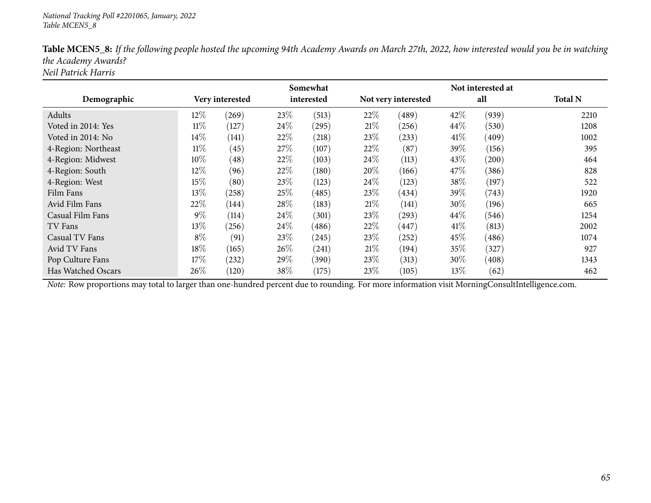|                     |        |                 |      | Somewhat   |        | Not interested at   |        |       |                |
|---------------------|--------|-----------------|------|------------|--------|---------------------|--------|-------|----------------|
| Demographic         |        | Very interested |      | interested |        | Not very interested |        | all   | <b>Total N</b> |
| Adults              | 12%    | (269)           | 23%  | (513)      | 22%    | (489)               | 42%    | (939) | 2210           |
| Voted in 2014: Yes  | $11\%$ | (127)           | 24\% | (295)      | 21%    | (256)               | 44%    | (530) | 1208           |
| Voted in 2014: No   | 14%    | (141)           | 22%  | (218)      | 23\%   | (233)               | 41%    | (409) | 1002           |
| 4-Region: Northeast | $11\%$ | (45)            | 27%  | (107)      | 22%    | (87)                | 39%    | (156) | 395            |
| 4-Region: Midwest   | 10%    | (48)            | 22%  | (103)      | $24\%$ | (113)               | 43\%   | (200) | 464            |
| 4-Region: South     | 12%    | (96)            | 22%  | (180)      | 20%    | (166)               | 47\%   | (386) | 828            |
| 4-Region: West      | 15%    | (80)            | 23%  | (123)      | 24\%   | (123)               | 38\%   | (197) | 522            |
| Film Fans           | 13%    | (258)           | 25%  | (485)      | 23%    | (434)               | 39\%   | (743) | 1920           |
| Avid Film Fans      | 22%    | (144)           | 28\% | (183)      | 21%    | (141)               | $30\%$ | (196) | 665            |
| Casual Film Fans    | $9\%$  | (114)           | 24\% | (301)      | 23%    | (293)               | 44%    | (546) | 1254           |
| TV Fans             | 13\%   | (256)           | 24\% | (486)      | 22%    | (447)               | 41%    | (813) | 2002           |
| Casual TV Fans      | $8\%$  | (91)            | 23\% | (245)      | 23\%   | (252)               | 45\%   | (486) | 1074           |
| Avid TV Fans        | 18%    | (165)           | 26%  | (241)      | 21\%   | (194)               | 35%    | (327) | 927            |
| Pop Culture Fans    | 17%    | (232)           | 29%  | (390)      | 23\%   | (313)               | 30\%   | (408) | 1343           |
| Has Watched Oscars  | 26%    | (120)           | 38%  | (175)      | 23\%   | (105)               | 13%    | (62)  | 462            |

Table MCEN5\_8: If the following people hosted the upcoming 94th Academy Awards on March 27th, 2022, how interested would you be in watching *the Academy Awards?*

*Neil Patrick Harris*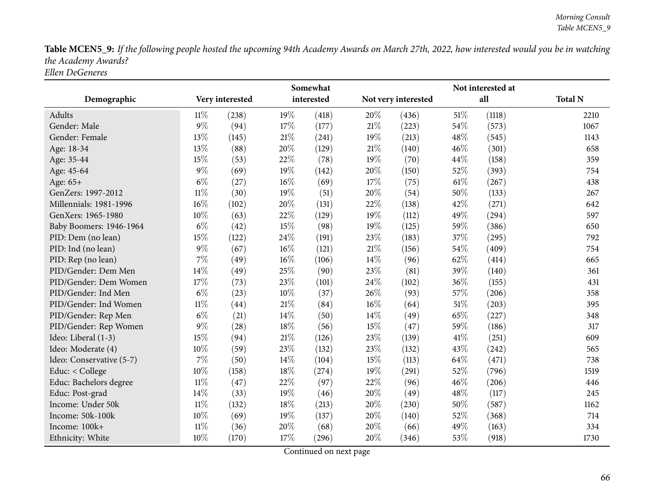Table MCEN5\_9: If the following people hosted the upcoming 94th Academy Awards on March 27th, 2022, how interested would you be in watching *the Academy Awards? Ellen DeGeneres*

|                          |        | Somewhat        |        |            |        |                     | Not interested at |        |                |  |  |
|--------------------------|--------|-----------------|--------|------------|--------|---------------------|-------------------|--------|----------------|--|--|
| Demographic              |        | Very interested |        | interested |        | Not very interested |                   | all    | <b>Total N</b> |  |  |
| Adults                   | $11\%$ | (238)           | 19%    | (418)      | 20%    | (436)               | 51\%              | (1118) | 2210           |  |  |
| Gender: Male             | $9\%$  | (94)            | 17%    | (177)      | 21%    | (223)               | 54\%              | (573)  | 1067           |  |  |
| Gender: Female           | 13%    | (145)           | $21\%$ | (241)      | 19%    | (213)               | 48%               | (545)  | 1143           |  |  |
| Age: 18-34               | 13%    | (88)            | 20%    | (129)      | 21%    | (140)               | 46%               | (301)  | 658            |  |  |
| Age: 35-44               | 15%    | (53)            | 22%    | (78)       | 19%    | (70)                | 44\%              | (158)  | 359            |  |  |
| Age: 45-64               | $9\%$  | (69)            | 19%    | (142)      | 20%    | (150)               | 52%               | (393)  | 754            |  |  |
| Age: 65+                 | $6\%$  | (27)            | $16\%$ | (69)       | 17%    | (75)                | 61%               | (267)  | 438            |  |  |
| GenZers: 1997-2012       | $11\%$ | (30)            | 19%    | (51)       | 20%    | (54)                | 50%               | (133)  | 267            |  |  |
| Millennials: 1981-1996   | 16%    | (102)           | 20%    | (131)      | 22%    | (138)               | 42%               | (271)  | 642            |  |  |
| GenXers: 1965-1980       | 10%    | (63)            | 22%    | (129)      | 19%    | (112)               | 49%               | (294)  | 597            |  |  |
| Baby Boomers: 1946-1964  | $6\%$  | (42)            | 15%    | (98)       | 19%    | (125)               | 59%               | (386)  | 650            |  |  |
| PID: Dem (no lean)       | 15%    | (122)           | 24%    | (191)      | 23%    | (183)               | 37%               | (295)  | 792            |  |  |
| PID: Ind (no lean)       | $9\%$  | (67)            | $16\%$ | (121)      | $21\%$ | (156)               | 54%               | (409)  | 754            |  |  |
| PID: Rep (no lean)       | 7%     | (49)            | 16%    | (106)      | 14\%   | (96)                | 62%               | (414)  | 665            |  |  |
| PID/Gender: Dem Men      | 14%    | (49)            | 25%    | (90)       | 23%    | (81)                | 39%               | (140)  | 361            |  |  |
| PID/Gender: Dem Women    | 17%    | (73)            | 23%    | (101)      | 24\%   | (102)               | 36%               | (155)  | 431            |  |  |
| PID/Gender: Ind Men      | $6\%$  | (23)            | $10\%$ | (37)       | 26%    | (93)                | 57%               | (206)  | 358            |  |  |
| PID/Gender: Ind Women    | $11\%$ | (44)            | 21%    | (84)       | $16\%$ | (64)                | $51\%$            | (203)  | 395            |  |  |
| PID/Gender: Rep Men      | $6\%$  | (21)            | $14\%$ | (50)       | 14\%   | (49)                | 65%               | (227)  | 348            |  |  |
| PID/Gender: Rep Women    | $9\%$  | (28)            | 18%    | (56)       | 15%    | (47)                | 59%               | (186)  | 317            |  |  |
| Ideo: Liberal (1-3)      | 15%    | (94)            | $21\%$ | (126)      | 23%    | (139)               | 41\%              | (251)  | 609            |  |  |
| Ideo: Moderate (4)       | 10%    | (59)            | 23%    | (132)      | 23%    | (132)               | 43%               | (242)  | 565            |  |  |
| Ideo: Conservative (5-7) | 7%     | (50)            | 14%    | (104)      | 15%    | (113)               | 64%               | (471)  | 738            |  |  |
| Educ: < College          | 10%    | (158)           | $18\%$ | (274)      | 19%    | (291)               | 52%               | (796)  | 1519           |  |  |
| Educ: Bachelors degree   | $11\%$ | (47)            | 22%    | (97)       | 22%    | (96)                | 46%               | (206)  | 446            |  |  |
| Educ: Post-grad          | 14%    | (33)            | 19%    | (46)       | 20%    | (49)                | 48\%              | (117)  | 245            |  |  |
| Income: Under 50k        | $11\%$ | (132)           | $18\%$ | (213)      | 20%    | (230)               | 50%               | (587)  | 1162           |  |  |
| Income: 50k-100k         | 10%    | (69)            | 19%    | (137)      | 20%    | (140)               | 52%               | (368)  | 714            |  |  |
| Income: 100k+            | $11\%$ | (36)            | 20%    | (68)       | 20%    | (66)                | 49%               | (163)  | 334            |  |  |
| Ethnicity: White         | 10%    | (170)           | 17%    | (296)      | 20%    | (346)               | 53%               | (918)  | 1730           |  |  |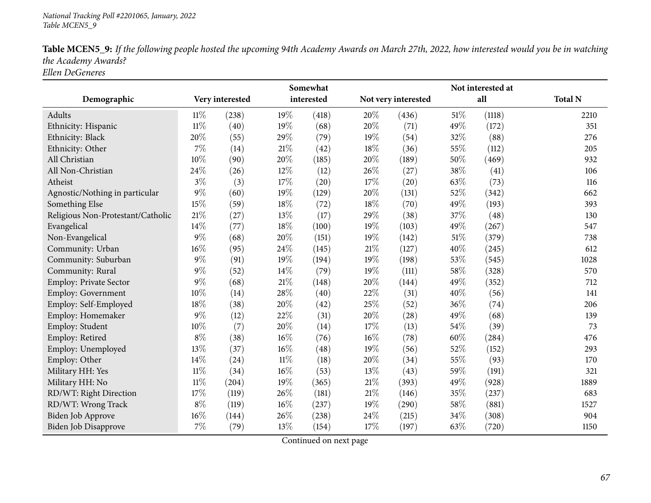| Table MCEN5_9: If the following people hosted the upcoming 94th Academy Awards on March 27th, 2022, how interested would you be in watching |
|---------------------------------------------------------------------------------------------------------------------------------------------|
| the Academy Awards?                                                                                                                         |
| Ellen DeGeneres                                                                                                                             |

|                                   |                 |                     |        | Somewhat   |        |                     |      | Not interested at |                |
|-----------------------------------|-----------------|---------------------|--------|------------|--------|---------------------|------|-------------------|----------------|
| Demographic                       | Very interested |                     |        | interested |        | Not very interested |      | all               | <b>Total N</b> |
| Adults                            | $11\%$          | (238)               | 19%    | (418)      | 20%    | (436)               | 51\% | (1118)            | 2210           |
| Ethnicity: Hispanic               | $11\%$          | (40)                | 19%    | (68)       | 20%    | (71)                | 49%  | (172)             | 351            |
| Ethnicity: Black                  | 20%             | (55)                | 29%    | (79)       | 19%    | (54)                | 32%  | (88)              | 276            |
| Ethnicity: Other                  | $7\%$           | (14)                | $21\%$ | (42)       | 18%    | (36)                | 55%  | (112)             | 205            |
| All Christian                     | 10%             | (90)                | 20%    | (185)      | 20%    | (189)               | 50%  | (469)             | 932            |
| All Non-Christian                 | 24\%            | (26)                | 12%    | (12)       | 26%    | (27)                | 38%  | (41)              | 106            |
| Atheist                           | $3\%$           | (3)                 | 17%    | (20)       | 17%    | (20)                | 63%  | (73)              | 116            |
| Agnostic/Nothing in particular    | $9\%$           | (60)                | 19%    | (129)      | 20%    | (131)               | 52%  | (342)             | 662            |
| Something Else                    | 15%             | (59)                | 18%    | (72)       | 18%    | (70)                | 49%  | (193)             | 393            |
| Religious Non-Protestant/Catholic | 21%             | (27)                | 13%    | (17)       | 29%    | (38)                | 37%  | (48)              | 130            |
| Evangelical                       | 14%             | (77)                | 18%    | (100)      | 19%    | (103)               | 49%  | (267)             | 547            |
| Non-Evangelical                   | $9\%$           | (68)                | 20%    | (151)      | 19%    | (142)               | 51%  | (379)             | 738            |
| Community: Urban                  | 16%             | (95)                | 24%    | (145)      | 21\%   | (127)               | 40%  | (245)             | 612            |
| Community: Suburban               | $9\%$           | (91)                | 19%    | (194)      | 19%    | (198)               | 53%  | (545)             | 1028           |
| Community: Rural                  | $9\%$           | (52)                | 14%    | (79)       | 19%    | (111)               | 58%  | (328)             | 570            |
| Employ: Private Sector            | $9\%$           | (68)                | 21%    | (148)      | 20%    | (144)               | 49%  | (352)             | 712            |
| Employ: Government                | 10%             | (14)                | 28%    | (40)       | 22%    | (31)                | 40%  | (56)              | 141            |
| Employ: Self-Employed             | 18%             | (38)                | 20%    | (42)       | 25%    | (52)                | 36%  | (74)              | 206            |
| Employ: Homemaker                 | $9\%$           | (12)                | 22%    | (31)       | 20%    | (28)                | 49%  | (68)              | 139            |
| Employ: Student                   | 10%             | (7)                 | 20%    | (14)       | 17%    | (13)                | 54%  | (39)              | 73             |
| Employ: Retired                   | $8\%$           | (38)                | 16%    | (76)       | 16%    | (78)                | 60%  | (284)             | 476            |
| Employ: Unemployed                | 13%             | (37)                | 16%    | (48)       | 19%    | (56)                | 52%  | (152)             | 293            |
| Employ: Other                     | 14%             | (24)                | $11\%$ | (18)       | 20%    | (34)                | 55%  | (93)              | 170            |
| Military HH: Yes                  | $11\%$          | (34)                | 16%    | (53)       | 13%    | (43)                | 59%  | (191)             | 321            |
| Military HH: No                   | $11\%$          | $\left( 204\right)$ | 19%    | (365)      | $21\%$ | (393)               | 49%  | (928)             | 1889           |
| RD/WT: Right Direction            | 17%             | (119)               | 26%    | (181)      | 21\%   | (146)               | 35%  | (237)             | 683            |
| RD/WT: Wrong Track                | $8\%$           | (119)               | $16\%$ | (237)      | 19%    | (290)               | 58%  | (881)             | 1527           |
| Biden Job Approve                 | 16%             | (144)               | 26%    | (238)      | 24\%   | (215)               | 34%  | (308)             | 904            |
| Biden Job Disapprove              | $7\%$           | (79)                | 13%    | (154)      | 17%    | (197)               | 63%  | (720)             | 1150           |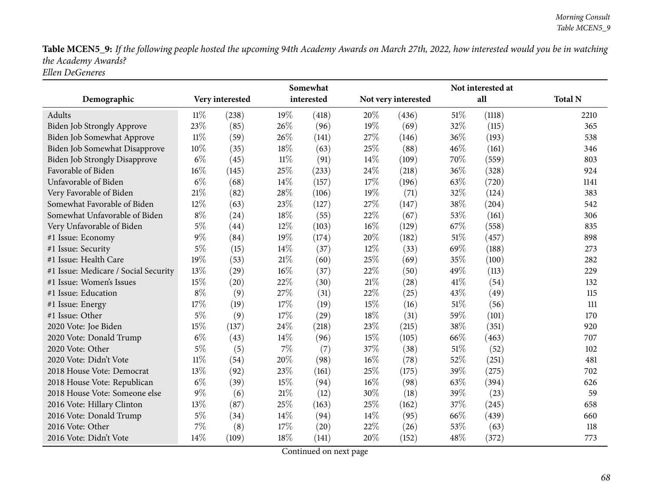Table MCEN5\_9: If the following people hosted the upcoming 94th Academy Awards on March 27th, 2022, how interested would you be in watching *the Academy Awards? Ellen DeGeneres*

|                                      |        |                 |        | Somewhat   |        |                     |      | Not interested at |                |
|--------------------------------------|--------|-----------------|--------|------------|--------|---------------------|------|-------------------|----------------|
| Demographic                          |        | Very interested |        | interested |        | Not very interested |      | all               | <b>Total N</b> |
| Adults                               | 11%    | (238)           | 19%    | (418)      | 20%    | (436)               | 51\% | (1118)            | 2210           |
| <b>Biden Job Strongly Approve</b>    | 23%    | (85)            | 26\%   | (96)       | $19\%$ | (69)                | 32%  | (115)             | 365            |
| Biden Job Somewhat Approve           | $11\%$ | (59)            | 26%    | (141)      | 27%    | (146)               | 36%  | (193)             | 538            |
| Biden Job Somewhat Disapprove        | 10%    | (35)            | 18%    | (63)       | 25%    | (88)                | 46%  | (161)             | 346            |
| <b>Biden Job Strongly Disapprove</b> | $6\%$  | (45)            | $11\%$ | (91)       | 14\%   | (109)               | 70%  | (559)             | 803            |
| Favorable of Biden                   | $16\%$ | (145)           | 25%    | (233)      | 24\%   | (218)               | 36%  | (328)             | 924            |
| Unfavorable of Biden                 | $6\%$  | (68)            | 14%    | (157)      | 17%    | (196)               | 63%  | (720)             | 1141           |
| Very Favorable of Biden              | 21\%   | (82)            | 28%    | (106)      | $19\%$ | (71)                | 32%  | (124)             | 383            |
| Somewhat Favorable of Biden          | 12%    | (63)            | 23%    | (127)      | 27\%   | (147)               | 38%  | (204)             | 542            |
| Somewhat Unfavorable of Biden        | $8\%$  | (24)            | 18%    | (55)       | 22%    | (67)                | 53%  | (161)             | 306            |
| Very Unfavorable of Biden            | $5\%$  | (44)            | 12%    | (103)      | 16%    | (129)               | 67%  | (558)             | 835            |
| #1 Issue: Economy                    | $9\%$  | (84)            | 19%    | (174)      | 20%    | (182)               | 51\% | (457)             | 898            |
| #1 Issue: Security                   | $5\%$  | (15)            | 14%    | (37)       | 12%    | (33)                | 69%  | (188)             | 273            |
| #1 Issue: Health Care                | 19%    | (53)            | 21%    | (60)       | 25%    | (69)                | 35%  | (100)             | 282            |
| #1 Issue: Medicare / Social Security | 13%    | (29)            | $16\%$ | (37)       | 22%    | (50)                | 49%  | (113)             | 229            |
| #1 Issue: Women's Issues             | 15%    | (20)            | 22%    | (30)       | 21%    | (28)                | 41\% | (54)              | 132            |
| #1 Issue: Education                  | $8\%$  | (9)             | 27%    | (31)       | 22%    | (25)                | 43%  | (49)              | 115            |
| #1 Issue: Energy                     | 17%    | (19)            | 17%    | (19)       | 15%    | (16)                | 51%  | (56)              | 111            |
| #1 Issue: Other                      | $5\%$  | (9)             | $17\%$ | (29)       | 18%    | (31)                | 59%  | (101)             | 170            |
| 2020 Vote: Joe Biden                 | 15%    | (137)           | 24%    | (218)      | 23%    | (215)               | 38%  | (351)             | 920            |
| 2020 Vote: Donald Trump              | $6\%$  | (43)            | 14%    | (96)       | 15%    | (105)               | 66%  | (463)             | 707            |
| 2020 Vote: Other                     | $5\%$  | (5)             | $7\%$  | (7)        | 37\%   | (38)                | 51\% | (52)              | 102            |
| 2020 Vote: Didn't Vote               | $11\%$ | (54)            | 20%    | (98)       | $16\%$ | (78)                | 52%  | (251)             | 481            |
| 2018 House Vote: Democrat            | 13%    | (92)            | 23%    | (161)      | 25%    | (175)               | 39%  | (275)             | 702            |
| 2018 House Vote: Republican          | $6\%$  | (39)            | 15%    | (94)       | 16%    | (98)                | 63%  | (394)             | 626            |
| 2018 House Vote: Someone else        | $9\%$  | (6)             | $21\%$ | (12)       | 30%    | (18)                | 39%  | (23)              | 59             |
| 2016 Vote: Hillary Clinton           | 13%    | (87)            | 25%    | (163)      | 25%    | (162)               | 37%  | (245)             | 658            |
| 2016 Vote: Donald Trump              | $5\%$  | (34)            | 14%    | (94)       | 14%    | (95)                | 66%  | (439)             | 660            |
| 2016 Vote: Other                     | 7%     | (8)             | 17%    | (20)       | 22%    | (26)                | 53%  | (63)              | 118            |
| 2016 Vote: Didn't Vote               | 14%    | (109)           | 18%    | (141)      | 20%    | (152)               | 48%  | (372)             | 773            |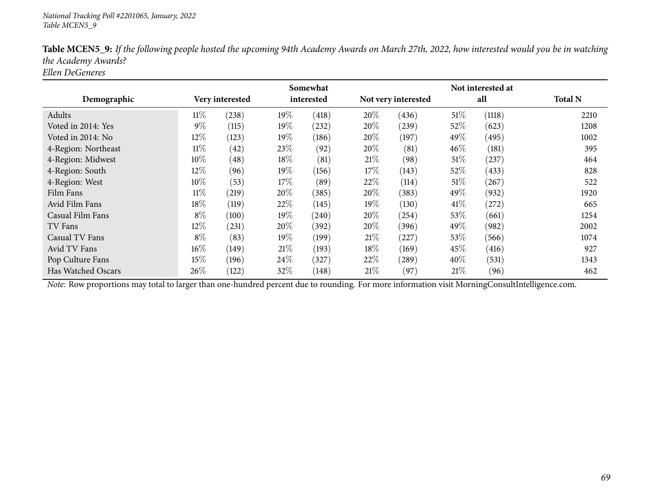|                     |        |                 |      | Somewhat   |        |                     |        | Not interested at |                |
|---------------------|--------|-----------------|------|------------|--------|---------------------|--------|-------------------|----------------|
| Demographic         |        | Very interested |      | interested |        | Not very interested |        | all               | <b>Total N</b> |
| Adults              | $11\%$ | (238)           | 19%  | (418)      | 20%    | (436)               | 51%    | (1118)            | 2210           |
| Voted in 2014: Yes  | $9\%$  | (115)           | 19%  | (232)      | 20%    | (239)               | 52%    | (623)             | 1208           |
| Voted in 2014: No   | 12%    | (123)           | 19%  | (186)      | $20\%$ | (197)               | 49\%   | (495)             | 1002           |
| 4-Region: Northeast | $11\%$ | (42)            | 23%  | (92)       | $20\%$ | (81)                | 46%    | (181)             | 395            |
| 4-Region: Midwest   | 10%    | (48)            | 18%  | (81)       | 21%    | (98)                | $51\%$ | (237)             | 464            |
| 4-Region: South     | 12%    | (96)            | 19%  | (156)      | 17%    | (143)               | 52%    | (433)             | 828            |
| 4-Region: West      | 10%    | (53)            | 17%  | (89)       | 22%    | (114)               | $51\%$ | (267)             | 522            |
| Film Fans           | $11\%$ | (219)           | 20%  | (385)      | 20%    | (383)               | 49\%   | (932)             | 1920           |
| Avid Film Fans      | 18%    | (119)           | 22%  | (145)      | $19\%$ | (130)               | 41%    | (272)             | 665            |
| Casual Film Fans    | $8\%$  | (100)           | 19%  | (240)      | 20%    | (254)               | 53\%   | (661)             | 1254           |
| TV Fans             | 12%    | (231)           | 20%  | (392)      | $20\%$ | (396)               | 49\%   | (982)             | 2002           |
| Casual TV Fans      | $8\%$  | (83)            | 19%  | (199)      | 21%    | (227)               | 53%    | (566)             | 1074           |
| Avid TV Fans        | $16\%$ | (149)           | 21\% | (193)      | 18\%   | (169)               | 45\%   | (416)             | 927            |
| Pop Culture Fans    | 15%    | (196)           | 24\% | (327)      | 22%    | (289)               | 40%    | (531)             | 1343           |
| Has Watched Oscars  | 26%    | (122)           | 32%  | (148)      | 21%    | (97)                | 21%    | (96)              | 462            |

Table MCEN5\_9: If the following people hosted the upcoming 94th Academy Awards on March 27th, 2022, how interested would you be in watching *the Academy Awards?*

*Ellen DeGeneres*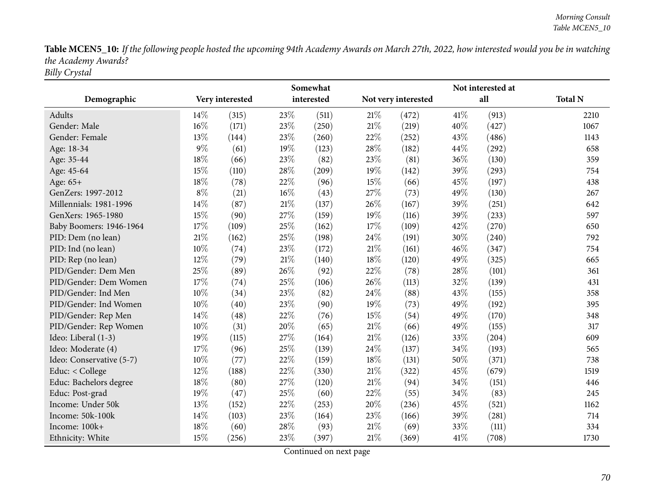Table MCEN5\_10: If the following people hosted the upcoming 94th Academy Awards on March 27th, 2022, how interested would you be in watching *the Academy Awards? Billy Crystal*

|                          |       |                 |     | Somewhat   |        |                     |      | Not interested at |                |
|--------------------------|-------|-----------------|-----|------------|--------|---------------------|------|-------------------|----------------|
| Demographic              |       | Very interested |     | interested |        | Not very interested |      | all               | <b>Total N</b> |
| Adults                   | 14%   | (315)           | 23% | (511)      | $21\%$ | (472)               | 41\% | (913)             | 2210           |
| Gender: Male             | 16%   | (171)           | 23% | (250)      | 21%    | (219)               | 40%  | (427)             | 1067           |
| Gender: Female           | 13%   | (144)           | 23% | (260)      | 22%    | (252)               | 43%  | (486)             | 1143           |
| Age: 18-34               | $9\%$ | (61)            | 19% | (123)      | 28%    | (182)               | 44%  | (292)             | 658            |
| Age: 35-44               | 18%   | (66)            | 23% | (82)       | 23%    | (81)                | 36%  | (130)             | 359            |
| Age: 45-64               | 15%   | (110)           | 28% | (209)      | 19%    | (142)               | 39%  | (293)             | 754            |
| Age: 65+                 | 18%   | (78)            | 22% | (96)       | 15%    | (66)                | 45%  | (197)             | 438            |
| GenZers: 1997-2012       | $8\%$ | (21)            | 16% | (43)       | 27%    | (73)                | 49%  | (130)             | 267            |
| Millennials: 1981-1996   | 14%   | (87)            | 21% | (137)      | 26%    | (167)               | 39%  | (251)             | 642            |
| GenXers: 1965-1980       | 15%   | (90)            | 27% | (159)      | 19%    | (116)               | 39%  | (233)             | 597            |
| Baby Boomers: 1946-1964  | 17%   | (109)           | 25% | (162)      | 17%    | (109)               | 42%  | (270)             | 650            |
| PID: Dem (no lean)       | 21%   | (162)           | 25% | (198)      | 24%    | (191)               | 30%  | (240)             | 792            |
| PID: Ind (no lean)       | 10%   | (74)            | 23% | (172)      | $21\%$ | (161)               | 46%  | (347)             | 754            |
| PID: Rep (no lean)       | 12%   | (79)            | 21% | (140)      | 18%    | (120)               | 49%  | (325)             | 665            |
| PID/Gender: Dem Men      | 25%   | (89)            | 26% | (92)       | 22%    | (78)                | 28\% | (101)             | 361            |
| PID/Gender: Dem Women    | 17%   | (74)            | 25% | (106)      | 26%    | (113)               | 32%  | (139)             | 431            |
| PID/Gender: Ind Men      | 10%   | (34)            | 23% | (82)       | 24%    | (88)                | 43%  | (155)             | 358            |
| PID/Gender: Ind Women    | 10%   | (40)            | 23% | (90)       | 19%    | (73)                | 49%  | (192)             | 395            |
| PID/Gender: Rep Men      | 14%   | (48)            | 22% | (76)       | 15%    | (54)                | 49%  | (170)             | 348            |
| PID/Gender: Rep Women    | 10%   | (31)            | 20% | (65)       | $21\%$ | (66)                | 49%  | (155)             | 317            |
| Ideo: Liberal (1-3)      | 19%   | (115)           | 27% | (164)      | $21\%$ | (126)               | 33%  | (204)             | 609            |
| Ideo: Moderate (4)       | 17%   | (96)            | 25% | (139)      | 24%    | (137)               | 34%  | (193)             | 565            |
| Ideo: Conservative (5-7) | 10%   | (77)            | 22% | (159)      | 18%    | (131)               | 50%  | (371)             | 738            |
| Educ: < College          | 12%   | (188)           | 22% | (330)      | $21\%$ | (322)               | 45%  | (679)             | 1519           |
| Educ: Bachelors degree   | 18%   | (80)            | 27% | (120)      | $21\%$ | (94)                | 34%  | (151)             | 446            |
| Educ: Post-grad          | 19%   | (47)            | 25% | (60)       | 22%    | (55)                | 34%  | (83)              | 245            |
| Income: Under 50k        | 13%   | (152)           | 22% | (253)      | 20%    | (236)               | 45%  | (521)             | 1162           |
| Income: 50k-100k         | 14%   | (103)           | 23% | (164)      | 23%    | (166)               | 39%  | (281)             | 714            |
| Income: 100k+            | 18%   | (60)            | 28% | (93)       | $21\%$ | (69)                | 33%  | (111)             | 334            |
| Ethnicity: White         | 15%   | (256)           | 23% | (397)      | $21\%$ | (369)               | 41\% | (708)             | 1730           |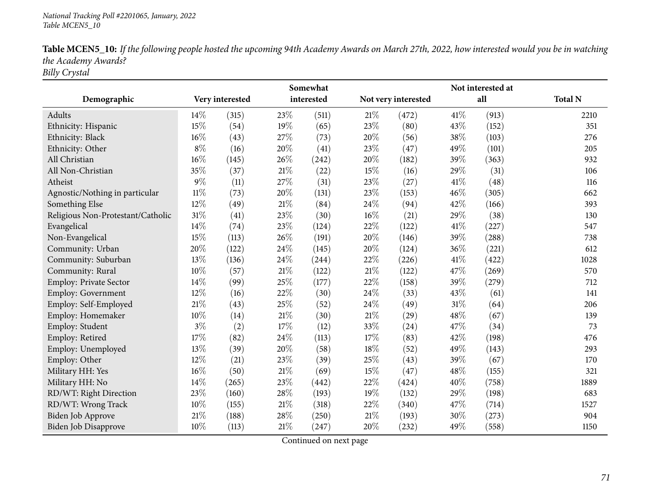| Table MCEN5_10: If the following people hosted the upcoming 94th Academy Awards on March 27th, 2022, how interested would you be in watching |
|----------------------------------------------------------------------------------------------------------------------------------------------|
| the Academy Awards?                                                                                                                          |
| Billy Crystal                                                                                                                                |

|                                   | Somewhat |                 |        |                     |        | Not interested at   |      |       |                |
|-----------------------------------|----------|-----------------|--------|---------------------|--------|---------------------|------|-------|----------------|
| Demographic                       |          | Very interested |        | interested          |        | Not very interested |      | all   | <b>Total N</b> |
| Adults                            | 14%      | (315)           | 23%    | (511)               | 21\%   | (472)               | 41%  | (913) | 2210           |
| Ethnicity: Hispanic               | 15%      | (54)            | 19%    | (65)                | 23\%   | (80)                | 43%  | (152) | 351            |
| Ethnicity: Black                  | 16%      | (43)            | 27%    | (73)                | 20%    | (56)                | 38%  | (103) | 276            |
| Ethnicity: Other                  | $8\%$    | (16)            | 20%    | (41)                | 23%    | (47)                | 49%  | (101) | 205            |
| All Christian                     | 16%      | (145)           | 26%    | (242)               | 20%    | (182)               | 39%  | (363) | 932            |
| All Non-Christian                 | 35%      | (37)            | 21%    | (22)                | 15%    | (16)                | 29%  | (31)  | 106            |
| Atheist                           | $9\%$    | (11)            | 27%    | (31)                | 23\%   | (27)                | 41\% | (48)  | 116            |
| Agnostic/Nothing in particular    | $11\%$   | (73)            | 20%    | (131)               | 23%    | (153)               | 46%  | (305) | 662            |
| Something Else                    | 12%      | (49)            | 21%    | (84)                | 24\%   | (94)                | 42%  | (166) | 393            |
| Religious Non-Protestant/Catholic | $31\%$   | (41)            | 23%    | (30)                | $16\%$ | (21)                | 29%  | (38)  | 130            |
| Evangelical                       | 14%      | (74)            | 23%    | (124)               | 22%    | (122)               | 41%  | (227) | 547            |
| Non-Evangelical                   | 15%      | (113)           | 26%    | (191)               | 20%    | (146)               | 39%  | (288) | 738            |
| Community: Urban                  | 20%      | (122)           | 24%    | (145)               | 20%    | (124)               | 36%  | (221) | 612            |
| Community: Suburban               | 13%      | (136)           | 24%    | $\left( 244\right)$ | 22%    | (226)               | 41\% | (422) | 1028           |
| Community: Rural                  | 10%      | (57)            | $21\%$ | (122)               | $21\%$ | (122)               | 47%  | (269) | 570            |
| Employ: Private Sector            | 14\%     | (99)            | 25%    | (177)               | 22%    | (158)               | 39%  | (279) | 712            |
| Employ: Government                | 12%      | (16)            | 22%    | (30)                | 24\%   | (33)                | 43%  | (61)  | 141            |
| Employ: Self-Employed             | 21%      | (43)            | 25%    | (52)                | 24%    | (49)                | 31%  | (64)  | 206            |
| Employ: Homemaker                 | 10%      | (14)            | $21\%$ | (30)                | $21\%$ | (29)                | 48%  | (67)  | 139            |
| Employ: Student                   | $3\%$    | (2)             | 17%    | (12)                | 33%    | (24)                | 47%  | (34)  | 73             |
| Employ: Retired                   | 17%      | (82)            | 24%    | (113)               | 17%    | (83)                | 42%  | (198) | 476            |
| Employ: Unemployed                | 13%      | (39)            | 20%    | (58)                | $18\%$ | (52)                | 49%  | (143) | 293            |
| Employ: Other                     | 12%      | (21)            | 23%    | (39)                | 25%    | (43)                | 39%  | (67)  | 170            |
| Military HH: Yes                  | 16%      | (50)            | $21\%$ | (69)                | 15%    | (47)                | 48%  | (155) | 321            |
| Military HH: No                   | 14%      | (265)           | 23%    | (442)               | 22%    | (424)               | 40%  | (758) | 1889           |
| RD/WT: Right Direction            | 23%      | (160)           | 28%    | (193)               | 19%    | (132)               | 29%  | (198) | 683            |
| RD/WT: Wrong Track                | 10%      | (155)           | 21%    | (318)               | 22%    | (340)               | 47%  | (714) | 1527           |
| <b>Biden Job Approve</b>          | 21%      | (188)           | 28%    | (250)               | 21\%   | (193)               | 30%  | (273) | 904            |
| <b>Biden Job Disapprove</b>       | 10%      | (113)           | 21%    | (247)               | 20%    | (232)               | 49%  | (558) | 1150           |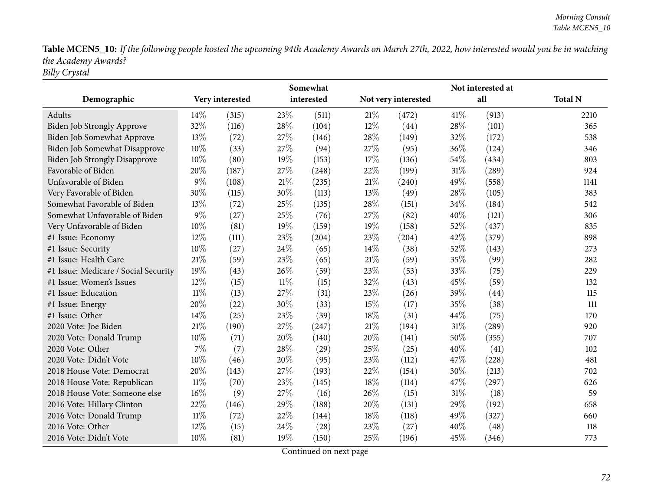Table MCEN5\_10: If the following people hosted the upcoming 94th Academy Awards on March 27th, 2022, how interested would you be in watching *the Academy Awards? Billy Crystal*

|                                      | Somewhat |                 |        |            |        |                     |        |       |                |
|--------------------------------------|----------|-----------------|--------|------------|--------|---------------------|--------|-------|----------------|
| Demographic                          |          | Very interested |        | interested |        | Not very interested |        | all   | <b>Total N</b> |
| Adults                               | 14%      | (315)           | 23%    | (511)      | 21%    | (472)               | 41\%   | (913) | 2210           |
| Biden Job Strongly Approve           | 32%      | (116)           | 28%    | (104)      | $12\%$ | (44)                | 28\%   | (101) | 365            |
| Biden Job Somewhat Approve           | 13%      | (72)            | 27%    | (146)      | 28\%   | (149)               | 32%    | (172) | 538            |
| Biden Job Somewhat Disapprove        | 10%      | (33)            | 27%    | (94)       | 27%    | (95)                | 36%    | (124) | 346            |
| <b>Biden Job Strongly Disapprove</b> | 10%      | (80)            | 19%    | (153)      | 17%    | (136)               | 54%    | (434) | 803            |
| Favorable of Biden                   | 20%      | (187)           | 27%    | (248)      | 22%    | (199)               | $31\%$ | (289) | 924            |
| Unfavorable of Biden                 | 9%       | (108)           | $21\%$ | (235)      | $21\%$ | (240)               | 49%    | (558) | 1141           |
| Very Favorable of Biden              | 30%      | (115)           | 30%    | (113)      | 13%    | (49)                | 28%    | (105) | 383            |
| Somewhat Favorable of Biden          | 13%      | (72)            | 25%    | (135)      | 28\%   | (151)               | 34%    | (184) | 542            |
| Somewhat Unfavorable of Biden        | 9%       | (27)            | 25%    | (76)       | 27%    | (82)                | 40%    | (121) | 306            |
| Very Unfavorable of Biden            | 10%      | (81)            | 19%    | (159)      | 19%    | (158)               | 52%    | (437) | 835            |
| #1 Issue: Economy                    | 12%      | (111)           | 23%    | (204)      | 23%    | (204)               | 42%    | (379) | 898            |
| #1 Issue: Security                   | 10%      | (27)            | 24%    | (65)       | $14\%$ | (38)                | 52%    | (143) | 273            |
| #1 Issue: Health Care                | 21%      | (59)            | 23%    | (65)       | $21\%$ | (59)                | 35%    | (99)  | 282            |
| #1 Issue: Medicare / Social Security | 19%      | (43)            | 26%    | (59)       | 23\%   | (53)                | 33%    | (75)  | 229            |
| #1 Issue: Women's Issues             | 12%      | (15)            | $11\%$ | (15)       | 32%    | (43)                | 45%    | (59)  | 132            |
| #1 Issue: Education                  | $11\%$   | (13)            | 27%    | (31)       | 23%    | (26)                | 39%    | (44)  | 115            |
| #1 Issue: Energy                     | 20%      | (22)            | 30%    | (33)       | 15%    | (17)                | 35%    | (38)  | 111            |
| #1 Issue: Other                      | 14%      | (25)            | 23%    | (39)       | 18%    | (31)                | 44%    | (75)  | 170            |
| 2020 Vote: Joe Biden                 | 21%      | (190)           | 27%    | (247)      | 21%    | (194)               | 31%    | (289) | 920            |
| 2020 Vote: Donald Trump              | 10%      | (71)            | 20%    | (140)      | 20%    | (141)               | 50%    | (355) | 707            |
| 2020 Vote: Other                     | 7%       | (7)             | 28%    | (29)       | 25%    | (25)                | 40%    | (41)  | 102            |
| 2020 Vote: Didn't Vote               | 10%      | (46)            | 20%    | (95)       | 23%    | (112)               | 47%    | (228) | 481            |
| 2018 House Vote: Democrat            | 20%      | (143)           | 27%    | (193)      | 22%    | (154)               | 30%    | (213) | 702            |
| 2018 House Vote: Republican          | 11%      | (70)            | 23%    | (145)      | $18\%$ | (114)               | 47\%   | (297) | 626            |
| 2018 House Vote: Someone else        | 16%      | (9)             | 27%    | (16)       | 26%    | (15)                | $31\%$ | (18)  | 59             |
| 2016 Vote: Hillary Clinton           | 22%      | (146)           | 29%    | (188)      | 20%    | (131)               | 29%    | (192) | 658            |
| 2016 Vote: Donald Trump              | $11\%$   | (72)            | 22%    | (144)      | 18%    | (118)               | 49%    | (327) | 660            |
| 2016 Vote: Other                     | 12%      | (15)            | 24\%   | (28)       | 23%    | (27)                | 40%    | (48)  | 118            |
| 2016 Vote: Didn't Vote               | 10%      | (81)            | 19%    | (150)      | 25%    | (196)               | 45%    | (346) | 773            |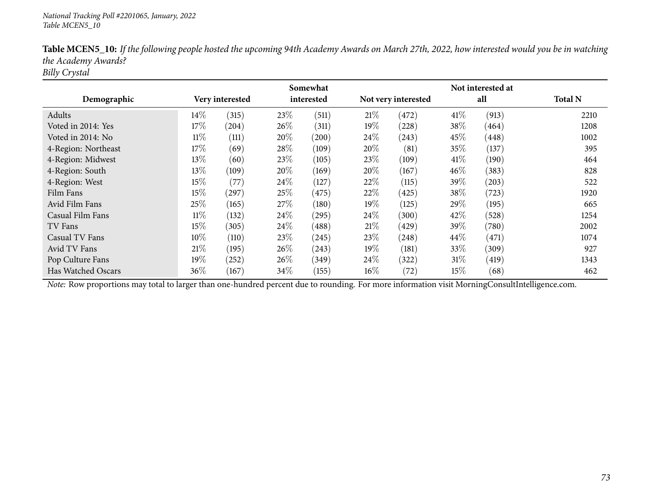|                     |        |                 |      | Somewhat   |        |                     |        | Not interested at |                |
|---------------------|--------|-----------------|------|------------|--------|---------------------|--------|-------------------|----------------|
| Demographic         |        | Very interested |      | interested |        | Not very interested |        | all               | <b>Total N</b> |
| Adults              | 14%    | (315)           | 23%  | (511)      | 21\%   | (472)               | 41\%   | (913)             | 2210           |
| Voted in 2014: Yes  | 17%    | (204)           | 26%  | (311)      | 19%    | (228)               | 38%    | (464)             | 1208           |
| Voted in 2014: No   | $11\%$ | (111)           | 20%  | (200)      | $24\%$ | (243)               | 45\%   | (448)             | 1002           |
| 4-Region: Northeast | 17%    | (69)            | 28%  | (109)      | 20%    | (81)                | 35%    | (137)             | 395            |
| 4-Region: Midwest   | 13%    | (60)            | 23%  | (105)      | 23\%   | (109)               | 41%    | (190)             | 464            |
| 4-Region: South     | 13%    | (109)           | 20%  | (169)      | 20%    | (167)               | 46%    | (383)             | 828            |
| 4-Region: West      | 15%    | (77)            | 24\% | (127)      | 22%    | (115)               | 39\%   | (203)             | 522            |
| Film Fans           | 15%    | (297)           | 25%  | (475)      | 22%    | (425)               | 38%    | (723)             | 1920           |
| Avid Film Fans      | 25%    | (165)           | 27\% | (180)      | $19\%$ | (125)               | 29\%   | (195)             | 665            |
| Casual Film Fans    | $11\%$ | (132)           | 24\% | (295)      | $24\%$ | (300)               | 42%    | (528)             | 1254           |
| TV Fans             | 15%    | (305)           | 24\% | (488)      | 21%    | (429)               | 39%    | (780)             | 2002           |
| Casual TV Fans      | 10%    | (110)           | 23\% | (245)      | 23\%   | (248)               | $44\%$ | (471)             | 1074           |
| Avid TV Fans        | 21\%   | (195)           | 26%  | (243)      | 19%    | (181)               | 33%    | (309)             | 927            |
| Pop Culture Fans    | 19%    | (252)           | 26%  | (349)      | $24\%$ | (322)               | 31%    | (419)             | 1343           |
| Has Watched Oscars  | 36\%   | (167)           | 34%  | (155)      | $16\%$ | (72)                | $15\%$ | (68)              | 462            |

Table MCEN5\_10: If the following people hosted the upcoming 94th Academy Awards on March 27th, 2022, how interested would you be in watching *the Academy Awards?*

*Billy Crystal*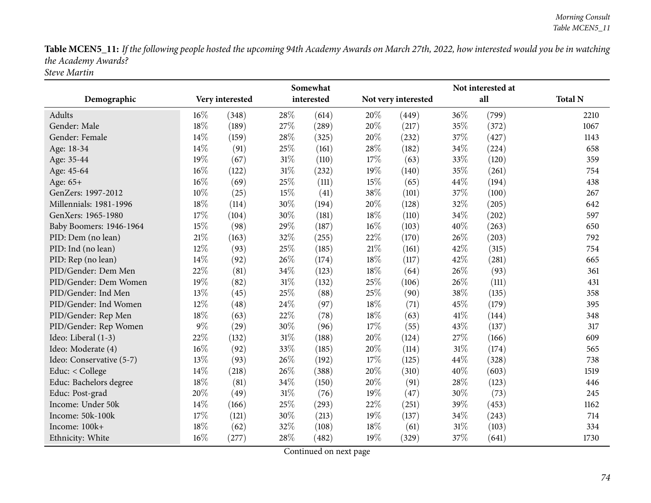Table MCEN5\_11: If the following people hosted the upcoming 94th Academy Awards on March 27th, 2022, how interested would you be in watching *the Academy Awards? Steve Martin*

|                          |       |                 |     | Somewhat   |     | Not interested at   |        |       |                |  |  |
|--------------------------|-------|-----------------|-----|------------|-----|---------------------|--------|-------|----------------|--|--|
| Demographic              |       | Very interested |     | interested |     | Not very interested |        | all   | <b>Total N</b> |  |  |
| Adults                   | 16%   | (348)           | 28% | (614)      | 20% | (449)               | 36%    | (799) | 2210           |  |  |
| Gender: Male             | 18%   | (189)           | 27% | (289)      | 20% | (217)               | 35%    | (372) | 1067           |  |  |
| Gender: Female           | 14%   | (159)           | 28% | (325)      | 20% | (232)               | 37%    | (427) | 1143           |  |  |
| Age: 18-34               | 14\%  | (91)            | 25% | (161)      | 28% | (182)               | 34%    | (224) | 658            |  |  |
| Age: 35-44               | 19%   | (67)            | 31% | (110)      | 17% | (63)                | 33%    | (120) | 359            |  |  |
| Age: 45-64               | 16%   | (122)           | 31% | (232)      | 19% | (140)               | 35%    | (261) | 754            |  |  |
| Age: 65+                 | 16%   | (69)            | 25% | (111)      | 15% | (65)                | 44%    | (194) | 438            |  |  |
| GenZers: 1997-2012       | 10%   | (25)            | 15% | (41)       | 38% | (101)               | 37%    | (100) | 267            |  |  |
| Millennials: 1981-1996   | 18%   | (114)           | 30% | (194)      | 20% | (128)               | 32%    | (205) | 642            |  |  |
| GenXers: 1965-1980       | 17%   | (104)           | 30% | (181)      | 18% | (110)               | 34%    | (202) | 597            |  |  |
| Baby Boomers: 1946-1964  | 15%   | (98)            | 29% | (187)      | 16% | (103)               | 40%    | (263) | 650            |  |  |
| PID: Dem (no lean)       | 21%   | (163)           | 32% | (255)      | 22% | (170)               | 26%    | (203) | 792            |  |  |
| PID: Ind (no lean)       | 12%   | (93)            | 25% | (185)      | 21% | (161)               | 42%    | (315) | 754            |  |  |
| PID: Rep (no lean)       | 14%   | (92)            | 26% | (174)      | 18% | (117)               | 42%    | (281) | 665            |  |  |
| PID/Gender: Dem Men      | 22%   | (81)            | 34% | (123)      | 18% | (64)                | 26%    | (93)  | 361            |  |  |
| PID/Gender: Dem Women    | 19%   | (82)            | 31% | (132)      | 25% | (106)               | 26%    | (111) | 431            |  |  |
| PID/Gender: Ind Men      | 13%   | (45)            | 25% | (88)       | 25% | (90)                | 38%    | (135) | 358            |  |  |
| PID/Gender: Ind Women    | 12%   | (48)            | 24% | (97)       | 18% | (71)                | 45%    | (179) | 395            |  |  |
| PID/Gender: Rep Men      | 18%   | (63)            | 22% | (78)       | 18% | (63)                | 41\%   | (144) | 348            |  |  |
| PID/Gender: Rep Women    | $9\%$ | (29)            | 30% | (96)       | 17% | (55)                | 43%    | (137) | 317            |  |  |
| Ideo: Liberal (1-3)      | 22%   | (132)           | 31% | (188)      | 20% | (124)               | 27%    | (166) | 609            |  |  |
| Ideo: Moderate (4)       | 16%   | (92)            | 33% | (185)      | 20% | (114)               | 31%    | (174) | 565            |  |  |
| Ideo: Conservative (5-7) | 13%   | (93)            | 26% | (192)      | 17% | (125)               | 44%    | (328) | 738            |  |  |
| Educ: < College          | 14\%  | (218)           | 26% | (388)      | 20% | (310)               | 40%    | (603) | 1519           |  |  |
| Educ: Bachelors degree   | 18%   | (81)            | 34% | (150)      | 20% | (91)                | 28%    | (123) | 446            |  |  |
| Educ: Post-grad          | 20%   | (49)            | 31% | (76)       | 19% | (47)                | 30%    | (73)  | 245            |  |  |
| Income: Under 50k        | 14%   | (166)           | 25% | (293)      | 22% | (251)               | 39%    | (453) | 1162           |  |  |
| Income: 50k-100k         | 17%   | (121)           | 30% | (213)      | 19% | (137)               | 34%    | (243) | 714            |  |  |
| Income: 100k+            | 18%   | (62)            | 32% | (108)      | 18% | (61)                | $31\%$ | (103) | 334            |  |  |
| Ethnicity: White         | 16%   | (277)           | 28% | (482)      | 19% | (329)               | 37%    | (641) | 1730           |  |  |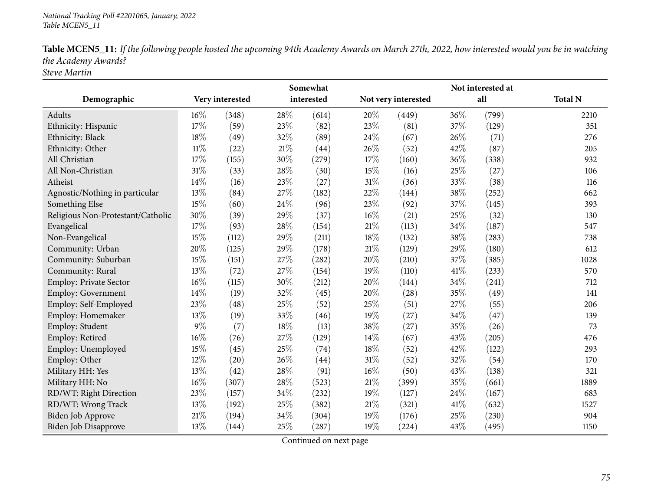| Table MCEN5_11: If the following people hosted the upcoming 94th Academy Awards on March 27th, 2022, how interested would you be in watching |
|----------------------------------------------------------------------------------------------------------------------------------------------|
| the Academy Awards?                                                                                                                          |
| $\sim$ $\sim$ $\sim$ $\sim$                                                                                                                  |

*Steve Martin*

|                                   |        | Somewhat        |        |            |        |                     |     | Not interested at |                |
|-----------------------------------|--------|-----------------|--------|------------|--------|---------------------|-----|-------------------|----------------|
| Demographic                       |        | Very interested |        | interested |        | Not very interested |     | all               | <b>Total N</b> |
| Adults                            | 16%    | (348)           | 28%    | (614)      | 20%    | (449)               | 36% | (799)             | 2210           |
| Ethnicity: Hispanic               | 17%    | (59)            | 23%    | (82)       | 23%    | (81)                | 37% | (129)             | 351            |
| Ethnicity: Black                  | 18%    | (49)            | 32%    | (89)       | 24%    | (67)                | 26% | (71)              | 276            |
| Ethnicity: Other                  | $11\%$ | (22)            | 21%    | (44)       | 26\%   | (52)                | 42% | (87)              | 205            |
| All Christian                     | 17%    | (155)           | $30\%$ | (279)      | 17%    | (160)               | 36% | (338)             | 932            |
| All Non-Christian                 | 31%    | (33)            | 28%    | (30)       | 15%    | (16)                | 25% | (27)              | 106            |
| Atheist                           | 14%    | (16)            | 23%    | (27)       | 31%    | (36)                | 33% | (38)              | 116            |
| Agnostic/Nothing in particular    | 13%    | (84)            | 27%    | (182)      | 22%    | (144)               | 38% | (252)             | 662            |
| Something Else                    | 15%    | (60)            | 24%    | (96)       | 23%    | (92)                | 37% | (145)             | 393            |
| Religious Non-Protestant/Catholic | 30%    | (39)            | 29%    | (37)       | $16\%$ | (21)                | 25% | (32)              | 130            |
| Evangelical                       | 17%    | (93)            | 28%    | (154)      | 21%    | (113)               | 34% | (187)             | 547            |
| Non-Evangelical                   | 15%    | (112)           | 29%    | (211)      | 18%    | (132)               | 38% | (283)             | 738            |
| Community: Urban                  | 20%    | (125)           | 29%    | (178)      | 21%    | (129)               | 29% | (180)             | 612            |
| Community: Suburban               | 15%    | (151)           | 27%    | (282)      | 20%    | (210)               | 37% | (385)             | 1028           |
| Community: Rural                  | 13%    | (72)            | 27%    | (154)      | 19%    | (110)               | 41% | (233)             | 570            |
| Employ: Private Sector            | $16\%$ | (115)           | 30%    | (212)      | 20%    | (144)               | 34% | (241)             | 712            |
| Employ: Government                | 14%    | (19)            | 32%    | (45)       | $20\%$ | (28)                | 35% | (49)              | 141            |
| Employ: Self-Employed             | 23%    | (48)            | 25%    | (52)       | 25%    | (51)                | 27% | (55)              | 206            |
| Employ: Homemaker                 | 13%    | (19)            | 33%    | (46)       | 19%    | (27)                | 34% | (47)              | 139            |
| Employ: Student                   | $9\%$  | (7)             | 18%    | (13)       | 38%    | (27)                | 35% | (26)              | 73             |
| Employ: Retired                   | 16%    | (76)            | 27%    | (129)      | 14%    | (67)                | 43% | (205)             | 476            |
| Employ: Unemployed                | 15%    | (45)            | 25%    | (74)       | 18%    | (52)                | 42% | (122)             | 293            |
| Employ: Other                     | 12%    | (20)            | 26%    | (44)       | $31\%$ | (52)                | 32% | (54)              | 170            |
| Military HH: Yes                  | 13%    | (42)            | 28%    | (91)       | 16%    | (50)                | 43% | (138)             | 321            |
| Military HH: No                   | 16%    | (307)           | 28%    | (523)      | 21\%   | (399)               | 35% | (661)             | 1889           |
| RD/WT: Right Direction            | 23%    | (157)           | 34%    | (232)      | 19%    | (127)               | 24% | (167)             | 683            |
| RD/WT: Wrong Track                | 13%    | (192)           | 25%    | (382)      | 21%    | (321)               | 41% | (632)             | 1527           |
| Biden Job Approve                 | $21\%$ | (194)           | 34%    | (304)      | 19%    | (176)               | 25% | (230)             | 904            |
| <b>Biden Job Disapprove</b>       | 13%    | (144)           | 25%    | (287)      | 19%    | (224)               | 43% | (495)             | 1150           |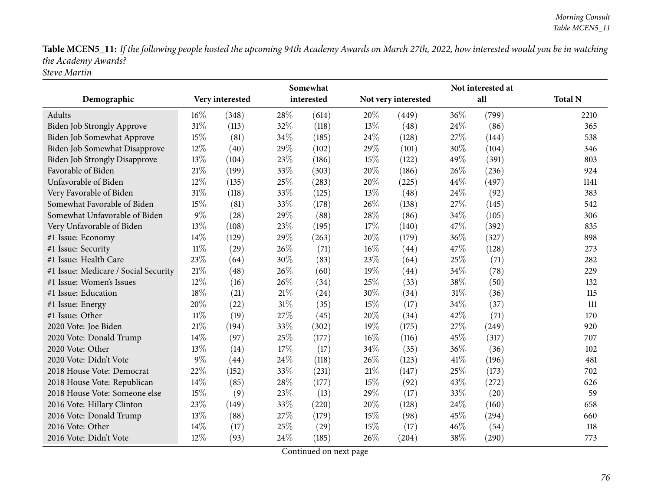Table MCEN5\_11: If the following people hosted the upcoming 94th Academy Awards on March 27th, 2022, how interested would you be in watching *the Academy Awards? Steve Martin*

|                                      |        |                 |        | Somewhat   |        |                     |        | Not interested at |                |  |
|--------------------------------------|--------|-----------------|--------|------------|--------|---------------------|--------|-------------------|----------------|--|
| Demographic                          |        | Very interested |        | interested |        | Not very interested |        | all               | <b>Total N</b> |  |
| Adults                               | 16%    | (348)           | 28%    | (614)      | 20%    | (449)               | 36%    | (799)             | 2210           |  |
| <b>Biden Job Strongly Approve</b>    | 31%    | (113)           | 32%    | (118)      | 13%    | (48)                | 24\%   | (86)              | 365            |  |
| Biden Job Somewhat Approve           | 15%    | (81)            | 34%    | (185)      | 24%    | (128)               | 27%    | (144)             | 538            |  |
| Biden Job Somewhat Disapprove        | 12%    | (40)            | 29%    | (102)      | 29%    | (101)               | 30%    | (104)             | 346            |  |
| <b>Biden Job Strongly Disapprove</b> | 13%    | (104)           | 23%    | (186)      | 15%    | (122)               | 49%    | (391)             | 803            |  |
| Favorable of Biden                   | 21%    | (199)           | 33%    | (303)      | 20%    | (186)               | 26\%   | (236)             | 924            |  |
| Unfavorable of Biden                 | 12%    | (135)           | 25%    | (283)      | 20%    | (225)               | 44%    | (497)             | 1141           |  |
| Very Favorable of Biden              | 31%    | (118)           | 33%    | (125)      | 13%    | (48)                | 24\%   | (92)              | 383            |  |
| Somewhat Favorable of Biden          | 15%    | (81)            | 33%    | (178)      | 26%    | (138)               | 27%    | (145)             | 542            |  |
| Somewhat Unfavorable of Biden        | $9\%$  | (28)            | 29%    | (88)       | 28%    | (86)                | 34%    | (105)             | 306            |  |
| Very Unfavorable of Biden            | 13%    | (108)           | 23%    | (195)      | $17\%$ | (140)               | 47%    | (392)             | 835            |  |
| #1 Issue: Economy                    | 14%    | (129)           | 29%    | (263)      | 20%    | (179)               | 36%    | (327)             | 898            |  |
| #1 Issue: Security                   | $11\%$ | (29)            | 26%    | (71)       | 16%    | (44)                | 47%    | (128)             | 273            |  |
| #1 Issue: Health Care                | 23%    | (64)            | 30%    | (83)       | 23%    | (64)                | 25%    | (71)              | 282            |  |
| #1 Issue: Medicare / Social Security | 21%    | (48)            | 26%    | (60)       | 19%    | (44)                | 34%    | (78)              | 229            |  |
| #1 Issue: Women's Issues             | 12%    | (16)            | 26%    | (34)       | 25%    | (33)                | 38%    | (50)              | 132            |  |
| #1 Issue: Education                  | 18%    | (21)            | $21\%$ | (24)       | 30%    | (34)                | $31\%$ | (36)              | 115            |  |
| #1 Issue: Energy                     | 20%    | (22)            | 31%    | (35)       | 15%    | (17)                | 34\%   | (37)              | 111            |  |
| #1 Issue: Other                      | $11\%$ | (19)            | 27%    | (45)       | 20%    | (34)                | 42%    | (71)              | 170            |  |
| 2020 Vote: Joe Biden                 | 21%    | (194)           | 33%    | (302)      | 19%    | (175)               | 27%    | (249)             | 920            |  |
| 2020 Vote: Donald Trump              | 14%    | (97)            | 25%    | (177)      | 16%    | (116)               | 45%    | (317)             | 707            |  |
| 2020 Vote: Other                     | 13%    | (14)            | 17%    | (17)       | 34%    | (35)                | 36%    | (36)              | 102            |  |
| 2020 Vote: Didn't Vote               | $9\%$  | (44)            | 24%    | (118)      | 26%    | (123)               | 41\%   | (196)             | 481            |  |
| 2018 House Vote: Democrat            | 22%    | (152)           | 33%    | (231)      | $21\%$ | (147)               | 25%    | (173)             | 702            |  |
| 2018 House Vote: Republican          | 14%    | (85)            | 28%    | (177)      | 15%    | (92)                | 43%    | (272)             | 626            |  |
| 2018 House Vote: Someone else        | 15%    | (9)             | 23%    | (13)       | 29%    | (17)                | 33%    | (20)              | 59             |  |
| 2016 Vote: Hillary Clinton           | 23%    | (149)           | 33%    | (220)      | 20%    | (128)               | 24%    | (160)             | 658            |  |
| 2016 Vote: Donald Trump              | 13%    | (88)            | 27%    | (179)      | 15%    | (98)                | 45%    | (294)             | 660            |  |
| 2016 Vote: Other                     | 14%    | (17)            | 25%    | (29)       | 15%    | (17)                | 46%    | (54)              | 118            |  |
| 2016 Vote: Didn't Vote               | 12%    | (93)            | 24%    | (185)      | 26%    | (204)               | 38%    | (290)             | 773            |  |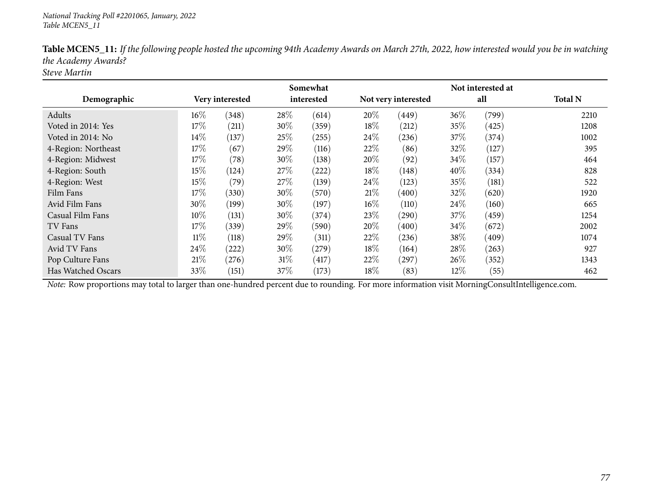|                     |        |                 |      | Somewhat   |        |                     |        | Not interested at |                |
|---------------------|--------|-----------------|------|------------|--------|---------------------|--------|-------------------|----------------|
| Demographic         |        | Very interested |      | interested |        | Not very interested |        | all               | <b>Total N</b> |
| Adults              | $16\%$ | (348)           | 28%  | (614)      | 20%    | (449)               | 36%    | (799)             | 2210           |
| Voted in 2014: Yes  | 17%    | (211)           | 30%  | (359)      | 18\%   | (212)               | 35%    | (425)             | 1208           |
| Voted in 2014: No   | 14%    | (137)           | 25%  | (255)      | $24\%$ | (236)               | 37\%   | (374)             | 1002           |
| 4-Region: Northeast | 17%    | (67)            | 29%  | (116)      | 22%    | (86)                | 32%    | (127)             | 395            |
| 4-Region: Midwest   | 17%    | (78)            | 30%  | (138)      | $20\%$ | (92)                | 34%    | (157)             | 464            |
| 4-Region: South     | 15%    | (124)           | 27%  | (222)      | 18%    | (148)               | 40%    | (334)             | 828            |
| 4-Region: West      | 15%    | (79)            | 27%  | (139)      | 24\%   | (123)               | 35%    | (181)             | 522            |
| Film Fans           | 17%    | (330)           | 30%  | (570)      | 21\%   | (400)               | 32%    | (620)             | 1920           |
| Avid Film Fans      | 30%    | (199)           | 30%  | (197)      | $16\%$ | (110)               | 24%    | (160)             | 665            |
| Casual Film Fans    | 10%    | (131)           | 30%  | (374)      | 23%    | $\left( 290\right)$ | 37\%   | (459)             | 1254           |
| TV Fans             | 17%    | (339)           | 29%  | (590)      | 20%    | (400)               | 34%    | (672)             | 2002           |
| Casual TV Fans      | 11%    | (118)           | 29\% | (311)      | 22%    | (236)               | 38\%   | (409)             | 1074           |
| Avid TV Fans        | 24\%   | (222)           | 30%  | (279)      | $18\%$ | (164)               | 28%    | (263)             | 927            |
| Pop Culture Fans    | 21\%   | (276)           | 31%  | (417)      | 22\%   | (297)               | 26%    | (352)             | 1343           |
| Has Watched Oscars  | 33%    | (151)           | 37\% | (173)      | $18\%$ | (83)                | $12\%$ | (55)              | 462            |

Table MCEN5\_11: If the following people hosted the upcoming 94th Academy Awards on March 27th, 2022, how interested would you be in watching *the Academy Awards?*

*Steve Martin*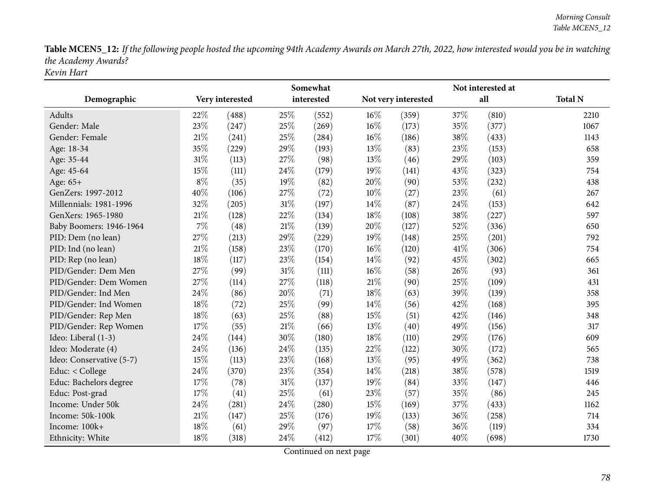Table MCEN5\_12: If the following people hosted the upcoming 94th Academy Awards on March 27th, 2022, how interested would you be in watching *the Academy Awards? Kevin Hart*

|                          | Somewhat |                 |        |            |        |                     | Not interested at |       |                |  |
|--------------------------|----------|-----------------|--------|------------|--------|---------------------|-------------------|-------|----------------|--|
| Demographic              |          | Very interested |        | interested |        | Not very interested |                   | all   | <b>Total N</b> |  |
| <b>Adults</b>            | 22%      | (488)           | 25%    | (552)      | 16%    | (359)               | 37%               | (810) | 2210           |  |
| Gender: Male             | 23%      | (247)           | 25%    | (269)      | 16%    | (173)               | 35%               | (377) | 1067           |  |
| Gender: Female           | 21\%     | (241)           | 25%    | (284)      | $16\%$ | (186)               | 38%               | (433) | 1143           |  |
| Age: 18-34               | 35%      | (229)           | 29%    | (193)      | 13%    | (83)                | 23%               | (153) | 658            |  |
| Age: 35-44               | $31\%$   | (113)           | 27%    | (98)       | 13%    | (46)                | 29%               | (103) | 359            |  |
| Age: 45-64               | 15%      | (111)           | 24%    | (179)      | 19%    | (141)               | 43%               | (323) | 754            |  |
| Age: 65+                 | $8\%$    | (35)            | 19%    | (82)       | 20%    | (90)                | 53%               | (232) | 438            |  |
| GenZers: 1997-2012       | 40%      | (106)           | 27%    | (72)       | 10%    | (27)                | 23%               | (61)  | 267            |  |
| Millennials: 1981-1996   | 32%      | (205)           | 31%    | (197)      | 14%    | (87)                | 24%               | (153) | 642            |  |
| GenXers: 1965-1980       | 21%      | (128)           | 22%    | (134)      | 18%    | (108)               | 38%               | (227) | 597            |  |
| Baby Boomers: 1946-1964  | 7%       | (48)            | 21%    | (139)      | 20%    | (127)               | 52%               | (336) | 650            |  |
| PID: Dem (no lean)       | 27%      | (213)           | 29%    | (229)      | 19%    | (148)               | 25%               | (201) | 792            |  |
| PID: Ind (no lean)       | 21%      | (158)           | 23%    | (170)      | 16%    | (120)               | 41\%              | (306) | 754            |  |
| PID: Rep (no lean)       | 18%      | (117)           | 23%    | (154)      | 14\%   | (92)                | 45%               | (302) | 665            |  |
| PID/Gender: Dem Men      | 27%      | (99)            | $31\%$ | (111)      | 16%    | (58)                | 26%               | (93)  | 361            |  |
| PID/Gender: Dem Women    | 27%      | (114)           | 27%    | (118)      | $21\%$ | (90)                | 25%               | (109) | 431            |  |
| PID/Gender: Ind Men      | 24%      | (86)            | 20%    | (71)       | 18%    | (63)                | 39%               | (139) | 358            |  |
| PID/Gender: Ind Women    | 18%      | (72)            | 25%    | (99)       | 14%    | (56)                | 42%               | (168) | 395            |  |
| PID/Gender: Rep Men      | 18%      | (63)            | 25%    | (88)       | 15%    | (51)                | 42%               | (146) | 348            |  |
| PID/Gender: Rep Women    | 17%      | (55)            | 21%    | (66)       | 13%    | (40)                | 49%               | (156) | 317            |  |
| Ideo: Liberal (1-3)      | 24%      | (144)           | 30%    | (180)      | 18%    | (110)               | 29%               | (176) | 609            |  |
| Ideo: Moderate (4)       | 24%      | (136)           | 24%    | (135)      | 22%    | (122)               | 30%               | (172) | 565            |  |
| Ideo: Conservative (5-7) | $15\%$   | (113)           | 23%    | (168)      | 13%    | (95)                | 49%               | (362) | 738            |  |
| Educ: < College          | 24%      | (370)           | 23%    | (354)      | 14%    | (218)               | 38%               | (578) | 1519           |  |
| Educ: Bachelors degree   | 17%      | (78)            | $31\%$ | (137)      | 19%    | (84)                | 33%               | (147) | 446            |  |
| Educ: Post-grad          | 17%      | (41)            | 25%    | (61)       | 23%    | (57)                | 35%               | (86)  | 245            |  |
| Income: Under 50k        | 24%      | (281)           | 24%    | (280)      | 15%    | (169)               | 37%               | (433) | 1162           |  |
| Income: 50k-100k         | 21%      | (147)           | 25%    | (176)      | 19%    | (133)               | 36%               | (258) | 714            |  |
| Income: 100k+            | 18%      | (61)            | 29%    | (97)       | 17%    | (58)                | 36%               | (119) | 334            |  |
| Ethnicity: White         | 18%      | (318)           | 24%    | (412)      | 17%    | (301)               | 40%               | (698) | 1730           |  |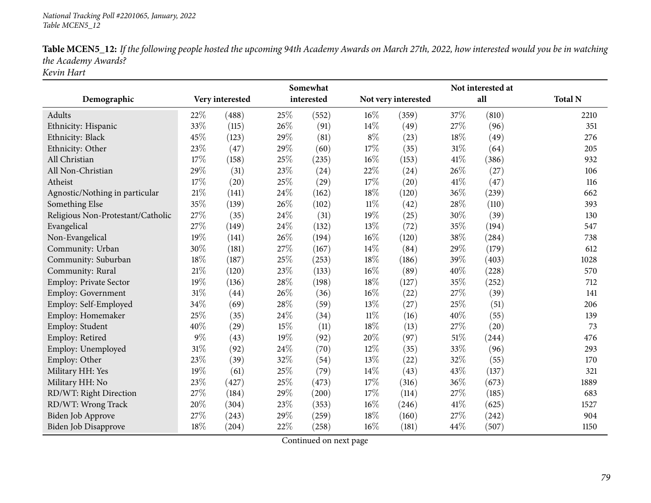| Table MCEN5_12: If the following people hosted the upcoming 94th Academy Awards on March 27th, 2022, how interested would you be in watching |
|----------------------------------------------------------------------------------------------------------------------------------------------|
| the Academy Awards?                                                                                                                          |
| Kevin Hart                                                                                                                                   |

|                                   | Somewhat |                 |      |            |        | Not interested at   |      |       |                |
|-----------------------------------|----------|-----------------|------|------------|--------|---------------------|------|-------|----------------|
| Demographic                       |          | Very interested |      | interested |        | Not very interested |      | all   | <b>Total N</b> |
| Adults                            | 22%      | (488)           | 25%  | (552)      | $16\%$ | (359)               | 37\% | (810) | 2210           |
| Ethnicity: Hispanic               | 33%      | (115)           | 26%  | (91)       | 14\%   | (49)                | 27%  | (96)  | 351            |
| Ethnicity: Black                  | 45%      | (123)           | 29%  | (81)       | $8\%$  | (23)                | 18%  | (49)  | 276            |
| Ethnicity: Other                  | 23%      | (47)            | 29%  | (60)       | 17%    | (35)                | 31%  | (64)  | 205            |
| All Christian                     | 17%      | (158)           | 25%  | (235)      | 16%    | (153)               | 41%  | (386) | 932            |
| All Non-Christian                 | 29%      | (31)            | 23%  | (24)       | 22%    | (24)                | 26%  | (27)  | 106            |
| Atheist                           | 17%      | (20)            | 25%  | (29)       | 17%    | (20)                | 41\% | (47)  | 116            |
| Agnostic/Nothing in particular    | 21%      | (141)           | 24%  | (162)      | 18%    | (120)               | 36%  | (239) | 662            |
| Something Else                    | 35%      | (139)           | 26%  | (102)      | $11\%$ | (42)                | 28%  | (110) | 393            |
| Religious Non-Protestant/Catholic | 27%      | (35)            | 24\% | (31)       | 19%    | (25)                | 30%  | (39)  | 130            |
| Evangelical                       | 27%      | (149)           | 24%  | (132)      | 13%    | (72)                | 35%  | (194) | 547            |
| Non-Evangelical                   | 19%      | (141)           | 26%  | (194)      | 16%    | (120)               | 38%  | (284) | 738            |
| Community: Urban                  | 30%      | (181)           | 27%  | (167)      | 14%    | (84)                | 29%  | (179) | 612            |
| Community: Suburban               | 18%      | (187)           | 25%  | (253)      | 18%    | (186)               | 39%  | (403) | 1028           |
| Community: Rural                  | $21\%$   | (120)           | 23%  | (133)      | $16\%$ | (89)                | 40%  | (228) | 570            |
| Employ: Private Sector            | 19%      | (136)           | 28%  | (198)      | 18%    | (127)               | 35%  | (252) | 712            |
| Employ: Government                | 31%      | (44)            | 26%  | (36)       | 16%    | (22)                | 27%  | (39)  | 141            |
| Employ: Self-Employed             | 34%      | (69)            | 28%  | (59)       | 13%    | (27)                | 25%  | (51)  | 206            |
| Employ: Homemaker                 | 25%      | (35)            | 24%  | (34)       | $11\%$ | (16)                | 40%  | (55)  | 139            |
| Employ: Student                   | 40%      | (29)            | 15%  | (11)       | 18%    | (13)                | 27%  | (20)  | 73             |
| Employ: Retired                   | $9\%$    | (43)            | 19%  | (92)       | 20%    | (97)                | 51%  | (244) | 476            |
| Employ: Unemployed                | 31%      | (92)            | 24%  | (70)       | 12%    | (35)                | 33%  | (96)  | 293            |
| Employ: Other                     | 23%      | (39)            | 32%  | (54)       | 13%    | (22)                | 32%  | (55)  | 170            |
| Military HH: Yes                  | 19%      | (61)            | 25%  | (79)       | 14\%   | (43)                | 43%  | (137) | 321            |
| Military HH: No                   | 23%      | (427)           | 25%  | (473)      | 17%    | (316)               | 36%  | (673) | 1889           |
| RD/WT: Right Direction            | 27%      | (184)           | 29%  | (200)      | 17\%   | (114)               | 27%  | (185) | 683            |
| RD/WT: Wrong Track                | 20%      | (304)           | 23%  | (353)      | 16%    | (246)               | 41\% | (625) | 1527           |
| Biden Job Approve                 | 27%      | (243)           | 29%  | (259)      | 18\%   | (160)               | 27%  | (242) | 904            |
| Biden Job Disapprove              | 18%      | (204)           | 22%  | (258)      | 16%    | (181)               | 44%  | (507) | 1150           |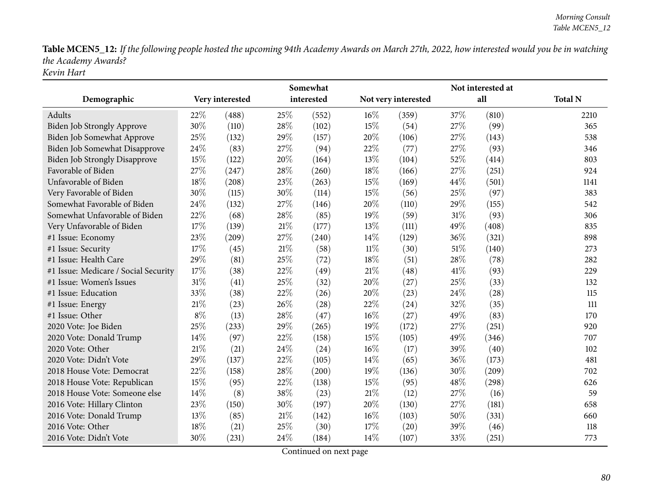Table MCEN5\_12: If the following people hosted the upcoming 94th Academy Awards on March 27th, 2022, how interested would you be in watching *the Academy Awards? Kevin Hart*

|                                      | Somewhat |                 |        |            |        | Not interested at   |      |       |                |  |  |  |
|--------------------------------------|----------|-----------------|--------|------------|--------|---------------------|------|-------|----------------|--|--|--|
| Demographic                          |          | Very interested |        | interested |        | Not very interested |      | all   | <b>Total N</b> |  |  |  |
| Adults                               | 22%      | (488)           | 25%    | (552)      | 16%    | (359)               | 37%  | (810) | 2210           |  |  |  |
| Biden Job Strongly Approve           | 30%      | (110)           | 28%    | (102)      | 15%    | (54)                | 27\% | (99)  | 365            |  |  |  |
| Biden Job Somewhat Approve           | 25%      | (132)           | 29%    | (157)      | 20%    | (106)               | 27%  | (143) | 538            |  |  |  |
| Biden Job Somewhat Disapprove        | 24%      | (83)            | 27%    | (94)       | 22%    | (77)                | 27\% | (93)  | 346            |  |  |  |
| <b>Biden Job Strongly Disapprove</b> | 15%      | (122)           | 20%    | (164)      | 13%    | (104)               | 52%  | (414) | 803            |  |  |  |
| Favorable of Biden                   | 27%      | (247)           | 28%    | (260)      | 18%    | (166)               | 27%  | (251) | 924            |  |  |  |
| Unfavorable of Biden                 | 18%      | (208)           | 23%    | (263)      | 15%    | (169)               | 44%  | (501) | 1141           |  |  |  |
| Very Favorable of Biden              | 30%      | (115)           | 30%    | (114)      | 15%    | (56)                | 25%  | (97)  | 383            |  |  |  |
| Somewhat Favorable of Biden          | 24%      | (132)           | 27%    | (146)      | 20%    | (110)               | 29%  | (155) | 542            |  |  |  |
| Somewhat Unfavorable of Biden        | 22%      | (68)            | 28%    | (85)       | 19%    | (59)                | 31%  | (93)  | 306            |  |  |  |
| Very Unfavorable of Biden            | 17%      | (139)           | $21\%$ | (177)      | 13%    | (111)               | 49%  | (408) | 835            |  |  |  |
| #1 Issue: Economy                    | 23%      | (209)           | 27%    | (240)      | 14%    | (129)               | 36%  | (321) | 898            |  |  |  |
| #1 Issue: Security                   | 17%      | (45)            | 21\%   | (58)       | 11%    | (30)                | 51%  | (140) | 273            |  |  |  |
| #1 Issue: Health Care                | 29%      | (81)            | 25%    | (72)       | 18%    | (51)                | 28%  | (78)  | 282            |  |  |  |
| #1 Issue: Medicare / Social Security | 17%      | (38)            | 22%    | (49)       | 21\%   | (48)                | 41%  | (93)  | 229            |  |  |  |
| #1 Issue: Women's Issues             | 31%      | (41)            | 25%    | (32)       | 20%    | (27)                | 25%  | (33)  | 132            |  |  |  |
| #1 Issue: Education                  | 33%      | (38)            | 22%    | (26)       | 20%    | (23)                | 24%  | (28)  | 115            |  |  |  |
| #1 Issue: Energy                     | 21%      | (23)            | 26%    | (28)       | 22%    | (24)                | 32%  | (35)  | 111            |  |  |  |
| #1 Issue: Other                      | $8\%$    | (13)            | 28%    | (47)       | 16%    | (27)                | 49%  | (83)  | 170            |  |  |  |
| 2020 Vote: Joe Biden                 | 25%      | (233)           | 29%    | (265)      | 19%    | (172)               | 27%  | (251) | 920            |  |  |  |
| 2020 Vote: Donald Trump              | 14%      | (97)            | 22%    | (158)      | 15%    | (105)               | 49%  | (346) | 707            |  |  |  |
| 2020 Vote: Other                     | 21%      | (21)            | 24%    | (24)       | 16%    | (17)                | 39%  | (40)  | 102            |  |  |  |
| 2020 Vote: Didn't Vote               | 29%      | (137)           | 22%    | (105)      | 14\%   | (65)                | 36%  | (173) | 481            |  |  |  |
| 2018 House Vote: Democrat            | 22%      | (158)           | 28%    | (200)      | 19%    | (136)               | 30%  | (209) | 702            |  |  |  |
| 2018 House Vote: Republican          | 15%      | (95)            | 22%    | (138)      | 15%    | (95)                | 48%  | (298) | 626            |  |  |  |
| 2018 House Vote: Someone else        | 14%      | (8)             | 38%    | (23)       | $21\%$ | (12)                | 27%  | (16)  | 59             |  |  |  |
| 2016 Vote: Hillary Clinton           | 23%      | (150)           | 30%    | (197)      | 20%    | (130)               | 27\% | (181) | 658            |  |  |  |
| 2016 Vote: Donald Trump              | 13%      | (85)            | $21\%$ | (142)      | 16%    | (103)               | 50%  | (331) | 660            |  |  |  |
| 2016 Vote: Other                     | 18%      | (21)            | 25%    | (30)       | 17%    | (20)                | 39%  | (46)  | 118            |  |  |  |
| 2016 Vote: Didn't Vote               | 30%      | (231)           | 24%    | (184)      | 14%    | (107)               | 33%  | (251) | 773            |  |  |  |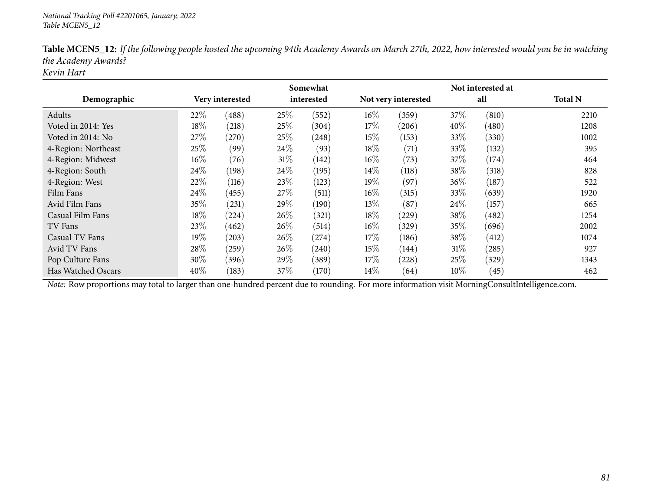|                     |      |                 |        | Somewhat   |        |                     |        | Not interested at |                |
|---------------------|------|-----------------|--------|------------|--------|---------------------|--------|-------------------|----------------|
| Demographic         |      | Very interested |        | interested |        | Not very interested |        | all               | <b>Total N</b> |
| Adults              | 22%  | (488)           | 25%    | (552)      | 16\%   | (359)               | 37\%   | (810)             | 2210           |
| Voted in 2014: Yes  | 18%  | (218)           | 25%    | (304)      | 17%    | (206)               | $40\%$ | (480)             | 1208           |
| Voted in 2014: No   | 27%  | (270)           | 25%    | (248)      | 15%    | (153)               | 33%    | (330)             | 1002           |
| 4-Region: Northeast | 25%  | (99)            | $24\%$ | (93)       | 18%    | (71)                | 33\%   | (132)             | 395            |
| 4-Region: Midwest   | 16%  | (76)            | $31\%$ | (142)      | $16\%$ | (73)                | 37%    | (174)             | 464            |
| 4-Region: South     | 24\% | (198)           | 24\%   | (195)      | 14\%   | (118)               | 38%    | (318)             | 828            |
| 4-Region: West      | 22%  | (116)           | 23%    | (123)      | $19\%$ | (97)                | 36%    | (187)             | 522            |
| Film Fans           | 24\% | (455)           | 27%    | (511)      | $16\%$ | (315)               | 33%    | (639)             | 1920           |
| Avid Film Fans      | 35%  | (231)           | 29%    | (190)      | $13\%$ | (87)                | 24%    | (157)             | 665            |
| Casual Film Fans    | 18%  | (224)           | 26%    | (321)      | 18%    | (229)               | 38%    | (482)             | 1254           |
| TV Fans             | 23%  | (462)           | 26%    | (514)      | $16\%$ | (329)               | 35%    | (696)             | 2002           |
| Casual TV Fans      | 19%  | (203)           | 26%    | $^{(274)}$ | 17%    | (186)               | 38%    | (412)             | 1074           |
| Avid TV Fans        | 28%  | (259)           | 26%    | (240)      | 15%    | (144)               | $31\%$ | (285)             | 927            |
| Pop Culture Fans    | 30%  | (396)           | 29\%   | (389)      | 17%    | (228)               | 25%    | (329)             | 1343           |
| Has Watched Oscars  | 40%  | (183)           | 37%    | (170)      | $14\%$ | (64)                | $10\%$ | (45)              | 462            |

Table MCEN5\_12: If the following people hosted the upcoming 94th Academy Awards on March 27th, 2022, how interested would you be in watching *the Academy Awards?*

*Kevin Hart*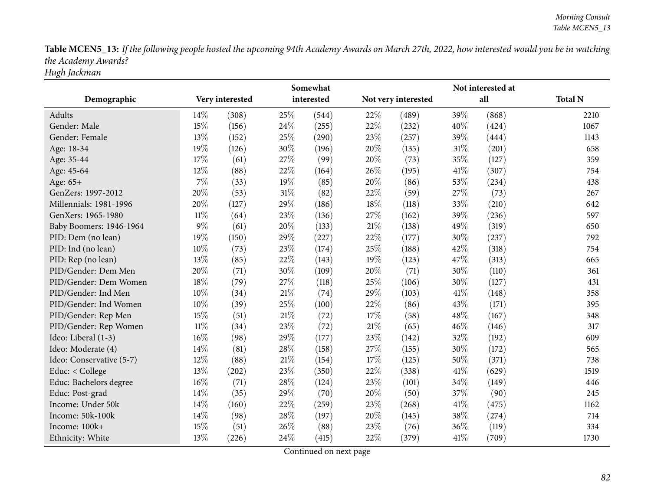Table MCEN5\_13: If the following people hosted the upcoming 94th Academy Awards on March 27th, 2022, how interested would you be in watching *the Academy Awards? Hugh Jackman*

|                          |        |                 |     | Somewhat   | Not interested at |                     |        |       |                |  |  |
|--------------------------|--------|-----------------|-----|------------|-------------------|---------------------|--------|-------|----------------|--|--|
| Demographic              |        | Very interested |     | interested |                   | Not very interested |        | all   | <b>Total N</b> |  |  |
| Adults                   | 14%    | (308)           | 25% | (544)      | 22%               | (489)               | 39%    | (868) | 2210           |  |  |
| Gender: Male             | 15%    | (156)           | 24% | (255)      | 22%               | (232)               | 40%    | (424) | 1067           |  |  |
| Gender: Female           | 13%    | (152)           | 25% | (290)      | 23%               | (257)               | 39%    | (444) | 1143           |  |  |
| Age: 18-34               | 19%    | (126)           | 30% | (196)      | 20%               | (135)               | $31\%$ | (201) | 658            |  |  |
| Age: 35-44               | 17%    | (61)            | 27% | (99)       | 20%               | (73)                | 35%    | (127) | 359            |  |  |
| Age: 45-64               | 12%    | (88)            | 22% | (164)      | 26%               | (195)               | 41\%   | (307) | 754            |  |  |
| Age: 65+                 | $7\%$  | (33)            | 19% | (85)       | 20%               | (86)                | 53%    | (234) | 438            |  |  |
| GenZers: 1997-2012       | 20%    | (53)            | 31% | (82)       | 22%               | (59)                | 27%    | (73)  | 267            |  |  |
| Millennials: 1981-1996   | 20%    | (127)           | 29% | (186)      | 18%               | (118)               | 33%    | (210) | 642            |  |  |
| GenXers: 1965-1980       | $11\%$ | (64)            | 23% | (136)      | 27%               | (162)               | 39%    | (236) | 597            |  |  |
| Baby Boomers: 1946-1964  | $9\%$  | (61)            | 20% | (133)      | 21%               | (138)               | 49%    | (319) | 650            |  |  |
| PID: Dem (no lean)       | 19%    | (150)           | 29% | (227)      | 22%               | (177)               | 30%    | (237) | 792            |  |  |
| PID: Ind (no lean)       | 10%    | (73)            | 23% | (174)      | 25%               | (188)               | 42%    | (318) | 754            |  |  |
| PID: Rep (no lean)       | 13%    | (85)            | 22% | (143)      | 19%               | (123)               | 47%    | (313) | 665            |  |  |
| PID/Gender: Dem Men      | 20%    | (71)            | 30% | (109)      | 20%               | (71)                | 30%    | (110) | 361            |  |  |
| PID/Gender: Dem Women    | 18%    | (79)            | 27% | (118)      | 25%               | (106)               | 30%    | (127) | 431            |  |  |
| PID/Gender: Ind Men      | 10%    | (34)            | 21% | (74)       | 29%               | (103)               | 41\%   | (148) | 358            |  |  |
| PID/Gender: Ind Women    | 10%    | (39)            | 25% | (100)      | 22%               | (86)                | 43%    | (171) | 395            |  |  |
| PID/Gender: Rep Men      | 15%    | (51)            | 21% | (72)       | 17%               | (58)                | 48%    | (167) | 348            |  |  |
| PID/Gender: Rep Women    | 11%    | (34)            | 23% | (72)       | 21%               | (65)                | 46%    | (146) | 317            |  |  |
| Ideo: Liberal (1-3)      | 16%    | (98)            | 29% | (177)      | 23%               | (142)               | 32%    | (192) | 609            |  |  |
| Ideo: Moderate (4)       | 14%    | (81)            | 28% | (158)      | 27%               | (155)               | 30%    | (172) | 565            |  |  |
| Ideo: Conservative (5-7) | 12%    | (88)            | 21% | (154)      | 17%               | (125)               | 50%    | (371) | 738            |  |  |
| Educ: < College          | 13%    | (202)           | 23% | (350)      | 22%               | (338)               | 41\%   | (629) | 1519           |  |  |
| Educ: Bachelors degree   | 16%    | (71)            | 28% | (124)      | 23%               | (101)               | 34%    | (149) | 446            |  |  |
| Educ: Post-grad          | 14%    | (35)            | 29% | (70)       | 20%               | (50)                | 37%    | (90)  | 245            |  |  |
| Income: Under 50k        | 14%    | (160)           | 22% | (259)      | 23%               | (268)               | 41\%   | (475) | 1162           |  |  |
| Income: 50k-100k         | 14%    | (98)            | 28% | (197)      | 20%               | (145)               | 38%    | (274) | 714            |  |  |
| Income: 100k+            | 15%    | (51)            | 26% | (88)       | 23%               | (76)                | 36%    | (119) | 334            |  |  |
| Ethnicity: White         | 13%    | (226)           | 24% | (415)      | 22%               | (379)               | 41\%   | (709) | 1730           |  |  |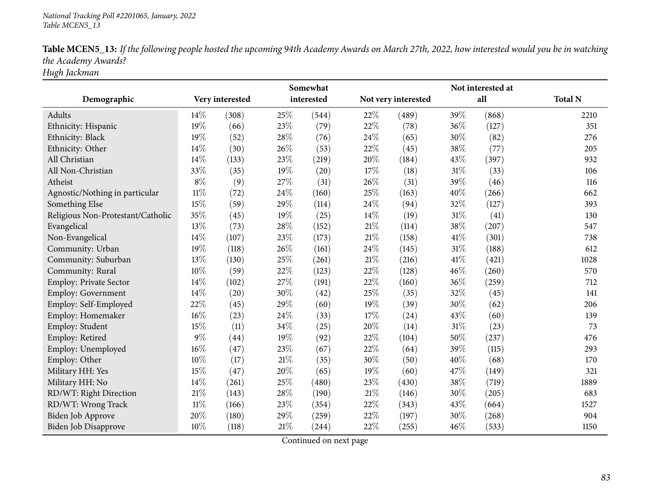| Table MCEN5_13: If the following people hosted the upcoming 94th Academy Awards on March 27th, 2022, how interested would you be in watching |
|----------------------------------------------------------------------------------------------------------------------------------------------|
| the Academy Awards?                                                                                                                          |
| TT 1 T 1                                                                                                                                     |

*Hugh Jackman*

|                                   |        |                 |     | Somewhat   |                     | Not interested at |        |       |                |  |  |
|-----------------------------------|--------|-----------------|-----|------------|---------------------|-------------------|--------|-------|----------------|--|--|
| Demographic                       |        | Very interested |     | interested | Not very interested |                   | all    |       | <b>Total N</b> |  |  |
| Adults                            | 14%    | (308)           | 25% | (544)      | 22%                 | (489)             | 39%    | (868) | 2210           |  |  |
| Ethnicity: Hispanic               | 19%    | (66)            | 23% | (79)       | 22%                 | (78)              | 36%    | (127) | 351            |  |  |
| Ethnicity: Black                  | 19%    | (52)            | 28% | (76)       | 24\%                | (65)              | 30%    | (82)  | 276            |  |  |
| Ethnicity: Other                  | 14%    | (30)            | 26% | (53)       | 22%                 | (45)              | 38%    | (77)  | 205            |  |  |
| All Christian                     | 14%    | (133)           | 23% | (219)      | 20%                 | (184)             | 43%    | (397) | 932            |  |  |
| All Non-Christian                 | 33%    | (35)            | 19% | (20)       | 17%                 | (18)              | $31\%$ | (33)  | 106            |  |  |
| Atheist                           | $8\%$  | (9)             | 27% | (31)       | 26%                 | (31)              | 39%    | (46)  | 116            |  |  |
| Agnostic/Nothing in particular    | $11\%$ | (72)            | 24% | (160)      | 25%                 | (163)             | 40%    | (266) | 662            |  |  |
| Something Else                    | 15%    | (59)            | 29% | (114)      | 24%                 | (94)              | 32%    | (127) | 393            |  |  |
| Religious Non-Protestant/Catholic | 35%    | (45)            | 19% | (25)       | 14%                 | (19)              | $31\%$ | (41)  | 130            |  |  |
| Evangelical                       | 13%    | (73)            | 28% | (152)      | $21\%$              | (114)             | 38%    | (207) | 547            |  |  |
| Non-Evangelical                   | 14%    | (107)           | 23% | (173)      | $21\%$              | (158)             | 41%    | (301) | 738            |  |  |
| Community: Urban                  | 19%    | (118)           | 26% | (161)      | 24\%                | (145)             | 31%    | (188) | 612            |  |  |
| Community: Suburban               | 13%    | (130)           | 25% | (261)      | $21\%$              | (216)             | 41\%   | (421) | 1028           |  |  |
| Community: Rural                  | 10%    | (59)            | 22% | (123)      | 22%                 | (128)             | 46%    | (260) | 570            |  |  |
| Employ: Private Sector            | 14%    | (102)           | 27% | (191)      | 22%                 | (160)             | 36%    | (259) | 712            |  |  |
| <b>Employ: Government</b>         | 14%    | (20)            | 30% | (42)       | 25%                 | (35)              | 32%    | (45)  | 141            |  |  |
| Employ: Self-Employed             | 22%    | (45)            | 29% | (60)       | 19%                 | (39)              | 30%    | (62)  | 206            |  |  |
| Employ: Homemaker                 | $16\%$ | (23)            | 24% | (33)       | 17\%                | (24)              | 43%    | (60)  | 139            |  |  |
| Employ: Student                   | 15%    | (11)            | 34% | (25)       | 20%                 | (14)              | 31%    | (23)  | 73             |  |  |
| Employ: Retired                   | $9\%$  | (44)            | 19% | (92)       | 22%                 | (104)             | 50%    | (237) | 476            |  |  |
| Employ: Unemployed                | 16%    | (47)            | 23% | (67)       | 22%                 | (64)              | 39%    | (115) | 293            |  |  |
| Employ: Other                     | 10%    | (17)            | 21% | (35)       | 30%                 | (50)              | 40%    | (68)  | 170            |  |  |
| Military HH: Yes                  | 15%    | (47)            | 20% | (65)       | 19%                 | (60)              | 47%    | (149) | 321            |  |  |
| Military HH: No                   | 14%    | (261)           | 25% | (480)      | 23%                 | (430)             | 38%    | (719) | 1889           |  |  |
| RD/WT: Right Direction            | 21%    | (143)           | 28% | (190)      | 21\%                | (146)             | 30%    | (205) | 683            |  |  |
| RD/WT: Wrong Track                | 11%    | (166)           | 23% | (354)      | 22%                 | (343)             | 43%    | (664) | 1527           |  |  |
| <b>Biden Job Approve</b>          | $20\%$ | (180)           | 29% | (259)      | 22%                 | (197)             | 30%    | (268) | 904            |  |  |
| Biden Job Disapprove              | 10%    | (118)           | 21% | (244)      | 22%                 | (255)             | 46%    | (533) | 1150           |  |  |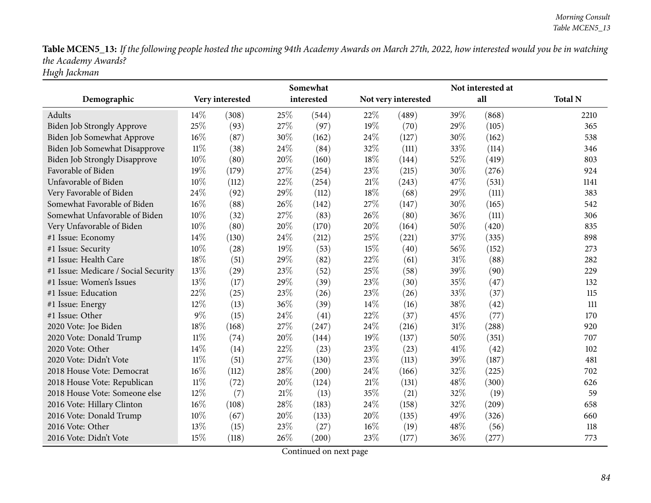Table MCEN5\_13: If the following people hosted the upcoming 94th Academy Awards on March 27th, 2022, how interested would you be in watching *the Academy Awards? Hugh Jackman*

**Demographic Very interestedSomewhat interested Not very interested Not interested at all Total <sup>N</sup>**Adults**s**  $14\%$  (308)  $)$  25% (544) 22% (489) 39% (868) 2210 365 Biden Job Strongly Approve 25% (93) 27% (97) 19% (70) 29% (105) 365<br>Biden Job Somewhat Approve 16% (87) 30% (162) 24% (127) 30% (162) 538 Biden Job Somewhat Approve 16% (87) 30% (162) 24% (127) 30% (162) 538<br>Biden Job Somewhat Disapprove 11% (38) 24% (84) 32% (111) 33% (114) 536 Biden Job Somewhat Disapprove 11% (38) 24% (84) 32% (111) 33%<br>Biden Job Strongly Disapprove 10% (80) 20% (160) 18% (144) 52% 803 Biden Job Strongly Disapprove 10% (80) 20% (160) 18% (144) 52% (419) 803<br>
Favorable of Biden 19% (179) 27% (254) 23% (215) 30% (276) 924 Favorable of Bidenn 19% (179) 27% (254) 23% (215) 30% (276) 924 Unfavorable of Bidenn 10% (112) 22% (254) 21% (243) 47% (531) 1141 Very Favorable of Bidenn 24% (92) 29% (112) 18% (68) 29% (111) 383 Somewhat Favorable of Biden $\text{n}$  16% (88) 26% (142) 27% (147) 30% (165) 542 Somewhat Unfavorable of Biden $\text{n}$  10% (32) 27% (83) 26% (80) 36% (111) 306 Very Unfavorable of Biden $10\%$  (80)  $20\%$  (170)  $20\%$  (164)  $50\%$  (420) 835 #1 Issue: Economy 14% (130)  $24\%$  (212)  $25\%$  (221)  $37\%$  (335) 898 #1 Issue: Security <sup>10</sup>% (28) <sup>19</sup>% (53) <sup>15</sup>% (40) <sup>56</sup>% (152) <sup>273</sup> #1 Issue: Health Care  $18\%$  (51)  $29\%$  (82)  $22\%$  (61)  $31\%$  (88) 282 41 Issue: Medicare / Social Security  $13\%$  (29)  $23\%$  (52)  $25\%$  (58)  $39\%$  (90) 229<br>
41 Issue: Women's Issues  $13\%$  (17)  $29\%$  (39)  $23\%$  (30)  $35\%$  (47) 132 132 #1 Issue: Women's Issues <sup>13</sup>% (17) <sup>29</sup>% (39) <sup>23</sup>% (30) <sup>35</sup>% (47) <sup>132</sup> #1 Issue: Education<br>#1 Issue: Energy n 22% (25) 23% (26) 23% (26) 33% (37) 115 #1 Issue: Energy <sup>12</sup>% (13) <sup>36</sup>% (39) <sup>14</sup>% (16) <sup>38</sup>% (42) <sup>111</sup> #1 Issue: Other  $9\%$  (15)  $24\%$  (41)  $22\%$  (37)  $45\%$  (77) 170 920 <sup>2020</sup> Vote: Joe Biden $\text{n}$  18% (168) 27% (247) 24% (216) 31% (288) 920 <sup>2020</sup> Vote: Donald Trump $p \hspace{1.5cm} 11\% \hspace{1.5cm} (74) \hspace{1.5cm} 20\% \hspace{1.5cm} (144) \hspace{1.5cm} 19\% \hspace{1.5cm} (137) \hspace{1.5cm} 50\% \hspace{1.5cm} (351) \hspace{1.5cm} 707$ 2020 Vote: Other 14% (14) 22% (23) 23% (23) 41% (42) 102 <sup>2020</sup> Vote: Didn't Vote <sup>11</sup>% (51) <sup>27</sup>% (130) <sup>23</sup>% (113) <sup>39</sup>% (187) <sup>481</sup> 2018 House Vote: Democrat 16% (112) 28% (200) 24% (166) 32% (225) 702<br>2018 House Vote: Republican 11% (72) 20% (124) 21% (131) 48% (300) 626 <sup>2018</sup> House Vote: Republican $\text{n}$  11% (72) 20% (124) 21% (131) 48% (300) 626 2018 House Vote: Someone else 12%<br>2016 Vote: Hillary Clinton 16%  $\frac{\%}{\%}$  (7) 21\% (13) 35\% (21) 32\% (19) 59<br>  $\frac{\%}{\%}$  (19) 32\% (200) 59 <sup>2016</sup> Vote: Hillary Clintonn 16% (108) 28% (183) 24% (158) 32% (209) 658 <sup>2016</sup> Vote: Donald Trump $p$  10% (67) 20% (133) 20% (135) 49% (326) 660 2016 Vote: Other 13<sup>%</sup> (15) 23% (27) 16% (19) 48% (56) 118 <sup>2016</sup> Vote: Didn't Vote <sup>15</sup>% (118) <sup>26</sup>% (200) <sup>23</sup>% (177) <sup>36</sup>% (277) <sup>773</sup>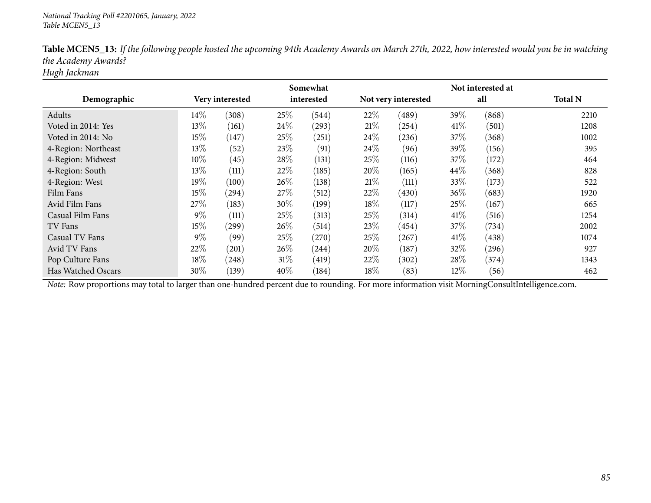|                     |       |                 |        | Somewhat   |        |                     |        | Not interested at |                |
|---------------------|-------|-----------------|--------|------------|--------|---------------------|--------|-------------------|----------------|
| Demographic         |       | Very interested |        | interested |        | Not very interested |        | all               | <b>Total N</b> |
| Adults              | 14%   | (308)           | 25%    | (544)      | 22%    | (489)               | 39%    | (868)             | 2210           |
| Voted in 2014: Yes  | 13%   | (161)           | 24\%   | (293)      | 21%    | (254)               | 41%    | (501)             | 1208           |
| Voted in 2014: No   | 15%   | (147)           | 25%    | (251)      | $24\%$ | (236)               | 37%    | (368)             | 1002           |
| 4-Region: Northeast | 13%   | (52)            | 23%    | (91)       | $24\%$ | (96)                | 39%    | (156)             | 395            |
| 4-Region: Midwest   | 10%   | (45)            | 28%    | (131)      | 25%    | (116)               | 37\%   | (172)             | 464            |
| 4-Region: South     | 13%   | (111)           | 22%    | (185)      | 20%    | (165)               | $44\%$ | (368)             | 828            |
| 4-Region: West      | 19%   | (100)           | 26%    | (138)      | 21\%   | (111)               | 33%    | (173)             | 522            |
| Film Fans           | 15%   | (294)           | 27%    | (512)      | 22%    | (430)               | 36%    | (683)             | 1920           |
| Avid Film Fans      | 27%   | (183)           | 30%    | (199)      | 18\%   | (117)               | 25%    | (167)             | 665            |
| Casual Film Fans    | 9%    | (111)           | 25%    | (313)      | 25%    | (314)               | 41\%   | (516)             | 1254           |
| TV Fans             | 15%   | $^{'}299)$      | 26%    | (514)      | 23\%   | (454)               | 37%    | (734)             | 2002           |
| Casual TV Fans      | $9\%$ | (99)            | 25%    | (270)      | 25%    | (267)               | 41\%   | (438)             | 1074           |
| Avid TV Fans        | 22%   | (201)           | 26%    | (244)      | 20%    | (187)               | 32%    | (296)             | 927            |
| Pop Culture Fans    | 18%   | (248)           | $31\%$ | (419)      | 22\%   | (302)               | 28\%   | (374)             | 1343           |
| Has Watched Oscars  | 30%   | (139)           | $40\%$ | (184)      | $18\%$ | (83)                | $12\%$ | (56)              | 462            |

Table MCEN5\_13: If the following people hosted the upcoming 94th Academy Awards on March 27th, 2022, how interested would you be in watching *the Academy Awards?*

*Hugh Jackman*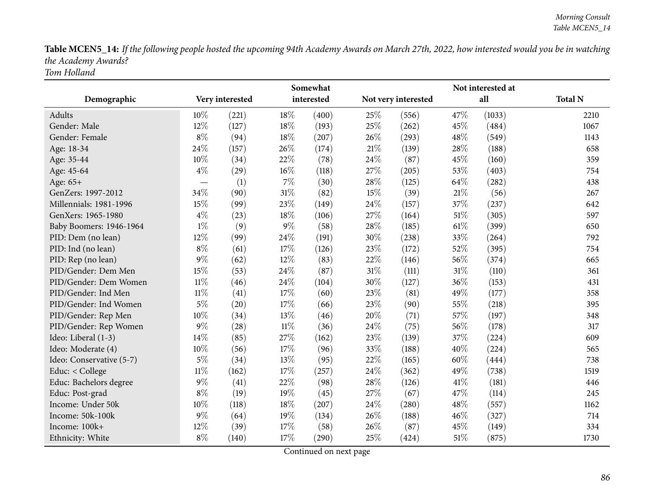Table MCEN5\_14: If the following people hosted the upcoming 94th Academy Awards on March 27th, 2022, how interested would you be in watching *the Academy Awards? Tom Holland*

|                          |                          |                 |        | Somewhat   |        | Not interested at   |        |        |                |  |
|--------------------------|--------------------------|-----------------|--------|------------|--------|---------------------|--------|--------|----------------|--|
| Demographic              |                          | Very interested |        | interested |        | Not very interested |        | all    | <b>Total N</b> |  |
| Adults                   | 10%                      | (221)           | 18%    | (400)      | 25\%   | (556)               | 47\%   | (1033) | 2210           |  |
| Gender: Male             | 12%                      | (127)           | 18%    | (193)      | 25%    | (262)               | 45%    | (484)  | 1067           |  |
| Gender: Female           | $8\%$                    | (94)            | $18\%$ | (207)      | 26%    | (293)               | 48%    | (549)  | 1143           |  |
| Age: 18-34               | 24%                      | (157)           | 26%    | (174)      | $21\%$ | (139)               | 28%    | (188)  | 658            |  |
| Age: 35-44               | 10%                      | (34)            | 22%    | (78)       | 24\%   | (87)                | 45%    | (160)  | 359            |  |
| Age: 45-64               | $4\%$                    | (29)            | $16\%$ | (118)      | 27%    | (205)               | 53%    | (403)  | 754            |  |
| Age: 65+                 | $\overline{\phantom{0}}$ | (1)             | 7%     | (30)       | 28\%   | (125)               | 64%    | (282)  | 438            |  |
| GenZers: 1997-2012       | 34%                      | (90)            | $31\%$ | (82)       | 15%    | (39)                | $21\%$ | (56)   | 267            |  |
| Millennials: 1981-1996   | 15%                      | (99)            | 23%    | (149)      | 24\%   | (157)               | 37%    | (237)  | 642            |  |
| GenXers: 1965-1980       | $4\%$                    | (23)            | $18\%$ | (106)      | 27%    | (164)               | $51\%$ | (305)  | 597            |  |
| Baby Boomers: 1946-1964  | $1\%$                    | (9)             | $9\%$  | (58)       | 28\%   | (185)               | 61%    | (399)  | 650            |  |
| PID: Dem (no lean)       | 12%                      | (99)            | 24%    | (191)      | 30%    | (238)               | 33%    | (264)  | 792            |  |
| PID: Ind (no lean)       | $8\%$                    | (61)            | 17%    | (126)      | 23\%   | (172)               | 52%    | (395)  | 754            |  |
| PID: Rep (no lean)       | $9\%$                    | (62)            | 12%    | (83)       | 22%    | (146)               | 56%    | (374)  | 665            |  |
| PID/Gender: Dem Men      | 15%                      | (53)            | 24\%   | (87)       | $31\%$ | (111)               | $31\%$ | (110)  | 361            |  |
| PID/Gender: Dem Women    | $11\%$                   | (46)            | 24%    | (104)      | 30%    | (127)               | 36%    | (153)  | 431            |  |
| PID/Gender: Ind Men      | $11\%$                   | (41)            | 17%    | (60)       | 23%    | (81)                | 49%    | (177)  | 358            |  |
| PID/Gender: Ind Women    | $5\%$                    | (20)            | 17%    | (66)       | 23%    | (90)                | 55%    | (218)  | 395            |  |
| PID/Gender: Rep Men      | 10%                      | (34)            | 13%    | (46)       | 20%    | (71)                | 57%    | (197)  | 348            |  |
| PID/Gender: Rep Women    | $9\%$                    | (28)            | $11\%$ | (36)       | 24\%   | (75)                | 56%    | (178)  | 317            |  |
| Ideo: Liberal (1-3)      | 14%                      | (85)            | 27%    | (162)      | 23%    | (139)               | 37%    | (224)  | 609            |  |
| Ideo: Moderate (4)       | 10%                      | (56)            | 17%    | (96)       | 33%    | (188)               | 40%    | (224)  | 565            |  |
| Ideo: Conservative (5-7) | $5\%$                    | (34)            | 13%    | (95)       | 22\%   | (165)               | 60%    | (444)  | 738            |  |
| Educ: < College          | $11\%$                   | (162)           | 17%    | (257)      | 24\%   | (362)               | 49%    | (738)  | 1519           |  |
| Educ: Bachelors degree   | $9\%$                    | (41)            | 22%    | (98)       | 28\%   | (126)               | 41\%   | (181)  | 446            |  |
| Educ: Post-grad          | $8\%$                    | (19)            | 19%    | (45)       | 27%    | (67)                | 47%    | (114)  | 245            |  |
| Income: Under 50k        | 10%                      | (118)           | 18%    | (207)      | 24%    | (280)               | 48%    | (557)  | 1162           |  |
| Income: 50k-100k         | $9\%$                    | (64)            | 19%    | (134)      | 26%    | (188)               | 46%    | (327)  | 714            |  |
| Income: 100k+            | 12%                      | (39)            | 17%    | (58)       | 26%    | (87)                | 45%    | (149)  | 334            |  |
| Ethnicity: White         | $8\%$                    | (140)           | 17%    | (290)      | 25%    | (424)               | $51\%$ | (875)  | 1730           |  |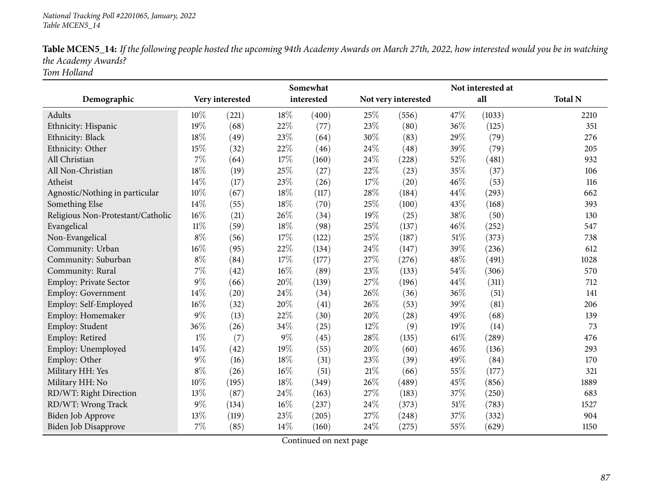| Table MCEN5_14: If the following people hosted the upcoming 94th Academy Awards on March 27th, 2022, how interested would you be in watching |
|----------------------------------------------------------------------------------------------------------------------------------------------|
| the Academy Awards?                                                                                                                          |
| Tom Holland                                                                                                                                  |

|                                   |        |                 |        | Somewhat   | Not interested at |                     |        |        |                |  |  |
|-----------------------------------|--------|-----------------|--------|------------|-------------------|---------------------|--------|--------|----------------|--|--|
| Demographic                       |        | Very interested |        | interested |                   | Not very interested |        | all    | <b>Total N</b> |  |  |
| Adults                            | 10%    | (221)           | 18%    | (400)      | 25%               | (556)               | 47%    | (1033) | 2210           |  |  |
| Ethnicity: Hispanic               | 19%    | (68)            | 22%    | (77)       | 23\%              | (80)                | 36%    | (125)  | 351            |  |  |
| Ethnicity: Black                  | 18%    | (49)            | 23%    | (64)       | 30%               | (83)                | 29%    | (79)   | 276            |  |  |
| Ethnicity: Other                  | 15%    | (32)            | 22%    | (46)       | 24%               | (48)                | 39%    | (79)   | 205            |  |  |
| All Christian                     | $7\%$  | (64)            | 17%    | (160)      | 24%               | (228)               | 52%    | (481)  | 932            |  |  |
| All Non-Christian                 | 18%    | (19)            | 25%    | (27)       | 22%               | (23)                | 35%    | (37)   | 106            |  |  |
| Atheist                           | 14%    | (17)            | 23%    | (26)       | 17\%              | (20)                | 46%    | (53)   | 116            |  |  |
| Agnostic/Nothing in particular    | 10%    | (67)            | 18%    | (117)      | 28%               | (184)               | 44%    | (293)  | 662            |  |  |
| Something Else                    | 14\%   | (55)            | 18%    | (70)       | 25%               | (100)               | 43%    | (168)  | 393            |  |  |
| Religious Non-Protestant/Catholic | $16\%$ | (21)            | 26%    | (34)       | 19%               | (25)                | 38%    | (50)   | 130            |  |  |
| Evangelical                       | $11\%$ | (59)            | 18%    | (98)       | 25%               | (137)               | 46%    | (252)  | 547            |  |  |
| Non-Evangelical                   | $8\%$  | (56)            | 17%    | (122)      | 25%               | (187)               | $51\%$ | (373)  | 738            |  |  |
| Community: Urban                  | 16%    | (95)            | 22%    | (134)      | 24\%              | (147)               | 39%    | (236)  | 612            |  |  |
| Community: Suburban               | $8\%$  | (84)            | 17%    | (177)      | 27%               | (276)               | 48%    | (491)  | 1028           |  |  |
| Community: Rural                  | $7\%$  | (42)            | $16\%$ | (89)       | 23%               | (133)               | 54%    | (306)  | 570            |  |  |
| <b>Employ: Private Sector</b>     | $9\%$  | (66)            | 20%    | (139)      | 27\%              | (196)               | 44%    | (311)  | 712            |  |  |
| <b>Employ: Government</b>         | 14%    | (20)            | 24%    | (34)       | 26%               | (36)                | 36%    | (51)   | 141            |  |  |
| Employ: Self-Employed             | 16%    | (32)            | 20%    | (41)       | 26%               | (53)                | 39%    | (81)   | 206            |  |  |
| Employ: Homemaker                 | $9\%$  | (13)            | 22%    | (30)       | 20%               | (28)                | 49%    | (68)   | 139            |  |  |
| Employ: Student                   | 36%    | (26)            | 34%    | (25)       | 12%               | (9)                 | 19%    | (14)   | 73             |  |  |
| Employ: Retired                   | $1\%$  | (7)             | $9\%$  | (45)       | 28\%              | (135)               | 61\%   | (289)  | 476            |  |  |
| Employ: Unemployed                | 14%    | (42)            | 19%    | (55)       | 20%               | (60)                | 46%    | (136)  | 293            |  |  |
| Employ: Other                     | $9\%$  | (16)            | 18%    | (31)       | 23\%              | (39)                | 49%    | (84)   | 170            |  |  |
| Military HH: Yes                  | $8\%$  | (26)            | $16\%$ | (51)       | 21%               | (66)                | 55%    | (177)  | 321            |  |  |
| Military HH: No                   | 10%    | (195)           | 18%    | (349)      | 26\%              | (489)               | 45%    | (856)  | 1889           |  |  |
| RD/WT: Right Direction            | 13%    | (87)            | 24%    | (163)      | 27%               | (183)               | 37%    | (250)  | 683            |  |  |
| RD/WT: Wrong Track                | $9\%$  | (134)           | 16%    | (237)      | 24%               | (373)               | 51%    | (783)  | 1527           |  |  |
| <b>Biden Job Approve</b>          | 13%    | (119)           | 23%    | (205)      | 27%               | (248)               | 37%    | (332)  | 904            |  |  |
| <b>Biden Job Disapprove</b>       | 7%     | (85)            | 14%    | (160)      | 24%               | (275)               | 55%    | (629)  | 1150           |  |  |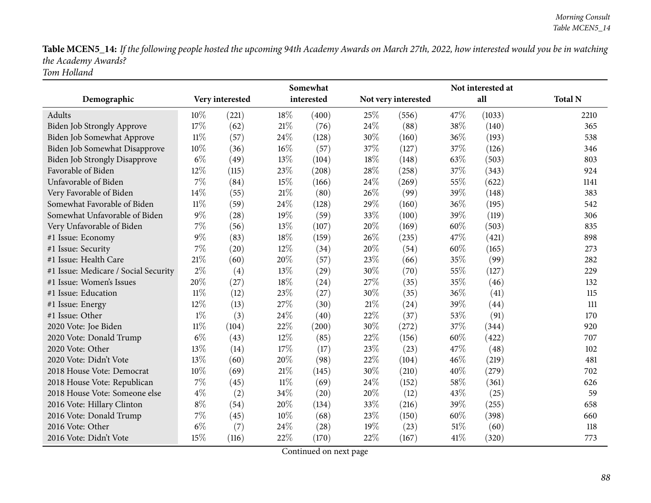Table MCEN5\_14: If the following people hosted the upcoming 94th Academy Awards on March 27th, 2022, how interested would you be in watching *the Academy Awards? Tom Holland*

|                                      |        |                 |        | Somewhat   |        |                     | Not interested at |        |                |  |
|--------------------------------------|--------|-----------------|--------|------------|--------|---------------------|-------------------|--------|----------------|--|
| Demographic                          |        | Very interested |        | interested |        | Not very interested |                   | all    | <b>Total N</b> |  |
| Adults                               | 10%    | (221)           | 18%    | (400)      | 25\%   | (556)               | 47\%              | (1033) | 2210           |  |
| <b>Biden Job Strongly Approve</b>    | 17%    | (62)            | $21\%$ | (76)       | 24\%   | (88)                | 38%               | (140)  | 365            |  |
| Biden Job Somewhat Approve           | $11\%$ | (57)            | 24%    | (128)      | 30%    | (160)               | 36%               | (193)  | 538            |  |
| Biden Job Somewhat Disapprove        | 10%    | (36)            | 16%    | (57)       | 37\%   | (127)               | 37%               | (126)  | 346            |  |
| <b>Biden Job Strongly Disapprove</b> | $6\%$  | (49)            | 13%    | (104)      | 18%    | (148)               | 63%               | (503)  | 803            |  |
| Favorable of Biden                   | 12%    | (115)           | 23%    | (208)      | 28%    | (258)               | 37%               | (343)  | 924            |  |
| Unfavorable of Biden                 | 7%     | (84)            | 15%    | (166)      | 24%    | (269)               | 55%               | (622)  | 1141           |  |
| Very Favorable of Biden              | 14%    | (55)            | 21%    | (80)       | 26%    | (99)                | 39%               | (148)  | 383            |  |
| Somewhat Favorable of Biden          | $11\%$ | (59)            | 24%    | (128)      | 29%    | (160)               | 36%               | (195)  | 542            |  |
| Somewhat Unfavorable of Biden        | $9\%$  | (28)            | 19%    | (59)       | 33%    | (100)               | 39%               | (119)  | 306            |  |
| Very Unfavorable of Biden            | 7%     | (56)            | 13%    | (107)      | 20%    | (169)               | 60%               | (503)  | 835            |  |
| #1 Issue: Economy                    | $9\%$  | (83)            | 18%    | (159)      | 26%    | (235)               | 47%               | (421)  | 898            |  |
| #1 Issue: Security                   | 7%     | (20)            | 12%    | (34)       | 20%    | (54)                | 60%               | (165)  | 273            |  |
| #1 Issue: Health Care                | 21%    | (60)            | 20%    | (57)       | 23%    | (66)                | 35%               | (99)   | 282            |  |
| #1 Issue: Medicare / Social Security | $2\%$  | (4)             | 13%    | (29)       | 30%    | (70)                | 55%               | (127)  | 229            |  |
| #1 Issue: Women's Issues             | 20%    | (27)            | 18%    | (24)       | 27%    | (35)                | 35%               | (46)   | 132            |  |
| #1 Issue: Education                  | $11\%$ | (12)            | 23%    | (27)       | 30%    | (35)                | 36%               | (41)   | 115            |  |
| #1 Issue: Energy                     | 12%    | (13)            | 27%    | (30)       | $21\%$ | (24)                | 39%               | (44)   | 111            |  |
| #1 Issue: Other                      | $1\%$  | (3)             | 24%    | (40)       | 22%    | (37)                | 53%               | (91)   | 170            |  |
| 2020 Vote: Joe Biden                 | $11\%$ | (104)           | 22%    | (200)      | 30%    | (272)               | 37%               | (344)  | 920            |  |
| 2020 Vote: Donald Trump              | $6\%$  | (43)            | 12%    | (85)       | 22%    | (156)               | 60%               | (422)  | 707            |  |
| 2020 Vote: Other                     | 13%    | (14)            | 17%    | (17)       | 23%    | (23)                | 47%               | (48)   | 102            |  |
| 2020 Vote: Didn't Vote               | 13%    | (60)            | 20%    | (98)       | 22%    | (104)               | 46%               | (219)  | 481            |  |
| 2018 House Vote: Democrat            | 10%    | (69)            | $21\%$ | (145)      | 30%    | (210)               | 40%               | (279)  | 702            |  |
| 2018 House Vote: Republican          | 7%     | (45)            | $11\%$ | (69)       | 24\%   | (152)               | 58%               | (361)  | 626            |  |
| 2018 House Vote: Someone else        | $4\%$  | (2)             | 34%    | (20)       | 20%    | (12)                | 43\%              | (25)   | 59             |  |
| 2016 Vote: Hillary Clinton           | $8\%$  | (54)            | 20%    | (134)      | 33%    | (216)               | 39%               | (255)  | 658            |  |
| 2016 Vote: Donald Trump              | 7%     | (45)            | 10%    | (68)       | 23%    | (150)               | 60%               | (398)  | 660            |  |
| 2016 Vote: Other                     | $6\%$  | (7)             | 24%    | (28)       | 19%    | (23)                | 51%               | (60)   | 118            |  |
| 2016 Vote: Didn't Vote               | 15%    | (116)           | 22%    | (170)      | 22%    | (167)               | 41\%              | (320)  | 773            |  |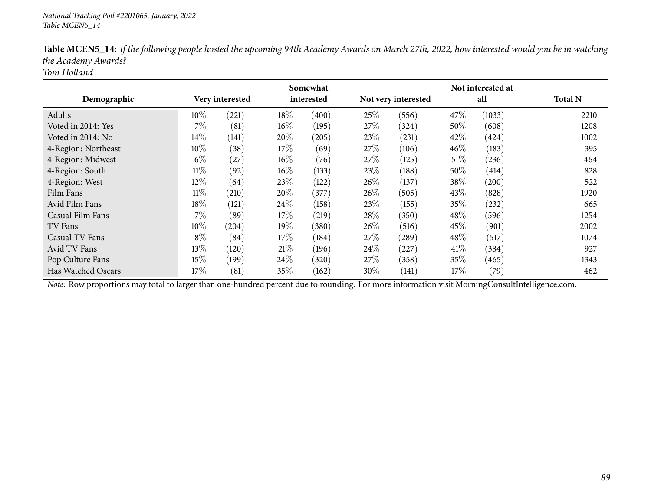|                     |        |                 |        | Somewhat   |        |                     |      | Not interested at |                |
|---------------------|--------|-----------------|--------|------------|--------|---------------------|------|-------------------|----------------|
| Demographic         |        | Very interested |        | interested |        | Not very interested |      | all               | <b>Total N</b> |
| Adults              | $10\%$ | (221)           | 18%    | (400)      | 25%    | (556)               | 47%  | (1033)            | 2210           |
| Voted in 2014: Yes  | 7%     | (81)            | $16\%$ | (195)      | 27%    | (324)               | 50%  | (608)             | 1208           |
| Voted in 2014: No   | 14%    | (141)           | 20%    | (205)      | 23\%   | (231)               | 42\% | (424)             | 1002           |
| 4-Region: Northeast | 10%    | (38)            | 17%    | (69)       | 27\%   | (106)               | 46%  | (183)             | 395            |
| 4-Region: Midwest   | $6\%$  | (27)            | $16\%$ | (76)       | 27%    | (125)               | 51%  | (236)             | 464            |
| 4-Region: South     | $11\%$ | (92)            | $16\%$ | (133)      | 23%    | (188)               | 50\% | (414)             | 828            |
| 4-Region: West      | $12\%$ | (64)            | 23%    | (122)      | $26\%$ | (137)               | 38%  | (200)             | 522            |
| Film Fans           | $11\%$ | (210)           | 20%    | (377)      | 26%    | (505)               | 43\% | (828)             | 1920           |
| Avid Film Fans      | 18%    | (121)           | 24%    | (158)      | 23%    | (155)               | 35%  | (232)             | 665            |
| Casual Film Fans    | 7%     | (89)            | 17%    | (219)      | 28%    | (350)               | 48\% | (596)             | 1254           |
| TV Fans             | 10%    | (204)           | 19%    | (380)      | $26\%$ | (516)               | 45%  | (901)             | 2002           |
| Casual TV Fans      | $8\%$  | (84)            | 17%    | (184)      | 27%    | (289)               | 48\% | (517)             | 1074           |
| Avid TV Fans        | 13%    | (120)           | 21\%   | (196)      | $24\%$ | (227)               | 41\% | (384)             | 927            |
| Pop Culture Fans    | 15\%   | (199)           | $24\%$ | (320)      | 27%    | (358)               | 35\% | (465)             | 1343           |
| Has Watched Oscars  | 17%    | (81)            | 35%    | (162)      | $30\%$ | (141)               | 17%  | (79)              | 462            |

Table MCEN5\_14: If the following people hosted the upcoming 94th Academy Awards on March 27th, 2022, how interested would you be in watching *the Academy Awards?*

*Tom Holland*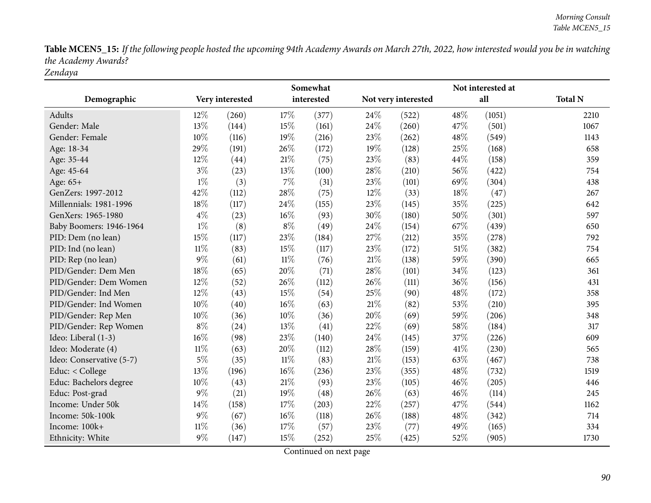Table MCEN5\_15: If the following people hosted the upcoming 94th Academy Awards on March 27th, 2022, how interested would you be in watching *the Academy Awards? Zendaya*

|                          |        |                 |        | Somewhat   |     |                     |        |        |                |
|--------------------------|--------|-----------------|--------|------------|-----|---------------------|--------|--------|----------------|
| Demographic              |        | Very interested |        | interested |     | Not very interested |        | all    | <b>Total N</b> |
| Adults                   | 12%    | (260)           | 17%    | (377)      | 24% | (522)               | 48%    | (1051) | 2210           |
| Gender: Male             | 13%    | (144)           | 15%    | (161)      | 24% | (260)               | 47%    | (501)  | 1067           |
| Gender: Female           | 10%    | (116)           | 19%    | (216)      | 23% | (262)               | 48%    | (549)  | 1143           |
| Age: 18-34               | 29%    | (191)           | 26%    | (172)      | 19% | (128)               | 25%    | (168)  | 658            |
| Age: 35-44               | 12%    | (44)            | 21%    | (75)       | 23% | (83)                | 44%    | (158)  | 359            |
| Age: 45-64               | $3\%$  | (23)            | 13%    | (100)      | 28% | (210)               | 56%    | (422)  | 754            |
| Age: 65+                 | $1\%$  | (3)             | $7\%$  | (31)       | 23% | (101)               | 69%    | (304)  | 438            |
| GenZers: 1997-2012       | 42%    | (112)           | 28%    | (75)       | 12% | (33)                | 18%    | (47)   | 267            |
| Millennials: 1981-1996   | 18%    | (117)           | 24%    | (155)      | 23% | (145)               | 35%    | (225)  | 642            |
| GenXers: 1965-1980       | $4\%$  | (23)            | 16%    | (93)       | 30% | (180)               | 50%    | (301)  | 597            |
| Baby Boomers: 1946-1964  | $1\%$  | (8)             | $8\%$  | (49)       | 24% | (154)               | 67%    | (439)  | 650            |
| PID: Dem (no lean)       | 15%    | (117)           | 23%    | (184)      | 27% | (212)               | 35%    | (278)  | 792            |
| PID: Ind (no lean)       | $11\%$ | (83)            | 15%    | (117)      | 23% | (172)               | $51\%$ | (382)  | 754            |
| PID: Rep (no lean)       | $9\%$  | (61)            | $11\%$ | (76)       | 21% | (138)               | 59%    | (390)  | 665            |
| PID/Gender: Dem Men      | 18%    | (65)            | 20%    | (71)       | 28% | (101)               | 34%    | (123)  | 361            |
| PID/Gender: Dem Women    | 12%    | (52)            | 26%    | (112)      | 26% | (111)               | 36%    | (156)  | 431            |
| PID/Gender: Ind Men      | 12%    | (43)            | 15%    | (54)       | 25% | (90)                | 48%    | (172)  | 358            |
| PID/Gender: Ind Women    | 10%    | (40)            | 16%    | (63)       | 21% | (82)                | 53%    | (210)  | 395            |
| PID/Gender: Rep Men      | 10%    | (36)            | 10%    | (36)       | 20% | (69)                | 59%    | (206)  | 348            |
| PID/Gender: Rep Women    | $8\%$  | (24)            | 13%    | (41)       | 22% | (69)                | 58%    | (184)  | 317            |
| Ideo: Liberal (1-3)      | 16%    | (98)            | 23%    | (140)      | 24% | (145)               | 37%    | (226)  | 609            |
| Ideo: Moderate (4)       | $11\%$ | (63)            | 20%    | (112)      | 28% | (159)               | $41\%$ | (230)  | 565            |
| Ideo: Conservative (5-7) | $5\%$  | (35)            | $11\%$ | (83)       | 21% | (153)               | 63%    | (467)  | 738            |
| Educ: < College          | 13%    | (196)           | 16%    | (236)      | 23% | (355)               | 48%    | (732)  | 1519           |
| Educ: Bachelors degree   | 10%    | (43)            | 21%    | (93)       | 23% | (105)               | 46%    | (205)  | 446            |
| Educ: Post-grad          | $9\%$  | (21)            | 19%    | (48)       | 26% | (63)                | 46%    | (114)  | 245            |
| Income: Under 50k        | 14%    | (158)           | 17%    | (203)      | 22% | (257)               | 47%    | (544)  | 1162           |
| Income: 50k-100k         | $9\%$  | (67)            | 16%    | (118)      | 26% | (188)               | 48%    | (342)  | 714            |
| Income: 100k+            | $11\%$ | (36)            | 17%    | (57)       | 23% | (77)                | 49%    | (165)  | 334            |
| Ethnicity: White         | $9\%$  | (147)           | 15%    | (252)      | 25% | (425)               | 52%    | (905)  | 1730           |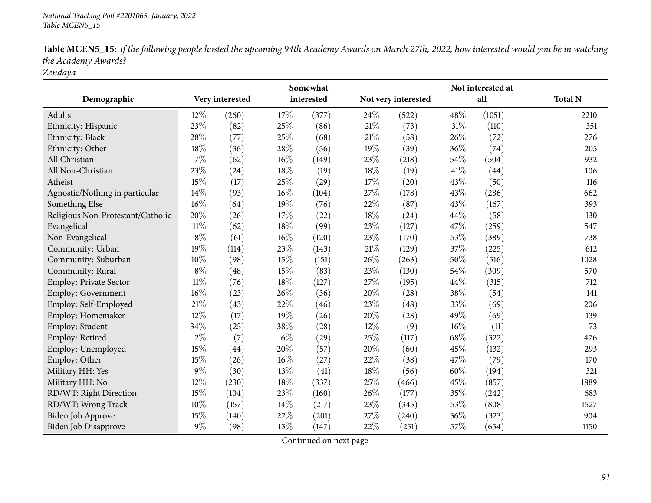| <b>Table MCEN5_15:</b> If the following people hosted the upcoming 94th Academy Awards on March 27th, 2022, how interested would you be in watching |  |
|-----------------------------------------------------------------------------------------------------------------------------------------------------|--|
| the Academy Awards?                                                                                                                                 |  |

*Zendaya*

|                                   |        | Somewhat        |        |            |        |                     |        |        |                |
|-----------------------------------|--------|-----------------|--------|------------|--------|---------------------|--------|--------|----------------|
| Demographic                       |        | Very interested |        | interested |        | Not very interested |        | all    | <b>Total N</b> |
| Adults                            | 12%    | (260)           | 17%    | (377)      | 24\%   | (522)               | 48\%   | (1051) | 2210           |
| Ethnicity: Hispanic               | 23%    | (82)            | 25%    | (86)       | $21\%$ | (73)                | $31\%$ | (110)  | 351            |
| Ethnicity: Black                  | 28%    | (77)            | $25\%$ | (68)       | 21%    | (58)                | 26%    | (72)   | 276            |
| Ethnicity: Other                  | 18%    | (36)            | 28%    | (56)       | 19%    | (39)                | 36%    | (74)   | 205            |
| All Christian                     | 7%     | (62)            | $16\%$ | (149)      | 23%    | (218)               | 54%    | (504)  | 932            |
| All Non-Christian                 | 23%    | (24)            | 18%    | (19)       | 18%    | (19)                | 41%    | (44)   | 106            |
| Atheist                           | 15%    | (17)            | 25%    | (29)       | 17%    | (20)                | 43%    | (50)   | 116            |
| Agnostic/Nothing in particular    | 14\%   | (93)            | 16%    | (104)      | 27\%   | (178)               | 43%    | (286)  | 662            |
| Something Else                    | 16%    | (64)            | 19%    | (76)       | 22%    | (87)                | 43%    | (167)  | 393            |
| Religious Non-Protestant/Catholic | 20%    | (26)            | 17%    | (22)       | 18%    | (24)                | 44%    | (58)   | 130            |
| Evangelical                       | $11\%$ | (62)            | 18%    | (99)       | 23%    | (127)               | 47%    | (259)  | 547            |
| Non-Evangelical                   | $8\%$  | (61)            | $16\%$ | (120)      | 23%    | (170)               | 53%    | (389)  | 738            |
| Community: Urban                  | 19%    | (114)           | 23%    | (143)      | 21%    | (129)               | 37%    | (225)  | 612            |
| Community: Suburban               | 10%    | (98)            | 15%    | (151)      | 26%    | (263)               | 50%    | (516)  | 1028           |
| Community: Rural                  | $8\%$  | (48)            | 15%    | (83)       | 23%    | (130)               | 54%    | (309)  | 570            |
| <b>Employ: Private Sector</b>     | $11\%$ | (76)            | 18%    | (127)      | 27\%   | (195)               | 44%    | (315)  | 712            |
| <b>Employ: Government</b>         | 16%    | (23)            | 26%    | (36)       | 20%    | (28)                | 38%    | (54)   | 141            |
| Employ: Self-Employed             | 21%    | (43)            | 22%    | (46)       | 23%    | (48)                | 33%    | (69)   | 206            |
| Employ: Homemaker                 | 12%    | (17)            | 19%    | (26)       | 20%    | (28)                | 49%    | (69)   | 139            |
| Employ: Student                   | 34%    | (25)            | 38%    | (28)       | 12%    | (9)                 | 16%    | (11)   | 73             |
| Employ: Retired                   | $2\%$  | (7)             | $6\%$  | (29)       | 25%    | (117)               | 68%    | (322)  | 476            |
| Employ: Unemployed                | 15%    | (44)            | 20%    | (57)       | $20\%$ | (60)                | 45%    | (132)  | 293            |
| Employ: Other                     | 15%    | (26)            | $16\%$ | (27)       | 22%    | (38)                | 47%    | (79)   | 170            |
| Military HH: Yes                  | $9\%$  | (30)            | 13%    | (41)       | 18%    | (56)                | 60%    | (194)  | 321            |
| Military HH: No                   | 12%    | (230)           | 18%    | (337)      | 25%    | (466)               | 45%    | (857)  | 1889           |
| RD/WT: Right Direction            | 15%    | (104)           | 23%    | (160)      | 26%    | (177)               | 35%    | (242)  | 683            |
| RD/WT: Wrong Track                | 10%    | (157)           | 14%    | (217)      | 23%    | (345)               | 53%    | (808)  | 1527           |
| Biden Job Approve                 | 15%    | (140)           | 22%    | (201)      | 27\%   | (240)               | 36%    | (323)  | 904            |
| Biden Job Disapprove              | 9%     | (98)            | 13%    | (147)      | 22%    | (251)               | 57%    | (654)  | 1150           |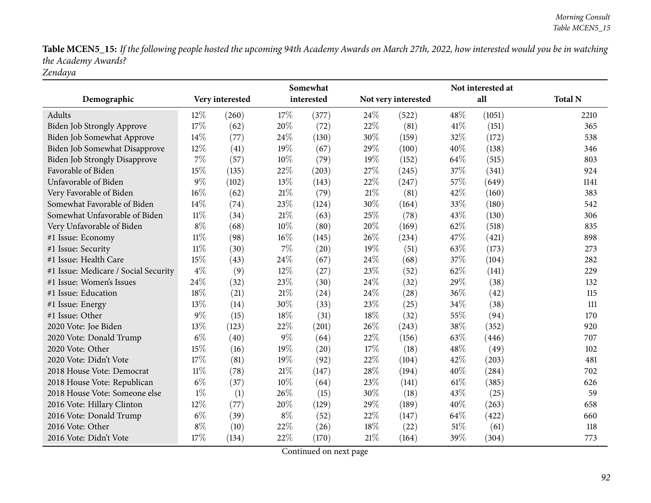Table MCEN5\_15: If the following people hosted the upcoming 94th Academy Awards on March 27th, 2022, how interested would you be in watching *the Academy Awards? Zendaya*

|                                      |                 |       |        | Somewhat   |        |                     |      | Not interested at |                |
|--------------------------------------|-----------------|-------|--------|------------|--------|---------------------|------|-------------------|----------------|
| Demographic                          | Very interested |       |        | interested |        | Not very interested |      | all               | <b>Total N</b> |
| Adults                               | 12\%            | (260) | 17%    | (377)      | 24%    | (522)               | 48%  | (1051)            | 2210           |
| Biden Job Strongly Approve           | 17%             | (62)  | 20%    | (72)       | 22%    | (81)                | 41\% | (151)             | 365            |
| Biden Job Somewhat Approve           | $14\%$          | (77)  | 24\%   | (130)      | 30%    | (159)               | 32%  | (172)             | 538            |
| Biden Job Somewhat Disapprove        | 12%             | (41)  | 19%    | (67)       | 29%    | (100)               | 40%  | (138)             | 346            |
| <b>Biden Job Strongly Disapprove</b> | 7%              | (57)  | 10%    | (79)       | 19%    | (152)               | 64%  | (515)             | 803            |
| Favorable of Biden                   | 15%             | (135) | 22%    | (203)      | 27%    | (245)               | 37%  | (341)             | 924            |
| Unfavorable of Biden                 | $9\%$           | (102) | 13%    | (143)      | 22%    | (247)               | 57%  | (649)             | 1141           |
| Very Favorable of Biden              | $16\%$          | (62)  | 21%    | (79)       | $21\%$ | (81)                | 42%  | (160)             | 383            |
| Somewhat Favorable of Biden          | 14%             | (74)  | 23%    | (124)      | 30%    | (164)               | 33%  | (180)             | 542            |
| Somewhat Unfavorable of Biden        | 11%             | (34)  | $21\%$ | (63)       | 25%    | (78)                | 43%  | (130)             | 306            |
| Very Unfavorable of Biden            | $8\%$           | (68)  | 10%    | (80)       | 20%    | (169)               | 62%  | (518)             | 835            |
| #1 Issue: Economy                    | $11\%$          | (98)  | $16\%$ | (145)      | 26%    | (234)               | 47%  | (421)             | 898            |
| #1 Issue: Security                   | $11\%$          | (30)  | $7\%$  | (20)       | 19%    | (51)                | 63%  | (173)             | 273            |
| #1 Issue: Health Care                | 15%             | (43)  | 24%    | (67)       | 24%    | (68)                | 37%  | (104)             | 282            |
| #1 Issue: Medicare / Social Security | $4\%$           | (9)   | 12%    | (27)       | 23%    | (52)                | 62%  | (141)             | 229            |
| #1 Issue: Women's Issues             | 24%             | (32)  | 23%    | (30)       | 24%    | (32)                | 29%  | (38)              | 132            |
| #1 Issue: Education                  | 18%             | (21)  | $21\%$ | (24)       | 24%    | (28)                | 36%  | (42)              | 115            |
| #1 Issue: Energy                     | 13%             | (14)  | 30%    | (33)       | 23%    | (25)                | 34%  | (38)              | 111            |
| #1 Issue: Other                      | $9\%$           | (15)  | 18%    | (31)       | 18%    | (32)                | 55%  | (94)              | 170            |
| 2020 Vote: Joe Biden                 | 13%             | (123) | 22%    | (201)      | 26%    | (243)               | 38%  | (352)             | 920            |
| 2020 Vote: Donald Trump              | $6\%$           | (40)  | $9\%$  | (64)       | 22%    | (156)               | 63%  | (446)             | 707            |
| 2020 Vote: Other                     | 15%             | (16)  | 19%    | (20)       | 17%    | (18)                | 48%  | (49)              | 102            |
| 2020 Vote: Didn't Vote               | 17%             | (81)  | 19%    | (92)       | 22%    | (104)               | 42%  | (203)             | 481            |
| 2018 House Vote: Democrat            | $11\%$          | (78)  | $21\%$ | (147)      | 28%    | (194)               | 40%  | (284)             | 702            |
| 2018 House Vote: Republican          | $6\%$           | (37)  | 10%    | (64)       | 23%    | (141)               | 61%  | (385)             | 626            |
| 2018 House Vote: Someone else        | $1\%$           | (1)   | 26%    | (15)       | 30%    | (18)                | 43%  | (25)              | 59             |
| 2016 Vote: Hillary Clinton           | 12\%            | (77)  | 20%    | (129)      | 29%    | (189)               | 40%  | (263)             | 658            |
| 2016 Vote: Donald Trump              | $6\%$           | (39)  | $8\%$  | (52)       | 22%    | (147)               | 64\% | (422)             | 660            |
| 2016 Vote: Other                     | $8\%$           | (10)  | 22%    | (26)       | 18%    | (22)                | 51%  | (61)              | 118            |
| 2016 Vote: Didn't Vote               | 17%             | (134) | 22%    | (170)      | $21\%$ | (164)               | 39%  | (304)             | 773            |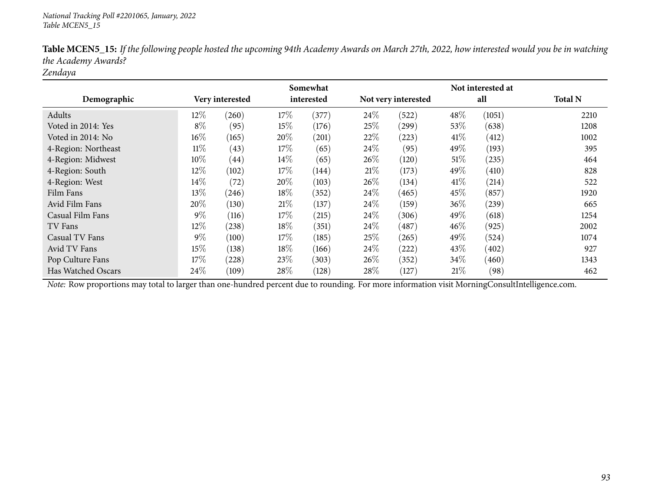|                     |        |                 |      | Somewhat   |        |                     |        | Not interested at |                |
|---------------------|--------|-----------------|------|------------|--------|---------------------|--------|-------------------|----------------|
| Demographic         |        | Very interested |      | interested |        | Not very interested |        | all               | <b>Total N</b> |
| Adults              | 12\%   | (260)           | 17%  | (377)      | $24\%$ | (522)               | 48%    | (1051)            | 2210           |
| Voted in 2014: Yes  | $8\%$  | (95)            | 15%  | (176)      | 25%    | (299)               | 53\%   | (638)             | 1208           |
| Voted in 2014: No   | 16%    | (165)           | 20%  | (201)      | 22%    | (223)               | 41\%   | (412)             | 1002           |
| 4-Region: Northeast | $11\%$ | (43)            | 17%  | (65)       | $24\%$ | (95)                | 49%    | (193)             | 395            |
| 4-Region: Midwest   | 10%    | (44)            | 14\% | (65)       | 26%    | (120)               | 51%    | (235)             | 464            |
| 4-Region: South     | 12\%   | (102)           | 17%  | (144)      | 21\%   | (173)               | 49%    | (410)             | 828            |
| 4-Region: West      | 14%    | (72)            | 20%  | (103)      | $26\%$ | (134)               | 41%    | (214)             | 522            |
| Film Fans           | 13%    | (246)           | 18%  | (352)      | $24\%$ | (465)               | 45\%   | (857)             | 1920           |
| Avid Film Fans      | 20%    | (130)           | 21\% | (137)      | $24\%$ | (159)               | 36%    | (239)             | 665            |
| Casual Film Fans    | $9\%$  | (116)           | 17%  | (215)      | $24\%$ | (306)               | 49%    | (618)             | 1254           |
| TV Fans             | 12%    | (238)           | 18%  | (351)      | 24%    | (487)               | $46\%$ | (925)             | 2002           |
| Casual TV Fans      | $9\%$  | (100)           | 17%  | (185)      | 25%    | (265)               | 49%    | (524)             | 1074           |
| Avid TV Fans        | 15%    | (138)           | 18%  | (166)      | $24\%$ | (222)               | 43\%   | (402)             | 927            |
| Pop Culture Fans    | 17%    | (228)           | 23%  | (303)      | $26\%$ | (352)               | 34%    | (460)             | 1343           |
| Has Watched Oscars  | 24\%   | (109)           | 28\% | (128)      | 28\%   | (127)               | $21\%$ | (98)              | 462            |

Table MCEN5\_15: If the following people hosted the upcoming 94th Academy Awards on March 27th, 2022, how interested would you be in watching *the Academy Awards?*

*Zendaya*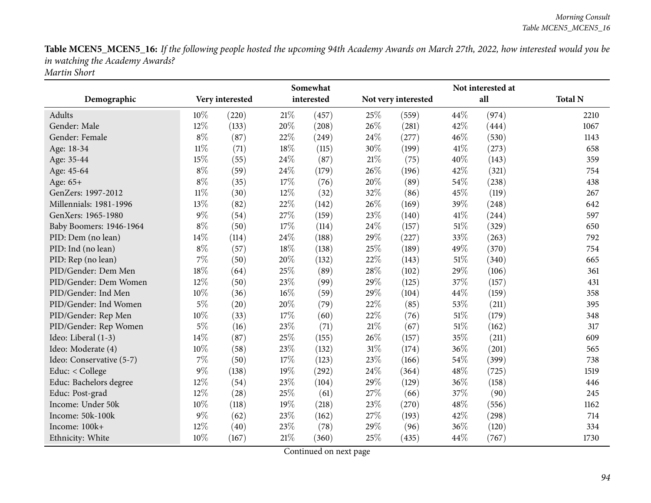Table MCEN5\_MCEN5\_16: If the following people hosted the upcoming 94th Academy Awards on March 27th, 2022, how interested would you be *in watching the Academy Awards? Martin Short*

|                          |        |                 |      | Somewhat   |      |                     |        | Not interested at |                |
|--------------------------|--------|-----------------|------|------------|------|---------------------|--------|-------------------|----------------|
| Demographic              |        | Very interested |      | interested |      | Not very interested |        | all               | <b>Total N</b> |
| Adults                   | $10\%$ | (220)           | 21\% | (457)      | 25%  | (559)               | 44%    | (974)             | 2210           |
| Gender: Male             | 12%    | (133)           | 20%  | (208)      | 26%  | (281)               | 42%    | (444)             | 1067           |
| Gender: Female           | $8\%$  | (87)            | 22%  | (249)      | 24%  | (277)               | 46%    | (530)             | 1143           |
| Age: 18-34               | $11\%$ | (71)            | 18%  | (115)      | 30%  | (199)               | 41\%   | (273)             | 658            |
| Age: 35-44               | 15%    | (55)            | 24%  | (87)       | 21%  | (75)                | 40%    | (143)             | 359            |
| Age: 45-64               | $8\%$  | (59)            | 24%  | (179)      | 26%  | (196)               | 42%    | (321)             | 754            |
| Age: 65+                 | $8\%$  | (35)            | 17%  | (76)       | 20%  | (89)                | 54%    | (238)             | 438            |
| GenZers: 1997-2012       | $11\%$ | (30)            | 12%  | (32)       | 32%  | (86)                | 45%    | (119)             | 267            |
| Millennials: 1981-1996   | 13%    | (82)            | 22%  | (142)      | 26%  | (169)               | 39%    | (248)             | 642            |
| GenXers: 1965-1980       | $9\%$  | (54)            | 27%  | (159)      | 23%  | (140)               | 41%    | (244)             | 597            |
| Baby Boomers: 1946-1964  | $8\%$  | (50)            | 17%  | (114)      | 24\% | (157)               | $51\%$ | (329)             | 650            |
| PID: Dem (no lean)       | 14%    | (114)           | 24%  | (188)      | 29%  | (227)               | 33%    | (263)             | 792            |
| PID: Ind (no lean)       | $8\%$  | (57)            | 18%  | (138)      | 25%  | (189)               | 49%    | (370)             | 754            |
| PID: Rep (no lean)       | 7%     | (50)            | 20%  | (132)      | 22%  | (143)               | 51%    | (340)             | 665            |
| PID/Gender: Dem Men      | 18%    | (64)            | 25%  | (89)       | 28%  | (102)               | 29%    | (106)             | 361            |
| PID/Gender: Dem Women    | 12%    | (50)            | 23%  | (99)       | 29%  | (125)               | 37%    | (157)             | 431            |
| PID/Gender: Ind Men      | 10%    | (36)            | 16%  | (59)       | 29%  | (104)               | 44%    | (159)             | 358            |
| PID/Gender: Ind Women    | $5\%$  | (20)            | 20%  | (79)       | 22%  | (85)                | 53%    | (211)             | 395            |
| PID/Gender: Rep Men      | 10%    | (33)            | 17%  | (60)       | 22%  | (76)                | 51%    | (179)             | 348            |
| PID/Gender: Rep Women    | $5\%$  | (16)            | 23%  | (71)       | 21%  | (67)                | $51\%$ | (162)             | 317            |
| Ideo: Liberal (1-3)      | 14%    | (87)            | 25%  | (155)      | 26%  | (157)               | 35%    | (211)             | 609            |
| Ideo: Moderate (4)       | 10%    | (58)            | 23%  | (132)      | 31%  | (174)               | 36%    | (201)             | 565            |
| Ideo: Conservative (5-7) | 7%     | (50)            | 17%  | (123)      | 23%  | (166)               | 54%    | (399)             | 738            |
| Educ: < College          | $9\%$  | (138)           | 19%  | (292)      | 24%  | (364)               | 48%    | (725)             | 1519           |
| Educ: Bachelors degree   | 12%    | (54)            | 23%  | (104)      | 29%  | (129)               | 36%    | (158)             | 446            |
| Educ: Post-grad          | 12%    | (28)            | 25%  | (61)       | 27%  | (66)                | 37%    | (90)              | 245            |
| Income: Under 50k        | 10%    | (118)           | 19%  | (218)      | 23%  | (270)               | 48%    | (556)             | 1162           |
| Income: 50k-100k         | $9\%$  | (62)            | 23%  | (162)      | 27%  | (193)               | 42%    | (298)             | 714            |
| Income: 100k+            | 12%    | (40)            | 23%  | (78)       | 29%  | (96)                | 36%    | (120)             | 334            |
| Ethnicity: White         | 10%    | (167)           | 21%  | (360)      | 25\% | (435)               | 44%    | (767)             | 1730           |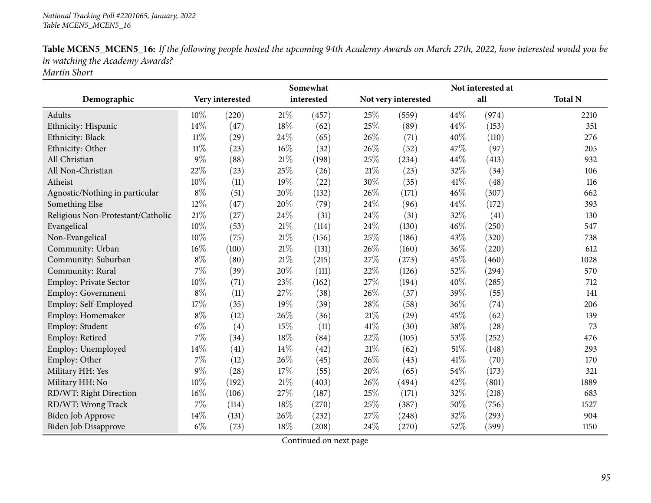Table MCEN5\_MCEN5\_16: If the following people hosted the upcoming 94th Academy Awards on March 27th, 2022, how interested would you be *in watching the Academy Awards? Martin Short*

|                                   |        |                 |        | Somewhat   |        |                     |     | Not interested at |                |
|-----------------------------------|--------|-----------------|--------|------------|--------|---------------------|-----|-------------------|----------------|
| Demographic                       |        | Very interested |        | interested |        | Not very interested |     | all               | <b>Total N</b> |
| Adults                            | 10%    | (220)           | $21\%$ | (457)      | 25%    | (559)               | 44% | (974)             | 2210           |
| Ethnicity: Hispanic               | 14%    | (47)            | 18%    | (62)       | 25%    | (89)                | 44% | (153)             | 351            |
| Ethnicity: Black                  | $11\%$ | (29)            | 24%    | (65)       | 26%    | (71)                | 40% | (110)             | 276            |
| Ethnicity: Other                  | $11\%$ | (23)            | $16\%$ | (32)       | 26%    | (52)                | 47% | (97)              | 205            |
| All Christian                     | $9\%$  | (88)            | 21%    | (198)      | 25%    | (234)               | 44% | (413)             | 932            |
| All Non-Christian                 | 22%    | (23)            | 25%    | (26)       | $21\%$ | (23)                | 32% | (34)              | 106            |
| Atheist                           | 10%    | (11)            | 19%    | (22)       | 30%    | (35)                | 41% | (48)              | 116            |
| Agnostic/Nothing in particular    | $8\%$  | (51)            | 20%    | (132)      | 26%    | (171)               | 46% | (307)             | 662            |
| Something Else                    | 12%    | (47)            | 20%    | (79)       | 24%    | (96)                | 44% | (172)             | 393            |
| Religious Non-Protestant/Catholic | $21\%$ | (27)            | 24%    | (31)       | 24\%   | (31)                | 32% | (41)              | 130            |
| Evangelical                       | 10%    | (53)            | 21%    | (114)      | 24%    | (130)               | 46% | (250)             | 547            |
| Non-Evangelical                   | 10%    | (75)            | $21\%$ | (156)      | 25%    | (186)               | 43% | (320)             | 738            |
| Community: Urban                  | 16%    | (100)           | 21%    | (131)      | 26%    | (160)               | 36% | (220)             | 612            |
| Community: Suburban               | $8\%$  | (80)            | 21%    | (215)      | 27%    | (273)               | 45% | (460)             | 1028           |
| Community: Rural                  | 7%     | (39)            | 20%    | (111)      | 22%    | (126)               | 52% | (294)             | 570            |
| Employ: Private Sector            | 10%    | (71)            | 23%    | (162)      | 27%    | (194)               | 40% | (285)             | 712            |
| <b>Employ: Government</b>         | $8\%$  | (11)            | 27%    | (38)       | 26%    | (37)                | 39% | (55)              | 141            |
| Employ: Self-Employed             | 17%    | (35)            | 19%    | (39)       | 28\%   | (58)                | 36% | (74)              | 206            |
| Employ: Homemaker                 | $8\%$  | (12)            | 26%    | (36)       | 21%    | (29)                | 45% | (62)              | 139            |
| Employ: Student                   | $6\%$  | (4)             | 15%    | (11)       | 41\%   | (30)                | 38% | (28)              | 73             |
| Employ: Retired                   | 7%     | (34)            | 18%    | (84)       | 22%    | (105)               | 53% | (252)             | 476            |
| Employ: Unemployed                | 14%    | (41)            | 14%    | (42)       | $21\%$ | (62)                | 51% | (148)             | 293            |
| Employ: Other                     | $7\%$  | (12)            | 26%    | (45)       | 26%    | (43)                | 41% | (70)              | 170            |
| Military HH: Yes                  | $9\%$  | (28)            | 17%    | (55)       | 20%    | (65)                | 54% | (173)             | 321            |
| Military HH: No                   | 10%    | (192)           | 21%    | (403)      | 26%    | (494)               | 42% | (801)             | 1889           |
| RD/WT: Right Direction            | 16%    | (106)           | 27%    | (187)      | 25%    | (171)               | 32% | (218)             | 683            |
| RD/WT: Wrong Track                | $7\%$  | (114)           | 18%    | (270)      | 25%    | (387)               | 50% | (756)             | 1527           |
| <b>Biden Job Approve</b>          | 14\%   | (131)           | 26%    | (232)      | 27%    | (248)               | 32% | (293)             | 904            |
| Biden Job Disapprove              | $6\%$  | (73)            | 18%    | (208)      | 24%    | (270)               | 52% | (599)             | 1150           |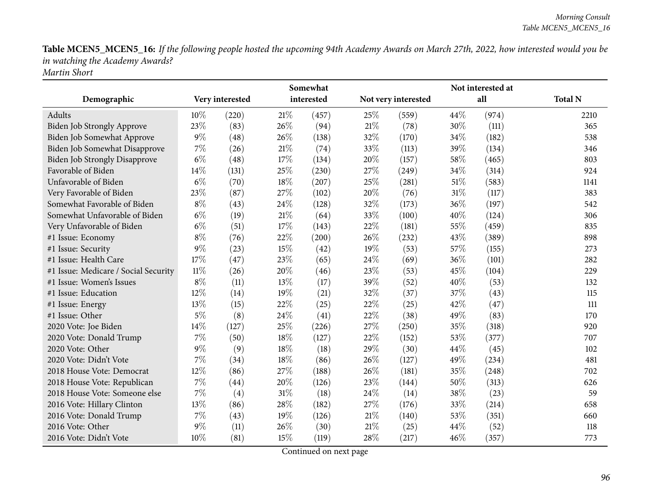Table MCEN5\_MCEN5\_16: If the following people hosted the upcoming 94th Academy Awards on March 27th, 2022, how interested would you be *in watching the Academy Awards? Martin Short*

|                                      |        |                 |        | Somewhat   |        |                     |        | Not interested at |                |
|--------------------------------------|--------|-----------------|--------|------------|--------|---------------------|--------|-------------------|----------------|
| Demographic                          |        | Very interested |        | interested |        | Not very interested |        | all               | <b>Total N</b> |
| Adults                               | 10%    | (220)           | 21%    | (457)      | 25%    | (559)               | 44%    | (974)             | 2210           |
| <b>Biden Job Strongly Approve</b>    | 23%    | (83)            | 26%    | (94)       | 21%    | (78)                | 30%    | (111)             | 365            |
| Biden Job Somewhat Approve           | 9%     | (48)            | 26%    | (138)      | 32%    | (170)               | 34%    | (182)             | 538            |
| Biden Job Somewhat Disapprove        | 7%     | (26)            | $21\%$ | (74)       | 33%    | (113)               | 39%    | (134)             | 346            |
| <b>Biden Job Strongly Disapprove</b> | $6\%$  | (48)            | 17%    | (134)      | 20%    | (157)               | 58%    | (465)             | 803            |
| Favorable of Biden                   | 14%    | (131)           | 25%    | (230)      | 27%    | (249)               | 34%    | (314)             | 924            |
| Unfavorable of Biden                 | $6\%$  | (70)            | 18%    | (207)      | 25%    | (281)               | $51\%$ | (583)             | 1141           |
| Very Favorable of Biden              | 23%    | (87)            | 27%    | (102)      | 20%    | (76)                | $31\%$ | (117)             | 383            |
| Somewhat Favorable of Biden          | $8\%$  | (43)            | 24\%   | (128)      | 32%    | (173)               | 36%    | (197)             | 542            |
| Somewhat Unfavorable of Biden        | $6\%$  | (19)            | 21%    | (64)       | 33%    | (100)               | 40%    | (124)             | 306            |
| Very Unfavorable of Biden            | $6\%$  | (51)            | 17%    | (143)      | 22%    | (181)               | 55%    | (459)             | 835            |
| #1 Issue: Economy                    | $8\%$  | (76)            | 22%    | (200)      | 26%    | (232)               | 43%    | (389)             | 898            |
| #1 Issue: Security                   | 9%     | (23)            | 15%    | (42)       | 19%    | (53)                | 57%    | (155)             | 273            |
| #1 Issue: Health Care                | 17%    | (47)            | 23%    | (65)       | 24%    | (69)                | 36%    | (101)             | 282            |
| #1 Issue: Medicare / Social Security | $11\%$ | (26)            | 20%    | (46)       | 23%    | (53)                | 45%    | (104)             | 229            |
| #1 Issue: Women's Issues             | $8\%$  | (11)            | 13%    | (17)       | 39%    | (52)                | 40%    | (53)              | 132            |
| #1 Issue: Education                  | 12%    | (14)            | 19%    | (21)       | 32%    | (37)                | 37%    | (43)              | 115            |
| #1 Issue: Energy                     | 13%    | (15)            | 22%    | (25)       | 22%    | (25)                | 42%    | (47)              | 111            |
| #1 Issue: Other                      | $5\%$  | (8)             | 24%    | (41)       | 22%    | (38)                | 49%    | (83)              | 170            |
| 2020 Vote: Joe Biden                 | 14%    | (127)           | 25%    | (226)      | 27%    | (250)               | 35%    | (318)             | 920            |
| 2020 Vote: Donald Trump              | 7%     | (50)            | 18%    | (127)      | 22%    | (152)               | 53%    | (377)             | 707            |
| 2020 Vote: Other                     | 9%     | (9)             | 18%    | (18)       | 29%    | (30)                | 44%    | (45)              | 102            |
| 2020 Vote: Didn't Vote               | 7%     | (34)            | 18%    | (86)       | 26%    | (127)               | 49%    | (234)             | 481            |
| 2018 House Vote: Democrat            | 12%    | (86)            | 27%    | (188)      | 26%    | (181)               | 35%    | (248)             | 702            |
| 2018 House Vote: Republican          | 7%     | (44)            | 20%    | (126)      | 23%    | (144)               | 50%    | (313)             | 626            |
| 2018 House Vote: Someone else        | 7%     | (4)             | 31%    | (18)       | 24%    | (14)                | 38%    | (23)              | 59             |
| 2016 Vote: Hillary Clinton           | 13%    | (86)            | 28%    | (182)      | 27%    | (176)               | 33%    | (214)             | 658            |
| 2016 Vote: Donald Trump              | 7%     | (43)            | 19%    | (126)      | $21\%$ | (140)               | 53%    | (351)             | 660            |
| 2016 Vote: Other                     | $9\%$  | (11)            | 26%    | (30)       | 21\%   | (25)                | 44%    | (52)              | 118            |
| 2016 Vote: Didn't Vote               | 10%    | (81)            | 15%    | (119)      | 28%    | (217)               | 46%    | (357)             | 773            |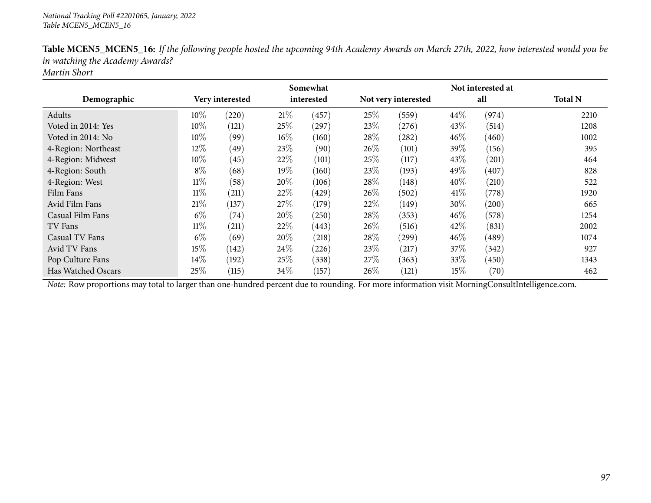|                     |        |                    |      | Somewhat   |        |                     |        | Not interested at   |                |
|---------------------|--------|--------------------|------|------------|--------|---------------------|--------|---------------------|----------------|
| Demographic         |        | Very interested    |      | interested |        | Not very interested |        | all                 | <b>Total N</b> |
| Adults              | $10\%$ | (220)              | 21%  | (457)      | 25%    | (559)               | 44\%   | (974)               | 2210           |
| Voted in 2014: Yes  | 10%    | (121)              | 25\% | (297)      | 23\%   | (276)               | 43%    | (514)               | 1208           |
| Voted in 2014: No   | 10%    | (99)               | 16%  | (160)      | 28\%   | (282)               | 46\%   | (460)               | 1002           |
| 4-Region: Northeast | 12%    | (49)               | 23%  | (90)       | 26%    | (101)               | 39%    | (156)               | 395            |
| 4-Region: Midwest   | 10%    | (45)               | 22%  | (101)      | 25%    | (117)               | 43\%   | (201)               | 464            |
| 4-Region: South     | $8\%$  | (68)               | 19%  | (160)      | 23\%   | (193)               | 49%    | (407)               | 828            |
| 4-Region: West      | $11\%$ | (58)               | 20%  | (106)      | 28%    | (148)               | 40%    | (210)               | 522            |
| Film Fans           | $11\%$ | (211)              | 22%  | (429)      | $26\%$ | (502)               | 41%    | (778)               | 1920           |
| Avid Film Fans      | 21%    | (137)              | 27\% | (179)      | 22%    | (149)               | 30%    | (200)               | 665            |
| Casual Film Fans    | $6\%$  | $\left( 74\right)$ | 20%  | (250)      | 28\%   | (353)               | 46%    | (578)               | 1254           |
| TV Fans             | $11\%$ | (211)              | 22%  | (443)      | 26%    | (516)               | 42%    | (831)               | 2002           |
| Casual TV Fans      | $6\%$  | (69)               | 20%  | (218)      | 28\%   | $^{(299)}$          | $46\%$ | $\left( 489\right)$ | 1074           |
| Avid TV Fans        | 15%    | (142)              | 24\% | (226)      | 23%    | (217)               | 37\%   | (342)               | 927            |
| Pop Culture Fans    | $14\%$ | (192)              | 25%  | (338)      | $27\%$ | (363)               | 33\%   | (450)               | 1343           |
| Has Watched Oscars  | 25%    | (115)              | 34%  | (157)      | 26%    | (121)               | 15%    | (70)                | 462            |

Table MCEN5\_MCEN5\_16: If the following people hosted the upcoming 94th Academy Awards on March 27th, 2022, how interested would you be *in watching the Academy Awards?*

*Martin Short*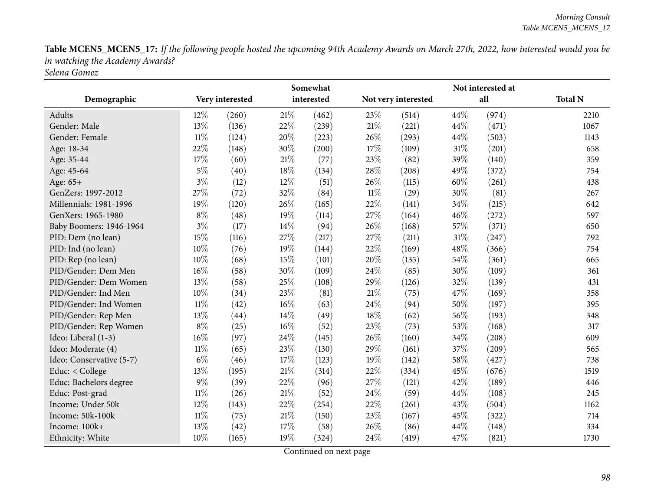Table MCEN5\_MCEN5\_17: If the following people hosted the upcoming 94th Academy Awards on March 27th, 2022, how interested would you be *in watching the Academy Awards? Selena Gomez*

|                          |        |                 |        | Somewhat   |        |                     |        | Not interested at |                |
|--------------------------|--------|-----------------|--------|------------|--------|---------------------|--------|-------------------|----------------|
| Demographic              |        | Very interested |        | interested |        | Not very interested |        | all               | <b>Total N</b> |
| Adults                   | 12%    | (260)           | $21\%$ | (462)      | 23%    | (514)               | 44%    | (974)             | 2210           |
| Gender: Male             | 13%    | (136)           | 22%    | (239)      | 21%    | (221)               | 44%    | (471)             | 1067           |
| Gender: Female           | $11\%$ | (124)           | 20%    | (223)      | 26%    | (293)               | 44%    | (503)             | 1143           |
| Age: 18-34               | 22%    | (148)           | $30\%$ | (200)      | 17%    | (109)               | 31%    | (201)             | 658            |
| Age: 35-44               | 17%    | (60)            | $21\%$ | (77)       | 23%    | (82)                | 39%    | (140)             | 359            |
| Age: 45-64               | $5\%$  | (40)            | 18%    | (134)      | 28%    | (208)               | 49%    | (372)             | 754            |
| Age: 65+                 | $3\%$  | (12)            | 12%    | (51)       | 26%    | (115)               | 60%    | (261)             | 438            |
| GenZers: 1997-2012       | 27%    | (72)            | 32%    | (84)       | $11\%$ | (29)                | 30%    | (81)              | 267            |
| Millennials: 1981-1996   | 19%    | (120)           | 26%    | (165)      | 22%    | (141)               | 34%    | (215)             | 642            |
| GenXers: 1965-1980       | $8\%$  | (48)            | 19%    | (114)      | 27%    | (164)               | 46%    | (272)             | 597            |
| Baby Boomers: 1946-1964  | $3\%$  | (17)            | 14%    | (94)       | 26%    | (168)               | 57%    | (371)             | 650            |
| PID: Dem (no lean)       | 15%    | (116)           | 27%    | (217)      | 27%    | (211)               | $31\%$ | (247)             | 792            |
| PID: Ind (no lean)       | 10%    | (76)            | 19%    | (144)      | 22%    | (169)               | 48%    | (366)             | 754            |
| PID: Rep (no lean)       | 10%    | (68)            | 15%    | (101)      | 20%    | (135)               | 54%    | (361)             | 665            |
| PID/Gender: Dem Men      | 16%    | (58)            | 30%    | (109)      | 24\%   | (85)                | 30%    | (109)             | 361            |
| PID/Gender: Dem Women    | 13%    | (58)            | 25%    | (108)      | 29%    | (126)               | 32%    | (139)             | 431            |
| PID/Gender: Ind Men      | 10%    | (34)            | 23%    | (81)       | 21%    | (75)                | 47%    | (169)             | 358            |
| PID/Gender: Ind Women    | $11\%$ | (42)            | $16\%$ | (63)       | 24\%   | (94)                | 50%    | (197)             | 395            |
| PID/Gender: Rep Men      | 13%    | (44)            | 14%    | (49)       | 18%    | (62)                | 56%    | (193)             | 348            |
| PID/Gender: Rep Women    | $8\%$  | (25)            | $16\%$ | (52)       | 23%    | (73)                | 53%    | (168)             | 317            |
| Ideo: Liberal (1-3)      | 16%    | (97)            | 24%    | (145)      | 26%    | (160)               | 34%    | (208)             | 609            |
| Ideo: Moderate (4)       | $11\%$ | (65)            | 23%    | (130)      | 29%    | (161)               | 37%    | (209)             | 565            |
| Ideo: Conservative (5-7) | $6\%$  | (46)            | 17%    | (123)      | $19\%$ | (142)               | 58%    | (427)             | 738            |
| Educ: < College          | 13%    | (195)           | 21%    | (314)      | 22%    | (334)               | 45%    | (676)             | 1519           |
| Educ: Bachelors degree   | $9\%$  | (39)            | 22%    | (96)       | 27%    | (121)               | 42%    | (189)             | 446            |
| Educ: Post-grad          | $11\%$ | (26)            | $21\%$ | (52)       | 24%    | (59)                | 44%    | (108)             | 245            |
| Income: Under 50k        | 12%    | (143)           | 22%    | (254)      | 22%    | (261)               | 43%    | (504)             | 1162           |
| Income: 50k-100k         | $11\%$ | (75)            | $21\%$ | (150)      | 23%    | (167)               | 45%    | (322)             | 714            |
| Income: 100k+            | 13%    | (42)            | 17%    | (58)       | 26%    | (86)                | 44%    | (148)             | 334            |
| Ethnicity: White         | 10%    | (165)           | 19%    | (324)      | 24%    | (419)               | 47%    | (821)             | 1730           |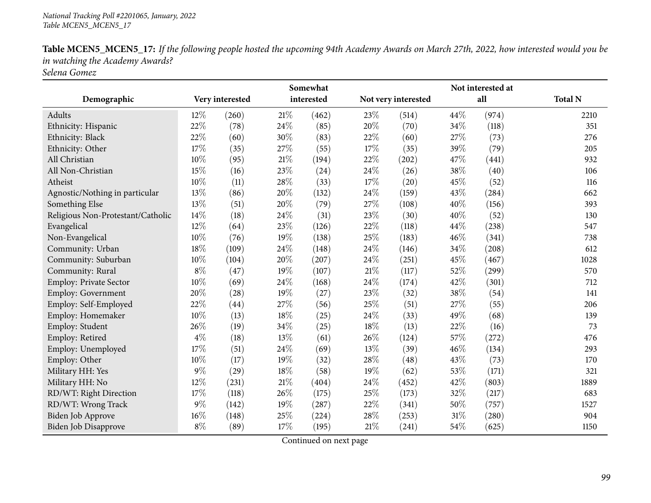Table MCEN5\_MCEN5\_17: If the following people hosted the upcoming 94th Academy Awards on March 27th, 2022, how interested would you be *in watching the Academy Awards? Selena Gomez*

|                                   |        |                 |        | Somewhat   |        |                     |     | Not interested at   |                |
|-----------------------------------|--------|-----------------|--------|------------|--------|---------------------|-----|---------------------|----------------|
| Demographic                       |        | Very interested |        | interested |        | Not very interested |     | all                 | <b>Total N</b> |
| Adults                            | 12%    | (260)           | $21\%$ | (462)      | 23%    | (514)               | 44% | (974)               | 2210           |
| Ethnicity: Hispanic               | 22%    | (78)            | 24%    | (85)       | 20%    | (70)                | 34% | (118)               | 351            |
| Ethnicity: Black                  | 22%    | (60)            | 30%    | (83)       | 22%    | (60)                | 27% | (73)                | 276            |
| Ethnicity: Other                  | 17%    | (35)            | 27%    | (55)       | 17%    | (35)                | 39% | (79)                | 205            |
| All Christian                     | 10%    | (95)            | 21%    | (194)      | 22%    | (202)               | 47% | (441)               | 932            |
| All Non-Christian                 | 15%    | (16)            | 23%    | (24)       | 24\%   | (26)                | 38% | (40)                | 106            |
| Atheist                           | 10%    | (11)            | 28%    | (33)       | 17%    | (20)                | 45% | (52)                | 116            |
| Agnostic/Nothing in particular    | 13%    | (86)            | 20%    | (132)      | 24\%   | (159)               | 43% | (284)               | 662            |
| Something Else                    | 13%    | (51)            | 20%    | (79)       | 27%    | (108)               | 40% | (156)               | 393            |
| Religious Non-Protestant/Catholic | 14%    | (18)            | 24%    | (31)       | 23\%   | (30)                | 40% | (52)                | 130            |
| Evangelical                       | 12%    | (64)            | 23%    | (126)      | 22%    | (118)               | 44% | (238)               | 547            |
| Non-Evangelical                   | 10%    | (76)            | 19%    | (138)      | 25%    | (183)               | 46% | (341)               | 738            |
| Community: Urban                  | 18%    | (109)           | 24%    | (148)      | 24%    | (146)               | 34% | (208)               | 612            |
| Community: Suburban               | $10\%$ | (104)           | 20%    | (207)      | 24\%   | (251)               | 45% | (467)               | 1028           |
| Community: Rural                  | $8\%$  | (47)            | 19%    | (107)      | 21\%   | (117)               | 52% | (299)               | 570            |
| Employ: Private Sector            | 10%    | (69)            | 24%    | (168)      | 24\%   | (174)               | 42% | (301)               | 712            |
| <b>Employ: Government</b>         | 20%    | (28)            | 19%    | (27)       | 23%    | (32)                | 38% | (54)                | 141            |
| Employ: Self-Employed             | 22%    | (44)            | 27%    | (56)       | 25%    | (51)                | 27% | (55)                | 206            |
| Employ: Homemaker                 | 10%    | (13)            | 18%    | (25)       | 24\%   | (33)                | 49% | (68)                | 139            |
| Employ: Student                   | 26%    | (19)            | 34%    | (25)       | 18%    | (13)                | 22% | (16)                | 73             |
| Employ: Retired                   | $4\%$  | (18)            | 13%    | (61)       | 26%    | (124)               | 57% | (272)               | 476            |
| Employ: Unemployed                | 17%    | (51)            | 24%    | (69)       | 13%    | (39)                | 46% | (134)               | 293            |
| Employ: Other                     | 10%    | (17)            | 19%    | (32)       | 28%    | (48)                | 43% | (73)                | 170            |
| Military HH: Yes                  | $9\%$  | (29)            | 18%    | (58)       | 19%    | (62)                | 53% | (171)               | 321            |
| Military HH: No                   | 12%    | (231)           | 21%    | (404)      | 24%    | (452)               | 42% | (803)               | 1889           |
| RD/WT: Right Direction            | 17%    | (118)           | 26%    | (175)      | 25%    | (173)               | 32% | (217)               | 683            |
| RD/WT: Wrong Track                | $9\%$  | (142)           | 19%    | (287)      | 22%    | (341)               | 50% | (757)               | 1527           |
| Biden Job Approve                 | $16\%$ | (148)           | 25%    | (224)      | 28%    | (253)               | 31% | $\left( 280\right)$ | 904            |
| Biden Job Disapprove              | $8\%$  | (89)            | 17%    | (195)      | $21\%$ | (241)               | 54% | (625)               | 1150           |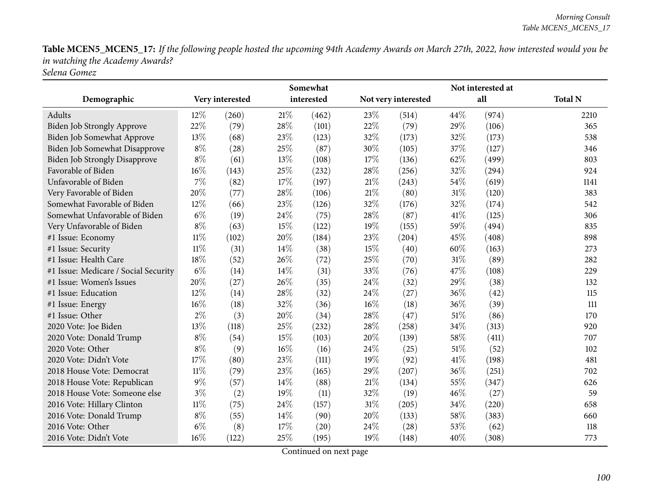Table MCEN5\_MCEN5\_17: If the following people hosted the upcoming 94th Academy Awards on March 27th, 2022, how interested would you be *in watching the Academy Awards? Selena Gomez*

|                                      |        |                 |        | Somewhat   |        |                     |        | Not interested at |                |
|--------------------------------------|--------|-----------------|--------|------------|--------|---------------------|--------|-------------------|----------------|
| Demographic                          |        | Very interested |        | interested |        | Not very interested |        | all               | <b>Total N</b> |
| Adults                               | 12%    | (260)           | $21\%$ | (462)      | 23%    | (514)               | 44%    | (974)             | 2210           |
| <b>Biden Job Strongly Approve</b>    | 22%    | (79)            | 28%    | (101)      | 22%    | (79)                | 29%    | (106)             | 365            |
| Biden Job Somewhat Approve           | 13%    | (68)            | 23%    | (123)      | 32%    | (173)               | 32%    | (173)             | 538            |
| Biden Job Somewhat Disapprove        | $8\%$  | (28)            | 25%    | (87)       | 30%    | (105)               | 37\%   | (127)             | 346            |
| Biden Job Strongly Disapprove        | $8\%$  | (61)            | 13%    | (108)      | 17%    | (136)               | 62%    | (499)             | 803            |
| Favorable of Biden                   | 16%    | (143)           | 25%    | (232)      | 28%    | (256)               | 32%    | (294)             | 924            |
| Unfavorable of Biden                 | 7%     | (82)            | 17%    | (197)      | $21\%$ | (243)               | 54%    | (619)             | 1141           |
| Very Favorable of Biden              | 20%    | (77)            | 28%    | (106)      | $21\%$ | (80)                | $31\%$ | (120)             | 383            |
| Somewhat Favorable of Biden          | 12%    | (66)            | 23%    | (126)      | 32%    | (176)               | 32%    | (174)             | 542            |
| Somewhat Unfavorable of Biden        | $6\%$  | (19)            | 24%    | (75)       | 28%    | (87)                | 41\%   | (125)             | 306            |
| Very Unfavorable of Biden            | $8\%$  | (63)            | 15%    | (122)      | 19%    | (155)               | 59%    | (494)             | 835            |
| #1 Issue: Economy                    | $11\%$ | (102)           | 20%    | (184)      | 23%    | (204)               | 45%    | (408)             | 898            |
| #1 Issue: Security                   | $11\%$ | (31)            | 14%    | (38)       | 15%    | (40)                | 60%    | (163)             | 273            |
| #1 Issue: Health Care                | 18%    | (52)            | 26%    | (72)       | 25%    | (70)                | 31%    | (89)              | 282            |
| #1 Issue: Medicare / Social Security | $6\%$  | (14)            | 14%    | (31)       | 33%    | (76)                | 47\%   | (108)             | 229            |
| #1 Issue: Women's Issues             | 20%    | (27)            | 26%    | (35)       | 24%    | (32)                | 29%    | (38)              | 132            |
| #1 Issue: Education                  | 12%    | (14)            | 28%    | (32)       | 24%    | (27)                | 36%    | (42)              | 115            |
| #1 Issue: Energy                     | 16%    | (18)            | 32%    | (36)       | 16%    | (18)                | 36%    | (39)              | 111            |
| #1 Issue: Other                      | $2\%$  | (3)             | 20%    | (34)       | 28%    | (47)                | $51\%$ | (86)              | 170            |
| 2020 Vote: Joe Biden                 | 13%    | (118)           | 25%    | (232)      | 28%    | (258)               | 34%    | (313)             | 920            |
| 2020 Vote: Donald Trump              | $8\%$  | (54)            | 15%    | (103)      | 20%    | (139)               | 58%    | (411)             | 707            |
| 2020 Vote: Other                     | $8\%$  | (9)             | 16%    | (16)       | 24\%   | (25)                | 51%    | (52)              | 102            |
| 2020 Vote: Didn't Vote               | 17%    | (80)            | 23%    | (111)      | 19%    | (92)                | 41\%   | (198)             | 481            |
| 2018 House Vote: Democrat            | $11\%$ | (79)            | 23%    | (165)      | 29%    | (207)               | 36%    | (251)             | 702            |
| 2018 House Vote: Republican          | $9\%$  | (57)            | 14%    | (88)       | $21\%$ | (134)               | 55%    | (347)             | 626            |
| 2018 House Vote: Someone else        | $3\%$  | (2)             | 19%    | (11)       | 32%    | (19)                | 46%    | (27)              | 59             |
| 2016 Vote: Hillary Clinton           | $11\%$ | (75)            | 24%    | (157)      | 31%    | (205)               | 34%    | (220)             | 658            |
| 2016 Vote: Donald Trump              | $8\%$  | (55)            | 14\%   | (90)       | 20%    | (133)               | 58%    | (383)             | 660            |
| 2016 Vote: Other                     | $6\%$  | (8)             | 17%    | (20)       | 24%    | (28)                | 53%    | (62)              | 118            |
| 2016 Vote: Didn't Vote               | 16%    | (122)           | 25%    | (195)      | 19%    | (148)               | 40%    | (308)             | 773            |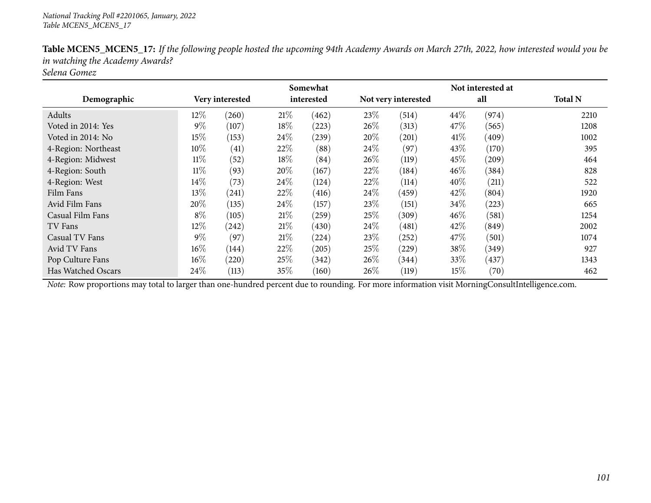|                     |        |                    |      | Somewhat   |        |                     |        | Not interested at |                |
|---------------------|--------|--------------------|------|------------|--------|---------------------|--------|-------------------|----------------|
| Demographic         |        | Very interested    |      | interested |        | Not very interested |        | all               | <b>Total N</b> |
| Adults              | $12\%$ | (260)              | 21\% | (462)      | 23\%   | (514)               | 44\%   | (974)             | 2210           |
| Voted in 2014: Yes  | $9\%$  | (107)              | 18%  | (223)      | $26\%$ | (313)               | 47%    | (565)             | 1208           |
| Voted in 2014: No   | 15%    | (153)              | 24\% | (239)      | 20%    | (201)               | 41%    | (409)             | 1002           |
| 4-Region: Northeast | 10%    | $\left( 41\right)$ | 22%  | (88)       | $24\%$ | (97)                | 43\%   | (170)             | 395            |
| 4-Region: Midwest   | $11\%$ | (52)               | 18%  | (84)       | $26\%$ | (119)               | 45%    | (209)             | 464            |
| 4-Region: South     | $11\%$ | (93)               | 20%  | (167)      | 22%    | (184)               | 46%    | (384)             | 828            |
| 4-Region: West      | 14%    | (73)               | 24\% | (124)      | 22\%   | (114)               | 40%    | (211)             | 522            |
| Film Fans           | 13%    | (241)              | 22%  | (416)      | $24\%$ | (459)               | 42\%   | (804)             | 1920           |
| Avid Film Fans      | 20%    | (135)              | 24\% | (157)      | 23\%   | (151)               | 34%    | (223)             | 665            |
| Casual Film Fans    | $8\%$  | (105)              | 21\% | (259)      | 25\%   | (309)               | 46\%   | (581)             | 1254           |
| TV Fans             | 12%    | (242)              | 21\% | (430)      | $24\%$ | (481)               | 42%    | (849)             | 2002           |
| Casual TV Fans      | $9\%$  | (97)               | 21\% | (224)      | 23\%   | $^{'}252)$          | 47\%   | (501)             | 1074           |
| Avid TV Fans        | $16\%$ | (144)              | 22%  | (205)      | 25\%   | (229)               | 38%    | (349)             | 927            |
| Pop Culture Fans    | $16\%$ | (220)              | 25\% | (342)      | $26\%$ | (344)               | 33\%   | (437)             | 1343           |
| Has Watched Oscars  | 24\%   | (113)              | 35%  | (160)      | 26%    | (119)               | $15\%$ | (70)              | 462            |

Table MCEN5\_MCEN5\_17: If the following people hosted the upcoming 94th Academy Awards on March 27th, 2022, how interested would you be *in watching the Academy Awards?*

*Selena Gomez*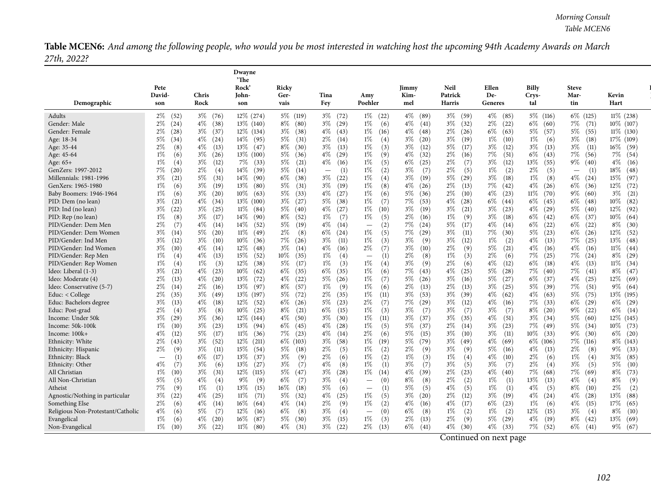Table MCEN6: And among the following people, who would you be most interested in watching host the upcoming 94th Academy Awards on March *27th, 2022?*

|                                                     |                                 |                                | Dwayne<br>'The                |                                |                               |                                          |                                |                                |                                |                             |                                 |                            |
|-----------------------------------------------------|---------------------------------|--------------------------------|-------------------------------|--------------------------------|-------------------------------|------------------------------------------|--------------------------------|--------------------------------|--------------------------------|-----------------------------|---------------------------------|----------------------------|
|                                                     | Pete                            |                                | Rock                          | Ricky                          |                               |                                          | Jimmy                          | <b>Neil</b>                    | Ellen                          | <b>Billy</b>                | <b>Steve</b>                    |                            |
| Demographic                                         | David-<br>son                   | <b>Chris</b><br>Rock           | John-<br>son                  | Ger-<br>vais                   | Tina<br>Fey                   | Amy<br>Poehler                           | Kim-<br>mel                    | Patrick<br><b>Harris</b>       | De-<br>Generes                 | Crys-<br>tal                | Mar-<br>tin                     | Kevin<br>Hart              |
| Adults                                              | $2\%$<br>(52)                   | $3\%$ (76)                     | 12\% (274)                    | 5\% (119)                      | $3\%$ (72)                    | $1\%$<br>(22)                            | $4\%$ (89)                     | $3\%$ (59)                     | $4\%$ (85)                     | $5\%$ (116)                 | 6\% (125)                       | $11\%$ (238)               |
| Gender: Male                                        | $2\%$<br>(24)<br>$2\%$<br>(28)  | $4\%$<br>(38)<br>$3\%$ (37)    | 13\% (140)                    | $8\%$ (80)<br>$3\%$ (38)       | $3\%$ (29)<br>$4\%$ (43)      | (6)<br>$1\%$                             | $4\%$ (41)                     | $3\%$ (32)<br>$2\%$ (26)       | $2\%$<br>(22)<br>$6\%$<br>(63) | $6\%$ (60)<br>5% (57)       | 7%<br>(71)<br>$5\%$<br>(55)     | 10\% (107)<br>$11\%$ (130) |
| Gender: Female<br>Age: 18-34                        | $5\%$<br>(34)                   | $4\%$<br>(24)                  | 12\% (134)<br>14\% (95)       | $5\%$<br>(31)                  | $2\%$<br>(14)                 | $1\%$<br>(16)<br>$1\%$<br>(4)            | $4\%$ (48)<br>$3\%$<br>(20)    | $3\%$<br>(19)                  | 1%<br>(10)                     | $1\%$<br>(6)                | $3\%$<br>(18)                   | 17% (109)                  |
| Age: 35-44                                          | $2\%$<br>(8)                    | $4\%$<br>(13)                  | $13\%$ (47)                   | $8\%$<br>(30)                  | $3\%$<br>(13)                 | 1%<br>(3)                                | $3\%$<br>(12)                  | $5\%$<br>(17)                  | $3\%$<br>(12)                  | $3\%$<br>(13)               | $3\%$<br>(11)                   | 16% (59)                   |
| Age: 45-64                                          | $1\%$<br>(6)                    | $3\%$<br>(26)                  | 13\% (100)                    | $5\%$<br>(36)                  | $4\%$ (29)                    | $1\%$<br>(9)                             | $4\%$<br>(32)                  | $2\%$<br>(16)                  | 7%<br>(51)                     | $6\%$<br>(43)               | 7%<br>(56)                      | 7% (54)                    |
| Age: $65+$                                          | $1\%$<br>(4)                    | $3\%$<br>(12)                  | $7\%$ (33)                    | $5\%$<br>(21)                  | $4\%$ (16)                    | $1\%$<br>(5)                             | $6\%$<br>(25)                  | $2\%$<br>(7)                   | $3\%$<br>(12)                  | 13%<br>(55)                 | 9%<br>(40)                      | $4\%$<br>(16)              |
| GenZers: 1997-2012                                  | 7%<br>(20)                      | $2\%$<br>(4)                   | 14% (39)                      | 5%<br>(14)                     | (1)<br>$\qquad \qquad -$      | $1\%$<br>(2)                             | $3\%$<br>(7)                   | $2\%$<br>(5)                   | 1%<br>(2)                      | $2\%$<br>(5)                | (1)<br>$\overline{\phantom{m}}$ | $18\%$<br>(48)             |
| Millennials: 1981-1996                              | $3\%$<br>(21)                   | 5%<br>(31)                     | 14% (90)                      | $6\%$<br>(38)                  | $3\%$<br>(22)                 | $1\%$<br>(4)                             | $3\%$<br>(19)                  | $5\%$<br>(29)                  | $3\%$<br>(18)                  | $1\%$<br>(8)                | $4\%$<br>(24)                   | 15%<br>(97)                |
| GenXers: 1965-1980                                  | $1\%$<br>(6)                    | $3\%$<br>(19)                  | $13\%$ (80)                   | $5\%$<br>(31)                  | $3\%$<br>(19)                 | $1\%$<br>(8)                             | $4\%$<br>(26)                  | $2\%$<br>(13)                  | 7%<br>(42)                     | $4\%$<br>(26)               | $6\%$<br>(36)                   | 12%<br>(72)                |
| Baby Boomers: 1946-1964                             | $1\%$<br>(6)                    | $3\%$<br>(20)                  | $10\%$ (63)                   | $5\%$<br>(33)                  | $4\%$ (27)                    | $1\%$<br>(6)                             | $5\%$<br>(36)                  | $2\%$<br>(10)                  | $4\%$<br>(23)                  | $11\%$ (70)                 | $9\%$<br>(60)                   | $3\%$<br>(21)              |
| PID: Dem (no lean)                                  | $3\%$<br>(21)                   | $4\%$<br>(34)                  | 13\% (100)                    | $3\%$ $(27)$                   | $5\%$ (38)                    | $1\%$<br>(7)                             | 7%<br>(53)                     | $4\%$<br>(28)                  | $6\%$ (44)                     | $6\%$ (45)                  | $6\%$<br>(48)                   | $10\%$<br>(82)             |
| PID: Ind (no lean)                                  | $3\%$<br>(22)                   | $3\%$<br>(25)                  | $11\%$ (84)                   | $5\%$ (40)                     | $4\%$ (27)                    | $1\%$<br>(10)                            | $3\%$<br>(19)                  | $3\%$<br>(21)                  | $3\%$<br>(23)                  | $4\%$ (29)                  | $5\%$<br>(40)                   | 12% (92)                   |
| PID: Rep (no lean)                                  | $1\%$<br>(8)                    | $3\%$<br>(17)                  | $14\%$ (90)                   | $8\%$<br>(52)                  | $1\%$<br>(7)                  | 1%<br>(5)                                | $2\%$<br>(16)                  | $1\%$<br>(9)                   | $3\%$<br>(18)                  | $6\%$ (42)                  | $6\%$<br>(37)                   | $10\%$ (64)                |
| PID/Gender: Dem Men                                 | $2\%$<br>(7)                    | $4\%$<br>(14)                  | 14%<br>(52)                   | 5%<br>(19)                     | $4\%$<br>(14)                 | (2)<br>$\qquad \qquad -$                 | 7%<br>(24)                     | $5\%$<br>(17)                  | $4\%$<br>(14)                  | $6\%$<br>(22)               | $6\%$<br>(22)                   | $8\%$<br>(30)              |
| PID/Gender: Dem Women                               | $3\%$<br>(14)                   | 5%<br>(20)                     | $11\%$ (49)                   | $2\%$<br>(8)                   | $6\%$<br>(24)                 | $1\%$<br>(5)                             | 7%<br>(29)                     | $3\%$<br>(11)                  | $7\%$<br>(30)                  | $5\%$<br>(23)               | $6\%$<br>(26)                   | 12%<br>(52)                |
| PID/Gender: Ind Men<br>PID/Gender: Ind Women        | $3\%$<br>(12)                   | $3\%$<br>(10)                  | $10\%$<br>(36)<br>$12\%$ (48) | 7%<br>(26)<br>$3\%$            | $3\%$<br>(11)<br>$4\%$ (16)   | $1\%$<br>(3)<br>$2\%$<br>(7)             | $3\%$<br>(9)                   | $3\%$<br>(12)<br>$2\%$         | $1\%$<br>(2)<br>5%             | $4\%$<br>(13)<br>$4\%$ (16) | 7%<br>(25)<br>$4\%$             | $13\%$ (48)<br>$11\%$ (44) |
| PID/Gender: Rep Men                                 | $3\%$<br>(10)<br>$1\%$<br>(4)   | $4\%$<br>(14)<br>$4\%$<br>(13) | 15%<br>(52)                   | (14)<br>$10\%$<br>(35)         | $1\%$<br>(4)                  | (1)                                      | $3\%$<br>(10)<br>$2\%$<br>(8)  | (9)<br>$1\%$<br>(3)            | (21)<br>$2\%$<br>(6)           | 7%<br>(25)                  | (16)<br>7%<br>(24)              | $8\%$<br>(29)              |
| PID/Gender: Rep Women                               | $1\%$<br>(4)                    | 1%<br>(3)                      | 12%<br>(38)                   | 5%<br>(17)                     | 1%<br>(3)                     | $1\%$<br>(4)                             | $3\%$<br>(9)                   | $2\%$<br>(6)                   | 4%<br>(12)                     | $6\%$<br>(18)               | $4\%$<br>(13)                   | $11\%$ (34)                |
| Ideo: Liberal (1-3)                                 | $3\%$<br>(21)                   | $4\%$<br>(23)                  | $10\%$<br>(62)                | $6\%$<br>(35)                  | $6\%$<br>(35)                 | $1\%$<br>(6)                             | 7%<br>(43)                     | $4\%$<br>(25)                  | $5\%$<br>(28)                  | $7\%$<br>(40)               | 7%<br>(41)                      | $8\%$ (47)                 |
| Ideo: Moderate (4)                                  | $2\%$<br>(13)                   | $4\%$<br>(20)                  | $13\%$ (72)                   | $4\%$<br>(22)                  | $5\%$<br>(26)                 | $1\%$<br>(7)                             | $5\%$<br>(26)                  | $3\%$<br>(16)                  | 5%<br>(27)                     | $6\%$<br>(37)               | $4\%$<br>(25)                   | $12\%$ (69)                |
| Ideo: Conservative (5-7)                            | $2\%$<br>(14)                   | $2\%$<br>(16)                  | $13\%$ (97)                   | 8\% (57)                       | $1\%$<br>(9)                  | $1\%$<br>(6)                             | $2\%$<br>(13)                  | $2\%$<br>(13)                  | $3\%$<br>(25)                  | 5\% (39)                    | 7%<br>(51)                      | $9\%$ (64)                 |
| Educ: < College                                     | $2\%$<br>(35)                   | $3\%$<br>(49)                  | 13\% (197)                    | 5%<br>(72)                     | $2\%$ (35)                    | $1\%$<br>(11)                            | $3\%$<br>(53)                  | $3\%$<br>(39)                  | $4\%$<br>(62)                  | $4\%$ (63)                  | $5\%$<br>(75)                   | 13\% (195)                 |
| Educ: Bachelors degree                              | $3\%$<br>(13)                   | $4\%$<br>(18)                  | $12\%$ (52)                   | $6\%$<br>(26)                  | $5\%$ (23)                    | $2\%$<br>(7)                             | 7%<br>(29)                     | $3\%$<br>(12)                  | $4\%$<br>(16)                  | $7\%$ (33)                  | $6\%$<br>(29)                   | $6\%$ (29)                 |
| Educ: Post-grad                                     | $2\%$<br>(4)                    | $3\%$<br>(8)                   | $10\%$ (25)                   | $8\%$<br>(21)                  | $6\%$<br>(15)                 | $1\%$<br>(3)                             | $3\%$<br>(7)                   | $3\%$<br>(7)                   | $3\%$<br>(7)                   | $8\%$ (20)                  | 9%<br>(22)                      | $6\%$ (14)                 |
| Income: Under 50k                                   | $3\%$<br>(29)                   | $3\%$<br>(36)                  | 12\% (144)                    | $4\%$<br>(50)                  | $3\%$ (30)                    | 1%<br>(11)                               | 3%<br>(37)                     | $3\%$<br>(35)                  | $4\%$<br>(51)                  | $3\%$ (34)                  | $5\%$<br>(60)                   | 12% (145)                  |
| Income: 50k-100k                                    | $1\%$<br>(10)                   | $3\%$<br>(23)                  | $13\%$ (94)                   | $6\%$<br>(45)                  | $4\%$ (28)                    | 1%<br>(5)                                | $5\%$<br>(37)                  | $2\%$<br>(14)                  | $3\%$<br>(23)                  | 7% (49)                     | $5\%$<br>(34)                   | 10\% (73)                  |
| Income: 100k+                                       | $4\%$<br>(12)                   | 5%<br>(17)                     | $11\%$ (36)                   | $7\%$ (23)                     | $4\%$<br>(14)                 | $2\%$<br>(6)                             | $5\%$<br>(15)                  | $3\%$<br>(10)                  | $3\%$<br>(11)                  | $10\%$ (33)                 | $9\%$<br>(30)                   | $6\%$ (20)                 |
| Ethnicity: White                                    | $2\%$<br>(43)                   | $3\%$<br>(52)                  | $12\%$ (211)                  | $6\%$ (103)                    | $3\%$ (58)                    | $1\%$<br>(19)                            | $5\%$<br>(79)                  | $3\%$ (49)                     | $4\%$<br>(69)                  | $6\%$ (106)                 | 7% (116)                        | $8\%$ (143)                |
| Ethnicity: Hispanic                                 | $2\%$<br>(9)                    | $3\%$<br>(11)                  | $15\%$ (54)                   | 5%<br>(18)                     | $2\%$<br>(5)                  | $1\%$<br>(2)                             | $2\%$<br>(9)                   | $3\%$<br>(9)                   | $5\%$<br>(16)                  | $4\%$<br>(13)               | $2\%$<br>(8)                    | $9\%$ (33)                 |
| Ethnicity: Black                                    | (1)<br>$\overline{\phantom{m}}$ | $6\%$<br>(17)                  | 13%<br>(37)                   | $3\%$<br>(9)                   | $2\%$<br>(6)                  | 1%<br>(2)                                | 1%<br>(3)                      | 1%<br>(4)                      | $4\%$<br>(10)                  | $2\%$<br>(6)                | $1\%$<br>(4)                    | $31\%$<br>(85)             |
| Ethnicity: Other                                    | $4\%$<br>(7)                    | $3\%$<br>(6)                   | 13%<br>(27)                   | $3\%$<br>(7)                   | 4%<br>(8)                     | $1\%$<br>(1)                             | $3\%$<br>(7)                   | $3\%$<br>(5)                   | $3\%$<br>(7)                   | $2\%$<br>(4)                | $3\%$<br>(5)                    | $5\%$<br>(10)              |
| All Christian                                       | $1\%$<br>(10)                   | $3\%$<br>(31)                  | $12\%$ (115)                  | $5\%$<br>(47)                  | $3\%$<br>(28)                 | 1%<br>(14)                               | $4\%$<br>(39)                  | $2\%$<br>(23)                  | $4\%$<br>(40)                  | 7%<br>(68)                  | 7%<br>(69)                      | $8\%$<br>(73)              |
| All Non-Christian                                   | $5\%$<br>(5)                    | 4%<br>(4)                      | 9%<br>(9)                     | $6\%$<br>(7)                   | $3\%$<br>(4)                  | (0)                                      | $8\%$<br>(8)                   | $2\%$<br>(2)                   | $1\%$<br>(1)                   | 13%<br>(13)                 | $4\%$<br>(4)                    | $8\%$<br>(9)               |
| Atheist                                             | 7%<br>(9)                       | $1\%$<br>(1)                   | 13%<br>(15)                   | 16\%<br>(18)                   | 5%<br>(6)                     | (1)                                      | $5\%$<br>(5)                   | $4\%$<br>(5)                   | 1%<br>(1)                      | $4\%$<br>(5)<br>$4\%$       | $8\%$<br>(10)                   | $2\%$<br>(2)               |
| Agnostic/Nothing in particular                      | $3\%$<br>(22)<br>$2\%$<br>(6)   | $4\%$<br>(25)<br>$4\%$         | $11\%$<br>(71)<br>$16\%$ (64) | $5\%$<br>(32)<br>$4\%$<br>(14) | $4\%$<br>(25)<br>$2\%$<br>(9) | $1\%$<br>(5)<br>$1\%$<br>(2)             | $3\%$<br>(20)<br>$4\%$<br>(16) | $2\%$<br>(12)<br>$4\%$<br>(17) | $3\%$<br>(19)<br>$6\%$<br>(23) | (24)<br>$1\%$               | $4\%$<br>(28)<br>$4\%$<br>(15)  | 13%<br>(88)<br>17%<br>(65) |
| Something Else<br>Religious Non-Protestant/Catholic | $4\%$<br>(6)                    | (14)<br>$5\%$<br>(7)           | 12%<br>(16)                   | $6\%$<br>(8)                   | $3\%$<br>(4)                  | (0)                                      | $6\%$<br>(8)                   | $1\%$<br>(2)                   | $1\%$<br>(2)                   | (6)<br>12%<br>(15)          | $3\%$<br>(4)                    | $8\%$<br>(10)              |
| Evangelical                                         | $1\%$<br>(6)                    | $4\%$<br>(20)                  | $16\%$ (87)                   | 5%<br>(30)                     | $3\%$<br>(15)                 | $\overline{\phantom{m}}$<br>$1\%$<br>(3) | $2\%$<br>(13)                  | $2\%$<br>(9)                   | $5\%$<br>(29)                  | $4\%$<br>(19)               | $8\%$<br>(42)                   | $13\%$ (69)                |
| Non-Evangelical                                     | $1\%$<br>(10)                   | $3\%$<br>(22)                  | $11\%$ (80)                   | $4\%$<br>(31)                  | $3\%$<br>(22)                 | $2\%$<br>(13)                            | $6\%$<br>(41)                  | $4\%$<br>(30)                  | $4\%$<br>(33)                  | 7%<br>(52)                  | $6\%$<br>(41)                   | $9\%$ (67)                 |
|                                                     |                                 |                                |                               |                                |                               |                                          |                                |                                |                                |                             |                                 |                            |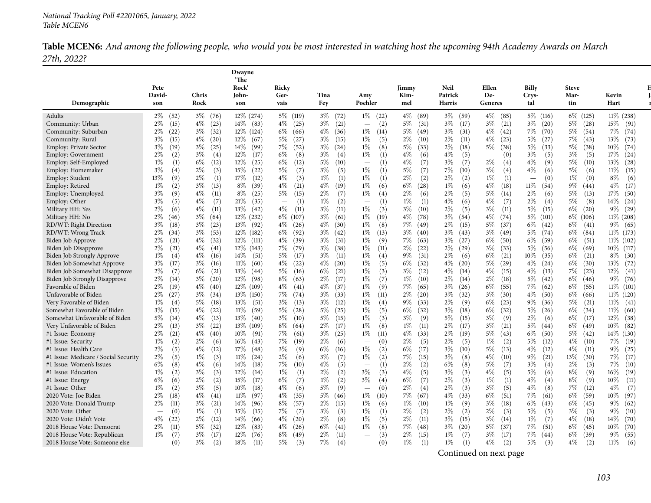Table MCEN6: And among the following people, who would you be most interested in watching host the upcoming 94th Academy Awards on March *27th, 2022?*

|                                                        |                                          |                               | Dwayne<br>'The             |                                 |                               |                                            |                                |                            |                                 |                                |                               |                               |
|--------------------------------------------------------|------------------------------------------|-------------------------------|----------------------------|---------------------------------|-------------------------------|--------------------------------------------|--------------------------------|----------------------------|---------------------------------|--------------------------------|-------------------------------|-------------------------------|
|                                                        | Pete<br>David-                           | Chris                         | Rock <sup>2</sup><br>John- | Ricky<br>Ger-                   | Tina                          | Amy                                        | Jimmy<br>Kim-                  | Neil<br>Patrick            | Ellen<br>De-                    | Billy<br>Crys-                 | <b>Steve</b><br>Mar-          | Kevin                         |
| Demographic                                            | son                                      | Rock                          | son                        | vais                            | Fey                           | Poehler                                    | mel                            | <b>Harris</b>              | Generes                         | tal                            | tin                           | Hart                          |
| Adults                                                 | $2\%$ (52)                               | $3\%$ (76)                    | 12% (274)                  | 5\% (119)                       | $3\%$ (72)                    | $1\%$ (22)                                 | $4\%$ (89)                     | $3\%$ (59)                 | $4\%$ (85)                      | $5\%$ (116)                    | 6\% (125)                     | 11% (238)                     |
| Community: Urban                                       | $2\%$<br>(15)                            | $4\%$<br>(23)                 | $14\%$ (83)                | $4\%$ (25)                      | $3\%$ (21)                    | (2)<br>$\overline{\phantom{0}}$            | $5\%$<br>(31)                  | $3\%$<br>(17)              | $3\%$<br>(21)                   | $3\%$ (20)                     | $5\%$ (28)                    | $15\%$ (91)                   |
| Community: Suburban                                    | $2\%$<br>(22)                            | $3\%$<br>(32)                 | $12\%$ (124)               | $6\%$ (66)                      | $4\%$ (36)                    | (14)<br>$1\%$                              | $5\%$<br>(49)                  | $3\%$<br>(31)              | $4\%$<br>(42)                   | 7%<br>(70)                     | $5\%$ (54)                    | 7% (74)                       |
| Community: Rural                                       | $3\%$<br>(15)                            | $4\%$<br>(20)                 | $12\%$ (67)                | $5\%$<br>(27)                   | $3\%$<br>(15)                 | (5)<br>1%                                  | $2\%$<br>(10)                  | $2\%$<br>(11)              | $4\%$<br>(23)                   | $5\%$<br>(27)                  | 7%<br>(43)                    | 13%<br>(73)                   |
| Employ: Private Sector                                 | $3\%$<br>(19)                            | $3\%$<br>(25)                 | $14\%$ (99)                | 7%<br>(52)                      | $3\%$ (24)                    | 1%<br>(8)                                  | $5\%$<br>(33)                  | $2\%$<br>(18)              | $5\%$<br>(38)                   | $5\%$<br>(33)                  | $5\%$<br>(38)                 | $10\%$<br>(74)                |
| Employ: Government                                     | $2\%$<br>(2)                             | $3\%$<br>(4)                  | $12\%$ (17)                | $6\%$<br>(8)                    | $3\%$<br>(4)                  | 1%<br>(1)                                  | $4\%$<br>(6)                   | $4\%$<br>(5)               | (0)<br>$\overline{\phantom{0}}$ | $3\%$<br>(5)                   | $3\%$<br>(5)                  | $17\%$ $(24)$                 |
| Employ: Self-Employed                                  | $1\%$<br>(1)<br>$3\%$                    | $6\%$<br>(12)<br>$2\%$<br>(3) | 12%<br>(25)<br>15%<br>(22) | $6\%$<br>(12)<br>$5\%$<br>(7)   | $5\%$<br>(10)<br>$3\%$<br>(5) | $^{(1)}$<br>$\overline{\phantom{m}}$<br>1% | $4\%$<br>(7)<br>$5\%$<br>(7)   | $3\%$<br>(7)<br>7%<br>(10) | 2%<br>(4)<br>3%                 | $4\%$<br>(9)<br>$4\%$          | $5\%$<br>(10)<br>5%           | 13%<br>(28)<br>$11\%$<br>(15) |
| Employ: Homemaker<br>Employ: Student                   | (4)<br>13%<br>(9)                        | 2%<br>(1)                     | 17%<br>(12)                | 4%<br>(3)                       | $1\%$<br>(1)                  | (1)<br>1%                                  | $2\%$<br>(2)                   | $2\%$<br>(2)               | (4)<br>$1\%$<br>(1)             | (6)<br>(0)                     | (6)<br>$1\%$<br>(0)           | $8\%$<br>(6)                  |
| Employ: Retired                                        | $1\%$<br>(2)                             | $3\%$<br>(13)                 | $8\%$<br>(39)              | $4\%$<br>(21)                   | $4\%$<br>(19)                 | 1%<br>(6)                                  | $6\%$<br>(28)                  | $1\%$<br>(6)               | $4\%$<br>(18)                   | 11%<br>(54)                    | $9\%$<br>(44)                 | $4\%$<br>(17)                 |
| Employ: Unemployed                                     | $3\%$<br>(9)                             | $4\%$<br>(11)                 | $8\%$<br>(25)              | $5\%$<br>(15)                   | $2\%$<br>(7)                  | 1%<br>(4)                                  | $2\%$<br>(6)                   | $2\%$<br>(5)               | $5\%$<br>(14)                   | $2\%$<br>(6)                   | 5%<br>(13)                    | 17%<br>(50)                   |
| Employ: Other                                          | $3\%$<br>(5)                             | $4\%$<br>(7)                  | 21%<br>(35)                | (1)<br>$\overline{\phantom{m}}$ | $1\%$<br>(2)                  | (1)<br>$\overline{\phantom{m}}$            | $1\%$<br>(1)                   | $4\%$<br>(6)               | $4\%$<br>(7)                    | 2%<br>(4)                      | $5\%$<br>(8)                  | $14\%$ (24)                   |
| Military HH: Yes                                       | $2\%$<br>(6)                             | $4\%$<br>(11)                 | 13\% (42)                  | $4\%$<br>(11)                   | $3\%$<br>(11)                 | 1%<br>(3)                                  | $3\%$<br>(10)                  | $2\%$<br>(5)               | $3\%$<br>(11)                   | $5\%$<br>(15)                  | $6\%$<br>(20)                 | $9\%$ (29)                    |
| Military HH: No                                        | $2\%$<br>(46)                            | $3\%$<br>(64)                 | 12% (232)                  | $6\%$ (107)                     | $3\%$<br>(61)                 | 1%<br>(19)                                 | $4\%$<br>(78)                  | $3\%$<br>(54)              | $4\%$<br>(74)                   | 5\% (101)                      | $6\%$ (106)                   | $11\% (208)$                  |
| RD/WT: Right Direction                                 | $3\%$<br>(18)                            | $3\%$<br>(23)                 | 13\% (92)                  | $4\%$ (26)                      | $4\%$ (30)                    | 1%<br>(8)                                  | 7%<br>(49)                     | $2\%$<br>(15)              | $5\%$<br>(37)                   | $6\%$ (42)                     | $6\%$<br>(41)                 | $9\%$ (65)                    |
| RD/WT: Wrong Track                                     | $2\%$<br>(34)                            | $3\%$<br>(53)                 | 12% (182)                  | $6\%$<br>(92)                   | $3\%$ (42)                    | 1%<br>(13)                                 | $3\%$<br>(40)                  | $3\%$<br>(43)              | $3\%$<br>(49)                   | 5% (74)                        | $6\%$ (84)                    | 11\% (173)                    |
| Biden Job Approve                                      | $2\%$<br>(21)                            | $4\%$<br>(32)                 | $12\%$ (111)               | $4\%$<br>(39)                   | $3\%$<br>(31)                 | 1%<br>(9)                                  | 7%<br>(63)                     | $3\%$<br>(27)              | $6\%$<br>(50)                   | $6\%$ (59)                     | $6\%$<br>(51)                 | $11\%$ (102)                  |
| Biden Job Disapprove                                   | $2\%$<br>(21)                            | $4\%$<br>(41)                 | 12\% (143)                 | $7\%$ (79)                      | $3\%$ (38)                    | 1%<br>(11)                                 | $2\%$<br>(22)                  | $2\%$ (29)                 | $3\%$<br>(33)                   | 5% (56)                        | $6\%$ (69)                    | $10\%$ (117)                  |
| <b>Biden Job Strongly Approve</b>                      | $1\%$<br>(4)                             | $4\%$<br>(16)                 | $14\%$ (51)                | $5\%$<br>(17)                   | $3\%$<br>(11)                 | $1\%$<br>(4)                               | $9\%$<br>(31)                  | $2\%$<br>(6)               | $6\%$<br>(21)                   | $10\%$ (35)                    | $6\%$<br>(21)                 | $8\%$<br>(30)                 |
| Biden Job Somewhat Approve                             | $3\%$<br>(17)                            | $3\%$<br>(16)                 | $11\%$ (60)                | $4\%$<br>(22)                   | $4\%$ (20)                    | $1\%$<br>(5)                               | $6\%$<br>(32)                  | $4\%$<br>(20)              | $5\%$<br>(29)                   | $4\%$ (24)                     | $6\%$ (30)                    | 13%<br>(72)                   |
| Biden Job Somewhat Disapprove                          | $2\%$<br>(7)                             | $6\%$<br>(21)                 | $13\%$ (44)                | $5\%$<br>(16)                   | $6\%$<br>(21)                 | $1\%$<br>(3)                               | $3\%$<br>(12)                  | $4\%$<br>(14)              | $4\%$<br>(15)                   | $4\%$<br>(13)                  | 7%<br>(23)                    | 12%<br>(41)                   |
| Biden Job Strongly Disapprove                          | $2\%$<br>(14)                            | $3\%$<br>(20)                 | 12\% (98)                  | $8\%$<br>(63)                   | $2\%$<br>(17)                 | $1\%$<br>(7)                               | $1\%$<br>(10)                  | $2\%$<br>(14)              | $2\%$<br>(18)                   | $5\%$<br>(42)                  | $6\%$ (46)                    | $9\%$ (76)                    |
| Favorable of Biden                                     | $2\%$<br>(19)                            | $4\%$<br>(40)                 | 12\% (109)                 | $4\%$ (41)                      | $4\%$<br>(37)                 | 1%<br>(9)                                  | 7%<br>(65)                     | $3\%$ (26)                 | $6\%$<br>(55)                   | $7\%$ (62)                     | $6\%$<br>(55)                 | $11\%$ (101)                  |
| Unfavorable of Biden                                   | $2\%$<br>(27)                            | $3\%$<br>(34)<br>$5\%$        | 13\% (150)                 | 7% (74)<br>$3\%$                | $3\%$<br>(33)<br>$3\%$        | 1%<br>(11)                                 | $2\%$<br>(20)<br>$9\%$<br>(33) | $3\%$<br>(32)<br>$2\%$     | $3\%$<br>(30)<br>$6\%$          | $4\%$<br>(50)<br>$9\%$<br>(36) | $6\%$ (66)                    | $11\%$ (120)<br>$11\%$ (41)   |
| Very Favorable of Biden<br>Somewhat Favorable of Biden | $1\%$<br>(4)<br>$3\%$<br>(15)            | (18)<br>$4\%$<br>(22)         | $13\%$ (51)<br>$11\%$ (59) | (13)<br>$5\%$ (28)              | (12)<br>$5\%$ (25)            | 1%<br>(4)<br>1%<br>(5)                     | $6\%$<br>(32)                  | (9)<br>$3\%$<br>(18)       | (23)<br>$6\%$<br>(32)           | $5\%$<br>(26)                  | (21)<br>$5\%$<br>$6\%$ (34)   | $11\%$ (60)                   |
| Somewhat Unfavorable of Biden                          | 5%<br>(14)                               | $4\%$<br>(13)                 | $13\%$ (40)                | $3\%$ (10)                      | $5\%$<br>(15)                 | 1%<br>(3)                                  | $3\%$<br>(9)                   | $5\%$<br>(15)              | $3\%$<br>(9)                    | $2\%$<br>(6)                   | $6\%$<br>(17)                 | 12%<br>(38)                   |
| Very Unfavorable of Biden                              | $2\%$<br>(13)                            | $3\%$<br>(22)                 | 13% (109)                  | $8\%$<br>(64)                   | $2\%$<br>(17)                 | 1%<br>(8)                                  | $1\%$<br>(11)                  | $2\%$<br>(17)              | $3\%$<br>(21)                   | $5\%$<br>(44)                  | $6\%$<br>(49)                 | $10\%$<br>(82)                |
| #1 Issue: Economy                                      | $2\%$<br>(21)                            | $4\%$<br>(40)                 | 10% (91)                   | 7%<br>(61)                      | $3\%$<br>(25)                 | 1%<br>(11)                                 | $4\%$<br>(33)                  | $2\%$<br>(19)              | $5\%$<br>(43)                   | $6\%$<br>(50)                  | $5\%$<br>(42)                 | 14% (130)                     |
| #1 Issue: Security                                     | $1\%$<br>(2)                             | $2\%$<br>(6)                  | $16\%$ (43)                | 7%<br>(19)                      | $2\%$<br>(6)                  | (0)<br>$\overline{\phantom{0}}$            | $2\%$<br>(5)                   | $2\%$<br>(5)               | $1\%$<br>(2)                    | $5\%$<br>(12)                  | $4\%$<br>(10)                 | 7%<br>(19)                    |
| #1 Issue: Health Care                                  | $2\%$<br>(5)                             | $4\%$<br>(12)                 | $17\%$ (48)                | $3\%$<br>(9)                    | $6\%$<br>(16)                 | 1%<br>(2)                                  | $6\%$<br>(17)                  | $3\%$<br>(10)              | $5\%$<br>(13)                   | $4\%$<br>(12)                  | $4\%$<br>(11)                 | $9\%$<br>(25)                 |
| #1 Issue: Medicare / Social Security                   | $2\%$<br>(5)                             | 1%<br>(3)                     | $11\%$<br>(24)             | $2\%$<br>(6)                    | $3\%$<br>(7)                  | 1%<br>(2)                                  | 7%<br>(15)                     | $3\%$<br>(8)               | $4\%$<br>(10)                   | 9%<br>(21)                     | 13%<br>(30)                   | 7%<br>(17)                    |
| #1 Issue: Women's Issues                               | 6%<br>(8)                                | $4\%$<br>(6)                  | 14%<br>(18)                | 7%<br>(10)                      | $4\%$<br>(5)                  | (1)<br>$\overline{\phantom{m}}$            | 2%<br>(2)                      | $6\%$<br>(8)               | 5%<br>(7)                       | $3\%$<br>(4)                   | $2\%$<br>(3)                  | 7%<br>(10)                    |
| #1 Issue: Education                                    | $1\%$<br>(2)                             | $3\%$<br>(3)                  | 12%<br>(14)                | $1\%$<br>(1)                    | $2\%$<br>(2)                  | $3\%$<br>(3)                               | $4\%$<br>(5)                   | $3\%$<br>(3)               | 4%<br>(5)                       | $5\%$<br>(6)                   | $8\%$<br>(9)                  | $16\%$<br>(19)                |
| #1 Issue: Energy                                       | $6\%$<br>(6)                             | $2\%$<br>(2)                  | 15%<br>(17)                | $6\%$<br>(7)                    | $1\%$<br>(2)                  | $3\%$<br>(4)                               | $6\%$<br>(7)                   | $2\%$<br>(3)               | $1\%$<br>(1)                    | $4\%$<br>(4)                   | $8\%$<br>(9)                  | $10\%$<br>(11)                |
| #1 Issue: Other                                        | $1\%$<br>(2)                             | $3\%$<br>(5)                  | $10\%$<br>(18)             | 4%<br>(6)                       | 5%<br>(9)                     | (0)<br>$\overline{\phantom{m}}$            | $2\%$<br>(4)                   | $2\%$<br>(3)               | $3\%$<br>(5)                    | $4\%$<br>(8)                   | 7%<br>(12)                    | $4\%$<br>(7)                  |
| 2020 Vote: Joe Biden                                   | $2\%$<br>(18)                            | $4\%$<br>(41)                 | $11\%$ (97)                | $4\%$<br>(35)                   | $5\%$<br>(46)                 | $1\%$<br>(10)                              | 7%<br>(67)                     | $4\%$<br>(33)              | 6%<br>(51)                      | 7%<br>(61)                     | 6%<br>(59)                    | $10\%$<br>(97)                |
| 2020 Vote: Donald Trump                                | $2\%$<br>(11)                            | $3\%$<br>(21)                 | $14\%$ (96)                | 8%<br>(57)                      | $2\%$<br>(15)                 | $1\%$<br>(6)                               | $1\%$<br>(10)                  | $1\%$<br>(9)               | $3\%$<br>(18)                   | 6%<br>(43)                     | 6%<br>(45)                    | $9\%$<br>(62)                 |
| 2020 Vote: Other<br>2020 Vote: Didn't Vote             | (0)<br>$\overline{\phantom{m}}$<br>$4\%$ | $1\%$<br>(1)<br>$2\%$         | 15%<br>(15)                | 7%<br>(7)<br>$4\%$<br>(20)      | $3\%$<br>(3)<br>$2\%$<br>(8)  | $1\%$<br>(1)<br>1%                         | $2\%$<br>(2)<br>$2\%$<br>(11)  | $2\%$<br>(2)<br>$3\%$      | $2\%$<br>(3)<br>$3\%$           | 5%<br>(5)<br>$1\%$             | $3\%$<br>(3)<br>$4\%$<br>(18) | $9\%$<br>(10)<br>14%<br>(70)  |
| 2018 House Vote: Democrat                              | (22)<br>$2\%$<br>(11)                    | (12)<br>$5\%$<br>(32)         | $14\%$ (66)<br>12%<br>(83) | $4\%$<br>(26)                   | $6\%$<br>(41)                 | (5)<br>1%<br>(8)                           | 7%<br>(48)                     | (15)<br>$3\%$ (20)         | (14)<br>5%<br>(37)              | (7)<br>7%<br>(51)              | $6\%$<br>(45)                 | $10\%$<br>(70)                |
| 2018 House Vote: Republican                            | $1\%$<br>(7)                             | $3\%$<br>(17)                 | 12%<br>(76)                | $8\%$<br>(49)                   | $2\%$<br>(11)                 | (3)<br>$\qquad \qquad -$                   | $2\%$<br>(15)                  | $1\%$<br>(7)               | $3\%$<br>(17)                   | $7\%$ (44)                     | $6\%$<br>(39)                 | $9\%$<br>(55)                 |
| 2018 House Vote: Someone else                          | (0)<br>$\qquad \qquad -$                 | $3\%$<br>(2)                  | $18\%$<br>(11)             | 5%<br>(3)                       | 7%<br>(4)                     | (0)<br>$\overline{\phantom{0}}$            | $1\%$<br>(1)                   | $1\%$<br>(1)               | $4\%$<br>(2)                    | $5\%$<br>(3)                   | $4\%$<br>(2)                  | 11%<br>(6)                    |
|                                                        |                                          |                               |                            |                                 |                               |                                            |                                |                            |                                 |                                |                               |                               |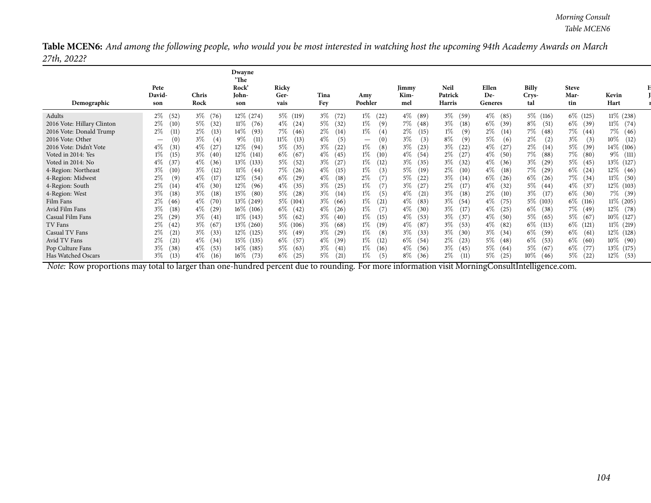Table MCEN6: And among the following people, who would you be most interested in watching host the upcoming 94th Academy Awards on March *27th, 2022?*

|                                                                                                                                        | Pete                                                                                                                                |                                                                                                                               | Dwayne<br>'The<br><b>Rock</b>                                                                                              | Ricky                                                                                                     |                                                                                                                    |                                                                                                           | Jimmy                                                                                                                                | <b>Neil</b>                                                                                                     | Ellen                                                                                                                    | <b>Billy</b>                                                                                                | <b>Steve</b>                                                                                                               |                                                                                                                  |
|----------------------------------------------------------------------------------------------------------------------------------------|-------------------------------------------------------------------------------------------------------------------------------------|-------------------------------------------------------------------------------------------------------------------------------|----------------------------------------------------------------------------------------------------------------------------|-----------------------------------------------------------------------------------------------------------|--------------------------------------------------------------------------------------------------------------------|-----------------------------------------------------------------------------------------------------------|--------------------------------------------------------------------------------------------------------------------------------------|-----------------------------------------------------------------------------------------------------------------|--------------------------------------------------------------------------------------------------------------------------|-------------------------------------------------------------------------------------------------------------|----------------------------------------------------------------------------------------------------------------------------|------------------------------------------------------------------------------------------------------------------|
| Demographic                                                                                                                            | David-<br>son                                                                                                                       | Chris<br>Rock                                                                                                                 | John-<br>son                                                                                                               | Ger-<br>vais                                                                                              | Tina<br>Fey                                                                                                        | Amy<br>Poehler                                                                                            | Kim-<br>mel                                                                                                                          | Patrick<br>Harris                                                                                               | De-<br>Generes                                                                                                           | Crys-<br>tal                                                                                                | Mar-<br>tin                                                                                                                | Kevin<br>Hart                                                                                                    |
| Adults<br>2016 Vote: Hillary Clinton<br>2016 Vote: Donald Trump<br>2016 Vote: Other<br>2016 Vote: Didn't Vote<br>Voted in 2014: Yes    | $2\%$<br>(52)<br>$2\%$<br>(10)<br>$2\%$<br>(11)<br>$\left( 0 \right)$<br>$\overline{\phantom{0}}$<br>$4\%$<br>(31)<br>$1\%$<br>(15) | $3\%$<br>(76)<br>$5\%$<br>(32)<br>$2\%$<br>(13)<br>3%<br>(4)<br>$4\%$<br>$3\%$<br>(40)                                        | $12\%$ (274)<br>$11\%$ (76)<br>$14\%$ (93)<br>9%<br>(11)<br>$12\%$ (94)<br>12\% (141)                                      | 5% (119)<br>$4\%$ (24)<br>7%<br>(46)<br>11%<br>(13)<br>$5\%$<br>(35)<br>$6\%$ (67)                        | $3\%$ (72)<br>$5\%$<br>(32)<br>$2\%$<br>(14)<br>$4\%$<br>(5)<br>$3\%$<br>(22)<br>$4\%$ (45)                        | $1\%$ (22)<br>1%<br>(9)<br>1%<br>(4)<br>(0)<br>$\overline{\phantom{0}}$<br>1%<br>(8)<br>$1\%$ (10)        | $4\%$<br>(89)<br>7%<br>(48)<br>$2\%$<br>(15)<br>$3\%$<br>$\left(3\right)$<br>$3\%$<br>(23)<br>$4\%$<br>(54)                          | $3\%$ (59)<br>$3\%$ (18)<br>1%<br>(9)<br>$8\%$<br>(9)<br>$3\%$ (22)<br>$2\%$ (27)                               | $4\%$<br>(85)<br>$6\%$<br>(39)<br>$2\%$<br>(14)<br>5%<br>(6)<br>$4\%$<br>(27)<br>$4\%$<br>(50)                           | 5% (116)<br>$8\%$ (51)<br>7%<br>(48)<br>$2\%$<br>(2)<br>$2\%$<br>(14)<br>7% (88)                            | $6\%$ (125)<br>$6\%$<br>(39)<br>7%<br>(44)<br>$3\%$<br>(3)<br>$5\%$<br>(39)<br>$7\%$ (80)                                  | 11% (238)<br>$11\%$ (74)<br>7% (46)<br>$10\%$<br>(12)<br>14% (106)<br>9\% (111)                                  |
| Voted in 2014: No<br>4-Region: Northeast<br>4-Region: Midwest<br>4-Region: South<br>4-Region: West                                     | $4\%$<br>(37)<br>$3\%$<br>(10)<br>2%<br>(9)<br>$2\%$<br>(14)<br>$3\%$<br>(18)                                                       | $4\%$<br>(36)<br>$3\%$<br>(12)<br>$4\%$<br>(17)<br>$4\%$<br>(30)<br>$3\%$<br>(18)                                             | 13\% (133)<br>$11\%$ (44)<br>$12\%$ (54)<br>12\% (96)<br>$15\%$ (80)                                                       | $5\%$<br>(52)<br>$7\%$ (26)<br>6%<br>(29)<br>$4\%$<br>(35)<br>$5\%$ (28)                                  | $3\%$<br>(27)<br>$4\%$<br>(15)<br>$4\%$<br>(18)<br>$3\%$<br>(25)<br>$3\%$<br>(14)                                  | 1%<br>(12)<br>1%<br>(3)<br>2%<br>(7)<br>1%<br>(7)<br>1%<br>(5)                                            | $3\%$<br>(35)<br>$5\%$<br>(19)<br>$5\%$<br>(22)<br>$3\%$<br>(27)<br>$4\%$<br>(21)                                                    | $3\%$ (32)<br>$2\%$ (10)<br>$3\%$ (14)<br>$2\%$<br>(17)<br>$3\%$ (18)                                           | $4\%$ (36)<br>$4\%$<br>(18)<br>$6\%$<br>(26)<br>$4\%$<br>(32)<br>$2\%$<br>(10)                                           | $3\%$ (29)<br>7% (29)<br>$6\%$ (26)<br>$5\%$ (44)<br>$3\%$ (17)                                             | $5\%$ (45)<br>$6\%$<br>(24)<br>7% (34)<br>$4\%$<br>(37)<br>$6\%$ (30)                                                      | 13% (127)<br>$12\%$ (46)<br>$11\%$ (50)<br>12\% (103)<br>7% (39)                                                 |
| Film Fans<br>Avid Film Fans<br>Casual Film Fans<br>TV Fans<br>Casual TV Fans<br>Avid TV Fans<br>Pop Culture Fans<br>Has Watched Oscars | $2\%$ (46)<br>$3\%$<br>(18)<br>2%<br>(29)<br>$2\%$<br>(42)<br>$2\%$<br>(21)<br>$2\%$<br>(21)<br>$3\%$<br>(38)<br>$3\%$ (13)         | $4\%$<br>(70)<br>$4\%$<br>(29)<br>$3\%$<br>(41,<br>3% (67<br>$3\%$<br>(33)<br>$4\%$<br>(34)<br>$4\%$<br>(53)<br>$4\%$<br>(16) | 13\% (249)<br>$16\%$ (106)<br>$11\%$ (143)<br>$13\%$ (260)<br>12\% (125)<br>$15\%$ (135)<br>$14\%$ (185)<br>(73)<br>$16\%$ | $5\%$ (104)<br>$6\%$ (42)<br>5% (62)<br>5\% (106)<br>$5\%$ (49)<br>$6\%$ (57)<br>$5\%$ (63)<br>6%<br>(25) | $3\%$ (66)<br>$4\%$ (26)<br>$3\%$ (40)<br>$3\%$ (68)<br>$3\%$ (29)<br>$4\%$ (39)<br>$3\%$<br>(41)<br>$5\%$<br>(21) | 1%<br>(21)<br>1%<br>(7)<br>1%<br>(15)<br>1%<br>(19)<br>1%<br>(8)<br>1%<br>(12)<br>1%<br>(16)<br>1%<br>(5) | $4\%$<br>(83)<br>$4\%$<br>(30)<br>$4\%$<br>(53)<br>$4\%$<br>(87)<br>$3\%$<br>(33)<br>$6\%$<br>(54)<br>$4\%$<br>(56)<br>$8\%$<br>(36) | $3\%$ (54)<br>$3\%$ (17)<br>$3\%$ (37)<br>$3\%$ (53)<br>$3\%$ (30)<br>$2\%$ (23)<br>$3\%$ (45)<br>$2\%$<br>(11) | $4\%$<br>(75)<br>$4\%$<br>(25)<br>$4\%$<br>(50)<br>$4\%$ (82)<br>3%<br>(34)<br>$5\%$<br>(48)<br>$5\%$ (64)<br>5%<br>(25) | 5\% (103)<br>$6\%$ (38)<br>5% (65)<br>6\% (113)<br>$6\%$ (59)<br>$6\%$ (53)<br>$5\%$ (67)<br>$10\%$<br>(46) | $6\%$ (116)<br>$7\%$ (49)<br>$5\%$ (67)<br>$6\%$ (121)<br>$6\%$<br>(61)<br>$6\%$<br>(60)<br>$6\%$<br>(77)<br>$5\%$<br>(22) | 11\% (205)<br>$12\%$ (78)<br>10% (127)<br>$11\%$ (219)<br>12\% (128)<br>$10\%$ (90)<br>13\% (175)<br>$12\%$ (53) |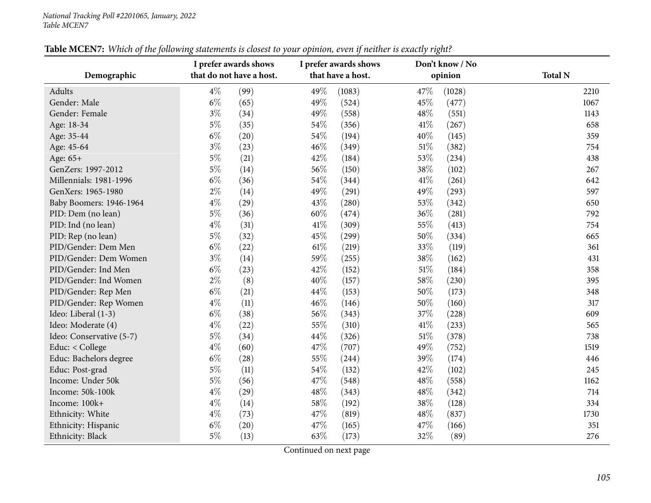| Demographic              | I prefer awards shows<br>that do not have a host. |      | I prefer awards shows<br>that have a host. |        | Don't know / No<br>opinion |        | <b>Total N</b> |
|--------------------------|---------------------------------------------------|------|--------------------------------------------|--------|----------------------------|--------|----------------|
|                          |                                                   |      |                                            |        |                            |        |                |
| Adults                   | $4\%$                                             | (99) | 49%                                        | (1083) | 47%                        | (1028) | 2210           |
| Gender: Male             | $6\%$                                             | (65) | 49%                                        | (524)  | 45%                        | (477)  | 1067           |
| Gender: Female           | $3\%$                                             | (34) | 49%                                        | (558)  | 48%                        | (551)  | 1143           |
| Age: 18-34               | $5\%$                                             | (35) | 54\%                                       | (356)  | 41\%                       | (267)  | 658            |
| Age: 35-44               | $6\%$                                             | (20) | 54\%                                       | (194)  | 40%                        | (145)  | 359            |
| Age: 45-64               | $3\%$                                             | (23) | 46%                                        | (349)  | 51%                        | (382)  | 754            |
| Age: 65+                 | $5\%$                                             | (21) | 42%                                        | (184)  | 53%                        | (234)  | 438            |
| GenZers: 1997-2012       | $5\%$                                             | (14) | 56%                                        | (150)  | 38%                        | (102)  | 267            |
| Millennials: 1981-1996   | $6\%$                                             | (36) | 54%                                        | (344)  | 41\%                       | (261)  | 642            |
| GenXers: 1965-1980       | $2\%$                                             | (14) | 49%                                        | (291)  | 49%                        | (293)  | 597            |
| Baby Boomers: 1946-1964  | $4\%$                                             | (29) | 43%                                        | (280)  | 53%                        | (342)  | 650            |
| PID: Dem (no lean)       | $5\%$                                             | (36) | $60\%$                                     | (474)  | 36%                        | (281)  | 792            |
| PID: Ind (no lean)       | $4\%$                                             | (31) | $41\%$                                     | (309)  | 55%                        | (413)  | 754            |
| PID: Rep (no lean)       | $5\%$                                             | (32) | 45%                                        | (299)  | 50%                        | (334)  | 665            |
| PID/Gender: Dem Men      | $6\%$                                             | (22) | $61\%$                                     | (219)  | 33%                        | (119)  | 361            |
| PID/Gender: Dem Women    | $3\%$                                             | (14) | 59%                                        | (255)  | 38%                        | (162)  | 431            |
| PID/Gender: Ind Men      | $6\%$                                             | (23) | 42%                                        | (152)  | $51\%$                     | (184)  | 358            |
| PID/Gender: Ind Women    | $2\%$                                             | (8)  | 40%                                        | (157)  | 58%                        | (230)  | 395            |
| PID/Gender: Rep Men      | $6\%$                                             | (21) | 44\%                                       | (153)  | 50%                        | (173)  | 348            |
| PID/Gender: Rep Women    | $4\%$                                             | (11) | 46%                                        | (146)  | 50%                        | (160)  | 317            |
| Ideo: Liberal (1-3)      | $6\%$                                             | (38) | 56%                                        | (343)  | 37%                        | (228)  | 609            |
| Ideo: Moderate (4)       | $4\%$                                             | (22) | 55%                                        | (310)  | 41\%                       | (233)  | 565            |
| Ideo: Conservative (5-7) | $5\%$                                             | (34) | 44%                                        | (326)  | $51\%$                     | (378)  | 738            |
| Educ: < College          | $4\%$                                             | (60) | 47%                                        | (707)  | 49%                        | (752)  | 1519           |
| Educ: Bachelors degree   | $6\%$                                             | (28) | 55%                                        | (244)  | 39%                        | (174)  | 446            |
| Educ: Post-grad          | $5\%$                                             | (11) | 54\%                                       | (132)  | 42%                        | (102)  | 245            |
| Income: Under 50k        | $5\%$                                             | (56) | 47%                                        | (548)  | 48%                        | (558)  | 1162           |
| Income: 50k-100k         | $4\%$                                             | (29) | 48\%                                       | (343)  | 48%                        | (342)  | 714            |
| Income: 100k+            | $4\%$                                             | (14) | 58\%                                       | (192)  | 38%                        | (128)  | 334            |
| Ethnicity: White         | $4\%$                                             | (73) | 47%                                        | (819)  | 48%                        | (837)  | 1730           |
| Ethnicity: Hispanic      | $6\%$                                             | (20) | 47%                                        | (165)  | 47%                        | (166)  | 351            |
| Ethnicity: Black         | $5\%$                                             | (13) | 63%                                        | (173)  | 32%                        | (89)   | 276            |

## Table MCEN7: Which of the following statements is closest to your opinion, even if neither is exactly right?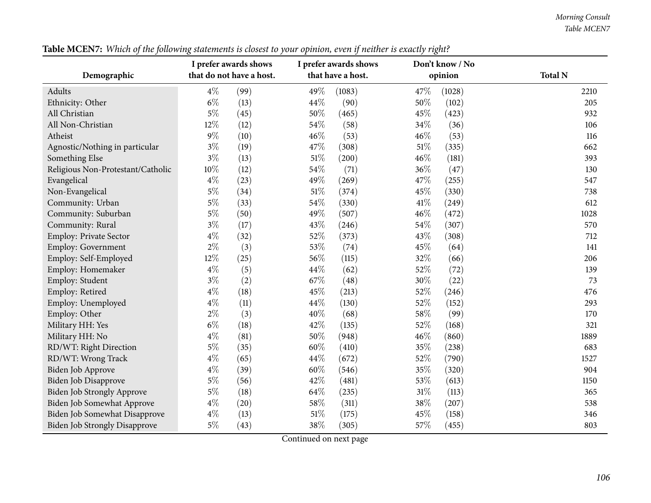*Morning Consult Table MCEN7*

|                                      |        | I prefer awards shows    |        | I prefer awards shows |        | Don't know / No |                |
|--------------------------------------|--------|--------------------------|--------|-----------------------|--------|-----------------|----------------|
| Demographic                          |        | that do not have a host. |        | that have a host.     |        | opinion         | <b>Total N</b> |
| Adults                               | $4\%$  | (99)                     | 49%    | (1083)                | 47%    | (1028)          | 2210           |
| Ethnicity: Other                     | $6\%$  | (13)                     | 44%    | (90)                  | 50%    | (102)           | 205            |
| All Christian                        | $5\%$  | (45)                     | 50%    | (465)                 | 45%    | (423)           | 932            |
| All Non-Christian                    | 12%    | (12)                     | 54%    | (58)                  | 34\%   | (36)            | 106            |
| Atheist                              | $9\%$  | (10)                     | 46%    | (53)                  | 46%    | (53)            | 116            |
| Agnostic/Nothing in particular       | $3\%$  | (19)                     | 47%    | (308)                 | 51%    | (335)           | 662            |
| Something Else                       | $3\%$  | (13)                     | 51%    | (200)                 | 46%    | (181)           | 393            |
| Religious Non-Protestant/Catholic    | $10\%$ | (12)                     | 54%    | (71)                  | 36%    | (47)            | 130            |
| Evangelical                          | $4\%$  | (23)                     | 49%    | (269)                 | 47%    | (255)           | 547            |
| Non-Evangelical                      | $5\%$  | (34)                     | $51\%$ | (374)                 | 45%    | (330)           | 738            |
| Community: Urban                     | $5\%$  | (33)                     | 54%    | (330)                 | 41\%   | (249)           | 612            |
| Community: Suburban                  | $5\%$  | (50)                     | 49%    | (507)                 | 46%    | (472)           | 1028           |
| Community: Rural                     | $3\%$  | (17)                     | 43%    | (246)                 | 54%    | (307)           | 570            |
| Employ: Private Sector               | $4\%$  | (32)                     | 52%    | (373)                 | 43%    | (308)           | 712            |
| Employ: Government                   | $2\%$  | (3)                      | 53%    | (74)                  | 45%    | (64)            | 141            |
| Employ: Self-Employed                | 12%    | (25)                     | 56%    | (115)                 | 32%    | (66)            | 206            |
| Employ: Homemaker                    | $4\%$  | (5)                      | 44%    | (62)                  | 52%    | (72)            | 139            |
| Employ: Student                      | $3\%$  | (2)                      | 67%    | (48)                  | 30%    | (22)            | 73             |
| Employ: Retired                      | $4\%$  | (18)                     | 45%    | (213)                 | 52%    | (246)           | 476            |
| Employ: Unemployed                   | $4\%$  | (11)                     | 44%    | (130)                 | 52%    | (152)           | 293            |
| Employ: Other                        | $2\%$  | (3)                      | 40%    | (68)                  | 58%    | (99)            | 170            |
| Military HH: Yes                     | $6\%$  | (18)                     | 42%    | (135)                 | 52%    | (168)           | 321            |
| Military HH: No                      | $4\%$  | (81)                     | 50%    | (948)                 | 46%    | (860)           | 1889           |
| RD/WT: Right Direction               | $5\%$  | (35)                     | 60%    | (410)                 | 35%    | (238)           | 683            |
| RD/WT: Wrong Track                   | $4\%$  | (65)                     | 44%    | (672)                 | 52%    | (790)           | 1527           |
| Biden Job Approve                    | $4\%$  | (39)                     | 60%    | (546)                 | 35%    | (320)           | 904            |
| Biden Job Disapprove                 | $5\%$  | (56)                     | 42%    | (481)                 | 53%    | (613)           | 1150           |
| <b>Biden Job Strongly Approve</b>    | $5\%$  | (18)                     | 64\%   | (235)                 | $31\%$ | (113)           | 365            |
| Biden Job Somewhat Approve           | $4\%$  | (20)                     | 58%    | (311)                 | 38%    | (207)           | 538            |
| Biden Job Somewhat Disapprove        | $4\%$  | (13)                     | $51\%$ | (175)                 | 45%    | (158)           | 346            |
| <b>Biden Job Strongly Disapprove</b> | $5\%$  | (43)                     | 38%    | (305)                 | 57%    | (455)           | 803            |

Table MCEN7: Which of the following statements is closest to your opinion, even if neither is exactly right?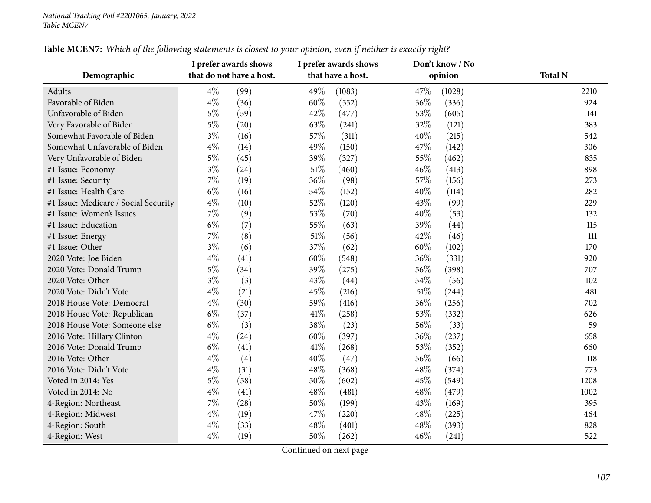| Demographic                          | I prefer awards shows<br>that do not have a host. |      |      | I prefer awards shows<br>that have a host. |      | Don't know / No<br>opinion | <b>Total N</b> |
|--------------------------------------|---------------------------------------------------|------|------|--------------------------------------------|------|----------------------------|----------------|
| Adults                               | $4\%$                                             | (99) | 49%  | (1083)                                     | 47%  | (1028)                     | 2210           |
| Favorable of Biden                   | $4\%$                                             | (36) | 60%  | (552)                                      | 36%  | (336)                      | 924            |
| Unfavorable of Biden                 | $5\%$                                             | (59) | 42%  | (477)                                      | 53%  | (605)                      | 1141           |
| Very Favorable of Biden              | $5\%$                                             | (20) | 63%  | (241)                                      | 32%  | (121)                      | 383            |
| Somewhat Favorable of Biden          | $3\%$                                             | (16) | 57%  | (311)                                      | 40%  | (215)                      | 542            |
| Somewhat Unfavorable of Biden        | $4\%$                                             | (14) | 49%  | (150)                                      | 47%  | (142)                      | 306            |
| Very Unfavorable of Biden            | $5\%$                                             | (45) | 39%  | (327)                                      | 55%  | (462)                      | 835            |
| #1 Issue: Economy                    | $3\%$                                             | (24) | 51\% | (460)                                      | 46%  | (413)                      | 898            |
| #1 Issue: Security                   | $7\%$                                             | (19) | 36%  | (98)                                       | 57\% | (156)                      | 273            |
| #1 Issue: Health Care                | $6\%$                                             | (16) | 54%  | (152)                                      | 40%  | (114)                      | 282            |
| #1 Issue: Medicare / Social Security | $4\%$                                             | (10) | 52%  | (120)                                      | 43%  | (99)                       | 229            |
| #1 Issue: Women's Issues             | $7\%$                                             | (9)  | 53%  | (70)                                       | 40%  | (53)                       | 132            |
| #1 Issue: Education                  | $6\%$                                             | (7)  | 55%  | (63)                                       | 39%  | (44)                       | 115            |
| #1 Issue: Energy                     | $7\%$                                             | (8)  | 51%  | (56)                                       | 42%  | (46)                       | $111$          |
| #1 Issue: Other                      | $3\%$                                             | (6)  | 37%  | (62)                                       | 60%  | (102)                      | 170            |
| 2020 Vote: Joe Biden                 | $4\%$                                             | (41) | 60%  | (548)                                      | 36%  | (331)                      | 920            |
| 2020 Vote: Donald Trump              | $5\%$                                             | (34) | 39%  | (275)                                      | 56%  | (398)                      | 707            |
| 2020 Vote: Other                     | $3\%$                                             | (3)  | 43%  | (44)                                       | 54%  | (56)                       | 102            |
| 2020 Vote: Didn't Vote               | $4\%$                                             | (21) | 45%  | (216)                                      | 51\% | (244)                      | 481            |
| 2018 House Vote: Democrat            | $4\%$                                             | (30) | 59%  | (416)                                      | 36%  | (256)                      | 702            |
| 2018 House Vote: Republican          | $6\%$                                             | (37) | 41\% | (258)                                      | 53%  | (332)                      | 626            |
| 2018 House Vote: Someone else        | $6\%$                                             | (3)  | 38%  | (23)                                       | 56%  | (33)                       | 59             |
| 2016 Vote: Hillary Clinton           | $4\%$                                             | (24) | 60%  | (397)                                      | 36%  | (237)                      | 658            |
| 2016 Vote: Donald Trump              | $6\%$                                             | (41) | 41\% | (268)                                      | 53%  | (352)                      | 660            |
| 2016 Vote: Other                     | $4\%$                                             | (4)  | 40%  | (47)                                       | 56%  | (66)                       | 118            |
| 2016 Vote: Didn't Vote               | $4\%$                                             | (31) | 48%  | (368)                                      | 48%  | (374)                      | 773            |
| Voted in 2014: Yes                   | $5\%$                                             | (58) | 50%  | (602)                                      | 45%  | (549)                      | 1208           |
| Voted in 2014: No                    | $4\%$                                             | (41) | 48%  | (481)                                      | 48\% | (479)                      | 1002           |
| 4-Region: Northeast                  | $7\%$                                             | (28) | 50%  | (199)                                      | 43%  | (169)                      | 395            |
| 4-Region: Midwest                    | $4\%$                                             | (19) | 47%  | (220)                                      | 48\% | (225)                      | 464            |
| 4-Region: South                      | $4\%$                                             | (33) | 48%  | (401)                                      | 48\% | (393)                      | 828            |
| 4-Region: West                       | $4\%$                                             | (19) | 50%  | (262)                                      | 46%  | (241)                      | 522            |

## Table MCEN7: Which of the following statements is closest to your opinion, even if neither is exactly right?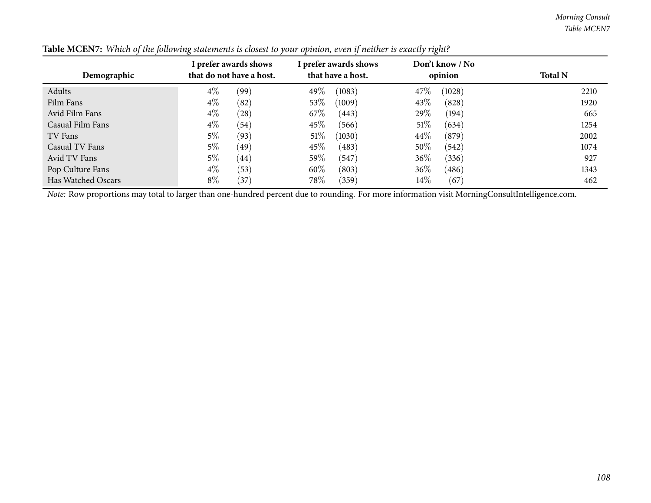*Morning Consult Table MCEN7*

| Demographic        | I prefer awards shows<br>that do not have a host. | I prefer awards shows<br>that have a host. | Don't know / No<br>opinion | <b>Total N</b> |
|--------------------|---------------------------------------------------|--------------------------------------------|----------------------------|----------------|
| Adults             | $4\%$<br>(99)                                     | 49\%<br>(1083)                             | 47\%<br>(1028)             | 2210           |
| Film Fans          | $4\%$<br>(82)                                     | $53\%$<br>(1009)                           | 43\%<br>(828)              | 1920           |
| Avid Film Fans     | $4\%$<br>(28)                                     | 67\%<br>(443)                              | 29\%<br>(194)              | 665            |
| Casual Film Fans   | $4\%$<br>(54)                                     | $45\%$<br>(566)                            | 51%<br>(634)               | 1254           |
| TV Fans            | $5\%$<br>(93)                                     | 51%<br>(1030)                              | 44\%<br>(879)              | 2002           |
| Casual TV Fans     | $5\%$<br>(49)                                     | $45\%$<br>(483)                            | 50%<br>(542)               | 1074           |
| Avid TV Fans       | 5%<br>(44)                                        | 59\%<br>(547)                              | $36\%$<br>(336)            | 927            |
| Pop Culture Fans   | $4\%$<br>(53)                                     | 60\%<br>(803)                              | $36\%$<br>(486)            | 1343           |
| Has Watched Oscars | $8\%$<br>(37)                                     | 78\%<br>(359)                              | $14\%$<br>(67)             | 462            |

| Table MCEN7: Which of the following statements is closest to your opinion, even if neither is exactly right? |  |  |
|--------------------------------------------------------------------------------------------------------------|--|--|
|--------------------------------------------------------------------------------------------------------------|--|--|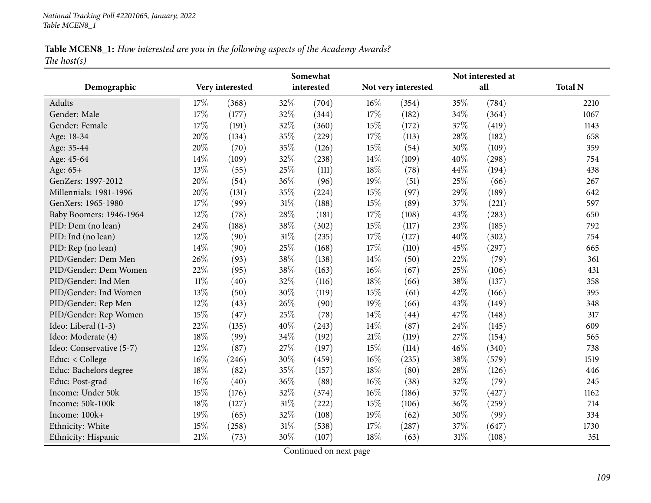*National Tracking Poll #2201065, January, <sup>2022</sup> Table MCEN8\_1*

# Table MCEN8\_1: How interested are you in the following aspects of the Academy Awards? *The host(s)*

|                          | Somewhat |                 |     |            | Not interested at |                     |      |       |                |  |
|--------------------------|----------|-----------------|-----|------------|-------------------|---------------------|------|-------|----------------|--|
| Demographic              |          | Very interested |     | interested |                   | Not very interested |      | all   | <b>Total N</b> |  |
| Adults                   | 17%      | (368)           | 32% | (704)      | 16%               | (354)               | 35%  | (784) | 2210           |  |
| Gender: Male             | 17%      | (177)           | 32% | (344)      | 17%               | (182)               | 34%  | (364) | 1067           |  |
| Gender: Female           | 17%      | (191)           | 32% | (360)      | 15%               | (172)               | 37%  | (419) | 1143           |  |
| Age: 18-34               | 20%      | (134)           | 35% | (229)      | 17%               | (113)               | 28%  | (182) | 658            |  |
| Age: 35-44               | 20%      | (70)            | 35% | (126)      | 15%               | (54)                | 30%  | (109) | 359            |  |
| Age: 45-64               | 14\%     | (109)           | 32% | (238)      | 14\%              | (109)               | 40%  | (298) | 754            |  |
| Age: 65+                 | 13%      | (55)            | 25% | (111)      | 18%               | (78)                | 44\% | (194) | 438            |  |
| GenZers: 1997-2012       | 20%      | (54)            | 36% | (96)       | 19%               | (51)                | 25%  | (66)  | 267            |  |
| Millennials: 1981-1996   | 20%      | (131)           | 35% | (224)      | 15%               | (97)                | 29%  | (189) | 642            |  |
| GenXers: 1965-1980       | 17%      | (99)            | 31% | (188)      | 15%               | (89)                | 37%  | (221) | 597            |  |
| Baby Boomers: 1946-1964  | 12%      | (78)            | 28% | (181)      | 17%               | (108)               | 43%  | (283) | 650            |  |
| PID: Dem (no lean)       | 24%      | (188)           | 38% | (302)      | 15%               | (117)               | 23%  | (185) | 792            |  |
| PID: Ind (no lean)       | 12%      | (90)            | 31% | (235)      | 17%               | (127)               | 40%  | (302) | 754            |  |
| PID: Rep (no lean)       | 14%      | (90)            | 25% | (168)      | 17%               | (110)               | 45%  | (297) | 665            |  |
| PID/Gender: Dem Men      | 26%      | (93)            | 38% | (138)      | 14\%              | (50)                | 22%  | (79)  | 361            |  |
| PID/Gender: Dem Women    | 22%      | (95)            | 38% | (163)      | 16%               | (67)                | 25%  | (106) | 431            |  |
| PID/Gender: Ind Men      | $11\%$   | (40)            | 32% | (116)      | 18%               | (66)                | 38%  | (137) | 358            |  |
| PID/Gender: Ind Women    | 13%      | (50)            | 30% | (119)      | 15%               | (61)                | 42%  | (166) | 395            |  |
| PID/Gender: Rep Men      | 12%      | (43)            | 26% | (90)       | 19%               | (66)                | 43%  | (149) | 348            |  |
| PID/Gender: Rep Women    | 15%      | (47)            | 25% | (78)       | 14%               | (44)                | 47%  | (148) | 317            |  |
| Ideo: Liberal (1-3)      | 22%      | (135)           | 40% | (243)      | 14%               | (87)                | 24%  | (145) | 609            |  |
| Ideo: Moderate (4)       | 18%      | (99)            | 34% | (192)      | 21%               | (119)               | 27%  | (154) | 565            |  |
| Ideo: Conservative (5-7) | 12%      | (87)            | 27% | (197)      | 15%               | (114)               | 46%  | (340) | 738            |  |
| Educ: < College          | 16%      | (246)           | 30% | (459)      | 16%               | (235)               | 38%  | (579) | 1519           |  |
| Educ: Bachelors degree   | 18%      | (82)            | 35% | (157)      | 18%               | (80)                | 28%  | (126) | 446            |  |
| Educ: Post-grad          | 16%      | (40)            | 36% | (88)       | 16%               | (38)                | 32%  | (79)  | 245            |  |
| Income: Under 50k        | 15%      | (176)           | 32% | (374)      | 16%               | (186)               | 37%  | (427) | 1162           |  |
| Income: 50k-100k         | 18%      | (127)           | 31% | (222)      | 15%               | (106)               | 36%  | (259) | 714            |  |
| Income: 100k+            | 19%      | (65)            | 32% | (108)      | 19%               | (62)                | 30%  | (99)  | 334            |  |
| Ethnicity: White         | 15%      | (258)           | 31% | (538)      | 17\%              | (287)               | 37%  | (647) | 1730           |  |
| Ethnicity: Hispanic      | 21%      | (73)            | 30% | (107)      | 18%               | (63)                | 31%  | (108) | 351            |  |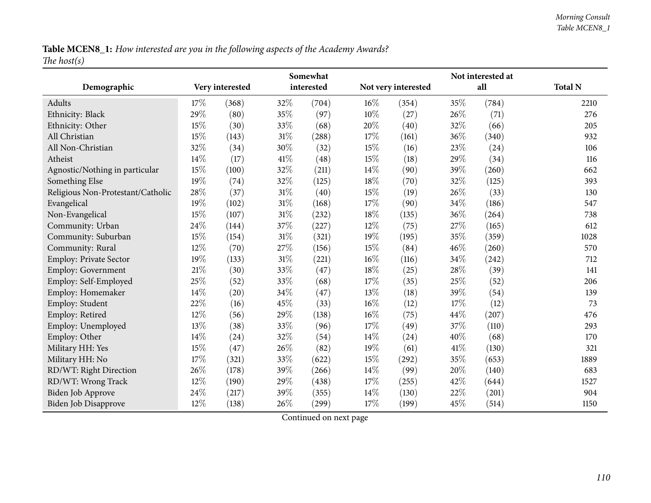Table MCEN8\_1: How interested are you in the following aspects of the Academy Awards? *The host(s)*

|                                   |      |                 |        | Somewhat   |        |                     |      | Not interested at |                |
|-----------------------------------|------|-----------------|--------|------------|--------|---------------------|------|-------------------|----------------|
| Demographic                       |      | Very interested |        | interested |        | Not very interested |      | all               | <b>Total N</b> |
| Adults                            | 17\% | (368)           | 32%    | (704)      | $16\%$ | (354)               | 35%  | (784)             | 2210           |
| Ethnicity: Black                  | 29%  | (80)            | 35%    | (97)       | 10%    | (27)                | 26\% | (71)              | 276            |
| Ethnicity: Other                  | 15%  | (30)            | 33%    | (68)       | 20%    | (40)                | 32%  | (66)              | 205            |
| All Christian                     | 15%  | (143)           | $31\%$ | (288)      | 17%    | (161)               | 36%  | (340)             | 932            |
| All Non-Christian                 | 32%  | (34)            | 30%    | (32)       | 15%    | (16)                | 23%  | (24)              | 106            |
| Atheist                           | 14\% | (17)            | 41\%   | (48)       | 15%    | (18)                | 29%  | (34)              | 116            |
| Agnostic/Nothing in particular    | 15%  | (100)           | 32%    | (211)      | 14%    | (90)                | 39%  | (260)             | 662            |
| Something Else                    | 19%  | (74)            | 32%    | (125)      | 18%    | (70)                | 32%  | (125)             | 393            |
| Religious Non-Protestant/Catholic | 28%  | (37)            | $31\%$ | (40)       | 15%    | (19)                | 26%  | (33)              | 130            |
| Evangelical                       | 19%  | (102)           | $31\%$ | (168)      | 17%    | (90)                | 34%  | (186)             | 547            |
| Non-Evangelical                   | 15%  | (107)           | $31\%$ | (232)      | 18%    | (135)               | 36%  | (264)             | 738            |
| Community: Urban                  | 24%  | (144)           | 37%    | (227)      | 12%    | (75)                | 27%  | (165)             | 612            |
| Community: Suburban               | 15%  | (154)           | 31%    | (321)      | 19%    | (195)               | 35%  | (359)             | 1028           |
| Community: Rural                  | 12%  | (70)            | 27%    | (156)      | 15%    | (84)                | 46%  | (260)             | 570            |
| <b>Employ: Private Sector</b>     | 19%  | (133)           | 31%    | (221)      | 16%    | (116)               | 34%  | (242)             | 712            |
| <b>Employ: Government</b>         | 21%  | (30)            | 33%    | (47)       | 18%    | (25)                | 28%  | (39)              | 141            |
| Employ: Self-Employed             | 25%  | (52)            | 33%    | (68)       | 17%    | (35)                | 25%  | (52)              | 206            |
| Employ: Homemaker                 | 14%  | (20)            | 34%    | (47)       | 13%    | (18)                | 39%  | (54)              | 139            |
| Employ: Student                   | 22%  | (16)            | 45%    | (33)       | 16%    | (12)                | 17%  | (12)              | 73             |
| Employ: Retired                   | 12%  | (56)            | 29%    | (138)      | 16%    | (75)                | 44%  | (207)             | 476            |
| Employ: Unemployed                | 13%  | (38)            | 33%    | (96)       | 17%    | (49)                | 37%  | (110)             | 293            |
| Employ: Other                     | 14%  | (24)            | 32%    | (54)       | 14%    | (24)                | 40%  | (68)              | 170            |
| Military HH: Yes                  | 15%  | (47)            | 26%    | (82)       | 19%    | (61)                | 41\% | (130)             | 321            |
| Military HH: No                   | 17%  | (321)           | 33%    | (622)      | 15%    | (292)               | 35%  | (653)             | 1889           |
| RD/WT: Right Direction            | 26%  | (178)           | 39%    | (266)      | 14%    | (99)                | 20%  | (140)             | 683            |
| RD/WT: Wrong Track                | 12%  | (190)           | 29%    | (438)      | 17%    | (255)               | 42%  | (644)             | 1527           |
| <b>Biden Job Approve</b>          | 24%  | (217)           | 39%    | (355)      | 14\%   | (130)               | 22%  | (201)             | 904            |
| <b>Biden Job Disapprove</b>       | 12%  | (138)           | 26%    | (299)      | 17%    | (199)               | 45%  | (514)             | 1150           |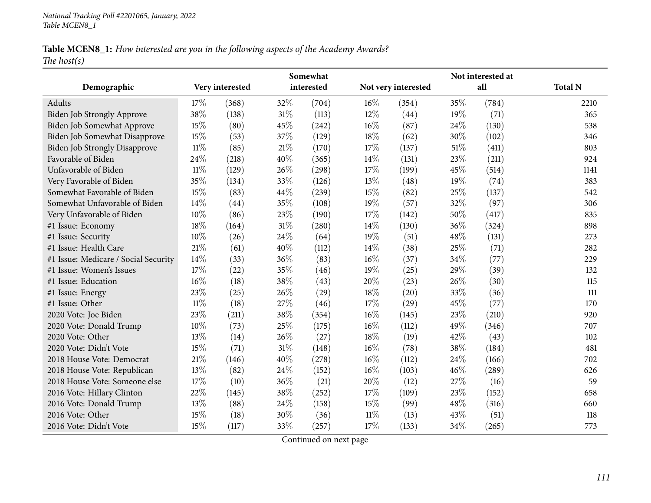# Table MCEN8\_1: How interested are you in the following aspects of the Academy Awards? *The host(s)*

|                                      |        |                 |      | Somewhat   | Not interested at |                     |      |       |                |  |
|--------------------------------------|--------|-----------------|------|------------|-------------------|---------------------|------|-------|----------------|--|
| Demographic                          |        | Very interested |      | interested |                   | Not very interested |      | all   | <b>Total N</b> |  |
| Adults                               | 17%    | (368)           | 32%  | (704)      | $16\%$            | (354)               | 35%  | (784) | 2210           |  |
| Biden Job Strongly Approve           | 38%    | (138)           | 31%  | (113)      | 12%               | (44)                | 19%  | (71)  | 365            |  |
| Biden Job Somewhat Approve           | 15%    | (80)            | 45%  | (242)      | 16%               | (87)                | 24\% | (130) | 538            |  |
| Biden Job Somewhat Disapprove        | 15\%   | (53)            | 37%  | (129)      | 18%               | (62)                | 30%  | (102) | 346            |  |
| <b>Biden Job Strongly Disapprove</b> | 11%    | (85)            | 21\% | (170)      | 17%               | (137)               | 51%  | (411) | 803            |  |
| Favorable of Biden                   | 24%    | (218)           | 40%  | (365)      | 14%               | (131)               | 23%  | (211) | 924            |  |
| Unfavorable of Biden                 | $11\%$ | (129)           | 26%  | (298)      | 17%               | (199)               | 45%  | (514) | 1141           |  |
| Very Favorable of Biden              | 35%    | (134)           | 33%  | (126)      | 13%               | (48)                | 19%  | (74)  | 383            |  |
| Somewhat Favorable of Biden          | 15%    | (83)            | 44%  | (239)      | 15%               | (82)                | 25%  | (137) | 542            |  |
| Somewhat Unfavorable of Biden        | 14%    | (44)            | 35%  | (108)      | 19%               | (57)                | 32%  | (97)  | 306            |  |
| Very Unfavorable of Biden            | 10%    | (86)            | 23%  | (190)      | 17%               | (142)               | 50%  | (417) | 835            |  |
| #1 Issue: Economy                    | 18%    | (164)           | 31%  | (280)      | 14%               | (130)               | 36%  | (324) | 898            |  |
| #1 Issue: Security                   | 10%    | (26)            | 24%  | (64)       | 19%               | (51)                | 48%  | (131) | 273            |  |
| #1 Issue: Health Care                | 21%    | (61)            | 40%  | (112)      | 14%               | (38)                | 25%  | (71)  | 282            |  |
| #1 Issue: Medicare / Social Security | 14%    | (33)            | 36%  | (83)       | 16%               | (37)                | 34%  | (77)  | 229            |  |
| #1 Issue: Women's Issues             | 17%    | (22)            | 35%  | (46)       | 19%               | (25)                | 29%  | (39)  | 132            |  |
| #1 Issue: Education                  | 16%    | (18)            | 38%  | (43)       | 20%               | (23)                | 26%  | (30)  | 115            |  |
| #1 Issue: Energy                     | 23%    | (25)            | 26\% | (29)       | 18%               | (20)                | 33%  | (36)  | 111            |  |
| #1 Issue: Other                      | 11%    | (18)            | 27%  | (46)       | 17%               | (29)                | 45%  | (77)  | 170            |  |
| 2020 Vote: Joe Biden                 | 23%    | (211)           | 38%  | (354)      | 16%               | (145)               | 23%  | (210) | 920            |  |
| 2020 Vote: Donald Trump              | 10%    | (73)            | 25%  | (175)      | 16%               | (112)               | 49%  | (346) | 707            |  |
| 2020 Vote: Other                     | 13%    | (14)            | 26%  | (27)       | 18%               | (19)                | 42%  | (43)  | 102            |  |
| 2020 Vote: Didn't Vote               | 15%    | (71)            | 31%  | (148)      | 16%               | (78)                | 38%  | (184) | 481            |  |
| 2018 House Vote: Democrat            | 21%    | (146)           | 40%  | (278)      | 16%               | (112)               | 24%  | (166) | 702            |  |
| 2018 House Vote: Republican          | 13%    | (82)            | 24%  | (152)      | 16%               | (103)               | 46%  | (289) | 626            |  |
| 2018 House Vote: Someone else        | 17%    | (10)            | 36%  | (21)       | 20%               | (12)                | 27%  | (16)  | 59             |  |
| 2016 Vote: Hillary Clinton           | 22%    | (145)           | 38%  | (252)      | 17%               | (109)               | 23%  | (152) | 658            |  |
| 2016 Vote: Donald Trump              | 13%    | (88)            | 24%  | (158)      | 15%               | (99)                | 48%  | (316) | 660            |  |
| 2016 Vote: Other                     | 15%    | (18)            | 30%  | (36)       | 11%               | (13)                | 43%  | (51)  | 118            |  |
| 2016 Vote: Didn't Vote               | 15%    | (117)           | 33%  | (257)      | 17%               | (133)               | 34%  | (265) | 773            |  |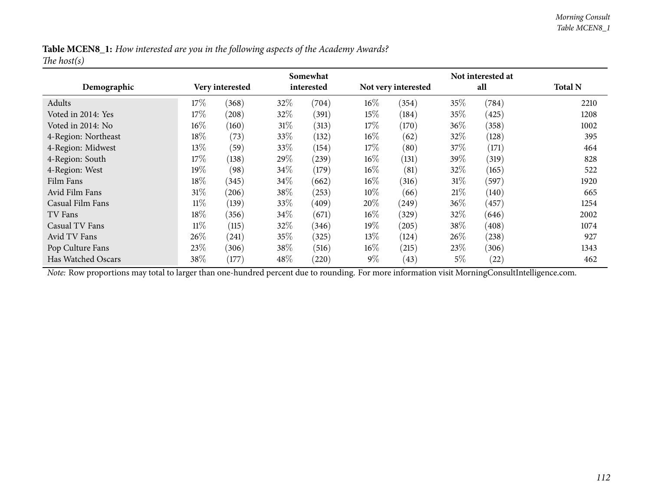|                | Table MCEN8_1: How interested are you in the following aspects of the Academy Awards? |
|----------------|---------------------------------------------------------------------------------------|
| The host $(s)$ |                                                                                       |

|                     |        |                 |        | Somewhat   |        |                     |        | Not interested at |                |
|---------------------|--------|-----------------|--------|------------|--------|---------------------|--------|-------------------|----------------|
| Demographic         |        | Very interested |        | interested |        | Not very interested |        | all               | <b>Total N</b> |
| Adults              | 17%    | (368)           | 32\%   | (704)      | $16\%$ | (354)               | 35%    | (784)             | 2210           |
| Voted in 2014: Yes  | $17\%$ | (208)           | 32%    | (391)      | $15\%$ | (184)               | $35\%$ | (425)             | 1208           |
| Voted in 2014: No   | $16\%$ | (160)           | 31%    | (313)      | $17\%$ | (170)               | $36\%$ | (358)             | 1002           |
| 4-Region: Northeast | 18%    | (73)            | 33\%   | (132)      | $16\%$ | (62)                | $32\%$ | (128)             | 395            |
| 4-Region: Midwest   | 13\%   | (59)            | 33\%   | (154)      | $17\%$ | (80)                | 37\%   | (171)             | 464            |
| 4-Region: South     | 17%    | (138)           | 29%    | (239)      | $16\%$ | (131)               | $39\%$ | (319)             | 828            |
| 4-Region: West      | 19%    | (98)            | $34\%$ | (179)      | $16\%$ | (81)                | $32\%$ | (165)             | 522            |
| Film Fans           | $18\%$ | (345)           | $34\%$ | (662)      | $16\%$ | (316)               | 31%    | (597)             | 1920           |
| Avid Film Fans      | 31%    | (206)           | 38%    | (253)      | $10\%$ | (66)                | 21%    | (140)             | 665            |
| Casual Film Fans    | $11\%$ | (139)           | 33%    | (409)      | 20%    | (249)               | $36\%$ | (457)             | 1254           |
| TV Fans             | $18\%$ | (356)           | 34\%   | (671)      | $16\%$ | (329)               | $32\%$ | (646)             | 2002           |
| Casual TV Fans      | $11\%$ | (115)           | 32\%   | (346)      | $19\%$ | (205)               | 38\%   | (408)             | 1074           |
| Avid TV Fans        | 26%    | (241)           | 35\%   | (325)      | $13\%$ | (124)               | $26\%$ | (238)             | 927            |
| Pop Culture Fans    | 23\%   | (306)           | 38\%   | (516)      | $16\%$ | (215)               | 23\%   | (306)             | 1343           |
| Has Watched Oscars  | 38%    | (177)           | 48%    | (220)      | $9\%$  | (43)                | $5\%$  | (22)              | 462            |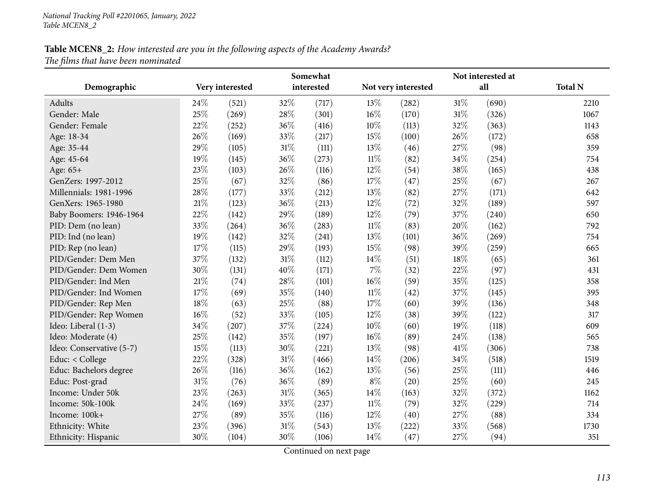|                          | Somewhat |                 |        |            | Not interested at |                     |        |                     |                |  |
|--------------------------|----------|-----------------|--------|------------|-------------------|---------------------|--------|---------------------|----------------|--|
| Demographic              |          | Very interested |        | interested |                   | Not very interested |        | all                 | <b>Total N</b> |  |
| Adults                   | 24%      | (521)           | 32%    | (717)      | 13%               | (282)               | $31\%$ | (690)               | 2210           |  |
| Gender: Male             | 25%      | (269)           | 28%    | (301)      | $16\%$            | (170)               | $31\%$ | (326)               | 1067           |  |
| Gender: Female           | 22%      | (252)           | 36%    | (416)      | $10\%$            | (113)               | 32%    | (363)               | 1143           |  |
| Age: 18-34               | 26%      | (169)           | 33%    | (217)      | 15%               | (100)               | 26\%   | (172)               | 658            |  |
| Age: 35-44               | 29%      | (105)           | $31\%$ | (111)      | $13\%$            | (46)                | 27\%   | (98)                | 359            |  |
| Age: 45-64               | 19%      | (145)           | 36%    | (273)      | $11\%$            | (82)                | 34%    | (254)               | 754            |  |
| Age: 65+                 | 23%      | (103)           | 26%    | (116)      | $12\%$            | (54)                | 38%    | (165)               | 438            |  |
| GenZers: 1997-2012       | 25%      | (67)            | 32%    | (86)       | 17%               | (47)                | 25%    | (67)                | 267            |  |
| Millennials: 1981-1996   | 28%      | (177)           | 33%    | (212)      | 13%               | (82)                | 27%    | (171)               | 642            |  |
| GenXers: 1965-1980       | 21%      | (123)           | 36%    | (213)      | 12%               | (72)                | 32%    | (189)               | 597            |  |
| Baby Boomers: 1946-1964  | 22%      | (142)           | 29%    | (189)      | 12%               | (79)                | 37%    | (240)               | 650            |  |
| PID: Dem (no lean)       | 33%      | (264)           | 36%    | (283)      | $11\%$            | (83)                | 20%    | (162)               | 792            |  |
| PID: Ind (no lean)       | 19%      | (142)           | 32%    | (241)      | 13%               | (101)               | 36%    | (269)               | 754            |  |
| PID: Rep (no lean)       | 17%      | (115)           | 29%    | (193)      | 15%               | (98)                | 39%    | (259)               | 665            |  |
| PID/Gender: Dem Men      | 37%      | (132)           | $31\%$ | (112)      | 14\%              | (51)                | 18%    | (65)                | 361            |  |
| PID/Gender: Dem Women    | 30%      | (131)           | 40%    | (171)      | 7%                | (32)                | 22%    | (97)                | 431            |  |
| PID/Gender: Ind Men      | 21%      | (74)            | 28%    | (101)      | $16\%$            | (59)                | 35%    | (125)               | 358            |  |
| PID/Gender: Ind Women    | 17%      | (69)            | 35%    | (140)      | $11\%$            | (42)                | 37%    | (145)               | 395            |  |
| PID/Gender: Rep Men      | 18%      | (63)            | 25%    | (88)       | 17%               | (60)                | 39%    | (136)               | 348            |  |
| PID/Gender: Rep Women    | 16%      | (52)            | 33%    | (105)      | 12%               | (38)                | 39%    | (122)               | 317            |  |
| Ideo: Liberal (1-3)      | 34%      | (207)           | 37%    | (224)      | 10%               | (60)                | 19%    | (118)               | 609            |  |
| Ideo: Moderate (4)       | 25%      | (142)           | 35%    | (197)      | 16%               | (89)                | 24\%   | (138)               | 565            |  |
| Ideo: Conservative (5-7) | 15%      | (113)           | 30%    | (221)      | 13%               | (98)                | 41\%   | (306)               | 738            |  |
| Educ: < College          | 22%      | (328)           | $31\%$ | (466)      | 14%               | (206)               | 34%    | (518)               | 1519           |  |
| Educ: Bachelors degree   | 26%      | (116)           | 36%    | (162)      | $13\%$            | (56)                | 25%    | (111)               | 446            |  |
| Educ: Post-grad          | 31%      | (76)            | 36%    | (89)       | $8\%$             | (20)                | 25%    | (60)                | 245            |  |
| Income: Under 50k        | 23%      | (263)           | $31\%$ | (365)      | 14\%              | (163)               | 32%    | (372)               | 1162           |  |
| Income: 50k-100k         | 24%      | (169)           | 33%    | (237)      | $11\%$            | (79)                | 32%    | $\left( 229\right)$ | 714            |  |
| Income: 100k+            | 27%      | (89)            | 35%    | (116)      | 12%               | (40)                | 27\%   | (88)                | 334            |  |
| Ethnicity: White         | 23%      | (396)           | 31%    | (543)      | 13%               | (222)               | 33%    | (568)               | 1730           |  |
| Ethnicity: Hispanic      | 30%      | (104)           | 30%    | (106)      | 14%               | (47)                | 27%    | (94)                | 351            |  |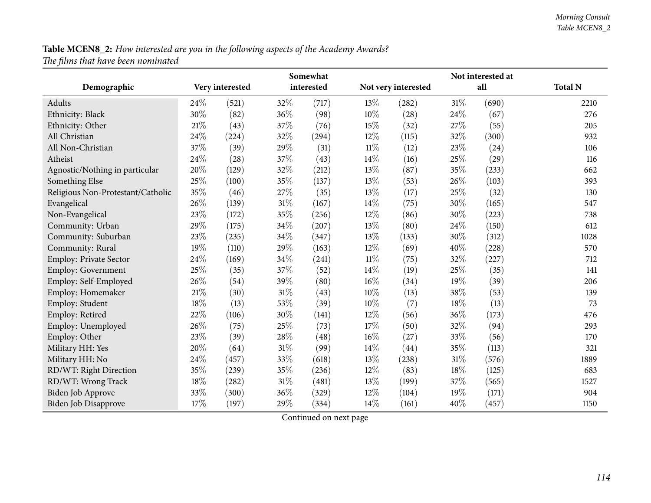|                                   |     | Somewhat        |        | Not interested at |        |                     |     |       |                |
|-----------------------------------|-----|-----------------|--------|-------------------|--------|---------------------|-----|-------|----------------|
| Demographic                       |     | Very interested |        | interested        |        | Not very interested |     | all   | <b>Total N</b> |
| Adults                            | 24% | (521)           | 32%    | (717)             | 13\%   | (282)               | 31% | (690) | 2210           |
| Ethnicity: Black                  | 30% | (82)            | 36%    | (98)              | $10\%$ | (28)                | 24% | (67)  | 276            |
| Ethnicity: Other                  | 21% | (43)            | 37%    | (76)              | 15%    | (32)                | 27% | (55)  | 205            |
| All Christian                     | 24% | (224)           | 32%    | (294)             | 12%    | (115)               | 32% | (300) | 932            |
| All Non-Christian                 | 37% | (39)            | 29%    | (31)              | $11\%$ | (12)                | 23% | (24)  | 106            |
| Atheist                           | 24% | (28)            | 37%    | (43)              | 14%    | (16)                | 25% | (29)  | 116            |
| Agnostic/Nothing in particular    | 20% | (129)           | 32%    | (212)             | 13%    | (87)                | 35% | (233) | 662            |
| Something Else                    | 25% | (100)           | $35\%$ | (137)             | 13%    | (53)                | 26% | (103) | 393            |
| Religious Non-Protestant/Catholic | 35% | (46)            | 27%    | (35)              | 13%    | (17)                | 25% | (32)  | 130            |
| Evangelical                       | 26% | (139)           | 31%    | (167)             | 14%    | (75)                | 30% | (165) | 547            |
| Non-Evangelical                   | 23% | (172)           | $35\%$ | (256)             | 12%    | (86)                | 30% | (223) | 738            |
| Community: Urban                  | 29% | (175)           | 34%    | (207)             | 13%    | (80)                | 24% | (150) | 612            |
| Community: Suburban               | 23% | (235)           | $34\%$ | (347)             | 13%    | (133)               | 30% | (312) | 1028           |
| Community: Rural                  | 19% | (110)           | 29%    | (163)             | 12%    | (69)                | 40% | (228) | 570            |
| Employ: Private Sector            | 24% | (169)           | 34%    | (241)             | $11\%$ | (75)                | 32% | (227) | 712            |
| Employ: Government                | 25% | (35)            | 37%    | (52)              | 14%    | (19)                | 25% | (35)  | 141            |
| Employ: Self-Employed             | 26% | (54)            | 39%    | (80)              | 16%    | (34)                | 19% | (39)  | 206            |
| Employ: Homemaker                 | 21% | (30)            | $31\%$ | (43)              | 10%    | (13)                | 38% | (53)  | 139            |
| Employ: Student                   | 18% | (13)            | 53%    | (39)              | 10%    | (7)                 | 18% | (13)  | 73             |
| Employ: Retired                   | 22% | (106)           | 30%    | (141)             | 12%    | (56)                | 36% | (173) | 476            |
| Employ: Unemployed                | 26% | (75)            | 25%    | (73)              | 17%    | (50)                | 32% | (94)  | 293            |
| Employ: Other                     | 23% | (39)            | $28\%$ | (48)              | 16%    | (27)                | 33% | (56)  | 170            |
| Military HH: Yes                  | 20% | (64)            | 31%    | (99)              | 14%    | (44)                | 35% | (113) | 321            |
| Military HH: No                   | 24% | (457)           | 33%    | (618)             | 13%    | (238)               | 31% | (576) | 1889           |
| RD/WT: Right Direction            | 35% | (239)           | 35%    | (236)             | 12%    | (83)                | 18% | (125) | 683            |
| RD/WT: Wrong Track                | 18% | (282)           | $31\%$ | (481)             | 13%    | (199)               | 37% | (565) | 1527           |
| Biden Job Approve                 | 33% | (300)           | 36%    | (329)             | 12%    | (104)               | 19% | (171) | 904            |
| <b>Biden Job Disapprove</b>       | 17% | (197)           | 29%    | (334)             | 14%    | (161)               | 40% | (457) | 1150           |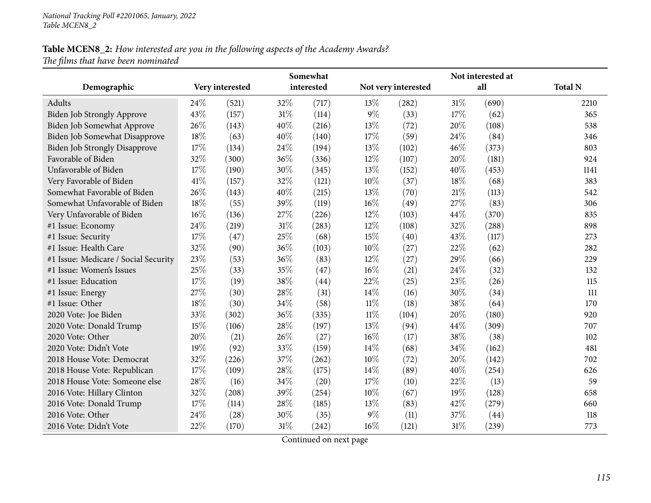|                                      |      |                 |     | Somewhat   |        | Not interested at   |     |       |                |  |
|--------------------------------------|------|-----------------|-----|------------|--------|---------------------|-----|-------|----------------|--|
| Demographic                          |      | Very interested |     | interested |        | Not very interested |     | all   | <b>Total N</b> |  |
| Adults                               | 24%  | (521)           | 32% | (717)      | 13\%   | (282)               | 31% | (690) | 2210           |  |
| <b>Biden Job Strongly Approve</b>    | 43%  | (157)           | 31% | (114)      | $9\%$  | (33)                | 17% | (62)  | 365            |  |
| Biden Job Somewhat Approve           | 26%  | (143)           | 40% | (216)      | 13%    | (72)                | 20% | (108) | 538            |  |
| Biden Job Somewhat Disapprove        | 18%  | (63)            | 40% | (140)      | 17%    | (59)                | 24% | (84)  | 346            |  |
| <b>Biden Job Strongly Disapprove</b> | 17%  | (134)           | 24% | (194)      | 13%    | (102)               | 46% | (373) | 803            |  |
| Favorable of Biden                   | 32%  | (300)           | 36% | (336)      | 12%    | (107)               | 20% | (181) | 924            |  |
| Unfavorable of Biden                 | 17%  | (190)           | 30% | (345)      | 13%    | (152)               | 40% | (453) | 1141           |  |
| Very Favorable of Biden              | 41\% | (157)           | 32% | (121)      | 10%    | (37)                | 18% | (68)  | 383            |  |
| Somewhat Favorable of Biden          | 26%  | (143)           | 40% | (215)      | 13%    | (70)                | 21% | (113) | 542            |  |
| Somewhat Unfavorable of Biden        | 18%  | (55)            | 39% | (119)      | 16%    | (49)                | 27% | (83)  | 306            |  |
| Very Unfavorable of Biden            | 16%  | (136)           | 27% | (226)      | 12%    | (103)               | 44% | (370) | 835            |  |
| #1 Issue: Economy                    | 24\% | (219)           | 31% | (283)      | 12%    | (108)               | 32% | (288) | 898            |  |
| #1 Issue: Security                   | 17%  | (47)            | 25% | (68)       | 15%    | (40)                | 43% | (117) | 273            |  |
| #1 Issue: Health Care                | 32%  | (90)            | 36% | (103)      | 10%    | (27)                | 22% | (62)  | 282            |  |
| #1 Issue: Medicare / Social Security | 23%  | (53)            | 36% | (83)       | 12%    | (27)                | 29% | (66)  | 229            |  |
| #1 Issue: Women's Issues             | 25%  | (33)            | 35% | (47)       | 16%    | (21)                | 24% | (32)  | 132            |  |
| #1 Issue: Education                  | 17%  | (19)            | 38% | (44)       | 22%    | (25)                | 23% | (26)  | 115            |  |
| #1 Issue: Energy                     | 27%  | (30)            | 28% | (31)       | 14%    | (16)                | 30% | (34)  | 111            |  |
| #1 Issue: Other                      | 18%  | (30)            | 34% | (58)       | $11\%$ | (18)                | 38% | (64)  | 170            |  |
| 2020 Vote: Joe Biden                 | 33%  | (302)           | 36% | (335)      | $11\%$ | (104)               | 20% | (180) | 920            |  |
| 2020 Vote: Donald Trump              | 15%  | (106)           | 28% | (197)      | 13%    | (94)                | 44% | (309) | 707            |  |
| 2020 Vote: Other                     | 20%  | (21)            | 26% | (27)       | 16%    | (17)                | 38% | (38)  | 102            |  |
| 2020 Vote: Didn't Vote               | 19%  | (92)            | 33% | (159)      | 14\%   | (68)                | 34% | (162) | 481            |  |
| 2018 House Vote: Democrat            | 32%  | (226)           | 37% | (262)      | 10%    | (72)                | 20% | (142) | 702            |  |
| 2018 House Vote: Republican          | 17%  | (109)           | 28% | (175)      | 14%    | (89)                | 40% | (254) | 626            |  |
| 2018 House Vote: Someone else        | 28%  | (16)            | 34% | (20)       | 17%    | (10)                | 22% | (13)  | 59             |  |
| 2016 Vote: Hillary Clinton           | 32%  | (208)           | 39% | (254)      | 10%    | (67)                | 19% | (128) | 658            |  |
| 2016 Vote: Donald Trump              | 17%  | (114)           | 28% | (185)      | $13\%$ | (83)                | 42% | (279) | 660            |  |
| 2016 Vote: Other                     | 24\% | (28)            | 30% | (35)       | $9\%$  | (11)                | 37% | (44)  | 118            |  |
| 2016 Vote: Didn't Vote               | 22%  | (170)           | 31% | (242)      | 16%    | (121)               | 31% | (239) | 773            |  |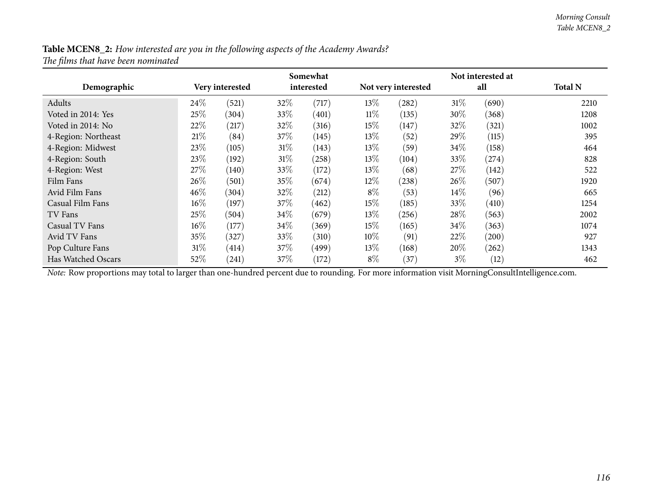|                     |        |                 |        | Somewhat   |        |                     |        | Not interested at |                |
|---------------------|--------|-----------------|--------|------------|--------|---------------------|--------|-------------------|----------------|
| Demographic         |        | Very interested |        | interested |        | Not very interested |        | all               | <b>Total N</b> |
| Adults              | 24\%   | (521)           | 32\%   | (717)      | $13\%$ | (282)               | 31%    | (690)             | 2210           |
| Voted in 2014: Yes  | 25%    | (304)           | 33\%   | (401)      | $11\%$ | (135)               | 30\%   | (368)             | 1208           |
| Voted in 2014: No   | 22%    | (217)           | 32\%   | (316)      | $15\%$ | (147)               | 32\%   | (321)             | 1002           |
| 4-Region: Northeast | 21%    | (84)            | 37\%   | (145)      | $13\%$ | (52)                | 29\%   | (115)             | 395            |
| 4-Region: Midwest   | 23\%   | (105)           | $31\%$ | (143)      | $13\%$ | (59)                | 34\%   | (158)             | 464            |
| 4-Region: South     | 23\%   | (192)           | $31\%$ | (258)      | $13\%$ | (104)               | 33\%   | (274)             | 828            |
| 4-Region: West      | 27\%   | (140)           | 33\%   | (172)      | $13\%$ | (68)                | 27%    | (142)             | 522            |
| Film Fans           | 26%    | (501)           | 35%    | (674)      | $12\%$ | (238)               | 26%    | (507)             | 1920           |
| Avid Film Fans      | $46\%$ | (304)           | 32%    | (212)      | $8\%$  | (53)                | $14\%$ | (96)              | 665            |
| Casual Film Fans    | $16\%$ | (197)           | 37%    | (462)      | $15\%$ | (185)               | 33\%   | (410)             | 1254           |
| TV Fans             | 25%    | (504)           | $34\%$ | (679)      | $13\%$ | (256)               | 28\%   | (563)             | 2002           |
| Casual TV Fans      | $16\%$ | (177)           | 34\%   | (369)      | $15\%$ | (165)               | 34%    | (363)             | 1074           |
| Avid TV Fans        | 35%    | (327)           | $33\%$ | (310)      | $10\%$ | (91)                | 22\%   | (200)             | 927            |
| Pop Culture Fans    | 31%    | (414)           | 37%    | (499)      | $13\%$ | (168)               | $20\%$ | (262)             | 1343           |
| Has Watched Oscars  | 52\%   | (241)           | 37%    | (172)      | $8\%$  | (37)                | $3\%$  | (12)              | 462            |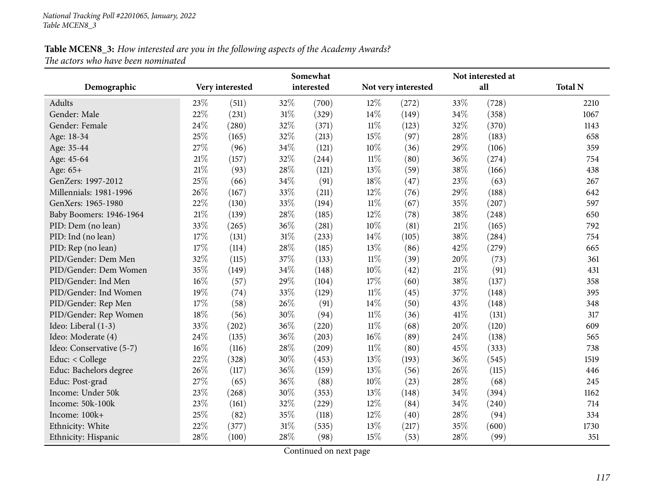|                          |        |                 |        | Somewhat   | Not interested at |                     |        |       |                |  |
|--------------------------|--------|-----------------|--------|------------|-------------------|---------------------|--------|-------|----------------|--|
| Demographic              |        | Very interested |        | interested |                   | Not very interested |        | all   | <b>Total N</b> |  |
| Adults                   | 23%    | (511)           | 32%    | (700)      | 12%               | (272)               | 33%    | (728) | 2210           |  |
| Gender: Male             | 22%    | (231)           | $31\%$ | (329)      | 14%               | (149)               | 34%    | (358) | 1067           |  |
| Gender: Female           | 24%    | (280)           | 32%    | (371)      | $11\%$            | (123)               | 32%    | (370) | 1143           |  |
| Age: 18-34               | 25%    | (165)           | 32%    | (213)      | 15%               | (97)                | 28%    | (183) | 658            |  |
| Age: 35-44               | 27%    | (96)            | 34%    | (121)      | $10\%$            | (36)                | 29%    | (106) | 359            |  |
| Age: 45-64               | 21%    | (157)           | 32%    | (244)      | $11\%$            | (80)                | 36%    | (274) | 754            |  |
| Age: 65+                 | 21%    | (93)            | 28%    | (121)      | 13%               | (59)                | 38%    | (166) | 438            |  |
| GenZers: 1997-2012       | 25%    | (66)            | 34%    | (91)       | 18%               | (47)                | 23%    | (63)  | 267            |  |
| Millennials: 1981-1996   | 26%    | (167)           | 33%    | (211)      | 12%               | (76)                | 29%    | (188) | 642            |  |
| GenXers: 1965-1980       | 22%    | (130)           | 33%    | (194)      | $11\%$            | (67)                | 35%    | (207) | 597            |  |
| Baby Boomers: 1946-1964  | 21%    | (139)           | 28%    | (185)      | $12\%$            | (78)                | 38%    | (248) | 650            |  |
| PID: Dem (no lean)       | 33%    | (265)           | 36%    | (281)      | 10%               | (81)                | 21\%   | (165) | 792            |  |
| PID: Ind (no lean)       | 17%    | (131)           | $31\%$ | (233)      | 14\%              | (105)               | 38%    | (284) | 754            |  |
| PID: Rep (no lean)       | 17%    | (114)           | 28%    | (185)      | 13%               | (86)                | 42%    | (279) | 665            |  |
| PID/Gender: Dem Men      | 32%    | (115)           | 37%    | (133)      | $11\%$            | (39)                | 20%    | (73)  | 361            |  |
| PID/Gender: Dem Women    | 35%    | (149)           | 34%    | (148)      | $10\%$            | (42)                | $21\%$ | (91)  | 431            |  |
| PID/Gender: Ind Men      | 16%    | (57)            | 29%    | (104)      | 17%               | (60)                | 38%    | (137) | 358            |  |
| PID/Gender: Ind Women    | 19%    | (74)            | 33%    | (129)      | $11\%$            | (45)                | 37%    | (148) | 395            |  |
| PID/Gender: Rep Men      | 17%    | (58)            | 26%    | (91)       | 14\%              | (50)                | 43%    | (148) | 348            |  |
| PID/Gender: Rep Women    | 18%    | (56)            | 30%    | (94)       | $11\%$            | (36)                | 41\%   | (131) | 317            |  |
| Ideo: Liberal (1-3)      | 33%    | (202)           | 36%    | (220)      | $11\%$            | (68)                | 20%    | (120) | 609            |  |
| Ideo: Moderate (4)       | 24%    | (135)           | 36%    | (203)      | $16\%$            | (89)                | 24%    | (138) | 565            |  |
| Ideo: Conservative (5-7) | $16\%$ | (116)           | 28%    | (209)      | $11\%$            | (80)                | 45%    | (333) | 738            |  |
| Educ: < College          | 22%    | (328)           | 30%    | (453)      | 13%               | (193)               | 36%    | (545) | 1519           |  |
| Educ: Bachelors degree   | 26%    | (117)           | 36%    | (159)      | 13%               | (56)                | 26%    | (115) | 446            |  |
| Educ: Post-grad          | 27%    | (65)            | 36%    | (88)       | $10\%$            | (23)                | 28%    | (68)  | 245            |  |
| Income: Under 50k        | 23%    | (268)           | 30%    | (353)      | 13%               | (148)               | 34%    | (394) | 1162           |  |
| Income: 50k-100k         | 23%    | (161)           | 32%    | (229)      | 12%               | (84)                | 34%    | (240) | 714            |  |
| Income: 100k+            | 25%    | (82)            | 35%    | (118)      | 12%               | (40)                | 28%    | (94)  | 334            |  |
| Ethnicity: White         | 22%    | (377)           | 31%    | (535)      | 13%               | (217)               | 35%    | (600) | 1730           |  |
| Ethnicity: Hispanic      | 28%    | (100)           | 28%    | (98)       | 15%               | (53)                | 28%    | (99)  | 351            |  |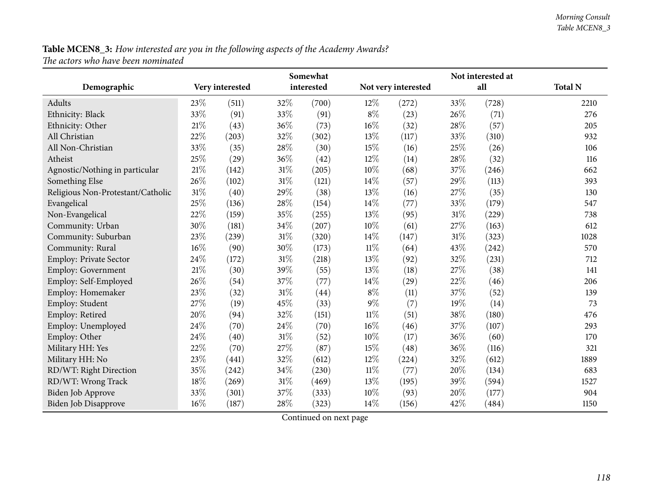|                                   |     |                 |        | Somewhat   |        | Not interested at   |     |       |                |  |
|-----------------------------------|-----|-----------------|--------|------------|--------|---------------------|-----|-------|----------------|--|
| Demographic                       |     | Very interested |        | interested |        | Not very interested |     | all   | <b>Total N</b> |  |
| Adults                            | 23% | (511)           | 32%    | (700)      | 12%    | (272)               | 33% | (728) | 2210           |  |
| Ethnicity: Black                  | 33% | (91)            | 33%    | (91)       | $8\%$  | (23)                | 26% | (71)  | 276            |  |
| Ethnicity: Other                  | 21% | (43)            | 36%    | (73)       | 16%    | (32)                | 28% | (57)  | 205            |  |
| All Christian                     | 22% | (203)           | 32%    | (302)      | 13%    | (117)               | 33% | (310) | 932            |  |
| All Non-Christian                 | 33% | (35)            | 28%    | (30)       | 15%    | (16)                | 25% | (26)  | 106            |  |
| Atheist                           | 25% | (29)            | 36%    | (42)       | 12%    | (14)                | 28% | (32)  | 116            |  |
| Agnostic/Nothing in particular    | 21% | (142)           | $31\%$ | (205)      | 10%    | (68)                | 37% | (246) | 662            |  |
| Something Else                    | 26% | (102)           | $31\%$ | (121)      | 14%    | (57)                | 29% | (113) | 393            |  |
| Religious Non-Protestant/Catholic | 31% | (40)            | 29%    | (38)       | 13%    | (16)                | 27% | (35)  | 130            |  |
| Evangelical                       | 25% | (136)           | 28%    | (154)      | 14%    | (77)                | 33% | (179) | 547            |  |
| Non-Evangelical                   | 22% | (159)           | 35%    | (255)      | 13%    | (95)                | 31% | (229) | 738            |  |
| Community: Urban                  | 30% | (181)           | $34\%$ | (207)      | 10%    | (61)                | 27% | (163) | 612            |  |
| Community: Suburban               | 23% | (239)           | 31%    | (320)      | 14\%   | (147)               | 31% | (323) | 1028           |  |
| Community: Rural                  | 16% | (90)            | 30%    | (173)      | $11\%$ | (64)                | 43% | (242) | 570            |  |
| Employ: Private Sector            | 24% | (172)           | 31%    | (218)      | 13%    | (92)                | 32% | (231) | 712            |  |
| <b>Employ: Government</b>         | 21% | (30)            | 39%    | (55)       | 13%    | (18)                | 27% | (38)  | 141            |  |
| Employ: Self-Employed             | 26% | (54)            | 37%    | (77)       | 14%    | (29)                | 22% | (46)  | 206            |  |
| Employ: Homemaker                 | 23% | (32)            | $31\%$ | (44)       | $8\%$  | (11)                | 37% | (52)  | 139            |  |
| Employ: Student                   | 27% | (19)            | 45%    | (33)       | $9\%$  | (7)                 | 19% | (14)  | 73             |  |
| Employ: Retired                   | 20% | (94)            | 32%    | (151)      | $11\%$ | (51)                | 38% | (180) | 476            |  |
| Employ: Unemployed                | 24% | (70)            | 24%    | (70)       | 16%    | (46)                | 37% | (107) | 293            |  |
| Employ: Other                     | 24% | (40)            | 31%    | (52)       | 10%    | (17)                | 36% | (60)  | 170            |  |
| Military HH: Yes                  | 22% | (70)            | 27%    | (87)       | 15%    | (48)                | 36% | (116) | 321            |  |
| Military HH: No                   | 23% | (441)           | 32%    | (612)      | 12%    | (224)               | 32% | (612) | 1889           |  |
| RD/WT: Right Direction            | 35% | (242)           | $34\%$ | (230)      | $11\%$ | (77)                | 20% | (134) | 683            |  |
| RD/WT: Wrong Track                | 18% | (269)           | 31%    | (469)      | 13%    | (195)               | 39% | (594) | 1527           |  |
| <b>Biden Job Approve</b>          | 33% | (301)           | 37%    | (333)      | 10%    | (93)                | 20% | (177) | 904            |  |
| <b>Biden Job Disapprove</b>       | 16% | (187)           | 28%    | (323)      | 14%    | (156)               | 42% | (484) | 1150           |  |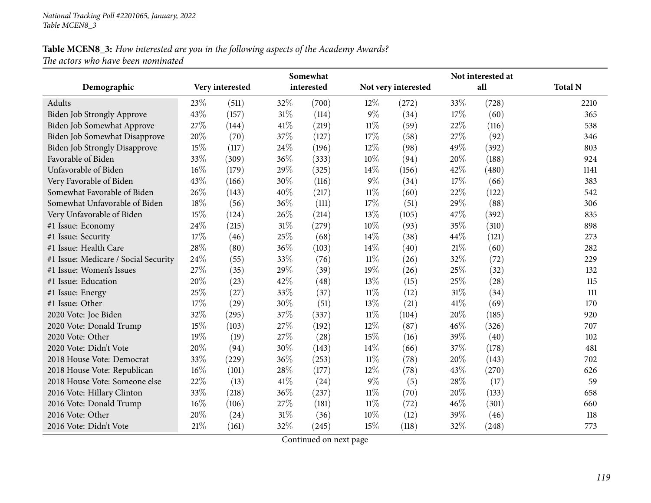| Somewhat                             |     |                 |      |            | Not interested at |                     |     |       |                |  |
|--------------------------------------|-----|-----------------|------|------------|-------------------|---------------------|-----|-------|----------------|--|
| Demographic                          |     | Very interested |      | interested |                   | Not very interested |     | all   | <b>Total N</b> |  |
| Adults                               | 23% | (511)           | 32%  | (700)      | 12%               | (272)               | 33% | (728) | 2210           |  |
| <b>Biden Job Strongly Approve</b>    | 43% | (157)           | 31%  | (114)      | $9\%$             | (34)                | 17% | (60)  | 365            |  |
| Biden Job Somewhat Approve           | 27% | (144)           | 41\% | (219)      | 11%               | (59)                | 22% | (116) | 538            |  |
| Biden Job Somewhat Disapprove        | 20% | (70)            | 37%  | (127)      | 17%               | (58)                | 27% | (92)  | 346            |  |
| Biden Job Strongly Disapprove        | 15% | (117)           | 24%  | (196)      | 12%               | (98)                | 49% | (392) | 803            |  |
| Favorable of Biden                   | 33% | (309)           | 36%  | (333)      | 10%               | (94)                | 20% | (188) | 924            |  |
| Unfavorable of Biden                 | 16% | (179)           | 29%  | (325)      | 14%               | (156)               | 42% | (480) | 1141           |  |
| Very Favorable of Biden              | 43% | (166)           | 30%  | (116)      | 9%                | (34)                | 17% | (66)  | 383            |  |
| Somewhat Favorable of Biden          | 26% | (143)           | 40%  | (217)      | $11\%$            | (60)                | 22% | (122) | 542            |  |
| Somewhat Unfavorable of Biden        | 18% | (56)            | 36%  | (111)      | 17%               | (51)                | 29% | (88)  | 306            |  |
| Very Unfavorable of Biden            | 15% | (124)           | 26%  | (214)      | 13%               | (105)               | 47% | (392) | 835            |  |
| #1 Issue: Economy                    | 24% | (215)           | 31%  | (279)      | 10%               | (93)                | 35% | (310) | 898            |  |
| #1 Issue: Security                   | 17% | (46)            | 25%  | (68)       | 14\%              | (38)                | 44% | (121) | 273            |  |
| #1 Issue: Health Care                | 28% | (80)            | 36%  | (103)      | 14%               | (40)                | 21% | (60)  | 282            |  |
| #1 Issue: Medicare / Social Security | 24% | (55)            | 33%  | (76)       | $11\%$            | (26)                | 32% | (72)  | 229            |  |
| #1 Issue: Women's Issues             | 27% | (35)            | 29%  | (39)       | 19%               | (26)                | 25% | (32)  | 132            |  |
| #1 Issue: Education                  | 20% | (23)            | 42%  | (48)       | 13%               | (15)                | 25% | (28)  | 115            |  |
| #1 Issue: Energy                     | 25% | (27)            | 33%  | (37)       | 11%               | (12)                | 31% | (34)  | 111            |  |
| #1 Issue: Other                      | 17% | (29)            | 30%  | (51)       | 13%               | (21)                | 41% | (69)  | 170            |  |
| 2020 Vote: Joe Biden                 | 32% | (295)           | 37%  | (337)      | $11\%$            | (104)               | 20% | (185) | 920            |  |
| 2020 Vote: Donald Trump              | 15% | (103)           | 27%  | (192)      | 12%               | (87)                | 46% | (326) | 707            |  |
| 2020 Vote: Other                     | 19% | (19)            | 27%  | (28)       | 15%               | (16)                | 39% | (40)  | 102            |  |
| 2020 Vote: Didn't Vote               | 20% | (94)            | 30%  | (143)      | 14\%              | (66)                | 37% | (178) | 481            |  |
| 2018 House Vote: Democrat            | 33% | (229)           | 36%  | (253)      | $11\%$            | (78)                | 20% | (143) | 702            |  |
| 2018 House Vote: Republican          | 16% | (101)           | 28%  | (177)      | 12%               | (78)                | 43% | (270) | 626            |  |
| 2018 House Vote: Someone else        | 22% | (13)            | 41%  | (24)       | 9%                | (5)                 | 28% | (17)  | 59             |  |
| 2016 Vote: Hillary Clinton           | 33% | (218)           | 36%  | (237)      | $11\%$            | (70)                | 20% | (133) | 658            |  |
| 2016 Vote: Donald Trump              | 16% | (106)           | 27%  | (181)      | $11\%$            | (72)                | 46% | (301) | 660            |  |
| 2016 Vote: Other                     | 20% | (24)            | 31%  | (36)       | 10%               | (12)                | 39% | (46)  | 118            |  |
| 2016 Vote: Didn't Vote               | 21% | (161)           | 32%  | (245)      | 15%               | (118)               | 32% | (248) | 773            |  |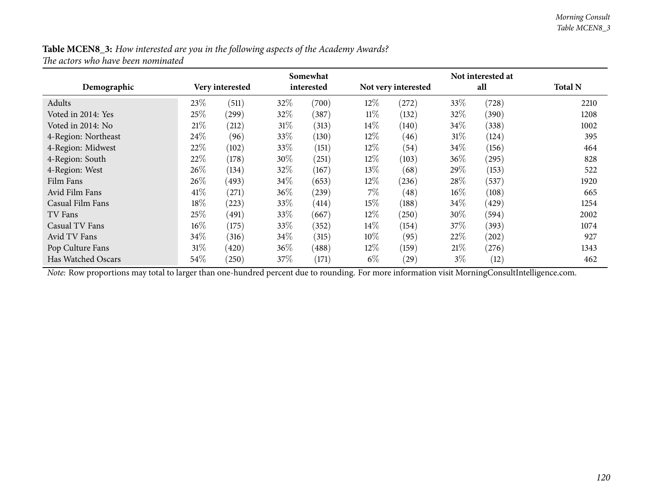|                     |        |                 |        | Somewhat   |        |                     |        | Not interested at |                |
|---------------------|--------|-----------------|--------|------------|--------|---------------------|--------|-------------------|----------------|
| Demographic         |        | Very interested |        | interested |        | Not very interested |        | all               | <b>Total N</b> |
| Adults              | 23\%   | (511)           | 32\%   | (700)      | $12\%$ | (272)               | 33%    | (728)             | 2210           |
| Voted in 2014: Yes  | 25\%   | (299)           | 32\%   | (387)      | $11\%$ | (132)               | $32\%$ | (390)             | 1208           |
| Voted in 2014: No   | 21\%   | (212)           | $31\%$ | (313)      | $14\%$ | (140)               | $34\%$ | (338)             | 1002           |
| 4-Region: Northeast | 24\%   | (96)            | 33\%   | (130)      | $12\%$ | (46)                | 31%    | (124)             | 395            |
| 4-Region: Midwest   | 22%    | (102)           | 33\%   | (151)      | $12\%$ | (54)                | 34%    | (156)             | 464            |
| 4-Region: South     | 22%    | (178)           | 30%    | (251)      | $12\%$ | (103)               | $36\%$ | (295)             | 828            |
| 4-Region: West      | 26\%   | (134)           | 32\%   | (167)      | $13\%$ | (68)                | 29\%   | (153)             | 522            |
| Film Fans           | 26\%   | (493)           | $34\%$ | (653)      | $12\%$ | (236)               | 28\%   | (537)             | 1920           |
| Avid Film Fans      | 41\%   | (271)           | 36%    | (239)      | $7\%$  | (48)                | $16\%$ | (108)             | 665            |
| Casual Film Fans    | 18\%   | $^{'}223)$      | 33%    | (414)      | $15\%$ | (188)               | 34%    | (429)             | 1254           |
| TV Fans             | 25%    | (491)           | 33\%   | (667)      | $12\%$ | (250)               | $30\%$ | (594)             | 2002           |
| Casual TV Fans      | $16\%$ | (175)           | 33\%   | (352)      | $14\%$ | (154)               | 37%    | (393)             | 1074           |
| Avid TV Fans        | 34%    | (316)           | 34\%   | (315)      | $10\%$ | (95)                | 22%    | (202)             | 927            |
| Pop Culture Fans    | 31%    | (420)           | $36\%$ | (488)      | $12\%$ | (159)               | 21%    | (276)             | 1343           |
| Has Watched Oscars  | 54%    | (250)           | 37\%   | (171)      | $6\%$  | $\left( 29\right)$  | $3\%$  | (12)              | 462            |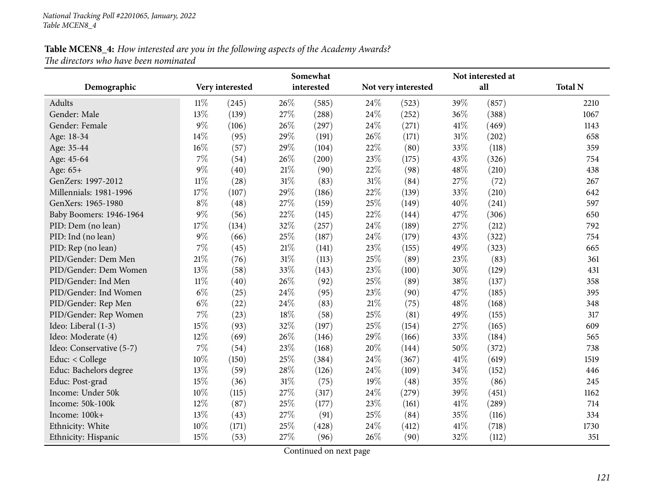|                          |        |                 |        | Somewhat   |        |                     |        | Not interested at |                |
|--------------------------|--------|-----------------|--------|------------|--------|---------------------|--------|-------------------|----------------|
| Demographic              |        | Very interested |        | interested |        | Not very interested |        | all               | <b>Total N</b> |
| Adults                   | $11\%$ | (245)           | 26%    | (585)      | 24%    | (523)               | 39%    | (857)             | 2210           |
| Gender: Male             | 13%    | (139)           | 27%    | (288)      | 24%    | (252)               | 36%    | (388)             | 1067           |
| Gender: Female           | $9\%$  | (106)           | 26%    | (297)      | 24\%   | (271)               | 41\%   | (469)             | 1143           |
| Age: 18-34               | 14%    | (95)            | 29%    | (191)      | 26%    | (171)               | $31\%$ | (202)             | 658            |
| Age: 35-44               | 16%    | (57)            | 29%    | (104)      | 22%    | (80)                | 33%    | (118)             | 359            |
| Age: 45-64               | 7%     | (54)            | 26%    | (200)      | 23%    | (175)               | 43%    | (326)             | 754            |
| Age: 65+                 | $9\%$  | (40)            | $21\%$ | (90)       | 22%    | (98)                | 48%    | (210)             | 438            |
| GenZers: 1997-2012       | $11\%$ | (28)            | 31%    | (83)       | 31\%   | (84)                | 27%    | (72)              | 267            |
| Millennials: 1981-1996   | 17%    | (107)           | 29%    | (186)      | 22%    | (139)               | 33%    | (210)             | 642            |
| GenXers: 1965-1980       | $8\%$  | (48)            | 27%    | (159)      | 25%    | (149)               | 40%    | (241)             | 597            |
| Baby Boomers: 1946-1964  | $9\%$  | (56)            | 22%    | (145)      | 22%    | (144)               | 47\%   | (306)             | 650            |
| PID: Dem (no lean)       | 17%    | (134)           | 32%    | (257)      | 24%    | (189)               | 27%    | (212)             | 792            |
| PID: Ind (no lean)       | $9\%$  | (66)            | 25%    | (187)      | 24\%   | (179)               | 43%    | (322)             | 754            |
| PID: Rep (no lean)       | 7%     | (45)            | $21\%$ | (141)      | 23%    | (155)               | 49%    | (323)             | 665            |
| PID/Gender: Dem Men      | 21%    | (76)            | $31\%$ | (113)      | 25%    | (89)                | 23%    | (83)              | 361            |
| PID/Gender: Dem Women    | 13%    | (58)            | 33%    | (143)      | 23%    | (100)               | 30%    | (129)             | 431            |
| PID/Gender: Ind Men      | $11\%$ | (40)            | 26%    | (92)       | 25%    | (89)                | 38%    | (137)             | 358            |
| PID/Gender: Ind Women    | $6\%$  | (25)            | 24%    | (95)       | 23%    | (90)                | 47%    | (185)             | 395            |
| PID/Gender: Rep Men      | $6\%$  | (22)            | 24%    | (83)       | $21\%$ | (75)                | 48%    | (168)             | 348            |
| PID/Gender: Rep Women    | 7%     | (23)            | 18%    | (58)       | 25%    | (81)                | 49%    | (155)             | 317            |
| Ideo: Liberal (1-3)      | 15%    | (93)            | 32%    | (197)      | 25%    | (154)               | 27%    | (165)             | 609            |
| Ideo: Moderate (4)       | 12%    | (69)            | 26%    | (146)      | 29%    | (166)               | 33%    | (184)             | 565            |
| Ideo: Conservative (5-7) | 7%     | (54)            | 23%    | (168)      | 20%    | (144)               | 50%    | (372)             | 738            |
| Educ: < College          | 10%    | (150)           | 25%    | (384)      | 24\%   | (367)               | 41\%   | (619)             | 1519           |
| Educ: Bachelors degree   | 13%    | (59)            | 28%    | (126)      | 24\%   | (109)               | 34%    | (152)             | 446            |
| Educ: Post-grad          | 15%    | (36)            | $31\%$ | (75)       | 19%    | (48)                | 35%    | (86)              | 245            |
| Income: Under 50k        | 10%    | (115)           | 27%    | (317)      | 24%    | (279)               | 39%    | (451)             | 1162           |
| Income: 50k-100k         | 12%    | (87)            | 25%    | (177)      | 23%    | (161)               | $41\%$ | (289)             | 714            |
| Income: 100k+            | 13%    | (43)            | 27%    | (91)       | 25%    | (84)                | 35%    | (116)             | 334            |
| Ethnicity: White         | 10%    | (171)           | 25%    | (428)      | 24\%   | (412)               | 41\%   | (718)             | 1730           |
| Ethnicity: Hispanic      | 15%    | (53)            | 27%    | (96)       | 26%    | (90)                | 32%    | (112)             | 351            |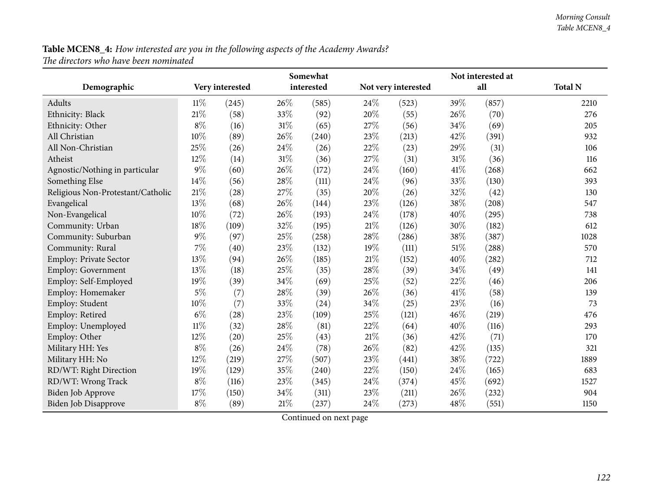|                                   |        |                 |        | Somewhat   |        |                     |        | Not interested at |                |
|-----------------------------------|--------|-----------------|--------|------------|--------|---------------------|--------|-------------------|----------------|
| Demographic                       |        | Very interested |        | interested |        | Not very interested |        | all               | <b>Total N</b> |
| Adults                            | 11%    | (245)           | 26\%   | (585)      | 24\%   | (523)               | 39%    | (857)             | 2210           |
| Ethnicity: Black                  | 21%    | (58)            | 33%    | (92)       | 20%    | (55)                | 26%    | (70)              | 276            |
| Ethnicity: Other                  | $8\%$  | (16)            | 31%    | (65)       | 27%    | (56)                | 34%    | (69)              | 205            |
| All Christian                     | 10%    | (89)            | 26%    | (240)      | 23%    | (213)               | 42%    | (391)             | 932            |
| All Non-Christian                 | 25%    | (26)            | 24%    | (26)       | 22%    | (23)                | 29%    | (31)              | 106            |
| Atheist                           | 12%    | (14)            | $31\%$ | (36)       | 27%    | (31)                | $31\%$ | (36)              | 116            |
| Agnostic/Nothing in particular    | 9%     | (60)            | 26%    | (172)      | 24%    | (160)               | 41%    | (268)             | 662            |
| Something Else                    | 14%    | (56)            | $28\%$ | (111)      | 24%    | (96)                | 33%    | (130)             | 393            |
| Religious Non-Protestant/Catholic | 21%    | (28)            | 27%    | (35)       | 20%    | (26)                | 32%    | (42)              | 130            |
| Evangelical                       | 13%    | (68)            | 26%    | (144)      | 23%    | (126)               | 38%    | (208)             | 547            |
| Non-Evangelical                   | 10%    | (72)            | $26\%$ | (193)      | 24%    | (178)               | 40%    | (295)             | 738            |
| Community: Urban                  | 18%    | (109)           | 32%    | (195)      | 21%    | (126)               | 30%    | (182)             | 612            |
| Community: Suburban               | $9\%$  | (97)            | 25%    | (258)      | 28%    | (286)               | 38%    | (387)             | 1028           |
| Community: Rural                  | 7%     | (40)            | 23%    | (132)      | 19%    | (111)               | 51%    | (288)             | 570            |
| Employ: Private Sector            | 13%    | (94)            | 26%    | (185)      | $21\%$ | (152)               | 40%    | (282)             | 712            |
| Employ: Government                | 13%    | (18)            | 25%    | (35)       | 28%    | (39)                | 34%    | (49)              | 141            |
| Employ: Self-Employed             | 19%    | (39)            | 34%    | (69)       | 25%    | (52)                | 22%    | (46)              | 206            |
| Employ: Homemaker                 | $5\%$  | (7)             | 28%    | (39)       | 26%    | (36)                | 41%    | (58)              | 139            |
| Employ: Student                   | 10%    | (7)             | 33%    | (24)       | 34%    | (25)                | 23%    | (16)              | 73             |
| Employ: Retired                   | $6\%$  | (28)            | 23%    | (109)      | 25%    | (121)               | 46%    | (219)             | 476            |
| Employ: Unemployed                | $11\%$ | (32)            | 28%    | (81)       | 22%    | (64)                | 40%    | (116)             | 293            |
| Employ: Other                     | 12%    | (20)            | 25%    | (43)       | 21%    | (36)                | 42%    | (71)              | 170            |
| Military HH: Yes                  | $8\%$  | (26)            | 24%    | (78)       | 26%    | (82)                | 42%    | (135)             | 321            |
| Military HH: No                   | 12%    | (219)           | 27%    | (507)      | 23%    | (441)               | 38%    | (722)             | 1889           |
| RD/WT: Right Direction            | 19%    | (129)           | 35%    | (240)      | 22%    | (150)               | 24%    | (165)             | 683            |
| RD/WT: Wrong Track                | $8\%$  | (116)           | 23%    | (345)      | 24%    | (374)               | 45%    | (692)             | 1527           |
| <b>Biden Job Approve</b>          | 17%    | (150)           | 34%    | (311)      | 23%    | (211)               | 26%    | (232)             | 904            |
| <b>Biden Job Disapprove</b>       | $8\%$  | (89)            | $21\%$ | (237)      | 24%    | (273)               | 48%    | (551)             | 1150           |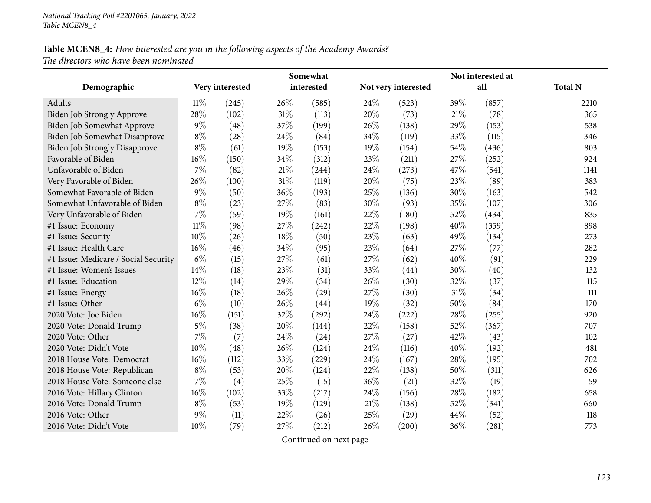|                                      |        |                 |      | Somewhat   |      |                     |     | Not interested at |                |
|--------------------------------------|--------|-----------------|------|------------|------|---------------------|-----|-------------------|----------------|
| Demographic                          |        | Very interested |      | interested |      | Not very interested |     | all               | <b>Total N</b> |
| Adults                               | $11\%$ | (245)           | 26%  | (585)      | 24\% | (523)               | 39% | (857)             | 2210           |
| <b>Biden Job Strongly Approve</b>    | 28%    | (102)           | 31%  | (113)      | 20%  | (73)                | 21% | (78)              | 365            |
| Biden Job Somewhat Approve           | $9\%$  | (48)            | 37%  | (199)      | 26%  | (138)               | 29% | (153)             | 538            |
| Biden Job Somewhat Disapprove        | $8\%$  | (28)            | 24\% | (84)       | 34%  | (119)               | 33% | (115)             | 346            |
| <b>Biden Job Strongly Disapprove</b> | $8\%$  | (61)            | 19%  | (153)      | 19%  | (154)               | 54% | (436)             | 803            |
| Favorable of Biden                   | 16%    | (150)           | 34%  | (312)      | 23%  | (211)               | 27% | (252)             | 924            |
| Unfavorable of Biden                 | $7\%$  | (82)            | 21%  | (244)      | 24%  | (273)               | 47% | (541)             | 1141           |
| Very Favorable of Biden              | 26%    | (100)           | 31%  | (119)      | 20%  | (75)                | 23% | (89)              | 383            |
| Somewhat Favorable of Biden          | $9\%$  | (50)            | 36%  | (193)      | 25%  | (136)               | 30% | (163)             | 542            |
| Somewhat Unfavorable of Biden        | $8\%$  | (23)            | 27%  | (83)       | 30%  | (93)                | 35% | (107)             | 306            |
| Very Unfavorable of Biden            | 7%     | (59)            | 19%  | (161)      | 22%  | (180)               | 52% | (434)             | 835            |
| #1 Issue: Economy                    | $11\%$ | (98)            | 27%  | (242)      | 22%  | (198)               | 40% | (359)             | 898            |
| #1 Issue: Security                   | 10%    | (26)            | 18%  | (50)       | 23%  | (63)                | 49% | (134)             | 273            |
| #1 Issue: Health Care                | 16%    | (46)            | 34%  | (95)       | 23%  | (64)                | 27% | (77)              | 282            |
| #1 Issue: Medicare / Social Security | $6\%$  | (15)            | 27%  | (61)       | 27%  | (62)                | 40% | (91)              | 229            |
| #1 Issue: Women's Issues             | 14%    | (18)            | 23%  | (31)       | 33%  | (44)                | 30% | (40)              | 132            |
| #1 Issue: Education                  | 12%    | (14)            | 29%  | (34)       | 26%  | (30)                | 32% | (37)              | 115            |
| #1 Issue: Energy                     | 16%    | (18)            | 26%  | (29)       | 27%  | (30)                | 31% | (34)              | 111            |
| #1 Issue: Other                      | $6\%$  | (10)            | 26%  | (44)       | 19%  | (32)                | 50% | (84)              | 170            |
| 2020 Vote: Joe Biden                 | 16%    | (151)           | 32%  | (292)      | 24%  | (222)               | 28% | (255)             | 920            |
| 2020 Vote: Donald Trump              | $5\%$  | (38)            | 20%  | (144)      | 22%  | (158)               | 52% | (367)             | 707            |
| 2020 Vote: Other                     | $7\%$  | (7)             | 24%  | (24)       | 27%  | (27)                | 42% | (43)              | 102            |
| 2020 Vote: Didn't Vote               | 10%    | (48)            | 26%  | (124)      | 24\% | (116)               | 40% | (192)             | 481            |
| 2018 House Vote: Democrat            | 16%    | (112)           | 33%  | (229)      | 24\% | (167)               | 28% | (195)             | 702            |
| 2018 House Vote: Republican          | $8\%$  | (53)            | 20%  | (124)      | 22%  | (138)               | 50% | (311)             | 626            |
| 2018 House Vote: Someone else        | 7%     | (4)             | 25%  | (15)       | 36%  | (21)                | 32% | (19)              | 59             |
| 2016 Vote: Hillary Clinton           | $16\%$ | (102)           | 33%  | (217)      | 24%  | (156)               | 28% | (182)             | 658            |
| 2016 Vote: Donald Trump              | $8\%$  | (53)            | 19%  | (129)      | 21%  | (138)               | 52% | (341)             | 660            |
| 2016 Vote: Other                     | $9\%$  | (11)            | 22%  | (26)       | 25%  | (29)                | 44% | (52)              | 118            |
| 2016 Vote: Didn't Vote               | 10%    | (79)            | 27%  | (212)      | 26\% | (200)               | 36% | (281)             | 773            |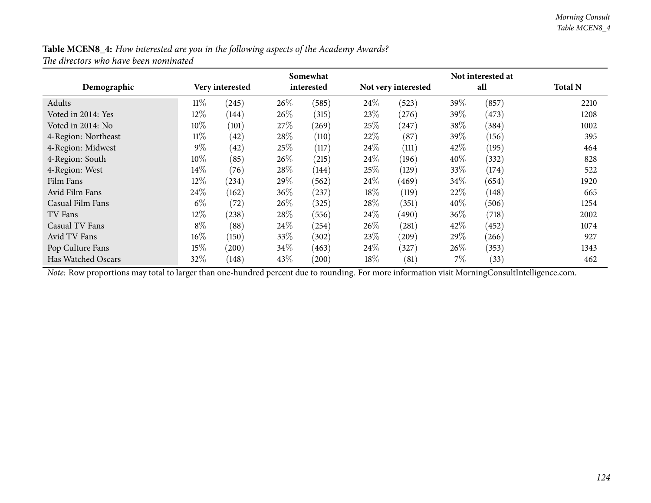| Table MCEN8_4: How interested are you in the following aspects of the Academy Awards? |  |
|---------------------------------------------------------------------------------------|--|
| The directors who have been nominated                                                 |  |

|                     |        |                 |        | Somewhat   |        |                     |        | Not interested at |                |
|---------------------|--------|-----------------|--------|------------|--------|---------------------|--------|-------------------|----------------|
| Demographic         |        | Very interested |        | interested |        | Not very interested |        | all               | <b>Total N</b> |
| Adults              | $11\%$ | (245)           | 26\%   | (585)      | $24\%$ | (523)               | 39%    | (857)             | 2210           |
| Voted in 2014: Yes  | $12\%$ | (144)           | 26%    | (315)      | 23\%   | (276)               | 39\%   | (473)             | 1208           |
| Voted in 2014: No   | $10\%$ | (101)           | 27\%   | (269)      | 25\%   | (247)               | 38%    | (384)             | 1002           |
| 4-Region: Northeast | $11\%$ | (42)            | 28\%   | (110)      | 22%    | (87)                | 39%    | (156)             | 395            |
| 4-Region: Midwest   | $9\%$  | (42)            | 25\%   | (117)      | $24\%$ | (111)               | 42\%   | (195)             | 464            |
| 4-Region: South     | $10\%$ | (85)            | 26\%   | (215)      | 24\%   | (196)               | $40\%$ | (332)             | 828            |
| 4-Region: West      | $14\%$ | (76)            | 28\%   | (144)      | 25\%   | (129)               | $33\%$ | (174)             | 522            |
| Film Fans           | $12\%$ | (234)           | 29\%   | (562)      | 24\%   | (469)               | 34\%   | (654)             | 1920           |
| Avid Film Fans      | 24%    | (162)           | $36\%$ | (237)      | $18\%$ | (119)               | 22%    | (148)             | 665            |
| Casual Film Fans    | $6\%$  | (72)            | 26\%   | (325)      | 28\%   | (351)               | 40%    | (506)             | 1254           |
| TV Fans             | $12\%$ | (238)           | 28\%   | (556)      | $24\%$ | (490)               | $36\%$ | (718)             | 2002           |
| Casual TV Fans      | $8\%$  | (88)            | 24\%   | (254)      | $26\%$ | (281)               | 42\%   | (452)             | 1074           |
| Avid TV Fans        | $16\%$ | (150)           | 33\%   | (302)      | 23\%   | (209)               | 29\%   | (266)             | 927            |
| Pop Culture Fans    | 15%    | (200)           | 34\%   | (463)      | 24%    | (327)               | 26%    | (353)             | 1343           |
| Has Watched Oscars  | 32\%   | (148)           | 43\%   | (200)      | $18\%$ | (81)                | 7%     | (33)              | 462            |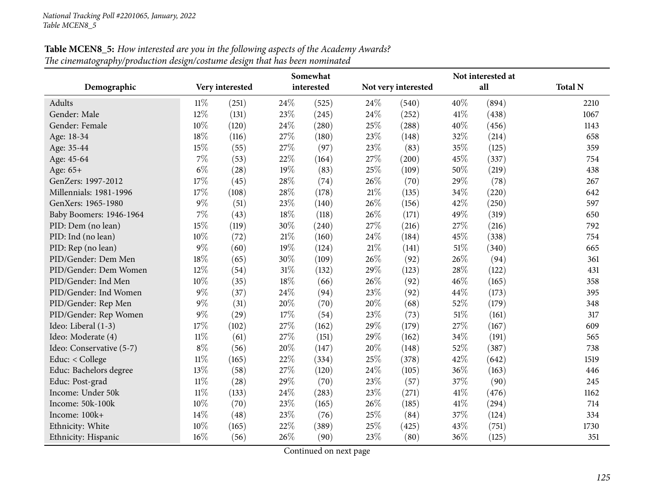|                          |        |                 |        | Somewhat   |        |                     |      | Not interested at |                |
|--------------------------|--------|-----------------|--------|------------|--------|---------------------|------|-------------------|----------------|
| Demographic              |        | Very interested |        | interested |        | Not very interested |      | all               | <b>Total N</b> |
| Adults                   | 11%    | (251)           | 24\%   | (525)      | 24\%   | (540)               | 40%  | (894)             | 2210           |
| Gender: Male             | 12%    | (131)           | 23%    | (245)      | 24\%   | (252)               | 41\% | (438)             | 1067           |
| Gender: Female           | 10%    | (120)           | 24%    | (280)      | 25%    | (288)               | 40%  | (456)             | 1143           |
| Age: 18-34               | 18%    | (116)           | 27%    | (180)      | 23%    | (148)               | 32%  | (214)             | 658            |
| Age: 35-44               | 15%    | (55)            | 27%    | (97)       | 23%    | (83)                | 35%  | (125)             | 359            |
| Age: 45-64               | 7%     | (53)            | 22%    | (164)      | 27%    | (200)               | 45%  | (337)             | 754            |
| Age: 65+                 | $6\%$  | (28)            | 19%    | (83)       | 25%    | (109)               | 50%  | (219)             | 438            |
| GenZers: 1997-2012       | 17%    | (45)            | 28%    | (74)       | 26%    | (70)                | 29%  | (78)              | 267            |
| Millennials: 1981-1996   | 17%    | (108)           | 28%    | (178)      | $21\%$ | (135)               | 34%  | (220)             | 642            |
| GenXers: 1965-1980       | $9\%$  | (51)            | 23%    | (140)      | 26%    | (156)               | 42%  | (250)             | 597            |
| Baby Boomers: 1946-1964  | 7%     | (43)            | $18\%$ | (118)      | 26\%   | (171)               | 49%  | (319)             | 650            |
| PID: Dem (no lean)       | 15%    | (119)           | 30%    | (240)      | 27%    | (216)               | 27%  | (216)             | 792            |
| PID: Ind (no lean)       | 10%    | (72)            | $21\%$ | (160)      | 24\%   | (184)               | 45%  | (338)             | 754            |
| PID: Rep (no lean)       | $9\%$  | (60)            | 19%    | (124)      | $21\%$ | (141)               | 51%  | (340)             | 665            |
| PID/Gender: Dem Men      | 18%    | (65)            | 30%    | (109)      | 26%    | (92)                | 26%  | (94)              | 361            |
| PID/Gender: Dem Women    | 12%    | (54)            | $31\%$ | (132)      | 29%    | (123)               | 28%  | (122)             | 431            |
| PID/Gender: Ind Men      | 10%    | (35)            | 18%    | (66)       | 26%    | (92)                | 46%  | (165)             | 358            |
| PID/Gender: Ind Women    | $9\%$  | (37)            | 24%    | (94)       | 23%    | (92)                | 44%  | (173)             | 395            |
| PID/Gender: Rep Men      | $9\%$  | (31)            | 20%    | (70)       | 20%    | (68)                | 52%  | (179)             | 348            |
| PID/Gender: Rep Women    | $9\%$  | (29)            | 17%    | (54)       | 23%    | (73)                | 51%  | (161)             | 317            |
| Ideo: Liberal (1-3)      | 17%    | (102)           | 27%    | (162)      | 29%    | (179)               | 27%  | (167)             | 609            |
| Ideo: Moderate (4)       | $11\%$ | (61)            | 27%    | (151)      | 29%    | (162)               | 34%  | (191)             | 565            |
| Ideo: Conservative (5-7) | $8\%$  | (56)            | 20%    | (147)      | 20%    | (148)               | 52%  | (387)             | 738            |
| Educ: < College          | $11\%$ | (165)           | 22%    | (334)      | 25%    | (378)               | 42%  | (642)             | 1519           |
| Educ: Bachelors degree   | 13%    | (58)            | 27%    | (120)      | 24%    | (105)               | 36%  | (163)             | 446            |
| Educ: Post-grad          | $11\%$ | (28)            | 29%    | (70)       | 23%    | (57)                | 37%  | (90)              | 245            |
| Income: Under 50k        | $11\%$ | (133)           | 24%    | (283)      | 23%    | (271)               | 41\% | (476)             | 1162           |
| Income: 50k-100k         | 10%    | (70)            | 23%    | (165)      | 26%    | (185)               | 41\% | (294)             | 714            |
| Income: 100k+            | 14%    | (48)            | 23%    | (76)       | 25%    | (84)                | 37%  | (124)             | 334            |
| Ethnicity: White         | 10%    | (165)           | 22%    | (389)      | 25%    | (425)               | 43%  | (751)             | 1730           |
| Ethnicity: Hispanic      | 16%    | (56)            | 26%    | (90)       | 23%    | (80)                | 36%  | (125)             | 351            |

**Table MCEN8\_5:** How interested are you in the following aspects of the Academy Awards? *The cinematography/production design/costume design that has been nominated*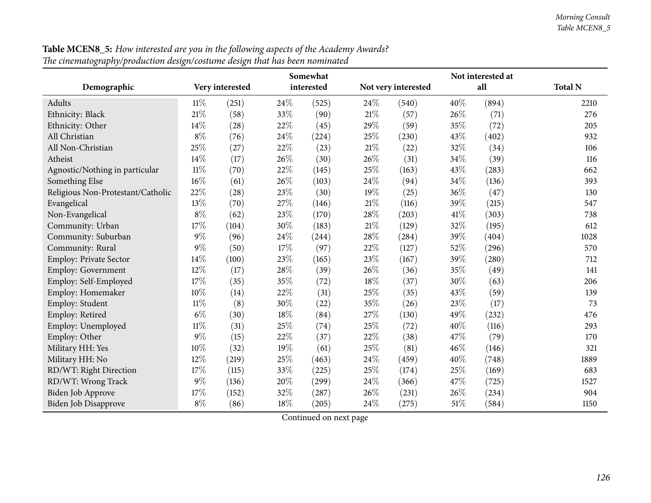|                                   |        |                 |     | Somewhat   |        |                     |      | Not interested at |                |
|-----------------------------------|--------|-----------------|-----|------------|--------|---------------------|------|-------------------|----------------|
| Demographic                       |        | Very interested |     | interested |        | Not very interested |      | all               | <b>Total N</b> |
| Adults                            | $11\%$ | (251)           | 24% | (525)      | 24%    | (540)               | 40%  | (894)             | 2210           |
| Ethnicity: Black                  | 21\%   | (58)            | 33% | (90)       | 21%    | (57)                | 26%  | (71)              | 276            |
| Ethnicity: Other                  | 14%    | (28)            | 22% | (45)       | 29%    | (59)                | 35%  | (72)              | 205            |
| All Christian                     | $8\%$  | (76)            | 24% | (224)      | 25%    | (230)               | 43%  | (402)             | 932            |
| All Non-Christian                 | 25%    | (27)            | 22% | (23)       | $21\%$ | (22)                | 32%  | (34)              | 106            |
| Atheist                           | 14%    | (17)            | 26% | (30)       | 26%    | (31)                | 34%  | (39)              | 116            |
| Agnostic/Nothing in particular    | $11\%$ | (70)            | 22% | (145)      | 25%    | (163)               | 43%  | (283)             | 662            |
| Something Else                    | $16\%$ | (61)            | 26% | (103)      | 24%    | (94)                | 34%  | (136)             | 393            |
| Religious Non-Protestant/Catholic | 22%    | (28)            | 23% | (30)       | 19%    | (25)                | 36%  | (47)              | 130            |
| Evangelical                       | 13%    | (70)            | 27% | (146)      | 21%    | (116)               | 39%  | (215)             | 547            |
| Non-Evangelical                   | $8\%$  | (62)            | 23% | (170)      | 28%    | (203)               | 41\% | (303)             | 738            |
| Community: Urban                  | 17%    | (104)           | 30% | (183)      | $21\%$ | (129)               | 32%  | (195)             | 612            |
| Community: Suburban               | $9\%$  | (96)            | 24% | (244)      | 28\%   | (284)               | 39%  | (404)             | 1028           |
| Community: Rural                  | $9\%$  | (50)            | 17% | (97)       | 22%    | (127)               | 52%  | (296)             | 570            |
| Employ: Private Sector            | 14%    | (100)           | 23% | (165)      | 23\%   | (167)               | 39%  | (280)             | 712            |
| <b>Employ: Government</b>         | 12%    | (17)            | 28% | (39)       | 26%    | (36)                | 35%  | (49)              | 141            |
| Employ: Self-Employed             | 17%    | (35)            | 35% | (72)       | 18%    | (37)                | 30%  | (63)              | 206            |
| Employ: Homemaker                 | 10%    | (14)            | 22% | (31)       | 25%    | (35)                | 43%  | (59)              | 139            |
| Employ: Student                   | $11\%$ | (8)             | 30% | (22)       | 35%    | (26)                | 23%  | (17)              | 73             |
| Employ: Retired                   | $6\%$  | (30)            | 18% | (84)       | 27%    | (130)               | 49%  | (232)             | 476            |
| Employ: Unemployed                | $11\%$ | (31)            | 25% | (74)       | 25%    | (72)                | 40%  | (116)             | 293            |
| Employ: Other                     | $9\%$  | (15)            | 22% | (37)       | 22%    | (38)                | 47%  | (79)              | 170            |
| Military HH: Yes                  | 10%    | (32)            | 19% | (61)       | 25%    | (81)                | 46%  | (146)             | 321            |
| Military HH: No                   | 12%    | (219)           | 25% | (463)      | 24%    | (459)               | 40%  | (748)             | 1889           |
| RD/WT: Right Direction            | 17%    | (115)           | 33% | (225)      | 25%    | (174)               | 25%  | (169)             | 683            |
| RD/WT: Wrong Track                | $9\%$  | (136)           | 20% | (299)      | 24%    | (366)               | 47%  | (725)             | 1527           |
| Biden Job Approve                 | 17%    | (152)           | 32% | (287)      | 26%    | (231)               | 26%  | (234)             | 904            |
| Biden Job Disapprove              | $8\%$  | (86)            | 18% | (205)      | 24\%   | (275)               | 51%  | (584)             | 1150           |

Table MCEN8\_5: How interested are you in the following aspects of the Academy Awards? *The cinematography/production design/costume design that has been nominated*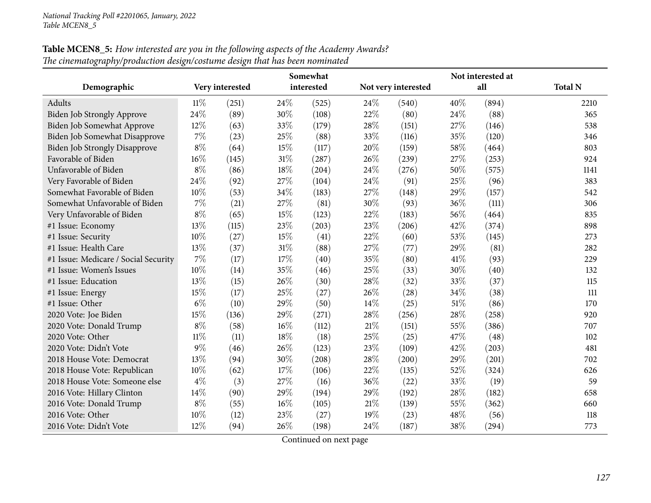| <b>Table MCEN8_5:</b> How interested are you in the following aspects of the Academy Awards? |
|----------------------------------------------------------------------------------------------|
| The cinematography/production design/costume design that has been nominated                  |

|                                      |        |                 |        | Somewhat   |      |                     |      | Not interested at |                |
|--------------------------------------|--------|-----------------|--------|------------|------|---------------------|------|-------------------|----------------|
| Demographic                          |        | Very interested |        | interested |      | Not very interested |      | all               | <b>Total N</b> |
| Adults                               | $11\%$ | (251)           | 24\%   | (525)      | 24\% | (540)               | 40%  | (894)             | 2210           |
| Biden Job Strongly Approve           | 24%    | (89)            | 30%    | (108)      | 22%  | (80)                | 24\% | (88)              | 365            |
| Biden Job Somewhat Approve           | 12%    | (63)            | 33%    | (179)      | 28%  | (151)               | 27%  | (146)             | 538            |
| Biden Job Somewhat Disapprove        | $7\%$  | (23)            | 25%    | (88)       | 33%  | (116)               | 35%  | (120)             | 346            |
| <b>Biden Job Strongly Disapprove</b> | $8\%$  | (64)            | 15%    | (117)      | 20%  | (159)               | 58%  | (464)             | 803            |
| Favorable of Biden                   | 16%    | (145)           | $31\%$ | (287)      | 26%  | (239)               | 27%  | (253)             | 924            |
| Unfavorable of Biden                 | $8\%$  | (86)            | 18%    | (204)      | 24%  | (276)               | 50%  | (575)             | 1141           |
| Very Favorable of Biden              | 24\%   | (92)            | 27%    | (104)      | 24\% | (91)                | 25%  | (96)              | 383            |
| Somewhat Favorable of Biden          | 10%    | (53)            | 34%    | (183)      | 27%  | (148)               | 29%  | (157)             | 542            |
| Somewhat Unfavorable of Biden        | 7%     | (21)            | 27%    | (81)       | 30%  | (93)                | 36%  | (111)             | 306            |
| Very Unfavorable of Biden            | $8\%$  | (65)            | 15%    | (123)      | 22%  | (183)               | 56%  | (464)             | 835            |
| #1 Issue: Economy                    | 13%    | (115)           | 23%    | (203)      | 23%  | (206)               | 42%  | (374)             | 898            |
| #1 Issue: Security                   | 10%    | (27)            | 15%    | (41)       | 22%  | (60)                | 53%  | (145)             | 273            |
| #1 Issue: Health Care                | 13%    | (37)            | 31%    | (88)       | 27%  | (77)                | 29%  | (81)              | 282            |
| #1 Issue: Medicare / Social Security | $7\%$  | (17)            | 17%    | (40)       | 35%  | (80)                | 41\% | (93)              | 229            |
| #1 Issue: Women's Issues             | $10\%$ | (14)            | 35%    | (46)       | 25%  | (33)                | 30%  | (40)              | 132            |
| #1 Issue: Education                  | 13%    | (15)            | 26%    | (30)       | 28%  | (32)                | 33%  | (37)              | 115            |
| #1 Issue: Energy                     | 15\%   | (17)            | 25%    | (27)       | 26%  | (28)                | 34%  | (38)              | 111            |
| #1 Issue: Other                      | $6\%$  | (10)            | 29%    | (50)       | 14\% | (25)                | 51%  | (86)              | 170            |
| 2020 Vote: Joe Biden                 | 15\%   | (136)           | 29%    | (271)      | 28%  | (256)               | 28%  | (258)             | 920            |
| 2020 Vote: Donald Trump              | $8\%$  | (58)            | 16%    | (112)      | 21%  | (151)               | 55%  | (386)             | 707            |
| 2020 Vote: Other                     | 11%    | (11)            | 18%    | (18)       | 25%  | (25)                | 47%  | (48)              | 102            |
| 2020 Vote: Didn't Vote               | $9\%$  | (46)            | 26%    | (123)      | 23%  | (109)               | 42%  | (203)             | 481            |
| 2018 House Vote: Democrat            | 13%    | (94)            | 30%    | (208)      | 28%  | (200)               | 29%  | (201)             | 702            |
| 2018 House Vote: Republican          | $10\%$ | (62)            | 17%    | (106)      | 22%  | (135)               | 52%  | (324)             | 626            |
| 2018 House Vote: Someone else        | $4\%$  | (3)             | 27%    | (16)       | 36%  | (22)                | 33%  | (19)              | 59             |
| 2016 Vote: Hillary Clinton           | 14\%   | (90)            | 29%    | (194)      | 29%  | (192)               | 28%  | (182)             | 658            |
| 2016 Vote: Donald Trump              | $8\%$  | (55)            | 16%    | (105)      | 21%  | (139)               | 55%  | (362)             | 660            |
| 2016 Vote: Other                     | 10%    | (12)            | 23%    | (27)       | 19%  | (23)                | 48%  | (56)              | 118            |
| 2016 Vote: Didn't Vote               | 12%    | (94)            | 26%    | (198)      | 24%  | (187)               | 38%  | (294)             | 773            |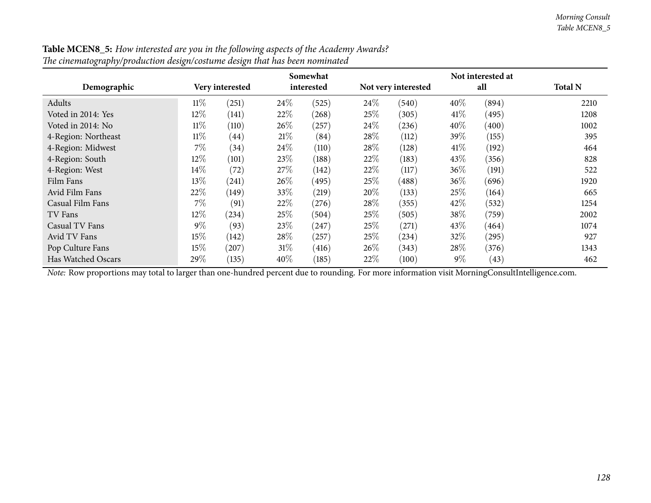|                     |        |                 |        | Somewhat   |      |                     |       | Not interested at |                |
|---------------------|--------|-----------------|--------|------------|------|---------------------|-------|-------------------|----------------|
| Demographic         |        | Very interested |        | interested |      | Not very interested |       | all               | <b>Total N</b> |
| Adults              | $11\%$ | (251)           | 24\%   | (525)      | 24\% | (540)               | 40%   | (894)             | 2210           |
| Voted in 2014: Yes  | $12\%$ | (141)           | 22%    | (268)      | 25\% | (305)               | 41%   | (495)             | 1208           |
| Voted in 2014: No   | $11\%$ | (110)           | 26\%   | (257)      | 24\% | (236)               | 40%   | (400)             | 1002           |
| 4-Region: Northeast | $11\%$ | (44)            | 21\%   | (84)       | 28\% | (112)               | 39\%  | (155)             | 395            |
| 4-Region: Midwest   | $7\%$  | (34)            | 24\%   | (110)      | 28%  | (128)               | 41\%  | (192)             | 464            |
| 4-Region: South     | $12\%$ | (101)           | 23\%   | (188)      | 22%  | (183)               | 43%   | (356)             | 828            |
| 4-Region: West      | 14\%   | (72)            | 27\%   | (142)      | 22%  | (117)               | 36%   | (191)             | 522            |
| Film Fans           | 13\%   | (241)           | 26\%   | (495)      | 25\% | (488)               | 36%   | (696)             | 1920           |
| Avid Film Fans      | 22%    | (149)           | 33\%   | (219)      | 20%  | (133)               | 25%   | (164)             | 665            |
| Casual Film Fans    | $7\%$  | (91)            | 22%    | (276)      | 28\% | (355)               | 42\%  | (532)             | 1254           |
| TV Fans             | $12\%$ | (234)           | 25\%   | (504)      | 25%  | (505)               | 38%   | (759)             | 2002           |
| Casual TV Fans      | $9\%$  | (93)            | 23\%   | (247)      | 25\% | (271)               | 43%   | (464)             | 1074           |
| Avid TV Fans        | 15%    | (142)           | 28\%   | (257)      | 25%  | (234)               | 32%   | (295)             | 927            |
| Pop Culture Fans    | 15%    | (207)           | $31\%$ | (416)      | 26%  | (343)               | 28\%  | (376)             | 1343           |
| Has Watched Oscars  | 29%    | (135)           | 40%    | (185)      | 22%  | (100)               | $9\%$ | (43)              | 462            |

| <b>Table MCEN8_5:</b> How interested are you in the following aspects of the Academy Awards? |
|----------------------------------------------------------------------------------------------|
| The cinematography/production design/costume design that has been nominated                  |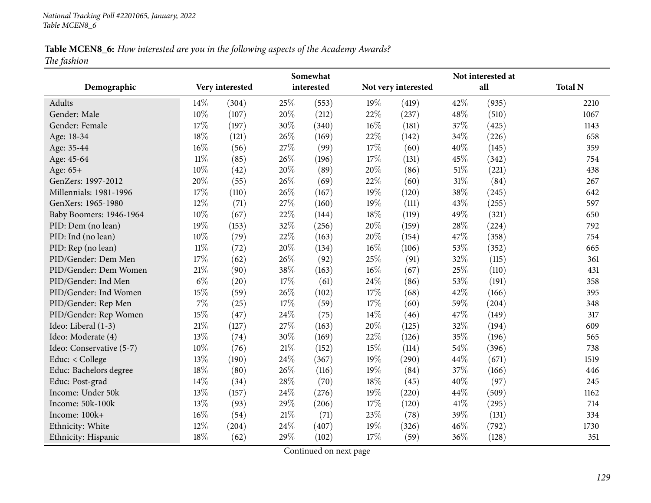# Table MCEN8\_6: How interested are you in the following aspects of the Academy Awards? *The fashion*

|                          | Somewhat |                 |     |            |     |                     |        | Not interested at |                |
|--------------------------|----------|-----------------|-----|------------|-----|---------------------|--------|-------------------|----------------|
| Demographic              |          | Very interested |     | interested |     | Not very interested |        | all               | <b>Total N</b> |
| Adults                   | 14\%     | (304)           | 25% | (553)      | 19% | (419)               | 42%    | (935)             | 2210           |
| Gender: Male             | 10%      | (107)           | 20% | (212)      | 22% | (237)               | 48\%   | (510)             | 1067           |
| Gender: Female           | 17%      | (197)           | 30% | (340)      | 16% | (181)               | 37%    | (425)             | 1143           |
| Age: 18-34               | 18%      | (121)           | 26% | (169)      | 22% | (142)               | 34%    | (226)             | 658            |
| Age: 35-44               | 16%      | (56)            | 27% | (99)       | 17% | (60)                | 40%    | (145)             | 359            |
| Age: 45-64               | 11%      | (85)            | 26% | (196)      | 17% | (131)               | 45%    | (342)             | 754            |
| Age: 65+                 | 10%      | (42)            | 20% | (89)       | 20% | (86)                | 51\%   | (221)             | 438            |
| GenZers: 1997-2012       | 20%      | (55)            | 26% | (69)       | 22% | (60)                | $31\%$ | (84)              | 267            |
| Millennials: 1981-1996   | 17%      | (110)           | 26% | (167)      | 19% | (120)               | 38%    | (245)             | 642            |
| GenXers: 1965-1980       | 12%      | (71)            | 27% | (160)      | 19% | (111)               | 43%    | (255)             | 597            |
| Baby Boomers: 1946-1964  | 10%      | (67)            | 22% | (144)      | 18% | (119)               | 49%    | (321)             | 650            |
| PID: Dem (no lean)       | 19%      | (153)           | 32% | (256)      | 20% | (159)               | 28%    | (224)             | 792            |
| PID: Ind (no lean)       | 10%      | (79)            | 22% | (163)      | 20% | (154)               | 47%    | (358)             | 754            |
| PID: Rep (no lean)       | $11\%$   | (72)            | 20% | (134)      | 16% | (106)               | 53%    | (352)             | 665            |
| PID/Gender: Dem Men      | 17%      | (62)            | 26% | (92)       | 25% | (91)                | 32%    | (115)             | 361            |
| PID/Gender: Dem Women    | 21%      | (90)            | 38% | (163)      | 16% | (67)                | 25%    | (110)             | 431            |
| PID/Gender: Ind Men      | $6\%$    | (20)            | 17% | (61)       | 24% | (86)                | 53%    | (191)             | 358            |
| PID/Gender: Ind Women    | 15%      | (59)            | 26% | (102)      | 17% | (68)                | 42%    | (166)             | 395            |
| PID/Gender: Rep Men      | 7%       | (25)            | 17% | (59)       | 17% | (60)                | 59%    | (204)             | 348            |
| PID/Gender: Rep Women    | 15%      | (47)            | 24% | (75)       | 14% | (46)                | 47%    | (149)             | 317            |
| Ideo: Liberal (1-3)      | 21%      | (127)           | 27% | (163)      | 20% | (125)               | 32%    | (194)             | 609            |
| Ideo: Moderate (4)       | 13%      | (74)            | 30% | (169)      | 22% | (126)               | 35%    | (196)             | 565            |
| Ideo: Conservative (5-7) | 10%      | (76)            | 21% | (152)      | 15% | (114)               | 54%    | (396)             | 738            |
| Educ: < College          | 13%      | (190)           | 24% | (367)      | 19% | (290)               | 44%    | (671)             | 1519           |
| Educ: Bachelors degree   | 18%      | (80)            | 26% | (116)      | 19% | (84)                | 37%    | (166)             | 446            |
| Educ: Post-grad          | 14%      | (34)            | 28% | (70)       | 18% | (45)                | 40%    | (97)              | 245            |
| Income: Under 50k        | 13%      | (157)           | 24% | (276)      | 19% | (220)               | 44%    | (509)             | 1162           |
| Income: 50k-100k         | 13%      | (93)            | 29% | (206)      | 17% | (120)               | 41\%   | (295)             | 714            |
| Income: 100k+            | 16%      | (54)            | 21% | (71)       | 23% | (78)                | 39%    | (131)             | 334            |
| Ethnicity: White         | 12%      | (204)           | 24% | (407)      | 19% | (326)               | 46%    | (792)             | 1730           |
| Ethnicity: Hispanic      | 18%      | (62)            | 29% | (102)      | 17% | (59)                | 36%    | (128)             | 351            |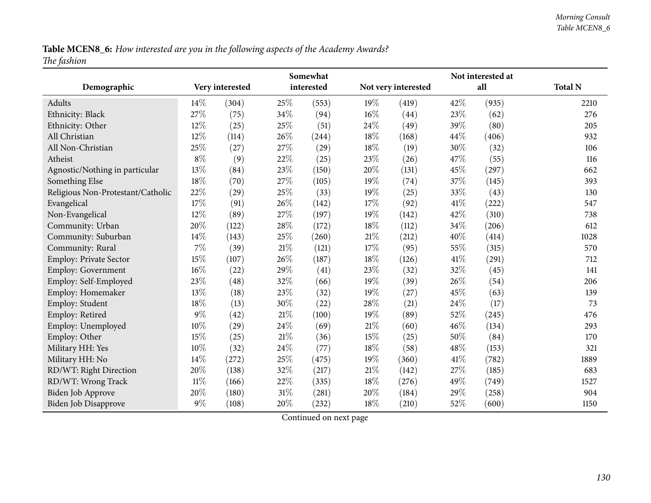Table MCEN8\_6: How interested are you in the following aspects of the Academy Awards? *The fashion*

|                                   |        |                 |        | Somewhat   |        |                     |      | Not interested at |                |
|-----------------------------------|--------|-----------------|--------|------------|--------|---------------------|------|-------------------|----------------|
| Demographic                       |        | Very interested |        | interested |        | Not very interested |      | all               | <b>Total N</b> |
| Adults                            | 14\%   | (304)           | 25\%   | (553)      | 19%    | (419)               | 42%  | (935)             | 2210           |
| Ethnicity: Black                  | 27%    | (75)            | 34%    | (94)       | 16%    | (44)                | 23%  | (62)              | 276            |
| Ethnicity: Other                  | 12%    | (25)            | 25%    | (51)       | 24\%   | (49)                | 39%  | (80)              | 205            |
| All Christian                     | 12%    | (114)           | 26%    | (244)      | 18%    | (168)               | 44%  | (406)             | 932            |
| All Non-Christian                 | 25%    | (27)            | 27%    | (29)       | 18%    | (19)                | 30%  | (32)              | 106            |
| Atheist                           | $8\%$  | (9)             | 22%    | (25)       | 23%    | (26)                | 47%  | (55)              | 116            |
| Agnostic/Nothing in particular    | $13\%$ | (84)            | 23%    | (150)      | 20%    | (131)               | 45%  | (297)             | 662            |
| Something Else                    | 18%    | (70)            | 27%    | (105)      | 19%    | (74)                | 37%  | (145)             | 393            |
| Religious Non-Protestant/Catholic | 22%    | (29)            | 25%    | (33)       | 19%    | (25)                | 33%  | (43)              | 130            |
| Evangelical                       | 17%    | (91)            | 26%    | (142)      | 17%    | (92)                | 41\% | (222)             | 547            |
| Non-Evangelical                   | 12%    | (89)            | 27%    | (197)      | 19%    | (142)               | 42%  | (310)             | 738            |
| Community: Urban                  | 20%    | (122)           | $28\%$ | (172)      | 18%    | (112)               | 34%  | (206)             | 612            |
| Community: Suburban               | 14%    | (143)           | 25%    | (260)      | 21%    | (212)               | 40%  | (414)             | 1028           |
| Community: Rural                  | 7%     | (39)            | $21\%$ | (121)      | 17%    | (95)                | 55%  | (315)             | 570            |
| Employ: Private Sector            | 15%    | (107)           | 26%    | (187)      | 18%    | (126)               | 41\% | (291)             | 712            |
| <b>Employ: Government</b>         | 16%    | (22)            | 29%    | (41)       | 23%    | (32)                | 32%  | (45)              | 141            |
| Employ: Self-Employed             | 23%    | (48)            | 32%    | (66)       | 19%    | (39)                | 26%  | (54)              | 206            |
| Employ: Homemaker                 | 13%    | (18)            | 23%    | (32)       | 19%    | (27)                | 45%  | (63)              | 139            |
| Employ: Student                   | 18%    | (13)            | 30%    | (22)       | 28%    | (21)                | 24%  | (17)              | 73             |
| Employ: Retired                   | $9\%$  | (42)            | 21\%   | (100)      | 19%    | (89)                | 52%  | (245)             | 476            |
| Employ: Unemployed                | 10%    | (29)            | 24%    | (69)       | 21%    | (60)                | 46%  | (134)             | 293            |
| Employ: Other                     | 15%    | (25)            | 21%    | (36)       | 15%    | (25)                | 50%  | (84)              | 170            |
| Military HH: Yes                  | 10%    | (32)            | 24%    | (77)       | 18%    | (58)                | 48%  | (153)             | 321            |
| Military HH: No                   | 14\%   | (272)           | 25%    | (475)      | 19%    | (360)               | 41\% | (782)             | 1889           |
| RD/WT: Right Direction            | 20%    | (138)           | 32%    | (217)      | $21\%$ | (142)               | 27%  | (185)             | 683            |
| RD/WT: Wrong Track                | $11\%$ | (166)           | 22\%   | (335)      | $18\%$ | (276)               | 49%  | (749)             | 1527           |
| <b>Biden Job Approve</b>          | 20%    | (180)           | 31%    | (281)      | 20%    | (184)               | 29%  | (258)             | 904            |
| <b>Biden Job Disapprove</b>       | $9\%$  | (108)           | 20%    | (232)      | 18%    | (210)               | 52%  | (600)             | 1150           |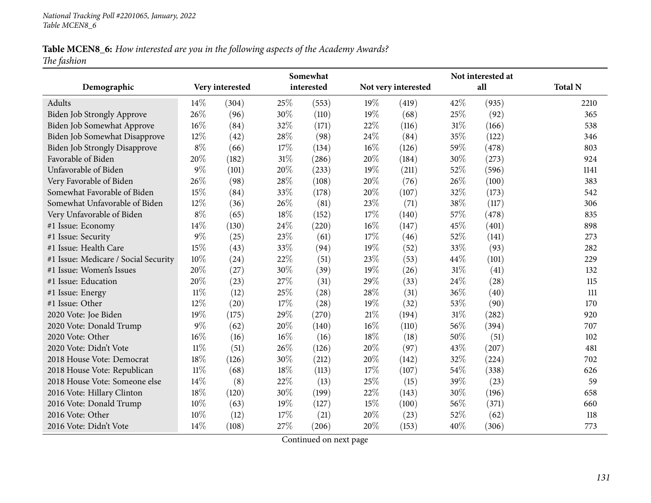# Table MCEN8\_6: How interested are you in the following aspects of the Academy Awards? *The fashion*

|                                      |        |                 |        | Somewhat   |        |                     |     | Not interested at |                |
|--------------------------------------|--------|-----------------|--------|------------|--------|---------------------|-----|-------------------|----------------|
| Demographic                          |        | Very interested |        | interested |        | Not very interested |     | all               | <b>Total N</b> |
| Adults                               | 14%    | (304)           | 25%    | (553)      | 19%    | (419)               | 42% | (935)             | 2210           |
| Biden Job Strongly Approve           | 26%    | (96)            | 30%    | (110)      | 19%    | (68)                | 25% | (92)              | 365            |
| Biden Job Somewhat Approve           | 16%    | (84)            | 32%    | (171)      | 22%    | (116)               | 31% | (166)             | 538            |
| Biden Job Somewhat Disapprove        | 12%    | (42)            | 28%    | (98)       | 24%    | (84)                | 35% | (122)             | 346            |
| <b>Biden Job Strongly Disapprove</b> | $8\%$  | (66)            | 17%    | (134)      | 16%    | (126)               | 59% | (478)             | 803            |
| Favorable of Biden                   | 20%    | (182)           | $31\%$ | (286)      | $20\%$ | (184)               | 30% | (273)             | 924            |
| Unfavorable of Biden                 | $9\%$  | (101)           | 20%    | (233)      | 19%    | (211)               | 52% | (596)             | 1141           |
| Very Favorable of Biden              | 26%    | (98)            | 28%    | (108)      | 20%    | (76)                | 26% | (100)             | 383            |
| Somewhat Favorable of Biden          | 15%    | (84)            | 33%    | (178)      | 20%    | (107)               | 32% | (173)             | 542            |
| Somewhat Unfavorable of Biden        | 12%    | (36)            | 26%    | (81)       | 23%    | (71)                | 38% | (117)             | 306            |
| Very Unfavorable of Biden            | $8\%$  | (65)            | 18%    | (152)      | 17%    | (140)               | 57% | (478)             | 835            |
| #1 Issue: Economy                    | 14%    | (130)           | 24%    | (220)      | 16%    | (147)               | 45% | (401)             | 898            |
| #1 Issue: Security                   | 9%     | (25)            | 23%    | (61)       | 17%    | (46)                | 52% | (141)             | 273            |
| #1 Issue: Health Care                | 15%    | (43)            | 33%    | (94)       | 19%    | (52)                | 33% | (93)              | 282            |
| #1 Issue: Medicare / Social Security | 10%    | (24)            | 22%    | (51)       | 23%    | (53)                | 44% | (101)             | 229            |
| #1 Issue: Women's Issues             | 20%    | (27)            | 30%    | (39)       | 19%    | (26)                | 31% | (41)              | 132            |
| #1 Issue: Education                  | 20%    | (23)            | 27%    | (31)       | 29%    | (33)                | 24% | (28)              | 115            |
| #1 Issue: Energy                     | $11\%$ | (12)            | 25%    | (28)       | 28%    | (31)                | 36% | (40)              | 111            |
| #1 Issue: Other                      | 12%    | (20)            | 17%    | (28)       | 19%    | (32)                | 53% | (90)              | 170            |
| 2020 Vote: Joe Biden                 | 19%    | (175)           | 29%    | (270)      | 21%    | (194)               | 31% | (282)             | 920            |
| 2020 Vote: Donald Trump              | $9\%$  | (62)            | 20%    | (140)      | 16%    | (110)               | 56% | (394)             | 707            |
| 2020 Vote: Other                     | 16%    | (16)            | 16%    | (16)       | 18%    | (18)                | 50% | (51)              | 102            |
| 2020 Vote: Didn't Vote               | $11\%$ | (51)            | 26%    | (126)      | 20%    | (97)                | 43% | (207)             | 481            |
| 2018 House Vote: Democrat            | 18%    | (126)           | 30%    | (212)      | 20%    | (142)               | 32% | (224)             | 702            |
| 2018 House Vote: Republican          | 11%    | (68)            | 18%    | (113)      | 17%    | (107)               | 54% | (338)             | 626            |
| 2018 House Vote: Someone else        | 14%    | (8)             | 22%    | (13)       | 25%    | (15)                | 39% | (23)              | 59             |
| 2016 Vote: Hillary Clinton           | 18%    | (120)           | 30%    | (199)      | 22%    | (143)               | 30% | (196)             | 658            |
| 2016 Vote: Donald Trump              | 10%    | (63)            | 19%    | (127)      | 15%    | (100)               | 56% | (371)             | 660            |
| 2016 Vote: Other                     | 10%    | (12)            | 17%    | (21)       | 20%    | (23)                | 52% | (62)              | 118            |
| 2016 Vote: Didn't Vote               | 14\%   | (108)           | 27%    | (206)      | 20%    | (153)               | 40% | (306)             | 773            |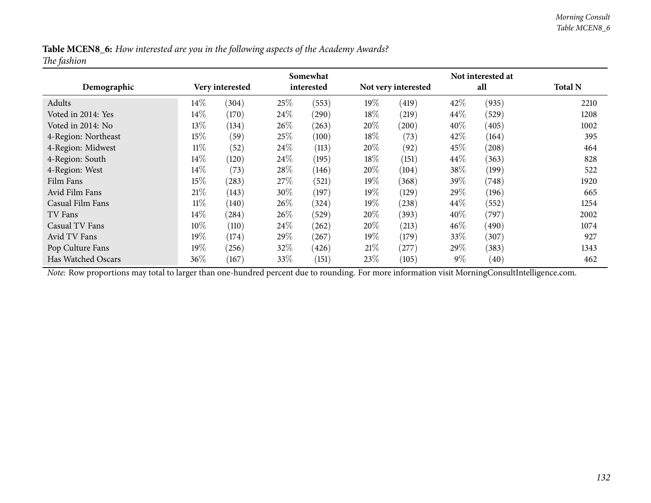Table MCEN8\_6: How interested are you in the following aspects of the Academy Awards? *The fashion*

|                     |        |                 |      | Somewhat   |        |                     |        | Not interested at |                |
|---------------------|--------|-----------------|------|------------|--------|---------------------|--------|-------------------|----------------|
| Demographic         |        | Very interested |      | interested |        | Not very interested |        | all               | <b>Total N</b> |
| Adults              | $14\%$ | (304)           | 25%  | (553)      | $19\%$ | (419)               | 42\%   | (935)             | 2210           |
| Voted in 2014: Yes  | $14\%$ | (170)           | 24\% | (290)      | 18\%   | (219)               | $44\%$ | (529)             | 1208           |
| Voted in 2014: No   | $13\%$ | (134)           | 26%  | (263)      | 20%    | (200)               | 40%    | (405)             | 1002           |
| 4-Region: Northeast | 15%    | (59)            | 25%  | (100)      | $18\%$ | (73)                | 42\%   | (164)             | 395            |
| 4-Region: Midwest   | $11\%$ | (52)            | 24\% | (113)      | 20%    | (92)                | 45\%   | (208)             | 464            |
| 4-Region: South     | 14\%   | (120)           | 24\% | (195)      | 18%    | (151)               | 44%    | (363)             | 828            |
| 4-Region: West      | $14\%$ | (73)            | 28%  | (146)      | 20%    | (104)               | 38\%   | (199)             | 522            |
| Film Fans           | 15%    | (283)           | 27\% | (521)      | $19\%$ | (368)               | 39\%   | (748)             | 1920           |
| Avid Film Fans      | 21%    | (143)           | 30%  | (197)      | $19\%$ | (129)               | 29%    | (196)             | 665            |
| Casual Film Fans    | $11\%$ | (140)           | 26%  | (324)      | 19%    | (238)               | 44\%   | (552)             | 1254           |
| TV Fans             | $14\%$ | $^{'}284)$      | 26%  | (529)      | 20%    | (393)               | 40\%   | (797)             | 2002           |
| Casual TV Fans      | 10%    | (110)           | 24\% | (262)      | 20%    | (213)               | 46%    | (490)             | 1074           |
| Avid TV Fans        | 19%    | (174)           | 29%  | (267)      | $19\%$ | (179)               | $33\%$ | (307)             | 927            |
| Pop Culture Fans    | 19%    | (256)           | 32%  | (426)      | 21%    | (277)               | 29\%   | (383)             | 1343           |
| Has Watched Oscars  | $36\%$ | (167)           | 33\% | (151)      | 23%    | (105)               | $9\%$  | (40)              | 462            |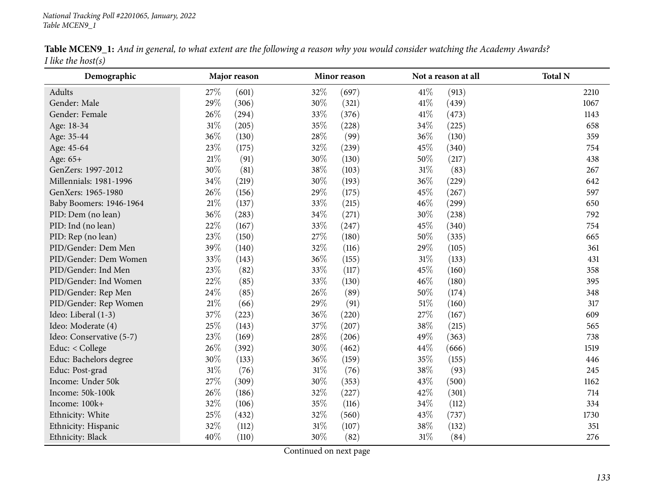#### *National Tracking Poll #2201065, January, <sup>2022</sup> Table MCEN9\_1*

|                       |  |  | Table MCEN9_1: And in general, to what extent are the following a reason why you would consider watching the Academy Awards? |  |
|-----------------------|--|--|------------------------------------------------------------------------------------------------------------------------------|--|
| I like the host $(s)$ |  |  |                                                                                                                              |  |

| Demographic              |        | Major reason |        | Minor reason |        | Not a reason at all | <b>Total N</b> |
|--------------------------|--------|--------------|--------|--------------|--------|---------------------|----------------|
| Adults                   | 27%    | (601)        | 32%    | (697)        | 41\%   | (913)               | 2210           |
| Gender: Male             | 29%    | (306)        | $30\%$ | (321)        | 41\%   | (439)               | 1067           |
| Gender: Female           | 26%    | (294)        | 33%    | (376)        | $41\%$ | (473)               | 1143           |
| Age: 18-34               | 31%    | (205)        | 35%    | (228)        | 34%    | (225)               | 658            |
| Age: 35-44               | 36%    | (130)        | 28\%   | (99)         | 36%    | (130)               | 359            |
| Age: 45-64               | 23%    | (175)        | $32\%$ | (239)        | 45%    | (340)               | 754            |
| Age: 65+                 | $21\%$ | (91)         | 30%    | (130)        | $50\%$ | (217)               | 438            |
| GenZers: 1997-2012       | 30%    | (81)         | 38%    | (103)        | $31\%$ | (83)                | 267            |
| Millennials: 1981-1996   | $34\%$ | (219)        | $30\%$ | (193)        | 36%    | (229)               | 642            |
| GenXers: 1965-1980       | 26%    | (156)        | 29%    | (175)        | 45%    | (267)               | 597            |
| Baby Boomers: 1946-1964  | $21\%$ | (137)        | 33%    | (215)        | 46%    | (299)               | 650            |
| PID: Dem (no lean)       | 36%    | (283)        | $34\%$ | (271)        | 30%    | (238)               | 792            |
| PID: Ind (no lean)       | 22%    | (167)        | 33%    | (247)        | 45%    | (340)               | 754            |
| PID: Rep (no lean)       | 23%    | (150)        | 27\%   | (180)        | 50%    | (335)               | 665            |
| PID/Gender: Dem Men      | 39%    | (140)        | 32%    | (116)        | 29%    | (105)               | 361            |
| PID/Gender: Dem Women    | 33%    | (143)        | 36%    | (155)        | $31\%$ | (133)               | 431            |
| PID/Gender: Ind Men      | 23%    | (82)         | 33%    | (117)        | 45%    | (160)               | 358            |
| PID/Gender: Ind Women    | 22%    | (85)         | 33%    | (130)        | 46%    | (180)               | 395            |
| PID/Gender: Rep Men      | 24\%   | (85)         | 26%    | (89)         | $50\%$ | (174)               | 348            |
| PID/Gender: Rep Women    | $21\%$ | (66)         | 29%    | (91)         | $51\%$ | (160)               | 317            |
| Ideo: Liberal (1-3)      | 37%    | (223)        | 36%    | (220)        | 27%    | (167)               | 609            |
| Ideo: Moderate (4)       | 25%    | (143)        | 37%    | (207)        | 38%    | (215)               | 565            |
| Ideo: Conservative (5-7) | 23%    | (169)        | 28\%   | (206)        | 49%    | (363)               | 738            |
| Educ: < College          | 26%    | (392)        | $30\%$ | (462)        | 44%    | (666)               | 1519           |
| Educ: Bachelors degree   | 30%    | (133)        | 36%    | (159)        | 35%    | (155)               | 446            |
| Educ: Post-grad          | $31\%$ | (76)         | $31\%$ | (76)         | 38%    | (93)                | 245            |
| Income: Under 50k        | 27%    | (309)        | $30\%$ | (353)        | 43%    | (500)               | 1162           |
| Income: 50k-100k         | 26%    | (186)        | 32%    | (227)        | 42%    | (301)               | 714            |
| Income: 100k+            | $32\%$ | (106)        | 35%    | (116)        | $34\%$ | (112)               | 334            |
| Ethnicity: White         | 25%    | (432)        | 32%    | (560)        | 43%    | (737)               | 1730           |
| Ethnicity: Hispanic      | 32%    | (112)        | $31\%$ | (107)        | 38%    | (132)               | 351            |
| Ethnicity: Black         | 40%    | (110)        | 30%    | (82)         | $31\%$ | (84)                | 276            |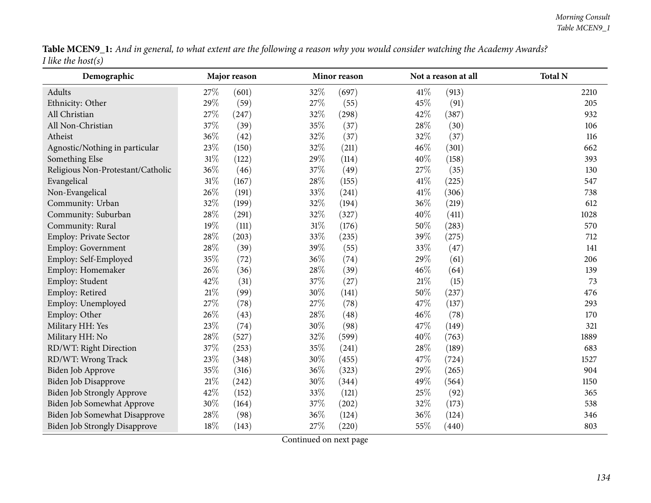|                       |  | Table MCEN9_1: And in general, to what extent are the following a reason why you would consider watching the Academy Awards? |
|-----------------------|--|------------------------------------------------------------------------------------------------------------------------------|
| I like the host $(s)$ |  |                                                                                                                              |

| Demographic                          |      | Major reason |        | Minor reason |        | Not a reason at all | <b>Total N</b> |
|--------------------------------------|------|--------------|--------|--------------|--------|---------------------|----------------|
| Adults                               | 27\% | (601)        | 32%    | (697)        | 41\%   | (913)               | 2210           |
| Ethnicity: Other                     | 29%  | (59)         | 27%    | (55)         | 45%    | (91)                | 205            |
| All Christian                        | 27%  | (247)        | 32%    | (298)        | 42%    | (387)               | 932            |
| All Non-Christian                    | 37%  | (39)         | 35%    | (37)         | 28%    | (30)                | 106            |
| Atheist                              | 36%  | (42)         | 32%    | (37)         | 32%    | (37)                | 116            |
| Agnostic/Nothing in particular       | 23%  | (150)        | 32%    | (211)        | 46%    | (301)               | 662            |
| Something Else                       | 31%  | (122)        | 29%    | (114)        | 40%    | (158)               | 393            |
| Religious Non-Protestant/Catholic    | 36%  | (46)         | 37%    | (49)         | 27%    | (35)                | 130            |
| Evangelical                          | 31%  | (167)        | 28%    | (155)        | $41\%$ | (225)               | 547            |
| Non-Evangelical                      | 26%  | (191)        | 33%    | (241)        | $41\%$ | (306)               | 738            |
| Community: Urban                     | 32%  | (199)        | 32%    | (194)        | 36%    | (219)               | 612            |
| Community: Suburban                  | 28%  | (291)        | 32%    | (327)        | 40%    | (411)               | 1028           |
| Community: Rural                     | 19%  | (111)        | $31\%$ | (176)        | 50%    | (283)               | 570            |
| Employ: Private Sector               | 28%  | (203)        | 33%    | (235)        | 39%    | (275)               | 712            |
| Employ: Government                   | 28%  | (39)         | 39%    | (55)         | 33%    | (47)                | 141            |
| Employ: Self-Employed                | 35%  | (72)         | 36%    | (74)         | 29%    | (61)                | 206            |
| Employ: Homemaker                    | 26%  | (36)         | 28%    | (39)         | 46%    | (64)                | 139            |
| Employ: Student                      | 42%  | (31)         | 37%    | (27)         | $21\%$ | (15)                | 73             |
| Employ: Retired                      | 21%  | (99)         | 30%    | (141)        | 50%    | (237)               | 476            |
| Employ: Unemployed                   | 27%  | (78)         | 27%    | (78)         | 47%    | (137)               | 293            |
| Employ: Other                        | 26%  | (43)         | 28%    | (48)         | 46%    | (78)                | 170            |
| Military HH: Yes                     | 23%  | (74)         | 30%    | (98)         | 47%    | (149)               | 321            |
| Military HH: No                      | 28%  | (527)        | 32%    | (599)        | 40%    | (763)               | 1889           |
| RD/WT: Right Direction               | 37%  | (253)        | 35%    | (241)        | 28%    | (189)               | 683            |
| RD/WT: Wrong Track                   | 23%  | (348)        | 30%    | (455)        | 47%    | (724)               | 1527           |
| Biden Job Approve                    | 35%  | (316)        | 36%    | (323)        | 29%    | (265)               | 904            |
| Biden Job Disapprove                 | 21%  | (242)        | 30%    | (344)        | 49%    | (564)               | 1150           |
| <b>Biden Job Strongly Approve</b>    | 42%  | (152)        | 33%    | (121)        | 25%    | (92)                | 365            |
| Biden Job Somewhat Approve           | 30%  | (164)        | 37%    | (202)        | 32%    | (173)               | 538            |
| Biden Job Somewhat Disapprove        | 28%  | (98)         | 36%    | (124)        | 36%    | (124)               | 346            |
| <b>Biden Job Strongly Disapprove</b> | 18%  | (143)        | 27%    | (220)        | 55%    | (440)               | 803            |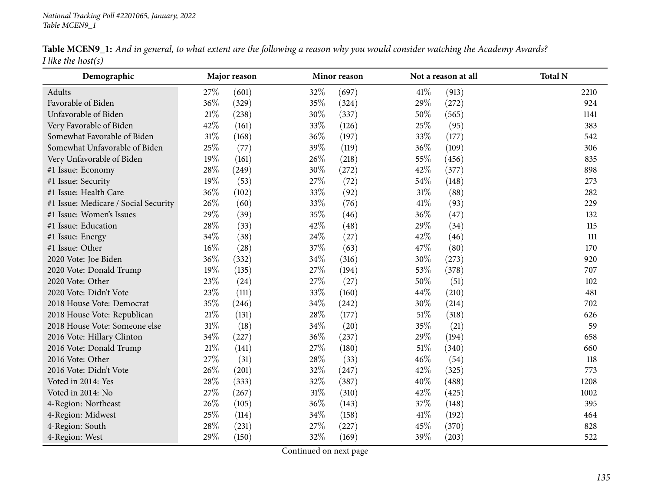|                       | Table MCEN9_1: And in general, to what extent are the following a reason why you would consider watching the Academy Awards? |  |  |  |
|-----------------------|------------------------------------------------------------------------------------------------------------------------------|--|--|--|
| I like the host $(s)$ |                                                                                                                              |  |  |  |

| Demographic                          |        | Major reason |      | Minor reason |        | Not a reason at all | <b>Total N</b> |
|--------------------------------------|--------|--------------|------|--------------|--------|---------------------|----------------|
| Adults                               | 27%    | (601)        | 32%  | (697)        | $41\%$ | (913)               | 2210           |
| Favorable of Biden                   | 36%    | (329)        | 35%  | (324)        | 29%    | (272)               | 924            |
| Unfavorable of Biden                 | 21%    | (238)        | 30%  | (337)        | 50%    | (565)               | 1141           |
| Very Favorable of Biden              | 42%    | (161)        | 33%  | (126)        | 25%    | (95)                | 383            |
| Somewhat Favorable of Biden          | 31%    | (168)        | 36%  | (197)        | 33%    | (177)               | 542            |
| Somewhat Unfavorable of Biden        | 25%    | (77)         | 39%  | (119)        | 36%    | (109)               | 306            |
| Very Unfavorable of Biden            | 19%    | (161)        | 26%  | (218)        | 55%    | (456)               | 835            |
| #1 Issue: Economy                    | 28%    | (249)        | 30%  | (272)        | 42%    | (377)               | 898            |
| #1 Issue: Security                   | 19%    | (53)         | 27%  | (72)         | 54\%   | (148)               | 273            |
| #1 Issue: Health Care                | 36%    | (102)        | 33%  | (92)         | $31\%$ | (88)                | 282            |
| #1 Issue: Medicare / Social Security | 26%    | (60)         | 33%  | (76)         | $41\%$ | (93)                | 229            |
| #1 Issue: Women's Issues             | 29%    | (39)         | 35%  | (46)         | 36%    | (47)                | 132            |
| #1 Issue: Education                  | 28%    | (33)         | 42%  | (48)         | 29%    | (34)                | 115            |
| #1 Issue: Energy                     | 34%    | (38)         | 24\% | (27)         | 42%    | (46)                | $111$          |
| #1 Issue: Other                      | 16%    | (28)         | 37\% | (63)         | 47%    | (80)                | 170            |
| 2020 Vote: Joe Biden                 | 36%    | (332)        | 34%  | (316)        | 30%    | (273)               | 920            |
| 2020 Vote: Donald Trump              | 19%    | (135)        | 27%  | (194)        | 53%    | (378)               | 707            |
| 2020 Vote: Other                     | 23%    | (24)         | 27%  | (27)         | 50%    | (51)                | 102            |
| 2020 Vote: Didn't Vote               | 23%    | (111)        | 33%  | (160)        | 44%    | (210)               | 481            |
| 2018 House Vote: Democrat            | 35%    | (246)        | 34%  | (242)        | 30%    | (214)               | 702            |
| 2018 House Vote: Republican          | $21\%$ | (131)        | 28\% | (177)        | $51\%$ | (318)               | 626            |
| 2018 House Vote: Someone else        | 31%    | (18)         | 34\% | (20)         | 35%    | (21)                | 59             |
| 2016 Vote: Hillary Clinton           | 34%    | (227)        | 36%  | (237)        | 29%    | (194)               | 658            |
| 2016 Vote: Donald Trump              | 21%    | (141)        | 27%  | (180)        | $51\%$ | (340)               | 660            |
| 2016 Vote: Other                     | 27%    | (31)         | 28%  | (33)         | 46\%   | (54)                | 118            |
| 2016 Vote: Didn't Vote               | 26%    | (201)        | 32%  | (247)        | 42\%   | (325)               | 773            |
| Voted in 2014: Yes                   | 28%    | (333)        | 32%  | (387)        | 40%    | (488)               | 1208           |
| Voted in 2014: No                    | 27%    | (267)        | 31%  | (310)        | 42%    | (425)               | 1002           |
| 4-Region: Northeast                  | 26%    | (105)        | 36%  | (143)        | 37%    | (148)               | 395            |
| 4-Region: Midwest                    | 25%    | (114)        | 34\% | (158)        | 41\%   | (192)               | 464            |
| 4-Region: South                      | 28%    | (231)        | 27%  | (227)        | 45%    | (370)               | 828            |
| 4-Region: West                       | 29%    | (150)        | 32%  | (169)        | 39%    | (203)               | 522            |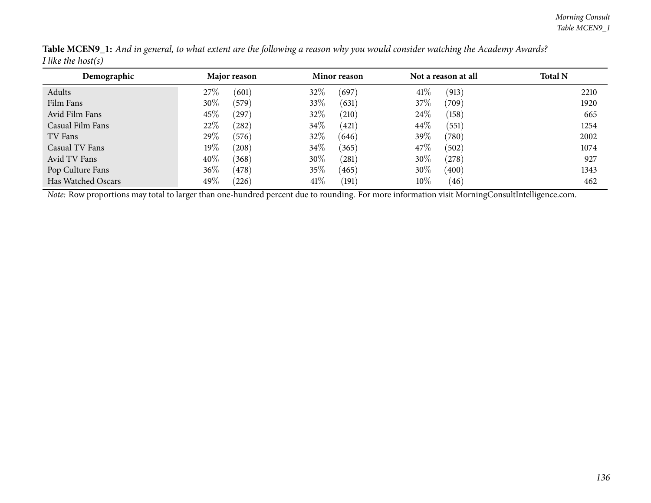| Demographic        | Major reason     | Minor reason      | Not a reason at all           | <b>Total N</b> |
|--------------------|------------------|-------------------|-------------------------------|----------------|
| Adults             | (601)<br>27%     | 32\%<br>(697)     | 41\%<br>(913)                 | 2210           |
| Film Fans          | 30%<br>(579)     | 33\%<br>(631)     | $37\%$<br>$\left( 709\right)$ | 1920           |
| Avid Film Fans     | 45\%<br>(297)    | 32\%<br>(210)     | 24\%<br>(158)                 | 665            |
| Casual Film Fans   | 22%<br>(282)     | 34\%<br>(421)     | 44\%<br>(551)                 | 1254           |
| TV Fans            | 29\%<br>(576)    | 32%<br>(646)      | 39%<br>(780)                  | 2002           |
| Casual TV Fans     | 19 $\%$<br>(208) | 34\%<br>(365)     | 47\%<br>(502)                 | 1074           |
| Avid TV Fans       | $40\%$<br>(368)  | 30%<br>$^{'}281)$ | 30%<br>(278)                  | 927            |
| Pop Culture Fans   | 36\%<br>(478)    | 35\%<br>(465)     | 30\%<br>(400)                 | 1343           |
| Has Watched Oscars | 49\%<br>(226)    | 41%<br>(191)      | 10%<br>(46)                   | 462            |

Table MCEN9\_1: And in general, to what extent are the following a reason why you would consider watching the Academy Awards? *<sup>I</sup> like the host(s)*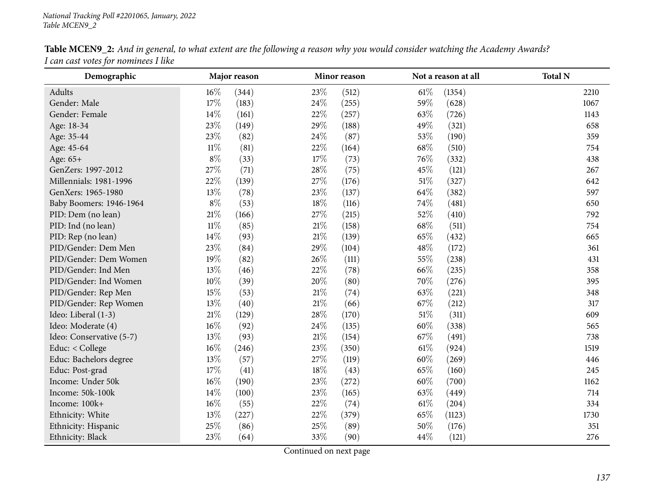| Demographic              | Major reason<br>Minor reason |       |        | Not a reason at all | <b>Total N</b> |        |      |
|--------------------------|------------------------------|-------|--------|---------------------|----------------|--------|------|
| Adults                   | 16%                          | (344) | 23%    | (512)               | $61\%$         | (1354) | 2210 |
| Gender: Male             | 17%                          | (183) | 24\%   | (255)               | 59%            | (628)  | 1067 |
| Gender: Female           | $14\%$                       | (161) | 22%    | (257)               | 63%            | (726)  | 1143 |
| Age: 18-34               | 23%                          | (149) | 29%    | (188)               | 49%            | (321)  | 658  |
| Age: 35-44               | 23%                          | (82)  | 24\%   | (87)                | 53%            | (190)  | 359  |
| Age: 45-64               | $11\%$                       | (81)  | 22%    | (164)               | 68%            | (510)  | 754  |
| Age: 65+                 | $8\%$                        | (33)  | 17\%   | (73)                | 76\%           | (332)  | 438  |
| GenZers: 1997-2012       | 27%                          | (71)  | 28\%   | (75)                | 45%            | (121)  | 267  |
| Millennials: 1981-1996   | 22%                          | (139) | 27\%   | (176)               | $51\%$         | (327)  | 642  |
| GenXers: 1965-1980       | $13\%$                       | (78)  | 23%    | (137)               | 64\%           | (382)  | 597  |
| Baby Boomers: 1946-1964  | $8\%$                        | (53)  | 18%    | (116)               | 74%            | (481)  | 650  |
| PID: Dem (no lean)       | 21\%                         | (166) | 27\%   | (215)               | 52%            | (410)  | 792  |
| PID: Ind (no lean)       | $11\%$                       | (85)  | $21\%$ | (158)               | 68%            | (511)  | 754  |
| PID: Rep (no lean)       | 14\%                         | (93)  | $21\%$ | (139)               | 65%            | (432)  | 665  |
| PID/Gender: Dem Men      | 23%                          | (84)  | 29%    | (104)               | 48%            | (172)  | 361  |
| PID/Gender: Dem Women    | 19%                          | (82)  | 26%    | (111)               | 55%            | (238)  | 431  |
| PID/Gender: Ind Men      | $13\%$                       | (46)  | $22\%$ | (78)                | 66\%           | (235)  | 358  |
| PID/Gender: Ind Women    | $10\%$                       | (39)  | 20%    | (80)                | 70%            | (276)  | 395  |
| PID/Gender: Rep Men      | 15%                          | (53)  | $21\%$ | (74)                | 63%            | (221)  | 348  |
| PID/Gender: Rep Women    | 13%                          | (40)  | $21\%$ | (66)                | 67%            | (212)  | 317  |
| Ideo: Liberal (1-3)      | 21\%                         | (129) | 28%    | (170)               | 51%            | (311)  | 609  |
| Ideo: Moderate (4)       | $16\%$                       | (92)  | 24\%   | (135)               | 60%            | (338)  | 565  |
| Ideo: Conservative (5-7) | 13%                          | (93)  | $21\%$ | (154)               | 67%            | (491)  | 738  |
| Educ: < College          | $16\%$                       | (246) | $23\%$ | (350)               | $61\%$         | (924)  | 1519 |
| Educ: Bachelors degree   | 13%                          | (57)  | 27%    | (119)               | 60%            | (269)  | 446  |
| Educ: Post-grad          | 17%                          | (41)  | 18%    | (43)                | 65%            | (160)  | 245  |
| Income: Under 50k        | $16\%$                       | (190) | 23%    | (272)               | 60%            | (700)  | 1162 |
| Income: 50k-100k         | 14\%                         | (100) | 23\%   | (165)               | 63%            | (449)  | 714  |
| Income: 100k+            | $16\%$                       | (55)  | 22\%   | (74)                | $61\%$         | (204)  | 334  |
| Ethnicity: White         | 13%                          | (227) | 22%    | (379)               | 65%            | (1123) | 1730 |
| Ethnicity: Hispanic      | 25%                          | (86)  | 25%    | (89)                | 50%            | (176)  | 351  |
| Ethnicity: Black         | 23%                          | (64)  | 33%    | (90)                | 44\%           | (121)  | 276  |

Table MCEN9\_2: And in general, to what extent are the following a reason why you would consider watching the Academy Awards? *<sup>I</sup> can cast votes for nominees <sup>I</sup> like*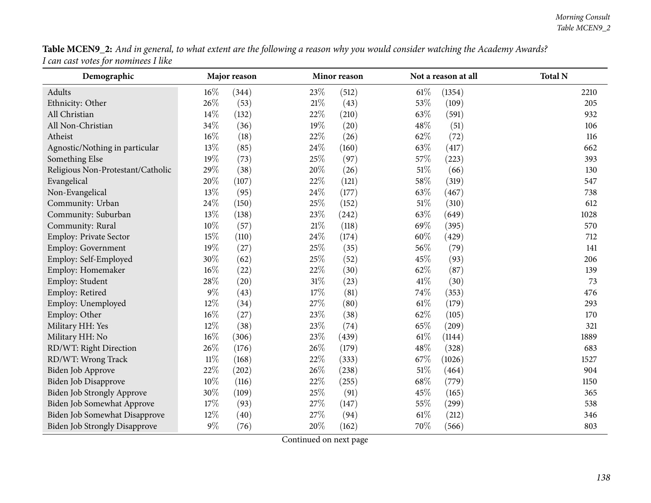|                                      |  | Table MCEN9_2: And in general, to what extent are the following a reason why you would consider watching the Academy Awards? |
|--------------------------------------|--|------------------------------------------------------------------------------------------------------------------------------|
| I can cast votes for nominees I like |  |                                                                                                                              |

| Demographic                          |        | Major reason |        | Minor reason |        | Not a reason at all | <b>Total N</b> |
|--------------------------------------|--------|--------------|--------|--------------|--------|---------------------|----------------|
| Adults                               | $16\%$ | (344)        | 23%    | (512)        | $61\%$ | (1354)              | 2210           |
| Ethnicity: Other                     | 26%    | (53)         | 21%    | (43)         | 53%    | (109)               | 205            |
| All Christian                        | 14%    | (132)        | 22%    | (210)        | 63%    | (591)               | 932            |
| All Non-Christian                    | 34%    | (36)         | 19%    | (20)         | 48%    | (51)                | 106            |
| Atheist                              | 16%    | (18)         | 22%    | (26)         | 62%    | (72)                | 116            |
| Agnostic/Nothing in particular       | 13%    | (85)         | 24%    | (160)        | 63%    | (417)               | 662            |
| Something Else                       | 19%    | (73)         | 25%    | (97)         | $57\%$ | (223)               | 393            |
| Religious Non-Protestant/Catholic    | 29%    | (38)         | 20%    | (26)         | $51\%$ | (66)                | 130            |
| Evangelical                          | 20%    | (107)        | 22%    | (121)        | 58%    | (319)               | 547            |
| Non-Evangelical                      | 13%    | (95)         | 24%    | (177)        | 63%    | (467)               | 738            |
| Community: Urban                     | 24%    | (150)        | 25%    | (152)        | $51\%$ | (310)               | 612            |
| Community: Suburban                  | 13%    | (138)        | 23%    | (242)        | 63%    | (649)               | 1028           |
| Community: Rural                     | 10%    | (57)         | 21%    | (118)        | 69%    | (395)               | 570            |
| Employ: Private Sector               | 15%    | (110)        | 24%    | (174)        | 60%    | (429)               | 712            |
| Employ: Government                   | 19%    | (27)         | 25%    | (35)         | 56%    | (79)                | 141            |
| Employ: Self-Employed                | 30%    | (62)         | 25%    | (52)         | 45%    | (93)                | 206            |
| Employ: Homemaker                    | 16%    | (22)         | 22%    | (30)         | 62%    | (87)                | 139            |
| Employ: Student                      | 28%    | (20)         | 31%    | (23)         | $41\%$ | (30)                | 73             |
| Employ: Retired                      | $9\%$  | (43)         | $17\%$ | (81)         | 74%    | (353)               | 476            |
| Employ: Unemployed                   | 12%    | (34)         | 27%    | (80)         | $61\%$ | (179)               | 293            |
| Employ: Other                        | 16%    | (27)         | 23%    | (38)         | 62%    | (105)               | 170            |
| Military HH: Yes                     | 12%    | (38)         | 23%    | (74)         | 65%    | (209)               | 321            |
| Military HH: No                      | 16%    | (306)        | 23%    | (439)        | $61\%$ | (1144)              | 1889           |
| RD/WT: Right Direction               | 26%    | (176)        | 26%    | (179)        | 48%    | (328)               | 683            |
| RD/WT: Wrong Track                   | $11\%$ | (168)        | 22%    | (333)        | 67%    | (1026)              | 1527           |
| Biden Job Approve                    | 22%    | (202)        | 26%    | (238)        | $51\%$ | (464)               | 904            |
| <b>Biden Job Disapprove</b>          | 10%    | (116)        | 22%    | (255)        | 68%    | (779)               | 1150           |
| <b>Biden Job Strongly Approve</b>    | 30%    | (109)        | 25%    | (91)         | 45%    | (165)               | 365            |
| <b>Biden Job Somewhat Approve</b>    | 17%    | (93)         | 27%    | (147)        | 55%    | (299)               | 538            |
| Biden Job Somewhat Disapprove        | 12%    | (40)         | 27%    | (94)         | $61\%$ | (212)               | 346            |
| <b>Biden Job Strongly Disapprove</b> | $9\%$  | (76)         | 20%    | (162)        | 70%    | (566)               | 803            |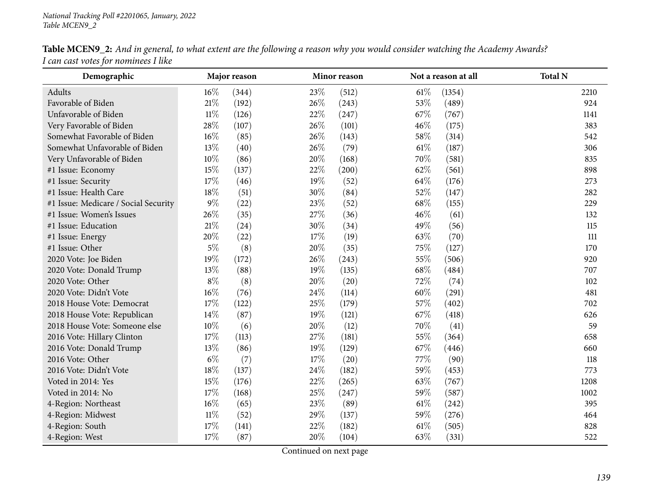| Table MCEN9_2: And in general, to what extent are the following a reason why you would consider watching the Academy Awards? |  |
|------------------------------------------------------------------------------------------------------------------------------|--|
| I can cast votes for nominees I like                                                                                         |  |

| Demographic                          |        | Major reason |      | Minor reason |        | Not a reason at all | <b>Total N</b> |
|--------------------------------------|--------|--------------|------|--------------|--------|---------------------|----------------|
| Adults                               | $16\%$ | (344)        | 23%  | (512)        | $61\%$ | (1354)              | 2210           |
| Favorable of Biden                   | 21%    | (192)        | 26%  | (243)        | 53%    | (489)               | 924            |
| Unfavorable of Biden                 | $11\%$ | (126)        | 22%  | (247)        | 67%    | (767)               | 1141           |
| Very Favorable of Biden              | 28\%   | (107)        | 26\% | (101)        | 46%    | (175)               | 383            |
| Somewhat Favorable of Biden          | $16\%$ | (85)         | 26%  | (143)        | 58%    | (314)               | 542            |
| Somewhat Unfavorable of Biden        | 13%    | (40)         | 26%  | (79)         | $61\%$ | (187)               | 306            |
| Very Unfavorable of Biden            | 10%    | (86)         | 20%  | (168)        | 70%    | (581)               | 835            |
| #1 Issue: Economy                    | 15%    | (137)        | 22%  | (200)        | 62%    | (561)               | 898            |
| #1 Issue: Security                   | 17%    | (46)         | 19%  | (52)         | 64%    | (176)               | 273            |
| #1 Issue: Health Care                | 18%    | (51)         | 30%  | (84)         | 52%    | (147)               | 282            |
| #1 Issue: Medicare / Social Security | $9\%$  | (22)         | 23%  | (52)         | 68%    | (155)               | 229            |
| #1 Issue: Women's Issues             | 26%    | (35)         | 27\% | (36)         | 46%    | (61)                | 132            |
| #1 Issue: Education                  | $21\%$ | (24)         | 30%  | (34)         | 49%    | (56)                | 115            |
| #1 Issue: Energy                     | 20%    | (22)         | 17%  | (19)         | 63%    | (70)                | 111            |
| #1 Issue: Other                      | $5\%$  | (8)          | 20%  | (35)         | 75%    | (127)               | 170            |
| 2020 Vote: Joe Biden                 | 19%    | (172)        | 26\% | (243)        | 55%    | (506)               | 920            |
| 2020 Vote: Donald Trump              | 13%    | (88)         | 19%  | (135)        | 68%    | (484)               | 707            |
| 2020 Vote: Other                     | $8\%$  | (8)          | 20%  | (20)         | 72%    | (74)                | 102            |
| 2020 Vote: Didn't Vote               | $16\%$ | (76)         | 24\% | (114)        | 60%    | (291)               | 481            |
| 2018 House Vote: Democrat            | $17\%$ | (122)        | 25%  | (179)        | 57%    | (402)               | 702            |
| 2018 House Vote: Republican          | 14\%   | (87)         | 19%  | (121)        | 67%    | (418)               | 626            |
| 2018 House Vote: Someone else        | $10\%$ | (6)          | 20%  | (12)         | 70%    | (41)                | 59             |
| 2016 Vote: Hillary Clinton           | 17%    | (113)        | 27\% | (181)        | 55%    | (364)               | 658            |
| 2016 Vote: Donald Trump              | 13%    | (86)         | 19%  | (129)        | 67%    | (446)               | 660            |
| 2016 Vote: Other                     | $6\%$  | (7)          | 17%  | (20)         | 77%    | (90)                | 118            |
| 2016 Vote: Didn't Vote               | $18\%$ | (137)        | 24\% | (182)        | 59%    | (453)               | 773            |
| Voted in 2014: Yes                   | 15%    | (176)        | 22%  | (265)        | 63%    | (767)               | 1208           |
| Voted in 2014: No                    | 17%    | (168)        | 25\% | (247)        | 59%    | (587)               | 1002           |
| 4-Region: Northeast                  | $16\%$ | (65)         | 23\% | (89)         | $61\%$ | (242)               | 395            |
| 4-Region: Midwest                    | $11\%$ | (52)         | 29%  | (137)        | 59%    | (276)               | 464            |
| 4-Region: South                      | 17%    | (141)        | 22%  | (182)        | 61%    | (505)               | 828            |
| 4-Region: West                       | 17%    | (87)         | 20%  | (104)        | 63%    | (331)               | 522            |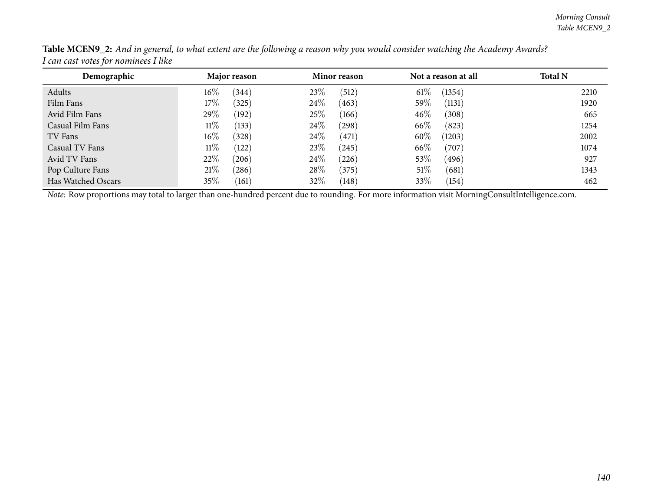| Demographic        | Major reason    | Minor reason      | Not a reason at all | <b>Total N</b> |
|--------------------|-----------------|-------------------|---------------------|----------------|
| Adults             | $16\%$<br>(344) | 23\%<br>(512)     | $61\%$<br>(1354)    | 2210           |
| Film Fans          | 17%<br>(325)    | 24\%<br>463       | 59\%<br>(1131)      | 1920           |
| Avid Film Fans     | 29\%<br>(192)   | 25%<br>(166)      | $46\%$<br>(308)     | 665            |
| Casual Film Fans   | $11\%$<br>(133) | 24\%<br>(298)     | 66\%<br>(823)       | 1254           |
| TV Fans            | $16\%$<br>(328) | 24\%<br>(471)     | 60%<br>(1203)       | 2002           |
| Casual TV Fans     | $11\%$<br>122   | 23\%<br>$^{'}245$ | 66\%<br>(707)       | 1074           |
| Avid TV Fans       | 22\%<br>(206)   | 24%<br>(226)      | 53\%<br>(496)       | 927            |
| Pop Culture Fans   | 21%<br>(286)    | $28\%$<br>(375)   | 51%<br>(681)        | 1343           |
| Has Watched Oscars | $35\%$<br>(161) | 32%<br>(148)      | 33%<br>(154)        | 462            |

Table MCEN9\_2: And in general, to what extent are the following a reason why you would consider watching the Academy Awards? *<sup>I</sup> can cast votes for nominees <sup>I</sup> like*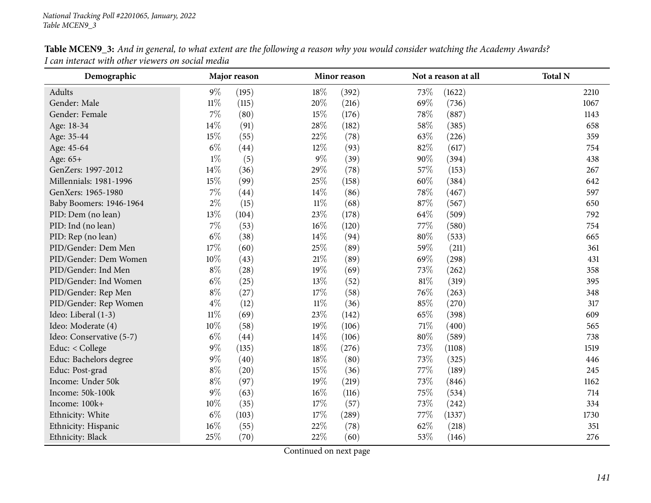| Demographic              |        | Major reason |        | Minor reason |        | Not a reason at all |      |
|--------------------------|--------|--------------|--------|--------------|--------|---------------------|------|
| Adults                   | $9\%$  | (195)        | 18\%   | (392)        | 73%    | (1622)              | 2210 |
| Gender: Male             | $11\%$ | (115)        | 20%    | (216)        | 69%    | (736)               | 1067 |
| Gender: Female           | $7\%$  | (80)         | 15%    | (176)        | 78%    | (887)               | 1143 |
| Age: 18-34               | 14%    | (91)         | 28\%   | (182)        | 58%    | (385)               | 658  |
| Age: 35-44               | 15%    | (55)         | 22\%   | (78)         | 63%    | (226)               | 359  |
| Age: 45-64               | $6\%$  | (44)         | $12\%$ | (93)         | 82%    | (617)               | 754  |
| Age: 65+                 | $1\%$  | (5)          | $9\%$  | (39)         | 90%    | (394)               | 438  |
| GenZers: 1997-2012       | 14\%   | (36)         | 29%    | (78)         | 57%    | (153)               | 267  |
| Millennials: 1981-1996   | 15%    | (99)         | 25%    | (158)        | $60\%$ | (384)               | 642  |
| GenXers: 1965-1980       | $7\%$  | (44)         | 14\%   | (86)         | 78%    | (467)               | 597  |
| Baby Boomers: 1946-1964  | $2\%$  | (15)         | $11\%$ | (68)         | 87%    | (567)               | 650  |
| PID: Dem (no lean)       | 13%    | (104)        | 23%    | (178)        | 64\%   | (509)               | 792  |
| PID: Ind (no lean)       | $7\%$  | (53)         | 16%    | (120)        | 77\%   | (580)               | 754  |
| PID: Rep (no lean)       | $6\%$  | (38)         | $14\%$ | (94)         | 80%    | (533)               | 665  |
| PID/Gender: Dem Men      | 17%    | (60)         | 25\%   | (89)         | 59%    | (211)               | 361  |
| PID/Gender: Dem Women    | $10\%$ | (43)         | $21\%$ | (89)         | 69%    | (298)               | 431  |
| PID/Gender: Ind Men      | $8\%$  | (28)         | 19%    | (69)         | 73%    | (262)               | 358  |
| PID/Gender: Ind Women    | $6\%$  | (25)         | 13%    | (52)         | 81%    | (319)               | 395  |
| PID/Gender: Rep Men      | $8\%$  | (27)         | 17%    | (58)         | 76%    | (263)               | 348  |
| PID/Gender: Rep Women    | $4\%$  | (12)         | $11\%$ | (36)         | 85%    | (270)               | 317  |
| Ideo: Liberal (1-3)      | $11\%$ | (69)         | 23%    | (142)        | 65%    | (398)               | 609  |
| Ideo: Moderate (4)       | 10%    | (58)         | 19%    | (106)        | 71%    | (400)               | 565  |
| Ideo: Conservative (5-7) | $6\%$  | (44)         | $14\%$ | (106)        | 80%    | (589)               | 738  |
| Educ: < College          | $9\%$  | (135)        | $18\%$ | (276)        | 73%    | (1108)              | 1519 |
| Educ: Bachelors degree   | $9\%$  | (40)         | 18%    | (80)         | 73%    | (325)               | 446  |
| Educ: Post-grad          | $8\%$  | (20)         | $15\%$ | (36)         | 77\%   | (189)               | 245  |
| Income: Under 50k        | $8\%$  | (97)         | 19%    | (219)        | 73%    | (846)               | 1162 |
| Income: 50k-100k         | $9\%$  | (63)         | $16\%$ | (116)        | 75%    | (534)               | 714  |
| Income: 100k+            | $10\%$ | (35)         | $17\%$ | (57)         | 73%    | (242)               | 334  |
| Ethnicity: White         | $6\%$  | (103)        | 17%    | (289)        | 77\%   | (1337)              | 1730 |
| Ethnicity: Hispanic      | $16\%$ | (55)         | 22%    | (78)         | 62%    | (218)               | 351  |
| Ethnicity: Black         | 25%    | (70)         | 22%    | (60)         | 53%    | (146)               | 276  |

Table MCEN9\_3: And in general, to what extent are the following a reason why you would consider watching the Academy Awards? *<sup>I</sup> can interact with other viewers on social media*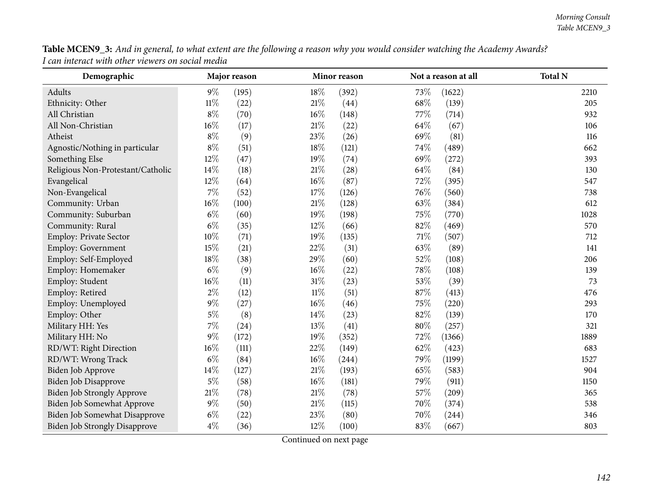|                                                   | Table MCEN9_3: And in general, to what extent are the following a reason why you would consider watching the Academy Awards? |
|---------------------------------------------------|------------------------------------------------------------------------------------------------------------------------------|
| I can interact with other viewers on social media |                                                                                                                              |

| Demographic                          |        | Major reason |        | Minor reason |        | Not a reason at all | <b>Total N</b> |
|--------------------------------------|--------|--------------|--------|--------------|--------|---------------------|----------------|
| Adults                               | $9\%$  | (195)        | 18%    | (392)        | 73%    | (1622)              | 2210           |
| Ethnicity: Other                     | $11\%$ | (22)         | 21%    | (44)         | 68%    | (139)               | 205            |
| All Christian                        | $8\%$  | (70)         | 16%    | (148)        | 77\%   | (714)               | 932            |
| All Non-Christian                    | 16%    | (17)         | 21%    | (22)         | 64%    | (67)                | 106            |
| Atheist                              | $8\%$  | (9)          | 23%    | (26)         | 69%    | (81)                | 116            |
| Agnostic/Nothing in particular       | $8\%$  | (51)         | 18%    | (121)        | 74%    | (489)               | 662            |
| Something Else                       | 12%    | (47)         | 19%    | (74)         | 69%    | (272)               | 393            |
| Religious Non-Protestant/Catholic    | 14%    | (18)         | 21%    | (28)         | 64\%   | (84)                | 130            |
| Evangelical                          | 12%    | (64)         | 16%    | (87)         | 72%    | (395)               | 547            |
| Non-Evangelical                      | 7%     | (52)         | 17%    | (126)        | 76%    | (560)               | 738            |
| Community: Urban                     | $16\%$ | (100)        | $21\%$ | (128)        | 63%    | (384)               | 612            |
| Community: Suburban                  | $6\%$  | (60)         | 19%    | (198)        | 75%    | (770)               | 1028           |
| Community: Rural                     | $6\%$  | (35)         | 12%    | (66)         | 82%    | (469)               | 570            |
| Employ: Private Sector               | 10%    | (71)         | 19%    | (135)        | $71\%$ | (507)               | 712            |
| Employ: Government                   | 15%    | (21)         | 22%    | (31)         | 63%    | (89)                | 141            |
| Employ: Self-Employed                | 18%    | (38)         | 29%    | (60)         | 52%    | (108)               | 206            |
| Employ: Homemaker                    | $6\%$  | (9)          | 16%    | (22)         | 78%    | (108)               | 139            |
| Employ: Student                      | 16%    | (11)         | 31%    | (23)         | 53%    | (39)                | 73             |
| Employ: Retired                      | $2\%$  | (12)         | $11\%$ | (51)         | 87%    | (413)               | 476            |
| Employ: Unemployed                   | $9\%$  | (27)         | 16%    | (46)         | 75%    | (220)               | 293            |
| Employ: Other                        | $5\%$  | (8)          | 14%    | (23)         | 82%    | (139)               | 170            |
| Military HH: Yes                     | 7%     | (24)         | 13%    | (41)         | 80%    | (257)               | 321            |
| Military HH: No                      | 9%     | (172)        | 19%    | (352)        | 72%    | (1366)              | 1889           |
| RD/WT: Right Direction               | 16%    | (111)        | 22%    | (149)        | 62%    | (423)               | 683            |
| RD/WT: Wrong Track                   | $6\%$  | (84)         | 16%    | (244)        | 79%    | (1199)              | 1527           |
| Biden Job Approve                    | 14%    | (127)        | 21%    | (193)        | 65%    | (583)               | 904            |
| <b>Biden Job Disapprove</b>          | $5\%$  | (58)         | 16%    | (181)        | 79%    | (911)               | 1150           |
| <b>Biden Job Strongly Approve</b>    | $21\%$ | (78)         | $21\%$ | (78)         | 57%    | (209)               | 365            |
| Biden Job Somewhat Approve           | $9\%$  | (50)         | 21%    | (115)        | 70%    | (374)               | 538            |
| Biden Job Somewhat Disapprove        | $6\%$  | (22)         | 23%    | (80)         | 70%    | (244)               | 346            |
| <b>Biden Job Strongly Disapprove</b> | $4\%$  | (36)         | 12%    | (100)        | 83%    | (667)               | 803            |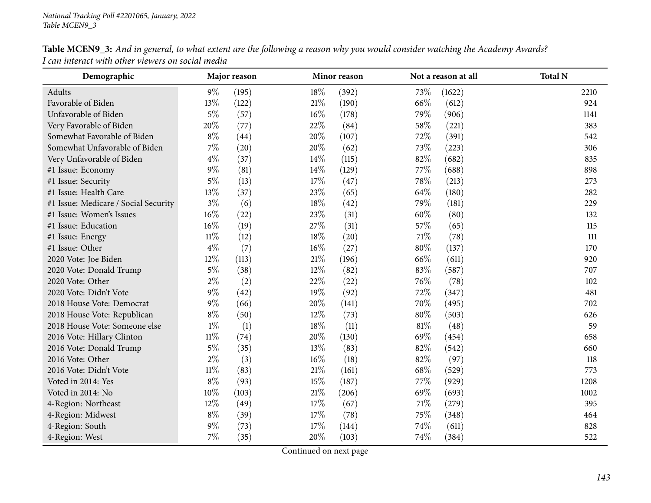| Demographic                          | Major reason |       |        | Minor reason |        | Not a reason at all | <b>Total N</b> |
|--------------------------------------|--------------|-------|--------|--------------|--------|---------------------|----------------|
| Adults                               | $9\%$        | (195) | 18%    | (392)        | 73%    | (1622)              | 2210           |
| Favorable of Biden                   | 13%          | (122) | 21%    | (190)        | 66%    | (612)               | 924            |
| Unfavorable of Biden                 | $5\%$        | (57)  | $16\%$ | (178)        | 79%    | (906)               | 1141           |
| Very Favorable of Biden              | 20%          | (77)  | 22%    | (84)         | 58%    | (221)               | 383            |
| Somewhat Favorable of Biden          | $8\%$        | (44)  | 20%    | (107)        | 72%    | (391)               | 542            |
| Somewhat Unfavorable of Biden        | $7\%$        | (20)  | 20%    | (62)         | 73%    | (223)               | 306            |
| Very Unfavorable of Biden            | $4\%$        | (37)  | 14%    | (115)        | 82%    | (682)               | 835            |
| #1 Issue: Economy                    | $9\%$        | (81)  | $14\%$ | (129)        | 77%    | (688)               | 898            |
| #1 Issue: Security                   | $5\%$        | (13)  | 17%    | (47)         | 78%    | (213)               | 273            |
| #1 Issue: Health Care                | 13%          | (37)  | 23\%   | (65)         | 64\%   | (180)               | 282            |
| #1 Issue: Medicare / Social Security | $3\%$        | (6)   | 18%    | (42)         | 79%    | (181)               | 229            |
| #1 Issue: Women's Issues             | $16\%$       | (22)  | 23\%   | (31)         | 60%    | (80)                | 132            |
| #1 Issue: Education                  | 16\%         | (19)  | 27%    | (31)         | 57%    | (65)                | 115            |
| #1 Issue: Energy                     | $11\%$       | (12)  | 18\%   | (20)         | 71\%   | (78)                | 111            |
| #1 Issue: Other                      | $4\%$        | (7)   | $16\%$ | (27)         | 80%    | (137)               | 170            |
| 2020 Vote: Joe Biden                 | 12%          | (113) | $21\%$ | (196)        | 66%    | (611)               | 920            |
| 2020 Vote: Donald Trump              | $5\%$        | (38)  | $12\%$ | (82)         | 83%    | (587)               | 707            |
| 2020 Vote: Other                     | $2\%$        | (2)   | 22%    | (22)         | 76%    | (78)                | 102            |
| 2020 Vote: Didn't Vote               | $9\%$        | (42)  | 19%    | (92)         | 72%    | (347)               | 481            |
| 2018 House Vote: Democrat            | $9\%$        | (66)  | 20%    | (141)        | 70%    | (495)               | 702            |
| 2018 House Vote: Republican          | $8\%$        | (50)  | 12%    | (73)         | 80%    | (503)               | 626            |
| 2018 House Vote: Someone else        | $1\%$        | (1)   | 18%    | (11)         | $81\%$ | (48)                | 59             |
| 2016 Vote: Hillary Clinton           | $11\%$       | (74)  | 20%    | (130)        | 69%    | (454)               | 658            |
| 2016 Vote: Donald Trump              | $5\%$        | (35)  | 13%    | (83)         | 82%    | (542)               | 660            |
| 2016 Vote: Other                     | $2\%$        | (3)   | $16\%$ | (18)         | 82%    | (97)                | 118            |
| 2016 Vote: Didn't Vote               | $11\%$       | (83)  | 21%    | (161)        | 68\%   | (529)               | 773            |
| Voted in 2014: Yes                   | $8\%$        | (93)  | 15%    | (187)        | 77%    | (929)               | 1208           |
| Voted in 2014: No                    | $10\%$       | (103) | 21%    | (206)        | 69%    | (693)               | 1002           |
| 4-Region: Northeast                  | 12%          | (49)  | 17%    | (67)         | 71%    | (279)               | 395            |
| 4-Region: Midwest                    | $8\%$        | (39)  | 17\%   | (78)         | 75%    | (348)               | 464            |
| 4-Region: South                      | $9\%$        | (73)  | 17%    | (144)        | 74%    | (611)               | 828            |
| 4-Region: West                       | 7%           | (35)  | 20%    | (103)        | 74\%   | (384)               | 522            |

Table MCEN9\_3: And in general, to what extent are the following a reason why you would consider watching the Academy Awards? *<sup>I</sup> can interact with other viewers on social media*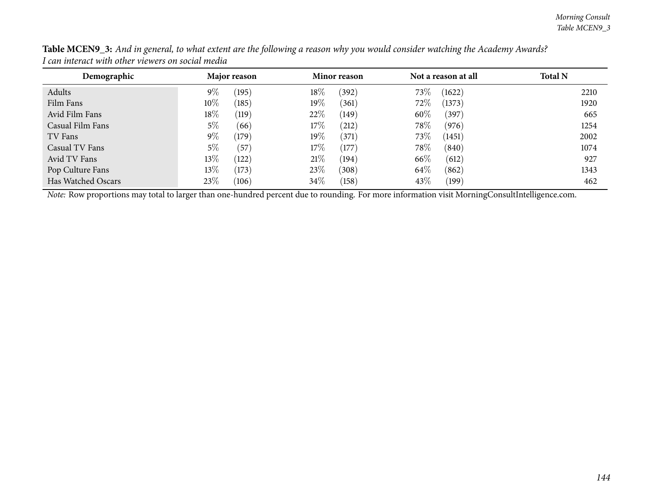| Demographic        |        | Major reason | Minor reason |            | Not a reason at all |        | <b>Total N</b> |
|--------------------|--------|--------------|--------------|------------|---------------------|--------|----------------|
| Adults             | $9\%$  | (195)        | 18%          | (392)      | 73\%                | (1622) | 2210           |
| Film Fans          | $10\%$ | (185)        | $19\%$       | (361)      | 72\%                | (1373) | 1920           |
| Avid Film Fans     | $18\%$ | (119)        | 22\%         | (149)      | 60%                 | (397)  | 665            |
| Casual Film Fans   | $5\%$  | (66)         | 17%          | $^{'}212)$ | 78\%                | (976)  | 1254           |
| TV Fans            | $9\%$  | (179)        | $19\%$       | (371)      | 73\%                | (1451) | 2002           |
| Casual TV Fans     | 5%     | (57)         | 17%          | (177)      | 78%                 | (840)  | 1074           |
| Avid TV Fans       | $13\%$ | (122)        | 21%          | (194)      | 66\%                | (612)  | 927            |
| Pop Culture Fans   | $13\%$ | (173)        | 23\%         | (308)      | 64\%                | (862)  | 1343           |
| Has Watched Oscars | 23\%   | (106)        | 34\%         | (158)      | 43\%                | (199)  | 462            |

Table MCEN9\_3: And in general, to what extent are the following a reason why you would consider watching the Academy Awards? *<sup>I</sup> can interact with other viewers on social media*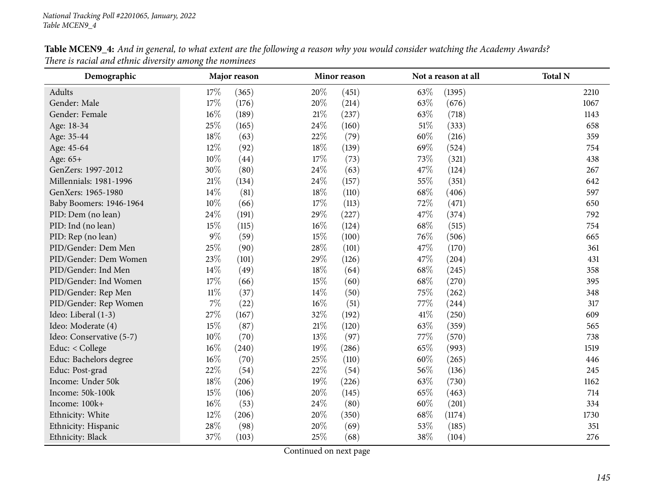| Demographic              |        | Major reason<br>Minor reason |        |       | Not a reason at all | <b>Total N</b> |      |
|--------------------------|--------|------------------------------|--------|-------|---------------------|----------------|------|
| Adults                   | 17%    | (365)                        | 20%    | (451) | 63%                 | (1395)         | 2210 |
| Gender: Male             | 17%    | (176)                        | 20%    | (214) | 63%                 | (676)          | 1067 |
| Gender: Female           | 16%    | (189)                        | $21\%$ | (237) | 63\%                | (718)          | 1143 |
| Age: 18-34               | 25%    | (165)                        | 24\%   | (160) | $51\%$              | (333)          | 658  |
| Age: 35-44               | 18%    | (63)                         | 22%    | (79)  | 60%                 | (216)          | 359  |
| Age: 45-64               | 12%    | (92)                         | 18%    | (139) | 69%                 | (524)          | 754  |
| Age: 65+                 | 10%    | (44)                         | 17%    | (73)  | 73\%                | (321)          | 438  |
| GenZers: 1997-2012       | 30%    | (80)                         | 24\%   | (63)  | 47%                 | (124)          | 267  |
| Millennials: 1981-1996   | 21\%   | (134)                        | 24\%   | (157) | 55%                 | (351)          | 642  |
| GenXers: 1965-1980       | 14%    | (81)                         | 18%    | (110) | 68\%                | (406)          | 597  |
| Baby Boomers: 1946-1964  | 10%    | (66)                         | 17%    | (113) | 72%                 | (471)          | 650  |
| PID: Dem (no lean)       | 24%    | (191)                        | 29%    | (227) | 47%                 | (374)          | 792  |
| PID: Ind (no lean)       | 15%    | (115)                        | $16\%$ | (124) | 68%                 | (515)          | 754  |
| PID: Rep (no lean)       | $9\%$  | (59)                         | 15%    | (100) | 76\%                | (506)          | 665  |
| PID/Gender: Dem Men      | 25%    | (90)                         | 28\%   | (101) | 47\%                | (170)          | 361  |
| PID/Gender: Dem Women    | 23%    | (101)                        | 29%    | (126) | 47%                 | (204)          | 431  |
| PID/Gender: Ind Men      | 14%    | (49)                         | 18%    | (64)  | 68%                 | (245)          | 358  |
| PID/Gender: Ind Women    | 17%    | (66)                         | 15%    | (60)  | 68%                 | (270)          | 395  |
| PID/Gender: Rep Men      | $11\%$ | (37)                         | 14\%   | (50)  | 75%                 | (262)          | 348  |
| PID/Gender: Rep Women    | 7%     | (22)                         | $16\%$ | (51)  | 77%                 | (244)          | 317  |
| Ideo: Liberal (1-3)      | 27%    | (167)                        | 32%    | (192) | 41\%                | (250)          | 609  |
| Ideo: Moderate (4)       | 15%    | (87)                         | $21\%$ | (120) | 63%                 | (359)          | 565  |
| Ideo: Conservative (5-7) | 10%    | (70)                         | 13%    | (97)  | 77\%                | (570)          | 738  |
| Educ: < College          | $16\%$ | (240)                        | $19\%$ | (286) | 65\%                | (993)          | 1519 |
| Educ: Bachelors degree   | 16%    | (70)                         | 25\%   | (110) | 60%                 | (265)          | 446  |
| Educ: Post-grad          | 22%    | (54)                         | 22%    | (54)  | 56%                 | (136)          | 245  |
| Income: Under 50k        | 18%    | (206)                        | 19%    | (226) | 63%                 | (730)          | 1162 |
| Income: 50k-100k         | 15%    | (106)                        | 20%    | (145) | 65%                 | (463)          | 714  |
| Income: 100k+            | $16\%$ | (53)                         | 24\%   | (80)  | 60%                 | (201)          | 334  |
| Ethnicity: White         | 12%    | (206)                        | 20%    | (350) | 68\%                | (1174)         | 1730 |
| Ethnicity: Hispanic      | 28%    | (98)                         | 20%    | (69)  | 53%                 | (185)          | 351  |
| Ethnicity: Black         | 37%    | (103)                        | 25%    | (68)  | 38%                 | (104)          | 276  |

Table MCEN9\_4: And in general, to what extent are the following a reason why you would consider watching the Academy Awards? *There is racial and ethnic diversity among the nominees*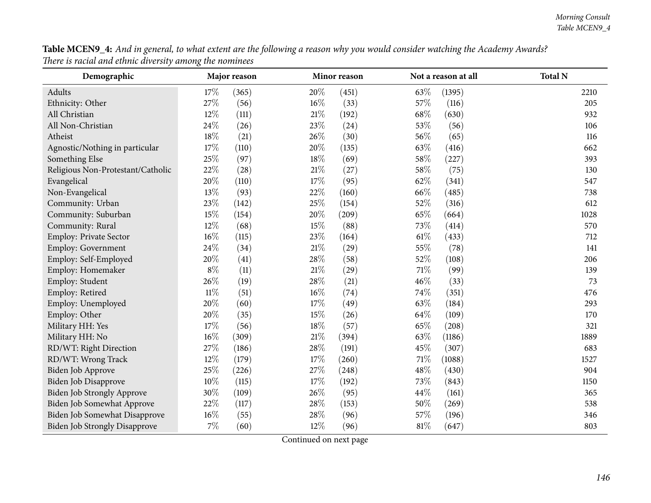| Table MCEN9_4: And in general, to what extent are the following a reason why you would consider watching the Academy Awards? |  |
|------------------------------------------------------------------------------------------------------------------------------|--|
| There is racial and ethnic diversity among the nominees                                                                      |  |

| Demographic                          |        | Major reason |        | Minor reason |        | Not a reason at all | <b>Total N</b> |
|--------------------------------------|--------|--------------|--------|--------------|--------|---------------------|----------------|
| Adults                               | 17%    | (365)        | 20%    | (451)        | 63%    | (1395)              | 2210           |
| Ethnicity: Other                     | 27\%   | (56)         | $16\%$ | (33)         | $57\%$ | (116)               | 205            |
| All Christian                        | 12%    | (111)        | 21%    | (192)        | 68%    | (630)               | 932            |
| All Non-Christian                    | 24%    | (26)         | 23%    | (24)         | 53%    | (56)                | 106            |
| Atheist                              | 18%    | (21)         | 26%    | (30)         | 56%    | (65)                | 116            |
| Agnostic/Nothing in particular       | 17%    | (110)        | 20%    | (135)        | 63%    | (416)               | 662            |
| Something Else                       | 25%    | (97)         | 18%    | (69)         | 58%    | (227)               | 393            |
| Religious Non-Protestant/Catholic    | 22%    | (28)         | 21%    | (27)         | 58%    | (75)                | 130            |
| Evangelical                          | 20%    | (110)        | 17%    | (95)         | 62%    | (341)               | 547            |
| Non-Evangelical                      | 13%    | (93)         | 22%    | (160)        | 66%    | (485)               | 738            |
| Community: Urban                     | 23%    | (142)        | 25%    | (154)        | 52%    | (316)               | 612            |
| Community: Suburban                  | 15%    | (154)        | 20%    | (209)        | 65%    | (664)               | 1028           |
| Community: Rural                     | 12%    | (68)         | 15%    | (88)         | 73%    | (414)               | 570            |
| Employ: Private Sector               | 16%    | (115)        | 23%    | (164)        | $61\%$ | (433)               | 712            |
| Employ: Government                   | 24%    | (34)         | $21\%$ | (29)         | 55%    | (78)                | 141            |
| Employ: Self-Employed                | 20%    | (41)         | 28%    | (58)         | 52%    | (108)               | 206            |
| Employ: Homemaker                    | $8\%$  | (11)         | 21%    | (29)         | 71%    | (99)                | 139            |
| Employ: Student                      | 26%    | (19)         | 28%    | (21)         | 46%    | (33)                | 73             |
| Employ: Retired                      | $11\%$ | (51)         | 16%    | (74)         | 74%    | (351)               | 476            |
| Employ: Unemployed                   | 20%    | (60)         | 17%    | (49)         | 63%    | (184)               | 293            |
| Employ: Other                        | 20%    | (35)         | 15%    | (26)         | 64%    | (109)               | 170            |
| Military HH: Yes                     | 17%    | (56)         | 18%    | (57)         | 65%    | (208)               | 321            |
| Military HH: No                      | 16%    | (309)        | 21%    | (394)        | 63%    | (1186)              | 1889           |
| RD/WT: Right Direction               | 27%    | (186)        | 28%    | (191)        | 45%    | (307)               | 683            |
| RD/WT: Wrong Track                   | 12%    | (179)        | $17\%$ | (260)        | $71\%$ | (1088)              | 1527           |
| Biden Job Approve                    | 25%    | (226)        | 27%    | (248)        | 48\%   | (430)               | 904            |
| Biden Job Disapprove                 | 10%    | (115)        | 17%    | (192)        | 73%    | (843)               | 1150           |
| Biden Job Strongly Approve           | 30%    | (109)        | 26%    | (95)         | 44%    | (161)               | 365            |
| Biden Job Somewhat Approve           | 22%    | (117)        | 28%    | (153)        | 50%    | (269)               | 538            |
| Biden Job Somewhat Disapprove        | 16%    | (55)         | 28%    | (96)         | 57%    | (196)               | 346            |
| <b>Biden Job Strongly Disapprove</b> | 7%     | (60)         | 12%    | (96)         | $81\%$ | (647)               | 803            |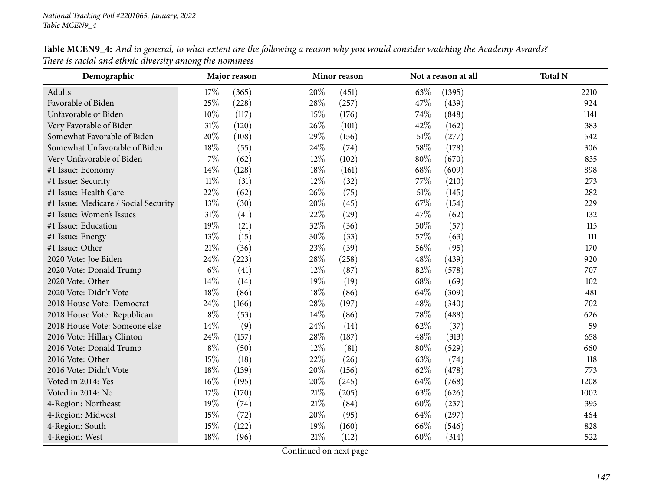| Demographic                          | Major reason<br>Minor reason |       |        | Not a reason at all | <b>Total N</b> |        |      |
|--------------------------------------|------------------------------|-------|--------|---------------------|----------------|--------|------|
| Adults                               | 17%                          | (365) | 20%    | (451)               | 63\%           | (1395) | 2210 |
| Favorable of Biden                   | 25%                          | (228) | 28%    | (257)               | 47%            | (439)  | 924  |
| Unfavorable of Biden                 | 10%                          | (117) | 15%    | (176)               | 74%            | (848)  | 1141 |
| Very Favorable of Biden              | $31\%$                       | (120) | 26\%   | (101)               | 42%            | (162)  | 383  |
| Somewhat Favorable of Biden          | 20%                          | (108) | 29%    | (156)               | $51\%$         | (277)  | 542  |
| Somewhat Unfavorable of Biden        | 18%                          | (55)  | 24\%   | (74)                | 58%            | (178)  | 306  |
| Very Unfavorable of Biden            | $7\%$                        | (62)  | $12\%$ | (102)               | 80%            | (670)  | 835  |
| #1 Issue: Economy                    | 14%                          | (128) | 18%    | (161)               | 68%            | (609)  | 898  |
| #1 Issue: Security                   | $11\%$                       | (31)  | 12%    | (32)                | 77%            | (210)  | 273  |
| #1 Issue: Health Care                | 22%                          | (62)  | 26%    | (75)                | 51\%           | (145)  | 282  |
| #1 Issue: Medicare / Social Security | 13%                          | (30)  | 20%    | (45)                | 67%            | (154)  | 229  |
| #1 Issue: Women's Issues             | $31\%$                       | (41)  | 22%    | (29)                | 47\%           | (62)   | 132  |
| #1 Issue: Education                  | 19%                          | (21)  | 32%    | (36)                | 50%            | (57)   | 115  |
| #1 Issue: Energy                     | 13%                          | (15)  | 30%    | (33)                | 57%            | (63)   | 111  |
| #1 Issue: Other                      | $21\%$                       | (36)  | 23%    | (39)                | 56%            | (95)   | 170  |
| 2020 Vote: Joe Biden                 | 24%                          | (223) | 28%    | (258)               | 48%            | (439)  | 920  |
| 2020 Vote: Donald Trump              | $6\%$                        | (41)  | $12\%$ | (87)                | 82%            | (578)  | 707  |
| 2020 Vote: Other                     | 14\%                         | (14)  | 19%    | (19)                | 68%            | (69)   | 102  |
| 2020 Vote: Didn't Vote               | 18%                          | (86)  | 18%    | (86)                | 64\%           | (309)  | 481  |
| 2018 House Vote: Democrat            | 24%                          | (166) | 28\%   | (197)               | 48%            | (340)  | 702  |
| 2018 House Vote: Republican          | $8\%$                        | (53)  | 14%    | (86)                | 78%            | (488)  | 626  |
| 2018 House Vote: Someone else        | 14%                          | (9)   | 24\%   | (14)                | 62%            | (37)   | 59   |
| 2016 Vote: Hillary Clinton           | 24\%                         | (157) | 28\%   | (187)               | 48%            | (313)  | 658  |
| 2016 Vote: Donald Trump              | $8\%$                        | (50)  | 12%    | (81)                | 80%            | (529)  | 660  |
| 2016 Vote: Other                     | 15%                          | (18)  | 22%    | (26)                | 63\%           | (74)   | 118  |
| 2016 Vote: Didn't Vote               | 18%                          | (139) | 20%    | (156)               | 62%            | (478)  | 773  |
| Voted in 2014: Yes                   | 16%                          | (195) | $20\%$ | (245)               | 64\%           | (768)  | 1208 |
| Voted in 2014: No                    | $17\%$                       | (170) | $21\%$ | (205)               | 63%            | (626)  | 1002 |
| 4-Region: Northeast                  | 19%                          | (74)  | $21\%$ | (84)                | 60%            | (237)  | 395  |
| 4-Region: Midwest                    | 15%                          | (72)  | 20%    | (95)                | 64%            | (297)  | 464  |
| 4-Region: South                      | 15%                          | (122) | 19%    | (160)               | 66%            | (546)  | 828  |
| 4-Region: West                       | 18%                          | (96)  | 21%    | (112)               | 60%            | (314)  | 522  |

Table MCEN9\_4: And in general, to what extent are the following a reason why you would consider watching the Academy Awards? *There is racial and ethnic diversity among the nominees*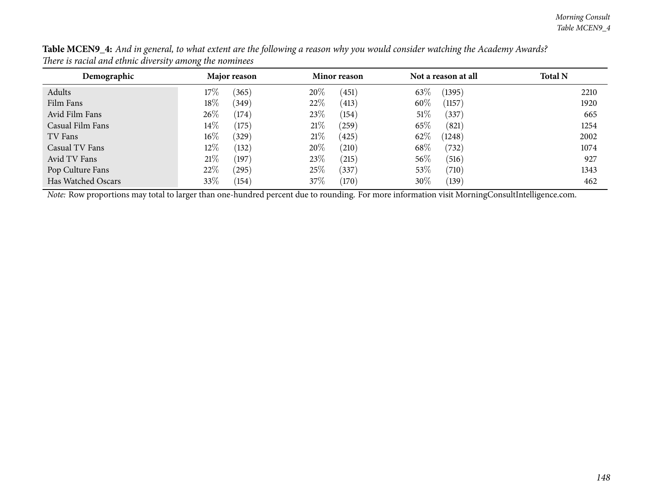| Demographic        | Major reason    | Minor reason  | Not a reason at all | <b>Total N</b> |
|--------------------|-----------------|---------------|---------------------|----------------|
| Adults             | 17%<br>(365)    | 20%<br>(451)  | 63%<br>(1395)       | 2210           |
| Film Fans          | $18\%$<br>(349) | 22\%<br>(413) | $60\%$<br>(1157)    | 1920           |
| Avid Film Fans     | $26\%$<br>(174) | 23%<br>(154)  | 51%<br>(337)        | 665            |
| Casual Film Fans   | $14\%$<br>(175) | 21%<br>(259)  | 65\%<br>(821)       | 1254           |
| TV Fans            | $16\%$<br>(329) | 21%<br>(425)  | 62\%<br>(1248)      | 2002           |
| Casual TV Fans     | $12\%$<br>(132) | 20%<br>(210)  | 68\%<br>(732)       | 1074           |
| Avid TV Fans       | $21\%$<br>(197) | 23\%<br>(215) | 56\%<br>(516)       | 927            |
| Pop Culture Fans   | 22\%<br>(295)   | 25%<br>(337)  | 53%<br>(710)        | 1343           |
| Has Watched Oscars | 33\%<br>(154)   | 37\%<br>(170) | $30\%$<br>(139)     | 462            |

Table MCEN9\_4: And in general, to what extent are the following a reason why you would consider watching the Academy Awards? *There is racial and ethnic diversity among the nominees*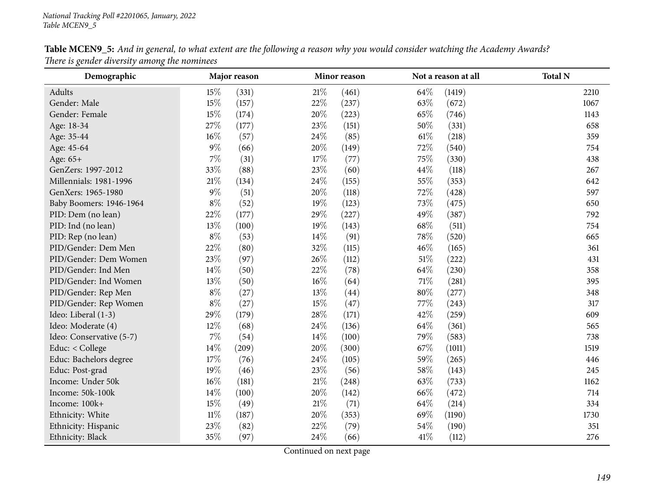| Demographic              | Major reason |       |        | Minor reason |        | Not a reason at all | <b>Total N</b> |
|--------------------------|--------------|-------|--------|--------------|--------|---------------------|----------------|
| Adults                   | 15%          | (331) | 21%    | (461)        | 64\%   | (1419)              | 2210           |
| Gender: Male             | 15%          | (157) | 22%    | (237)        | 63%    | (672)               | 1067           |
| Gender: Female           | 15%          | (174) | 20%    | (223)        | 65%    | (746)               | 1143           |
| Age: 18-34               | 27%          | (177) | 23\%   | (151)        | 50%    | (331)               | 658            |
| Age: 35-44               | $16\%$       | (57)  | 24\%   | (85)         | $61\%$ | (218)               | 359            |
| Age: 45-64               | $9\%$        | (66)  | 20%    | (149)        | 72%    | (540)               | 754            |
| Age: 65+                 | 7%           | (31)  | 17%    | (77)         | 75%    | (330)               | 438            |
| GenZers: 1997-2012       | 33%          | (88)  | 23%    | (60)         | 44\%   | (118)               | 267            |
| Millennials: 1981-1996   | $21\%$       | (134) | 24\%   | (155)        | 55%    | (353)               | 642            |
| GenXers: 1965-1980       | $9\%$        | (51)  | 20%    | (118)        | 72%    | (428)               | 597            |
| Baby Boomers: 1946-1964  | $8\%$        | (52)  | 19%    | (123)        | 73%    | (475)               | 650            |
| PID: Dem (no lean)       | 22%          | (177) | 29%    | (227)        | 49%    | (387)               | 792            |
| PID: Ind (no lean)       | 13%          | (100) | 19%    | (143)        | 68\%   | (511)               | 754            |
| PID: Rep (no lean)       | $8\%$        | (53)  | $14\%$ | (91)         | 78%    | (520)               | 665            |
| PID/Gender: Dem Men      | 22%          | (80)  | 32%    | (115)        | 46%    | (165)               | 361            |
| PID/Gender: Dem Women    | 23%          | (97)  | 26%    | (112)        | $51\%$ | (222)               | 431            |
| PID/Gender: Ind Men      | 14\%         | (50)  | 22\%   | (78)         | 64\%   | (230)               | 358            |
| PID/Gender: Ind Women    | 13%          | (50)  | $16\%$ | (64)         | 71%    | (281)               | 395            |
| PID/Gender: Rep Men      | $8\%$        | (27)  | 13%    | (44)         | 80%    | (277)               | 348            |
| PID/Gender: Rep Women    | $8\%$        | (27)  | 15%    | (47)         | 77%    | (243)               | 317            |
| Ideo: Liberal (1-3)      | 29%          | (179) | 28%    | (171)        | 42%    | (259)               | 609            |
| Ideo: Moderate (4)       | 12%          | (68)  | 24\%   | (136)        | 64\%   | (361)               | 565            |
| Ideo: Conservative (5-7) | $7\%$        | (54)  | 14\%   | (100)        | 79%    | (583)               | 738            |
| Educ: < College          | 14%          | (209) | 20%    | (300)        | 67\%   | (1011)              | 1519           |
| Educ: Bachelors degree   | 17%          | (76)  | 24\%   | (105)        | 59%    | (265)               | 446            |
| Educ: Post-grad          | 19%          | (46)  | 23%    | (56)         | 58%    | (143)               | 245            |
| Income: Under 50k        | $16\%$       | (181) | $21\%$ | (248)        | 63%    | (733)               | 1162           |
| Income: 50k-100k         | 14%          | (100) | 20%    | (142)        | 66\%   | (472)               | 714            |
| Income: 100k+            | 15%          | (49)  | 21%    | (71)         | 64\%   | (214)               | 334            |
| Ethnicity: White         | $11\%$       | (187) | 20%    | (353)        | 69%    | (1190)              | 1730           |
| Ethnicity: Hispanic      | 23%          | (82)  | 22%    | (79)         | 54%    | (190)               | 351            |
| Ethnicity: Black         | 35%          | (97)  | 24%    | (66)         | 41\%   | (112)               | 276            |

Table MCEN9\_5: And in general, to what extent are the following a reason why you would consider watching the Academy Awards? *There is gender diversity among the nominees*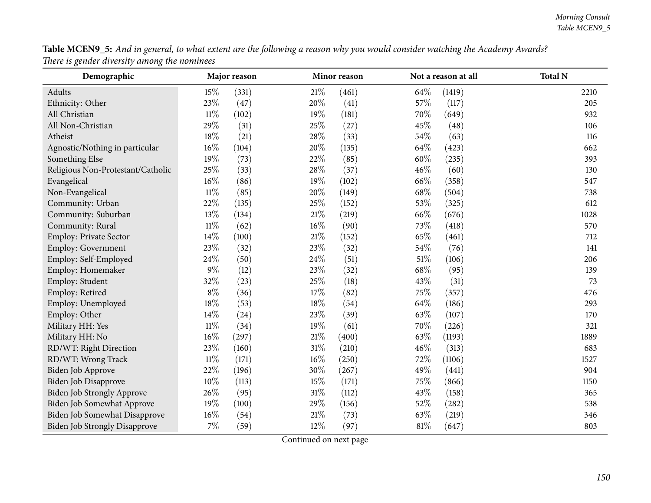| Table MCEN9_5: And in general, to what extent are the following a reason why you would consider watching the Academy Awards? |  |
|------------------------------------------------------------------------------------------------------------------------------|--|
| There is gender diversity among the nominees                                                                                 |  |

| $\cdots$ $\circ$<br>$\ldots$ . $\ldots$ . $\ldots$ . $\ldots$<br>Demographic |        | Major reason |        | Minor reason |        | Not a reason at all | <b>Total N</b> |
|------------------------------------------------------------------------------|--------|--------------|--------|--------------|--------|---------------------|----------------|
| Adults                                                                       | 15%    | (331)        | 21%    | (461)        | 64%    | (1419)              | 2210           |
| Ethnicity: Other                                                             | 23%    | (47)         | 20%    | (41)         | $57\%$ | (117)               | 205            |
| All Christian                                                                | $11\%$ | (102)        | 19%    | (181)        | 70%    | (649)               | 932            |
| All Non-Christian                                                            | 29%    | (31)         | 25%    | (27)         | 45%    | (48)                | 106            |
| Atheist                                                                      | 18%    | (21)         | 28%    | (33)         | 54%    | (63)                | 116            |
| Agnostic/Nothing in particular                                               | 16%    | (104)        | 20%    | (135)        | 64%    | (423)               | 662            |
| Something Else                                                               | 19%    | (73)         | 22%    | (85)         | 60%    | (235)               | 393            |
| Religious Non-Protestant/Catholic                                            | 25%    | (33)         | 28%    | (37)         | 46%    | (60)                | 130            |
| Evangelical                                                                  | 16%    | (86)         | 19%    | (102)        | 66%    | (358)               | 547            |
| Non-Evangelical                                                              | $11\%$ | (85)         | 20%    | (149)        | 68%    | (504)               | 738            |
| Community: Urban                                                             | 22%    | (135)        | 25%    | (152)        | 53%    | (325)               | 612            |
| Community: Suburban                                                          | 13%    | (134)        | $21\%$ | (219)        | 66%    | (676)               | 1028           |
| Community: Rural                                                             | $11\%$ | (62)         | 16%    | (90)         | 73%    | (418)               | 570            |
| Employ: Private Sector                                                       | 14%    | (100)        | 21%    | (152)        | 65%    | (461)               | 712            |
| Employ: Government                                                           | 23%    | (32)         | 23%    | (32)         | 54%    | (76)                | 141            |
| Employ: Self-Employed                                                        | 24%    | (50)         | 24%    | (51)         | $51\%$ | (106)               | 206            |
| Employ: Homemaker                                                            | $9\%$  | (12)         | 23%    | (32)         | 68%    | (95)                | 139            |
| Employ: Student                                                              | 32%    | (23)         | 25%    | (18)         | 43%    | (31)                | 73             |
| Employ: Retired                                                              | $8\%$  | (36)         | 17%    | (82)         | 75%    | (357)               | 476            |
| Employ: Unemployed                                                           | 18%    | (53)         | 18%    | (54)         | 64%    | (186)               | 293            |
| Employ: Other                                                                | 14%    | (24)         | 23%    | (39)         | 63%    | (107)               | 170            |
| Military HH: Yes                                                             | $11\%$ | (34)         | 19%    | (61)         | 70%    | (226)               | 321            |
| Military HH: No                                                              | 16%    | (297)        | 21%    | (400)        | 63%    | (1193)              | 1889           |
| RD/WT: Right Direction                                                       | 23%    | (160)        | 31%    | (210)        | 46%    | (313)               | 683            |
| RD/WT: Wrong Track                                                           | $11\%$ | (171)        | $16\%$ | (250)        | 72%    | (1106)              | 1527           |
| Biden Job Approve                                                            | 22%    | (196)        | 30%    | (267)        | 49%    | (441)               | 904            |
| Biden Job Disapprove                                                         | 10%    | (113)        | 15%    | (171)        | 75%    | (866)               | 1150           |
| Biden Job Strongly Approve                                                   | 26%    | (95)         | 31%    | (112)        | 43%    | (158)               | 365            |
| Biden Job Somewhat Approve                                                   | 19%    | (100)        | 29%    | (156)        | 52%    | (282)               | 538            |
| Biden Job Somewhat Disapprove                                                | 16%    | (54)         | 21%    | (73)         | 63%    | (219)               | 346            |
| <b>Biden Job Strongly Disapprove</b>                                         | 7%     | (59)         | 12%    | (97)         | $81\%$ | (647)               | 803            |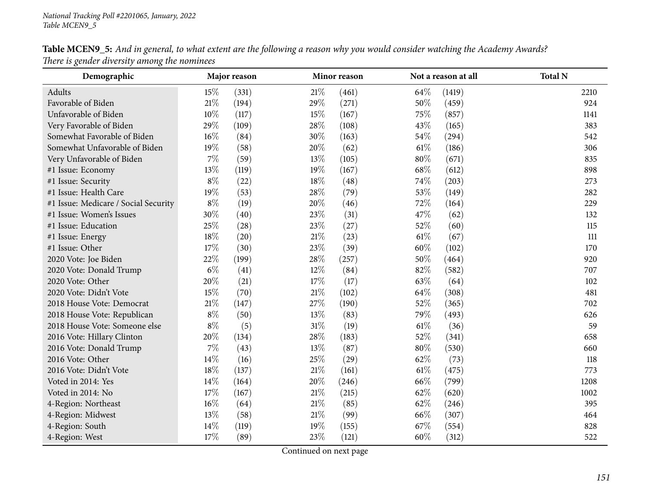| <b>Table MCEN9_5:</b> And in general, to what extent are the following a reason why you would consider watching the Academy Awards? |  |  |
|-------------------------------------------------------------------------------------------------------------------------------------|--|--|
| There is gender diversity among the nominees                                                                                        |  |  |

| Demographic                          |        | Major reason<br>Minor reason |        |       | Not a reason at all | <b>Total N</b> |       |
|--------------------------------------|--------|------------------------------|--------|-------|---------------------|----------------|-------|
| Adults                               | 15%    | (331)                        | $21\%$ | (461) | 64\%                | (1419)         | 2210  |
| Favorable of Biden                   | 21%    | (194)                        | 29%    | (271) | 50%                 | (459)          | 924   |
| Unfavorable of Biden                 | 10%    | (117)                        | 15%    | (167) | 75\%                | (857)          | 1141  |
| Very Favorable of Biden              | 29%    | (109)                        | 28\%   | (108) | 43%                 | (165)          | 383   |
| Somewhat Favorable of Biden          | $16\%$ | (84)                         | 30%    | (163) | 54\%                | (294)          | 542   |
| Somewhat Unfavorable of Biden        | 19%    | (58)                         | 20%    | (62)  | $61\%$              | (186)          | 306   |
| Very Unfavorable of Biden            | $7\%$  | (59)                         | 13%    | (105) | 80%                 | (671)          | 835   |
| #1 Issue: Economy                    | 13%    | (119)                        | 19%    | (167) | $68\%$              | (612)          | 898   |
| #1 Issue: Security                   | $8\%$  | (22)                         | $18\%$ | (48)  | 74\%                | (203)          | 273   |
| #1 Issue: Health Care                | 19%    | (53)                         | 28\%   | (79)  | 53%                 | (149)          | 282   |
| #1 Issue: Medicare / Social Security | $8\%$  | (19)                         | 20%    | (46)  | 72%                 | (164)          | 229   |
| #1 Issue: Women's Issues             | 30%    | (40)                         | 23%    | (31)  | 47%                 | (62)           | 132   |
| #1 Issue: Education                  | 25%    | (28)                         | 23%    | (27)  | 52%                 | (60)           | 115   |
| #1 Issue: Energy                     | 18%    | (20)                         | $21\%$ | (23)  | $61\%$              | (67)           | $111$ |
| #1 Issue: Other                      | 17%    | (30)                         | 23%    | (39)  | 60%                 | (102)          | 170   |
| 2020 Vote: Joe Biden                 | 22%    | (199)                        | 28\%   | (257) | 50%                 | (464)          | 920   |
| 2020 Vote: Donald Trump              | $6\%$  | (41)                         | $12\%$ | (84)  | 82%                 | (582)          | 707   |
| 2020 Vote: Other                     | 20%    | (21)                         | 17%    | (17)  | 63%                 | (64)           | 102   |
| 2020 Vote: Didn't Vote               | 15%    | (70)                         | $21\%$ | (102) | 64\%                | (308)          | 481   |
| 2018 House Vote: Democrat            | $21\%$ | (147)                        | 27%    | (190) | 52%                 | (365)          | 702   |
| 2018 House Vote: Republican          | $8\%$  | (50)                         | 13%    | (83)  | 79%                 | (493)          | 626   |
| 2018 House Vote: Someone else        | $8\%$  | (5)                          | $31\%$ | (19)  | $61\%$              | (36)           | 59    |
| 2016 Vote: Hillary Clinton           | 20%    | (134)                        | 28\%   | (183) | 52%                 | (341)          | 658   |
| 2016 Vote: Donald Trump              | $7\%$  | (43)                         | 13%    | (87)  | 80%                 | (530)          | 660   |
| 2016 Vote: Other                     | 14%    | (16)                         | 25%    | (29)  | 62\%                | (73)           | 118   |
| 2016 Vote: Didn't Vote               | 18%    | (137)                        | $21\%$ | (161) | $61\%$              | (475)          | 773   |
| Voted in 2014: Yes                   | 14\%   | (164)                        | 20%    | (246) | 66%                 | (799)          | 1208  |
| Voted in 2014: No                    | 17%    | (167)                        | $21\%$ | (215) | 62\%                | (620)          | 1002  |
| 4-Region: Northeast                  | 16%    | (64)                         | $21\%$ | (85)  | 62\%                | (246)          | 395   |
| 4-Region: Midwest                    | 13%    | (58)                         | $21\%$ | (99)  | 66%                 | (307)          | 464   |
| 4-Region: South                      | 14\%   | (119)                        | 19%    | (155) | 67%                 | (554)          | 828   |
| 4-Region: West                       | 17%    | (89)                         | 23%    | (121) | 60%                 | (312)          | 522   |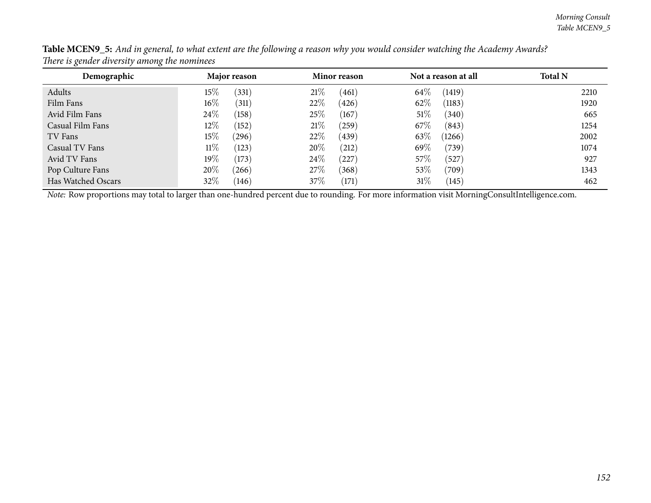| Demographic        | Major reason    | Minor reason      | Not a reason at all | <b>Total N</b> |
|--------------------|-----------------|-------------------|---------------------|----------------|
| Adults             | $15\%$<br>(331) | 21%<br>(461)      | 64\%<br>(1419)      | 2210           |
| Film Fans          | $16\%$<br>(311) | 22\%<br>(426)     | 62\%<br>(1183)      | 1920           |
| Avid Film Fans     | 24\%<br>(158)   | 25%<br>(167)      | 51\%<br>(340)       | 665            |
| Casual Film Fans   | 12\%<br>(152)   | 21%<br>(259)      | 67\%<br>(843)       | 1254           |
| TV Fans            | $15\%$<br>(296) | 22\%<br>(439)     | 63\%<br>(1266)      | 2002           |
| Casual TV Fans     | $11\%$<br>(123) | 20%<br>(212)      | 69%<br>(739)        | 1074           |
| Avid TV Fans       | 19%<br>(173)    | 24\%<br>$^{'}227$ | 57\%<br>(527)       | 927            |
| Pop Culture Fans   | 20%<br>(266)    | 27\%<br>(368)     | 53%<br>(709)        | 1343           |
| Has Watched Oscars | 32\%<br>(146)   | $37\%$<br>(171)   | 31%<br>(145)        | 462            |

Table MCEN9\_5: And in general, to what extent are the following a reason why you would consider watching the Academy Awards? *There is gender diversity among the nominees*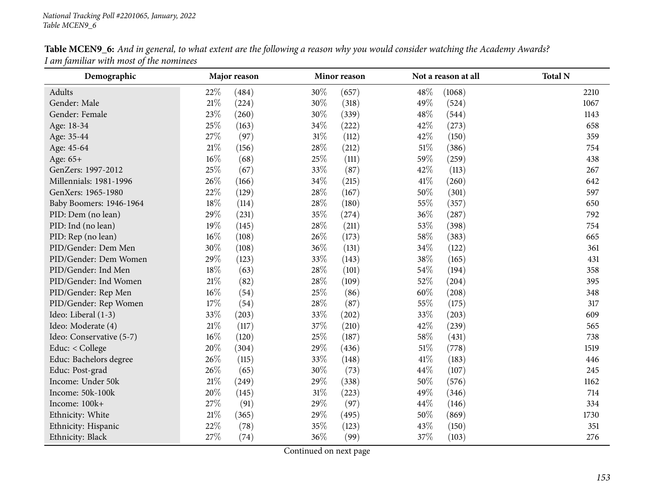| Demographic              | Major reason |       | Not a reason at all<br>Minor reason |       | <b>Total N</b> |        |      |
|--------------------------|--------------|-------|-------------------------------------|-------|----------------|--------|------|
| Adults                   | 22%          | (484) | 30%                                 | (657) | 48%            | (1068) | 2210 |
| Gender: Male             | $21\%$       | (224) | 30%                                 | (318) | 49%            | (524)  | 1067 |
| Gender: Female           | 23%          | (260) | 30%                                 | (339) | 48%            | (544)  | 1143 |
| Age: 18-34               | 25%          | (163) | 34\%                                | (222) | 42%            | (273)  | 658  |
| Age: 35-44               | 27\%         | (97)  | $31\%$                              | (112) | 42%            | (150)  | 359  |
| Age: 45-64               | $21\%$       | (156) | 28\%                                | (212) | $51\%$         | (386)  | 754  |
| Age: 65+                 | $16\%$       | (68)  | 25%                                 | (111) | 59%            | (259)  | 438  |
| GenZers: 1997-2012       | 25%          | (67)  | 33%                                 | (87)  | 42%            | (113)  | 267  |
| Millennials: 1981-1996   | 26%          | (166) | 34\%                                | (215) | 41\%           | (260)  | 642  |
| GenXers: 1965-1980       | 22%          | (129) | 28\%                                | (167) | 50%            | (301)  | 597  |
| Baby Boomers: 1946-1964  | $18\%$       | (114) | 28\%                                | (180) | 55%            | (357)  | 650  |
| PID: Dem (no lean)       | 29%          | (231) | 35%                                 | (274) | 36\%           | (287)  | 792  |
| PID: Ind (no lean)       | 19%          | (145) | 28\%                                | (211) | 53%            | (398)  | 754  |
| PID: Rep (no lean)       | $16\%$       | (108) | 26%                                 | (173) | 58%            | (383)  | 665  |
| PID/Gender: Dem Men      | 30%          | (108) | 36%                                 | (131) | 34\%           | (122)  | 361  |
| PID/Gender: Dem Women    | 29%          | (123) | 33%                                 | (143) | 38%            | (165)  | 431  |
| PID/Gender: Ind Men      | $18\%$       | (63)  | 28\%                                | (101) | 54\%           | (194)  | 358  |
| PID/Gender: Ind Women    | $21\%$       | (82)  | 28\%                                | (109) | 52%            | (204)  | 395  |
| PID/Gender: Rep Men      | $16\%$       | (54)  | 25\%                                | (86)  | 60%            | (208)  | 348  |
| PID/Gender: Rep Women    | $17\%$       | (54)  | 28\%                                | (87)  | 55%            | (175)  | 317  |
| Ideo: Liberal (1-3)      | 33%          | (203) | 33%                                 | (202) | 33%            | (203)  | 609  |
| Ideo: Moderate (4)       | $21\%$       | (117) | 37\%                                | (210) | 42%            | (239)  | 565  |
| Ideo: Conservative (5-7) | $16\%$       | (120) | 25%                                 | (187) | 58%            | (431)  | 738  |
| Educ: < College          | 20%          | (304) | 29%                                 | (436) | $51\%$         | (778)  | 1519 |
| Educ: Bachelors degree   | 26%          | (115) | 33%                                 | (148) | 41\%           | (183)  | 446  |
| Educ: Post-grad          | 26%          | (65)  | 30%                                 | (73)  | 44\%           | (107)  | 245  |
| Income: Under 50k        | $21\%$       | (249) | 29%                                 | (338) | 50%            | (576)  | 1162 |
| Income: 50k-100k         | 20%          | (145) | $31\%$                              | (223) | 49%            | (346)  | 714  |
| Income: 100k+            | 27%          | (91)  | 29%                                 | (97)  | 44%            | (146)  | 334  |
| Ethnicity: White         | $21\%$       | (365) | 29%                                 | (495) | 50%            | (869)  | 1730 |
| Ethnicity: Hispanic      | 22%          | (78)  | 35%                                 | (123) | 43%            | (150)  | 351  |
| Ethnicity: Black         | 27%          | (74)  | 36%                                 | (99)  | 37%            | (103)  | 276  |

Table MCEN9\_6: And in general, to what extent are the following a reason why you would consider watching the Academy Awards? *<sup>I</sup> am familiar with most of the nominees*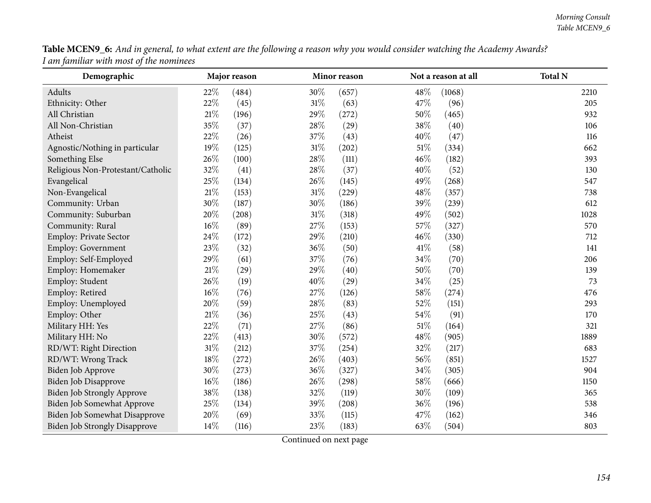| Table MCEN9_6: And in general, to what extent are the following a reason why you would consider watching the Academy Awards? |  |
|------------------------------------------------------------------------------------------------------------------------------|--|
| I am familiar with most of the nominees                                                                                      |  |

| Demographic                          |        | Major reason |        | Minor reason |     | Not a reason at all | <b>Total N</b> |
|--------------------------------------|--------|--------------|--------|--------------|-----|---------------------|----------------|
| Adults                               | 22%    | (484)        | 30%    | (657)        | 48% | (1068)              | 2210           |
| Ethnicity: Other                     | 22%    | (45)         | $31\%$ | (63)         | 47% | (96)                | 205            |
| All Christian                        | $21\%$ | (196)        | 29%    | (272)        | 50% | (465)               | 932            |
| All Non-Christian                    | 35%    | (37)         | 28%    | (29)         | 38% | (40)                | 106            |
| Atheist                              | 22%    | (26)         | 37%    | (43)         | 40% | (47)                | 116            |
| Agnostic/Nothing in particular       | 19%    | (125)        | 31%    | (202)        | 51% | (334)               | 662            |
| Something Else                       | 26%    | (100)        | 28%    | (111)        | 46% | (182)               | 393            |
| Religious Non-Protestant/Catholic    | 32%    | (41)         | 28%    | (37)         | 40% | (52)                | 130            |
| Evangelical                          | 25%    | (134)        | 26%    | (145)        | 49% | (268)               | 547            |
| Non-Evangelical                      | $21\%$ | (153)        | $31\%$ | (229)        | 48% | (357)               | 738            |
| Community: Urban                     | 30%    | (187)        | 30%    | (186)        | 39% | (239)               | 612            |
| Community: Suburban                  | 20%    | (208)        | $31\%$ | (318)        | 49% | (502)               | 1028           |
| Community: Rural                     | 16%    | (89)         | 27%    | (153)        | 57% | (327)               | 570            |
| Employ: Private Sector               | 24%    | (172)        | 29%    | (210)        | 46% | (330)               | 712            |
| <b>Employ: Government</b>            | 23%    | (32)         | 36%    | (50)         | 41% | (58)                | 141            |
| Employ: Self-Employed                | 29%    | (61)         | 37%    | (76)         | 34% | (70)                | 206            |
| Employ: Homemaker                    | $21\%$ | (29)         | 29%    | (40)         | 50% | (70)                | 139            |
| Employ: Student                      | 26%    | (19)         | 40%    | (29)         | 34% | (25)                | 73             |
| Employ: Retired                      | 16%    | (76)         | 27%    | (126)        | 58% | (274)               | 476            |
| Employ: Unemployed                   | 20%    | (59)         | 28%    | (83)         | 52% | (151)               | 293            |
| Employ: Other                        | $21\%$ | (36)         | 25%    | (43)         | 54% | (91)                | 170            |
| Military HH: Yes                     | 22%    | (71)         | 27%    | (86)         | 51% | (164)               | 321            |
| Military HH: No                      | 22%    | (413)        | 30%    | (572)        | 48% | (905)               | 1889           |
| RD/WT: Right Direction               | $31\%$ | (212)        | 37%    | (254)        | 32% | (217)               | 683            |
| RD/WT: Wrong Track                   | $18\%$ | (272)        | 26%    | (403)        | 56% | (851)               | 1527           |
| Biden Job Approve                    | 30%    | (273)        | 36%    | (327)        | 34% | (305)               | 904            |
| Biden Job Disapprove                 | 16%    | (186)        | 26%    | (298)        | 58% | (666)               | 1150           |
| Biden Job Strongly Approve           | $38\%$ | (138)        | 32%    | (119)        | 30% | (109)               | 365            |
| Biden Job Somewhat Approve           | 25%    | (134)        | 39%    | (208)        | 36% | (196)               | 538            |
| Biden Job Somewhat Disapprove        | 20%    | (69)         | 33%    | (115)        | 47% | (162)               | 346            |
| <b>Biden Job Strongly Disapprove</b> | 14%    | (116)        | 23%    | (183)        | 63% | (504)               | 803            |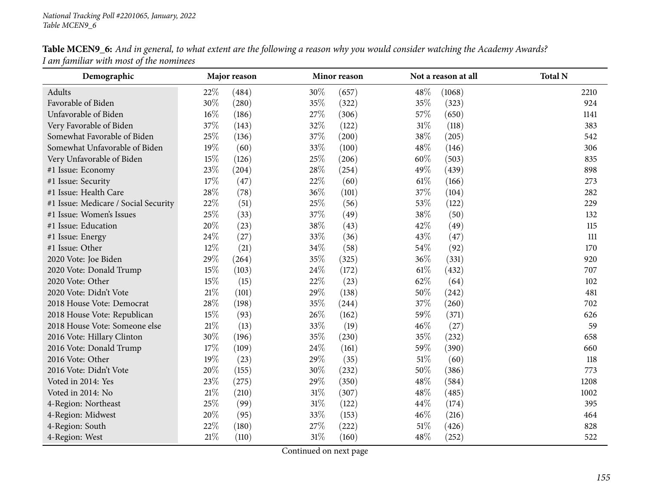| Demographic                          |      | Major reason |        | Minor reason |        | Not a reason at all | <b>Total N</b> |
|--------------------------------------|------|--------------|--------|--------------|--------|---------------------|----------------|
| Adults                               | 22\% | (484)        | 30%    | (657)        | 48%    | (1068)              | 2210           |
| Favorable of Biden                   | 30%  | (280)        | 35%    | (322)        | 35%    | (323)               | 924            |
| Unfavorable of Biden                 | 16%  | (186)        | 27%    | (306)        | 57%    | (650)               | 1141           |
| Very Favorable of Biden              | 37%  | (143)        | 32%    | (122)        | $31\%$ | (118)               | 383            |
| Somewhat Favorable of Biden          | 25%  | (136)        | 37%    | (200)        | 38%    | (205)               | 542            |
| Somewhat Unfavorable of Biden        | 19%  | (60)         | $33\%$ | (100)        | 48%    | (146)               | 306            |
| Very Unfavorable of Biden            | 15%  | (126)        | 25%    | (206)        | 60%    | (503)               | 835            |
| #1 Issue: Economy                    | 23%  | (204)        | 28\%   | (254)        | 49%    | (439)               | 898            |
| #1 Issue: Security                   | 17%  | (47)         | 22%    | (60)         | 61%    | (166)               | 273            |
| #1 Issue: Health Care                | 28%  | (78)         | 36%    | (101)        | 37%    | (104)               | 282            |
| #1 Issue: Medicare / Social Security | 22%  | (51)         | 25%    | (56)         | 53%    | (122)               | 229            |
| #1 Issue: Women's Issues             | 25%  | (33)         | 37%    | (49)         | 38%    | (50)                | 132            |
| #1 Issue: Education                  | 20%  | (23)         | 38%    | (43)         | 42%    | (49)                | 115            |
| #1 Issue: Energy                     | 24%  | (27)         | 33%    | (36)         | 43%    | (47)                | 111            |
| #1 Issue: Other                      | 12%  | (21)         | 34%    | (58)         | 54%    | (92)                | 170            |
| 2020 Vote: Joe Biden                 | 29%  | (264)        | 35%    | (325)        | 36%    | (331)               | 920            |
| 2020 Vote: Donald Trump              | 15%  | (103)        | 24\%   | (172)        | 61%    | (432)               | 707            |
| 2020 Vote: Other                     | 15%  | (15)         | 22%    | (23)         | 62%    | (64)                | 102            |
| 2020 Vote: Didn't Vote               | 21%  | (101)        | 29%    | (138)        | 50%    | (242)               | 481            |
| 2018 House Vote: Democrat            | 28%  | (198)        | 35%    | (244)        | 37%    | (260)               | 702            |
| 2018 House Vote: Republican          | 15%  | (93)         | 26%    | (162)        | 59%    | (371)               | 626            |
| 2018 House Vote: Someone else        | 21\% | (13)         | 33%    | (19)         | 46%    | (27)                | 59             |
| 2016 Vote: Hillary Clinton           | 30%  | (196)        | 35%    | (230)        | 35%    | (232)               | 658            |
| 2016 Vote: Donald Trump              | 17%  | (109)        | 24\%   | (161)        | 59%    | (390)               | 660            |
| 2016 Vote: Other                     | 19%  | (23)         | 29%    | (35)         | 51%    | (60)                | 118            |
| 2016 Vote: Didn't Vote               | 20%  | (155)        | $30\%$ | (232)        | 50%    | (386)               | 773            |
| Voted in 2014: Yes                   | 23%  | (275)        | 29%    | (350)        | 48%    | (584)               | 1208           |
| Voted in 2014: No                    | 21\% | (210)        | $31\%$ | (307)        | 48%    | (485)               | 1002           |
| 4-Region: Northeast                  | 25%  | (99)         | $31\%$ | (122)        | 44%    | (174)               | 395            |
| 4-Region: Midwest                    | 20%  | (95)         | 33%    | (153)        | 46%    | (216)               | 464            |
| 4-Region: South                      | 22%  | (180)        | 27\%   | (222)        | 51\%   | (426)               | 828            |
| 4-Region: West                       | 21%  | (110)        | $31\%$ | (160)        | 48\%   | (252)               | 522            |

Table MCEN9\_6: And in general, to what extent are the following a reason why you would consider watching the Academy Awards? *<sup>I</sup> am familiar with most of the nominees*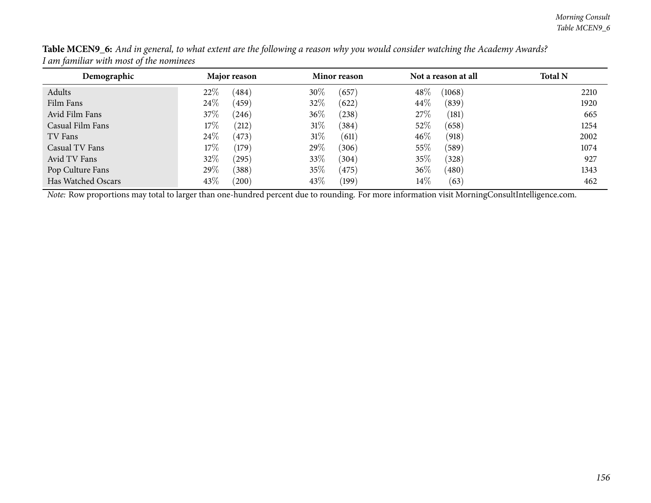| Demographic        | Major reason    | Minor reason    | Not a reason at all | <b>Total N</b> |
|--------------------|-----------------|-----------------|---------------------|----------------|
| Adults             | 22%<br>(484)    | 30\%<br>(657)   | 48\%<br>(1068)      | 2210           |
| Film Fans          | 24%<br>(459)    | 32\%<br>(622)   | 44%<br>(839)        | 1920           |
| Avid Film Fans     | $37\%$<br>(246) | $36\%$<br>(238) | 27%<br>(181)        | 665            |
| Casual Film Fans   | $17\%$<br>(212) | 31%<br>(384)    | 52%<br>(658)        | 1254           |
| TV Fans            | 24\%<br>(473)   | 31%<br>(611)    | 46%<br>(918)        | 2002           |
| Casual TV Fans     | $17\%$<br>(179) | 29\%<br>(306)   | 55%<br>(589)        | 1074           |
| Avid TV Fans       | 32%<br>(295)    | $33\%$<br>(304) | 35%<br>(328)        | 927            |
| Pop Culture Fans   | 29%<br>(388)    | $35\%$<br>(475) | 36%<br>(480)        | 1343           |
| Has Watched Oscars | 43\%<br>(200)   | 43\%<br>(199)   | $14\%$<br>(63)      | 462            |

Table MCEN9\_6: And in general, to what extent are the following a reason why you would consider watching the Academy Awards? *<sup>I</sup> am familiar with most of the nominees*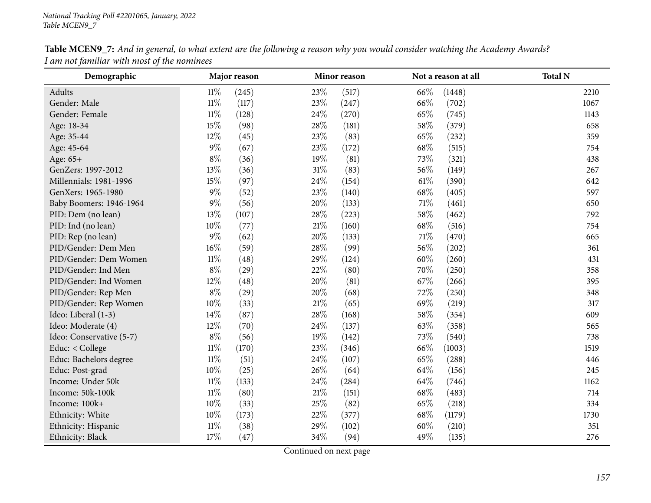| Demographic              |        | Major reason |        | Minor reason |        | Not a reason at all | <b>Total N</b> |
|--------------------------|--------|--------------|--------|--------------|--------|---------------------|----------------|
| Adults                   | $11\%$ | (245)        | 23\%   | (517)        | 66\%   | (1448)              | 2210           |
| Gender: Male             | $11\%$ | (117)        | 23%    | (247)        | 66%    | (702)               | 1067           |
| Gender: Female           | $11\%$ | (128)        | 24\%   | (270)        | 65%    | (745)               | 1143           |
| Age: 18-34               | 15%    | (98)         | 28\%   | (181)        | 58%    | (379)               | 658            |
| Age: 35-44               | 12%    | (45)         | 23\%   | (83)         | 65%    | (232)               | 359            |
| Age: 45-64               | $9\%$  | (67)         | 23%    | (172)        | 68%    | (515)               | 754            |
| Age: 65+                 | $8\%$  | (36)         | 19%    | (81)         | 73%    | (321)               | 438            |
| GenZers: 1997-2012       | 13%    | (36)         | $31\%$ | (83)         | 56%    | (149)               | 267            |
| Millennials: 1981-1996   | 15%    | (97)         | 24\%   | (154)        | $61\%$ | (390)               | 642            |
| GenXers: 1965-1980       | $9\%$  | (52)         | $23\%$ | (140)        | 68%    | (405)               | 597            |
| Baby Boomers: 1946-1964  | $9\%$  | (56)         | 20%    | (133)        | 71%    | (461)               | 650            |
| PID: Dem (no lean)       | 13%    | (107)        | 28%    | (223)        | 58%    | (462)               | 792            |
| PID: Ind (no lean)       | 10%    | (77)         | $21\%$ | (160)        | 68%    | (516)               | 754            |
| PID: Rep (no lean)       | $9\%$  | (62)         | 20%    | (133)        | 71%    | (470)               | 665            |
| PID/Gender: Dem Men      | $16\%$ | (59)         | 28\%   | (99)         | 56\%   | (202)               | 361            |
| PID/Gender: Dem Women    | $11\%$ | (48)         | 29%    | (124)        | 60%    | (260)               | 431            |
| PID/Gender: Ind Men      | $8\%$  | (29)         | $22\%$ | (80)         | 70%    | (250)               | 358            |
| PID/Gender: Ind Women    | 12%    | (48)         | 20%    | (81)         | 67\%   | (266)               | 395            |
| PID/Gender: Rep Men      | $8\%$  | (29)         | 20%    | (68)         | 72%    | (250)               | 348            |
| PID/Gender: Rep Women    | $10\%$ | (33)         | $21\%$ | (65)         | 69%    | (219)               | 317            |
| Ideo: Liberal (1-3)      | 14%    | (87)         | 28%    | (168)        | 58%    | (354)               | 609            |
| Ideo: Moderate (4)       | 12%    | (70)         | 24\%   | (137)        | 63%    | (358)               | 565            |
| Ideo: Conservative (5-7) | $8\%$  | (56)         | 19%    | (142)        | 73%    | (540)               | 738            |
| Educ: < College          | $11\%$ | (170)        | 23\%   | (346)        | 66\%   | (1003)              | 1519           |
| Educ: Bachelors degree   | $11\%$ | (51)         | 24\%   | (107)        | 65%    | (288)               | 446            |
| Educ: Post-grad          | $10\%$ | (25)         | 26%    | (64)         | 64\%   | (156)               | 245            |
| Income: Under 50k        | $11\%$ | (133)        | 24\%   | (284)        | 64\%   | (746)               | 1162           |
| Income: 50k-100k         | $11\%$ | (80)         | $21\%$ | (151)        | 68%    | (483)               | 714            |
| Income: 100k+            | 10%    | (33)         | 25\%   | (82)         | 65%    | (218)               | 334            |
| Ethnicity: White         | $10\%$ | (173)        | 22%    | (377)        | 68%    | (1179)              | 1730           |
| Ethnicity: Hispanic      | $11\%$ | (38)         | 29%    | (102)        | 60%    | (210)               | 351            |
| Ethnicity: Black         | 17%    | (47)         | 34%    | (94)         | 49%    | (135)               | 276            |

Table MCEN9\_7: And in general, to what extent are the following a reason why you would consider watching the Academy Awards? *<sup>I</sup> am not familiar with most of the nominees*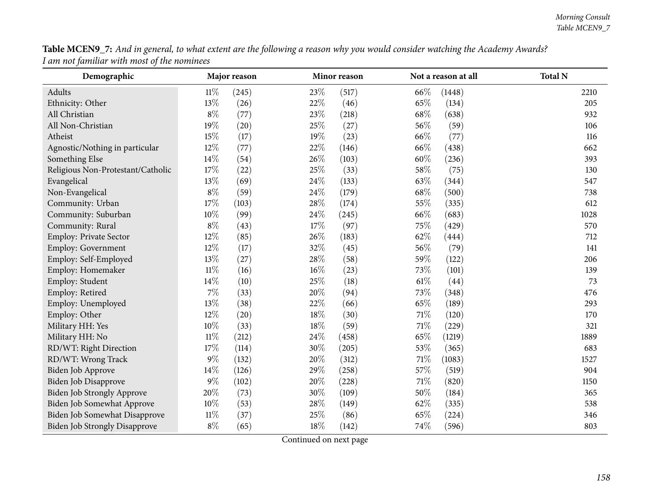| Table MCEN9_7: And in general, to what extent are the following a reason why you would consider watching the Academy Awards? |  |
|------------------------------------------------------------------------------------------------------------------------------|--|
| I am not familiar with most of the nominees                                                                                  |  |

| Demographic                          |        | Major reason |     | Minor reason |        | Not a reason at all | <b>Total N</b> |
|--------------------------------------|--------|--------------|-----|--------------|--------|---------------------|----------------|
| Adults                               | $11\%$ | (245)        | 23% | (517)        | 66%    | (1448)              | 2210           |
| Ethnicity: Other                     | 13%    | (26)         | 22% | (46)         | 65%    | (134)               | 205            |
| All Christian                        | $8\%$  | (77)         | 23% | (218)        | 68%    | (638)               | 932            |
| All Non-Christian                    | 19%    | (20)         | 25% | (27)         | 56%    | (59)                | 106            |
| Atheist                              | 15%    | (17)         | 19% | (23)         | 66%    | (77)                | 116            |
| Agnostic/Nothing in particular       | 12%    | (77)         | 22% | (146)        | 66%    | (438)               | 662            |
| Something Else                       | 14%    | (54)         | 26% | (103)        | 60%    | (236)               | 393            |
| Religious Non-Protestant/Catholic    | 17%    | (22)         | 25% | (33)         | 58%    | (75)                | 130            |
| Evangelical                          | 13%    | (69)         | 24% | (133)        | 63%    | (344)               | 547            |
| Non-Evangelical                      | $8\%$  | (59)         | 24% | (179)        | 68\%   | (500)               | 738            |
| Community: Urban                     | 17%    | (103)        | 28% | (174)        | 55%    | (335)               | 612            |
| Community: Suburban                  | 10%    | (99)         | 24% | (245)        | 66%    | (683)               | 1028           |
| Community: Rural                     | $8\%$  | (43)         | 17% | (97)         | 75%    | (429)               | 570            |
| Employ: Private Sector               | 12%    | (85)         | 26% | (183)        | 62%    | (444)               | 712            |
| Employ: Government                   | 12%    | (17)         | 32% | (45)         | 56%    | (79)                | 141            |
| Employ: Self-Employed                | 13%    | (27)         | 28% | (58)         | 59%    | (122)               | 206            |
| Employ: Homemaker                    | $11\%$ | (16)         | 16% | (23)         | 73%    | (101)               | 139            |
| Employ: Student                      | 14%    | (10)         | 25% | (18)         | $61\%$ | (44)                | 73             |
| Employ: Retired                      | 7%     | (33)         | 20% | (94)         | 73%    | (348)               | 476            |
| Employ: Unemployed                   | 13%    | (38)         | 22% | (66)         | 65%    | (189)               | 293            |
| Employ: Other                        | 12%    | (20)         | 18% | (30)         | $71\%$ | (120)               | 170            |
| Military HH: Yes                     | 10%    | (33)         | 18% | (59)         | $71\%$ | (229)               | 321            |
| Military HH: No                      | $11\%$ | (212)        | 24% | (458)        | 65%    | (1219)              | 1889           |
| RD/WT: Right Direction               | 17%    | (114)        | 30% | (205)        | 53%    | (365)               | 683            |
| RD/WT: Wrong Track                   | $9\%$  | (132)        | 20% | (312)        | $71\%$ | (1083)              | 1527           |
| Biden Job Approve                    | 14%    | (126)        | 29% | (258)        | 57%    | (519)               | 904            |
| Biden Job Disapprove                 | $9\%$  | (102)        | 20% | (228)        | $71\%$ | (820)               | 1150           |
| <b>Biden Job Strongly Approve</b>    | $20\%$ | (73)         | 30% | (109)        | $50\%$ | (184)               | 365            |
| Biden Job Somewhat Approve           | 10%    | (53)         | 28% | (149)        | 62%    | (335)               | 538            |
| Biden Job Somewhat Disapprove        | $11\%$ | (37)         | 25% | (86)         | 65%    | (224)               | 346            |
| <b>Biden Job Strongly Disapprove</b> | $8\%$  | (65)         | 18% | (142)        | 74%    | (596)               | 803            |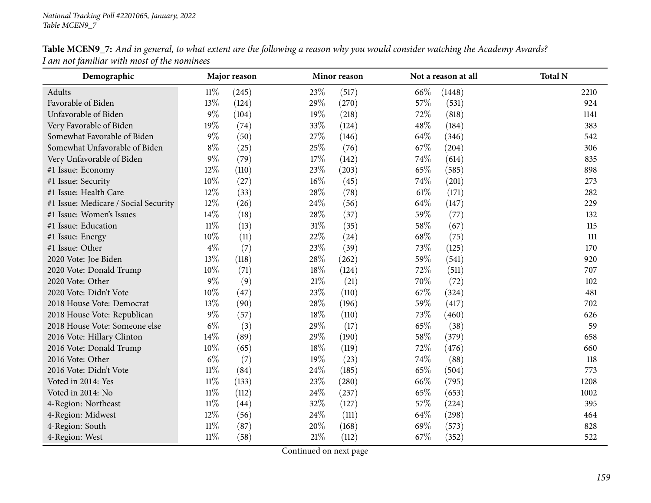| Table MCEN9_7: And in general, to what extent are the following a reason why you would consider watching the Academy Awards? |  |  |
|------------------------------------------------------------------------------------------------------------------------------|--|--|
| I am not familiar with most of the nominees                                                                                  |  |  |

| Demographic                          |        | Major reason |        | Minor reason |        | Not a reason at all | <b>Total N</b> |
|--------------------------------------|--------|--------------|--------|--------------|--------|---------------------|----------------|
| Adults                               | $11\%$ | (245)        | 23%    | (517)        | 66\%   | (1448)              | 2210           |
| Favorable of Biden                   | 13%    | (124)        | 29%    | (270)        | 57\%   | (531)               | 924            |
| Unfavorable of Biden                 | $9\%$  | (104)        | 19%    | (218)        | 72%    | (818)               | 1141           |
| Very Favorable of Biden              | 19%    | (74)         | 33%    | (124)        | 48%    | (184)               | 383            |
| Somewhat Favorable of Biden          | $9\%$  | (50)         | 27%    | (146)        | 64%    | (346)               | 542            |
| Somewhat Unfavorable of Biden        | $8\%$  | (25)         | 25%    | (76)         | 67%    | (204)               | 306            |
| Very Unfavorable of Biden            | $9\%$  | (79)         | $17\%$ | (142)        | 74%    | (614)               | 835            |
| #1 Issue: Economy                    | 12%    | (110)        | 23%    | (203)        | 65%    | (585)               | 898            |
| #1 Issue: Security                   | 10%    | (27)         | $16\%$ | (45)         | 74%    | (201)               | 273            |
| #1 Issue: Health Care                | 12%    | (33)         | 28%    | (78)         | $61\%$ | (171)               | 282            |
| #1 Issue: Medicare / Social Security | 12%    | (26)         | 24%    | (56)         | 64\%   | (147)               | 229            |
| #1 Issue: Women's Issues             | 14\%   | (18)         | 28\%   | (37)         | 59%    | (77)                | 132            |
| #1 Issue: Education                  | $11\%$ | (13)         | $31\%$ | (35)         | 58\%   | (67)                | 115            |
| #1 Issue: Energy                     | 10%    | (11)         | 22%    | (24)         | 68\%   | (75)                | $111$          |
| #1 Issue: Other                      | $4\%$  | (7)          | 23%    | (39)         | 73%    | (125)               | 170            |
| 2020 Vote: Joe Biden                 | 13%    | (118)        | 28%    | (262)        | 59%    | (541)               | 920            |
| 2020 Vote: Donald Trump              | 10%    | (71)         | 18%    | (124)        | 72%    | (511)               | 707            |
| 2020 Vote: Other                     | $9\%$  | (9)          | $21\%$ | (21)         | 70%    | (72)                | 102            |
| 2020 Vote: Didn't Vote               | $10\%$ | (47)         | 23%    | (110)        | 67%    | (324)               | 481            |
| 2018 House Vote: Democrat            | 13%    | (90)         | 28\%   | (196)        | 59%    | (417)               | 702            |
| 2018 House Vote: Republican          | $9\%$  | (57)         | 18%    | (110)        | 73%    | (460)               | 626            |
| 2018 House Vote: Someone else        | $6\%$  | (3)          | 29%    | (17)         | 65%    | (38)                | 59             |
| 2016 Vote: Hillary Clinton           | 14%    | (89)         | 29%    | (190)        | 58\%   | (379)               | 658            |
| 2016 Vote: Donald Trump              | 10%    | (65)         | 18%    | (119)        | 72%    | (476)               | 660            |
| 2016 Vote: Other                     | $6\%$  | (7)          | 19%    | (23)         | 74%    | (88)                | 118            |
| 2016 Vote: Didn't Vote               | $11\%$ | (84)         | 24%    | (185)        | 65%    | (504)               | 773            |
| Voted in 2014: Yes                   | $11\%$ | (133)        | 23%    | (280)        | 66%    | (795)               | 1208           |
| Voted in 2014: No                    | $11\%$ | (112)        | 24\%   | (237)        | 65%    | (653)               | 1002           |
| 4-Region: Northeast                  | $11\%$ | (44)         | 32%    | (127)        | 57\%   | (224)               | 395            |
| 4-Region: Midwest                    | 12%    | (56)         | 24%    | (111)        | 64\%   | (298)               | 464            |
| 4-Region: South                      | $11\%$ | (87)         | 20%    | (168)        | 69%    | (573)               | 828            |
| 4-Region: West                       | $11\%$ | (58)         | 21%    | (112)        | 67%    | (352)               | 522            |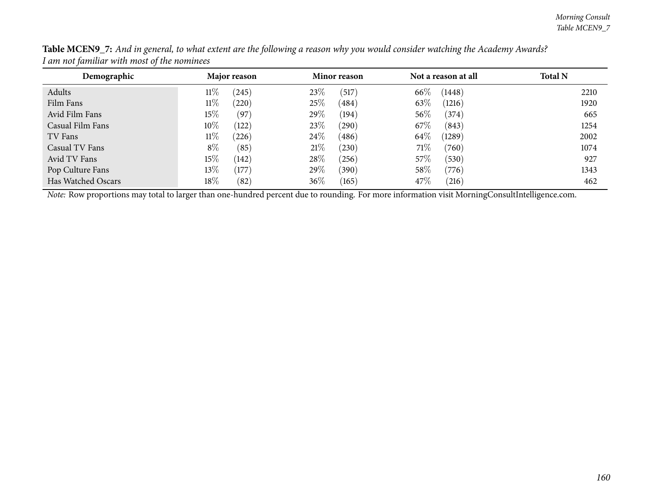| Demographic        | Major reason    | Minor reason    | Not a reason at all | <b>Total N</b> |
|--------------------|-----------------|-----------------|---------------------|----------------|
| Adults             | $11\%$<br>(245) | 23%<br>(517)    | 66\%<br>(1448)      | 2210           |
| Film Fans          | 11%<br>(220)    | $25\%$<br>(484) | 63%<br>(1216)       | 1920           |
| Avid Film Fans     | $15\%$<br>(97)  | $29\%$<br>(194) | $56\%$<br>(374)     | 665            |
| Casual Film Fans   | $10\%$<br>(122) | 23\%<br>(290)   | 67\%<br>(843)       | 1254           |
| TV Fans            | $11\%$<br>(226) | $24\%$<br>(486) | 64\%<br>(1289)      | 2002           |
| Casual TV Fans     | $8\%$<br>(85)   | 21%<br>(230)    | 71\%<br>(760)       | 1074           |
| Avid TV Fans       | $15\%$<br>(142) | 28\%<br>(256)   | 57\%<br>(530)       | 927            |
| Pop Culture Fans   | $13\%$<br>(177) | 29\%<br>(390)   | 58\%<br>(776)       | 1343           |
| Has Watched Oscars | $18\%$<br>(82)  | $36\%$<br>(165) | 47\%<br>(216)       | 462            |

Table MCEN9\_7: And in general, to what extent are the following a reason why you would consider watching the Academy Awards? *<sup>I</sup> am not familiar with most of the nominees*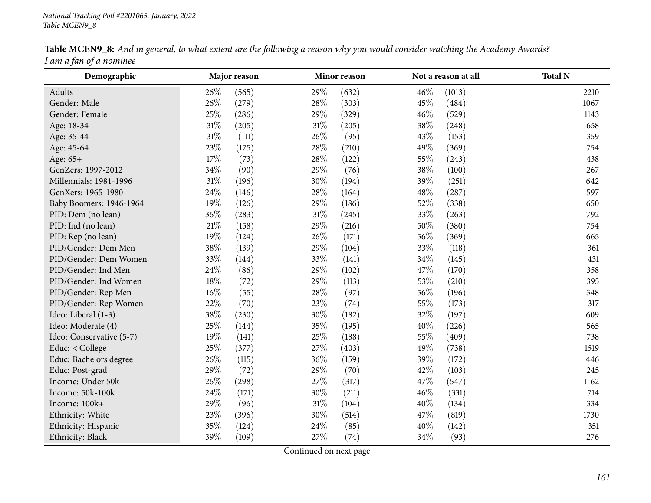| Demographic              |        | Major reason |        | Minor reason |     | Not a reason at all | <b>Total N</b> |
|--------------------------|--------|--------------|--------|--------------|-----|---------------------|----------------|
| Adults                   | 26%    | (565)        | 29%    | (632)        | 46% | (1013)              | 2210           |
| Gender: Male             | 26%    | (279)        | 28\%   | (303)        | 45% | (484)               | 1067           |
| Gender: Female           | 25%    | (286)        | 29%    | (329)        | 46% | (529)               | 1143           |
| Age: 18-34               | 31%    | (205)        | 31%    | (205)        | 38% | (248)               | 658            |
| Age: 35-44               | 31%    | (111)        | 26%    | (95)         | 43% | (153)               | 359            |
| Age: 45-64               | 23%    | (175)        | 28%    | (210)        | 49% | (369)               | 754            |
| Age: 65+                 | 17%    | (73)         | 28%    | (122)        | 55% | (243)               | 438            |
| GenZers: 1997-2012       | 34%    | (90)         | 29%    | (76)         | 38% | (100)               | 267            |
| Millennials: 1981-1996   | $31\%$ | (196)        | 30%    | (194)        | 39% | (251)               | 642            |
| GenXers: 1965-1980       | 24%    | (146)        | 28%    | (164)        | 48% | (287)               | 597            |
| Baby Boomers: 1946-1964  | 19%    | (126)        | 29%    | (186)        | 52% | (338)               | 650            |
| PID: Dem (no lean)       | 36%    | (283)        | $31\%$ | (245)        | 33% | (263)               | 792            |
| PID: Ind (no lean)       | 21%    | (158)        | 29%    | (216)        | 50% | (380)               | 754            |
| PID: Rep (no lean)       | 19%    | (124)        | 26%    | (171)        | 56% | (369)               | 665            |
| PID/Gender: Dem Men      | 38%    | (139)        | 29%    | (104)        | 33% | (118)               | 361            |
| PID/Gender: Dem Women    | 33%    | (144)        | 33%    | (141)        | 34% | (145)               | 431            |
| PID/Gender: Ind Men      | 24%    | (86)         | 29%    | (102)        | 47% | (170)               | 358            |
| PID/Gender: Ind Women    | 18%    | (72)         | 29%    | (113)        | 53% | (210)               | 395            |
| PID/Gender: Rep Men      | 16%    | (55)         | 28%    | (97)         | 56% | (196)               | 348            |
| PID/Gender: Rep Women    | 22%    | (70)         | 23%    | (74)         | 55% | (173)               | 317            |
| Ideo: Liberal (1-3)      | 38%    | (230)        | 30%    | (182)        | 32% | (197)               | 609            |
| Ideo: Moderate (4)       | 25%    | (144)        | 35%    | (195)        | 40% | (226)               | 565            |
| Ideo: Conservative (5-7) | 19%    | (141)        | 25%    | (188)        | 55% | (409)               | 738            |
| Educ: < College          | 25%    | (377)        | 27%    | (403)        | 49% | (738)               | 1519           |
| Educ: Bachelors degree   | 26%    | (115)        | 36%    | (159)        | 39% | (172)               | 446            |
| Educ: Post-grad          | 29%    | (72)         | 29%    | (70)         | 42% | (103)               | 245            |
| Income: Under 50k        | 26%    | (298)        | 27%    | (317)        | 47% | (547)               | 1162           |
| Income: 50k-100k         | 24%    | (171)        | 30%    | (211)        | 46% | (331)               | 714            |
| Income: 100k+            | 29%    | (96)         | 31%    | (104)        | 40% | (134)               | 334            |
| Ethnicity: White         | 23%    | (396)        | 30%    | (514)        | 47% | (819)               | 1730           |
| Ethnicity: Hispanic      | 35%    | (124)        | 24\%   | (85)         | 40% | (142)               | 351            |
| Ethnicity: Black         | 39%    | (109)        | 27%    | (74)         | 34% | (93)                | 276            |

Table MCEN9\_8: And in general, to what extent are the following a reason why you would consider watching the Academy Awards? *<sup>I</sup> am <sup>a</sup> fan of <sup>a</sup> nominee*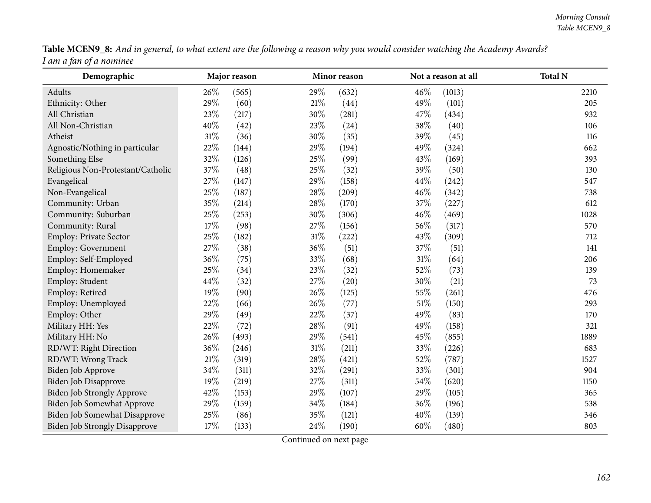|                         |  | Table MCEN9_8: And in general, to what extent are the following a reason why you would consider watching the Academy Awards? |
|-------------------------|--|------------------------------------------------------------------------------------------------------------------------------|
| I am a fan of a nominee |  |                                                                                                                              |

| $\epsilon$ , we denote the set of $\epsilon$<br>Demographic |        | Major reason |        | Minor reason |     | Not a reason at all | <b>Total N</b> |
|-------------------------------------------------------------|--------|--------------|--------|--------------|-----|---------------------|----------------|
| Adults                                                      | 26\%   | (565)        | 29%    | (632)        | 46% | (1013)              | 2210           |
| Ethnicity: Other                                            | 29%    | (60)         | $21\%$ | (44)         | 49% | (101)               | 205            |
| All Christian                                               | 23%    | (217)        | 30%    | (281)        | 47% | (434)               | 932            |
| All Non-Christian                                           | 40%    | (42)         | 23%    | (24)         | 38% | (40)                | 106            |
| Atheist                                                     | 31%    | (36)         | 30%    | (35)         | 39% | (45)                | 116            |
| Agnostic/Nothing in particular                              | 22%    | (144)        | 29%    | (194)        | 49% | (324)               | 662            |
| Something Else                                              | 32%    | (126)        | 25%    | (99)         | 43% | (169)               | 393            |
| Religious Non-Protestant/Catholic                           | 37%    | (48)         | 25%    | (32)         | 39% | (50)                | 130            |
| Evangelical                                                 | 27%    | (147)        | 29%    | (158)        | 44% | (242)               | 547            |
| Non-Evangelical                                             | 25%    | (187)        | 28%    | (209)        | 46% | (342)               | 738            |
| Community: Urban                                            | 35%    | (214)        | 28%    | (170)        | 37% | (227)               | 612            |
| Community: Suburban                                         | 25%    | (253)        | 30%    | (306)        | 46% | (469)               | 1028           |
| Community: Rural                                            | 17%    | (98)         | 27%    | (156)        | 56% | (317)               | 570            |
| Employ: Private Sector                                      | 25%    | (182)        | 31%    | (222)        | 43% | (309)               | 712            |
| <b>Employ: Government</b>                                   | 27%    | (38)         | 36%    | (51)         | 37% | (51)                | 141            |
| Employ: Self-Employed                                       | 36%    | (75)         | 33%    | (68)         | 31% | (64)                | 206            |
| Employ: Homemaker                                           | 25%    | (34)         | 23%    | (32)         | 52% | (73)                | 139            |
| Employ: Student                                             | 44%    | (32)         | 27%    | (20)         | 30% | (21)                | 73             |
| Employ: Retired                                             | 19%    | (90)         | 26%    | (125)        | 55% | (261)               | 476            |
| Employ: Unemployed                                          | 22%    | (66)         | 26%    | (77)         | 51% | (150)               | 293            |
| Employ: Other                                               | 29%    | (49)         | 22%    | (37)         | 49% | (83)                | 170            |
| Military HH: Yes                                            | 22%    | (72)         | 28%    | (91)         | 49% | (158)               | 321            |
| Military HH: No                                             | 26%    | (493)        | 29%    | (541)        | 45% | (855)               | 1889           |
| RD/WT: Right Direction                                      | 36%    | (246)        | $31\%$ | (211)        | 33% | (226)               | 683            |
| RD/WT: Wrong Track                                          | $21\%$ | (319)        | 28%    | (421)        | 52% | (787)               | 1527           |
| Biden Job Approve                                           | 34%    | (311)        | 32%    | (291)        | 33% | (301)               | 904            |
| Biden Job Disapprove                                        | 19%    | (219)        | 27%    | (311)        | 54% | (620)               | 1150           |
| Biden Job Strongly Approve                                  | 42%    | (153)        | 29%    | (107)        | 29% | (105)               | 365            |
| Biden Job Somewhat Approve                                  | 29%    | (159)        | 34%    | (184)        | 36% | (196)               | 538            |
| Biden Job Somewhat Disapprove                               | 25%    | (86)         | 35%    | (121)        | 40% | (139)               | 346            |
| <b>Biden Job Strongly Disapprove</b>                        | 17%    | (133)        | 24%    | (190)        | 60% | (480)               | 803            |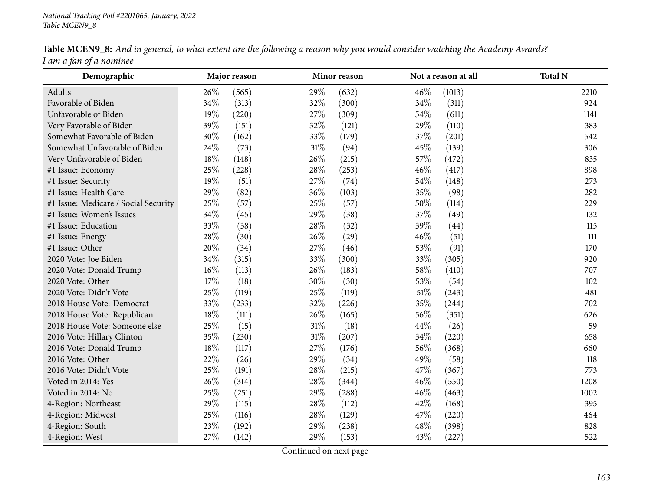|                         |  | <b>Table MCEN9_8:</b> And in general, to what extent are the following a reason why you would consider watching the Academy Awards? |
|-------------------------|--|-------------------------------------------------------------------------------------------------------------------------------------|
| I am a fan of a nominee |  |                                                                                                                                     |

| Demographic                          |      | Major reason |        | Minor reason |        | Not a reason at all | <b>Total N</b> |
|--------------------------------------|------|--------------|--------|--------------|--------|---------------------|----------------|
| Adults                               | 26\% | (565)        | 29%    | (632)        | 46%    | (1013)              | 2210           |
| Favorable of Biden                   | 34%  | (313)        | 32%    | (300)        | 34%    | (311)               | 924            |
| Unfavorable of Biden                 | 19%  | (220)        | 27%    | (309)        | 54\%   | (611)               | 1141           |
| Very Favorable of Biden              | 39%  | (151)        | 32%    | (121)        | 29%    | (110)               | 383            |
| Somewhat Favorable of Biden          | 30%  | (162)        | 33%    | (179)        | 37%    | (201)               | 542            |
| Somewhat Unfavorable of Biden        | 24%  | (73)         | 31%    | (94)         | 45%    | (139)               | 306            |
| Very Unfavorable of Biden            | 18%  | (148)        | 26%    | (215)        | 57%    | (472)               | 835            |
| #1 Issue: Economy                    | 25%  | (228)        | $28\%$ | (253)        | 46%    | (417)               | 898            |
| #1 Issue: Security                   | 19%  | (51)         | $27\%$ | (74)         | $54\%$ | (148)               | 273            |
| #1 Issue: Health Care                | 29%  | (82)         | 36%    | (103)        | 35%    | (98)                | 282            |
| #1 Issue: Medicare / Social Security | 25%  | (57)         | 25%    | (57)         | 50%    | (114)               | 229            |
| #1 Issue: Women's Issues             | 34%  | (45)         | 29%    | (38)         | 37%    | (49)                | 132            |
| #1 Issue: Education                  | 33%  | (38)         | 28%    | (32)         | 39%    | (44)                | 115            |
| #1 Issue: Energy                     | 28%  | (30)         | 26%    | (29)         | 46%    | (51)                | $111$          |
| #1 Issue: Other                      | 20%  | (34)         | 27%    | (46)         | 53\%   | (91)                | 170            |
| 2020 Vote: Joe Biden                 | 34%  | (315)        | 33%    | (300)        | 33%    | (305)               | 920            |
| 2020 Vote: Donald Trump              | 16%  | (113)        | 26%    | (183)        | $58\%$ | (410)               | 707            |
| 2020 Vote: Other                     | 17%  | (18)         | 30%    | (30)         | 53%    | (54)                | 102            |
| 2020 Vote: Didn't Vote               | 25%  | (119)        | 25%    | (119)        | $51\%$ | (243)               | 481            |
| 2018 House Vote: Democrat            | 33%  | (233)        | 32%    | (226)        | 35%    | (244)               | 702            |
| 2018 House Vote: Republican          | 18%  | (111)        | 26%    | (165)        | 56%    | (351)               | 626            |
| 2018 House Vote: Someone else        | 25\% | (15)         | $31\%$ | (18)         | 44%    | (26)                | 59             |
| 2016 Vote: Hillary Clinton           | 35%  | (230)        | $31\%$ | (207)        | 34\%   | (220)               | 658            |
| 2016 Vote: Donald Trump              | 18%  | (117)        | 27\%   | (176)        | 56%    | (368)               | 660            |
| 2016 Vote: Other                     | 22%  | (26)         | 29%    | (34)         | 49%    | (58)                | 118            |
| 2016 Vote: Didn't Vote               | 25%  | (191)        | 28%    | (215)        | 47%    | (367)               | 773            |
| Voted in 2014: Yes                   | 26%  | (314)        | 28%    | (344)        | 46%    | (550)               | 1208           |
| Voted in 2014: No                    | 25%  | (251)        | 29%    | (288)        | 46%    | (463)               | 1002           |
| 4-Region: Northeast                  | 29%  | (115)        | 28\%   | (112)        | 42%    | (168)               | 395            |
| 4-Region: Midwest                    | 25%  | (116)        | 28%    | (129)        | 47%    | (220)               | 464            |
| 4-Region: South                      | 23%  | (192)        | 29%    | (238)        | 48\%   | (398)               | 828            |
| 4-Region: West                       | 27%  | (142)        | 29%    | (153)        | 43%    | (227)               | 522            |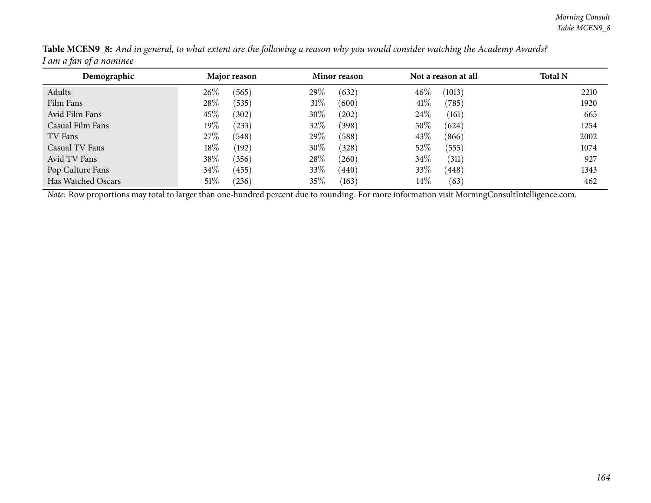| Demographic        | Major reason    | Minor reason    | Not a reason at all | <b>Total N</b> |
|--------------------|-----------------|-----------------|---------------------|----------------|
| Adults             | $26\%$<br>(565) | 29\%<br>(632)   | 46%<br>(1013)       | 2210           |
| Film Fans          | $28\%$<br>(535) | 31%<br>(600)    | 41%<br>(785)        | 1920           |
| Avid Film Fans     | 45\%<br>(302)   | $30\%$<br>(202) | 24\%<br>(161)       | 665            |
| Casual Film Fans   | $19\%$<br>(233) | 32%<br>(398)    | 50%<br>(624)        | 1254           |
| TV Fans            | 27%<br>(548)    | 29%<br>(588)    | 43%<br>(866)        | 2002           |
| Casual TV Fans     | $18\%$<br>(192) | 30%<br>(328)    | 52%<br>(555)        | 1074           |
| Avid TV Fans       | 38\%<br>(356)   | 28\%<br>(260)   | $34\%$<br>(311)     | 927            |
| Pop Culture Fans   | $34\%$<br>(455) | 33\%<br>(440)   | 33%<br>(448)        | 1343           |
| Has Watched Oscars | $51\%$<br>(236) | 35%<br>(163)    | $14\%$<br>(63)      | 462            |

Table MCEN9\_8: And in general, to what extent are the following a reason why you would consider watching the Academy Awards? *<sup>I</sup> am <sup>a</sup> fan of <sup>a</sup> nominee*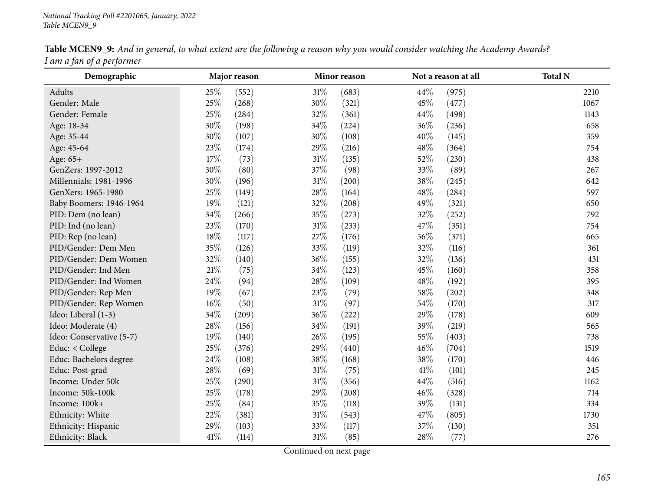| Demographic              |        | Major reason |        | Minor reason |      | Not a reason at all | <b>Total N</b> |
|--------------------------|--------|--------------|--------|--------------|------|---------------------|----------------|
| Adults                   | 25%    | (552)        | $31\%$ | (683)        | 44%  | (975)               | 2210           |
| Gender: Male             | 25%    | (268)        | 30%    | (321)        | 45%  | (477)               | 1067           |
| Gender: Female           | 25%    | (284)        | 32%    | (361)        | 44%  | (498)               | 1143           |
| Age: 18-34               | 30%    | (198)        | 34%    | (224)        | 36%  | (236)               | 658            |
| Age: 35-44               | 30%    | (107)        | 30%    | (108)        | 40%  | (145)               | 359            |
| Age: 45-64               | 23%    | (174)        | 29%    | (216)        | 48%  | (364)               | 754            |
| Age: 65+                 | 17%    | (73)         | $31\%$ | (135)        | 52%  | (230)               | 438            |
| GenZers: 1997-2012       | 30%    | (80)         | 37%    | (98)         | 33\% | (89)                | 267            |
| Millennials: 1981-1996   | 30%    | (196)        | 31%    | (200)        | 38%  | (245)               | 642            |
| GenXers: 1965-1980       | 25%    | (149)        | 28%    | (164)        | 48%  | (284)               | 597            |
| Baby Boomers: 1946-1964  | 19%    | (121)        | 32%    | (208)        | 49%  | (321)               | 650            |
| PID: Dem (no lean)       | $34\%$ | (266)        | 35%    | (273)        | 32%  | (252)               | 792            |
| PID: Ind (no lean)       | 23%    | (170)        | $31\%$ | (233)        | 47%  | (351)               | 754            |
| PID: Rep (no lean)       | 18%    | (117)        | 27%    | (176)        | 56%  | (371)               | 665            |
| PID/Gender: Dem Men      | 35%    | (126)        | 33%    | (119)        | 32%  | (116)               | 361            |
| PID/Gender: Dem Women    | 32%    | (140)        | 36%    | (155)        | 32%  | (136)               | 431            |
| PID/Gender: Ind Men      | 21%    | (75)         | 34%    | (123)        | 45%  | (160)               | 358            |
| PID/Gender: Ind Women    | 24%    | (94)         | 28%    | (109)        | 48%  | (192)               | 395            |
| PID/Gender: Rep Men      | 19%    | (67)         | 23%    | (79)         | 58%  | (202)               | 348            |
| PID/Gender: Rep Women    | 16%    | (50)         | $31\%$ | (97)         | 54%  | (170)               | 317            |
| Ideo: Liberal (1-3)      | 34%    | (209)        | 36%    | (222)        | 29%  | (178)               | 609            |
| Ideo: Moderate (4)       | 28%    | (156)        | 34%    | (191)        | 39%  | (219)               | 565            |
| Ideo: Conservative (5-7) | 19%    | (140)        | 26%    | (195)        | 55%  | (403)               | 738            |
| Educ: < College          | 25%    | (376)        | 29%    | (440)        | 46%  | (704)               | 1519           |
| Educ: Bachelors degree   | 24%    | (108)        | 38%    | (168)        | 38%  | (170)               | 446            |
| Educ: Post-grad          | 28%    | (69)         | $31\%$ | (75)         | 41\% | (101)               | 245            |
| Income: Under 50k        | 25%    | (290)        | $31\%$ | (356)        | 44%  | (516)               | 1162           |
| Income: 50k-100k         | 25%    | (178)        | 29%    | (208)        | 46%  | (328)               | 714            |
| Income: 100k+            | 25%    | (84)         | 35%    | (118)        | 39%  | (131)               | 334            |
| Ethnicity: White         | 22%    | (381)        | $31\%$ | (543)        | 47%  | (805)               | 1730           |
| Ethnicity: Hispanic      | 29%    | (103)        | 33%    | (117)        | 37%  | (130)               | 351            |
| Ethnicity: Black         | 41%    | (114)        | $31\%$ | (85)         | 28%  | (77)                | 276            |

Table MCEN9\_9: And in general, to what extent are the following a reason why you would consider watching the Academy Awards? *<sup>I</sup> am <sup>a</sup> fan of <sup>a</sup> performer*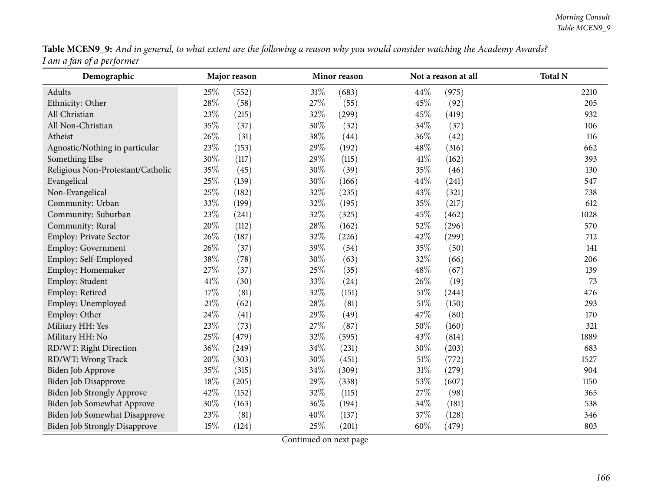Table MCEN9\_9: And in general, to what extent are the following a reason why you would consider watching the Academy Awards? *<sup>I</sup> am <sup>a</sup> fan of <sup>a</sup> performer*

| Demographic                          |        | Major reason |      | Minor reason |        | Not a reason at all | <b>Total N</b> |
|--------------------------------------|--------|--------------|------|--------------|--------|---------------------|----------------|
| Adults                               | 25%    | (552)        | 31%  | (683)        | 44%    | (975)               | 2210           |
| Ethnicity: Other                     | 28\%   | (58)         | 27%  | (55)         | 45%    | (92)                | 205            |
| All Christian                        | 23%    | (215)        | 32%  | (299)        | 45%    | (419)               | 932            |
| All Non-Christian                    | 35%    | (37)         | 30%  | (32)         | 34%    | (37)                | 106            |
| Atheist                              | 26%    | (31)         | 38%  | (44)         | 36%    | (42)                | 116            |
| Agnostic/Nothing in particular       | $23\%$ | (153)        | 29%  | (192)        | 48%    | (316)               | 662            |
| Something Else                       | 30%    | (117)        | 29%  | (115)        | 41\%   | (162)               | 393            |
| Religious Non-Protestant/Catholic    | 35%    | (45)         | 30%  | (39)         | 35%    | (46)                | 130            |
| Evangelical                          | 25%    | (139)        | 30%  | (166)        | 44%    | (241)               | 547            |
| Non-Evangelical                      | 25%    | (182)        | 32%  | (235)        | 43%    | (321)               | 738            |
| Community: Urban                     | 33%    | (199)        | 32%  | (195)        | 35%    | (217)               | 612            |
| Community: Suburban                  | 23%    | (241)        | 32%  | (325)        | 45%    | (462)               | 1028           |
| Community: Rural                     | 20%    | (112)        | 28%  | (162)        | 52%    | (296)               | 570            |
| Employ: Private Sector               | 26%    | (187)        | 32%  | (226)        | 42%    | (299)               | 712            |
| Employ: Government                   | 26%    | (37)         | 39%  | (54)         | 35%    | (50)                | 141            |
| Employ: Self-Employed                | 38%    | (78)         | 30%  | (63)         | 32%    | (66)                | 206            |
| Employ: Homemaker                    | 27%    | (37)         | 25%  | (35)         | 48\%   | (67)                | 139            |
| Employ: Student                      | $41\%$ | (30)         | 33%  | (24)         | 26\%   | (19)                | 73             |
| Employ: Retired                      | 17%    | (81)         | 32%  | (151)        | $51\%$ | (244)               | 476            |
| Employ: Unemployed                   | $21\%$ | (62)         | 28%  | (81)         | $51\%$ | (150)               | 293            |
| Employ: Other                        | 24%    | (41)         | 29%  | (49)         | 47%    | (80)                | 170            |
| Military HH: Yes                     | 23%    | (73)         | 27%  | (87)         | 50%    | (160)               | 321            |
| Military HH: No                      | 25%    | (479)        | 32%  | (595)        | 43%    | (814)               | 1889           |
| RD/WT: Right Direction               | 36%    | (249)        | 34%  | (231)        | 30%    | (203)               | 683            |
| RD/WT: Wrong Track                   | 20%    | (303)        | 30%  | (451)        | 51\%   | (772)               | 1527           |
| Biden Job Approve                    | 35%    | (315)        | 34%  | (309)        | $31\%$ | (279)               | 904            |
| <b>Biden Job Disapprove</b>          | 18%    | (205)        | 29%  | (338)        | 53%    | (607)               | 1150           |
| Biden Job Strongly Approve           | 42%    | (152)        | 32%  | (115)        | 27%    | (98)                | 365            |
| Biden Job Somewhat Approve           | $30\%$ | (163)        | 36%  | (194)        | 34%    | (181)               | 538            |
| Biden Job Somewhat Disapprove        | 23%    | (81)         | 40%  | (137)        | 37%    | (128)               | 346            |
| <b>Biden Job Strongly Disapprove</b> | 15\%   | (124)        | 25\% | (201)        | 60%    | (479)               | 803            |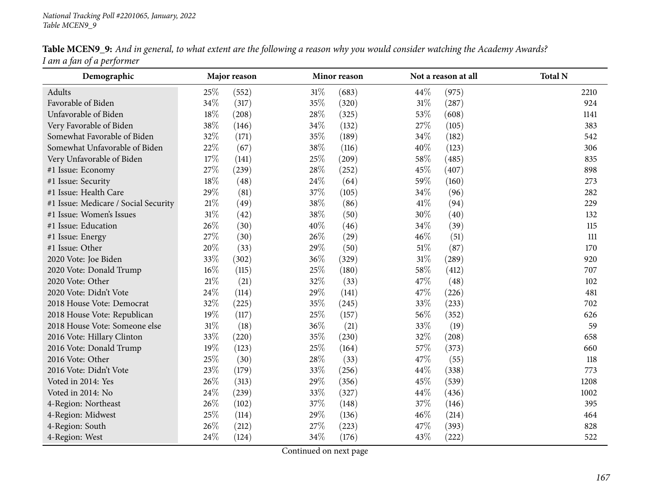| <b>Table MCEN9_9:</b> And in general, to what extent are the following a reason why you would consider watching the Academy Awards? |  |
|-------------------------------------------------------------------------------------------------------------------------------------|--|
| I am a fan of a performer                                                                                                           |  |

| Demographic                          |        | Major reason |        | Minor reason |        | Not a reason at all | <b>Total N</b> |
|--------------------------------------|--------|--------------|--------|--------------|--------|---------------------|----------------|
| Adults                               | 25%    | (552)        | 31\%   | (683)        | 44%    | (975)               | 2210           |
| Favorable of Biden                   | 34%    | (317)        | 35%    | (320)        | $31\%$ | (287)               | 924            |
| Unfavorable of Biden                 | 18%    | (208)        | 28%    | (325)        | 53%    | (608)               | 1141           |
| Very Favorable of Biden              | 38%    | (146)        | 34%    | (132)        | 27%    | (105)               | 383            |
| Somewhat Favorable of Biden          | 32%    | (171)        | 35%    | (189)        | 34\%   | (182)               | 542            |
| Somewhat Unfavorable of Biden        | 22%    | (67)         | 38%    | (116)        | 40%    | (123)               | 306            |
| Very Unfavorable of Biden            | 17%    | (141)        | 25%    | (209)        | 58\%   | (485)               | 835            |
| #1 Issue: Economy                    | 27%    | (239)        | $28\%$ | (252)        | 45%    | (407)               | 898            |
| #1 Issue: Security                   | 18%    | (48)         | 24\%   | (64)         | 59%    | (160)               | 273            |
| #1 Issue: Health Care                | 29%    | (81)         | 37%    | (105)        | 34\%   | (96)                | 282            |
| #1 Issue: Medicare / Social Security | $21\%$ | (49)         | 38%    | (86)         | 41\%   | (94)                | 229            |
| #1 Issue: Women's Issues             | 31%    | (42)         | 38\%   | (50)         | 30%    | (40)                | 132            |
| #1 Issue: Education                  | 26%    | (30)         | 40%    | (46)         | 34\%   | (39)                | 115            |
| #1 Issue: Energy                     | 27%    | (30)         | 26%    | (29)         | 46%    | (51)                | 111            |
| #1 Issue: Other                      | 20%    | (33)         | 29%    | (50)         | 51%    | (87)                | 170            |
| 2020 Vote: Joe Biden                 | 33%    | (302)        | 36%    | (329)        | $31\%$ | (289)               | 920            |
| 2020 Vote: Donald Trump              | 16%    | (115)        | $25\%$ | (180)        | 58%    | (412)               | 707            |
| 2020 Vote: Other                     | $21\%$ | (21)         | 32%    | (33)         | 47%    | (48)                | 102            |
| 2020 Vote: Didn't Vote               | 24%    | (114)        | 29%    | (141)        | 47%    | (226)               | 481            |
| 2018 House Vote: Democrat            | 32%    | (225)        | 35%    | (245)        | 33%    | (233)               | 702            |
| 2018 House Vote: Republican          | 19%    | (117)        | 25%    | (157)        | 56%    | (352)               | 626            |
| 2018 House Vote: Someone else        | 31%    | (18)         | 36%    | (21)         | 33%    | (19)                | 59             |
| 2016 Vote: Hillary Clinton           | 33%    | (220)        | 35%    | (230)        | 32%    | (208)               | 658            |
| 2016 Vote: Donald Trump              | 19%    | (123)        | 25\%   | (164)        | 57\%   | (373)               | 660            |
| 2016 Vote: Other                     | 25%    | (30)         | 28\%   | (33)         | 47%    | (55)                | 118            |
| 2016 Vote: Didn't Vote               | 23%    | (179)        | 33%    | (256)        | 44\%   | (338)               | 773            |
| Voted in 2014: Yes                   | 26%    | (313)        | 29%    | (356)        | 45%    | (539)               | 1208           |
| Voted in 2014: No                    | 24%    | (239)        | 33%    | (327)        | 44%    | (436)               | 1002           |
| 4-Region: Northeast                  | 26%    | (102)        | 37\%   | (148)        | 37%    | (146)               | 395            |
| 4-Region: Midwest                    | 25%    | (114)        | 29%    | (136)        | 46%    | (214)               | 464            |
| 4-Region: South                      | 26%    | (212)        | 27%    | (223)        | 47\%   | (393)               | 828            |
| 4-Region: West                       | 24%    | (124)        | 34%    | (176)        | 43%    | (222)               | 522            |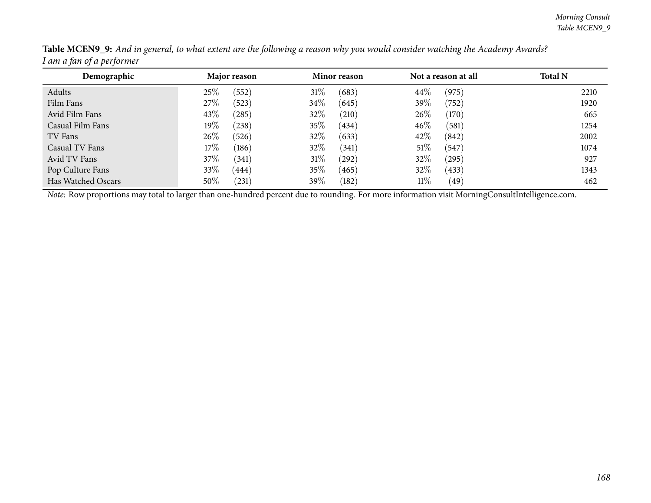| Demographic        | Major reason    | <b>Minor reason</b> | Not a reason at all | <b>Total N</b> |
|--------------------|-----------------|---------------------|---------------------|----------------|
| Adults             | 25%<br>(552)    | 31%<br>(683)        | 44\%<br>(975)       | 2210           |
| Film Fans          | 27%<br>(523)    | $34\%$<br>(645)     | $39\%$<br>(752)     | 1920           |
| Avid Film Fans     | 43%<br>(285)    | $32\%$<br>(210)     | 26%<br>(170)        | 665            |
| Casual Film Fans   | $19\%$<br>(238) | 35\%<br>(434)       | 46%<br>(581)        | 1254           |
| TV Fans            | $26\%$<br>(526) | 32%<br>(633)        | 42\%<br>(842)       | 2002           |
| Casual TV Fans     | $17\%$<br>(186) | 32%<br>(341)        | 51%<br>(547)        | 1074           |
| Avid TV Fans       | 37\%<br>(341)   | $31\%$<br>(292)     | 32%<br>(295)        | 927            |
| Pop Culture Fans   | 33\%<br>(444)   | 35\%<br>(465)       | 32%<br>(433)        | 1343           |
| Has Watched Oscars | $50\%$<br>(231) | 39%<br>(182)        | $11\%$<br>(49)      | 462            |

Table MCEN9\_9: And in general, to what extent are the following a reason why you would consider watching the Academy Awards? *<sup>I</sup> am <sup>a</sup> fan of <sup>a</sup> performer*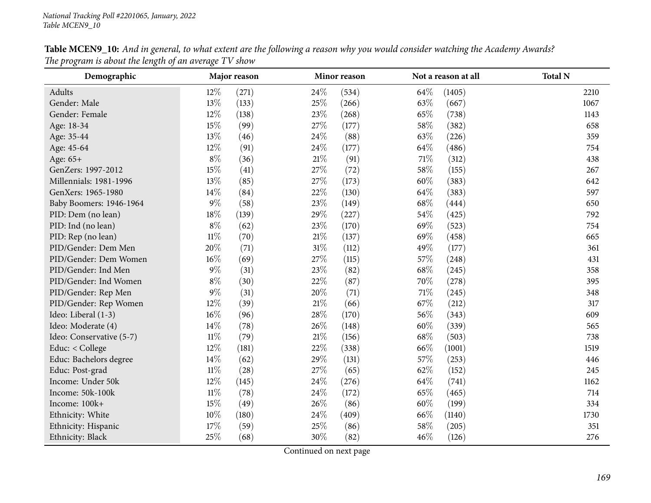| Demographic              |        | Major reason |        | Minor reason |      | Not a reason at all | <b>Total N</b> |
|--------------------------|--------|--------------|--------|--------------|------|---------------------|----------------|
| Adults                   | 12%    | (271)        | 24\%   | (534)        | 64\% | (1405)              | 2210           |
| Gender: Male             | 13%    | (133)        | 25%    | (266)        | 63%  | (667)               | 1067           |
| Gender: Female           | 12%    | (138)        | 23%    | (268)        | 65%  | (738)               | 1143           |
| Age: 18-34               | 15%    | (99)         | 27\%   | (177)        | 58%  | (382)               | 658            |
| Age: 35-44               | 13%    | (46)         | 24\%   | (88)         | 63%  | (226)               | 359            |
| Age: 45-64               | 12%    | (91)         | 24\%   | (177)        | 64\% | (486)               | 754            |
| Age: 65+                 | $8\%$  | (36)         | $21\%$ | (91)         | 71\% | (312)               | 438            |
| GenZers: 1997-2012       | 15%    | (41)         | 27\%   | (72)         | 58%  | (155)               | 267            |
| Millennials: 1981-1996   | 13%    | (85)         | 27\%   | (173)        | 60%  | (383)               | 642            |
| GenXers: 1965-1980       | 14%    | (84)         | 22%    | (130)        | 64\% | (383)               | 597            |
| Baby Boomers: 1946-1964  | $9\%$  | (58)         | 23%    | (149)        | 68\% | (444)               | 650            |
| PID: Dem (no lean)       | 18%    | (139)        | 29%    | (227)        | 54\% | (425)               | 792            |
| PID: Ind (no lean)       | $8\%$  | (62)         | 23%    | (170)        | 69%  | (523)               | 754            |
| PID: Rep (no lean)       | $11\%$ | (70)         | $21\%$ | (137)        | 69%  | (458)               | 665            |
| PID/Gender: Dem Men      | 20%    | (71)         | $31\%$ | (112)        | 49%  | (177)               | 361            |
| PID/Gender: Dem Women    | $16\%$ | (69)         | 27\%   | (115)        | 57%  | (248)               | 431            |
| PID/Gender: Ind Men      | $9\%$  | (31)         | 23%    | (82)         | 68%  | (245)               | 358            |
| PID/Gender: Ind Women    | $8\%$  | (30)         | 22%    | (87)         | 70%  | (278)               | 395            |
| PID/Gender: Rep Men      | $9\%$  | (31)         | 20%    | (71)         | 71%  | (245)               | 348            |
| PID/Gender: Rep Women    | 12%    | (39)         | 21%    | (66)         | 67%  | (212)               | 317            |
| Ideo: Liberal (1-3)      | $16\%$ | (96)         | 28%    | (170)        | 56%  | (343)               | 609            |
| Ideo: Moderate (4)       | 14%    | (78)         | 26%    | (148)        | 60%  | (339)               | 565            |
| Ideo: Conservative (5-7) | $11\%$ | (79)         | $21\%$ | (156)        | 68\% | (503)               | 738            |
| Educ: < College          | $12\%$ | (181)        | 22\%   | (338)        | 66\% | (1001)              | 1519           |
| Educ: Bachelors degree   | 14%    | (62)         | 29%    | (131)        | 57%  | (253)               | 446            |
| Educ: Post-grad          | $11\%$ | (28)         | 27%    | (65)         | 62%  | (152)               | 245            |
| Income: Under 50k        | 12%    | (145)        | 24\%   | (276)        | 64\% | (741)               | 1162           |
| Income: 50k-100k         | $11\%$ | (78)         | 24\%   | (172)        | 65%  | (465)               | 714            |
| Income: 100k+            | 15%    | (49)         | 26%    | (86)         | 60%  | (199)               | 334            |
| Ethnicity: White         | $10\%$ | (180)        | 24\%   | (409)        | 66%  | (1140)              | 1730           |
| Ethnicity: Hispanic      | 17%    | (59)         | 25%    | (86)         | 58%  | (205)               | 351            |
| Ethnicity: Black         | 25%    | (68)         | 30%    | (82)         | 46%  | (126)               | 276            |

Table MCEN9\_10: And in general, to what extent are the following a reason why you would consider watching the Academy Awards? *The program is about the length of an average TV show*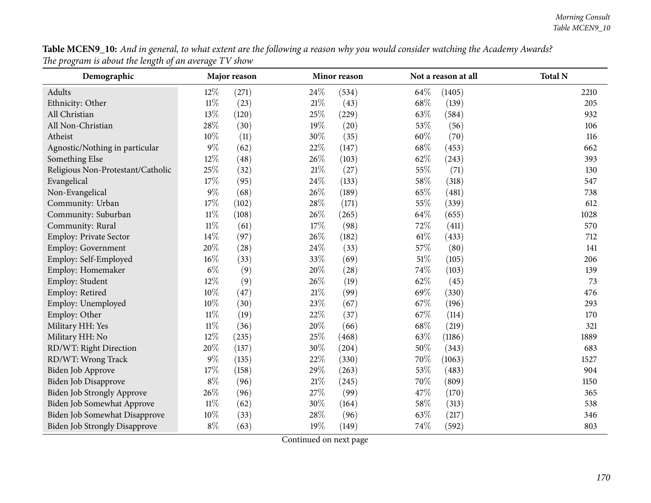|                                                       |  |  | Table MCEN9_10: And in general, to what extent are the following a reason why you would consider watching the Academy Awards? |
|-------------------------------------------------------|--|--|-------------------------------------------------------------------------------------------------------------------------------|
| The program is about the length of an average TV show |  |  |                                                                                                                               |

| $r \cdot \infty$<br>$\cdots$ is no one need to $\cdots$<br>Demographic | $\ldots$ $\ldots$ $\circ$ | Major reason |        | Minor reason |        | Not a reason at all | <b>Total N</b> |
|------------------------------------------------------------------------|---------------------------|--------------|--------|--------------|--------|---------------------|----------------|
| Adults                                                                 | $12\%$                    | (271)        | 24%    | (534)        | 64%    | (1405)              | 2210           |
| Ethnicity: Other                                                       | $11\%$                    | (23)         | 21%    | (43)         | 68%    | (139)               | 205            |
| All Christian                                                          | 13%                       | (120)        | 25%    | (229)        | 63%    | (584)               | 932            |
| All Non-Christian                                                      | 28%                       | (30)         | 19%    | (20)         | 53%    | (56)                | 106            |
| Atheist                                                                | 10%                       | (11)         | 30%    | (35)         | 60%    | (70)                | 116            |
| Agnostic/Nothing in particular                                         | 9%                        | (62)         | 22%    | (147)        | 68%    | (453)               | 662            |
| Something Else                                                         | 12%                       | (48)         | 26%    | (103)        | 62%    | (243)               | 393            |
| Religious Non-Protestant/Catholic                                      | 25%                       | (32)         | 21%    | (27)         | 55%    | (71)                | 130            |
| Evangelical                                                            | 17%                       | (95)         | 24%    | (133)        | 58%    | (318)               | 547            |
| Non-Evangelical                                                        | $9\%$                     | (68)         | 26%    | (189)        | 65%    | (481)               | 738            |
| Community: Urban                                                       | 17%                       | (102)        | 28\%   | (171)        | $55\%$ | (339)               | 612            |
| Community: Suburban                                                    | $11\%$                    | (108)        | 26%    | (265)        | 64\%   | (655)               | 1028           |
| Community: Rural                                                       | $11\%$                    | (61)         | 17%    | (98)         | 72%    | (411)               | 570            |
| Employ: Private Sector                                                 | 14%                       | (97)         | 26%    | (182)        | $61\%$ | (433)               | 712            |
| Employ: Government                                                     | 20%                       | (28)         | 24%    | (33)         | 57%    | (80)                | 141            |
| Employ: Self-Employed                                                  | 16%                       | (33)         | 33%    | (69)         | $51\%$ | (105)               | 206            |
| Employ: Homemaker                                                      | $6\%$                     | (9)          | 20%    | (28)         | 74%    | (103)               | 139            |
| Employ: Student                                                        | 12%                       | (9)          | 26%    | (19)         | 62%    | (45)                | 73             |
| Employ: Retired                                                        | 10%                       | (47)         | $21\%$ | (99)         | 69%    | (330)               | 476            |
| Employ: Unemployed                                                     | 10%                       | (30)         | 23%    | (67)         | 67%    | (196)               | 293            |
| Employ: Other                                                          | $11\%$                    | (19)         | 22%    | (37)         | 67%    | (114)               | 170            |
| Military HH: Yes                                                       | $11\%$                    | (36)         | 20%    | (66)         | 68%    | (219)               | 321            |
| Military HH: No                                                        | 12%                       | (235)        | 25%    | (468)        | 63%    | (1186)              | 1889           |
| RD/WT: Right Direction                                                 | 20%                       | (137)        | 30%    | (204)        | 50%    | (343)               | 683            |
| RD/WT: Wrong Track                                                     | $9\%$                     | (135)        | 22%    | (330)        | 70%    | (1063)              | 1527           |
| Biden Job Approve                                                      | 17%                       | (158)        | 29%    | (263)        | 53%    | (483)               | 904            |
| Biden Job Disapprove                                                   | $8\%$                     | (96)         | 21%    | (245)        | 70%    | (809)               | 1150           |
| <b>Biden Job Strongly Approve</b>                                      | $26\%$                    | (96)         | 27%    | (99)         | 47%    | (170)               | 365            |
| Biden Job Somewhat Approve                                             | $11\%$                    | (62)         | 30%    | (164)        | 58%    | (313)               | 538            |
| Biden Job Somewhat Disapprove                                          | 10%                       | (33)         | 28%    | (96)         | 63%    | (217)               | 346            |
| <b>Biden Job Strongly Disapprove</b>                                   | $8\%$                     | (63)         | 19%    | (149)        | 74%    | (592)               | 803            |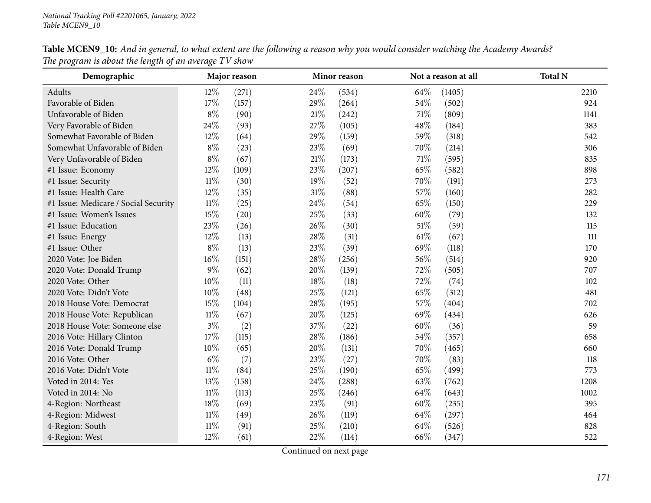| Demographic                          |        | Major reason |        | Minor reason |        | Not a reason at all | <b>Total N</b> |
|--------------------------------------|--------|--------------|--------|--------------|--------|---------------------|----------------|
| Adults                               | $12\%$ | (271)        | 24\%   | (534)        | 64\%   | (1405)              | 2210           |
| Favorable of Biden                   | $17\%$ | (157)        | 29%    | (264)        | 54%    | (502)               | 924            |
| Unfavorable of Biden                 | $8\%$  | (90)         | 21%    | (242)        | 71\%   | (809)               | 1141           |
| Very Favorable of Biden              | 24%    | (93)         | 27%    | (105)        | 48%    | (184)               | 383            |
| Somewhat Favorable of Biden          | 12%    | (64)         | 29%    | (159)        | 59%    | (318)               | 542            |
| Somewhat Unfavorable of Biden        | $8\%$  | (23)         | 23\%   | (69)         | 70%    | (214)               | 306            |
| Very Unfavorable of Biden            | $8\%$  | (67)         | $21\%$ | (173)        | 71%    | (595)               | 835            |
| #1 Issue: Economy                    | 12%    | (109)        | 23%    | (207)        | 65%    | (582)               | 898            |
| #1 Issue: Security                   | $11\%$ | (30)         | 19%    | (52)         | 70%    | (191)               | 273            |
| #1 Issue: Health Care                | $12\%$ | (35)         | $31\%$ | (88)         | 57%    | (160)               | 282            |
| #1 Issue: Medicare / Social Security | $11\%$ | (25)         | 24\%   | (54)         | 65%    | (150)               | 229            |
| #1 Issue: Women's Issues             | 15%    | (20)         | 25%    | (33)         | 60%    | (79)                | 132            |
| #1 Issue: Education                  | 23%    | (26)         | 26%    | (30)         | 51\%   | (59)                | 115            |
| #1 Issue: Energy                     | 12%    | (13)         | 28\%   | (31)         | $61\%$ | (67)                | 111            |
| #1 Issue: Other                      | $8\%$  | (13)         | 23%    | (39)         | 69%    | (118)               | 170            |
| 2020 Vote: Joe Biden                 | $16\%$ | (151)        | 28%    | (256)        | 56%    | (514)               | 920            |
| 2020 Vote: Donald Trump              | $9\%$  | (62)         | 20%    | (139)        | 72%    | (505)               | 707            |
| 2020 Vote: Other                     | $10\%$ | (11)         | $18\%$ | (18)         | 72%    | (74)                | 102            |
| 2020 Vote: Didn't Vote               | $10\%$ | (48)         | 25\%   | (121)        | 65%    | (312)               | 481            |
| 2018 House Vote: Democrat            | 15%    | (104)        | 28\%   | (195)        | 57%    | (404)               | 702            |
| 2018 House Vote: Republican          | $11\%$ | (67)         | 20%    | (125)        | 69%    | (434)               | 626            |
| 2018 House Vote: Someone else        | $3\%$  | (2)          | 37%    | (22)         | 60%    | (36)                | 59             |
| 2016 Vote: Hillary Clinton           | $17\%$ | (115)        | $28\%$ | (186)        | 54%    | (357)               | 658            |
| 2016 Vote: Donald Trump              | 10%    | (65)         | 20%    | (131)        | 70%    | (465)               | 660            |
| 2016 Vote: Other                     | $6\%$  | (7)          | 23%    | (27)         | 70%    | (83)                | 118            |
| 2016 Vote: Didn't Vote               | $11\%$ | (84)         | $25\%$ | (190)        | 65%    | (499)               | 773            |
| Voted in 2014: Yes                   | 13%    | (158)        | 24\%   | (288)        | 63%    | (762)               | 1208           |
| Voted in 2014: No                    | $11\%$ | (113)        | 25%    | (246)        | 64%    | (643)               | 1002           |
| 4-Region: Northeast                  | 18%    | (69)         | 23%    | (91)         | 60%    | (235)               | 395            |
| 4-Region: Midwest                    | $11\%$ | (49)         | 26\%   | (119)        | 64\%   | (297)               | 464            |
| 4-Region: South                      | $11\%$ | (91)         | 25%    | (210)        | 64%    | (526)               | 828            |
| 4-Region: West                       | 12%    | (61)         | 22%    | (114)        | 66%    | (347)               | 522            |

Table MCEN9\_10: And in general, to what extent are the following a reason why you would consider watching the Academy Awards? *The program is about the length of an average TV show*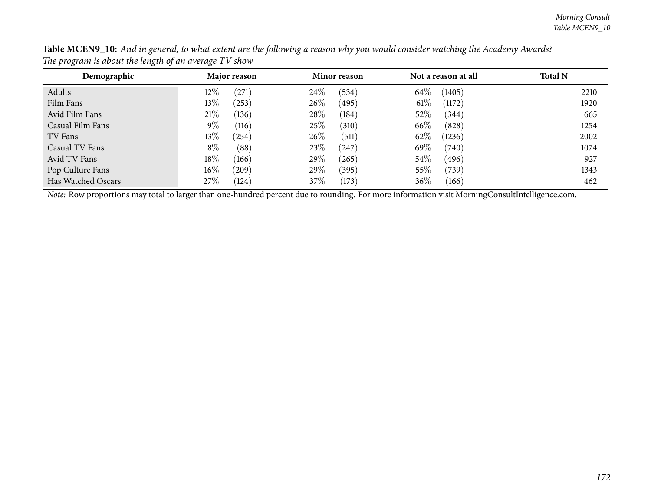| Demographic        | Major reason      | Minor reason  | Not a reason at all | <b>Total N</b> |
|--------------------|-------------------|---------------|---------------------|----------------|
| Adults             | $12\%$<br>(271)   | 24\%<br>(534) | 64\%<br>(1405)      | 2210           |
| Film Fans          | 13\%<br>(253)     | 26\%<br>(495) | $61\%$<br>(1172)    | 1920           |
| Avid Film Fans     | 21%<br>(136)      | 28\%<br>(184) | 52\%<br>(344)       | 665            |
| Casual Film Fans   | $9\%$<br>(116)    | 25\%<br>(310) | 66\%<br>(828)       | 1254           |
| TV Fans            | 13\%<br>(254)     | 26\%<br>(511) | 62\%<br>(1236)      | 2002           |
| Casual TV Fans     | $8\%$<br>(88)     | 23\%<br>(247) | 69\%<br>(740)       | 1074           |
| Avid TV Fans       | 18\%<br>(166)     | 29%<br>(265)  | $54\%$<br>(496)     | 927            |
| Pop Culture Fans   | $16\%$<br>(209)   | 29%<br>(395)  | $55\%$<br>739)      | 1343           |
| Has Watched Oscars | 27%<br>$^{'}124)$ | 37\%<br>(173) | 36\%<br>(166)       | 462            |

Table MCEN9\_10: And in general, to what extent are the following a reason why you would consider watching the Academy Awards? *The program is about the length of an average TV show*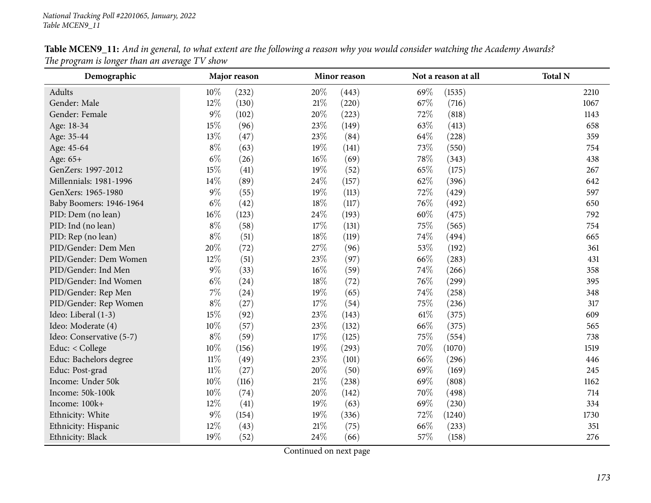| Demographic              |        | Major reason |        | Minor reason |        | Not a reason at all | <b>Total N</b> |
|--------------------------|--------|--------------|--------|--------------|--------|---------------------|----------------|
| Adults                   | $10\%$ | (232)        | 20%    | (443)        | 69%    | (1535)              | 2210           |
| Gender: Male             | 12%    | (130)        | $21\%$ | (220)        | 67%    | (716)               | 1067           |
| Gender: Female           | $9\%$  | (102)        | 20%    | (223)        | 72%    | (818)               | 1143           |
| Age: 18-34               | 15%    | (96)         | 23\%   | (149)        | 63%    | (413)               | 658            |
| Age: 35-44               | 13%    | (47)         | 23%    | (84)         | 64\%   | (228)               | 359            |
| Age: 45-64               | $8\%$  | (63)         | 19%    | (141)        | 73%    | (550)               | 754            |
| Age: 65+                 | $6\%$  | (26)         | $16\%$ | (69)         | 78%    | (343)               | 438            |
| GenZers: 1997-2012       | 15%    | (41)         | 19%    | (52)         | 65%    | (175)               | 267            |
| Millennials: 1981-1996   | $14\%$ | (89)         | 24\%   | (157)        | 62%    | (396)               | 642            |
| GenXers: 1965-1980       | $9\%$  | (55)         | 19%    | (113)        | 72%    | (429)               | 597            |
| Baby Boomers: 1946-1964  | $6\%$  | (42)         | $18\%$ | (117)        | 76%    | (492)               | 650            |
| PID: Dem (no lean)       | $16\%$ | (123)        | 24\%   | (193)        | 60%    | (475)               | 792            |
| PID: Ind (no lean)       | $8\%$  | (58)         | 17%    | (131)        | 75\%   | (565)               | 754            |
| PID: Rep (no lean)       | $8\%$  | (51)         | 18\%   | (119)        | 74%    | (494)               | 665            |
| PID/Gender: Dem Men      | 20%    | (72)         | 27\%   | (96)         | 53%    | (192)               | 361            |
| PID/Gender: Dem Women    | 12%    | (51)         | 23%    | (97)         | 66%    | (283)               | 431            |
| PID/Gender: Ind Men      | $9\%$  | (33)         | 16%    | (59)         | 74%    | (266)               | 358            |
| PID/Gender: Ind Women    | $6\%$  | (24)         | 18%    | (72)         | 76\%   | (299)               | 395            |
| PID/Gender: Rep Men      | $7\%$  | (24)         | 19%    | (65)         | 74%    | (258)               | 348            |
| PID/Gender: Rep Women    | $8\%$  | (27)         | 17%    | (54)         | 75%    | (236)               | 317            |
| Ideo: Liberal (1-3)      | 15%    | (92)         | 23%    | (143)        | $61\%$ | (375)               | 609            |
| Ideo: Moderate (4)       | 10%    | (57)         | 23%    | (132)        | 66%    | (375)               | 565            |
| Ideo: Conservative (5-7) | $8\%$  | (59)         | 17%    | (125)        | 75%    | (554)               | 738            |
| Educ: < College          | 10%    | (156)        | 19%    | (293)        | 70%    | (1070)              | 1519           |
| Educ: Bachelors degree   | $11\%$ | (49)         | 23%    | (101)        | 66\%   | (296)               | 446            |
| Educ: Post-grad          | $11\%$ | (27)         | 20%    | (50)         | 69%    | (169)               | 245            |
| Income: Under 50k        | $10\%$ | (116)        | $21\%$ | (238)        | 69%    | (808)               | 1162           |
| Income: 50k-100k         | 10%    | (74)         | 20%    | (142)        | 70%    | (498)               | 714            |
| Income: 100k+            | 12%    | (41)         | $19\%$ | (63)         | 69%    | (230)               | 334            |
| Ethnicity: White         | $9\%$  | (154)        | 19%    | (336)        | 72%    | (1240)              | 1730           |
| Ethnicity: Hispanic      | 12%    | (43)         | $21\%$ | (75)         | 66\%   | (233)               | 351            |
| Ethnicity: Black         | 19%    | (52)         | 24\%   | (66)         | 57\%   | (158)               | 276            |

Table MCEN9\_11: And in general, to what extent are the following a reason why you would consider watching the Academy Awards? *The program is longer than an average TV show*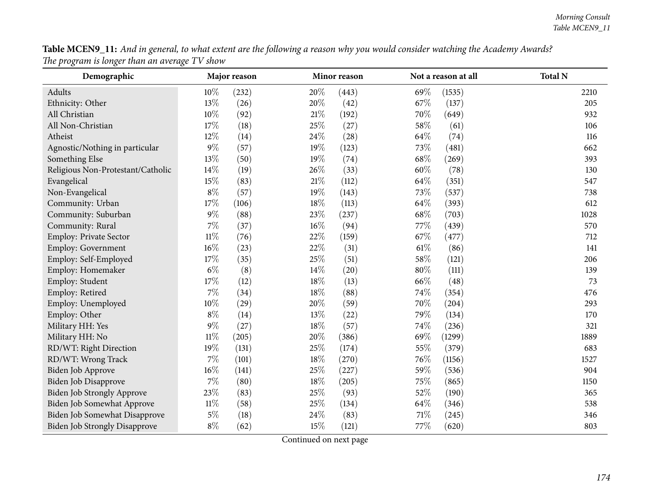| Table MCEN9_11: And in general, to what extent are the following a reason why you would consider watching the Academy Awards? |  |
|-------------------------------------------------------------------------------------------------------------------------------|--|
| The program is longer than an average TV show                                                                                 |  |

| $\circ$<br>$\circ$<br>Demographic    | o      | Major reason |        | Minor reason |        | Not a reason at all | <b>Total N</b> |
|--------------------------------------|--------|--------------|--------|--------------|--------|---------------------|----------------|
| Adults                               | 10%    | (232)        | 20%    | (443)        | 69%    | (1535)              | 2210           |
| Ethnicity: Other                     | 13%    | (26)         | 20%    | (42)         | 67%    | (137)               | 205            |
| All Christian                        | 10%    | (92)         | 21%    | (192)        | 70%    | (649)               | 932            |
| All Non-Christian                    | 17%    | (18)         | 25%    | (27)         | 58%    | (61)                | 106            |
| Atheist                              | 12%    | (14)         | 24%    | (28)         | 64%    | (74)                | 116            |
| Agnostic/Nothing in particular       | $9\%$  | (57)         | 19%    | (123)        | 73%    | (481)               | 662            |
| Something Else                       | 13%    | (50)         | 19%    | (74)         | 68%    | (269)               | 393            |
| Religious Non-Protestant/Catholic    | 14%    | (19)         | 26%    | (33)         | 60%    | (78)                | 130            |
| Evangelical                          | 15%    | (83)         | 21%    | (112)        | 64\%   | (351)               | 547            |
| Non-Evangelical                      | $8\%$  | (57)         | 19%    | (143)        | 73%    | (537)               | 738            |
| Community: Urban                     | 17%    | (106)        | 18%    | (113)        | 64%    | (393)               | 612            |
| Community: Suburban                  | $9\%$  | (88)         | 23%    | (237)        | 68%    | (703)               | 1028           |
| Community: Rural                     | 7%     | (37)         | $16\%$ | (94)         | 77%    | (439)               | 570            |
| Employ: Private Sector               | $11\%$ | (76)         | 22%    | (159)        | 67%    | (477)               | 712            |
| Employ: Government                   | 16%    | (23)         | 22%    | (31)         | $61\%$ | (86)                | 141            |
| Employ: Self-Employed                | 17%    | (35)         | 25%    | (51)         | 58%    | (121)               | 206            |
| Employ: Homemaker                    | $6\%$  | (8)          | 14%    | (20)         | 80%    | (111)               | 139            |
| Employ: Student                      | 17%    | (12)         | 18%    | (13)         | 66%    | (48)                | 73             |
| Employ: Retired                      | 7%     | (34)         | 18%    | (88)         | 74%    | (354)               | 476            |
| Employ: Unemployed                   | 10%    | (29)         | 20%    | (59)         | 70%    | (204)               | 293            |
| Employ: Other                        | $8\%$  | (14)         | 13%    | (22)         | 79%    | (134)               | 170            |
| Military HH: Yes                     | 9%     | (27)         | 18%    | (57)         | 74%    | (236)               | 321            |
| Military HH: No                      | $11\%$ | (205)        | 20%    | (386)        | 69%    | (1299)              | 1889           |
| RD/WT: Right Direction               | 19%    | (131)        | 25%    | (174)        | 55%    | (379)               | 683            |
| RD/WT: Wrong Track                   | 7%     | (101)        | 18%    | (270)        | 76%    | (1156)              | 1527           |
| Biden Job Approve                    | 16%    | (141)        | 25%    | (227)        | 59%    | (536)               | 904            |
| Biden Job Disapprove                 | $7\%$  | (80)         | 18%    | (205)        | $75\%$ | (865)               | 1150           |
| Biden Job Strongly Approve           | 23%    | (83)         | 25%    | (93)         | 52%    | (190)               | 365            |
| Biden Job Somewhat Approve           | $11\%$ | (58)         | 25%    | (134)        | 64%    | (346)               | 538            |
| Biden Job Somewhat Disapprove        | $5\%$  | (18)         | 24%    | (83)         | 71%    | (245)               | 346            |
| <b>Biden Job Strongly Disapprove</b> | $8\%$  | (62)         | 15%    | (121)        | 77%    | (620)               | 803            |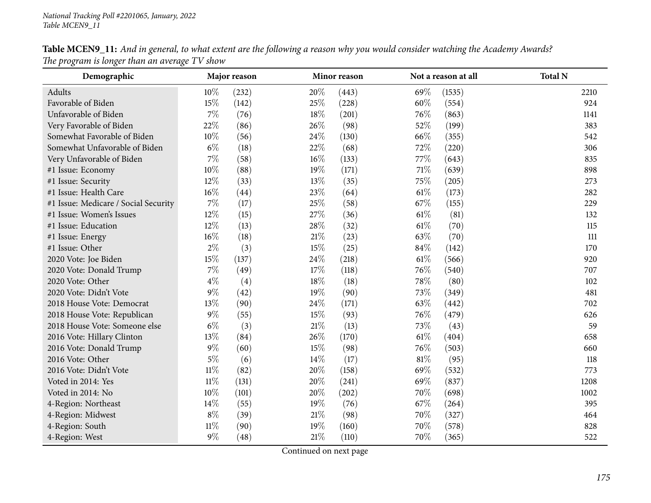| Demographic                          |        | Major reason |        | Minor reason |        | Not a reason at all | <b>Total N</b> |
|--------------------------------------|--------|--------------|--------|--------------|--------|---------------------|----------------|
| Adults                               | $10\%$ | (232)        | 20%    | (443)        | 69%    | (1535)              | 2210           |
| Favorable of Biden                   | 15%    | (142)        | 25%    | (228)        | 60%    | (554)               | 924            |
| Unfavorable of Biden                 | 7%     | (76)         | 18%    | (201)        | 76%    | (863)               | 1141           |
| Very Favorable of Biden              | 22%    | (86)         | 26\%   | (98)         | 52%    | (199)               | 383            |
| Somewhat Favorable of Biden          | $10\%$ | (56)         | 24\%   | (130)        | 66\%   | (355)               | 542            |
| Somewhat Unfavorable of Biden        | $6\%$  | (18)         | 22%    | (68)         | 72\%   | (220)               | 306            |
| Very Unfavorable of Biden            | $7\%$  | (58)         | 16%    | (133)        | 77\%   | (643)               | 835            |
| #1 Issue: Economy                    | $10\%$ | (88)         | 19%    | (171)        | $71\%$ | (639)               | 898            |
| #1 Issue: Security                   | 12%    | (33)         | 13%    | (35)         | 75%    | (205)               | 273            |
| #1 Issue: Health Care                | $16\%$ | (44)         | 23%    | (64)         | $61\%$ | (173)               | 282            |
| #1 Issue: Medicare / Social Security | $7\%$  | (17)         | 25%    | (58)         | 67%    | (155)               | 229            |
| #1 Issue: Women's Issues             | 12%    | (15)         | 27%    | (36)         | $61\%$ | (81)                | 132            |
| #1 Issue: Education                  | 12%    | (13)         | 28%    | (32)         | $61\%$ | (70)                | 115            |
| #1 Issue: Energy                     | $16\%$ | (18)         | 21%    | (23)         | 63%    | (70)                | 111            |
| #1 Issue: Other                      | $2\%$  | (3)          | 15%    | (25)         | 84\%   | (142)               | 170            |
| 2020 Vote: Joe Biden                 | $15\%$ | (137)        | 24%    | (218)        | $61\%$ | (566)               | 920            |
| 2020 Vote: Donald Trump              | $7\%$  | (49)         | 17%    | (118)        | 76\%   | (540)               | 707            |
| 2020 Vote: Other                     | $4\%$  | (4)          | 18%    | (18)         | 78%    | (80)                | 102            |
| 2020 Vote: Didn't Vote               | $9\%$  | (42)         | 19%    | (90)         | 73%    | (349)               | 481            |
| 2018 House Vote: Democrat            | 13%    | (90)         | 24%    | (171)        | 63%    | (442)               | 702            |
| 2018 House Vote: Republican          | $9\%$  | (55)         | 15%    | (93)         | 76\%   | (479)               | 626            |
| 2018 House Vote: Someone else        | $6\%$  | (3)          | 21\%   | (13)         | 73%    | (43)                | 59             |
| 2016 Vote: Hillary Clinton           | 13%    | (84)         | 26\%   | (170)        | $61\%$ | (404)               | 658            |
| 2016 Vote: Donald Trump              | $9\%$  | (60)         | 15%    | (98)         | 76\%   | (503)               | 660            |
| 2016 Vote: Other                     | $5\%$  | (6)          | 14%    | (17)         | $81\%$ | (95)                | 118            |
| 2016 Vote: Didn't Vote               | $11\%$ | (82)         | 20%    | (158)        | 69%    | (532)               | 773            |
| Voted in 2014: Yes                   | $11\%$ | (131)        | 20%    | (241)        | 69%    | (837)               | 1208           |
| Voted in 2014: No                    | $10\%$ | (101)        | $20\%$ | (202)        | 70%    | (698)               | 1002           |
| 4-Region: Northeast                  | 14\%   | (55)         | 19%    | (76)         | 67\%   | (264)               | 395            |
| 4-Region: Midwest                    | $8\%$  | (39)         | 21\%   | (98)         | 70%    | (327)               | 464            |
| 4-Region: South                      | $11\%$ | (90)         | 19%    | (160)        | 70%    | (578)               | 828            |
| 4-Region: West                       | $9\%$  | (48)         | 21%    | (110)        | 70%    | (365)               | 522            |

Table MCEN9\_11: And in general, to what extent are the following a reason why you would consider watching the Academy Awards? *The program is longer than an average TV show*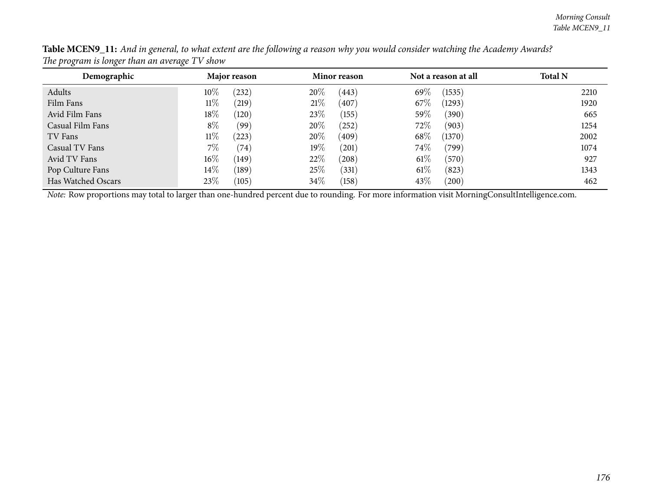| Demographic        | Major reason         | <b>Minor reason</b> | Not a reason at all | <b>Total N</b> |
|--------------------|----------------------|---------------------|---------------------|----------------|
| Adults             | $10\%$<br>(232)      | 20%<br>(443)        | 69%<br>(1535)       | 2210           |
| Film Fans          | $11\%$<br>$^{(219)}$ | 21%<br>(407)        | 67\%<br>(1293)      | 1920           |
| Avid Film Fans     | $18\%$<br>(120)      | 23\%<br>(155)       | $59\%$<br>(390)     | 665            |
| Casual Film Fans   | $8\%$<br>(99)        | 20%<br>$^{'}252)$   | $72\%$<br>(903)     | 1254           |
| TV Fans            | $11\%$<br>(223)      | 20%<br>(409)        | 68\%<br>(1370)      | 2002           |
| Casual TV Fans     | $7\%$<br>(74)        | $19\%$<br>(201)     | 74\%<br>(799)       | 1074           |
| Avid TV Fans       | $16\%$<br>(149)      | 22\%<br>(208)       | $61\%$<br>(570)     | 927            |
| Pop Culture Fans   | $14\%$<br>(189)      | 25%<br>(331)        | $61\%$<br>(823)     | 1343           |
| Has Watched Oscars | 23\%<br>(105)        | 34\%<br>(158)       | 43\%<br>(200)       | 462            |

Table MCEN9\_11: And in general, to what extent are the following a reason why you would consider watching the Academy Awards? *The program is longer than an average TV show*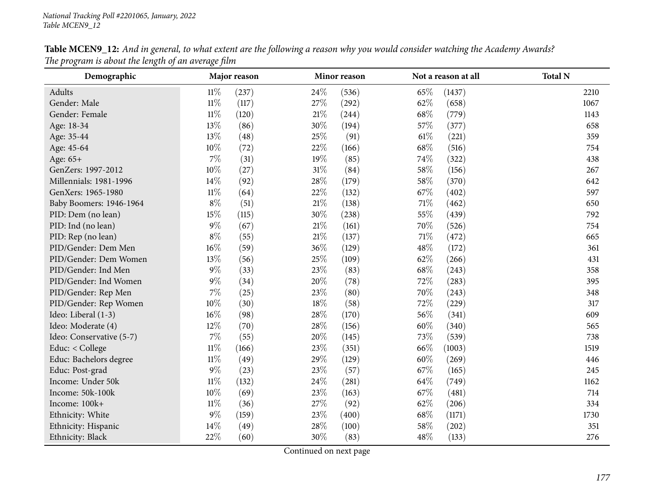| Demographic              |        | Major reason |        | Minor reason |        | Not a reason at all | <b>Total N</b> |
|--------------------------|--------|--------------|--------|--------------|--------|---------------------|----------------|
| Adults                   | 11%    | (237)        | 24\%   | (536)        | 65%    | (1437)              | 2210           |
| Gender: Male             | $11\%$ | (117)        | 27\%   | (292)        | 62%    | (658)               | 1067           |
| Gender: Female           | $11\%$ | (120)        | $21\%$ | (244)        | 68\%   | (779)               | 1143           |
| Age: 18-34               | 13%    | (86)         | 30%    | (194)        | 57\%   | (377)               | 658            |
| Age: 35-44               | 13%    | (48)         | 25%    | (91)         | $61\%$ | (221)               | 359            |
| Age: 45-64               | 10%    | (72)         | 22%    | (166)        | 68%    | (516)               | 754            |
| Age: 65+                 | $7\%$  | (31)         | 19%    | (85)         | 74%    | (322)               | 438            |
| GenZers: 1997-2012       | $10\%$ | (27)         | $31\%$ | (84)         | 58%    | (156)               | 267            |
| Millennials: 1981-1996   | $14\%$ | (92)         | $28\%$ | (179)        | 58\%   | (370)               | 642            |
| GenXers: 1965-1980       | $11\%$ | (64)         | 22\%   | (132)        | 67\%   | (402)               | 597            |
| Baby Boomers: 1946-1964  | $8\%$  | (51)         | $21\%$ | (138)        | 71%    | (462)               | 650            |
| PID: Dem (no lean)       | 15%    | (115)        | 30%    | (238)        | 55%    | (439)               | 792            |
| PID: Ind (no lean)       | $9\%$  | (67)         | 21\%   | (161)        | 70%    | (526)               | 754            |
| PID: Rep (no lean)       | $8\%$  | (55)         | 21%    | (137)        | 71\%   | (472)               | 665            |
| PID/Gender: Dem Men      | $16\%$ | (59)         | 36\%   | (129)        | 48\%   | (172)               | 361            |
| PID/Gender: Dem Women    | 13%    | (56)         | 25%    | (109)        | 62%    | (266)               | 431            |
| PID/Gender: Ind Men      | $9\%$  | (33)         | 23%    | (83)         | 68\%   | (243)               | 358            |
| PID/Gender: Ind Women    | $9\%$  | (34)         | 20%    | (78)         | 72%    | (283)               | 395            |
| PID/Gender: Rep Men      | $7\%$  | (25)         | 23%    | (80)         | 70%    | (243)               | 348            |
| PID/Gender: Rep Women    | 10%    | (30)         | 18%    | (58)         | 72%    | (229)               | 317            |
| Ideo: Liberal (1-3)      | $16\%$ | (98)         | 28\%   | (170)        | 56%    | (341)               | 609            |
| Ideo: Moderate (4)       | 12%    | (70)         | 28\%   | (156)        | 60%    | (340)               | 565            |
| Ideo: Conservative (5-7) | $7\%$  | (55)         | 20%    | (145)        | 73%    | (539)               | 738            |
| Educ: < College          | $11\%$ | (166)        | 23%    | (351)        | 66\%   | (1003)              | 1519           |
| Educ: Bachelors degree   | $11\%$ | (49)         | 29%    | (129)        | 60%    | (269)               | 446            |
| Educ: Post-grad          | $9\%$  | (23)         | 23%    | (57)         | 67\%   | (165)               | 245            |
| Income: Under 50k        | $11\%$ | (132)        | 24\%   | (281)        | 64\%   | (749)               | 1162           |
| Income: 50k-100k         | 10%    | (69)         | 23%    | (163)        | 67%    | (481)               | 714            |
| Income: 100k+            | $11\%$ | (36)         | 27\%   | (92)         | 62%    | (206)               | 334            |
| Ethnicity: White         | $9\%$  | (159)        | 23%    | (400)        | 68%    | (1171)              | 1730           |
| Ethnicity: Hispanic      | 14%    | (49)         | 28%    | (100)        | 58%    | (202)               | 351            |
| Ethnicity: Black         | 22%    | (60)         | 30%    | (83)         | 48\%   | (133)               | 276            |

Table MCEN9\_12: And in general, to what extent are the following a reason why you would consider watching the Academy Awards? *The program is about the length of an average film*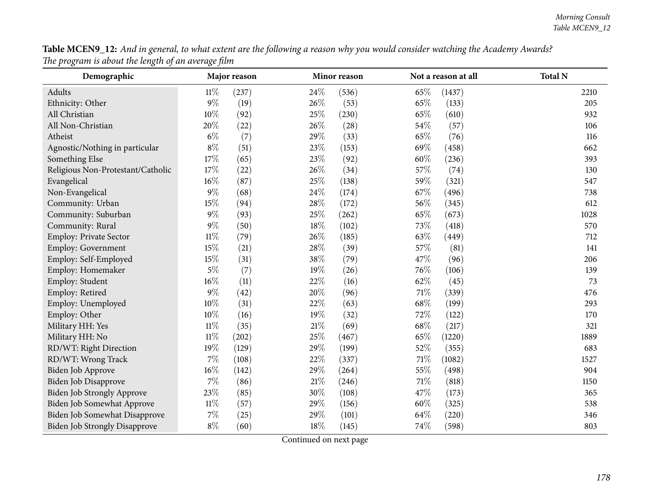| Table MCEN9_12: And in general, to what extent are the following a reason why you would consider watching the Academy Awards? |  |
|-------------------------------------------------------------------------------------------------------------------------------|--|
| The program is about the length of an average film                                                                            |  |

| $\circ$<br>$\circ$<br>Demographic    | o J    | Major reason |        | Minor reason |        | Not a reason at all | <b>Total N</b> |
|--------------------------------------|--------|--------------|--------|--------------|--------|---------------------|----------------|
| Adults                               | 11%    | (237)        | 24%    | (536)        | 65%    | (1437)              | 2210           |
| Ethnicity: Other                     | 9%     | (19)         | 26%    | (53)         | 65%    | (133)               | 205            |
| All Christian                        | 10%    | (92)         | 25%    | (230)        | 65%    | (610)               | 932            |
| All Non-Christian                    | 20%    | (22)         | 26%    | (28)         | 54%    | (57)                | 106            |
| Atheist                              | $6\%$  | (7)          | 29%    | (33)         | 65%    | (76)                | 116            |
| Agnostic/Nothing in particular       | $8\%$  | (51)         | 23%    | (153)        | 69%    | (458)               | 662            |
| Something Else                       | 17%    | (65)         | 23%    | (92)         | 60%    | (236)               | 393            |
| Religious Non-Protestant/Catholic    | 17%    | (22)         | 26%    | (34)         | 57%    | (74)                | 130            |
| Evangelical                          | 16%    | (87)         | 25%    | (138)        | 59%    | (321)               | 547            |
| Non-Evangelical                      | $9\%$  | (68)         | 24%    | (174)        | 67%    | (496)               | 738            |
| Community: Urban                     | 15%    | (94)         | 28%    | (172)        | 56%    | (345)               | 612            |
| Community: Suburban                  | $9\%$  | (93)         | 25%    | (262)        | 65%    | (673)               | 1028           |
| Community: Rural                     | $9\%$  | (50)         | 18%    | (102)        | $73\%$ | (418)               | 570            |
| Employ: Private Sector               | $11\%$ | (79)         | 26%    | (185)        | 63%    | (449)               | 712            |
| Employ: Government                   | 15%    | (21)         | 28%    | (39)         | 57%    | (81)                | 141            |
| Employ: Self-Employed                | 15%    | (31)         | 38%    | (79)         | 47%    | (96)                | 206            |
| Employ: Homemaker                    | $5\%$  | (7)          | 19%    | (26)         | 76%    | (106)               | 139            |
| Employ: Student                      | 16%    | (11)         | 22%    | (16)         | 62%    | (45)                | 73             |
| Employ: Retired                      | $9\%$  | (42)         | 20%    | (96)         | $71\%$ | (339)               | 476            |
| Employ: Unemployed                   | 10%    | (31)         | 22%    | (63)         | 68%    | (199)               | 293            |
| Employ: Other                        | 10%    | (16)         | 19%    | (32)         | 72%    | (122)               | 170            |
| Military HH: Yes                     | $11\%$ | (35)         | 21%    | (69)         | 68%    | (217)               | 321            |
| Military HH: No                      | $11\%$ | (202)        | 25%    | (467)        | 65%    | (1220)              | 1889           |
| RD/WT: Right Direction               | 19%    | (129)        | 29%    | (199)        | 52%    | (355)               | 683            |
| RD/WT: Wrong Track                   | 7%     | (108)        | 22%    | (337)        | 71%    | (1082)              | 1527           |
| Biden Job Approve                    | 16%    | (142)        | 29%    | (264)        | 55%    | (498)               | 904            |
| Biden Job Disapprove                 | $7\%$  | (86)         | $21\%$ | (246)        | $71\%$ | (818)               | 1150           |
| Biden Job Strongly Approve           | 23%    | (85)         | 30%    | (108)        | 47%    | (173)               | 365            |
| Biden Job Somewhat Approve           | $11\%$ | (57)         | 29%    | (156)        | 60%    | (325)               | 538            |
| Biden Job Somewhat Disapprove        | 7%     | (25)         | 29%    | (101)        | 64%    | (220)               | 346            |
| <b>Biden Job Strongly Disapprove</b> | $8\%$  | (60)         | 18%    | (145)        | 74%    | (598)               | 803            |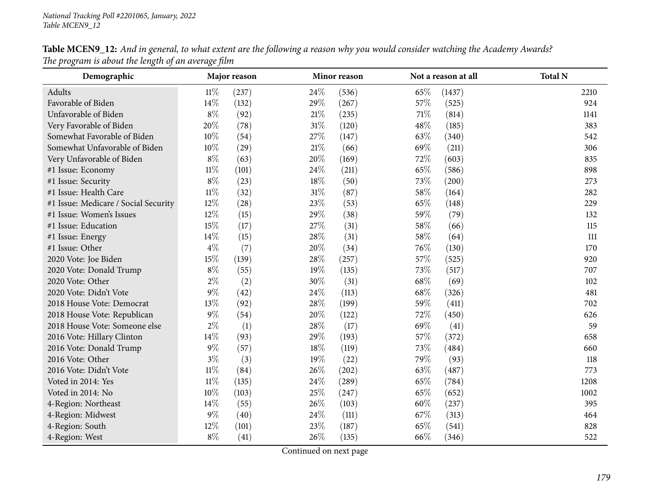| Demographic                          |        | Major reason |        | Minor reason |      | Not a reason at all | <b>Total N</b> |
|--------------------------------------|--------|--------------|--------|--------------|------|---------------------|----------------|
| Adults                               | $11\%$ | (237)        | 24\%   | (536)        | 65%  | (1437)              | 2210           |
| Favorable of Biden                   | 14%    | (132)        | 29%    | (267)        | 57%  | (525)               | 924            |
| Unfavorable of Biden                 | $8\%$  | (92)         | 21%    | (235)        | 71\% | (814)               | 1141           |
| Very Favorable of Biden              | 20%    | (78)         | $31\%$ | (120)        | 48\% | (185)               | 383            |
| Somewhat Favorable of Biden          | $10\%$ | (54)         | 27%    | (147)        | 63%  | (340)               | 542            |
| Somewhat Unfavorable of Biden        | 10%    | (29)         | 21\%   | (66)         | 69%  | (211)               | 306            |
| Very Unfavorable of Biden            | $8\%$  | (63)         | 20%    | (169)        | 72%  | (603)               | 835            |
| #1 Issue: Economy                    | $11\%$ | (101)        | 24\%   | (211)        | 65\% | (586)               | 898            |
| #1 Issue: Security                   | $8\%$  | (23)         | 18%    | (50)         | 73%  | (200)               | 273            |
| #1 Issue: Health Care                | $11\%$ | (32)         | 31%    | (87)         | 58%  | (164)               | 282            |
| #1 Issue: Medicare / Social Security | $12\%$ | (28)         | 23%    | (53)         | 65%  | (148)               | 229            |
| #1 Issue: Women's Issues             | 12%    | (15)         | 29%    | (38)         | 59%  | (79)                | 132            |
| #1 Issue: Education                  | 15%    | (17)         | 27%    | (31)         | 58%  | (66)                | 115            |
| #1 Issue: Energy                     | 14%    | (15)         | 28%    | (31)         | 58%  | (64)                | 111            |
| #1 Issue: Other                      | $4\%$  | (7)          | 20%    | (34)         | 76\% | (130)               | 170            |
| 2020 Vote: Joe Biden                 | $15\%$ | (139)        | 28%    | (257)        | 57%  | (525)               | 920            |
| 2020 Vote: Donald Trump              | $8\%$  | (55)         | 19%    | (135)        | 73%  | (517)               | 707            |
| 2020 Vote: Other                     | $2\%$  | (2)          | 30%    | (31)         | 68\% | (69)                | 102            |
| 2020 Vote: Didn't Vote               | $9\%$  | (42)         | 24\%   | (113)        | 68\% | (326)               | 481            |
| 2018 House Vote: Democrat            | 13%    | (92)         | 28\%   | (199)        | 59%  | (411)               | 702            |
| 2018 House Vote: Republican          | $9\%$  | (54)         | 20%    | (122)        | 72%  | (450)               | 626            |
| 2018 House Vote: Someone else        | $2\%$  | (1)          | 28%    | (17)         | 69%  | (41)                | 59             |
| 2016 Vote: Hillary Clinton           | 14%    | (93)         | 29%    | (193)        | 57%  | (372)               | 658            |
| 2016 Vote: Donald Trump              | $9\%$  | (57)         | 18%    | (119)        | 73%  | (484)               | 660            |
| 2016 Vote: Other                     | $3\%$  | (3)          | 19%    | (22)         | 79%  | (93)                | 118            |
| 2016 Vote: Didn't Vote               | $11\%$ | (84)         | 26%    | (202)        | 63%  | (487)               | 773            |
| Voted in 2014: Yes                   | $11\%$ | (135)        | 24\%   | (289)        | 65%  | (784)               | 1208           |
| Voted in 2014: No                    | $10\%$ | (103)        | 25%    | (247)        | 65%  | (652)               | 1002           |
| 4-Region: Northeast                  | 14\%   | (55)         | 26%    | (103)        | 60%  | (237)               | 395            |
| 4-Region: Midwest                    | $9\%$  | (40)         | 24%    | (111)        | 67%  | (313)               | 464            |
| 4-Region: South                      | 12%    | (101)        | 23%    | (187)        | 65%  | (541)               | 828            |
| 4-Region: West                       | $8\%$  | (41)         | 26%    | (135)        | 66%  | (346)               | 522            |

Table MCEN9\_12: And in general, to what extent are the following a reason why you would consider watching the Academy Awards? *The program is about the length of an average film*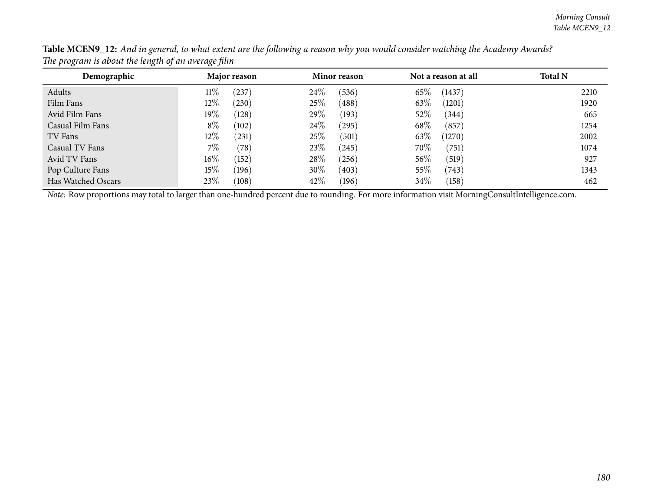| Demographic        | Major reason    | Minor reason       | Not a reason at all | <b>Total N</b> |
|--------------------|-----------------|--------------------|---------------------|----------------|
| Adults             | $11\%$<br>237)  | 24\%<br>(536)      | 65%<br>(1437)       | 2210           |
| Film Fans          | $12\%$<br>(230) | 25%<br>(488)       | 63\%<br>(1201)      | 1920           |
| Avid Film Fans     | $19\%$<br>(128) | $29\%$<br>(193)    | 52\%<br>(344)       | 665            |
| Casual Film Fans   | $8\%$<br>(102)  | $24\%$<br>(295)    | 68\%<br>(857)       | 1254           |
| TV Fans            | $12\%$<br>(231) | 25\%<br>(501)      | 63%<br>(1270)       | 2002           |
| Casual TV Fans     | $7\%$<br>(78)   | 23\%<br>$^{(245)}$ | 70%<br>(751)        | 1074           |
| Avid TV Fans       | $16\%$<br>(152) | 28\%<br>(256)      | 56\%<br>(519)       | 927            |
| Pop Culture Fans   | $15\%$<br>(196) | 30\%<br>(403)      | 55\%<br>(743)       | 1343           |
| Has Watched Oscars | 23\%<br>(108)   | 42\%<br>(196)      | 34\%<br>(158)       | 462            |

Table MCEN9\_12: And in general, to what extent are the following a reason why you would consider watching the Academy Awards? *The program is about the length of an average film*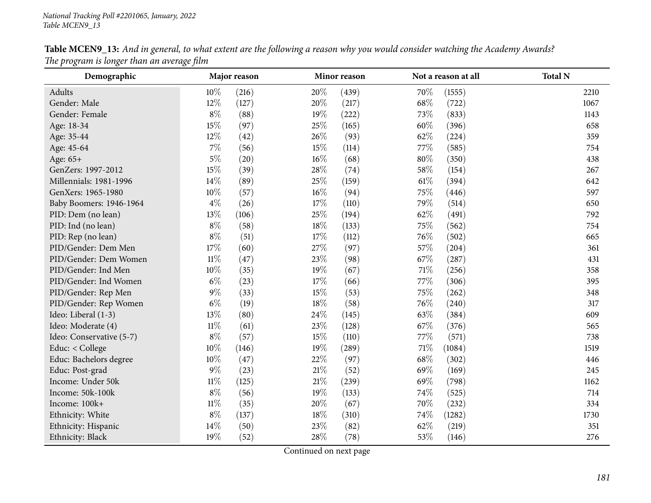| Demographic              |        | Major reason |        | Minor reason |        | Not a reason at all | <b>Total N</b> |
|--------------------------|--------|--------------|--------|--------------|--------|---------------------|----------------|
| Adults                   | 10%    | (216)        | 20%    | (439)        | 70%    | (1555)              | 2210           |
| Gender: Male             | 12%    | (127)        | 20%    | (217)        | 68%    | (722)               | 1067           |
| Gender: Female           | $8\%$  | (88)         | 19%    | (222)        | 73%    | (833)               | 1143           |
| Age: 18-34               | 15%    | (97)         | 25%    | (165)        | 60%    | (396)               | 658            |
| Age: 35-44               | 12%    | (42)         | 26\%   | (93)         | 62%    | (224)               | 359            |
| Age: 45-64               | $7\%$  | (56)         | 15%    | (114)        | 77%    | (585)               | 754            |
| Age: 65+                 | $5\%$  | (20)         | $16\%$ | (68)         | 80%    | (350)               | 438            |
| GenZers: 1997-2012       | 15%    | (39)         | 28\%   | (74)         | 58%    | (154)               | 267            |
| Millennials: 1981-1996   | 14%    | (89)         | $25\%$ | (159)        | $61\%$ | (394)               | 642            |
| GenXers: 1965-1980       | $10\%$ | (57)         | $16\%$ | (94)         | 75%    | (446)               | 597            |
| Baby Boomers: 1946-1964  | $4\%$  | (26)         | 17%    | (110)        | 79%    | (514)               | 650            |
| PID: Dem (no lean)       | 13%    | (106)        | 25%    | (194)        | 62%    | (491)               | 792            |
| PID: Ind (no lean)       | $8\%$  | (58)         | 18%    | (133)        | 75%    | (562)               | 754            |
| PID: Rep (no lean)       | $8\%$  | (51)         | 17%    | (112)        | 76%    | (502)               | 665            |
| PID/Gender: Dem Men      | 17%    | (60)         | 27\%   | (97)         | 57\%   | (204)               | 361            |
| PID/Gender: Dem Women    | $11\%$ | (47)         | 23%    | (98)         | 67%    | (287)               | 431            |
| PID/Gender: Ind Men      | $10\%$ | (35)         | 19%    | (67)         | 71\%   | (256)               | 358            |
| PID/Gender: Ind Women    | $6\%$  | (23)         | 17%    | (66)         | 77\%   | (306)               | 395            |
| PID/Gender: Rep Men      | $9\%$  | (33)         | 15%    | (53)         | 75%    | (262)               | 348            |
| PID/Gender: Rep Women    | $6\%$  | (19)         | 18%    | (58)         | 76%    | (240)               | 317            |
| Ideo: Liberal (1-3)      | 13%    | (80)         | 24\%   | (145)        | 63%    | (384)               | 609            |
| Ideo: Moderate (4)       | $11\%$ | (61)         | 23%    | (128)        | 67\%   | (376)               | 565            |
| Ideo: Conservative (5-7) | $8\%$  | (57)         | 15%    | (110)        | 77%    | (571)               | 738            |
| Educ: < College          | $10\%$ | (146)        | 19%    | (289)        | 71\%   | (1084)              | 1519           |
| Educ: Bachelors degree   | 10%    | (47)         | 22%    | (97)         | 68\%   | (302)               | 446            |
| Educ: Post-grad          | $9\%$  | (23)         | $21\%$ | (52)         | 69%    | (169)               | 245            |
| Income: Under 50k        | $11\%$ | (125)        | $21\%$ | (239)        | 69%    | (798)               | 1162           |
| Income: 50k-100k         | $8\%$  | (56)         | 19%    | (133)        | 74%    | (525)               | 714            |
| Income: 100k+            | $11\%$ | (35)         | 20%    | (67)         | 70%    | (232)               | 334            |
| Ethnicity: White         | $8\%$  | (137)        | 18%    | (310)        | 74\%   | (1282)              | 1730           |
| Ethnicity: Hispanic      | 14%    | (50)         | 23%    | (82)         | 62%    | (219)               | 351            |
| Ethnicity: Black         | 19%    | (52)         | 28%    | (78)         | 53%    | (146)               | 276            |

Table MCEN9\_13: And in general, to what extent are the following a reason why you would consider watching the Academy Awards? *The program is longer than an average film*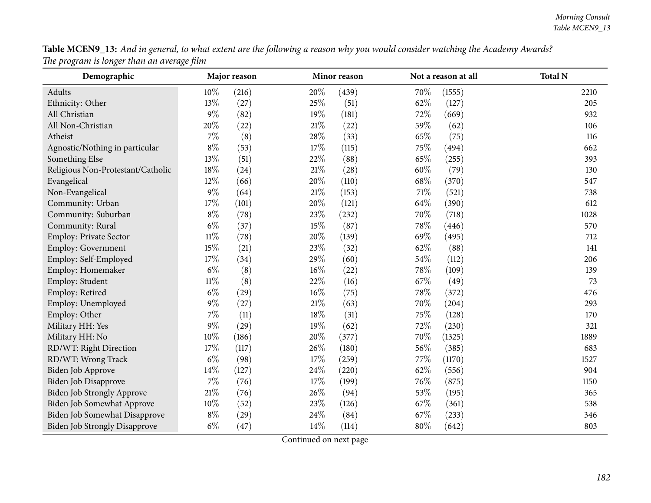| Table MCEN9_13: And in general, to what extent are the following a reason why you would consider watching the Academy Awards? |  |
|-------------------------------------------------------------------------------------------------------------------------------|--|
| The program is longer than an average film                                                                                    |  |

| $r \cdot \infty$<br>Demographic      |        | Major reason |        | Minor reason |        | Not a reason at all | <b>Total N</b> |
|--------------------------------------|--------|--------------|--------|--------------|--------|---------------------|----------------|
| Adults                               | 10%    | (216)        | 20%    | (439)        | 70%    | (1555)              | 2210           |
| Ethnicity: Other                     | 13%    | (27)         | 25%    | (51)         | 62%    | (127)               | 205            |
| All Christian                        | $9\%$  | (82)         | $19\%$ | (181)        | 72%    | (669)               | 932            |
| All Non-Christian                    | 20%    | (22)         | 21%    | (22)         | 59%    | (62)                | 106            |
| Atheist                              | 7%     | (8)          | 28%    | (33)         | 65%    | (75)                | 116            |
| Agnostic/Nothing in particular       | $8\%$  | (53)         | 17%    | (115)        | 75%    | (494)               | 662            |
| Something Else                       | 13%    | (51)         | 22%    | (88)         | 65%    | (255)               | 393            |
| Religious Non-Protestant/Catholic    | 18%    | (24)         | 21%    | (28)         | 60%    | (79)                | 130            |
| Evangelical                          | 12%    | (66)         | 20%    | (110)        | 68%    | (370)               | 547            |
| Non-Evangelical                      | $9\%$  | (64)         | 21%    | (153)        | $71\%$ | (521)               | 738            |
| Community: Urban                     | 17%    | (101)        | 20%    | (121)        | 64%    | (390)               | 612            |
| Community: Suburban                  | $8\%$  | (78)         | 23%    | (232)        | 70%    | (718)               | 1028           |
| Community: Rural                     | $6\%$  | (37)         | 15%    | (87)         | 78%    | (446)               | 570            |
| Employ: Private Sector               | $11\%$ | (78)         | 20%    | (139)        | 69%    | (495)               | 712            |
| Employ: Government                   | 15%    | (21)         | 23%    | (32)         | 62%    | (88)                | 141            |
| Employ: Self-Employed                | 17%    | (34)         | 29%    | (60)         | 54%    | (112)               | 206            |
| Employ: Homemaker                    | $6\%$  | (8)          | 16%    | (22)         | 78%    | (109)               | 139            |
| Employ: Student                      | $11\%$ | (8)          | 22%    | (16)         | 67%    | (49)                | 73             |
| Employ: Retired                      | $6\%$  | (29)         | 16%    | (75)         | 78%    | (372)               | 476            |
| Employ: Unemployed                   | $9\%$  | (27)         | 21%    | (63)         | 70%    | (204)               | 293            |
| Employ: Other                        | 7%     | (11)         | 18%    | (31)         | $75\%$ | (128)               | 170            |
| Military HH: Yes                     | $9\%$  | (29)         | 19%    | (62)         | 72%    | (230)               | 321            |
| Military HH: No                      | 10%    | (186)        | 20%    | (377)        | 70%    | (1325)              | 1889           |
| RD/WT: Right Direction               | 17%    | (117)        | 26%    | (180)        | 56%    | (385)               | 683            |
| RD/WT: Wrong Track                   | $6\%$  | (98)         | 17%    | (259)        | 77\%   | (1170)              | 1527           |
| Biden Job Approve                    | 14%    | (127)        | 24%    | (220)        | 62%    | (556)               | 904            |
| Biden Job Disapprove                 | 7%     | (76)         | 17%    | (199)        | 76%    | (875)               | 1150           |
| <b>Biden Job Strongly Approve</b>    | $21\%$ | (76)         | 26%    | (94)         | $53\%$ | (195)               | 365            |
| Biden Job Somewhat Approve           | 10%    | (52)         | 23%    | (126)        | 67%    | (361)               | 538            |
| Biden Job Somewhat Disapprove        | $8\%$  | (29)         | 24%    | (84)         | 67%    | (233)               | 346            |
| <b>Biden Job Strongly Disapprove</b> | $6\%$  | (47)         | 14%    | (114)        | 80%    | (642)               | 803            |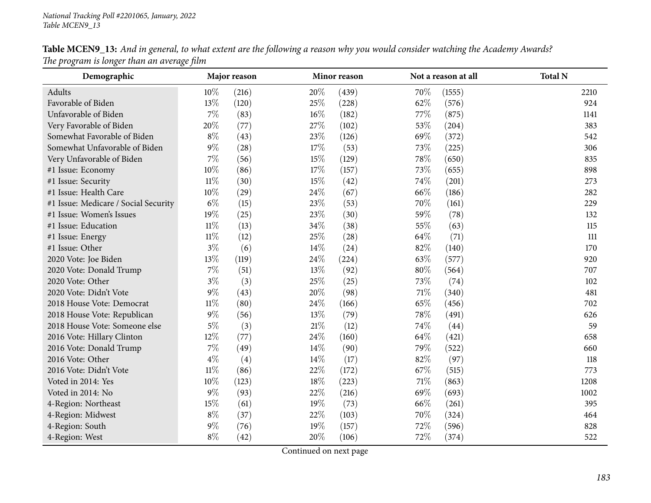| Demographic                          |        | Major reason |        | Minor reason |      | Not a reason at all | <b>Total N</b> |
|--------------------------------------|--------|--------------|--------|--------------|------|---------------------|----------------|
| Adults                               | $10\%$ | (216)        | 20%    | (439)        | 70%  | (1555)              | 2210           |
| Favorable of Biden                   | 13%    | (120)        | 25%    | (228)        | 62%  | (576)               | 924            |
| Unfavorable of Biden                 | 7%     | (83)         | $16\%$ | (182)        | 77\% | (875)               | 1141           |
| Very Favorable of Biden              | 20%    | (77)         | 27\%   | (102)        | 53%  | (204)               | 383            |
| Somewhat Favorable of Biden          | $8\%$  | (43)         | 23\%   | (126)        | 69%  | (372)               | 542            |
| Somewhat Unfavorable of Biden        | $9\%$  | (28)         | 17%    | (53)         | 73%  | (225)               | 306            |
| Very Unfavorable of Biden            | $7\%$  | (56)         | 15%    | (129)        | 78%  | (650)               | 835            |
| #1 Issue: Economy                    | $10\%$ | (86)         | 17%    | (157)        | 73%  | (655)               | 898            |
| #1 Issue: Security                   | $11\%$ | (30)         | 15%    | (42)         | 74%  | (201)               | 273            |
| #1 Issue: Health Care                | $10\%$ | (29)         | 24\%   | (67)         | 66\% | (186)               | 282            |
| #1 Issue: Medicare / Social Security | $6\%$  | (15)         | 23%    | (53)         | 70%  | (161)               | 229            |
| #1 Issue: Women's Issues             | 19%    | (25)         | 23%    | (30)         | 59%  | (78)                | 132            |
| #1 Issue: Education                  | $11\%$ | (13)         | 34%    | (38)         | 55%  | (63)                | 115            |
| #1 Issue: Energy                     | $11\%$ | (12)         | 25\%   | (28)         | 64\% | (71)                | 111            |
| #1 Issue: Other                      | $3\%$  | (6)          | 14%    | (24)         | 82%  | (140)               | 170            |
| 2020 Vote: Joe Biden                 | 13%    | (119)        | 24%    | (224)        | 63%  | (577)               | 920            |
| 2020 Vote: Donald Trump              | $7\%$  | (51)         | 13%    | (92)         | 80%  | (564)               | 707            |
| 2020 Vote: Other                     | $3\%$  | (3)          | 25%    | (25)         | 73%  | (74)                | 102            |
| 2020 Vote: Didn't Vote               | $9\%$  | (43)         | 20%    | (98)         | 71\% | (340)               | 481            |
| 2018 House Vote: Democrat            | $11\%$ | (80)         | 24\%   | (166)        | 65%  | (456)               | 702            |
| 2018 House Vote: Republican          | $9\%$  | (56)         | 13%    | (79)         | 78%  | (491)               | 626            |
| 2018 House Vote: Someone else        | $5\%$  | (3)          | $21\%$ | (12)         | 74%  | (44)                | 59             |
| 2016 Vote: Hillary Clinton           | 12\%   | (77)         | 24\%   | (160)        | 64\% | (421)               | 658            |
| 2016 Vote: Donald Trump              | $7\%$  | (49)         | 14%    | (90)         | 79%  | (522)               | 660            |
| 2016 Vote: Other                     | $4\%$  | (4)          | 14%    | (17)         | 82%  | (97)                | 118            |
| 2016 Vote: Didn't Vote               | $11\%$ | (86)         | 22%    | (172)        | 67\% | (515)               | 773            |
| Voted in 2014: Yes                   | $10\%$ | (123)        | 18%    | (223)        | 71%  | (863)               | 1208           |
| Voted in 2014: No                    | $9\%$  | (93)         | 22%    | (216)        | 69%  | (693)               | 1002           |
| 4-Region: Northeast                  | 15%    | (61)         | 19%    | (73)         | 66%  | (261)               | 395            |
| 4-Region: Midwest                    | $8\%$  | (37)         | 22%    | (103)        | 70%  | (324)               | 464            |
| 4-Region: South                      | $9\%$  | (76)         | 19%    | (157)        | 72%  | (596)               | 828            |
| 4-Region: West                       | $8\%$  | (42)         | 20%    | (106)        | 72%  | (374)               | 522            |

Table MCEN9\_13: And in general, to what extent are the following a reason why you would consider watching the Academy Awards? *The program is longer than an average film*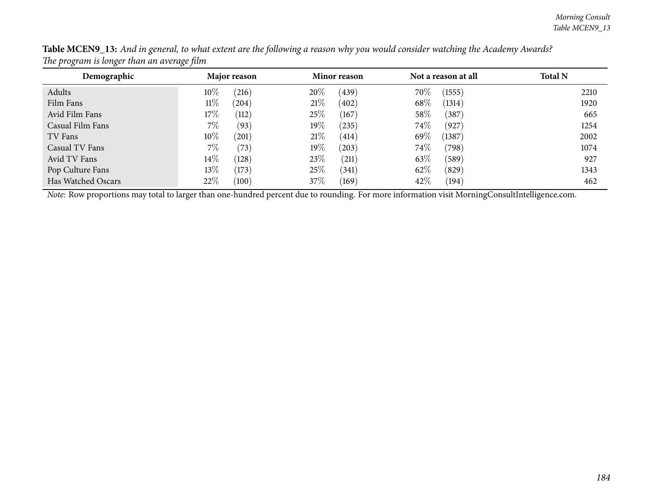| Demographic        | Major reason      | <b>Minor reason</b> | Not a reason at all | <b>Total N</b> |
|--------------------|-------------------|---------------------|---------------------|----------------|
| Adults             | $10\%$<br>(216)   | 20%<br>(439)        | $70\%$<br>(1555)    | 2210           |
| Film Fans          | 11%<br>$^{'}204)$ | 21%<br>(402)        | 68\%<br>(1314)      | 1920           |
| Avid Film Fans     | $17\%$<br>(112)   | 25\%<br>(167)       | 58\%<br>(387)       | 665            |
| Casual Film Fans   | $7\%$<br>(93)     | $19\%$<br>(235)     | 74\%<br>(927)       | 1254           |
| TV Fans            | $10\%$<br>201     | 21%<br>(414)        | 69%<br>(1387)       | 2002           |
| Casual TV Fans     | $7\%$<br>(73)     | $19\%$<br>(203)     | 74\%<br>(798)       | 1074           |
| Avid TV Fans       | $14\%$<br>(128)   | 23\%<br>(211)       | 63%<br>(589)        | 927            |
| Pop Culture Fans   | $13\%$<br>(173)   | 25\%<br>(341)       | 62%<br>(829)        | 1343           |
| Has Watched Oscars | 22%<br>(100)      | 37\%<br>(169)       | 42\%<br>(194)       | 462            |

Table MCEN9\_13: And in general, to what extent are the following a reason why you would consider watching the Academy Awards? *The program is longer than an average film*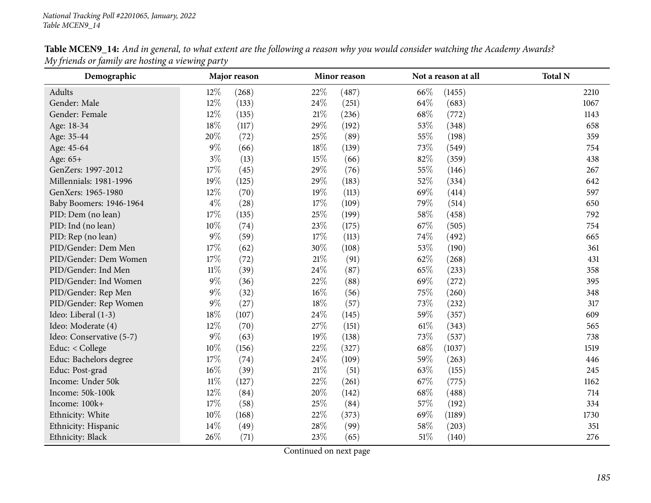| Demographic              |        | Major reason |        | Minor reason |        | Not a reason at all | <b>Total N</b> |
|--------------------------|--------|--------------|--------|--------------|--------|---------------------|----------------|
| Adults                   | $12\%$ | (268)        | 22\%   | (487)        | 66\%   | (1455)              | 2210           |
| Gender: Male             | 12%    | (133)        | 24\%   | (251)        | 64\%   | (683)               | 1067           |
| Gender: Female           | 12%    | (135)        | 21%    | (236)        | 68\%   | (772)               | 1143           |
| Age: 18-34               | 18%    | (117)        | 29%    | (192)        | 53%    | (348)               | 658            |
| Age: 35-44               | 20%    | (72)         | 25%    | (89)         | 55%    | (198)               | 359            |
| Age: 45-64               | $9\%$  | (66)         | 18%    | (139)        | 73%    | (549)               | 754            |
| Age: 65+                 | $3\%$  | (13)         | 15%    | (66)         | 82%    | (359)               | 438            |
| GenZers: 1997-2012       | $17\%$ | (45)         | 29%    | (76)         | 55%    | (146)               | 267            |
| Millennials: 1981-1996   | 19%    | (125)        | 29%    | (183)        | 52%    | (334)               | 642            |
| GenXers: 1965-1980       | 12%    | (70)         | 19%    | (113)        | 69%    | (414)               | 597            |
| Baby Boomers: 1946-1964  | $4\%$  | (28)         | 17%    | (109)        | 79%    | (514)               | 650            |
| PID: Dem (no lean)       | 17%    | (135)        | 25%    | (199)        | 58%    | (458)               | 792            |
| PID: Ind (no lean)       | 10%    | (74)         | 23%    | (175)        | 67%    | (505)               | 754            |
| PID: Rep (no lean)       | $9\%$  | (59)         | 17%    | (113)        | 74%    | (492)               | 665            |
| PID/Gender: Dem Men      | 17%    | (62)         | 30%    | (108)        | 53%    | (190)               | 361            |
| PID/Gender: Dem Women    | $17\%$ | (72)         | $21\%$ | (91)         | 62%    | (268)               | 431            |
| PID/Gender: Ind Men      | $11\%$ | (39)         | 24\%   | (87)         | 65%    | (233)               | 358            |
| PID/Gender: Ind Women    | $9\%$  | (36)         | 22\%   | (88)         | 69%    | (272)               | 395            |
| PID/Gender: Rep Men      | $9\%$  | (32)         | $16\%$ | (56)         | 75%    | (260)               | 348            |
| PID/Gender: Rep Women    | $9\%$  | (27)         | 18%    | (57)         | 73%    | (232)               | 317            |
| Ideo: Liberal (1-3)      | 18%    | (107)        | 24\%   | (145)        | 59%    | (357)               | 609            |
| Ideo: Moderate (4)       | 12%    | (70)         | 27\%   | (151)        | $61\%$ | (343)               | 565            |
| Ideo: Conservative (5-7) | $9\%$  | (63)         | 19%    | (138)        | 73%    | (537)               | 738            |
| Educ: < College          | $10\%$ | (156)        | 22\%   | (327)        | 68\%   | (1037)              | 1519           |
| Educ: Bachelors degree   | 17%    | (74)         | 24\%   | (109)        | 59%    | (263)               | 446            |
| Educ: Post-grad          | $16\%$ | (39)         | $21\%$ | (51)         | 63%    | (155)               | 245            |
| Income: Under 50k        | $11\%$ | (127)        | 22\%   | (261)        | 67\%   | (775)               | 1162           |
| Income: 50k-100k         | $12\%$ | (84)         | 20%    | (142)        | 68%    | (488)               | 714            |
| Income: 100k+            | 17%    | (58)         | 25%    | (84)         | 57%    | (192)               | 334            |
| Ethnicity: White         | $10\%$ | (168)        | 22%    | (373)        | 69%    | (1189)              | 1730           |
| Ethnicity: Hispanic      | 14%    | (49)         | 28%    | (99)         | 58%    | (203)               | 351            |
| Ethnicity: Black         | 26%    | (71)         | 23%    | (65)         | $51\%$ | (140)               | 276            |

Table MCEN9\_14: And in general, to what extent are the following a reason why you would consider watching the Academy Awards? *My friends or family are hosting <sup>a</sup> viewing party*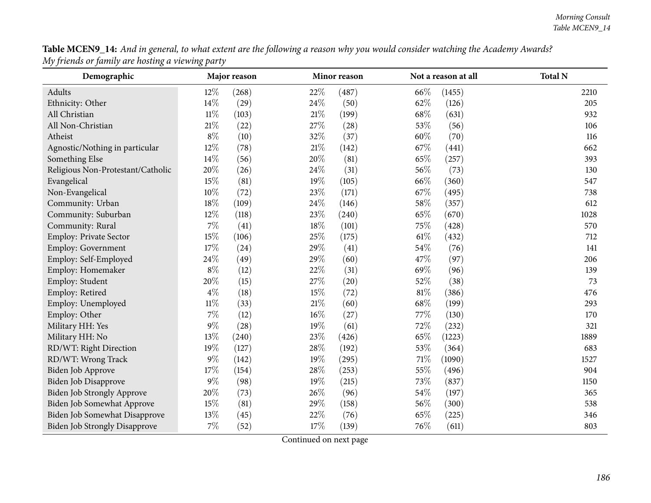| Table MCEN9_14: And in general, to what extent are the following a reason why you would consider watching the Academy Awards? |  |
|-------------------------------------------------------------------------------------------------------------------------------|--|
| My friends or family are hosting a viewing party                                                                              |  |

| Demographic                          |        | Major reason |        | Minor reason |        | Not a reason at all | <b>Total N</b> |
|--------------------------------------|--------|--------------|--------|--------------|--------|---------------------|----------------|
| Adults                               | 12%    | (268)        | 22%    | (487)        | 66\%   | (1455)              | 2210           |
| Ethnicity: Other                     | 14%    | (29)         | 24%    | (50)         | 62%    | (126)               | 205            |
| All Christian                        | $11\%$ | (103)        | 21%    | (199)        | 68\%   | (631)               | 932            |
| All Non-Christian                    | 21%    | (22)         | 27%    | (28)         | 53%    | (56)                | 106            |
| Atheist                              | $8\%$  | (10)         | 32%    | (37)         | 60%    | (70)                | 116            |
| Agnostic/Nothing in particular       | 12%    | (78)         | $21\%$ | (142)        | 67%    | (441)               | 662            |
| Something Else                       | 14%    | (56)         | 20%    | (81)         | 65%    | (257)               | 393            |
| Religious Non-Protestant/Catholic    | 20%    | (26)         | 24%    | (31)         | 56%    | (73)                | 130            |
| Evangelical                          | 15%    | (81)         | 19%    | (105)        | 66%    | (360)               | 547            |
| Non-Evangelical                      | 10%    | (72)         | 23%    | (171)        | 67%    | (495)               | 738            |
| Community: Urban                     | 18%    | (109)        | 24%    | (146)        | 58%    | (357)               | 612            |
| Community: Suburban                  | 12%    | (118)        | 23%    | (240)        | 65%    | (670)               | 1028           |
| Community: Rural                     | 7%     | (41)         | 18%    | (101)        | 75%    | (428)               | 570            |
| Employ: Private Sector               | 15%    | (106)        | 25%    | (175)        | $61\%$ | (432)               | 712            |
| <b>Employ: Government</b>            | 17%    | (24)         | 29%    | (41)         | 54%    | (76)                | 141            |
| Employ: Self-Employed                | 24%    | (49)         | 29%    | (60)         | 47%    | (97)                | 206            |
| Employ: Homemaker                    | $8\%$  | (12)         | 22%    | (31)         | 69%    | (96)                | 139            |
| Employ: Student                      | 20%    | (15)         | 27%    | (20)         | 52%    | (38)                | 73             |
| Employ: Retired                      | $4\%$  | (18)         | 15%    | (72)         | 81%    | (386)               | 476            |
| Employ: Unemployed                   | $11\%$ | (33)         | $21\%$ | (60)         | 68%    | (199)               | 293            |
| Employ: Other                        | 7%     | (12)         | $16\%$ | (27)         | $77\%$ | (130)               | 170            |
| Military HH: Yes                     | $9\%$  | (28)         | 19%    | (61)         | 72%    | (232)               | 321            |
| Military HH: No                      | 13%    | (240)        | 23%    | (426)        | 65%    | (1223)              | 1889           |
| RD/WT: Right Direction               | 19%    | (127)        | 28%    | (192)        | 53%    | (364)               | 683            |
| RD/WT: Wrong Track                   | $9\%$  | (142)        | 19%    | (295)        | $71\%$ | (1090)              | 1527           |
| Biden Job Approve                    | 17%    | (154)        | 28%    | (253)        | 55%    | (496)               | 904            |
| <b>Biden Job Disapprove</b>          | $9\%$  | (98)         | 19%    | (215)        | 73%    | (837)               | 1150           |
| <b>Biden Job Strongly Approve</b>    | $20\%$ | (73)         | $26\%$ | (96)         | $54\%$ | (197)               | 365            |
| Biden Job Somewhat Approve           | 15%    | (81)         | 29%    | (158)        | 56%    | (300)               | 538            |
| Biden Job Somewhat Disapprove        | 13%    | (45)         | 22%    | (76)         | 65%    | (225)               | 346            |
| <b>Biden Job Strongly Disapprove</b> | 7%     | (52)         | 17%    | (139)        | 76%    | (611)               | 803            |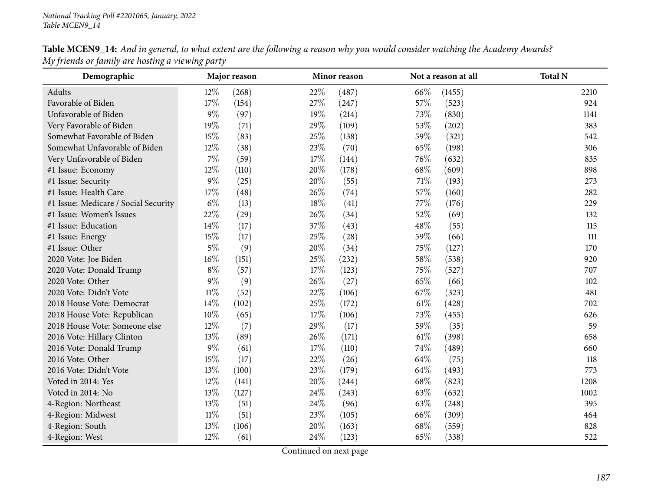| Demographic                          |        | Major reason |        | <b>Minor</b> reason |        | Not a reason at all | <b>Total N</b> |
|--------------------------------------|--------|--------------|--------|---------------------|--------|---------------------|----------------|
| Adults                               | $12\%$ | (268)        | 22%    | (487)               | 66\%   | (1455)              | 2210           |
| Favorable of Biden                   | 17%    | (154)        | 27%    | (247)               | 57%    | (523)               | 924            |
| Unfavorable of Biden                 | $9\%$  | (97)         | 19%    | (214)               | 73%    | (830)               | 1141           |
| Very Favorable of Biden              | 19%    | (71)         | 29%    | (109)               | 53%    | (202)               | 383            |
| Somewhat Favorable of Biden          | 15%    | (83)         | 25\%   | (138)               | 59%    | (321)               | 542            |
| Somewhat Unfavorable of Biden        | 12%    | (38)         | 23%    | (70)                | 65%    | (198)               | 306            |
| Very Unfavorable of Biden            | $7\%$  | (59)         | 17%    | (144)               | 76\%   | (632)               | 835            |
| #1 Issue: Economy                    | 12%    | (110)        | $20\%$ | (178)               | 68\%   | (609)               | 898            |
| #1 Issue: Security                   | $9\%$  | (25)         | $20\%$ | (55)                | 71%    | (193)               | 273            |
| #1 Issue: Health Care                | 17%    | (48)         | 26%    | (74)                | 57%    | (160)               | 282            |
| #1 Issue: Medicare / Social Security | $6\%$  | (13)         | 18%    | (41)                | 77%    | (176)               | 229            |
| #1 Issue: Women's Issues             | 22%    | (29)         | 26%    | (34)                | 52%    | (69)                | 132            |
| #1 Issue: Education                  | 14\%   | (17)         | 37%    | (43)                | 48%    | (55)                | 115            |
| #1 Issue: Energy                     | $15\%$ | (17)         | 25%    | (28)                | 59%    | (66)                | 111            |
| #1 Issue: Other                      | $5\%$  | (9)          | 20%    | (34)                | 75\%   | (127)               | 170            |
| 2020 Vote: Joe Biden                 | 16%    | (151)        | 25%    | (232)               | 58%    | (538)               | 920            |
| 2020 Vote: Donald Trump              | $8\%$  | (57)         | 17%    | (123)               | 75%    | (527)               | 707            |
| 2020 Vote: Other                     | $9\%$  | (9)          | 26\%   | (27)                | 65%    | (66)                | 102            |
| 2020 Vote: Didn't Vote               | $11\%$ | (52)         | $22\%$ | (106)               | 67\%   | (323)               | 481            |
| 2018 House Vote: Democrat            | 14\%   | (102)        | 25%    | (172)               | $61\%$ | (428)               | 702            |
| 2018 House Vote: Republican          | 10%    | (65)         | 17%    | (106)               | 73%    | (455)               | 626            |
| 2018 House Vote: Someone else        | $12\%$ | (7)          | 29%    | (17)                | 59%    | (35)                | 59             |
| 2016 Vote: Hillary Clinton           | 13%    | (89)         | 26\%   | (171)               | $61\%$ | (398)               | 658            |
| 2016 Vote: Donald Trump              | $9\%$  | (61)         | 17%    | (110)               | 74%    | (489)               | 660            |
| 2016 Vote: Other                     | 15%    | (17)         | 22%    | (26)                | 64\%   | (75)                | 118            |
| 2016 Vote: Didn't Vote               | 13%    | (100)        | 23%    | (179)               | 64%    | (493)               | 773            |
| Voted in 2014: Yes                   | $12\%$ | (141)        | 20%    | (244)               | 68%    | (823)               | 1208           |
| Voted in 2014: No                    | 13%    | (127)        | 24\%   | (243)               | 63%    | (632)               | 1002           |
| 4-Region: Northeast                  | 13%    | (51)         | 24\%   | (96)                | 63%    | (248)               | 395            |
| 4-Region: Midwest                    | $11\%$ | (51)         | 23\%   | (105)               | 66\%   | (309)               | 464            |
| 4-Region: South                      | 13%    | (106)        | 20%    | (163)               | 68\%   | (559)               | 828            |
| 4-Region: West                       | 12%    | (61)         | 24\%   | (123)               | 65%    | (338)               | 522            |

Table MCEN9\_14: And in general, to what extent are the following a reason why you would consider watching the Academy Awards? *My friends or family are hosting <sup>a</sup> viewing party*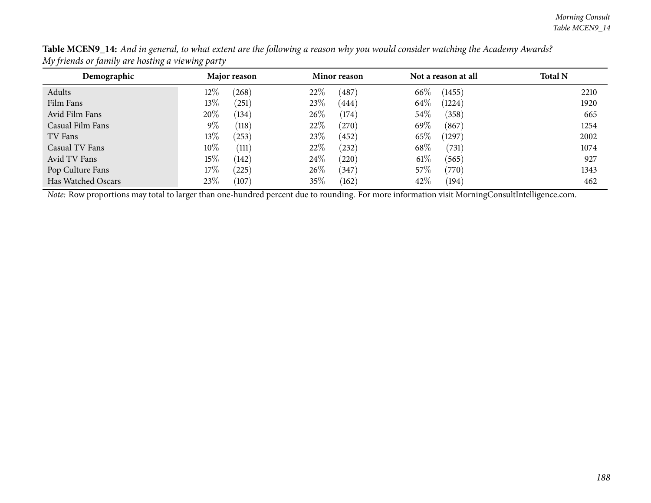| Demographic        | Major reason       | Minor reason  | Not a reason at all | <b>Total N</b> |
|--------------------|--------------------|---------------|---------------------|----------------|
| Adults             | $12\%$<br>(268)    | 22\%<br>(487) | 66%<br>(1455)       | 2210           |
| Film Fans          | 13\%<br>$^{'}251)$ | 23\%<br>(444) | 64\%<br>(1224)      | 1920           |
| Avid Film Fans     | 20%<br>(134)       | 26\%<br>(174) | $54\%$<br>(358)     | 665            |
| Casual Film Fans   | $9\%$<br>(118)     | 22\%<br>(270) | 69%<br>(867)        | 1254           |
| TV Fans            | 13\%<br>(253)      | 23\%<br>(452) | 65\%<br>(1297)      | 2002           |
| Casual TV Fans     | $10\%$<br>(111)    | 22\%<br>(232) | 68\%<br>(731)       | 1074           |
| Avid TV Fans       | 15%<br>(142)       | 24\%<br>(220) | $61\%$<br>(565)     | 927            |
| Pop Culture Fans   | $17\%$<br>(225)    | 26\%<br>(347) | 57\%<br>(770)       | 1343           |
| Has Watched Oscars | 23\%<br>(107)      | 35\%<br>(162) | 42\%<br>(194)       | 462            |

Table MCEN9\_14: And in general, to what extent are the following a reason why you would consider watching the Academy Awards? *My friends or family are hosting <sup>a</sup> viewing party*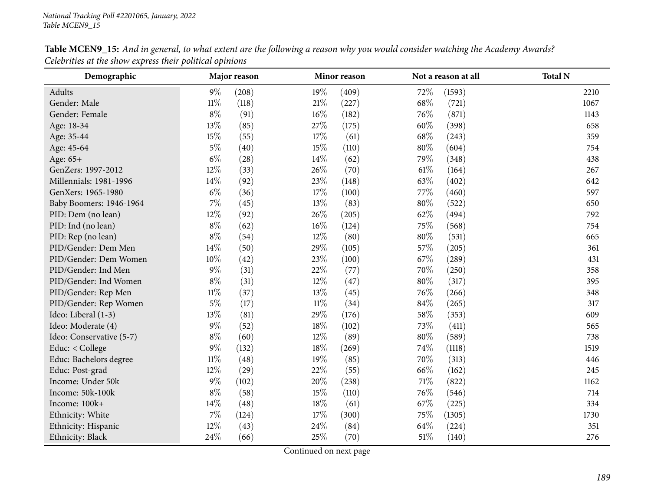| Demographic              |        | Major reason |        | Minor reason |        | Not a reason at all | <b>Total N</b> |
|--------------------------|--------|--------------|--------|--------------|--------|---------------------|----------------|
| Adults                   | $9\%$  | (208)        | 19%    | (409)        | 72%    | (1593)              | 2210           |
| Gender: Male             | $11\%$ | (118)        | $21\%$ | (227)        | 68%    | (721)               | 1067           |
| Gender: Female           | $8\%$  | (91)         | $16\%$ | (182)        | 76%    | (871)               | 1143           |
| Age: 18-34               | 13%    | (85)         | 27\%   | (175)        | 60%    | (398)               | 658            |
| Age: 35-44               | 15%    | (55)         | 17%    | (61)         | 68\%   | (243)               | 359            |
| Age: 45-64               | $5\%$  | (40)         | 15%    | (110)        | 80%    | (604)               | 754            |
| Age: 65+                 | $6\%$  | (28)         | 14\%   | (62)         | 79%    | (348)               | 438            |
| GenZers: 1997-2012       | 12%    | (33)         | 26%    | (70)         | $61\%$ | (164)               | 267            |
| Millennials: 1981-1996   | $14\%$ | (92)         | $23\%$ | (148)        | 63%    | (402)               | 642            |
| GenXers: 1965-1980       | $6\%$  | (36)         | 17%    | (100)        | 77\%   | (460)               | 597            |
| Baby Boomers: 1946-1964  | $7\%$  | (45)         | 13%    | (83)         | 80%    | (522)               | 650            |
| PID: Dem (no lean)       | 12%    | (92)         | 26%    | (205)        | 62%    | (494)               | 792            |
| PID: Ind (no lean)       | $8\%$  | (62)         | $16\%$ | (124)        | 75%    | (568)               | 754            |
| PID: Rep (no lean)       | $8\%$  | (54)         | 12%    | (80)         | 80%    | (531)               | 665            |
| PID/Gender: Dem Men      | 14%    | (50)         | 29%    | (105)        | 57\%   | (205)               | 361            |
| PID/Gender: Dem Women    | $10\%$ | (42)         | 23%    | (100)        | 67%    | (289)               | 431            |
| PID/Gender: Ind Men      | $9\%$  | (31)         | 22%    | (77)         | 70%    | (250)               | 358            |
| PID/Gender: Ind Women    | $8\%$  | (31)         | 12%    | (47)         | 80%    | (317)               | 395            |
| PID/Gender: Rep Men      | $11\%$ | (37)         | 13%    | (45)         | 76\%   | (266)               | 348            |
| PID/Gender: Rep Women    | $5\%$  | (17)         | $11\%$ | (34)         | 84%    | (265)               | 317            |
| Ideo: Liberal (1-3)      | 13%    | (81)         | 29%    | (176)        | 58%    | (353)               | 609            |
| Ideo: Moderate (4)       | $9\%$  | (52)         | 18%    | (102)        | 73%    | (411)               | 565            |
| Ideo: Conservative (5-7) | $8\%$  | (60)         | $12\%$ | (89)         | 80%    | (589)               | 738            |
| Educ: < College          | $9\%$  | (132)        | 18%    | (269)        | 74\%   | (1118)              | 1519           |
| Educ: Bachelors degree   | $11\%$ | (48)         | 19%    | (85)         | 70%    | (313)               | 446            |
| Educ: Post-grad          | 12%    | (29)         | 22%    | (55)         | 66%    | (162)               | 245            |
| Income: Under 50k        | $9\%$  | (102)        | 20%    | (238)        | 71\%   | (822)               | 1162           |
| Income: 50k-100k         | $8\%$  | (58)         | 15%    | (110)        | 76\%   | (546)               | 714            |
| Income: 100k+            | 14%    | (48)         | 18%    | (61)         | 67%    | (225)               | 334            |
| Ethnicity: White         | $7\%$  | (124)        | 17%    | (300)        | 75\%   | (1305)              | 1730           |
| Ethnicity: Hispanic      | 12%    | (43)         | 24%    | (84)         | 64\%   | (224)               | 351            |
| Ethnicity: Black         | 24\%   | (66)         | 25%    | (70)         | 51%    | (140)               | 276            |

Table MCEN9\_15: And in general, to what extent are the following a reason why you would consider watching the Academy Awards? *Celebrities at the show express their political opinions*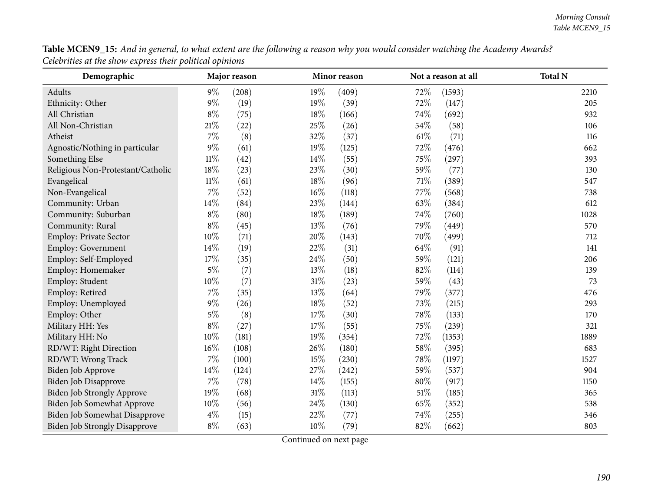| Table MCEN9_15: And in general, to what extent are the following a reason why you would consider watching the Academy Awards? |  |
|-------------------------------------------------------------------------------------------------------------------------------|--|
| Celebrities at the show express their political opinions                                                                      |  |

| Demographic                          |        | Major reason |        | Minor reason |        | Not a reason at all | <b>Total N</b> |
|--------------------------------------|--------|--------------|--------|--------------|--------|---------------------|----------------|
| Adults                               | $9\%$  | (208)        | 19%    | (409)        | 72%    | (1593)              | 2210           |
| Ethnicity: Other                     | $9\%$  | (19)         | $19\%$ | (39)         | 72%    | (147)               | 205            |
| All Christian                        | $8\%$  | (75)         | 18%    | (166)        | 74%    | (692)               | 932            |
| All Non-Christian                    | 21%    | (22)         | 25%    | (26)         | 54%    | (58)                | 106            |
| Atheist                              | 7%     | (8)          | 32%    | (37)         | $61\%$ | (71)                | 116            |
| Agnostic/Nothing in particular       | $9\%$  | (61)         | 19%    | (125)        | 72%    | (476)               | 662            |
| Something Else                       | $11\%$ | (42)         | 14%    | (55)         | 75%    | (297)               | 393            |
| Religious Non-Protestant/Catholic    | 18%    | (23)         | 23%    | (30)         | 59%    | (77)                | 130            |
| Evangelical                          | $11\%$ | (61)         | 18%    | (96)         | $71\%$ | (389)               | 547            |
| Non-Evangelical                      | 7%     | (52)         | 16%    | (118)        | $77\%$ | (568)               | 738            |
| Community: Urban                     | 14%    | (84)         | 23%    | (144)        | 63%    | (384)               | 612            |
| Community: Suburban                  | $8\%$  | (80)         | 18%    | (189)        | 74%    | (760)               | 1028           |
| Community: Rural                     | $8\%$  | (45)         | 13%    | (76)         | 79%    | (449)               | 570            |
| Employ: Private Sector               | 10%    | (71)         | 20%    | (143)        | 70%    | (499)               | 712            |
| Employ: Government                   | 14%    | (19)         | 22%    | (31)         | 64%    | (91)                | 141            |
| Employ: Self-Employed                | 17%    | (35)         | 24%    | (50)         | 59%    | (121)               | 206            |
| Employ: Homemaker                    | $5\%$  | (7)          | 13%    | (18)         | 82%    | (114)               | 139            |
| Employ: Student                      | 10%    | (7)          | 31%    | (23)         | 59%    | (43)                | 73             |
| Employ: Retired                      | 7%     | (35)         | 13%    | (64)         | 79%    | (377)               | 476            |
| Employ: Unemployed                   | $9\%$  | (26)         | 18%    | (52)         | 73%    | (215)               | 293            |
| Employ: Other                        | $5\%$  | (8)          | 17%    | (30)         | 78%    | (133)               | 170            |
| Military HH: Yes                     | $8\%$  | (27)         | 17%    | (55)         | 75%    | (239)               | 321            |
| Military HH: No                      | 10%    | (181)        | 19%    | (354)        | 72%    | (1353)              | 1889           |
| RD/WT: Right Direction               | 16%    | (108)        | 26%    | (180)        | 58%    | (395)               | 683            |
| RD/WT: Wrong Track                   | 7%     | (100)        | 15%    | (230)        | 78%    | (1197)              | 1527           |
| Biden Job Approve                    | 14%    | (124)        | 27%    | (242)        | 59%    | (537)               | 904            |
| Biden Job Disapprove                 | 7%     | (78)         | 14%    | (155)        | 80%    | (917)               | 1150           |
| <b>Biden Job Strongly Approve</b>    | $19\%$ | (68)         | $31\%$ | (113)        | $51\%$ | (185)               | 365            |
| Biden Job Somewhat Approve           | 10%    | (56)         | 24%    | (130)        | 65%    | (352)               | 538            |
| Biden Job Somewhat Disapprove        | $4\%$  | (15)         | 22%    | (77)         | 74%    | (255)               | 346            |
| <b>Biden Job Strongly Disapprove</b> | $8\%$  | (63)         | 10%    | (79)         | 82%    | (662)               | 803            |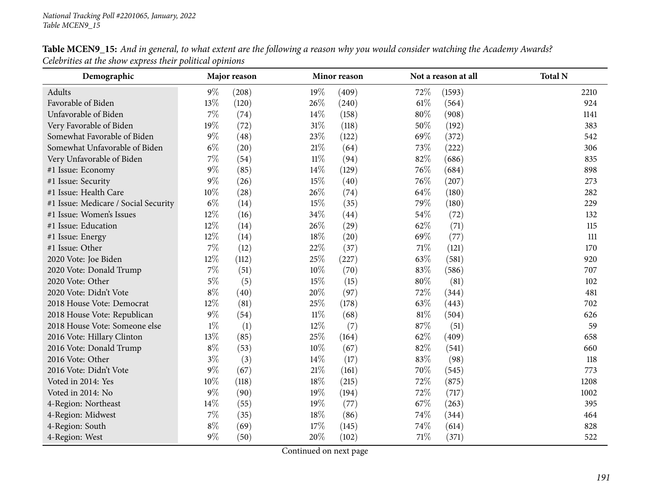| Demographic                          |        | Major reason |        | Minor reason |        | Not a reason at all | <b>Total N</b> |
|--------------------------------------|--------|--------------|--------|--------------|--------|---------------------|----------------|
| Adults                               | $9\%$  | (208)        | 19%    | (409)        | 72%    | (1593)              | 2210           |
| Favorable of Biden                   | 13%    | (120)        | 26%    | (240)        | $61\%$ | (564)               | 924            |
| Unfavorable of Biden                 | 7%     | (74)         | 14\%   | (158)        | 80%    | (908)               | 1141           |
| Very Favorable of Biden              | 19%    | (72)         | $31\%$ | (118)        | 50%    | (192)               | 383            |
| Somewhat Favorable of Biden          | $9\%$  | (48)         | 23%    | (122)        | 69%    | (372)               | 542            |
| Somewhat Unfavorable of Biden        | $6\%$  | (20)         | 21%    | (64)         | 73\%   | (222)               | 306            |
| Very Unfavorable of Biden            | $7\%$  | (54)         | $11\%$ | (94)         | 82%    | (686)               | 835            |
| #1 Issue: Economy                    | $9\%$  | (85)         | 14%    | (129)        | 76%    | (684)               | 898            |
| #1 Issue: Security                   | $9\%$  | (26)         | 15%    | (40)         | 76\%   | (207)               | 273            |
| #1 Issue: Health Care                | $10\%$ | (28)         | 26%    | (74)         | 64\%   | (180)               | 282            |
| #1 Issue: Medicare / Social Security | $6\%$  | (14)         | 15%    | (35)         | 79%    | (180)               | 229            |
| #1 Issue: Women's Issues             | 12%    | (16)         | 34%    | (44)         | 54\%   | (72)                | 132            |
| #1 Issue: Education                  | 12%    | (14)         | 26%    | (29)         | 62%    | (71)                | 115            |
| #1 Issue: Energy                     | 12%    | (14)         | 18%    | (20)         | 69%    | (77)                | 111            |
| #1 Issue: Other                      | $7\%$  | (12)         | 22%    | (37)         | 71\%   | (121)               | 170            |
| 2020 Vote: Joe Biden                 | 12%    | (112)        | 25%    | (227)        | 63%    | (581)               | 920            |
| 2020 Vote: Donald Trump              | $7\%$  | (51)         | 10%    | (70)         | 83%    | (586)               | 707            |
| 2020 Vote: Other                     | $5\%$  | (5)          | 15%    | (15)         | 80%    | (81)                | 102            |
| 2020 Vote: Didn't Vote               | $8\%$  | (40)         | $20\%$ | (97)         | 72%    | (344)               | 481            |
| 2018 House Vote: Democrat            | 12%    | (81)         | 25%    | (178)        | 63%    | (443)               | 702            |
| 2018 House Vote: Republican          | $9\%$  | (54)         | $11\%$ | (68)         | $81\%$ | (504)               | 626            |
| 2018 House Vote: Someone else        | $1\%$  | (1)          | 12%    | (7)          | 87%    | (51)                | 59             |
| 2016 Vote: Hillary Clinton           | 13%    | (85)         | 25%    | (164)        | 62\%   | (409)               | 658            |
| 2016 Vote: Donald Trump              | $8\%$  | (53)         | $10\%$ | (67)         | 82%    | (541)               | 660            |
| 2016 Vote: Other                     | $3\%$  | (3)          | 14%    | (17)         | $83\%$ | (98)                | 118            |
| 2016 Vote: Didn't Vote               | $9\%$  | (67)         | 21%    | (161)        | 70%    | (545)               | 773            |
| Voted in 2014: Yes                   | $10\%$ | (118)        | 18%    | (215)        | 72%    | (875)               | 1208           |
| Voted in 2014: No                    | $9\%$  | (90)         | 19%    | (194)        | 72%    | (717)               | 1002           |
| 4-Region: Northeast                  | 14%    | (55)         | 19%    | (77)         | 67\%   | (263)               | 395            |
| 4-Region: Midwest                    | $7\%$  | (35)         | 18%    | (86)         | 74%    | (344)               | 464            |
| 4-Region: South                      | $8\%$  | (69)         | 17%    | (145)        | 74\%   | (614)               | 828            |
| 4-Region: West                       | $9\%$  | (50)         | 20%    | (102)        | 71\%   | (371)               | 522            |

Table MCEN9\_15: And in general, to what extent are the following a reason why you would consider watching the Academy Awards? *Celebrities at the show express their political opinions*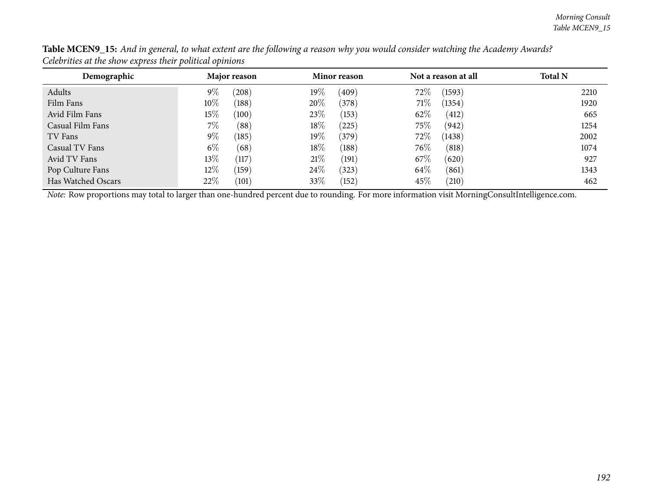| Demographic        | Major reason |       |        | <b>Minor reason</b> |        | Not a reason at all | <b>Total N</b> |
|--------------------|--------------|-------|--------|---------------------|--------|---------------------|----------------|
| Adults             | $9\%$        | (208) | $19\%$ | (409)               | $72\%$ | (1593)              | 2210           |
| Film Fans          | $10\%$       | (188) | 20%    | (378)               | 71%    | (1354)              | 1920           |
| Avid Film Fans     | $15\%$       | (100) | 23\%   | (153)               | 62\%   | (412)               | 665            |
| Casual Film Fans   | $7\%$        | (88)  | 18\%   | 225                 | 75\%   | (942)               | 1254           |
| TV Fans            | $9\%$        | (185) | $19\%$ | (379)               | $72\%$ | (1438)              | 2002           |
| Casual TV Fans     | $6\%$        | (68)  | 18\%   | (188)               | $76\%$ | (818)               | 1074           |
| Avid TV Fans       | $13\%$       | (117) | 21%    | (191)               | 67\%   | (620)               | 927            |
| Pop Culture Fans   | $12\%$       | (159) | 24\%   | (323)               | 64\%   | (861)               | 1343           |
| Has Watched Oscars | 22%          | (101) | 33\%   | (152)               | 45\%   | (210)               | 462            |

Table MCEN9\_15: And in general, to what extent are the following a reason why you would consider watching the Academy Awards? *Celebrities at the show express their political opinions*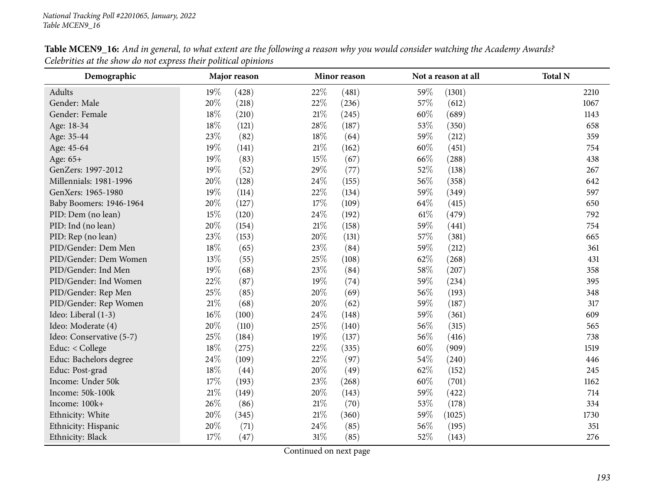| Demographic              |        | Major reason |        | Minor reason |        | Not a reason at all | <b>Total N</b> |
|--------------------------|--------|--------------|--------|--------------|--------|---------------------|----------------|
| Adults                   | 19%    | (428)        | 22%    | (481)        | 59%    | (1301)              | 2210           |
| Gender: Male             | 20%    | (218)        | 22%    | (236)        | 57%    | (612)               | 1067           |
| Gender: Female           | $18\%$ | (210)        | 21%    | (245)        | 60%    | (689)               | 1143           |
| Age: 18-34               | $18\%$ | (121)        | 28\%   | (187)        | 53%    | (350)               | 658            |
| Age: 35-44               | 23%    | (82)         | 18%    | (64)         | 59%    | (212)               | 359            |
| Age: 45-64               | 19%    | (141)        | 21%    | (162)        | 60%    | (451)               | 754            |
| Age: 65+                 | 19%    | (83)         | 15%    | (67)         | 66%    | (288)               | 438            |
| GenZers: 1997-2012       | 19%    | (52)         | 29%    | (77)         | 52%    | (138)               | 267            |
| Millennials: 1981-1996   | $20\%$ | (128)        | 24\%   | (155)        | 56%    | (358)               | 642            |
| GenXers: 1965-1980       | 19%    | (114)        | 22\%   | (134)        | 59%    | (349)               | 597            |
| Baby Boomers: 1946-1964  | 20%    | (127)        | $17\%$ | (109)        | 64\%   | (415)               | 650            |
| PID: Dem (no lean)       | 15%    | (120)        | 24%    | (192)        | $61\%$ | (479)               | 792            |
| PID: Ind (no lean)       | $20\%$ | (154)        | $21\%$ | (158)        | 59%    | (441)               | 754            |
| PID: Rep (no lean)       | 23%    | (153)        | 20%    | (131)        | 57%    | (381)               | 665            |
| PID/Gender: Dem Men      | 18%    | (65)         | 23\%   | (84)         | 59%    | (212)               | 361            |
| PID/Gender: Dem Women    | 13%    | (55)         | 25%    | (108)        | 62%    | (268)               | 431            |
| PID/Gender: Ind Men      | 19%    | (68)         | 23%    | (84)         | 58%    | (207)               | 358            |
| PID/Gender: Ind Women    | 22%    | (87)         | 19%    | (74)         | 59%    | (234)               | 395            |
| PID/Gender: Rep Men      | 25%    | (85)         | 20%    | (69)         | 56%    | (193)               | 348            |
| PID/Gender: Rep Women    | $21\%$ | (68)         | 20%    | (62)         | 59%    | (187)               | 317            |
| Ideo: Liberal (1-3)      | $16\%$ | (100)        | 24\%   | (148)        | 59%    | (361)               | 609            |
| Ideo: Moderate (4)       | 20%    | (110)        | 25%    | (140)        | 56%    | (315)               | 565            |
| Ideo: Conservative (5-7) | 25%    | (184)        | 19%    | (137)        | 56%    | (416)               | 738            |
| Educ: < College          | $18\%$ | (275)        | 22%    | (335)        | 60%    | (909)               | 1519           |
| Educ: Bachelors degree   | 24%    | (109)        | 22%    | (97)         | 54%    | (240)               | 446            |
| Educ: Post-grad          | $18\%$ | (44)         | 20%    | (49)         | 62%    | (152)               | 245            |
| Income: Under 50k        | 17%    | (193)        | 23%    | (268)        | 60%    | (701)               | 1162           |
| Income: 50k-100k         | $21\%$ | (149)        | 20%    | (143)        | 59%    | (422)               | 714            |
| Income: 100k+            | 26%    | (86)         | $21\%$ | (70)         | 53%    | (178)               | 334            |
| Ethnicity: White         | 20%    | (345)        | $21\%$ | (360)        | 59%    | (1025)              | 1730           |
| Ethnicity: Hispanic      | 20%    | (71)         | 24%    | (85)         | 56%    | (195)               | 351            |
| Ethnicity: Black         | 17%    | (47)         | 31%    | (85)         | 52%    | (143)               | 276            |

Table MCEN9\_16: And in general, to what extent are the following a reason why you would consider watching the Academy Awards? *Celebrities at the show do not express their political opinions*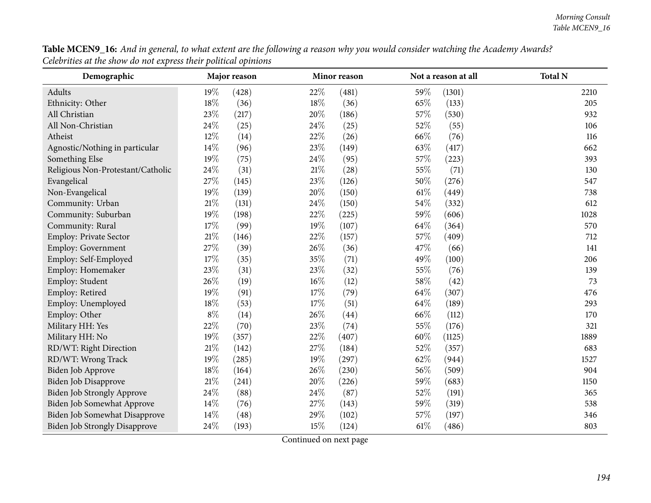| Table MCEN9_16: And in general, to what extent are the following a reason why you would consider watching the Academy Awards? |  |
|-------------------------------------------------------------------------------------------------------------------------------|--|
| Celebrities at the show do not express their political opinions                                                               |  |

| Demographic                          |       | Major reason |        | Minor reason |        | Not a reason at all | <b>Total N</b> |
|--------------------------------------|-------|--------------|--------|--------------|--------|---------------------|----------------|
| Adults                               | 19%   | (428)        | 22%    | (481)        | 59%    | (1301)              | 2210           |
| Ethnicity: Other                     | 18%   | (36)         | 18%    | (36)         | 65%    | (133)               | 205            |
| All Christian                        | 23%   | (217)        | 20%    | (186)        | 57%    | (530)               | 932            |
| All Non-Christian                    | 24%   | (25)         | 24%    | (25)         | 52%    | (55)                | 106            |
| Atheist                              | 12%   | (14)         | 22%    | (26)         | 66%    | (76)                | 116            |
| Agnostic/Nothing in particular       | 14%   | (96)         | 23%    | (149)        | 63%    | (417)               | 662            |
| Something Else                       | 19%   | (75)         | 24%    | (95)         | 57%    | (223)               | 393            |
| Religious Non-Protestant/Catholic    | 24%   | (31)         | 21%    | (28)         | 55%    | (71)                | 130            |
| Evangelical                          | 27%   | (145)        | 23%    | (126)        | 50%    | (276)               | 547            |
| Non-Evangelical                      | 19%   | (139)        | 20%    | (150)        | $61\%$ | (449)               | 738            |
| Community: Urban                     | 21%   | (131)        | 24%    | (150)        | 54%    | (332)               | 612            |
| Community: Suburban                  | 19%   | (198)        | 22%    | (225)        | 59%    | (606)               | 1028           |
| Community: Rural                     | 17%   | (99)         | 19%    | (107)        | 64%    | (364)               | 570            |
| Employ: Private Sector               | 21%   | (146)        | 22%    | (157)        | 57%    | (409)               | 712            |
| <b>Employ: Government</b>            | 27%   | (39)         | 26%    | (36)         | 47%    | (66)                | 141            |
| Employ: Self-Employed                | 17%   | (35)         | 35%    | (71)         | 49%    | (100)               | 206            |
| Employ: Homemaker                    | 23%   | (31)         | 23%    | (32)         | 55%    | (76)                | 139            |
| Employ: Student                      | 26%   | (19)         | $16\%$ | (12)         | 58%    | (42)                | 73             |
| Employ: Retired                      | 19%   | (91)         | 17%    | (79)         | 64%    | (307)               | 476            |
| Employ: Unemployed                   | 18%   | (53)         | 17%    | (51)         | 64%    | (189)               | 293            |
| Employ: Other                        | $8\%$ | (14)         | 26%    | (44)         | 66%    | (112)               | 170            |
| Military HH: Yes                     | 22%   | (70)         | 23%    | (74)         | 55%    | (176)               | 321            |
| Military HH: No                      | 19%   | (357)        | 22%    | (407)        | 60%    | (1125)              | 1889           |
| RD/WT: Right Direction               | 21%   | (142)        | 27%    | (184)        | 52%    | (357)               | 683            |
| RD/WT: Wrong Track                   | 19%   | (285)        | 19%    | (297)        | 62%    | (944)               | 1527           |
| Biden Job Approve                    | 18%   | (164)        | 26%    | (230)        | 56%    | (509)               | 904            |
| Biden Job Disapprove                 | 21%   | (241)        | 20%    | (226)        | 59%    | (683)               | 1150           |
| Biden Job Strongly Approve           | 24%   | (88)         | 24%    | (87)         | 52%    | (191)               | 365            |
| <b>Biden Job Somewhat Approve</b>    | 14%   | (76)         | 27%    | (143)        | 59%    | (319)               | 538            |
| Biden Job Somewhat Disapprove        | 14%   | (48)         | 29%    | (102)        | 57%    | (197)               | 346            |
| <b>Biden Job Strongly Disapprove</b> | 24%   | (193)        | 15%    | (124)        | 61\%   | (486)               | 803            |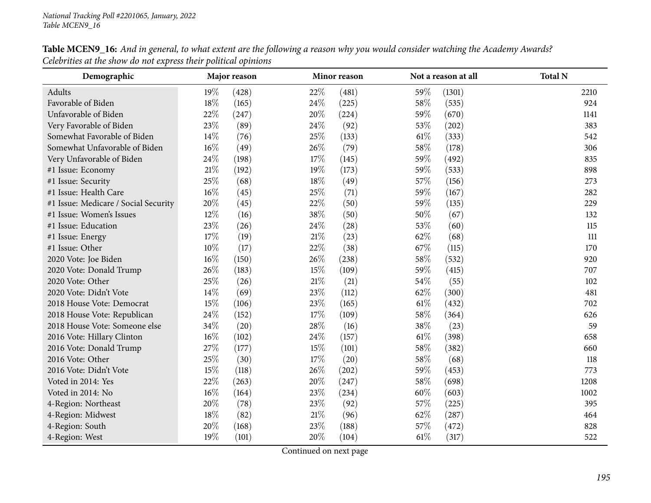| Demographic                          |        | Major reason |        | Minor reason |        | Not a reason at all | <b>Total N</b> |
|--------------------------------------|--------|--------------|--------|--------------|--------|---------------------|----------------|
| Adults                               | 19%    | (428)        | 22%    | (481)        | 59%    | (1301)              | 2210           |
| Favorable of Biden                   | $18\%$ | (165)        | 24%    | (225)        | 58%    | (535)               | 924            |
| Unfavorable of Biden                 | 22%    | (247)        | 20%    | (224)        | 59%    | (670)               | 1141           |
| Very Favorable of Biden              | 23%    | (89)         | 24\%   | (92)         | 53%    | (202)               | 383            |
| Somewhat Favorable of Biden          | 14%    | (76)         | 25%    | (133)        | $61\%$ | (333)               | 542            |
| Somewhat Unfavorable of Biden        | $16\%$ | (49)         | 26%    | (79)         | 58\%   | (178)               | 306            |
| Very Unfavorable of Biden            | 24\%   | (198)        | 17%    | (145)        | 59%    | (492)               | 835            |
| #1 Issue: Economy                    | $21\%$ | (192)        | 19%    | (173)        | 59%    | (533)               | 898            |
| #1 Issue: Security                   | 25%    | (68)         | 18%    | (49)         | 57%    | (156)               | 273            |
| #1 Issue: Health Care                | $16\%$ | (45)         | 25%    | (71)         | 59%    | (167)               | 282            |
| #1 Issue: Medicare / Social Security | 20%    | (45)         | 22%    | (50)         | 59%    | (135)               | 229            |
| #1 Issue: Women's Issues             | 12%    | (16)         | 38%    | (50)         | 50%    | (67)                | 132            |
| #1 Issue: Education                  | 23%    | (26)         | 24%    | (28)         | 53%    | (60)                | 115            |
| #1 Issue: Energy                     | $17\%$ | (19)         | 21%    | (23)         | 62%    | (68)                | 111            |
| #1 Issue: Other                      | $10\%$ | (17)         | 22%    | (38)         | 67\%   | (115)               | 170            |
| 2020 Vote: Joe Biden                 | $16\%$ | (150)        | 26%    | (238)        | 58%    | (532)               | 920            |
| 2020 Vote: Donald Trump              | 26%    | (183)        | 15%    | (109)        | 59%    | (415)               | 707            |
| 2020 Vote: Other                     | 25%    | (26)         | $21\%$ | (21)         | 54\%   | (55)                | 102            |
| 2020 Vote: Didn't Vote               | 14\%   | (69)         | 23%    | (112)        | 62%    | (300)               | 481            |
| 2018 House Vote: Democrat            | 15%    | (106)        | 23%    | (165)        | $61\%$ | (432)               | 702            |
| 2018 House Vote: Republican          | 24\%   | (152)        | 17%    | (109)        | 58%    | (364)               | 626            |
| 2018 House Vote: Someone else        | 34%    | (20)         | 28%    | (16)         | 38%    | (23)                | 59             |
| 2016 Vote: Hillary Clinton           | $16\%$ | (102)        | 24\%   | (157)        | $61\%$ | (398)               | 658            |
| 2016 Vote: Donald Trump              | 27%    | (177)        | 15%    | (101)        | 58%    | (382)               | 660            |
| 2016 Vote: Other                     | 25%    | (30)         | 17%    | (20)         | 58%    | (68)                | 118            |
| 2016 Vote: Didn't Vote               | 15%    | (118)        | 26\%   | (202)        | 59%    | (453)               | 773            |
| Voted in 2014: Yes                   | 22%    | (263)        | 20%    | (247)        | 58%    | (698)               | 1208           |
| Voted in 2014: No                    | $16\%$ | (164)        | 23%    | (234)        | 60%    | (603)               | 1002           |
| 4-Region: Northeast                  | 20%    | (78)         | 23%    | (92)         | 57\%   | (225)               | 395            |
| 4-Region: Midwest                    | 18%    | (82)         | $21\%$ | (96)         | 62%    | (287)               | 464            |
| 4-Region: South                      | 20%    | (168)        | 23%    | (188)        | 57%    | (472)               | 828            |
| 4-Region: West                       | 19%    | (101)        | 20%    | (104)        | 61\%   | (317)               | 522            |

Table MCEN9\_16: And in general, to what extent are the following a reason why you would consider watching the Academy Awards? *Celebrities at the show do not express their political opinions*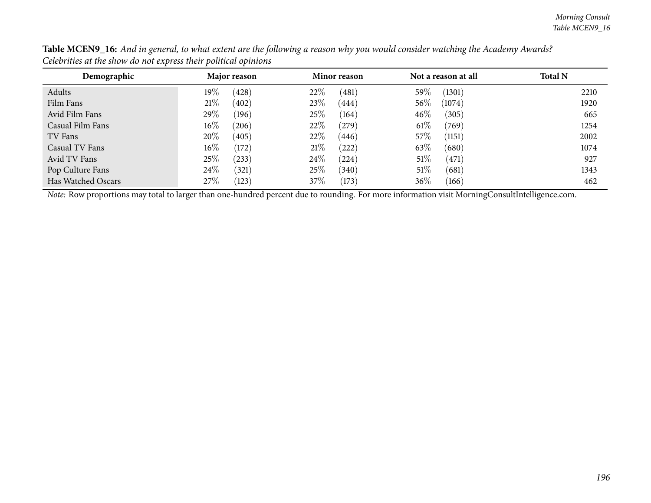| Demographic        | Major reason    | Minor reason      | Not a reason at all | <b>Total N</b> |
|--------------------|-----------------|-------------------|---------------------|----------------|
| Adults             | $19\%$<br>(428) | 22\%<br>(481)     | 59\%<br>(1301)      | 2210           |
| Film Fans          | 21%<br>(402)    | 23\%<br>(444)     | $56\%$<br>(1074)    | 1920           |
| Avid Film Fans     | 29\%<br>(196)   | 25%<br>(164)      | $46\%$<br>(305)     | 665            |
| Casual Film Fans   | $16\%$<br>(206) | 22\%<br>(279)     | $61\%$<br>(769)     | 1254           |
| TV Fans            | 20%<br>(405)    | 22\%<br>(446)     | 57\%<br>(1151)      | 2002           |
| Casual TV Fans     | $16\%$<br>(172) | 21%<br>$^{'}222)$ | 63\%<br>(680)       | 1074           |
| Avid TV Fans       | 25\%<br>(233)   | 24\%<br>(224)     | 51%<br>(471)        | 927            |
| Pop Culture Fans   | 24%<br>(321)    | 25\%<br>(340)     | 51%<br>(681)        | 1343           |
| Has Watched Oscars | 27%<br>(123)    | 37\%<br>(173)     | 36\%<br>(166)       | 462            |

Table MCEN9\_16: And in general, to what extent are the following a reason why you would consider watching the Academy Awards? *Celebrities at the show do not express their political opinions*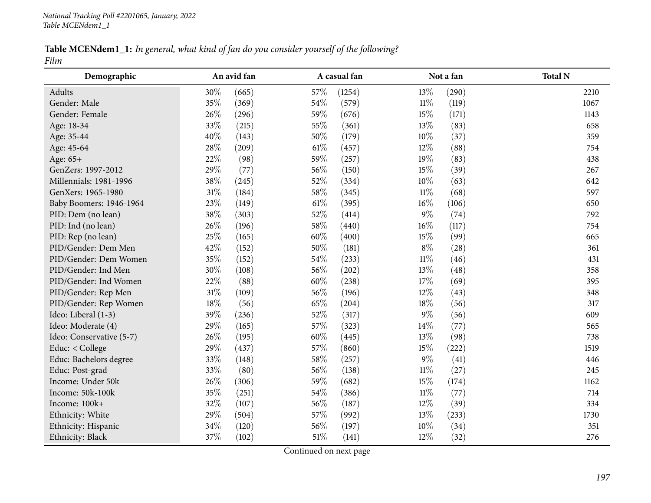| Table MCENdem1_1: In general, what kind of fan do you consider yourself of the following? |  |  |  |
|-------------------------------------------------------------------------------------------|--|--|--|
| Film                                                                                      |  |  |  |

| Demographic              |        | An avid fan |        | A casual fan |        | Not a fan | <b>Total N</b> |
|--------------------------|--------|-------------|--------|--------------|--------|-----------|----------------|
| Adults                   | 30%    | (665)       | 57%    | (1254)       | 13%    | (290)     | 2210           |
| Gender: Male             | 35%    | (369)       | 54%    | (579)        | $11\%$ | (119)     | 1067           |
| Gender: Female           | 26%    | (296)       | 59%    | (676)        | 15%    | (171)     | 1143           |
| Age: 18-34               | 33%    | (215)       | 55%    | (361)        | 13%    | (83)      | 658            |
| Age: 35-44               | 40%    | (143)       | 50%    | (179)        | $10\%$ | (37)      | 359            |
| Age: 45-64               | 28%    | (209)       | $61\%$ | (457)        | $12\%$ | (88)      | 754            |
| Age: 65+                 | 22%    | (98)        | 59%    | (257)        | 19%    | (83)      | 438            |
| GenZers: 1997-2012       | 29%    | (77)        | 56%    | (150)        | 15%    | (39)      | 267            |
| Millennials: 1981-1996   | 38%    | (245)       | 52%    | (334)        | $10\%$ | (63)      | 642            |
| GenXers: 1965-1980       | $31\%$ | (184)       | 58%    | (345)        | $11\%$ | (68)      | 597            |
| Baby Boomers: 1946-1964  | 23%    | (149)       | 61\%   | (395)        | $16\%$ | (106)     | 650            |
| PID: Dem (no lean)       | 38%    | (303)       | 52%    | (414)        | $9\%$  | (74)      | 792            |
| PID: Ind (no lean)       | 26\%   | (196)       | 58%    | (440)        | $16\%$ | (117)     | 754            |
| PID: Rep (no lean)       | 25%    | (165)       | 60%    | (400)        | 15%    | (99)      | 665            |
| PID/Gender: Dem Men      | 42%    | (152)       | 50%    | (181)        | $8\%$  | (28)      | 361            |
| PID/Gender: Dem Women    | 35%    | (152)       | 54%    | (233)        | $11\%$ | (46)      | 431            |
| PID/Gender: Ind Men      | 30%    | (108)       | 56%    | (202)        | 13%    | (48)      | 358            |
| PID/Gender: Ind Women    | 22%    | (88)        | 60%    | (238)        | $17\%$ | (69)      | 395            |
| PID/Gender: Rep Men      | $31\%$ | (109)       | 56%    | (196)        | $12\%$ | (43)      | 348            |
| PID/Gender: Rep Women    | 18%    | (56)        | 65%    | (204)        | 18%    | (56)      | 317            |
| Ideo: Liberal (1-3)      | 39%    | (236)       | 52%    | (317)        | $9\%$  | (56)      | 609            |
| Ideo: Moderate (4)       | 29%    | (165)       | 57%    | (323)        | 14\%   | (77)      | 565            |
| Ideo: Conservative (5-7) | 26%    | (195)       | 60%    | (445)        | 13%    | (98)      | 738            |
| Educ: < College          | 29%    | (437)       | 57%    | (860)        | 15%    | (222)     | 1519           |
| Educ: Bachelors degree   | 33%    | (148)       | 58%    | (257)        | $9\%$  | (41)      | 446            |
| Educ: Post-grad          | 33%    | (80)        | 56%    | (138)        | $11\%$ | (27)      | 245            |
| Income: Under 50k        | 26%    | (306)       | 59%    | (682)        | 15%    | (174)     | 1162           |
| Income: 50k-100k         | 35%    | (251)       | 54%    | (386)        | $11\%$ | (77)      | 714            |
| Income: 100k+            | 32%    | (107)       | 56%    | (187)        | $12\%$ | (39)      | 334            |
| Ethnicity: White         | 29%    | (504)       | 57%    | (992)        | 13\%   | (233)     | 1730           |
| Ethnicity: Hispanic      | 34%    | (120)       | 56%    | (197)        | $10\%$ | (34)      | 351            |
| Ethnicity: Black         | 37%    | (102)       | $51\%$ | (141)        | 12%    | (32)      | 276            |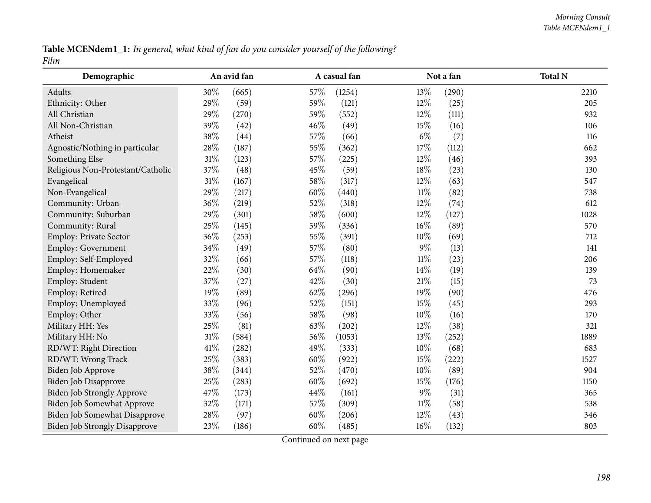Table MCENdem1\_1: In general, what kind of fan do you consider yourself of the following? *Film*

| Demographic                          |        | An avid fan |      | A casual fan |        | Not a fan | <b>Total N</b> |
|--------------------------------------|--------|-------------|------|--------------|--------|-----------|----------------|
| Adults                               | 30%    | (665)       | 57\% | (1254)       | 13\%   | (290)     | 2210           |
| Ethnicity: Other                     | 29%    | (59)        | 59%  | (121)        | 12%    | (25)      | 205            |
| All Christian                        | 29%    | (270)       | 59%  | (552)        | 12%    | (111)     | 932            |
| All Non-Christian                    | 39%    | (42)        | 46%  | (49)         | $15\%$ | (16)      | 106            |
| Atheist                              | 38%    | (44)        | 57%  | (66)         | $6\%$  | (7)       | 116            |
| Agnostic/Nothing in particular       | 28%    | (187)       | 55%  | (362)        | $17\%$ | (112)     | 662            |
| Something Else                       | $31\%$ | (123)       | 57%  | (225)        | $12\%$ | (46)      | 393            |
| Religious Non-Protestant/Catholic    | 37%    | (48)        | 45%  | (59)         | 18%    | (23)      | 130            |
| Evangelical                          | $31\%$ | (167)       | 58%  | (317)        | 12%    | (63)      | 547            |
| Non-Evangelical                      | 29%    | (217)       | 60%  | (440)        | $11\%$ | (82)      | 738            |
| Community: Urban                     | 36%    | (219)       | 52%  | (318)        | 12%    | (74)      | 612            |
| Community: Suburban                  | 29%    | (301)       | 58%  | (600)        | $12\%$ | (127)     | 1028           |
| Community: Rural                     | $25\%$ | (145)       | 59%  | (336)        | $16\%$ | (89)      | 570            |
| Employ: Private Sector               | 36%    | (253)       | 55%  | (391)        | 10%    | (69)      | 712            |
| <b>Employ: Government</b>            | 34%    | (49)        | 57%  | (80)         | $9\%$  | (13)      | 141            |
| Employ: Self-Employed                | 32%    | (66)        | 57%  | (118)        | $11\%$ | (23)      | 206            |
| Employ: Homemaker                    | 22%    | (30)        | 64\% | (90)         | 14\%   | (19)      | 139            |
| Employ: Student                      | 37%    | (27)        | 42%  | (30)         | $21\%$ | (15)      | 73             |
| Employ: Retired                      | 19%    | (89)        | 62%  | (296)        | 19%    | (90)      | 476            |
| Employ: Unemployed                   | 33%    | (96)        | 52%  | (151)        | $15\%$ | (45)      | 293            |
| Employ: Other                        | 33%    | (56)        | 58%  | (98)         | $10\%$ | (16)      | 170            |
| Military HH: Yes                     | 25%    | (81)        | 63%  | (202)        | 12%    | (38)      | 321            |
| Military HH: No                      | 31%    | (584)       | 56%  | (1053)       | 13%    | (252)     | 1889           |
| RD/WT: Right Direction               | 41\%   | (282)       | 49%  | (333)        | 10%    | (68)      | 683            |
| RD/WT: Wrong Track                   | 25%    | (383)       | 60%  | (922)        | $15\%$ | (222)     | 1527           |
| Biden Job Approve                    | 38%    | (344)       | 52%  | (470)        | $10\%$ | (89)      | 904            |
| Biden Job Disapprove                 | 25%    | (283)       | 60%  | (692)        | 15%    | (176)     | 1150           |
| Biden Job Strongly Approve           | 47%    | (173)       | 44%  | (161)        | $9\%$  | (31)      | 365            |
| Biden Job Somewhat Approve           | 32%    | (171)       | 57%  | (309)        | $11\%$ | (58)      | 538            |
| Biden Job Somewhat Disapprove        | 28%    | (97)        | 60%  | (206)        | 12%    | (43)      | 346            |
| <b>Biden Job Strongly Disapprove</b> | 23%    | (186)       | 60%  | (485)        | 16%    | (132)     | 803            |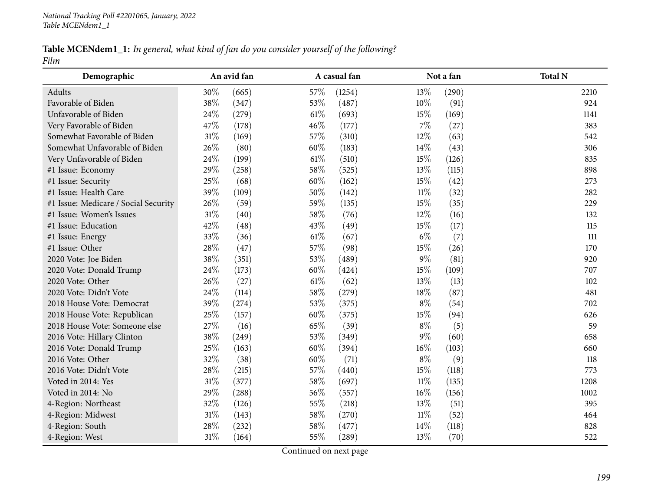## Table MCENdem1\_1: In general, what kind of fan do you consider yourself of the following? *Film*

| Demographic                          |        | An avid fan |        | A casual fan |        | Not a fan | <b>Total N</b> |
|--------------------------------------|--------|-------------|--------|--------------|--------|-----------|----------------|
| Adults                               | 30%    | (665)       | 57\%   | (1254)       | 13%    | (290)     | 2210           |
| Favorable of Biden                   | 38%    | (347)       | 53%    | (487)        | 10%    | (91)      | 924            |
| Unfavorable of Biden                 | 24%    | (279)       | $61\%$ | (693)        | 15%    | (169)     | 1141           |
| Very Favorable of Biden              | 47%    | (178)       | 46%    | (177)        | $7\%$  | (27)      | 383            |
| Somewhat Favorable of Biden          | 31%    | (169)       | 57%    | (310)        | 12%    | (63)      | 542            |
| Somewhat Unfavorable of Biden        | 26%    | (80)        | 60%    | (183)        | 14\%   | (43)      | 306            |
| Very Unfavorable of Biden            | 24%    | (199)       | $61\%$ | (510)        | 15%    | (126)     | 835            |
| #1 Issue: Economy                    | 29%    | (258)       | 58%    | (525)        | 13%    | (115)     | 898            |
| #1 Issue: Security                   | 25%    | (68)        | 60%    | (162)        | 15%    | (42)      | 273            |
| #1 Issue: Health Care                | 39%    | (109)       | 50%    | (142)        | $11\%$ | (32)      | 282            |
| #1 Issue: Medicare / Social Security | 26%    | (59)        | 59%    | (135)        | 15%    | (35)      | 229            |
| #1 Issue: Women's Issues             | $31\%$ | (40)        | 58%    | (76)         | 12%    | (16)      | 132            |
| #1 Issue: Education                  | 42%    | (48)        | 43%    | (49)         | 15%    | (17)      | 115            |
| #1 Issue: Energy                     | 33%    | (36)        | $61\%$ | (67)         | $6\%$  | (7)       | 111            |
| #1 Issue: Other                      | 28%    | (47)        | 57%    | (98)         | 15%    | (26)      | 170            |
| 2020 Vote: Joe Biden                 | 38%    | (351)       | 53%    | (489)        | $9\%$  | (81)      | 920            |
| 2020 Vote: Donald Trump              | 24\%   | (173)       | 60%    | (424)        | $15\%$ | (109)     | 707            |
| 2020 Vote: Other                     | 26%    | (27)        | $61\%$ | (62)         | 13%    | (13)      | 102            |
| 2020 Vote: Didn't Vote               | 24%    | (114)       | 58%    | (279)        | 18%    | (87)      | 481            |
| 2018 House Vote: Democrat            | 39%    | (274)       | 53%    | (375)        | $8\%$  | (54)      | 702            |
| 2018 House Vote: Republican          | 25%    | (157)       | 60%    | (375)        | 15%    | (94)      | 626            |
| 2018 House Vote: Someone else        | 27%    | (16)        | 65%    | (39)         | $8\%$  | (5)       | 59             |
| 2016 Vote: Hillary Clinton           | 38%    | (249)       | 53%    | (349)        | $9\%$  | (60)      | 658            |
| 2016 Vote: Donald Trump              | 25%    | (163)       | 60%    | (394)        | 16%    | (103)     | 660            |
| 2016 Vote: Other                     | 32%    | (38)        | 60%    | (71)         | $8\%$  | (9)       | 118            |
| 2016 Vote: Didn't Vote               | 28%    | (215)       | 57%    | (440)        | 15%    | (118)     | 773            |
| Voted in 2014: Yes                   | 31%    | (377)       | 58%    | (697)        | $11\%$ | (135)     | 1208           |
| Voted in 2014: No                    | 29%    | (288)       | 56%    | (557)        | $16\%$ | (156)     | 1002           |
| 4-Region: Northeast                  | 32%    | (126)       | 55%    | (218)        | 13%    | (51)      | 395            |
| 4-Region: Midwest                    | $31\%$ | (143)       | 58%    | (270)        | $11\%$ | (52)      | 464            |
| 4-Region: South                      | 28%    | (232)       | 58%    | (477)        | 14\%   | (118)     | 828            |
| 4-Region: West                       | 31%    | (164)       | 55%    | (289)        | 13%    | (70)      | 522            |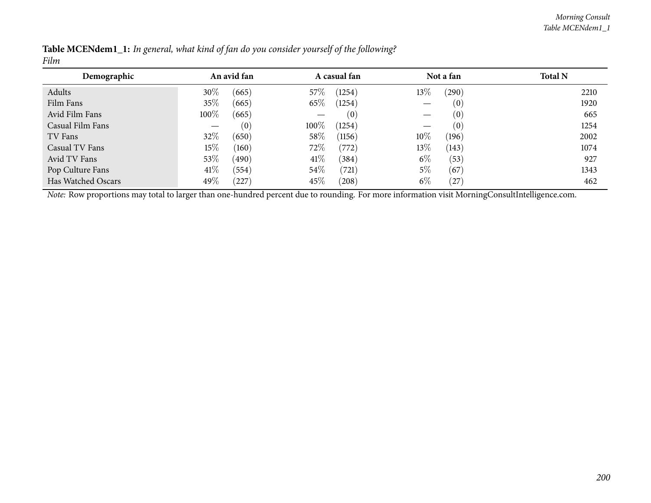| Demographic        |        | An avid fan |        | A casual fan |       | Not a fan  | <b>Total N</b> |
|--------------------|--------|-------------|--------|--------------|-------|------------|----------------|
| Adults             | 30%    | (665)       | $57\%$ | (1254)       | 13%   | $^{'}290)$ | 2210           |
| Film Fans          | 35\%   | (665)       | 65\%   | (1254)       |       | (0)        | 1920           |
| Avid Film Fans     | 100%   | (665)       |        | (0)          |       | (0)        | 665            |
| Casual Film Fans   |        | (0)         | 100\%  | (1254)       |       | (0)        | 1254           |
| TV Fans            | 32%    | (650)       | 58\%   | (1156)       | 10%   | (196)      | 2002           |
| Casual TV Fans     | 15%    | (160)       | 72\%   | (772)        | 13\%  | (143)      | 1074           |
| Avid TV Fans       | 53%    | (490)       | $41\%$ | (384)        | $6\%$ | (53)       | 927            |
| Pop Culture Fans   | $41\%$ | (554)       | 54\%   | (721)        | 5%    | (67)       | 1343           |
| Has Watched Oscars | 49\%   | (227)       | 45\%   | (208)        | $6\%$ | (27        | 462            |

| <b>Table MCENdem1_1:</b> In general, what kind of fan do you consider yourself of the following? |  |  |  |
|--------------------------------------------------------------------------------------------------|--|--|--|
| Film                                                                                             |  |  |  |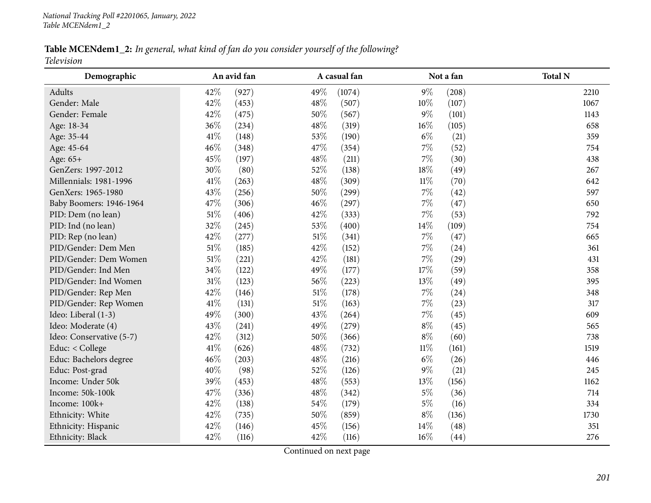Table MCENdem1\_2: In general, what kind of fan do you consider yourself of the following? *Television*

| Demographic              |        | An avid fan |        | A casual fan |        | Not a fan | <b>Total N</b> |
|--------------------------|--------|-------------|--------|--------------|--------|-----------|----------------|
| Adults                   | 42%    | (927)       | 49%    | (1074)       | $9\%$  | (208)     | 2210           |
| Gender: Male             | 42%    | (453)       | 48%    | (507)        | 10%    | (107)     | 1067           |
| Gender: Female           | 42%    | (475)       | 50%    | (567)        | $9\%$  | (101)     | 1143           |
| Age: 18-34               | 36%    | (234)       | 48\%   | (319)        | $16\%$ | (105)     | 658            |
| Age: 35-44               | 41%    | (148)       | 53%    | (190)        | $6\%$  | (21)      | 359            |
| Age: 45-64               | 46%    | (348)       | 47%    | (354)        | $7\%$  | (52)      | 754            |
| Age: 65+                 | 45%    | (197)       | 48\%   | (211)        | $7\%$  | (30)      | 438            |
| GenZers: 1997-2012       | 30%    | (80)        | 52%    | (138)        | 18%    | (49)      | 267            |
| Millennials: 1981-1996   | 41\%   | (263)       | 48\%   | (309)        | $11\%$ | (70)      | 642            |
| GenXers: 1965-1980       | 43%    | (256)       | $50\%$ | (299)        | 7%     | (42)      | 597            |
| Baby Boomers: 1946-1964  | 47%    | (306)       | 46%    | (297)        | 7%     | (47)      | 650            |
| PID: Dem (no lean)       | 51%    | (406)       | 42%    | (333)        | 7%     | (53)      | 792            |
| PID: Ind (no lean)       | 32%    | (245)       | 53%    | (400)        | $14\%$ | (109)     | 754            |
| PID: Rep (no lean)       | 42%    | (277)       | $51\%$ | (341)        | 7%     | (47)      | 665            |
| PID/Gender: Dem Men      | $51\%$ | (185)       | 42%    | (152)        | $7\%$  | (24)      | 361            |
| PID/Gender: Dem Women    | 51%    | (221)       | 42%    | (181)        | $7\%$  | (29)      | 431            |
| PID/Gender: Ind Men      | 34%    | (122)       | 49%    | (177)        | 17%    | (59)      | 358            |
| PID/Gender: Ind Women    | $31\%$ | (123)       | $56\%$ | (223)        | $13\%$ | (49)      | 395            |
| PID/Gender: Rep Men      | 42%    | (146)       | $51\%$ | (178)        | 7%     | (24)      | 348            |
| PID/Gender: Rep Women    | $41\%$ | (131)       | $51\%$ | (163)        | 7%     | (23)      | 317            |
| Ideo: Liberal (1-3)      | 49%    | (300)       | 43%    | (264)        | 7%     | (45)      | 609            |
| Ideo: Moderate (4)       | 43%    | (241)       | 49%    | (279)        | $8\%$  | (45)      | 565            |
| Ideo: Conservative (5-7) | 42%    | (312)       | 50%    | (366)        | $8\%$  | (60)      | 738            |
| Educ: < College          | 41\%   | (626)       | 48%    | (732)        | $11\%$ | (161)     | 1519           |
| Educ: Bachelors degree   | 46%    | (203)       | 48%    | (216)        | $6\%$  | (26)      | 446            |
| Educ: Post-grad          | 40%    | (98)        | 52%    | (126)        | $9\%$  | (21)      | 245            |
| Income: Under 50k        | 39%    | (453)       | 48\%   | (553)        | 13%    | (156)     | 1162           |
| Income: 50k-100k         | 47%    | (336)       | 48\%   | (342)        | $5\%$  | (36)      | 714            |
| Income: 100k+            | 42%    | (138)       | 54%    | (179)        | $5\%$  | (16)      | 334            |
| Ethnicity: White         | 42%    | (735)       | 50%    | (859)        | $8\%$  | (136)     | 1730           |
| Ethnicity: Hispanic      | 42%    | (146)       | 45%    | (156)        | 14\%   | (48)      | 351            |
| Ethnicity: Black         | 42%    | (116)       | 42%    | (116)        | $16\%$ | (44)      | 276            |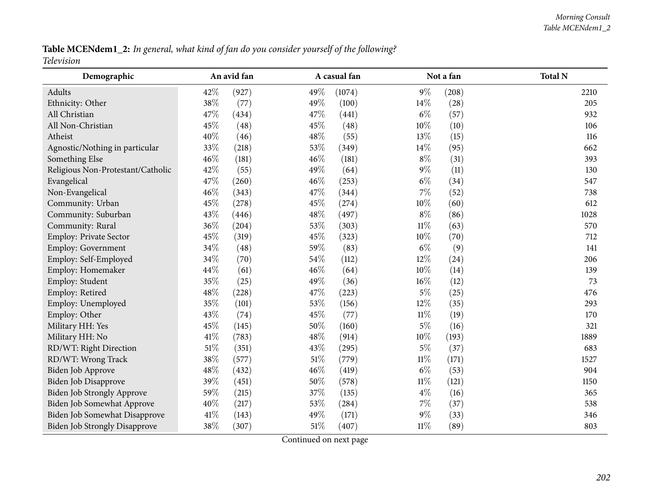Table MCENdem1\_2: In general, what kind of fan do you consider yourself of the following? *Television*

| Demographic                          |        | An avid fan |        | A casual fan |        | Not a fan | <b>Total N</b> |
|--------------------------------------|--------|-------------|--------|--------------|--------|-----------|----------------|
| Adults                               | 42%    | (927)       | 49%    | (1074)       | $9\%$  | (208)     | 2210           |
| Ethnicity: Other                     | 38%    | (77)        | 49%    | (100)        | 14%    | (28)      | 205            |
| All Christian                        | 47%    | (434)       | 47%    | (441)        | $6\%$  | (57)      | 932            |
| All Non-Christian                    | 45%    | (48)        | 45%    | (48)         | $10\%$ | (10)      | 106            |
| Atheist                              | 40%    | (46)        | 48%    | (55)         | 13%    | (15)      | 116            |
| Agnostic/Nothing in particular       | 33%    | (218)       | 53%    | (349)        | $14\%$ | (95)      | 662            |
| Something Else                       | 46%    | (181)       | 46%    | (181)        | $8\%$  | (31)      | 393            |
| Religious Non-Protestant/Catholic    | 42%    | (55)        | 49%    | (64)         | $9\%$  | (11)      | 130            |
| Evangelical                          | 47%    | (260)       | 46%    | (253)        | $6\%$  | (34)      | 547            |
| Non-Evangelical                      | 46%    | (343)       | 47%    | (344)        | 7%     | (52)      | 738            |
| Community: Urban                     | 45%    | (278)       | 45%    | (274)        | $10\%$ | (60)      | 612            |
| Community: Suburban                  | 43%    | (446)       | 48%    | (497)        | $8\%$  | (86)      | 1028           |
| Community: Rural                     | 36%    | (204)       | 53%    | (303)        | $11\%$ | (63)      | 570            |
| Employ: Private Sector               | 45%    | (319)       | 45%    | (323)        | 10%    | (70)      | 712            |
| Employ: Government                   | 34%    | (48)        | 59%    | (83)         | $6\%$  | (9)       | 141            |
| Employ: Self-Employed                | 34%    | (70)        | 54%    | (112)        | 12%    | (24)      | 206            |
| Employ: Homemaker                    | 44%    | (61)        | 46%    | (64)         | $10\%$ | (14)      | 139            |
| Employ: Student                      | 35%    | (25)        | 49%    | (36)         | 16%    | (12)      | 73             |
| Employ: Retired                      | 48%    | (228)       | 47%    | (223)        | $5\%$  | (25)      | 476            |
| Employ: Unemployed                   | 35%    | (101)       | 53%    | (156)        | 12%    | (35)      | 293            |
| Employ: Other                        | 43%    | (74)        | 45%    | (77)         | $11\%$ | (19)      | 170            |
| Military HH: Yes                     | 45%    | (145)       | 50%    | (160)        | $5\%$  | (16)      | 321            |
| Military HH: No                      | 41\%   | (783)       | 48%    | (914)        | $10\%$ | (193)     | 1889           |
| RD/WT: Right Direction               | $51\%$ | (351)       | 43%    | (295)        | $5\%$  | (37)      | 683            |
| RD/WT: Wrong Track                   | 38%    | (577)       | $51\%$ | (779)        | $11\%$ | (171)     | 1527           |
| Biden Job Approve                    | 48%    | (432)       | 46%    | (419)        | $6\%$  | (53)      | 904            |
| Biden Job Disapprove                 | 39%    | (451)       | 50%    | (578)        | $11\%$ | (121)     | 1150           |
| <b>Biden Job Strongly Approve</b>    | 59%    | (215)       | 37%    | (135)        | $4\%$  | (16)      | 365            |
| Biden Job Somewhat Approve           | 40%    | (217)       | 53%    | (284)        | $7\%$  | (37)      | 538            |
| Biden Job Somewhat Disapprove        | 41\%   | (143)       | 49%    | (171)        | $9\%$  | (33)      | 346            |
| <b>Biden Job Strongly Disapprove</b> | 38%    | (307)       | 51%    | (407)        | $11\%$ | (89)      | 803            |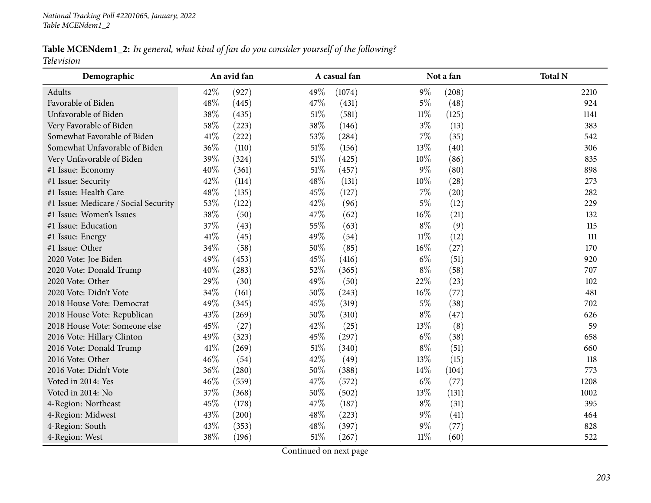Table MCENdem1\_2: In general, what kind of fan do you consider yourself of the following? *Television*

| Demographic                          |      | An avid fan |        | A casual fan |        | Not a fan | <b>Total N</b> |
|--------------------------------------|------|-------------|--------|--------------|--------|-----------|----------------|
| Adults                               | 42%  | (927)       | 49%    | (1074)       | $9\%$  | (208)     | 2210           |
| Favorable of Biden                   | 48%  | (445)       | 47%    | (431)        | $5\%$  | (48)      | 924            |
| Unfavorable of Biden                 | 38%  | (435)       | 51\%   | (581)        | $11\%$ | (125)     | 1141           |
| Very Favorable of Biden              | 58%  | (223)       | 38%    | (146)        | $3\%$  | (13)      | 383            |
| Somewhat Favorable of Biden          | 41\% | (222)       | 53%    | (284)        | $7\%$  | (35)      | 542            |
| Somewhat Unfavorable of Biden        | 36%  | (110)       | $51\%$ | (156)        | 13%    | (40)      | 306            |
| Very Unfavorable of Biden            | 39%  | (324)       | $51\%$ | (425)        | $10\%$ | (86)      | 835            |
| #1 Issue: Economy                    | 40%  | (361)       | $51\%$ | (457)        | $9\%$  | (80)      | 898            |
| #1 Issue: Security                   | 42%  | (114)       | 48\%   | (131)        | $10\%$ | (28)      | 273            |
| #1 Issue: Health Care                | 48%  | (135)       | 45%    | (127)        | $7\%$  | (20)      | 282            |
| #1 Issue: Medicare / Social Security | 53%  | (122)       | 42%    | (96)         | $5\%$  | (12)      | 229            |
| #1 Issue: Women's Issues             | 38%  | (50)        | 47%    | (62)         | 16%    | (21)      | 132            |
| #1 Issue: Education                  | 37%  | (43)        | 55%    | (63)         | $8\%$  | (9)       | 115            |
| #1 Issue: Energy                     | 41\% | (45)        | 49%    | (54)         | $11\%$ | (12)      | 111            |
| #1 Issue: Other                      | 34%  | (58)        | 50%    | (85)         | $16\%$ | (27)      | 170            |
| 2020 Vote: Joe Biden                 | 49%  | (453)       | 45%    | (416)        | $6\%$  | (51)      | 920            |
| 2020 Vote: Donald Trump              | 40%  | (283)       | 52%    | (365)        | $8\%$  | (58)      | 707            |
| 2020 Vote: Other                     | 29%  | (30)        | 49%    | (50)         | 22%    | (23)      | 102            |
| 2020 Vote: Didn't Vote               | 34%  | (161)       | 50%    | (243)        | $16\%$ | (77)      | 481            |
| 2018 House Vote: Democrat            | 49%  | (345)       | 45%    | (319)        | $5\%$  | (38)      | 702            |
| 2018 House Vote: Republican          | 43%  | (269)       | 50%    | (310)        | $8\%$  | (47)      | 626            |
| 2018 House Vote: Someone else        | 45%  | (27)        | 42%    | (25)         | 13%    | (8)       | 59             |
| 2016 Vote: Hillary Clinton           | 49%  | (323)       | 45%    | (297)        | $6\%$  | (38)      | 658            |
| 2016 Vote: Donald Trump              | 41%  | (269)       | $51\%$ | (340)        | $8\%$  | (51)      | 660            |
| 2016 Vote: Other                     | 46%  | (54)        | 42%    | (49)         | 13%    | (15)      | 118            |
| 2016 Vote: Didn't Vote               | 36%  | (280)       | 50%    | (388)        | $14\%$ | (104)     | 773            |
| Voted in 2014: Yes                   | 46%  | (559)       | 47%    | (572)        | $6\%$  | (77)      | 1208           |
| Voted in 2014: No                    | 37%  | (368)       | $50\%$ | (502)        | 13%    | (131)     | 1002           |
| 4-Region: Northeast                  | 45%  | (178)       | 47%    | (187)        | $8\%$  | (31)      | 395            |
| 4-Region: Midwest                    | 43%  | (200)       | 48%    | (223)        | $9\%$  | (41)      | 464            |
| 4-Region: South                      | 43%  | (353)       | 48%    | (397)        | $9\%$  | (77)      | 828            |
| 4-Region: West                       | 38%  | (196)       | $51\%$ | (267)        | $11\%$ | (60)      | 522            |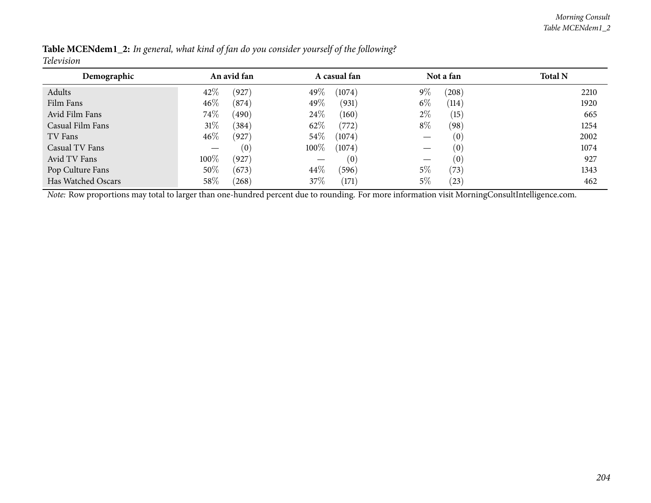| Demographic        |        | An avid fan |        | A casual fan |       | Not a fan          | <b>Total N</b> |
|--------------------|--------|-------------|--------|--------------|-------|--------------------|----------------|
| Adults             | 42%    | (927)       | 49\%   | (1074)       | $9\%$ | (208)              | 2210           |
| Film Fans          | $46\%$ | (874)       | 49\%   | (931)        | $6\%$ | (114)              | 1920           |
| Avid Film Fans     | 74\%   | (490)       | 24%    | (160)        | $2\%$ | (15)               | 665            |
| Casual Film Fans   | $31\%$ | (384)       | 62\%   | (772)        | $8\%$ | (98)               | 1254           |
| TV Fans            | $46\%$ | (927)       | $54\%$ | (1074)       |       | $\left( 0\right)$  | 2002           |
| Casual TV Fans     |        | (0)         | 100%   | (1074)       |       | $\left( 0 \right)$ | 1074           |
| Avid TV Fans       | 100\%  | (927)       |        | (0)          |       | (0)                | 927            |
| Pop Culture Fans   | 50%    | (673)       | $44\%$ | (596)        | 5%    | (73)               | 1343           |
| Has Watched Oscars | 58%    | (268)       | 37\%   | (171)        | 5%    | (23)               | 462            |

Table MCENdem1\_2: In general, what kind of fan do you consider yourself of the following? *Television*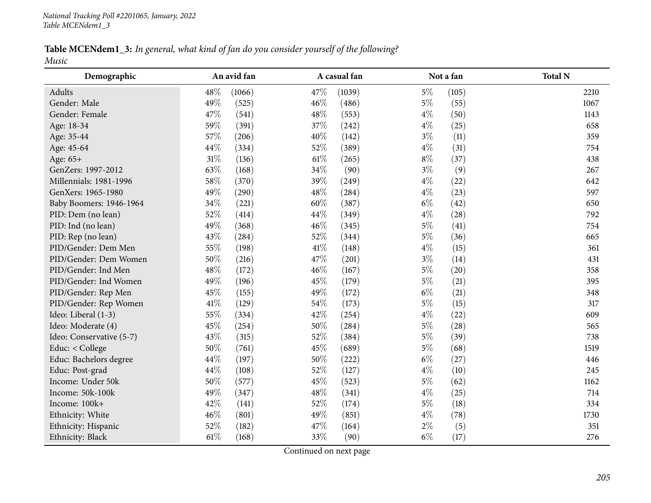|       |  | <b>Table MCENdem1_3:</b> In general, what kind of fan do you consider yourself of the following? |
|-------|--|--------------------------------------------------------------------------------------------------|
| Music |  |                                                                                                  |

| Demographic              |        | An avid fan |        | A casual fan |       | Not a fan | <b>Total N</b> |
|--------------------------|--------|-------------|--------|--------------|-------|-----------|----------------|
| Adults                   | 48%    | (1066)      | 47%    | (1039)       | $5\%$ | (105)     | 2210           |
| Gender: Male             | 49%    | (525)       | 46%    | (486)        | $5\%$ | (55)      | 1067           |
| Gender: Female           | 47%    | (541)       | 48%    | (553)        | $4\%$ | (50)      | 1143           |
| Age: 18-34               | 59%    | (391)       | 37%    | (242)        | $4\%$ | (25)      | 658            |
| Age: 35-44               | 57%    | (206)       | 40%    | (142)        | $3\%$ | (11)      | 359            |
| Age: 45-64               | 44%    | (334)       | 52%    | (389)        | $4\%$ | (31)      | 754            |
| Age: 65+                 | $31\%$ | (136)       | 61%    | (265)        | $8\%$ | (37)      | 438            |
| GenZers: 1997-2012       | 63%    | (168)       | 34%    | (90)         | $3\%$ | (9)       | 267            |
| Millennials: 1981-1996   | 58%    | (370)       | 39%    | (249)        | $4\%$ | (22)      | 642            |
| GenXers: 1965-1980       | 49%    | (290)       | 48%    | (284)        | $4\%$ | (23)      | 597            |
| Baby Boomers: 1946-1964  | 34%    | (221)       | 60%    | (387)        | $6\%$ | (42)      | 650            |
| PID: Dem (no lean)       | 52%    | (414)       | 44%    | (349)        | $4\%$ | (28)      | 792            |
| PID: Ind (no lean)       | 49%    | (368)       | 46%    | (345)        | $5\%$ | (41)      | 754            |
| PID: Rep (no lean)       | 43%    | (284)       | 52%    | (344)        | $5\%$ | (36)      | 665            |
| PID/Gender: Dem Men      | 55%    | (198)       | $41\%$ | (148)        | $4\%$ | (15)      | 361            |
| PID/Gender: Dem Women    | 50%    | (216)       | 47%    | (201)        | $3\%$ | (14)      | 431            |
| PID/Gender: Ind Men      | 48%    | (172)       | 46%    | (167)        | $5\%$ | (20)      | 358            |
| PID/Gender: Ind Women    | 49%    | (196)       | 45%    | (179)        | $5\%$ | (21)      | 395            |
| PID/Gender: Rep Men      | 45%    | (155)       | 49%    | (172)        | $6\%$ | (21)      | 348            |
| PID/Gender: Rep Women    | $41\%$ | (129)       | 54%    | (173)        | $5\%$ | (15)      | 317            |
| Ideo: Liberal (1-3)      | 55%    | (334)       | 42%    | (254)        | $4\%$ | (22)      | 609            |
| Ideo: Moderate (4)       | 45%    | (254)       | 50%    | (284)        | $5\%$ | (28)      | 565            |
| Ideo: Conservative (5-7) | 43%    | (315)       | 52%    | (384)        | $5\%$ | (39)      | 738            |
| Educ: < College          | 50%    | (761)       | 45%    | (689)        | $5\%$ | (68)      | 1519           |
| Educ: Bachelors degree   | 44%    | (197)       | 50%    | (222)        | $6\%$ | (27)      | 446            |
| Educ: Post-grad          | 44%    | (108)       | 52%    | (127)        | $4\%$ | (10)      | 245            |
| Income: Under 50k        | 50%    | (577)       | 45%    | (523)        | $5\%$ | (62)      | 1162           |
| Income: 50k-100k         | 49%    | (347)       | 48%    | (341)        | $4\%$ | (25)      | 714            |
| Income: 100k+            | 42%    | (141)       | 52%    | (174)        | $5\%$ | (18)      | 334            |
| Ethnicity: White         | 46%    | (801)       | 49%    | (851)        | $4\%$ | (78)      | 1730           |
| Ethnicity: Hispanic      | 52%    | (182)       | 47%    | (164)        | $2\%$ | (5)       | 351            |
| Ethnicity: Black         | 61\%   | (168)       | 33%    | (90)         | $6\%$ | (17)      | 276            |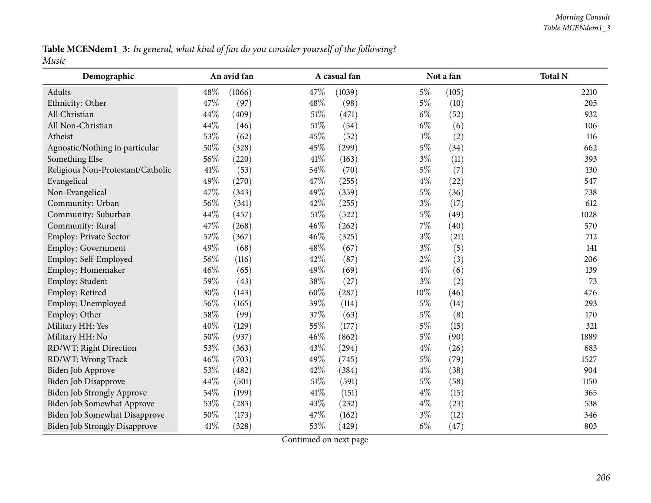Table MCENdem1\_3: In general, what kind of fan do you consider yourself of the following? *Music*

| Demographic                          |        | An avid fan |        | A casual fan |        | Not a fan | <b>Total N</b> |
|--------------------------------------|--------|-------------|--------|--------------|--------|-----------|----------------|
| Adults                               | 48\%   | (1066)      | 47\%   | (1039)       | $5\%$  | (105)     | 2210           |
| Ethnicity: Other                     | 47%    | (97)        | 48%    | (98)         | $5\%$  | (10)      | 205            |
| All Christian                        | 44%    | (409)       | 51%    | (471)        | $6\%$  | (52)      | 932            |
| All Non-Christian                    | 44%    | (46)        | $51\%$ | (54)         | $6\%$  | (6)       | 106            |
| Atheist                              | 53%    | (62)        | 45%    | (52)         | $1\%$  | (2)       | 116            |
| Agnostic/Nothing in particular       | 50%    | (328)       | 45%    | (299)        | $5\%$  | (34)      | 662            |
| Something Else                       | 56%    | (220)       | 41\%   | (163)        | $3\%$  | (11)      | 393            |
| Religious Non-Protestant/Catholic    | $41\%$ | (53)        | 54%    | (70)         | $5\%$  | (7)       | 130            |
| Evangelical                          | 49%    | (270)       | 47\%   | (255)        | $4\%$  | (22)      | 547            |
| Non-Evangelical                      | 47%    | (343)       | 49%    | (359)        | $5\%$  | (36)      | 738            |
| Community: Urban                     | 56%    | (341)       | 42%    | (255)        | $3\%$  | (17)      | 612            |
| Community: Suburban                  | 44%    | (457)       | $51\%$ | (522)        | $5\%$  | (49)      | 1028           |
| Community: Rural                     | 47%    | (268)       | 46%    | (262)        | $7\%$  | (40)      | 570            |
| Employ: Private Sector               | 52%    | (367)       | 46%    | (325)        | $3\%$  | (21)      | 712            |
| Employ: Government                   | 49%    | (68)        | 48%    | (67)         | $3\%$  | (5)       | 141            |
| Employ: Self-Employed                | 56%    | (116)       | 42%    | (87)         | $2\%$  | (3)       | 206            |
| Employ: Homemaker                    | 46%    | (65)        | 49%    | (69)         | $4\%$  | (6)       | 139            |
| Employ: Student                      | 59%    | (43)        | 38%    | (27)         | $3\%$  | (2)       | 73             |
| Employ: Retired                      | 30%    | (143)       | 60%    | (287)        | $10\%$ | (46)      | 476            |
| Employ: Unemployed                   | 56%    | (165)       | 39%    | (114)        | $5\%$  | (14)      | 293            |
| Employ: Other                        | 58\%   | (99)        | 37%    | (63)         | $5\%$  | (8)       | 170            |
| Military HH: Yes                     | 40%    | (129)       | 55%    | (177)        | $5\%$  | (15)      | 321            |
| Military HH: No                      | 50%    | (937)       | 46%    | (862)        | $5\%$  | (90)      | 1889           |
| RD/WT: Right Direction               | 53%    | (363)       | 43%    | (294)        | $4\%$  | (26)      | 683            |
| RD/WT: Wrong Track                   | 46%    | (703)       | 49%    | (745)        | $5\%$  | (79)      | 1527           |
| Biden Job Approve                    | 53%    | (482)       | 42%    | (384)        | $4\%$  | (38)      | 904            |
| Biden Job Disapprove                 | 44\%   | (501)       | $51\%$ | (591)        | $5\%$  | (58)      | 1150           |
| Biden Job Strongly Approve           | 54%    | (199)       | $41\%$ | (151)        | $4\%$  | (15)      | 365            |
| Biden Job Somewhat Approve           | 53%    | (283)       | 43%    | (232)        | $4\%$  | (23)      | 538            |
| Biden Job Somewhat Disapprove        | 50%    | (173)       | 47%    | (162)        | $3\%$  | (12)      | 346            |
| <b>Biden Job Strongly Disapprove</b> | 41%    | (328)       | 53%    | (429)        | $6\%$  | (47)      | 803            |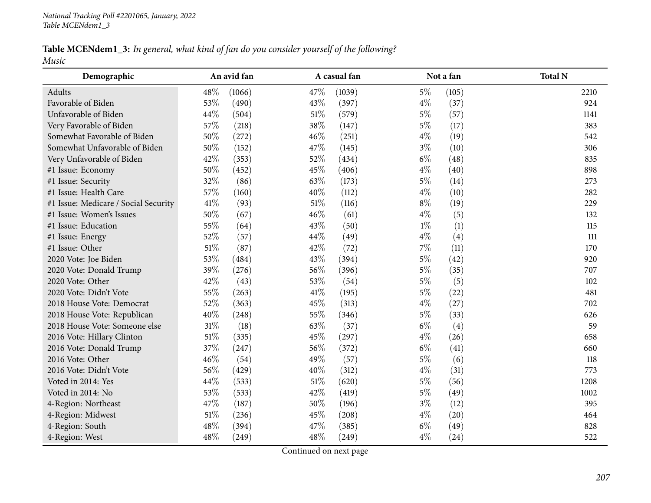## Table MCENdem1\_3: In general, what kind of fan do you consider yourself of the following? *Music*

| Demographic                          |        | An avid fan |        | A casual fan |       | Not a fan | <b>Total N</b> |
|--------------------------------------|--------|-------------|--------|--------------|-------|-----------|----------------|
| Adults                               | 48%    | (1066)      | 47%    | (1039)       | $5\%$ | (105)     | 2210           |
| Favorable of Biden                   | 53%    | (490)       | 43%    | (397)        | $4\%$ | (37)      | 924            |
| Unfavorable of Biden                 | 44%    | (504)       | 51\%   | (579)        | $5\%$ | (57)      | 1141           |
| Very Favorable of Biden              | 57%    | (218)       | 38%    | (147)        | $5\%$ | (17)      | 383            |
| Somewhat Favorable of Biden          | 50%    | (272)       | 46%    | (251)        | $4\%$ | (19)      | 542            |
| Somewhat Unfavorable of Biden        | 50%    | (152)       | 47%    | (145)        | $3\%$ | (10)      | 306            |
| Very Unfavorable of Biden            | 42%    | (353)       | 52%    | (434)        | $6\%$ | (48)      | 835            |
| #1 Issue: Economy                    | 50%    | (452)       | 45%    | (406)        | $4\%$ | (40)      | 898            |
| #1 Issue: Security                   | 32%    | (86)        | 63\%   | (173)        | $5\%$ | (14)      | 273            |
| #1 Issue: Health Care                | 57%    | (160)       | 40%    | (112)        | $4\%$ | (10)      | 282            |
| #1 Issue: Medicare / Social Security | 41%    | (93)        | 51\%   | (116)        | $8\%$ | (19)      | 229            |
| #1 Issue: Women's Issues             | 50%    | (67)        | 46%    | (61)         | $4\%$ | (5)       | 132            |
| #1 Issue: Education                  | 55%    | (64)        | 43\%   | (50)         | $1\%$ | (1)       | 115            |
| #1 Issue: Energy                     | 52%    | (57)        | 44%    | (49)         | $4\%$ | (4)       | 111            |
| #1 Issue: Other                      | 51%    | (87)        | 42%    | (72)         | $7\%$ | (11)      | 170            |
| 2020 Vote: Joe Biden                 | 53%    | (484)       | 43%    | (394)        | $5\%$ | (42)      | 920            |
| 2020 Vote: Donald Trump              | 39%    | (276)       | 56%    | (396)        | $5\%$ | (35)      | 707            |
| 2020 Vote: Other                     | 42%    | (43)        | 53%    | (54)         | $5\%$ | (5)       | 102            |
| 2020 Vote: Didn't Vote               | 55%    | (263)       | 41\%   | (195)        | $5\%$ | (22)      | 481            |
| 2018 House Vote: Democrat            | 52%    | (363)       | 45%    | (313)        | $4\%$ | (27)      | 702            |
| 2018 House Vote: Republican          | 40%    | (248)       | 55%    | (346)        | $5\%$ | (33)      | 626            |
| 2018 House Vote: Someone else        | $31\%$ | (18)        | 63%    | (37)         | $6\%$ | (4)       | 59             |
| 2016 Vote: Hillary Clinton           | $51\%$ | (335)       | 45%    | (297)        | $4\%$ | (26)      | 658            |
| 2016 Vote: Donald Trump              | 37%    | (247)       | 56%    | (372)        | $6\%$ | (41)      | 660            |
| 2016 Vote: Other                     | 46%    | (54)        | 49%    | (57)         | $5\%$ | (6)       | 118            |
| 2016 Vote: Didn't Vote               | 56%    | (429)       | 40%    | (312)        | $4\%$ | (31)      | 773            |
| Voted in 2014: Yes                   | 44%    | (533)       | $51\%$ | (620)        | $5\%$ | (56)      | 1208           |
| Voted in 2014: No                    | 53%    | (533)       | 42%    | (419)        | $5\%$ | (49)      | 1002           |
| 4-Region: Northeast                  | 47%    | (187)       | 50%    | (196)        | $3\%$ | (12)      | 395            |
| 4-Region: Midwest                    | 51%    | (236)       | 45%    | (208)        | $4\%$ | (20)      | 464            |
| 4-Region: South                      | 48%    | (394)       | 47%    | (385)        | $6\%$ | (49)      | 828            |
| 4-Region: West                       | 48%    | (249)       | 48%    | (249)        | $4\%$ | (24)      | 522            |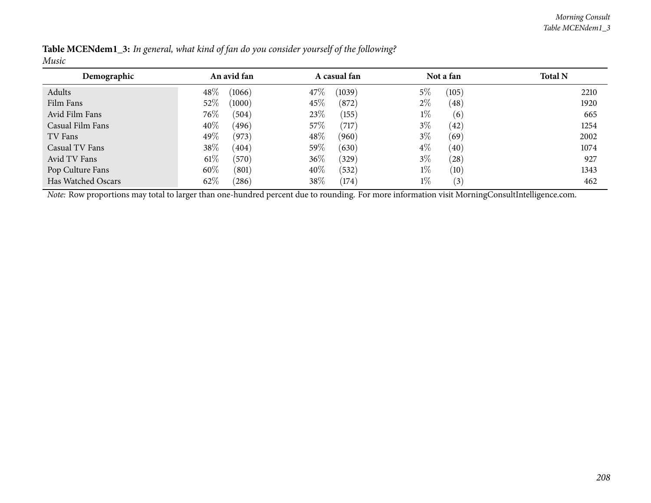| Demographic        | An avid fan     | A casual fan    | Not a fan     | <b>Total N</b> |
|--------------------|-----------------|-----------------|---------------|----------------|
| Adults             | 48%<br>(1066)   | 47\%<br>(1039)  | 5%<br>(105)   | 2210           |
| Film Fans          | 52%<br>(1000)   | 45\%<br>(872)   | $2\%$<br>(48) | 1920           |
| Avid Film Fans     | $76\%$<br>(504) | 23\%<br>(155)   | $1\%$<br>(6)  | 665            |
| Casual Film Fans   | 40%<br>(496)    | 57\%<br>(717)   | $3\%$<br>(42) | 1254           |
| TV Fans            | 49\%<br>(973)   | 48\%<br>(960)   | $3\%$<br>(69) | 2002           |
| Casual TV Fans     | 38\%<br>(404)   | 59%<br>(630)    | $4\%$<br>(40) | 1074           |
| Avid TV Fans       | $61\%$<br>(570) | $36\%$<br>(329) | $3\%$<br>(28) | 927            |
| Pop Culture Fans   | 60%<br>(801)    | 40\%<br>(532)   | $1\%$<br>(10) | 1343           |
| Has Watched Oscars | 62%<br>(286)    | 38\%<br>(174)   | $1\%$<br>(3)  | 462            |

Table MCENdem1\_3: In general, what kind of fan do you consider yourself of the following? *Music*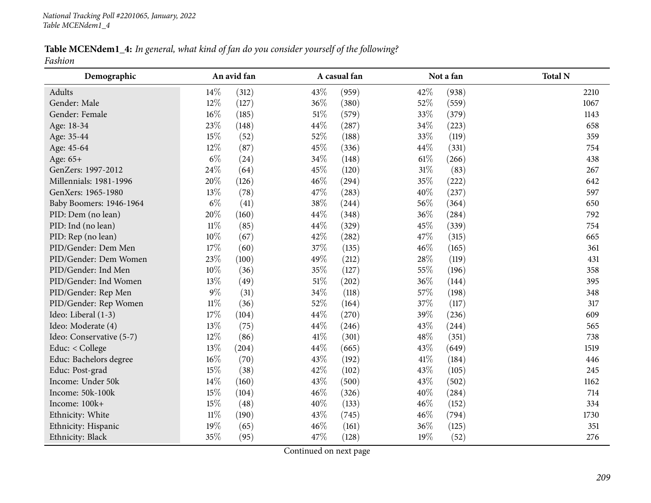| Table MCENdem1_4: In general, what kind of fan do you consider yourself of the following? |  |  |  |
|-------------------------------------------------------------------------------------------|--|--|--|
| Fashion                                                                                   |  |  |  |

| Demographic              |        | An avid fan |        | A casual fan |        | Not a fan | <b>Total N</b> |
|--------------------------|--------|-------------|--------|--------------|--------|-----------|----------------|
| Adults                   | 14\%   | (312)       | 43%    | (959)        | 42%    | (938)     | 2210           |
| Gender: Male             | 12%    | (127)       | 36%    | (380)        | 52%    | (559)     | 1067           |
| Gender: Female           | $16\%$ | (185)       | 51%    | (579)        | 33%    | (379)     | 1143           |
| Age: 18-34               | 23%    | (148)       | 44%    | (287)        | 34\%   | (223)     | 658            |
| Age: 35-44               | 15%    | (52)        | 52%    | (188)        | 33%    | (119)     | 359            |
| Age: 45-64               | 12%    | (87)        | 45%    | (336)        | 44\%   | (331)     | 754            |
| Age: 65+                 | $6\%$  | (24)        | 34%    | (148)        | $61\%$ | (266)     | 438            |
| GenZers: 1997-2012       | 24%    | (64)        | 45%    | (120)        | $31\%$ | (83)      | 267            |
| Millennials: 1981-1996   | 20%    | (126)       | 46%    | (294)        | 35%    | (222)     | 642            |
| GenXers: 1965-1980       | 13%    | (78)        | 47%    | (283)        | 40%    | (237)     | 597            |
| Baby Boomers: 1946-1964  | $6\%$  | (41)        | 38%    | (244)        | 56%    | (364)     | 650            |
| PID: Dem (no lean)       | 20%    | (160)       | 44%    | (348)        | 36%    | (284)     | 792            |
| PID: Ind (no lean)       | $11\%$ | (85)        | 44%    | (329)        | 45%    | (339)     | 754            |
| PID: Rep (no lean)       | 10%    | (67)        | 42%    | (282)        | 47%    | (315)     | 665            |
| PID/Gender: Dem Men      | 17%    | (60)        | 37%    | (135)        | 46%    | (165)     | 361            |
| PID/Gender: Dem Women    | 23%    | (100)       | 49%    | (212)        | 28\%   | (119)     | 431            |
| PID/Gender: Ind Men      | 10%    | (36)        | 35%    | (127)        | 55%    | (196)     | 358            |
| PID/Gender: Ind Women    | $13\%$ | (49)        | $51\%$ | (202)        | 36%    | (144)     | 395            |
| PID/Gender: Rep Men      | $9\%$  | (31)        | 34%    | (118)        | 57%    | (198)     | 348            |
| PID/Gender: Rep Women    | $11\%$ | (36)        | 52%    | (164)        | 37%    | (117)     | 317            |
| Ideo: Liberal (1-3)      | 17%    | (104)       | 44%    | (270)        | 39%    | (236)     | 609            |
| Ideo: Moderate (4)       | 13%    | (75)        | 44%    | (246)        | 43%    | (244)     | 565            |
| Ideo: Conservative (5-7) | 12%    | (86)        | $41\%$ | (301)        | 48\%   | (351)     | 738            |
| Educ: < College          | 13%    | (204)       | 44%    | (665)        | 43%    | (649)     | 1519           |
| Educ: Bachelors degree   | $16\%$ | (70)        | 43%    | (192)        | 41\%   | (184)     | 446            |
| Educ: Post-grad          | 15%    | (38)        | 42%    | (102)        | 43%    | (105)     | 245            |
| Income: Under 50k        | 14%    | (160)       | 43%    | (500)        | 43%    | (502)     | 1162           |
| Income: 50k-100k         | 15%    | (104)       | 46%    | (326)        | 40%    | (284)     | 714            |
| Income: 100k+            | 15%    | (48)        | 40%    | (133)        | 46%    | (152)     | 334            |
| Ethnicity: White         | $11\%$ | (190)       | 43%    | (745)        | 46%    | (794)     | 1730           |
| Ethnicity: Hispanic      | 19%    | (65)        | 46%    | (161)        | 36%    | (125)     | 351            |
| Ethnicity: Black         | 35%    | (95)        | 47%    | (128)        | 19%    | (52)      | 276            |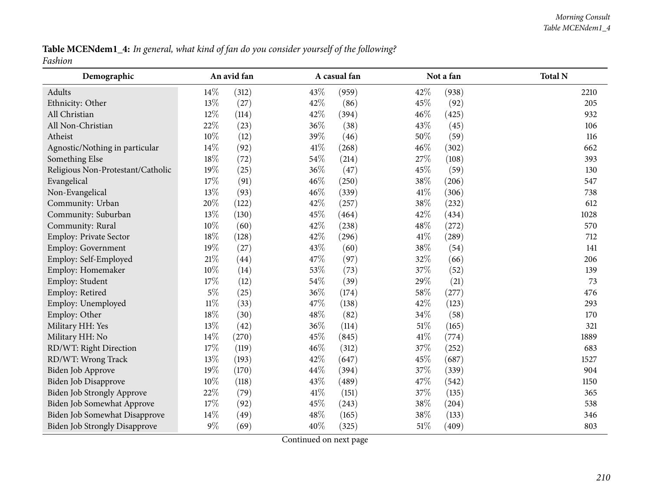Table MCENdem1\_4: In general, what kind of fan do you consider yourself of the following? *Fashion*

| Demographic                          |        | An avid fan |      | A casual fan |        | Not a fan | <b>Total N</b> |
|--------------------------------------|--------|-------------|------|--------------|--------|-----------|----------------|
| Adults                               | 14\%   | (312)       | 43%  | (959)        | 42%    | (938)     | 2210           |
| Ethnicity: Other                     | 13%    | (27)        | 42%  | (86)         | 45%    | (92)      | 205            |
| All Christian                        | 12%    | (114)       | 42%  | (394)        | 46%    | (425)     | 932            |
| All Non-Christian                    | 22%    | (23)        | 36%  | (38)         | 43%    | (45)      | 106            |
| Atheist                              | 10%    | (12)        | 39%  | (46)         | 50%    | (59)      | 116            |
| Agnostic/Nothing in particular       | 14%    | (92)        | 41\% | (268)        | 46%    | (302)     | 662            |
| Something Else                       | 18%    | (72)        | 54%  | (214)        | 27%    | (108)     | 393            |
| Religious Non-Protestant/Catholic    | 19%    | (25)        | 36%  | (47)         | 45%    | (59)      | 130            |
| Evangelical                          | 17%    | (91)        | 46%  | (250)        | 38%    | (206)     | 547            |
| Non-Evangelical                      | 13%    | (93)        | 46%  | (339)        | 41\%   | (306)     | 738            |
| Community: Urban                     | 20%    | (122)       | 42%  | (257)        | 38%    | (232)     | 612            |
| Community: Suburban                  | 13%    | (130)       | 45%  | (464)        | 42%    | (434)     | 1028           |
| Community: Rural                     | $10\%$ | (60)        | 42%  | (238)        | 48\%   | (272)     | 570            |
| Employ: Private Sector               | 18%    | (128)       | 42%  | (296)        | $41\%$ | (289)     | 712            |
| Employ: Government                   | 19%    | (27)        | 43%  | (60)         | 38\%   | (54)      | 141            |
| Employ: Self-Employed                | 21%    | (44)        | 47%  | (97)         | 32%    | (66)      | 206            |
| Employ: Homemaker                    | 10%    | (14)        | 53%  | (73)         | 37%    | (52)      | 139            |
| Employ: Student                      | 17%    | (12)        | 54%  | (39)         | 29%    | (21)      | 73             |
| Employ: Retired                      | $5\%$  | (25)        | 36%  | (174)        | 58%    | (277)     | 476            |
| Employ: Unemployed                   | $11\%$ | (33)        | 47%  | (138)        | 42%    | (123)     | 293            |
| Employ: Other                        | 18%    | (30)        | 48%  | (82)         | 34\%   | (58)      | 170            |
| Military HH: Yes                     | 13%    | (42)        | 36%  | (114)        | 51%    | (165)     | 321            |
| Military HH: No                      | 14%    | (270)       | 45%  | (845)        | $41\%$ | (774)     | 1889           |
| RD/WT: Right Direction               | 17%    | (119)       | 46%  | (312)        | 37%    | (252)     | 683            |
| RD/WT: Wrong Track                   | 13%    | (193)       | 42%  | (647)        | 45%    | (687)     | 1527           |
| Biden Job Approve                    | 19%    | (170)       | 44%  | (394)        | 37%    | (339)     | 904            |
| Biden Job Disapprove                 | 10%    | (118)       | 43%  | (489)        | 47%    | (542)     | 1150           |
| <b>Biden Job Strongly Approve</b>    | 22%    | (79)        | 41\% | (151)        | 37%    | (135)     | 365            |
| Biden Job Somewhat Approve           | 17%    | (92)        | 45%  | (243)        | 38%    | (204)     | 538            |
| Biden Job Somewhat Disapprove        | 14\%   | (49)        | 48%  | (165)        | 38%    | (133)     | 346            |
| <b>Biden Job Strongly Disapprove</b> | $9\%$  | (69)        | 40%  | (325)        | 51%    | (409)     | 803            |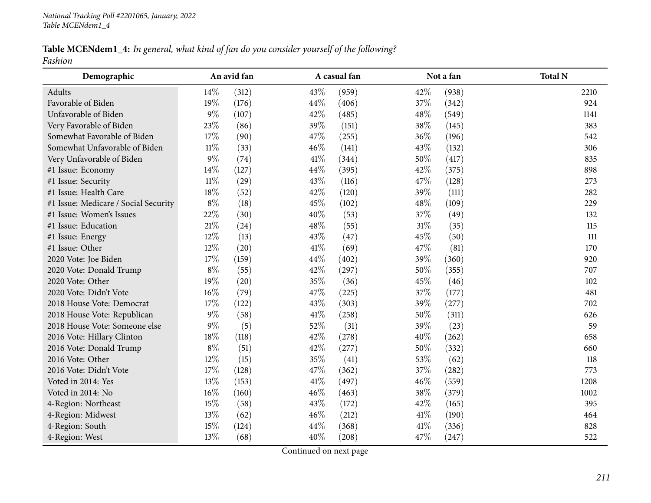## Table MCENdem1\_4: In general, what kind of fan do you consider yourself of the following? *Fashion*

| Demographic                          |        | An avid fan |        | A casual fan |        | Not a fan | <b>Total N</b> |
|--------------------------------------|--------|-------------|--------|--------------|--------|-----------|----------------|
| Adults                               | 14%    | (312)       | 43%    | (959)        | 42%    | (938)     | 2210           |
| Favorable of Biden                   | 19%    | (176)       | 44%    | (406)        | 37%    | (342)     | 924            |
| Unfavorable of Biden                 | 9%     | (107)       | 42%    | (485)        | 48\%   | (549)     | 1141           |
| Very Favorable of Biden              | 23%    | (86)        | 39%    | (151)        | 38%    | (145)     | 383            |
| Somewhat Favorable of Biden          | 17%    | (90)        | 47%    | (255)        | 36%    | (196)     | 542            |
| Somewhat Unfavorable of Biden        | $11\%$ | (33)        | 46%    | (141)        | 43%    | (132)     | 306            |
| Very Unfavorable of Biden            | 9%     | (74)        | 41\%   | (344)        | $50\%$ | (417)     | 835            |
| #1 Issue: Economy                    | $14\%$ | (127)       | 44\%   | (395)        | 42%    | (375)     | 898            |
| #1 Issue: Security                   | $11\%$ | (29)        | 43%    | (116)        | 47%    | (128)     | 273            |
| #1 Issue: Health Care                | 18%    | (52)        | 42%    | (120)        | 39%    | (111)     | 282            |
| #1 Issue: Medicare / Social Security | $8\%$  | (18)        | 45%    | (102)        | 48%    | (109)     | 229            |
| #1 Issue: Women's Issues             | 22%    | (30)        | 40%    | (53)         | 37%    | (49)      | 132            |
| #1 Issue: Education                  | 21\%   | (24)        | 48%    | (55)         | $31\%$ | (35)      | 115            |
| #1 Issue: Energy                     | 12%    | (13)        | 43%    | (47)         | 45%    | (50)      | $111$          |
| #1 Issue: Other                      | 12%    | (20)        | 41\%   | (69)         | 47%    | (81)      | 170            |
| 2020 Vote: Joe Biden                 | 17%    | (159)       | 44%    | (402)        | 39%    | (360)     | 920            |
| 2020 Vote: Donald Trump              | $8\%$  | (55)        | 42%    | (297)        | $50\%$ | (355)     | 707            |
| 2020 Vote: Other                     | 19%    | (20)        | 35%    | (36)         | 45%    | (46)      | 102            |
| 2020 Vote: Didn't Vote               | 16%    | (79)        | 47%    | (225)        | 37%    | (177)     | 481            |
| 2018 House Vote: Democrat            | 17%    | (122)       | 43%    | (303)        | 39%    | (277)     | 702            |
| 2018 House Vote: Republican          | 9%     | (58)        | $41\%$ | (258)        | $50\%$ | (311)     | 626            |
| 2018 House Vote: Someone else        | $9\%$  | (5)         | 52%    | (31)         | 39%    | (23)      | 59             |
| 2016 Vote: Hillary Clinton           | 18%    | (118)       | 42%    | (278)        | 40%    | (262)     | 658            |
| 2016 Vote: Donald Trump              | $8\%$  | (51)        | 42%    | (277)        | 50%    | (332)     | 660            |
| 2016 Vote: Other                     | 12%    | (15)        | 35%    | (41)         | 53%    | (62)      | 118            |
| 2016 Vote: Didn't Vote               | 17%    | (128)       | 47%    | (362)        | 37%    | (282)     | 773            |
| Voted in 2014: Yes                   | 13%    | (153)       | 41\%   | (497)        | 46%    | (559)     | 1208           |
| Voted in 2014: No                    | 16%    | (160)       | 46%    | (463)        | 38%    | (379)     | 1002           |
| 4-Region: Northeast                  | 15%    | (58)        | 43\%   | (172)        | 42\%   | (165)     | 395            |
| 4-Region: Midwest                    | 13%    | (62)        | 46%    | (212)        | $41\%$ | (190)     | 464            |
| 4-Region: South                      | 15%    | (124)       | 44%    | (368)        | $41\%$ | (336)     | 828            |
| 4-Region: West                       | 13%    | (68)        | 40%    | (208)        | 47%    | (247)     | 522            |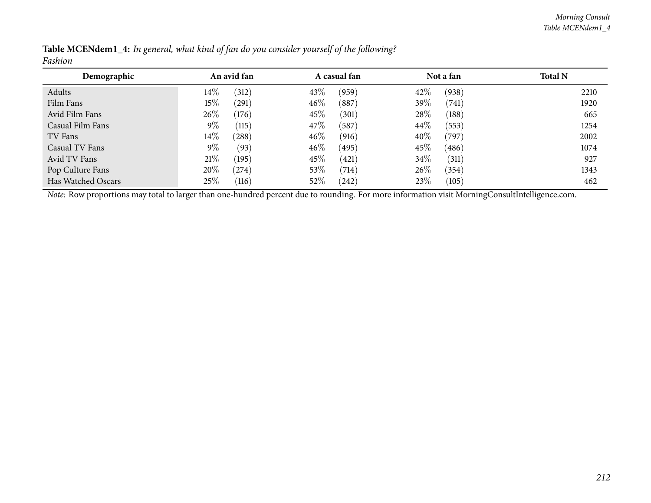| Demographic        | An avid fan |       |        | A casual fan |        | Not a fan | <b>Total N</b> |
|--------------------|-------------|-------|--------|--------------|--------|-----------|----------------|
| Adults             | $14\%$      | (312) | 43\%   | (959)        | 42\%   | (938)     | 2210           |
| Film Fans          | $15\%$      | (291) | $46\%$ | (887)        | 39\%   | (741)     | 1920           |
| Avid Film Fans     | 26%         | (176) | 45\%   | (301)        | 28%    | (188)     | 665            |
| Casual Film Fans   | $9\%$       | (115) | 47\%   | (587)        | $44\%$ | (553)     | 1254           |
| TV Fans            | $14\%$      | (288) | $46\%$ | (916)        | 40%    | (797)     | 2002           |
| Casual TV Fans     | $9\%$       | (93)  | $46\%$ | (495)        | $45\%$ | (486)     | 1074           |
| Avid TV Fans       | 21%         | (195) | 45\%   | (421)        | 34\%   | (311)     | 927            |
| Pop Culture Fans   | 20%         | (274) | 53%    | (714)        | $26\%$ | (354)     | 1343           |
| Has Watched Oscars | 25%         | (116) | 52\%   | (242)        | 23\%   | (105)     | 462            |

Table MCENdem1\_4: In general, what kind of fan do you consider yourself of the following? *Fashion*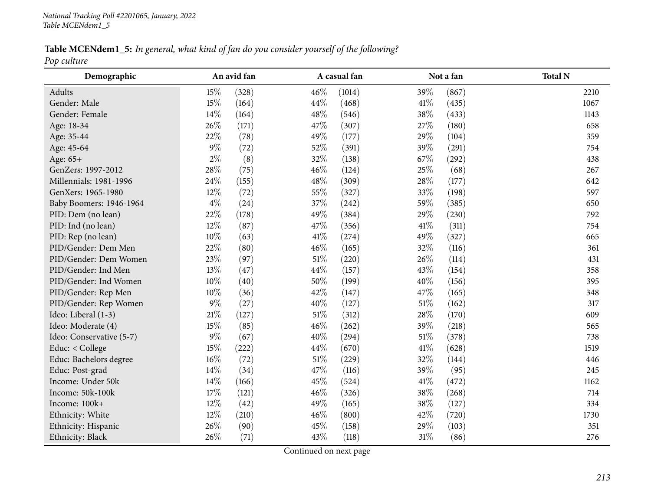Table MCENdem1\_5: In general, what kind of fan do you consider yourself of the following? *Pop culture*

| Demographic              |        | An avid fan |        | A casual fan |        | Not a fan | <b>Total N</b> |
|--------------------------|--------|-------------|--------|--------------|--------|-----------|----------------|
| Adults                   | 15\%   | (328)       | 46%    | (1014)       | 39%    | (867)     | 2210           |
| Gender: Male             | 15%    | (164)       | 44%    | (468)        | 41\%   | (435)     | 1067           |
| Gender: Female           | 14\%   | (164)       | 48%    | (546)        | 38\%   | (433)     | 1143           |
| Age: 18-34               | 26%    | (171)       | 47%    | (307)        | 27%    | (180)     | 658            |
| Age: 35-44               | 22%    | (78)        | 49%    | (177)        | 29%    | (104)     | 359            |
| Age: 45-64               | $9\%$  | (72)        | 52%    | (391)        | 39%    | (291)     | 754            |
| Age: 65+                 | $2\%$  | (8)         | 32%    | (138)        | 67\%   | (292)     | 438            |
| GenZers: 1997-2012       | 28\%   | (75)        | 46%    | (124)        | 25%    | (68)      | 267            |
| Millennials: 1981-1996   | 24%    | (155)       | 48%    | (309)        | 28\%   | (177)     | 642            |
| GenXers: 1965-1980       | $12\%$ | (72)        | 55%    | (327)        | 33%    | (198)     | 597            |
| Baby Boomers: 1946-1964  | $4\%$  | (24)        | 37%    | (242)        | 59%    | (385)     | 650            |
| PID: Dem (no lean)       | 22%    | (178)       | 49%    | (384)        | 29%    | (230)     | 792            |
| PID: Ind (no lean)       | 12%    | (87)        | 47%    | (356)        | $41\%$ | (311)     | 754            |
| PID: Rep (no lean)       | $10\%$ | (63)        | $41\%$ | (274)        | 49%    | (327)     | 665            |
| PID/Gender: Dem Men      | 22%    | (80)        | 46%    | (165)        | 32%    | (116)     | 361            |
| PID/Gender: Dem Women    | 23%    | (97)        | $51\%$ | (220)        | 26%    | (114)     | 431            |
| PID/Gender: Ind Men      | 13%    | (47)        | 44%    | (157)        | 43%    | (154)     | 358            |
| PID/Gender: Ind Women    | $10\%$ | (40)        | 50%    | (199)        | 40%    | (156)     | 395            |
| PID/Gender: Rep Men      | 10%    | (36)        | 42%    | (147)        | 47%    | (165)     | 348            |
| PID/Gender: Rep Women    | $9\%$  | (27)        | 40%    | (127)        | $51\%$ | (162)     | 317            |
| Ideo: Liberal (1-3)      | $21\%$ | (127)       | $51\%$ | (312)        | 28%    | (170)     | 609            |
| Ideo: Moderate (4)       | 15%    | (85)        | 46%    | (262)        | 39%    | (218)     | 565            |
| Ideo: Conservative (5-7) | $9\%$  | (67)        | 40%    | (294)        | 51\%   | (378)     | 738            |
| Educ: < College          | $15\%$ | (222)       | 44\%   | (670)        | 41\%   | (628)     | 1519           |
| Educ: Bachelors degree   | $16\%$ | (72)        | $51\%$ | (229)        | 32%    | (144)     | 446            |
| Educ: Post-grad          | $14\%$ | (34)        | 47%    | (116)        | 39%    | (95)      | 245            |
| Income: Under 50k        | 14\%   | (166)       | 45%    | (524)        | 41\%   | (472)     | 1162           |
| Income: 50k-100k         | $17\%$ | (121)       | 46%    | (326)        | 38%    | (268)     | 714            |
| Income: 100k+            | 12%    | (42)        | 49%    | (165)        | 38%    | (127)     | 334            |
| Ethnicity: White         | 12%    | (210)       | 46%    | (800)        | 42%    | (720)     | 1730           |
| Ethnicity: Hispanic      | 26%    | (90)        | 45%    | (158)        | 29%    | (103)     | 351            |
| Ethnicity: Black         | 26%    | (71)        | 43%    | (118)        | $31\%$ | (86)      | 276            |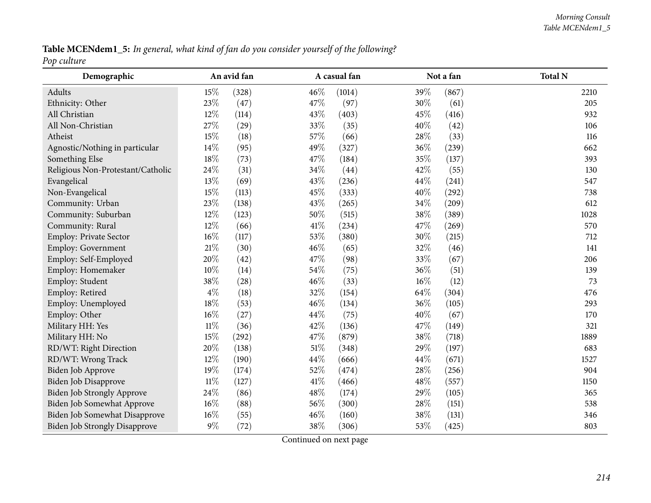Table MCENdem1\_5: In general, what kind of fan do you consider yourself of the following? *Pop culture*

| Demographic                          |        | An avid fan |        | A casual fan |        | Not a fan | <b>Total N</b> |
|--------------------------------------|--------|-------------|--------|--------------|--------|-----------|----------------|
| Adults                               | 15%    | (328)       | 46\%   | (1014)       | 39%    | (867)     | 2210           |
| Ethnicity: Other                     | 23%    | (47)        | 47%    | (97)         | 30%    | (61)      | 205            |
| All Christian                        | 12%    | (114)       | 43%    | (403)        | 45%    | (416)     | 932            |
| All Non-Christian                    | 27%    | (29)        | 33%    | (35)         | 40%    | (42)      | 106            |
| Atheist                              | 15%    | (18)        | 57%    | (66)         | 28%    | (33)      | 116            |
| Agnostic/Nothing in particular       | 14%    | (95)        | 49%    | (327)        | 36%    | (239)     | 662            |
| Something Else                       | 18%    | (73)        | 47%    | (184)        | 35%    | (137)     | 393            |
| Religious Non-Protestant/Catholic    | 24%    | (31)        | 34%    | (44)         | 42%    | (55)      | 130            |
| Evangelical                          | 13%    | (69)        | 43%    | (236)        | 44%    | (241)     | 547            |
| Non-Evangelical                      | 15%    | (113)       | 45%    | (333)        | 40%    | (292)     | 738            |
| Community: Urban                     | 23%    | (138)       | 43%    | (265)        | 34%    | (209)     | 612            |
| Community: Suburban                  | $12\%$ | (123)       | 50%    | (515)        | $38\%$ | (389)     | 1028           |
| Community: Rural                     | 12%    | (66)        | 41\%   | (234)        | 47%    | (269)     | 570            |
| Employ: Private Sector               | 16%    | (117)       | 53%    | (380)        | 30%    | (215)     | 712            |
| Employ: Government                   | $21\%$ | (30)        | 46%    | (65)         | $32\%$ | (46)      | 141            |
| Employ: Self-Employed                | 20%    | (42)        | 47%    | (98)         | 33%    | (67)      | 206            |
| Employ: Homemaker                    | $10\%$ | (14)        | 54%    | (75)         | 36%    | (51)      | 139            |
| Employ: Student                      | 38%    | (28)        | 46%    | (33)         | 16%    | (12)      | 73             |
| Employ: Retired                      | $4\%$  | (18)        | 32%    | (154)        | 64%    | (304)     | 476            |
| Employ: Unemployed                   | 18%    | (53)        | 46%    | (134)        | 36%    | (105)     | 293            |
| Employ: Other                        | $16\%$ | (27)        | 44%    | (75)         | 40%    | (67)      | 170            |
| Military HH: Yes                     | $11\%$ | (36)        | 42%    | (136)        | 47%    | (149)     | 321            |
| Military HH: No                      | 15%    | (292)       | 47%    | (879)        | 38\%   | (718)     | 1889           |
| RD/WT: Right Direction               | 20%    | (138)       | $51\%$ | (348)        | 29%    | (197)     | 683            |
| RD/WT: Wrong Track                   | 12%    | (190)       | 44%    | (666)        | 44%    | (671)     | 1527           |
| Biden Job Approve                    | 19%    | (174)       | 52%    | (474)        | 28%    | (256)     | 904            |
| Biden Job Disapprove                 | $11\%$ | (127)       | 41%    | (466)        | 48\%   | (557)     | 1150           |
| <b>Biden Job Strongly Approve</b>    | 24%    | (86)        | 48%    | (174)        | 29%    | (105)     | 365            |
| Biden Job Somewhat Approve           | $16\%$ | (88)        | 56%    | (300)        | 28\%   | (151)     | 538            |
| Biden Job Somewhat Disapprove        | $16\%$ | (55)        | 46%    | (160)        | 38%    | (131)     | 346            |
| <b>Biden Job Strongly Disapprove</b> | $9\%$  | (72)        | 38%    | (306)        | 53%    | (425)     | 803            |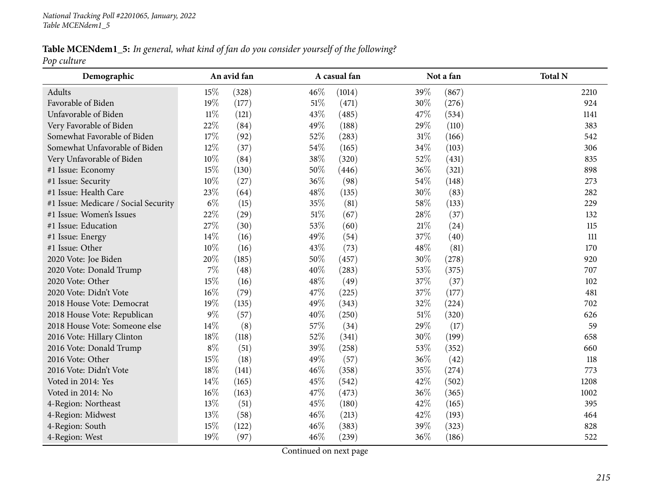Table MCENdem1\_5: In general, what kind of fan do you consider yourself of the following? *Pop culture*

| Demographic                          |        | An avid fan |        | A casual fan |        | Not a fan | <b>Total N</b> |
|--------------------------------------|--------|-------------|--------|--------------|--------|-----------|----------------|
| Adults                               | 15%    | (328)       | 46%    | (1014)       | 39%    | (867)     | 2210           |
| Favorable of Biden                   | 19%    | (177)       | $51\%$ | (471)        | 30%    | (276)     | 924            |
| Unfavorable of Biden                 | $11\%$ | (121)       | 43%    | (485)        | 47%    | (534)     | 1141           |
| Very Favorable of Biden              | 22%    | (84)        | 49%    | (188)        | 29%    | (110)     | 383            |
| Somewhat Favorable of Biden          | 17%    | (92)        | 52%    | (283)        | 31%    | (166)     | 542            |
| Somewhat Unfavorable of Biden        | 12%    | (37)        | 54%    | (165)        | $34\%$ | (103)     | 306            |
| Very Unfavorable of Biden            | $10\%$ | (84)        | $38\%$ | (320)        | 52%    | (431)     | 835            |
| #1 Issue: Economy                    | 15%    | (130)       | 50%    | (446)        | 36%    | (321)     | 898            |
| #1 Issue: Security                   | $10\%$ | (27)        | 36%    | (98)         | 54%    | (148)     | 273            |
| #1 Issue: Health Care                | 23%    | (64)        | 48%    | (135)        | 30%    | (83)      | 282            |
| #1 Issue: Medicare / Social Security | $6\%$  | (15)        | 35%    | (81)         | 58%    | (133)     | 229            |
| #1 Issue: Women's Issues             | 22%    | (29)        | $51\%$ | (67)         | 28\%   | (37)      | 132            |
| #1 Issue: Education                  | 27%    | (30)        | 53%    | (60)         | $21\%$ | (24)      | 115            |
| #1 Issue: Energy                     | 14%    | (16)        | 49%    | (54)         | 37%    | (40)      | 111            |
| #1 Issue: Other                      | 10%    | (16)        | 43%    | (73)         | 48%    | (81)      | 170            |
| 2020 Vote: Joe Biden                 | 20%    | (185)       | 50%    | (457)        | 30%    | (278)     | 920            |
| 2020 Vote: Donald Trump              | $7\%$  | (48)        | 40%    | (283)        | 53%    | (375)     | 707            |
| 2020 Vote: Other                     | 15%    | (16)        | 48%    | (49)         | 37%    | (37)      | 102            |
| 2020 Vote: Didn't Vote               | 16%    | (79)        | 47%    | (225)        | 37%    | (177)     | 481            |
| 2018 House Vote: Democrat            | 19%    | (135)       | 49%    | (343)        | 32%    | (224)     | 702            |
| 2018 House Vote: Republican          | $9\%$  | (57)        | 40%    | (250)        | 51%    | (320)     | 626            |
| 2018 House Vote: Someone else        | 14%    | (8)         | 57%    | (34)         | 29%    | (17)      | 59             |
| 2016 Vote: Hillary Clinton           | 18%    | (118)       | 52%    | (341)        | 30%    | (199)     | 658            |
| 2016 Vote: Donald Trump              | $8\%$  | (51)        | 39%    | (258)        | $53\%$ | (352)     | 660            |
| 2016 Vote: Other                     | 15%    | (18)        | 49%    | (57)         | 36%    | (42)      | 118            |
| 2016 Vote: Didn't Vote               | 18%    | (141)       | 46%    | (358)        | 35%    | (274)     | 773            |
| Voted in 2014: Yes                   | 14%    | (165)       | 45%    | (542)        | 42%    | (502)     | 1208           |
| Voted in 2014: No                    | $16\%$ | (163)       | 47%    | (473)        | $36\%$ | (365)     | 1002           |
| 4-Region: Northeast                  | 13%    | (51)        | 45%    | (180)        | 42%    | (165)     | 395            |
| 4-Region: Midwest                    | 13%    | (58)        | 46%    | (213)        | 42%    | (193)     | 464            |
| 4-Region: South                      | 15%    | (122)       | 46%    | (383)        | 39%    | (323)     | 828            |
| 4-Region: West                       | 19%    | (97)        | 46%    | (239)        | 36%    | (186)     | 522            |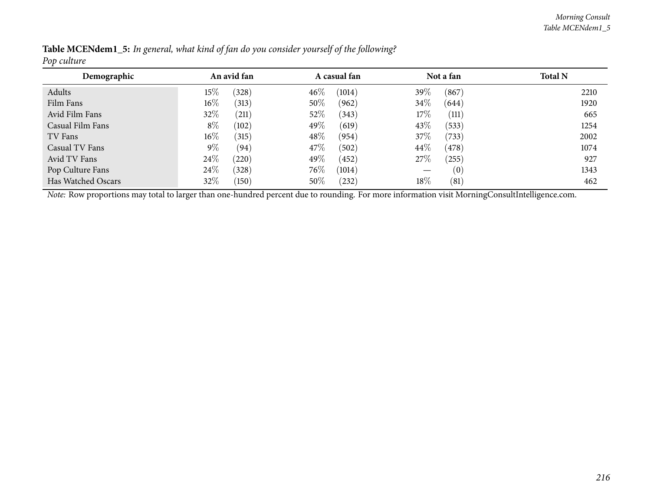| .                  |             |                 |        |              |        |            |                |
|--------------------|-------------|-----------------|--------|--------------|--------|------------|----------------|
| Demographic        | An avid fan |                 |        | A casual fan |        | Not a fan  | <b>Total N</b> |
| Adults             | 15%         | (328)           | $46\%$ | (1014)       | $39\%$ | (867)      | 2210           |
| Film Fans          | $16\%$      | (313)           | $50\%$ | (962)        | $34\%$ | (644)      | 1920           |
| Avid Film Fans     | 32%         | (211)           | $52\%$ | (343)        | 17%    | (111)      | 665            |
| Casual Film Fans   | $8\%$       | (102)           | 49\%   | (619)        | 43%    | (533)      | 1254           |
| TV Fans            | $16\%$      | (315)           | $48\%$ | (954)        | 37%    | (733)      | 2002           |
| Casual TV Fans     | $9\%$       | (94)            | 47\%   | (502)        | 44\%   | (478)      | 1074           |
| Avid TV Fans       | 24\%        | $^{'}220)$      | 49\%   | (452)        | 27\%   | $^{'}255)$ | 927            |
| Pop Culture Fans   | 24\%        | (328)           | $76\%$ | (1014)       |        | (0)        | 1343           |
| Has Watched Oscars | 32%         | $^{\prime}150)$ | 50\%   | (232)        | 18\%   | (81)       | 462            |

Table MCENdem1\_5: In general, what kind of fan do you consider yourself of the following? *Pop culture*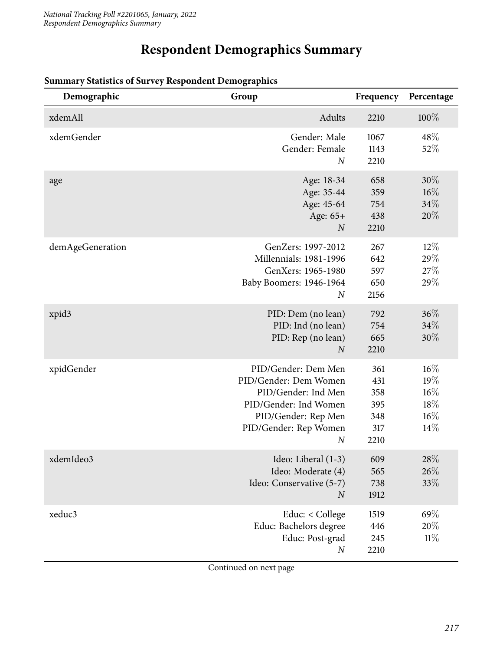## **Respondent Demographics Summary**

| Demographic       | Group                                                                                                                                                            | Frequency                                      | Percentage                                      |
|-------------------|------------------------------------------------------------------------------------------------------------------------------------------------------------------|------------------------------------------------|-------------------------------------------------|
| xdemAll           | Adults                                                                                                                                                           | 2210                                           | 100%                                            |
| xdemGender        | Gender: Male<br>Gender: Female<br>$\overline{N}$                                                                                                                 | 1067<br>1143<br>2210                           | 48\%<br>52%                                     |
| age               | Age: 18-34<br>Age: 35-44<br>Age: 45-64<br>Age: 65+<br>$\boldsymbol{N}$                                                                                           | 658<br>359<br>754<br>438<br>2210               | $30\%$<br>$16\%$<br>34%<br>20%                  |
| demAgeGeneration  | GenZers: 1997-2012<br>Millennials: 1981-1996<br>GenXers: 1965-1980<br>Baby Boomers: 1946-1964<br>$\overline{N}$                                                  | 267<br>642<br>597<br>650<br>2156               | $12\%$<br>29%<br>27\%<br>29%                    |
| xpid <sub>3</sub> | PID: Dem (no lean)<br>PID: Ind (no lean)<br>PID: Rep (no lean)<br>$\overline{N}$                                                                                 | 792<br>754<br>665<br>2210                      | 36%<br>34%<br>30%                               |
| xpidGender        | PID/Gender: Dem Men<br>PID/Gender: Dem Women<br>PID/Gender: Ind Men<br>PID/Gender: Ind Women<br>PID/Gender: Rep Men<br>PID/Gender: Rep Women<br>$\boldsymbol{N}$ | 361<br>431<br>358<br>395<br>348<br>317<br>2210 | $16\%$<br>19%<br>$16\%$<br>18%<br>$16\%$<br>14% |
| xdemIdeo3         | Ideo: Liberal (1-3)<br>Ideo: Moderate (4)<br>Ideo: Conservative (5-7)<br>$\boldsymbol{N}$                                                                        | 609<br>565<br>738<br>1912                      | 28\%<br>26%<br>33\%                             |
| xeduc3            | Educ: < College<br>Educ: Bachelors degree<br>Educ: Post-grad<br>$\boldsymbol{N}$                                                                                 | 1519<br>446<br>245<br>2210                     | 69%<br>20%<br>11%                               |

### **Summary Statistics of Survey Respondent Demographics**

Continued on next page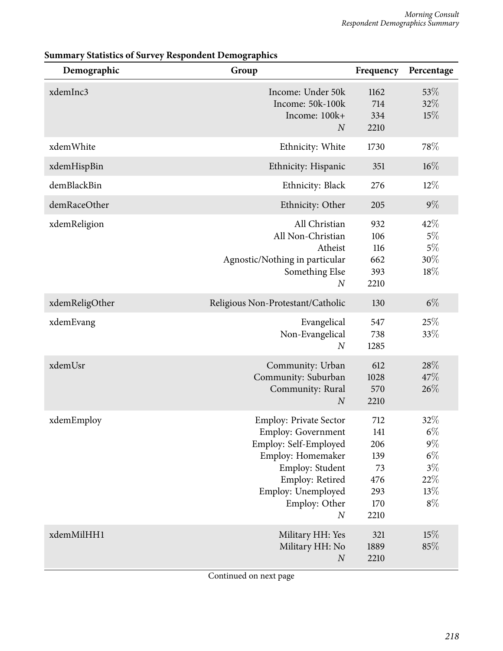| Demographic    | Group                                                                                                                                                                                                     | Frequency                                                   | Percentage                                                        |
|----------------|-----------------------------------------------------------------------------------------------------------------------------------------------------------------------------------------------------------|-------------------------------------------------------------|-------------------------------------------------------------------|
| xdemInc3       | Income: Under 50k<br>Income: 50k-100k<br>Income: 100k+<br>$\boldsymbol{N}$                                                                                                                                | 1162<br>714<br>334<br>2210                                  | 53%<br>32%<br>15%                                                 |
| xdemWhite      | Ethnicity: White                                                                                                                                                                                          | 1730                                                        | 78%                                                               |
| xdemHispBin    | Ethnicity: Hispanic                                                                                                                                                                                       | 351                                                         | $16\%$                                                            |
| demBlackBin    | Ethnicity: Black                                                                                                                                                                                          | 276                                                         | $12\%$                                                            |
| demRaceOther   | Ethnicity: Other                                                                                                                                                                                          | 205                                                         | $9\%$                                                             |
| xdemReligion   | All Christian<br>All Non-Christian<br>Atheist<br>Agnostic/Nothing in particular<br>Something Else<br>$\boldsymbol{N}$                                                                                     | 932<br>106<br>116<br>662<br>393<br>2210                     | 42%<br>$5\%$<br>$5\%$<br>30%<br>18%                               |
| xdemReligOther | Religious Non-Protestant/Catholic                                                                                                                                                                         | 130                                                         | $6\%$                                                             |
| xdemEvang      | Evangelical<br>Non-Evangelical<br>$\boldsymbol{N}$                                                                                                                                                        | 547<br>738<br>1285                                          | 25%<br>33%                                                        |
| xdemUsr        | Community: Urban<br>Community: Suburban<br>Community: Rural<br>$\boldsymbol{N}$                                                                                                                           | 612<br>1028<br>570<br>2210                                  | 28%<br>47%<br>26%                                                 |
| xdemEmploy     | <b>Employ: Private Sector</b><br><b>Employ: Government</b><br>Employ: Self-Employed<br>Employ: Homemaker<br>Employ: Student<br>Employ: Retired<br>Employ: Unemployed<br>Employ: Other<br>$\boldsymbol{N}$ | 712<br>141<br>206<br>139<br>73<br>476<br>293<br>170<br>2210 | 32%<br>$6\%$<br>$9\%$<br>$6\%$<br>$3\%$<br>$22\%$<br>13%<br>$8\%$ |
| xdemMilHH1     | Military HH: Yes<br>Military HH: No<br>$\boldsymbol{N}$                                                                                                                                                   | 321<br>1889<br>2210                                         | 15%<br>85%                                                        |

### **Summary Statistics of Survey Respondent Demographics**

Continued on next page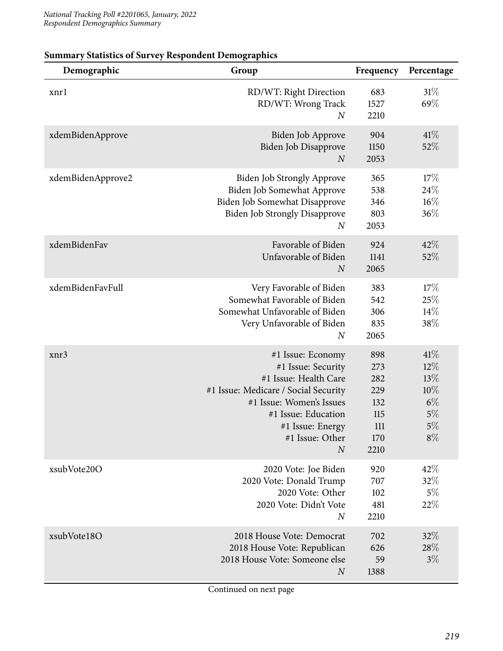| Demographic       | Group                                                                                                                                                                                                                  | Frequency                                                    | Percentage                                                   |
|-------------------|------------------------------------------------------------------------------------------------------------------------------------------------------------------------------------------------------------------------|--------------------------------------------------------------|--------------------------------------------------------------|
| xnrl              | RD/WT: Right Direction<br>RD/WT: Wrong Track<br>$\boldsymbol{N}$                                                                                                                                                       | 683<br>1527<br>2210                                          | 31%<br>69%                                                   |
| xdemBidenApprove  | Biden Job Approve<br>Biden Job Disapprove<br>$\boldsymbol{N}$                                                                                                                                                          | 904<br>1150<br>2053                                          | 41%<br>52%                                                   |
| xdemBidenApprove2 | <b>Biden Job Strongly Approve</b><br>Biden Job Somewhat Approve<br>Biden Job Somewhat Disapprove<br><b>Biden Job Strongly Disapprove</b><br>$\boldsymbol{N}$                                                           | 365<br>538<br>346<br>803<br>2053                             | 17%<br>24\%<br>$16\%$<br>36%                                 |
| xdemBidenFav      | Favorable of Biden<br>Unfavorable of Biden<br>$\overline{N}$                                                                                                                                                           | 924<br>1141<br>2065                                          | 42%<br>52%                                                   |
| xdemBidenFavFull  | Very Favorable of Biden<br>Somewhat Favorable of Biden<br>Somewhat Unfavorable of Biden<br>Very Unfavorable of Biden<br>$\boldsymbol{N}$                                                                               | 383<br>542<br>306<br>835<br>2065                             | 17%<br>25%<br>14%<br>38%                                     |
| xnr3              | #1 Issue: Economy<br>#1 Issue: Security<br>#1 Issue: Health Care<br>#1 Issue: Medicare / Social Security<br>#1 Issue: Women's Issues<br>#1 Issue: Education<br>#1 Issue: Energy<br>#1 Issue: Other<br>$\boldsymbol{N}$ | 898<br>273<br>282<br>229<br>132<br>115<br>111<br>170<br>2210 | 41%<br>$12\%$<br>13%<br>10%<br>$6\%$<br>$5\%$<br>5%<br>$8\%$ |
| xsubVote20O       | 2020 Vote: Joe Biden<br>2020 Vote: Donald Trump<br>2020 Vote: Other<br>2020 Vote: Didn't Vote<br>$\boldsymbol{N}$                                                                                                      | 920<br>707<br>102<br>481<br>2210                             | 42%<br>32%<br>5%<br>22%                                      |
| xsubVote18O       | 2018 House Vote: Democrat<br>2018 House Vote: Republican<br>2018 House Vote: Someone else<br>$\boldsymbol{N}$                                                                                                          | 702<br>626<br>59<br>1388                                     | 32\%<br>28\%<br>$3\%$                                        |

#### **Summary Statistics of Survey Respondent Demographics**

Continued on next page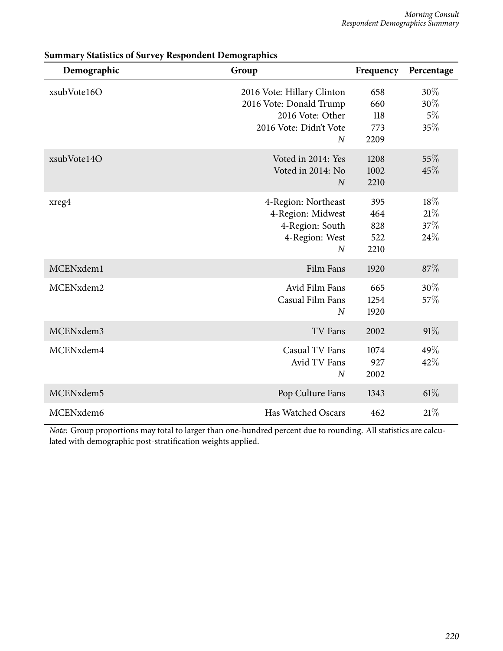| Demographic | Group                                                                                                                   | Frequency                        | Percentage                    |
|-------------|-------------------------------------------------------------------------------------------------------------------------|----------------------------------|-------------------------------|
| xsubVote16O | 2016 Vote: Hillary Clinton<br>2016 Vote: Donald Trump<br>2016 Vote: Other<br>2016 Vote: Didn't Vote<br>$\boldsymbol{N}$ | 658<br>660<br>118<br>773<br>2209 | $30\%$<br>30%<br>$5\%$<br>35% |
| xsubVote14O | Voted in 2014: Yes<br>Voted in 2014: No<br>$\overline{N}$                                                               | 1208<br>1002<br>2210             | 55%<br>45%                    |
| xreg4       | 4-Region: Northeast<br>4-Region: Midwest<br>4-Region: South<br>4-Region: West<br>$\overline{N}$                         | 395<br>464<br>828<br>522<br>2210 | 18%<br>21%<br>37%<br>24%      |
| MCENxdem1   | Film Fans                                                                                                               | 1920                             | 87%                           |
| MCENxdem2   | Avid Film Fans<br>Casual Film Fans<br>$\overline{N}$                                                                    | 665<br>1254<br>1920              | $30\%$<br>57%                 |
| MCENxdem3   | TV Fans                                                                                                                 | 2002                             | 91%                           |
| MCENxdem4   | Casual TV Fans<br>Avid TV Fans<br>$\overline{N}$                                                                        | 1074<br>927<br>2002              | 49%<br>42%                    |
| MCENxdem5   | Pop Culture Fans                                                                                                        | 1343                             | 61%                           |
| MCENxdem6   | <b>Has Watched Oscars</b>                                                                                               | 462                              | 21%                           |

**Summary Statistics of Survey Respondent Demographics**

*Note:* Group proportions may total to larger than one-hundred percent due to rounding. All statistics are calculated with demographic post-stratification weights applied.